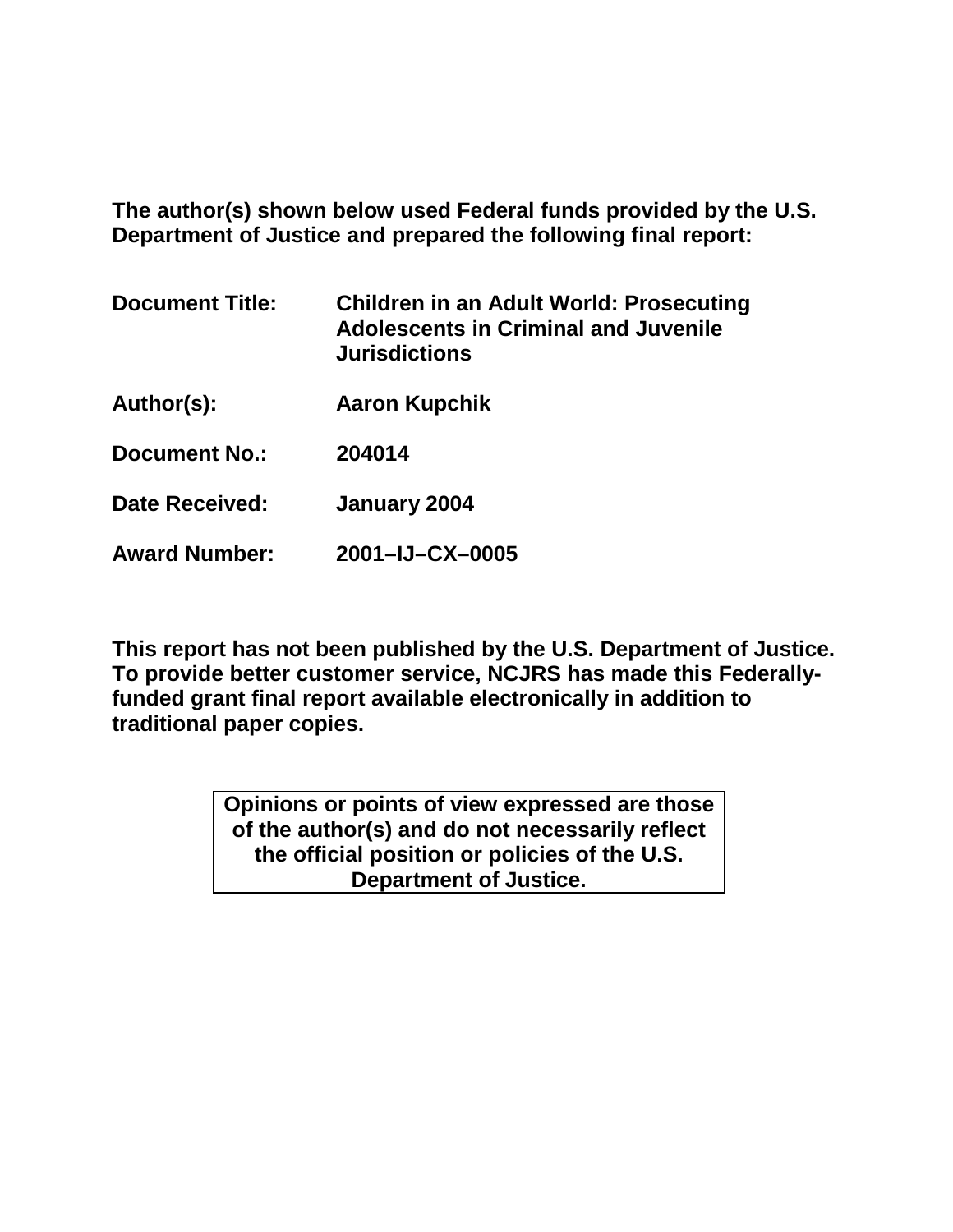**The author(s) shown below used Federal funds provided by the U.S. Department of Justice and prepared the following final report:**

| <b>Document Title:</b> | <b>Children in an Adult World: Prosecuting</b><br><b>Adolescents in Criminal and Juvenile</b><br><b>Jurisdictions</b> |
|------------------------|-----------------------------------------------------------------------------------------------------------------------|
| Author(s):             | <b>Aaron Kupchik</b>                                                                                                  |
| <b>Document No.:</b>   | 204014                                                                                                                |
| <b>Date Received:</b>  | January 2004                                                                                                          |
| <b>Award Number:</b>   | 2001-IJ-CX-0005                                                                                                       |

**This report has not been published by the U.S. Department of Justice. To provide better customer service, NCJRS has made this Federallyfunded grant final report available electronically in addition to traditional paper copies.**

> **Opinions or points of view expressed are those of the author(s) and do not necessarily reflect the official position or policies of the U.S. Department of Justice.**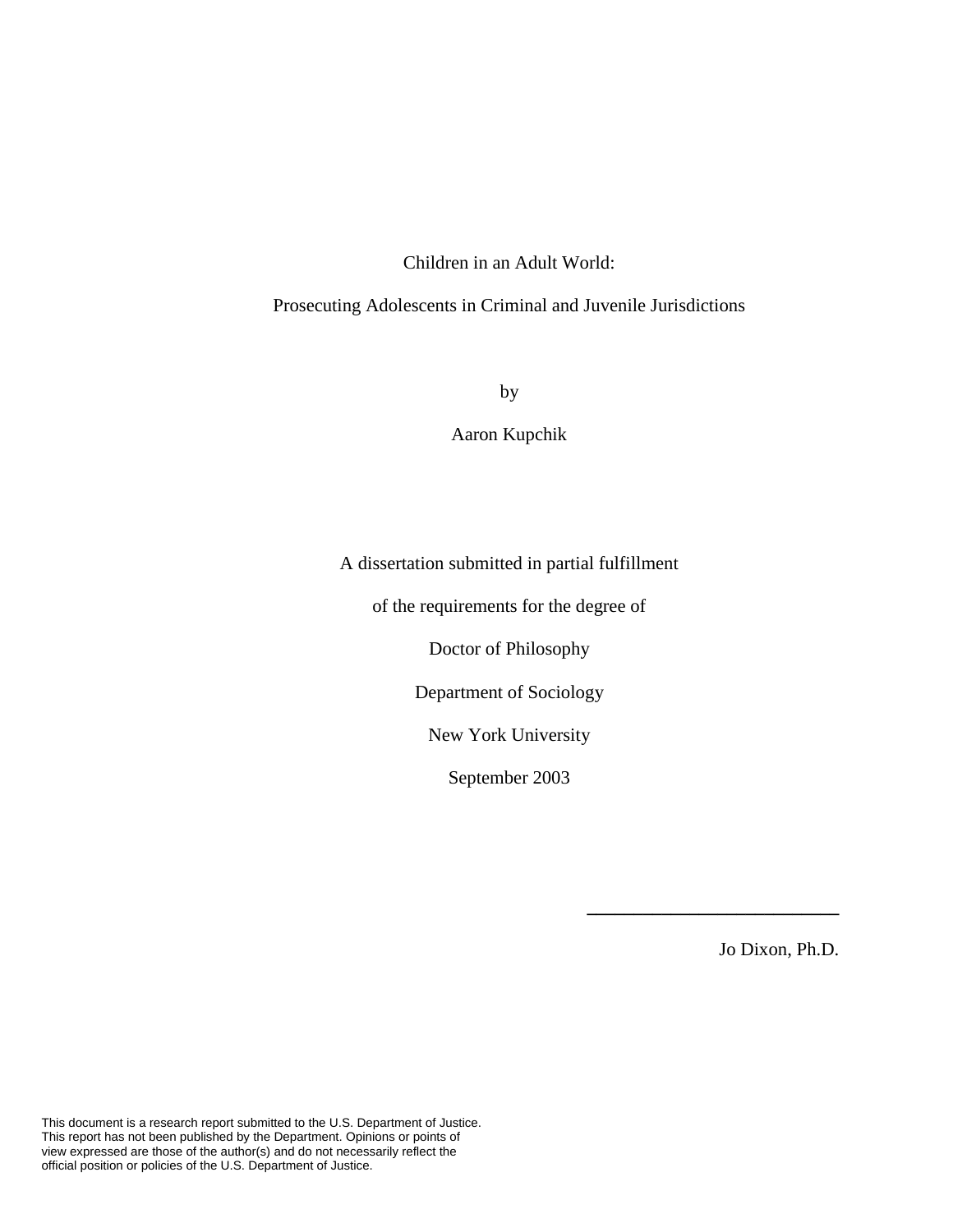Children in an Adult World:

Prosecuting Adolescents in Criminal and Juvenile Jurisdictions

by

Aaron Kupchik

A dissertation submitted in partial fulfillment

of the requirements for the degree of

Doctor of Philosophy

Department of Sociology

New York University

September 2003

Jo Dixon, Ph.D.

**\_\_\_\_\_\_\_\_\_\_\_\_\_\_\_\_\_\_\_\_\_\_\_\_\_\_\_**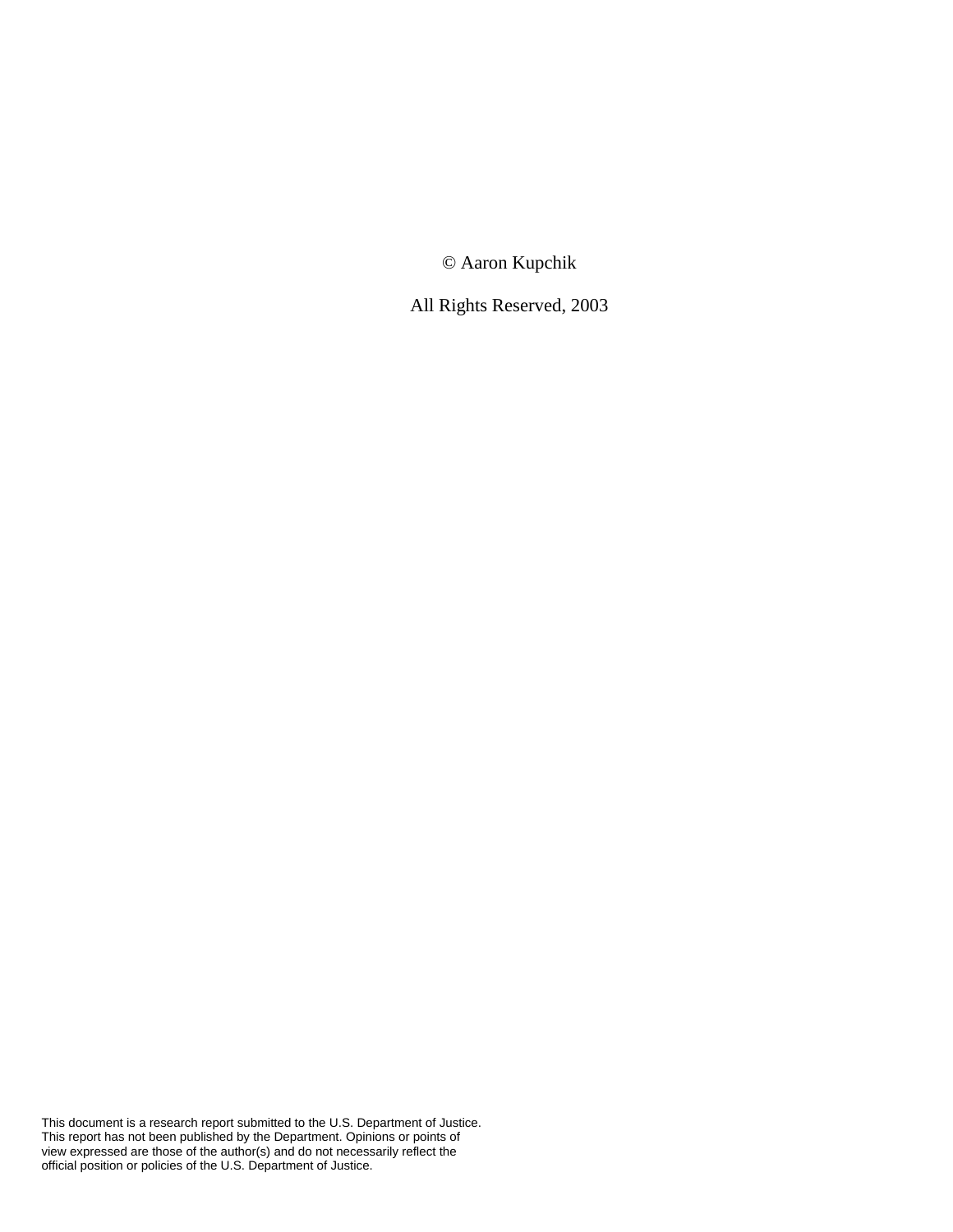© Aaron Kupchik

All Rights Reserved, 2003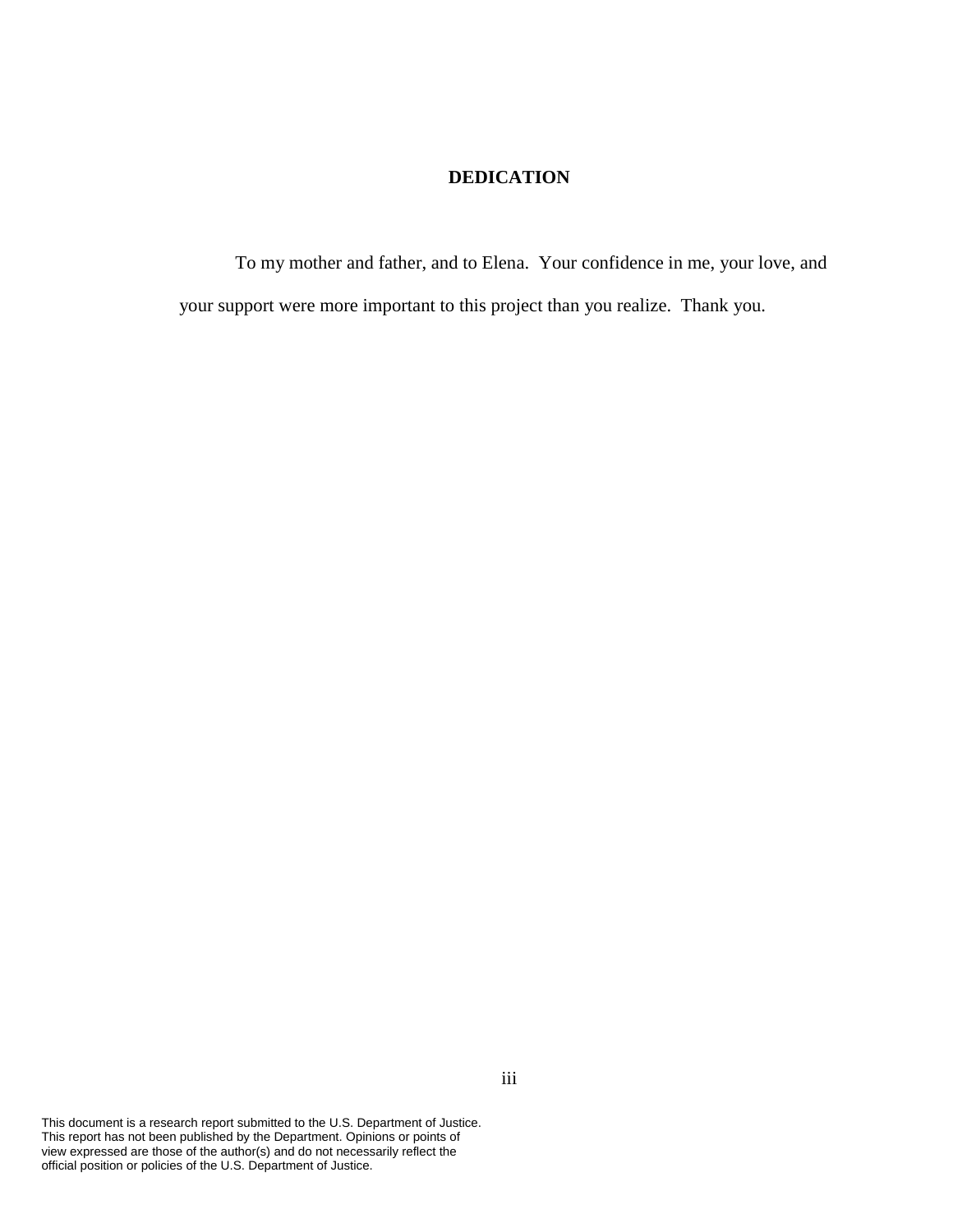# **DEDICATION**

To my mother and father, and to Elena. Your confidence in me, your love, and your support were more important to this project than you realize. Thank you.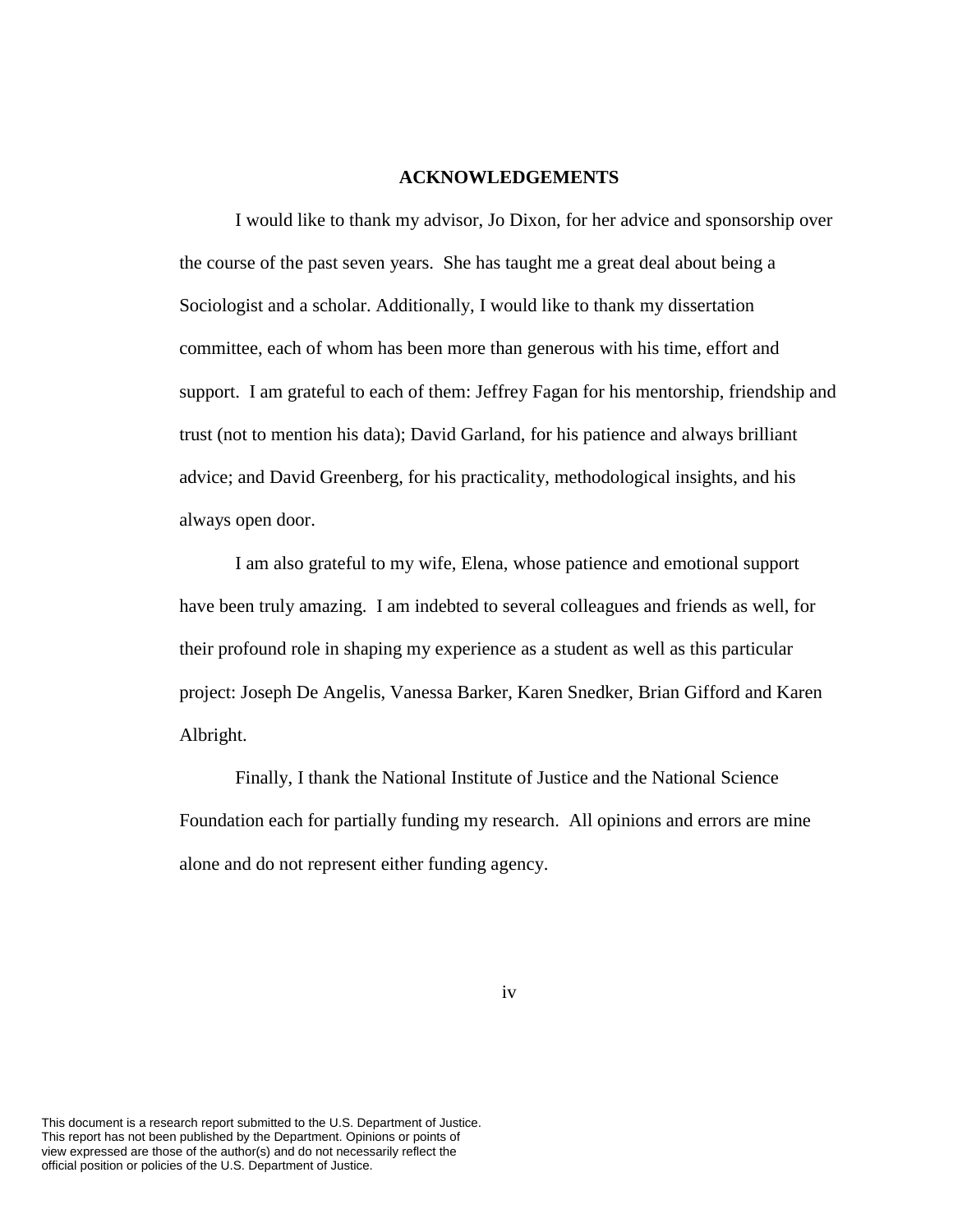#### **ACKNOWLEDGEMENTS**

I would like to thank my advisor, Jo Dixon, for her advice and sponsorship over the course of the past seven years. She has taught me a great deal about being a Sociologist and a scholar. Additionally, I would like to thank my dissertation committee, each of whom has been more than generous with his time, effort and support. I am grateful to each of them: Jeffrey Fagan for his mentorship, friendship and trust (not to mention his data); David Garland, for his patience and always brilliant advice; and David Greenberg, for his practicality, methodological insights, and his always open door.

I am also grateful to my wife, Elena, whose patience and emotional support have been truly amazing. I am indebted to several colleagues and friends as well, for their profound role in shaping my experience as a student as well as this particular project: Joseph De Angelis, Vanessa Barker, Karen Snedker, Brian Gifford and Karen Albright.

Finally, I thank the National Institute of Justice and the National Science Foundation each for partially funding my research. All opinions and errors are mine alone and do not represent either funding agency.

iv

This document is a research report submitted to the U.S. Department of Justice. This report has not been published by the Department. Opinions or points of view expressed are those of the author(s) and do not necessarily reflect the official position or policies of the U.S. Department of Justice.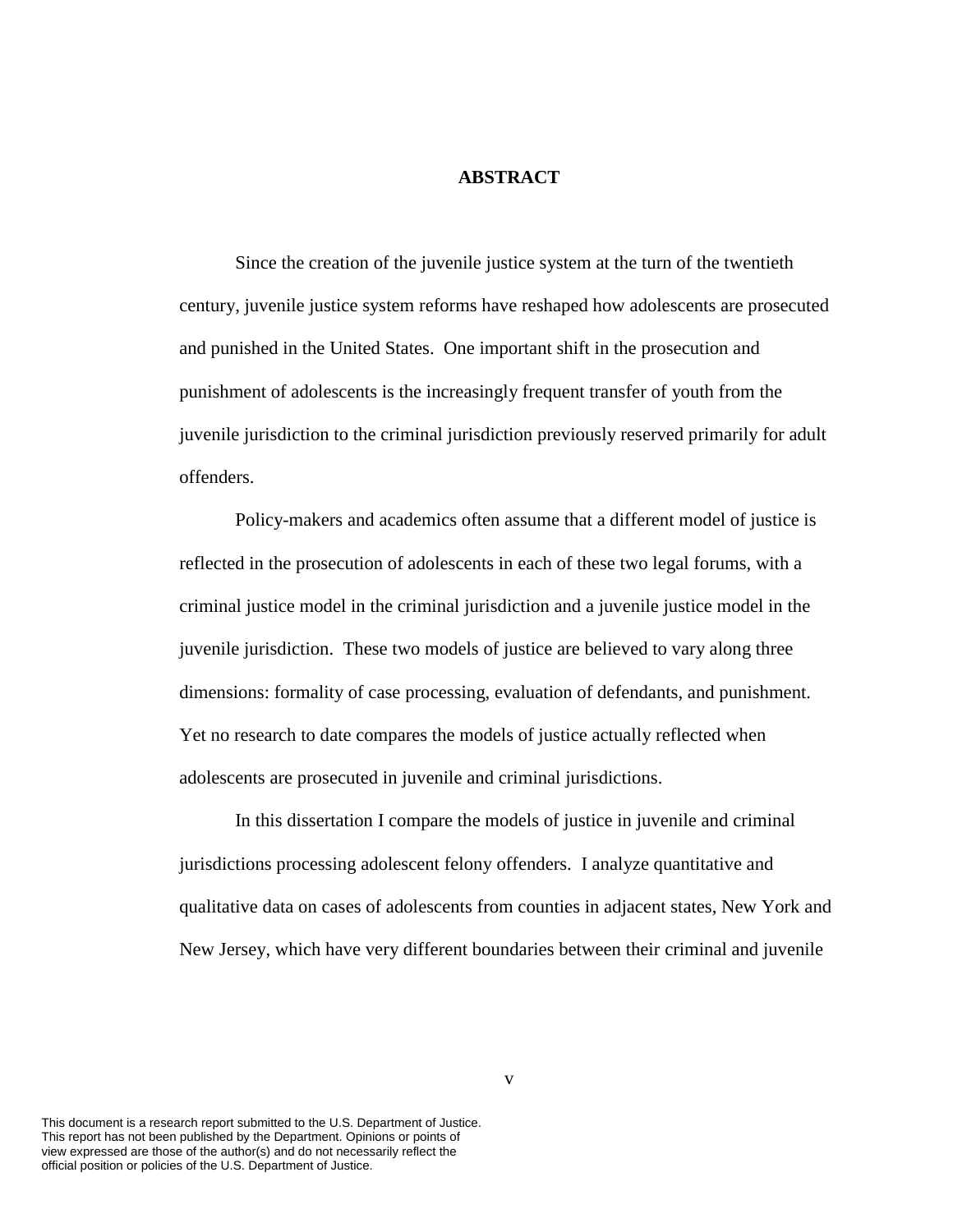#### **ABSTRACT**

Since the creation of the juvenile justice system at the turn of the twentieth century, juvenile justice system reforms have reshaped how adolescents are prosecuted and punished in the United States. One important shift in the prosecution and punishment of adolescents is the increasingly frequent transfer of youth from the juvenile jurisdiction to the criminal jurisdiction previously reserved primarily for adult offenders.

Policy-makers and academics often assume that a different model of justice is reflected in the prosecution of adolescents in each of these two legal forums, with a criminal justice model in the criminal jurisdiction and a juvenile justice model in the juvenile jurisdiction. These two models of justice are believed to vary along three dimensions: formality of case processing, evaluation of defendants, and punishment. Yet no research to date compares the models of justice actually reflected when adolescents are prosecuted in juvenile and criminal jurisdictions.

In this dissertation I compare the models of justice in juvenile and criminal jurisdictions processing adolescent felony offenders. I analyze quantitative and qualitative data on cases of adolescents from counties in adjacent states, New York and New Jersey, which have very different boundaries between their criminal and juvenile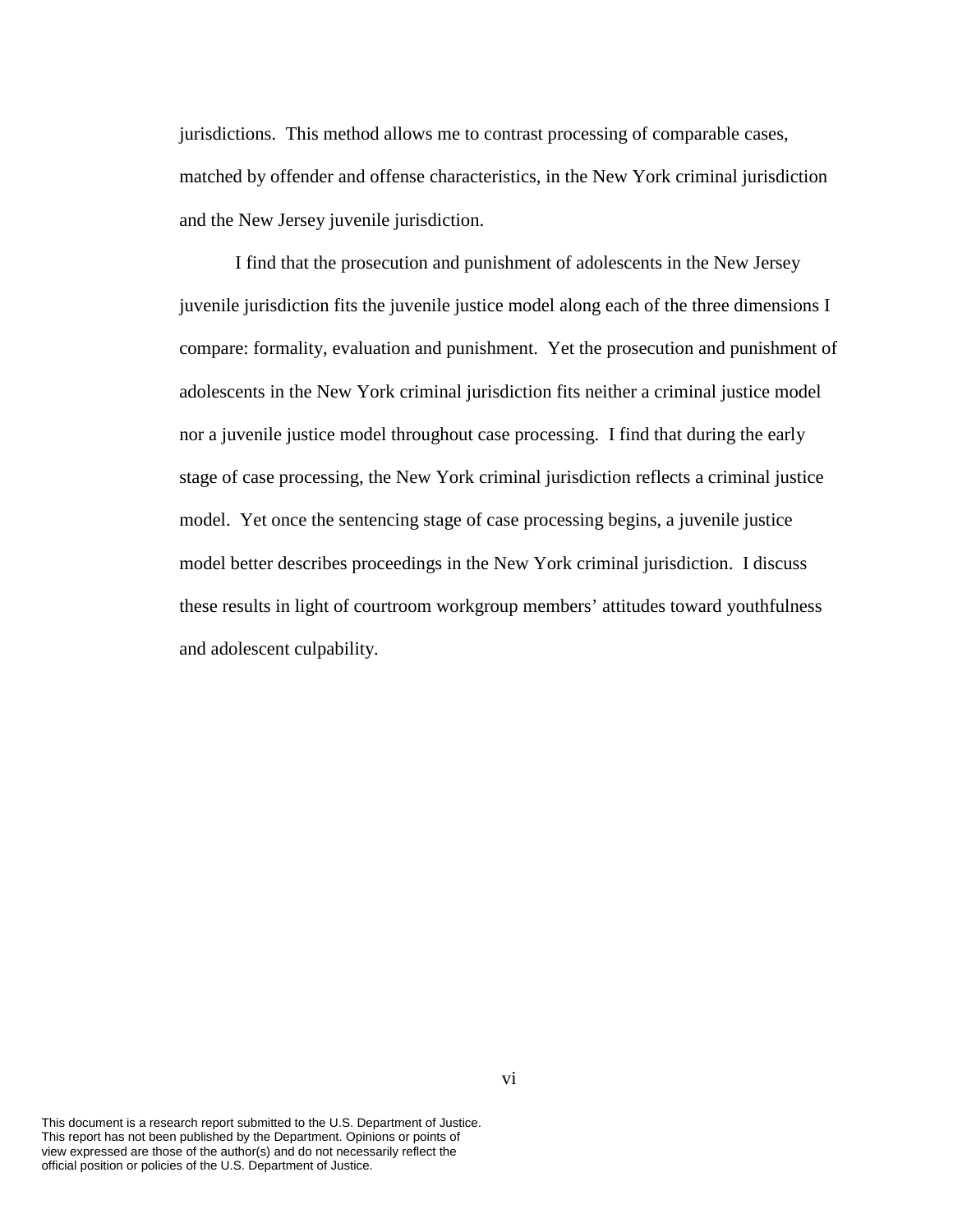jurisdictions. This method allows me to contrast processing of comparable cases, matched by offender and offense characteristics, in the New York criminal jurisdiction and the New Jersey juvenile jurisdiction.

I find that the prosecution and punishment of adolescents in the New Jersey juvenile jurisdiction fits the juvenile justice model along each of the three dimensions I compare: formality, evaluation and punishment. Yet the prosecution and punishment of adolescents in the New York criminal jurisdiction fits neither a criminal justice model nor a juvenile justice model throughout case processing. I find that during the early stage of case processing, the New York criminal jurisdiction reflects a criminal justice model. Yet once the sentencing stage of case processing begins, a juvenile justice model better describes proceedings in the New York criminal jurisdiction. I discuss these results in light of courtroom workgroup members' attitudes toward youthfulness and adolescent culpability.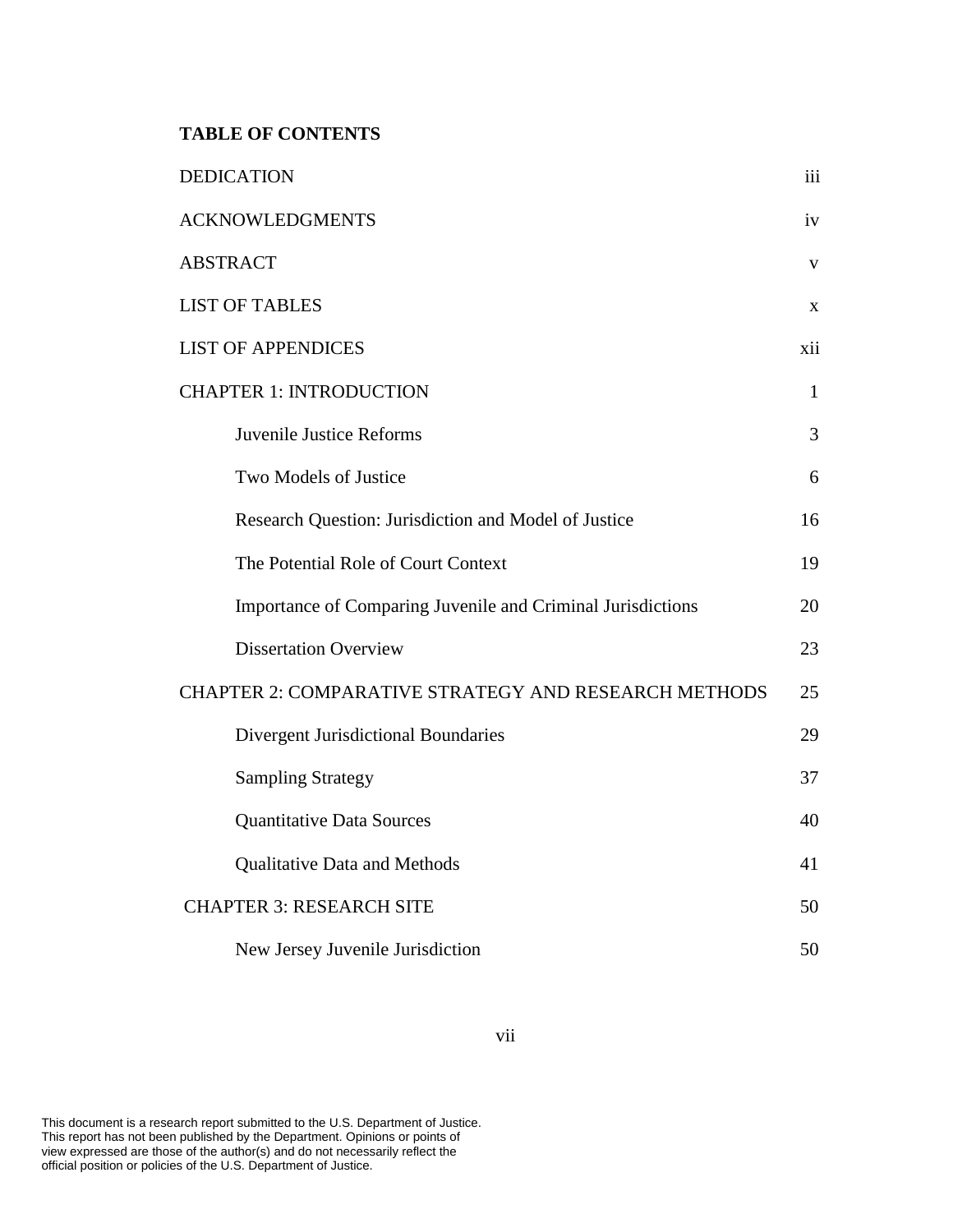**TABLE OF CONTENTS**

| <b>DEDICATION</b>                                           | iii          |
|-------------------------------------------------------------|--------------|
| <b>ACKNOWLEDGMENTS</b>                                      | iv           |
| <b>ABSTRACT</b>                                             | V            |
| <b>LIST OF TABLES</b>                                       | $\mathbf{X}$ |
| <b>LIST OF APPENDICES</b>                                   | xii          |
| <b>CHAPTER 1: INTRODUCTION</b>                              | $\mathbf{1}$ |
| Juvenile Justice Reforms                                    | 3            |
| Two Models of Justice                                       | 6            |
| Research Question: Jurisdiction and Model of Justice        | 16           |
| The Potential Role of Court Context                         | 19           |
| Importance of Comparing Juvenile and Criminal Jurisdictions | 20           |
| <b>Dissertation Overview</b>                                | 23           |
| CHAPTER 2: COMPARATIVE STRATEGY AND RESEARCH METHODS        | 25           |
| Divergent Jurisdictional Boundaries                         | 29           |
| <b>Sampling Strategy</b>                                    | 37           |
| <b>Quantitative Data Sources</b>                            | 40           |
| <b>Qualitative Data and Methods</b>                         | 41           |
| <b>CHAPTER 3: RESEARCH SITE</b>                             | 50           |
| New Jersey Juvenile Jurisdiction                            | 50           |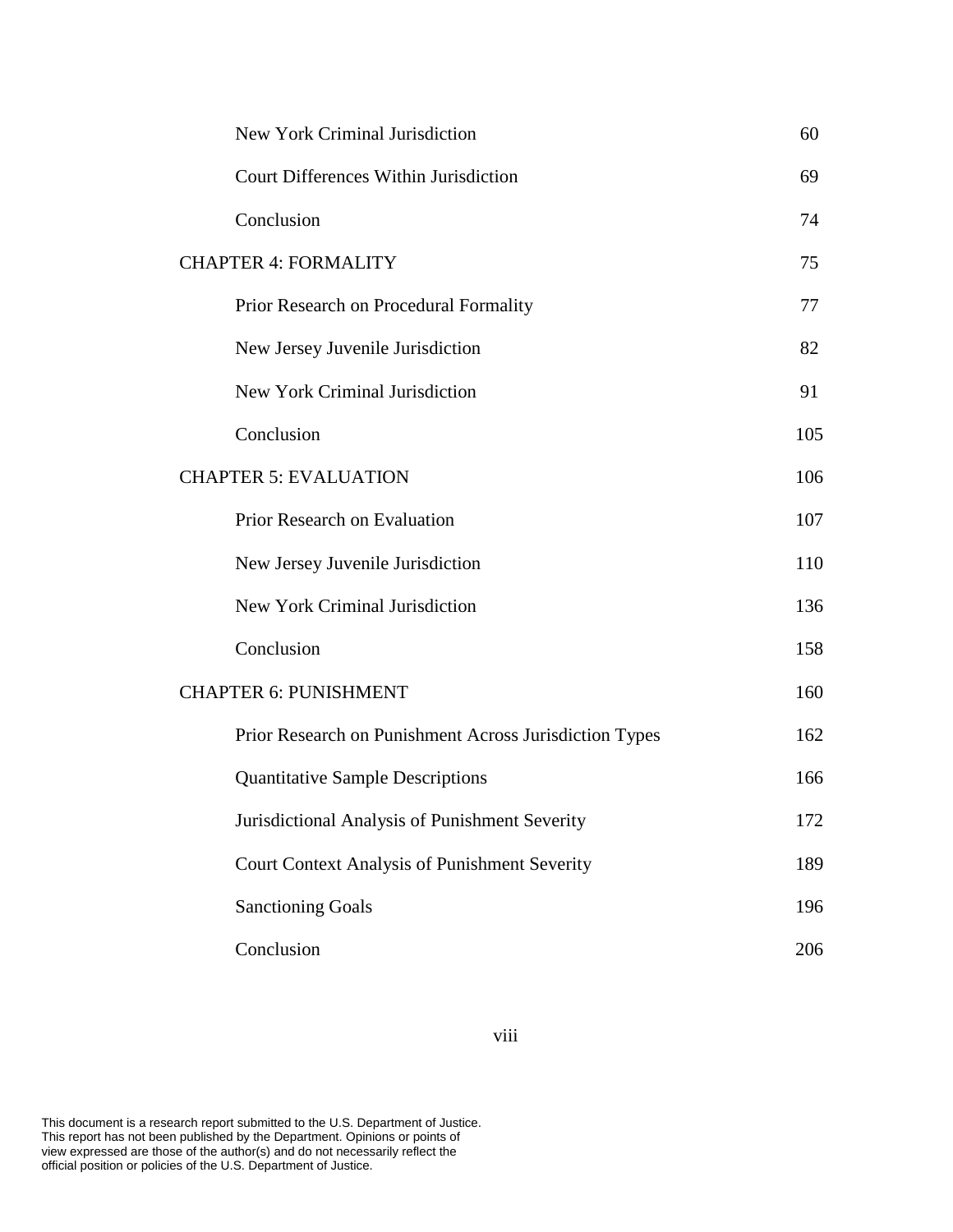|                              | New York Criminal Jurisdiction                         | 60  |
|------------------------------|--------------------------------------------------------|-----|
|                              | Court Differences Within Jurisdiction                  | 69  |
|                              | Conclusion                                             | 74  |
|                              | <b>CHAPTER 4: FORMALITY</b>                            | 75  |
|                              | Prior Research on Procedural Formality                 | 77  |
|                              | New Jersey Juvenile Jurisdiction                       | 82  |
|                              | New York Criminal Jurisdiction                         | 91  |
|                              | Conclusion                                             | 105 |
|                              | <b>CHAPTER 5: EVALUATION</b>                           | 106 |
|                              | Prior Research on Evaluation                           | 107 |
|                              | New Jersey Juvenile Jurisdiction                       | 110 |
|                              | New York Criminal Jurisdiction                         | 136 |
|                              | Conclusion                                             | 158 |
| <b>CHAPTER 6: PUNISHMENT</b> |                                                        | 160 |
|                              | Prior Research on Punishment Across Jurisdiction Types | 162 |
|                              | <b>Quantitative Sample Descriptions</b>                | 166 |
|                              | Jurisdictional Analysis of Punishment Severity         | 172 |
|                              | <b>Court Context Analysis of Punishment Severity</b>   | 189 |
|                              | <b>Sanctioning Goals</b>                               | 196 |
|                              | Conclusion                                             | 206 |

viii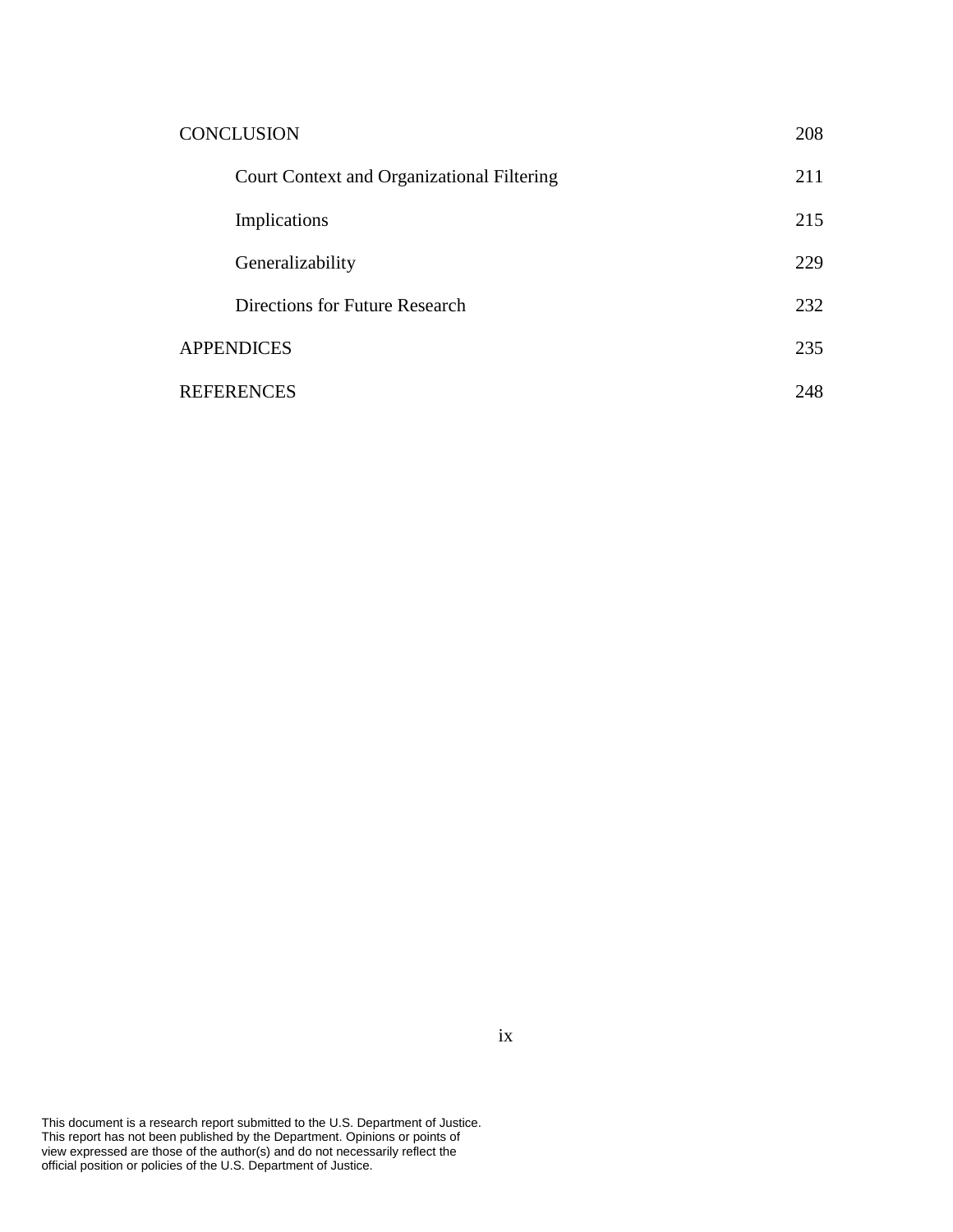| <b>CONCLUSION</b>                          |     |
|--------------------------------------------|-----|
| Court Context and Organizational Filtering | 211 |
| Implications                               | 215 |
| Generalizability                           | 229 |
| Directions for Future Research             | 232 |
| <b>APPENDICES</b>                          | 235 |
| <b>REFERENCES</b>                          | 248 |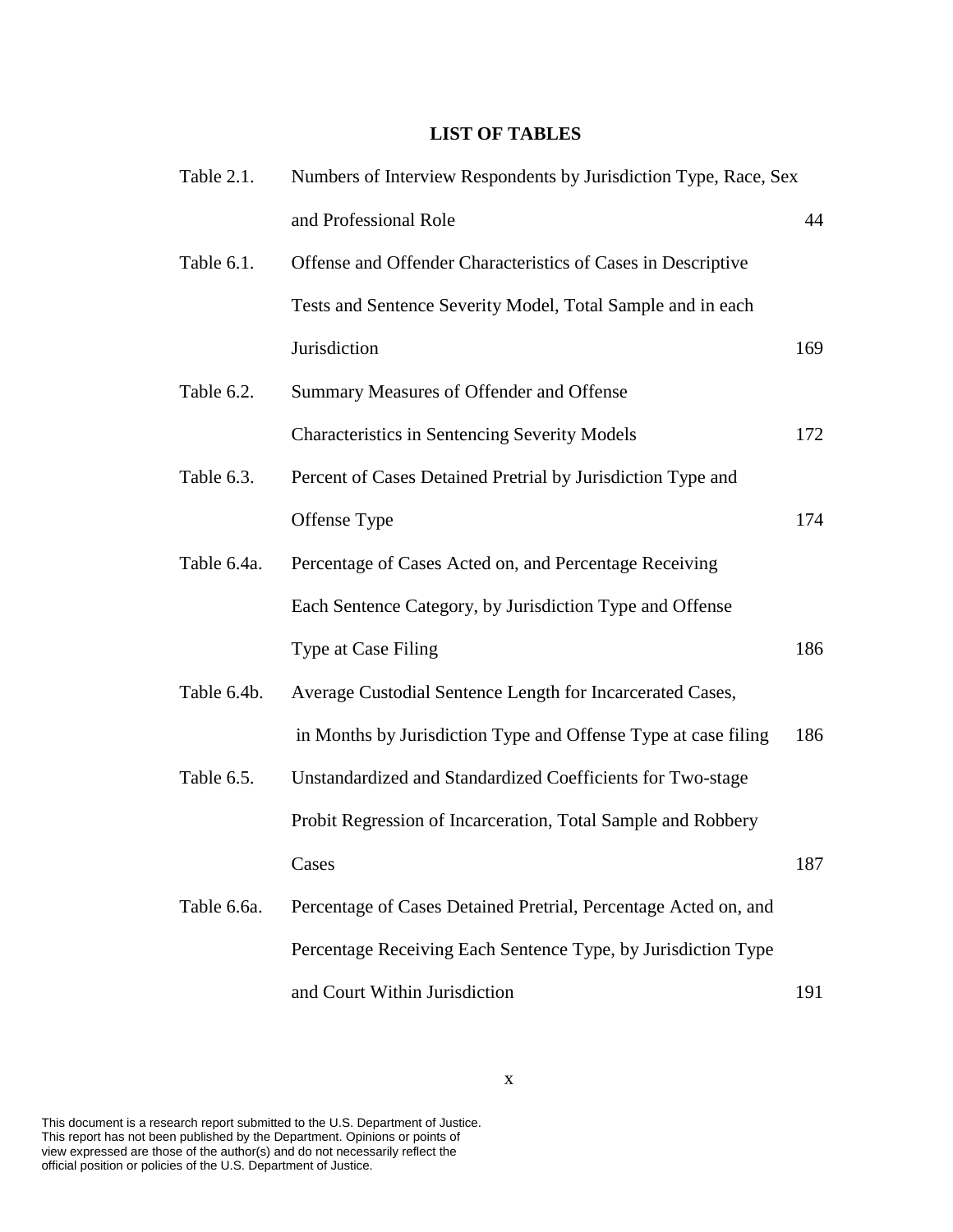# **LIST OF TABLES**

| Table 2.1.  | Numbers of Interview Respondents by Jurisdiction Type, Race, Sex |     |
|-------------|------------------------------------------------------------------|-----|
|             | and Professional Role                                            | 44  |
| Table 6.1.  | Offense and Offender Characteristics of Cases in Descriptive     |     |
|             | Tests and Sentence Severity Model, Total Sample and in each      |     |
|             | Jurisdiction                                                     | 169 |
| Table 6.2.  | Summary Measures of Offender and Offense                         |     |
|             | <b>Characteristics in Sentencing Severity Models</b>             | 172 |
| Table 6.3.  | Percent of Cases Detained Pretrial by Jurisdiction Type and      |     |
|             | Offense Type                                                     | 174 |
| Table 6.4a. | Percentage of Cases Acted on, and Percentage Receiving           |     |
|             | Each Sentence Category, by Jurisdiction Type and Offense         |     |
|             | Type at Case Filing                                              | 186 |
| Table 6.4b. | Average Custodial Sentence Length for Incarcerated Cases,        |     |
|             | in Months by Jurisdiction Type and Offense Type at case filing   | 186 |
| Table 6.5.  | Unstandardized and Standardized Coefficients for Two-stage       |     |
|             | Probit Regression of Incarceration, Total Sample and Robbery     |     |
|             | Cases                                                            | 187 |
| Table 6.6a. | Percentage of Cases Detained Pretrial, Percentage Acted on, and  |     |
|             | Percentage Receiving Each Sentence Type, by Jurisdiction Type    |     |
|             | and Court Within Jurisdiction                                    | 191 |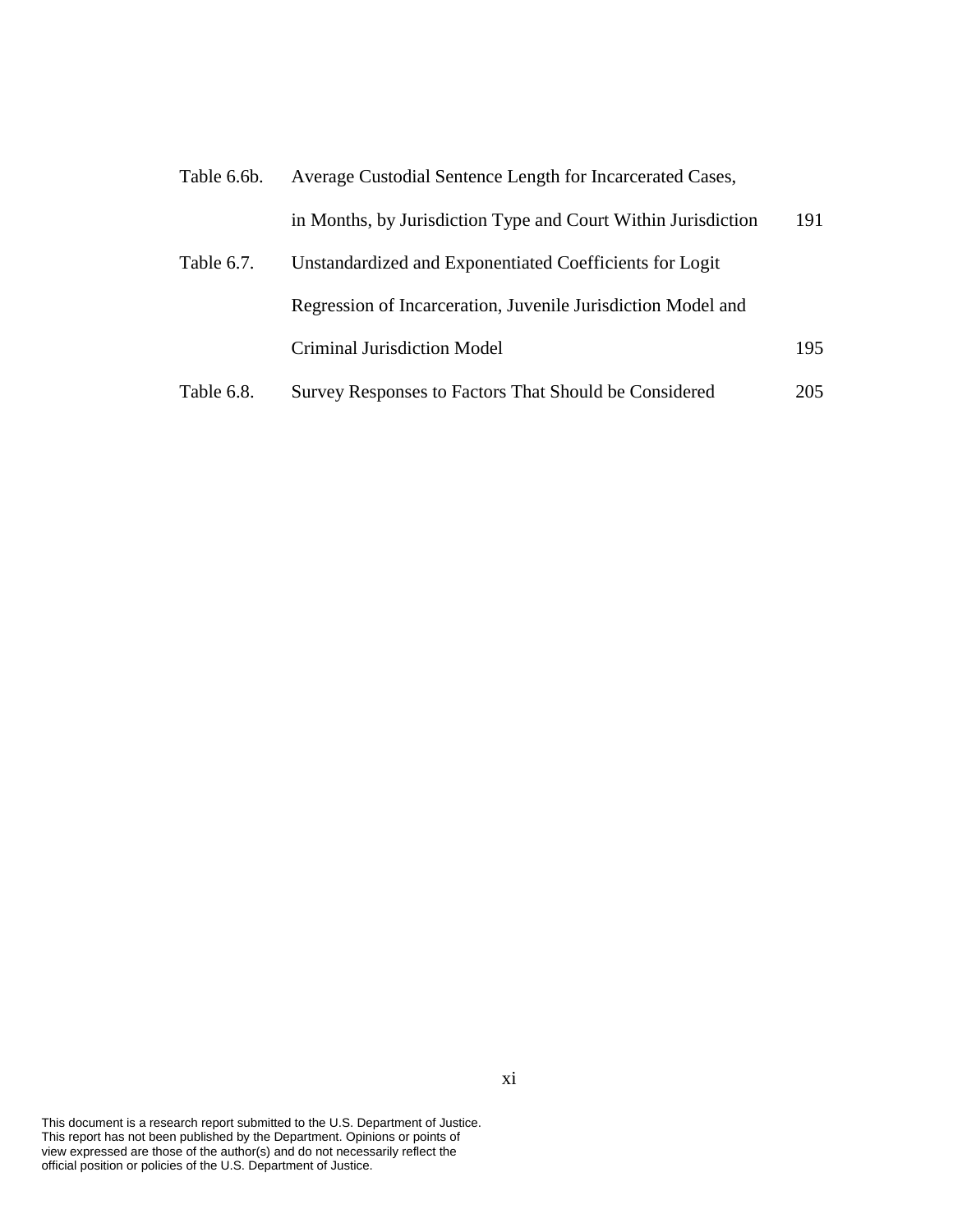| Table 6.6b. | Average Custodial Sentence Length for Incarcerated Cases,     |     |
|-------------|---------------------------------------------------------------|-----|
|             | in Months, by Jurisdiction Type and Court Within Jurisdiction | 191 |
| Table 6.7.  | Unstandardized and Exponentiated Coefficients for Logit       |     |
|             | Regression of Incarceration, Juvenile Jurisdiction Model and  |     |
|             | <b>Criminal Jurisdiction Model</b>                            | 195 |
| Table 6.8.  | Survey Responses to Factors That Should be Considered         | 205 |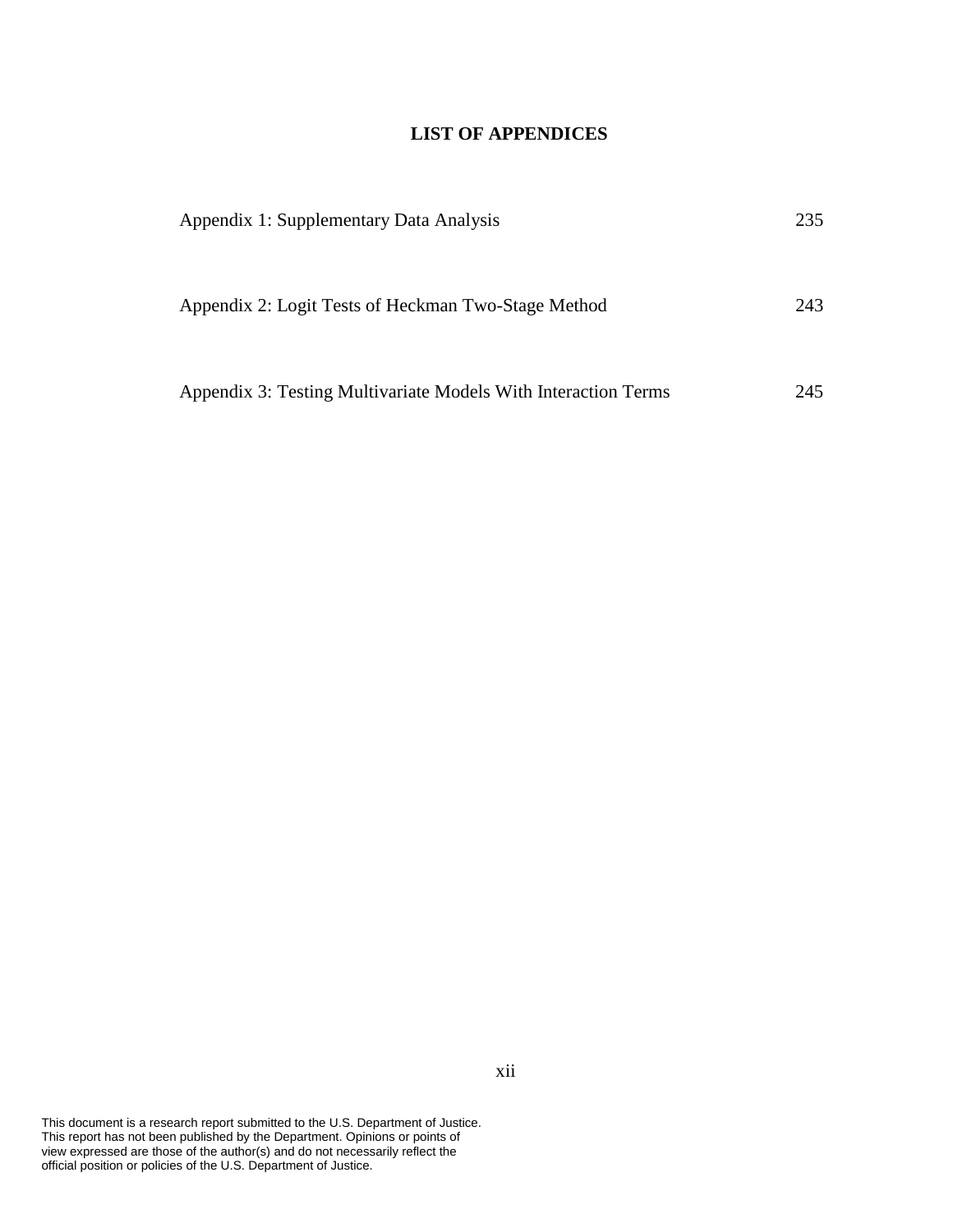# **LIST OF APPENDICES**

| Appendix 1: Supplementary Data Analysis                        | 235 |
|----------------------------------------------------------------|-----|
| Appendix 2: Logit Tests of Heckman Two-Stage Method            | 243 |
| Appendix 3: Testing Multivariate Models With Interaction Terms | 245 |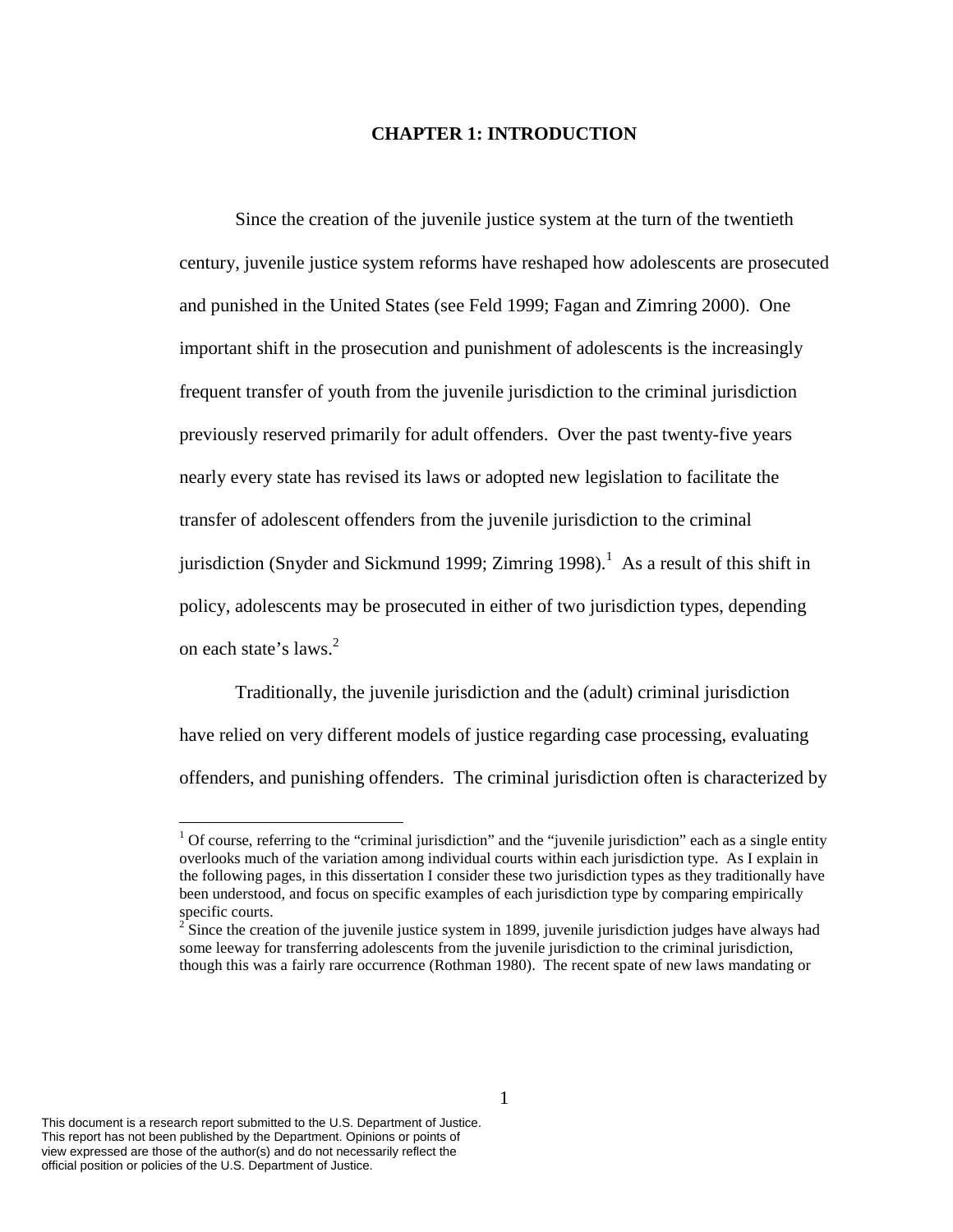### **CHAPTER 1: INTRODUCTION**

Since the creation of the juvenile justice system at the turn of the twentieth century, juvenile justice system reforms have reshaped how adolescents are prosecuted and punished in the United States (see Feld 1999; Fagan and Zimring 2000). One important shift in the prosecution and punishment of adolescents is the increasingly frequent transfer of youth from the juvenile jurisdiction to the criminal jurisdiction previously reserved primarily for adult offenders. Over the past twenty-five years nearly every state has revised its laws or adopted new legislation to facilitate the transfer of adolescent offenders from the juvenile jurisdiction to the criminal jurisdiction (Snyder and Sickmund 1999; Zimring 1998).<sup>1</sup> As a result of this shift in policy, adolescents may be prosecuted in either of two jurisdiction types, depending on each state's laws.<sup>2</sup>

Traditionally, the juvenile jurisdiction and the (adult) criminal jurisdiction have relied on very different models of justice regarding case processing, evaluating offenders, and punishing offenders. The criminal jurisdiction often is characterized by

 $\overline{a}$ 

 $1$  Of course, referring to the "criminal jurisdiction" and the "juvenile jurisdiction" each as a single entity overlooks much of the variation among individual courts within each jurisdiction type. As I explain in the following pages, in this dissertation I consider these two jurisdiction types as they traditionally have been understood, and focus on specific examples of each jurisdiction type by comparing empirically specific courts.<br><sup>2</sup> Since the creation of the juvenile justice system in 1899, juvenile jurisdiction judges have always had

some leeway for transferring adolescents from the juvenile jurisdiction to the criminal jurisdiction, though this was a fairly rare occurrence (Rothman 1980). The recent spate of new laws mandating or

This document is a research report submitted to the U.S. Department of Justice. This report has not been published by the Department. Opinions or points of view expressed are those of the author(s) and do not necessarily reflect the official position or policies of the U.S. Department of Justice.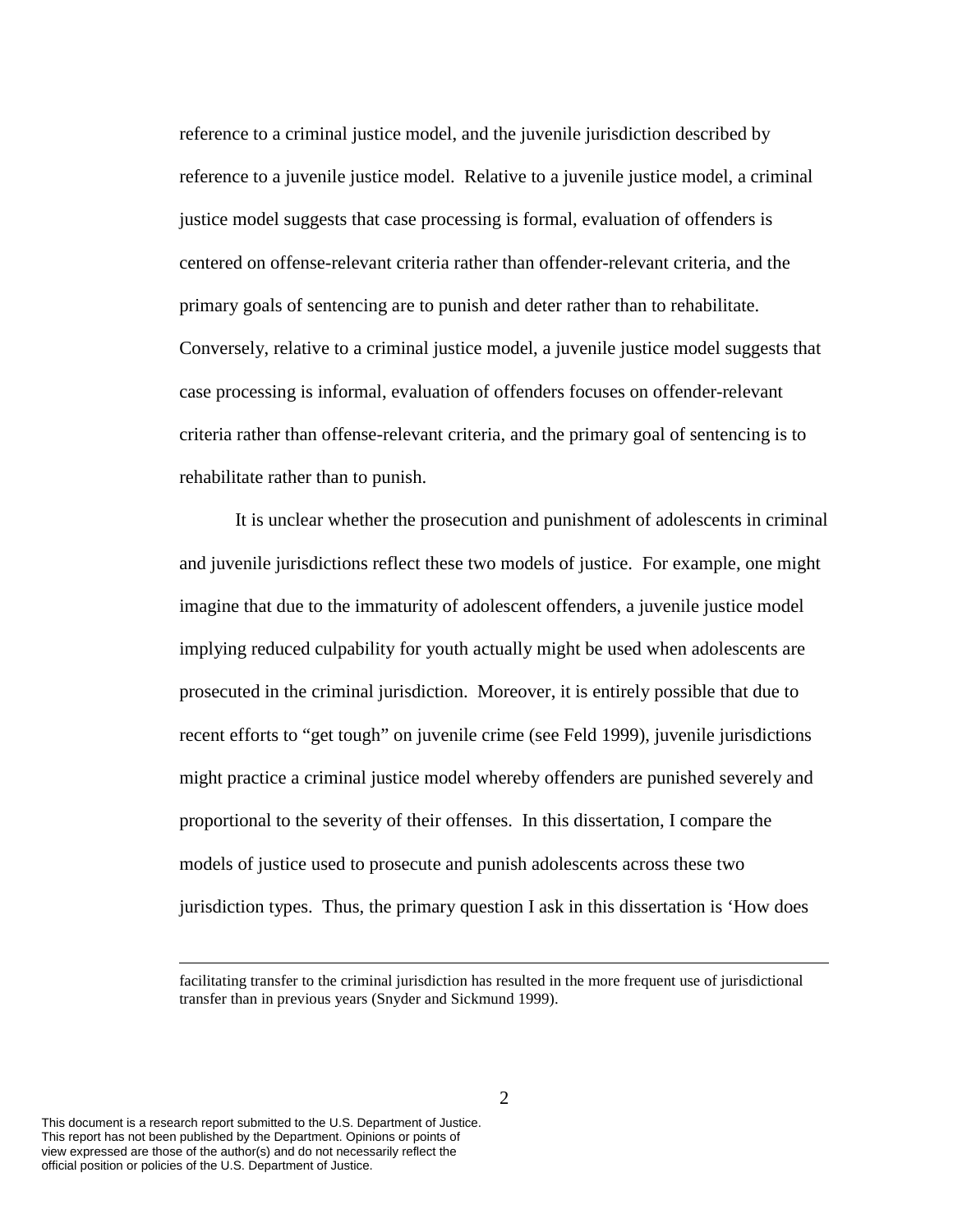reference to a criminal justice model, and the juvenile jurisdiction described by reference to a juvenile justice model. Relative to a juvenile justice model, a criminal justice model suggests that case processing is formal, evaluation of offenders is centered on offense-relevant criteria rather than offender-relevant criteria, and the primary goals of sentencing are to punish and deter rather than to rehabilitate. Conversely, relative to a criminal justice model, a juvenile justice model suggests that case processing is informal, evaluation of offenders focuses on offender-relevant criteria rather than offense-relevant criteria, and the primary goal of sentencing is to rehabilitate rather than to punish.

It is unclear whether the prosecution and punishment of adolescents in criminal and juvenile jurisdictions reflect these two models of justice. For example, one might imagine that due to the immaturity of adolescent offenders, a juvenile justice model implying reduced culpability for youth actually might be used when adolescents are prosecuted in the criminal jurisdiction. Moreover, it is entirely possible that due to recent efforts to "get tough" on juvenile crime (see Feld 1999), juvenile jurisdictions might practice a criminal justice model whereby offenders are punished severely and proportional to the severity of their offenses. In this dissertation, I compare the models of justice used to prosecute and punish adolescents across these two jurisdiction types. Thus, the primary question I ask in this dissertation is 'How does

 $\overline{a}$ 

facilitating transfer to the criminal jurisdiction has resulted in the more frequent use of jurisdictional transfer than in previous years (Snyder and Sickmund 1999).

This document is a research report submitted to the U.S. Department of Justice. This report has not been published by the Department. Opinions or points of view expressed are those of the author(s) and do not necessarily reflect the official position or policies of the U.S. Department of Justice.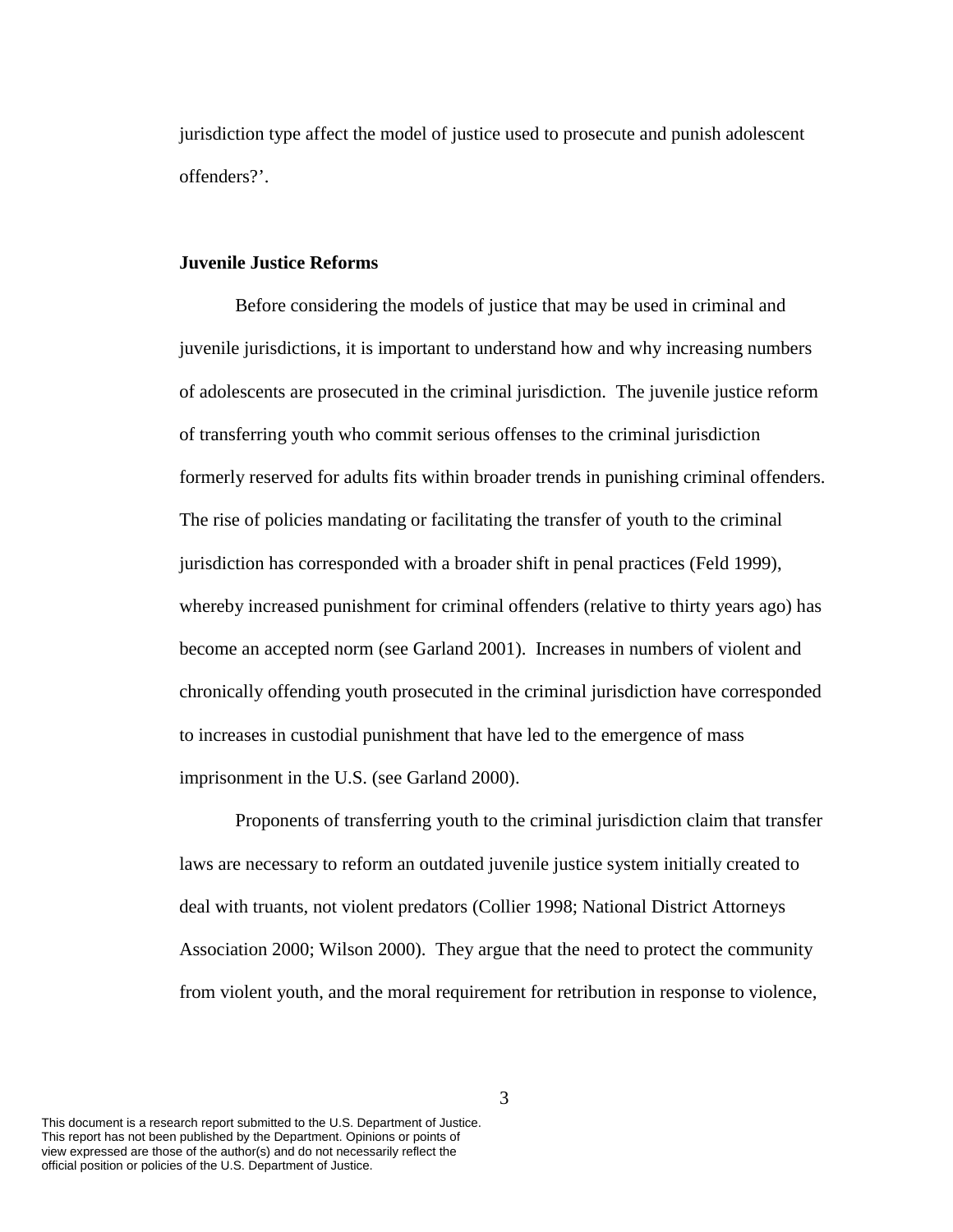jurisdiction type affect the model of justice used to prosecute and punish adolescent offenders?'.

### **Juvenile Justice Reforms**

Before considering the models of justice that may be used in criminal and juvenile jurisdictions, it is important to understand how and why increasing numbers of adolescents are prosecuted in the criminal jurisdiction. The juvenile justice reform of transferring youth who commit serious offenses to the criminal jurisdiction formerly reserved for adults fits within broader trends in punishing criminal offenders. The rise of policies mandating or facilitating the transfer of youth to the criminal jurisdiction has corresponded with a broader shift in penal practices (Feld 1999), whereby increased punishment for criminal offenders (relative to thirty years ago) has become an accepted norm (see Garland 2001). Increases in numbers of violent and chronically offending youth prosecuted in the criminal jurisdiction have corresponded to increases in custodial punishment that have led to the emergence of mass imprisonment in the U.S. (see Garland 2000).

Proponents of transferring youth to the criminal jurisdiction claim that transfer laws are necessary to reform an outdated juvenile justice system initially created to deal with truants, not violent predators (Collier 1998; National District Attorneys Association 2000; Wilson 2000). They argue that the need to protect the community from violent youth, and the moral requirement for retribution in response to violence,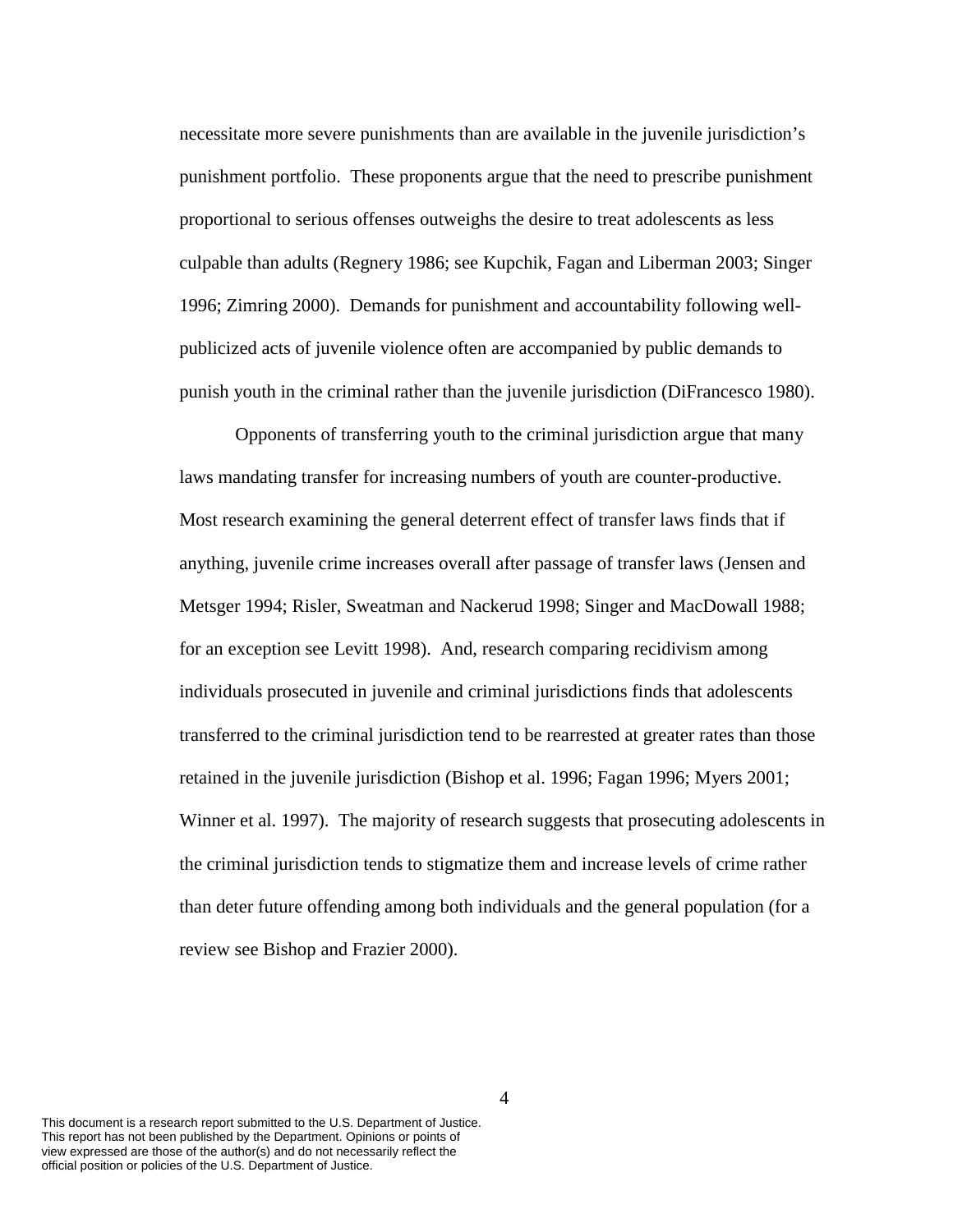necessitate more severe punishments than are available in the juvenile jurisdiction's punishment portfolio. These proponents argue that the need to prescribe punishment proportional to serious offenses outweighs the desire to treat adolescents as less culpable than adults (Regnery 1986; see Kupchik, Fagan and Liberman 2003; Singer 1996; Zimring 2000). Demands for punishment and accountability following wellpublicized acts of juvenile violence often are accompanied by public demands to punish youth in the criminal rather than the juvenile jurisdiction (DiFrancesco 1980).

Opponents of transferring youth to the criminal jurisdiction argue that many laws mandating transfer for increasing numbers of youth are counter-productive. Most research examining the general deterrent effect of transfer laws finds that if anything, juvenile crime increases overall after passage of transfer laws (Jensen and Metsger 1994; Risler, Sweatman and Nackerud 1998; Singer and MacDowall 1988; for an exception see Levitt 1998). And, research comparing recidivism among individuals prosecuted in juvenile and criminal jurisdictions finds that adolescents transferred to the criminal jurisdiction tend to be rearrested at greater rates than those retained in the juvenile jurisdiction (Bishop et al. 1996; Fagan 1996; Myers 2001; Winner et al. 1997). The majority of research suggests that prosecuting adolescents in the criminal jurisdiction tends to stigmatize them and increase levels of crime rather than deter future offending among both individuals and the general population (for a review see Bishop and Frazier 2000).

This document is a research report submitted to the U.S. Department of Justice. This report has not been published by the Department. Opinions or points of view expressed are those of the author(s) and do not necessarily reflect the official position or policies of the U.S. Department of Justice.

4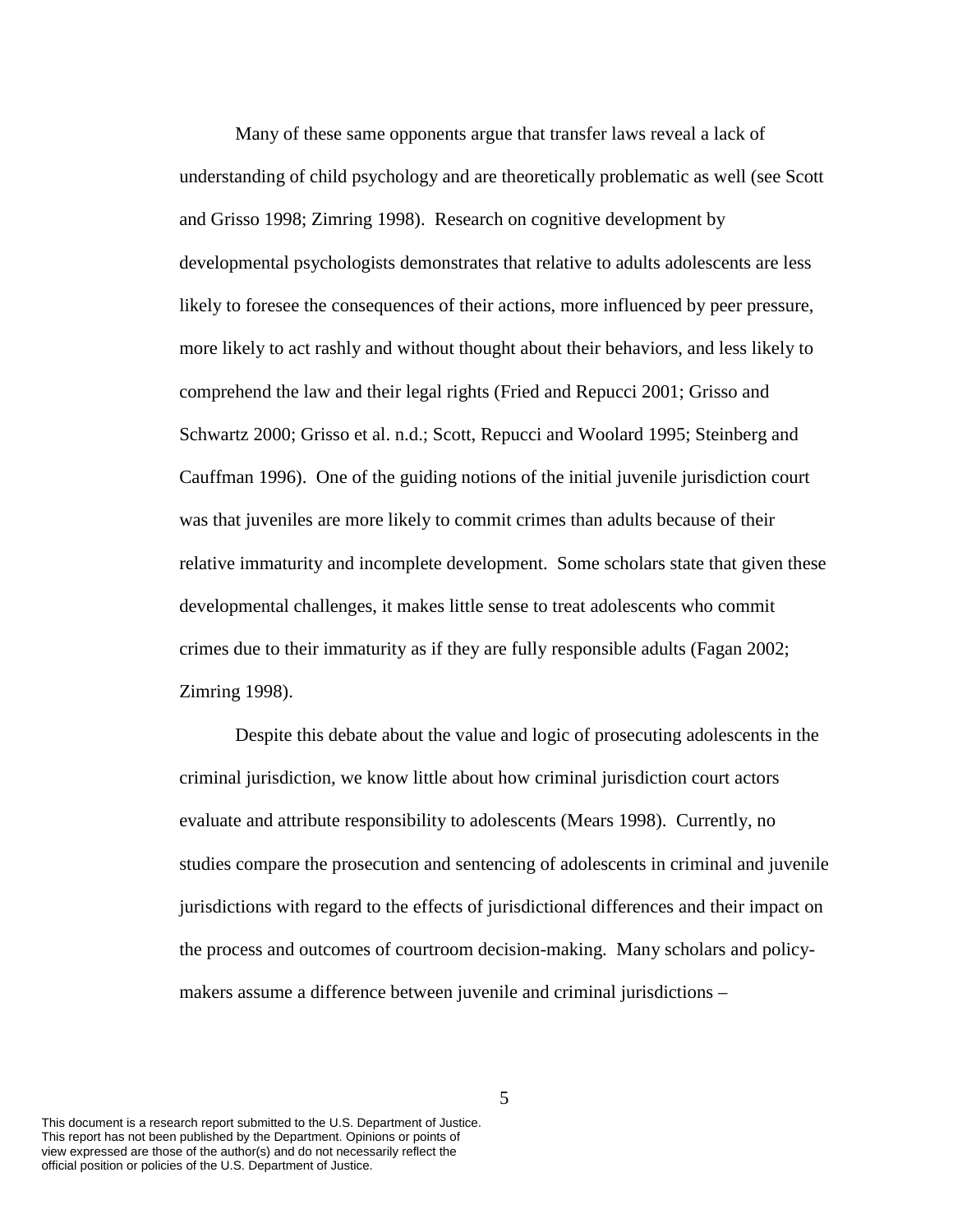Many of these same opponents argue that transfer laws reveal a lack of understanding of child psychology and are theoretically problematic as well (see Scott and Grisso 1998; Zimring 1998). Research on cognitive development by developmental psychologists demonstrates that relative to adults adolescents are less likely to foresee the consequences of their actions, more influenced by peer pressure, more likely to act rashly and without thought about their behaviors, and less likely to comprehend the law and their legal rights (Fried and Repucci 2001; Grisso and Schwartz 2000; Grisso et al. n.d.; Scott, Repucci and Woolard 1995; Steinberg and Cauffman 1996). One of the guiding notions of the initial juvenile jurisdiction court was that juveniles are more likely to commit crimes than adults because of their relative immaturity and incomplete development. Some scholars state that given these developmental challenges, it makes little sense to treat adolescents who commit crimes due to their immaturity as if they are fully responsible adults (Fagan 2002; Zimring 1998).

Despite this debate about the value and logic of prosecuting adolescents in the criminal jurisdiction, we know little about how criminal jurisdiction court actors evaluate and attribute responsibility to adolescents (Mears 1998). Currently, no studies compare the prosecution and sentencing of adolescents in criminal and juvenile jurisdictions with regard to the effects of jurisdictional differences and their impact on the process and outcomes of courtroom decision-making. Many scholars and policymakers assume a difference between juvenile and criminal jurisdictions –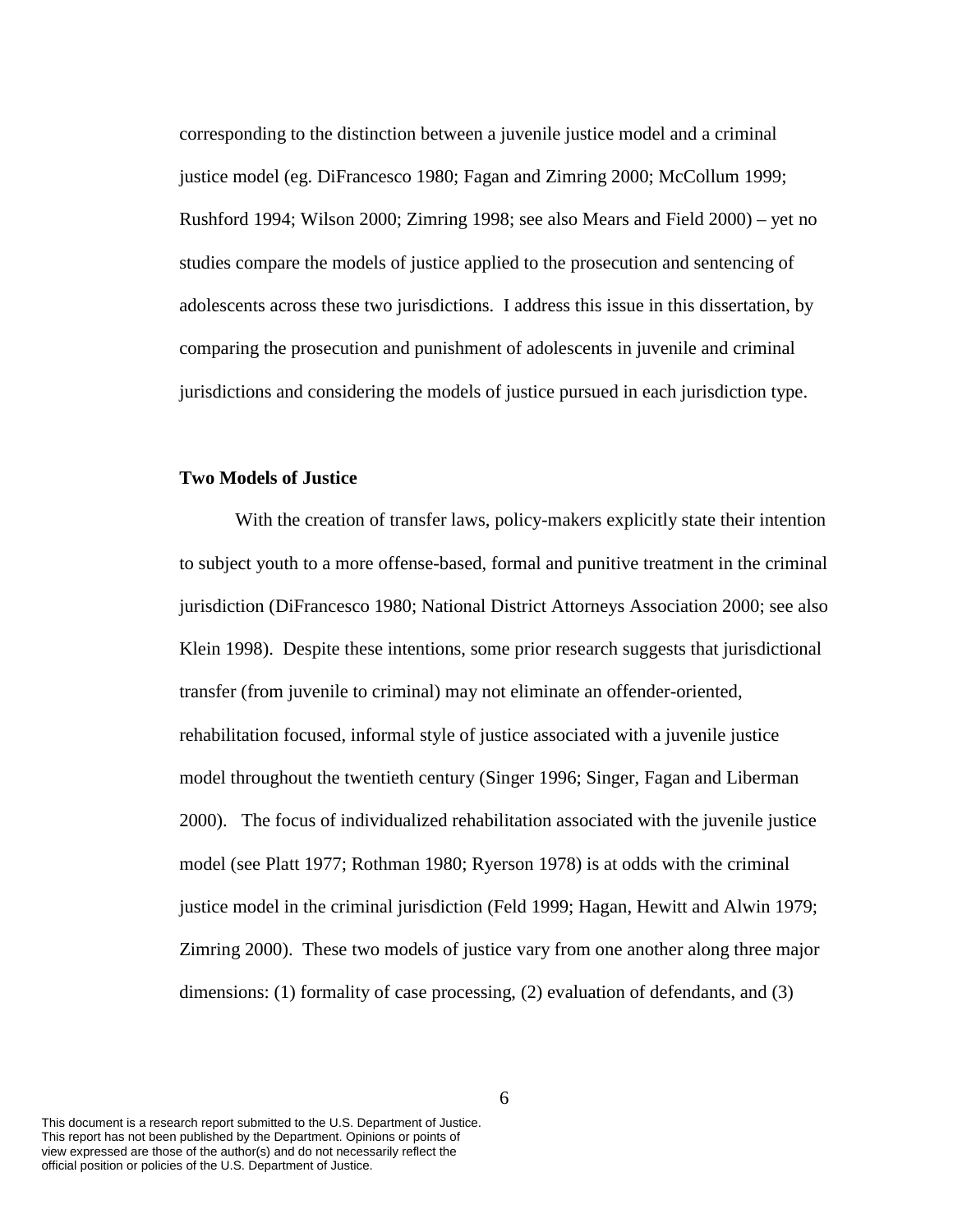corresponding to the distinction between a juvenile justice model and a criminal justice model (eg. DiFrancesco 1980; Fagan and Zimring 2000; McCollum 1999; Rushford 1994; Wilson 2000; Zimring 1998; see also Mears and Field 2000) – yet no studies compare the models of justice applied to the prosecution and sentencing of adolescents across these two jurisdictions. I address this issue in this dissertation, by comparing the prosecution and punishment of adolescents in juvenile and criminal jurisdictions and considering the models of justice pursued in each jurisdiction type.

## **Two Models of Justice**

With the creation of transfer laws, policy-makers explicitly state their intention to subject youth to a more offense-based, formal and punitive treatment in the criminal jurisdiction (DiFrancesco 1980; National District Attorneys Association 2000; see also Klein 1998). Despite these intentions, some prior research suggests that jurisdictional transfer (from juvenile to criminal) may not eliminate an offender-oriented, rehabilitation focused, informal style of justice associated with a juvenile justice model throughout the twentieth century (Singer 1996; Singer, Fagan and Liberman 2000). The focus of individualized rehabilitation associated with the juvenile justice model (see Platt 1977; Rothman 1980; Ryerson 1978) is at odds with the criminal justice model in the criminal jurisdiction (Feld 1999; Hagan, Hewitt and Alwin 1979; Zimring 2000). These two models of justice vary from one another along three major dimensions: (1) formality of case processing, (2) evaluation of defendants, and (3)

This document is a research report submitted to the U.S. Department of Justice. This report has not been published by the Department. Opinions or points of view expressed are those of the author(s) and do not necessarily reflect the official position or policies of the U.S. Department of Justice.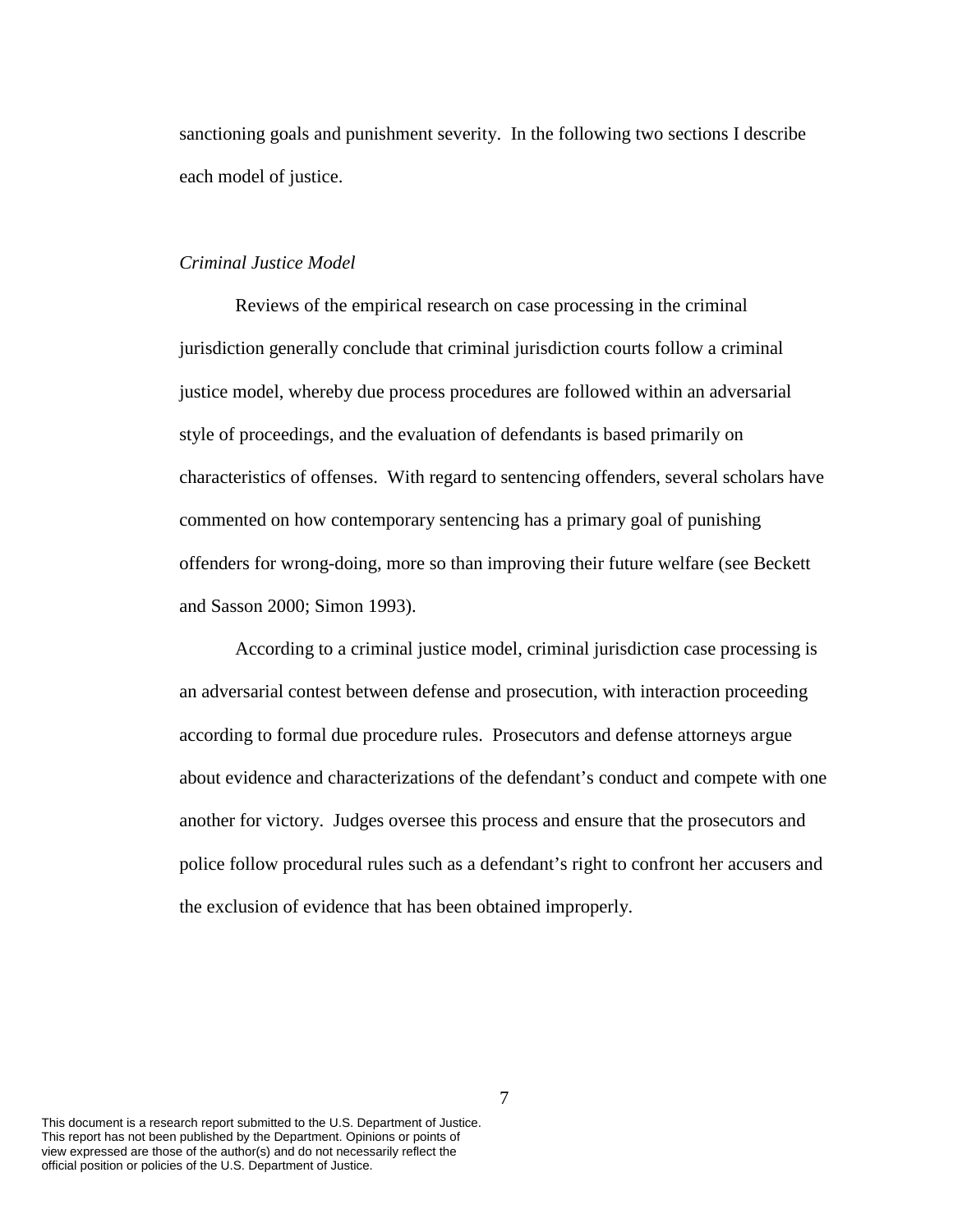sanctioning goals and punishment severity. In the following two sections I describe each model of justice.

### *Criminal Justice Model*

Reviews of the empirical research on case processing in the criminal jurisdiction generally conclude that criminal jurisdiction courts follow a criminal justice model, whereby due process procedures are followed within an adversarial style of proceedings, and the evaluation of defendants is based primarily on characteristics of offenses. With regard to sentencing offenders, several scholars have commented on how contemporary sentencing has a primary goal of punishing offenders for wrong-doing, more so than improving their future welfare (see Beckett and Sasson 2000; Simon 1993).

According to a criminal justice model, criminal jurisdiction case processing is an adversarial contest between defense and prosecution, with interaction proceeding according to formal due procedure rules. Prosecutors and defense attorneys argue about evidence and characterizations of the defendant's conduct and compete with one another for victory. Judges oversee this process and ensure that the prosecutors and police follow procedural rules such as a defendant's right to confront her accusers and the exclusion of evidence that has been obtained improperly.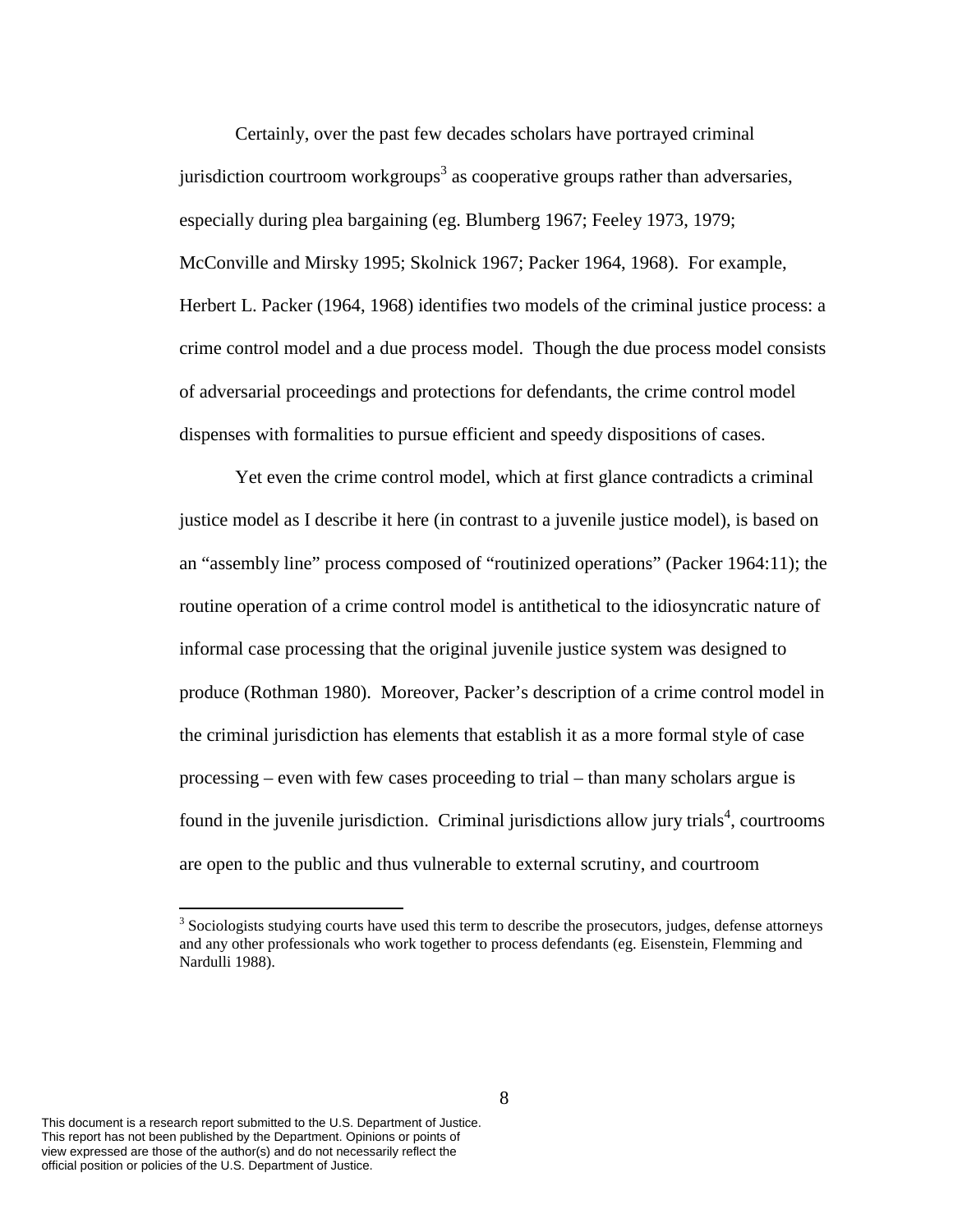Certainly, over the past few decades scholars have portrayed criminal jurisdiction courtroom workgroups<sup>3</sup> as cooperative groups rather than adversaries, especially during plea bargaining (eg. Blumberg 1967; Feeley 1973, 1979; McConville and Mirsky 1995; Skolnick 1967; Packer 1964, 1968). For example, Herbert L. Packer (1964, 1968) identifies two models of the criminal justice process: a crime control model and a due process model. Though the due process model consists of adversarial proceedings and protections for defendants, the crime control model dispenses with formalities to pursue efficient and speedy dispositions of cases.

Yet even the crime control model, which at first glance contradicts a criminal justice model as I describe it here (in contrast to a juvenile justice model), is based on an "assembly line" process composed of "routinized operations" (Packer 1964:11); the routine operation of a crime control model is antithetical to the idiosyncratic nature of informal case processing that the original juvenile justice system was designed to produce (Rothman 1980). Moreover, Packer's description of a crime control model in the criminal jurisdiction has elements that establish it as a more formal style of case processing – even with few cases proceeding to trial – than many scholars argue is found in the juvenile jurisdiction. Criminal jurisdictions allow jury trials<sup>4</sup>, courtrooms are open to the public and thus vulnerable to external scrutiny, and courtroom

 $\overline{a}$ 

 $3$  Sociologists studying courts have used this term to describe the prosecutors, judges, defense attorneys and any other professionals who work together to process defendants (eg. Eisenstein, Flemming and Nardulli 1988).

This document is a research report submitted to the U.S. Department of Justice. This report has not been published by the Department. Opinions or points of view expressed are those of the author(s) and do not necessarily reflect the official position or policies of the U.S. Department of Justice.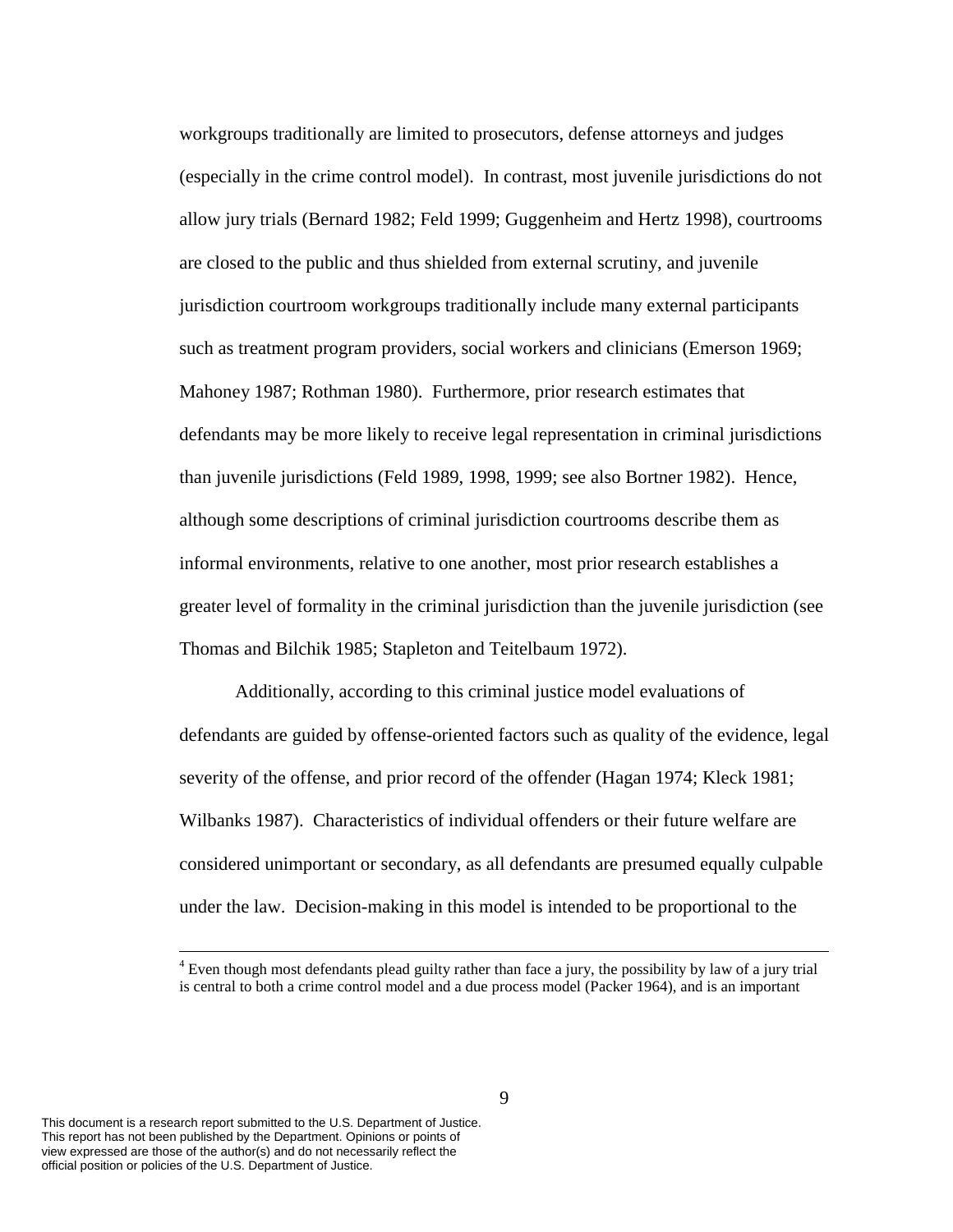workgroups traditionally are limited to prosecutors, defense attorneys and judges (especially in the crime control model). In contrast, most juvenile jurisdictions do not allow jury trials (Bernard 1982; Feld 1999; Guggenheim and Hertz 1998), courtrooms are closed to the public and thus shielded from external scrutiny, and juvenile jurisdiction courtroom workgroups traditionally include many external participants such as treatment program providers, social workers and clinicians (Emerson 1969; Mahoney 1987; Rothman 1980). Furthermore, prior research estimates that defendants may be more likely to receive legal representation in criminal jurisdictions than juvenile jurisdictions (Feld 1989, 1998, 1999; see also Bortner 1982). Hence, although some descriptions of criminal jurisdiction courtrooms describe them as informal environments, relative to one another, most prior research establishes a greater level of formality in the criminal jurisdiction than the juvenile jurisdiction (see Thomas and Bilchik 1985; Stapleton and Teitelbaum 1972).

Additionally, according to this criminal justice model evaluations of defendants are guided by offense-oriented factors such as quality of the evidence, legal severity of the offense, and prior record of the offender (Hagan 1974; Kleck 1981; Wilbanks 1987). Characteristics of individual offenders or their future welfare are considered unimportant or secondary, as all defendants are presumed equally culpable under the law. Decision-making in this model is intended to be proportional to the

 $\frac{1}{4}$ <sup>4</sup> Even though most defendants plead guilty rather than face a jury, the possibility by law of a jury trial is central to both a crime control model and a due process model (Packer 1964), and is an important

This document is a research report submitted to the U.S. Department of Justice. This report has not been published by the Department. Opinions or points of view expressed are those of the author(s) and do not necessarily reflect the official position or policies of the U.S. Department of Justice.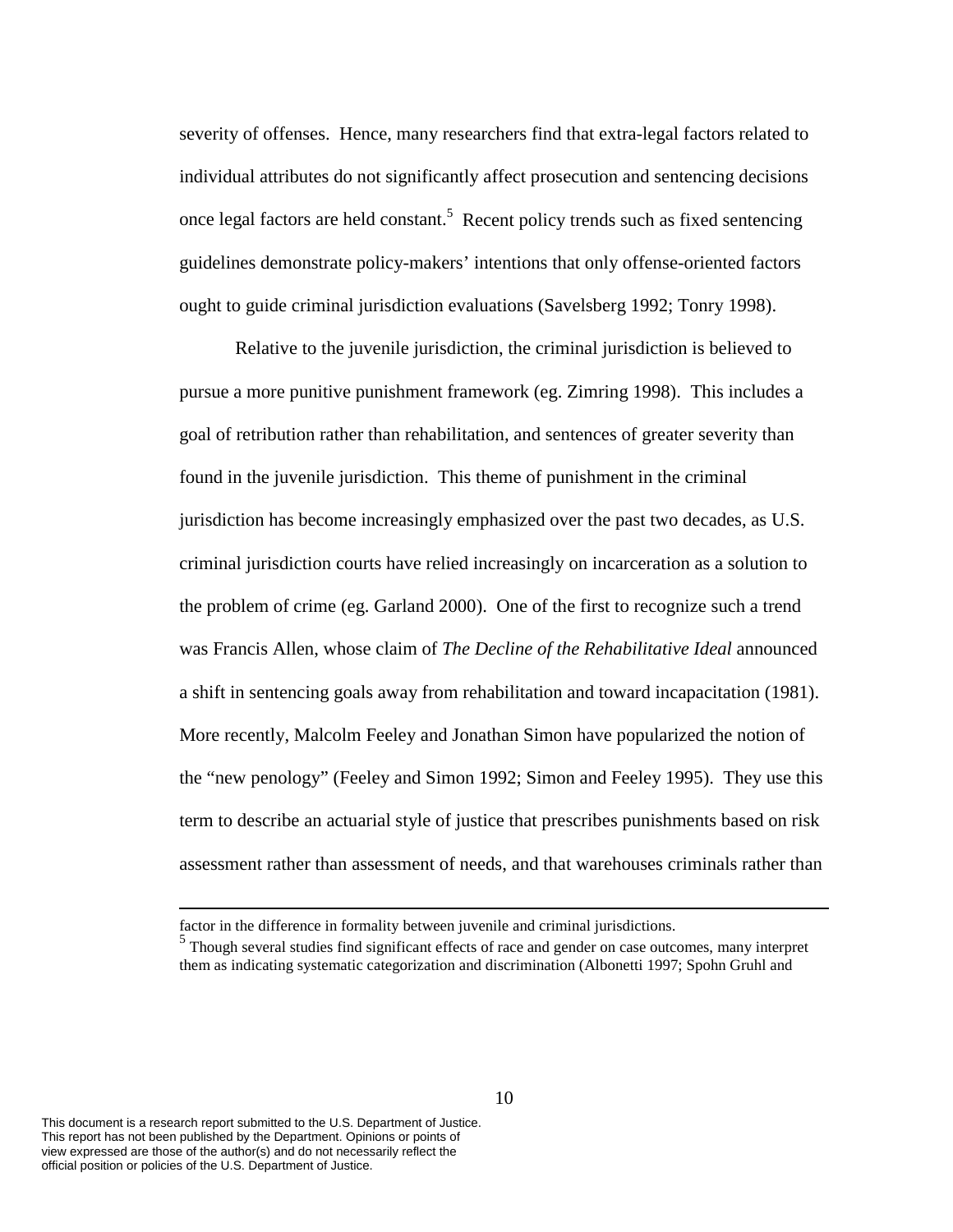severity of offenses. Hence, many researchers find that extra-legal factors related to individual attributes do not significantly affect prosecution and sentencing decisions once legal factors are held constant.<sup>5</sup> Recent policy trends such as fixed sentencing guidelines demonstrate policy-makers' intentions that only offense-oriented factors ought to guide criminal jurisdiction evaluations (Savelsberg 1992; Tonry 1998).

Relative to the juvenile jurisdiction, the criminal jurisdiction is believed to pursue a more punitive punishment framework (eg. Zimring 1998). This includes a goal of retribution rather than rehabilitation, and sentences of greater severity than found in the juvenile jurisdiction. This theme of punishment in the criminal jurisdiction has become increasingly emphasized over the past two decades, as U.S. criminal jurisdiction courts have relied increasingly on incarceration as a solution to the problem of crime (eg. Garland 2000). One of the first to recognize such a trend was Francis Allen, whose claim of *The Decline of the Rehabilitative Ideal* announced a shift in sentencing goals away from rehabilitation and toward incapacitation (1981). More recently, Malcolm Feeley and Jonathan Simon have popularized the notion of the "new penology" (Feeley and Simon 1992; Simon and Feeley 1995). They use this term to describe an actuarial style of justice that prescribes punishments based on risk assessment rather than assessment of needs, and that warehouses criminals rather than

factor in the difference in formality between juvenile and criminal jurisdictions.

<sup>&</sup>lt;sup>5</sup> Though several studies find significant effects of race and gender on case outcomes, many interpret them as indicating systematic categorization and discrimination (Albonetti 1997; Spohn Gruhl and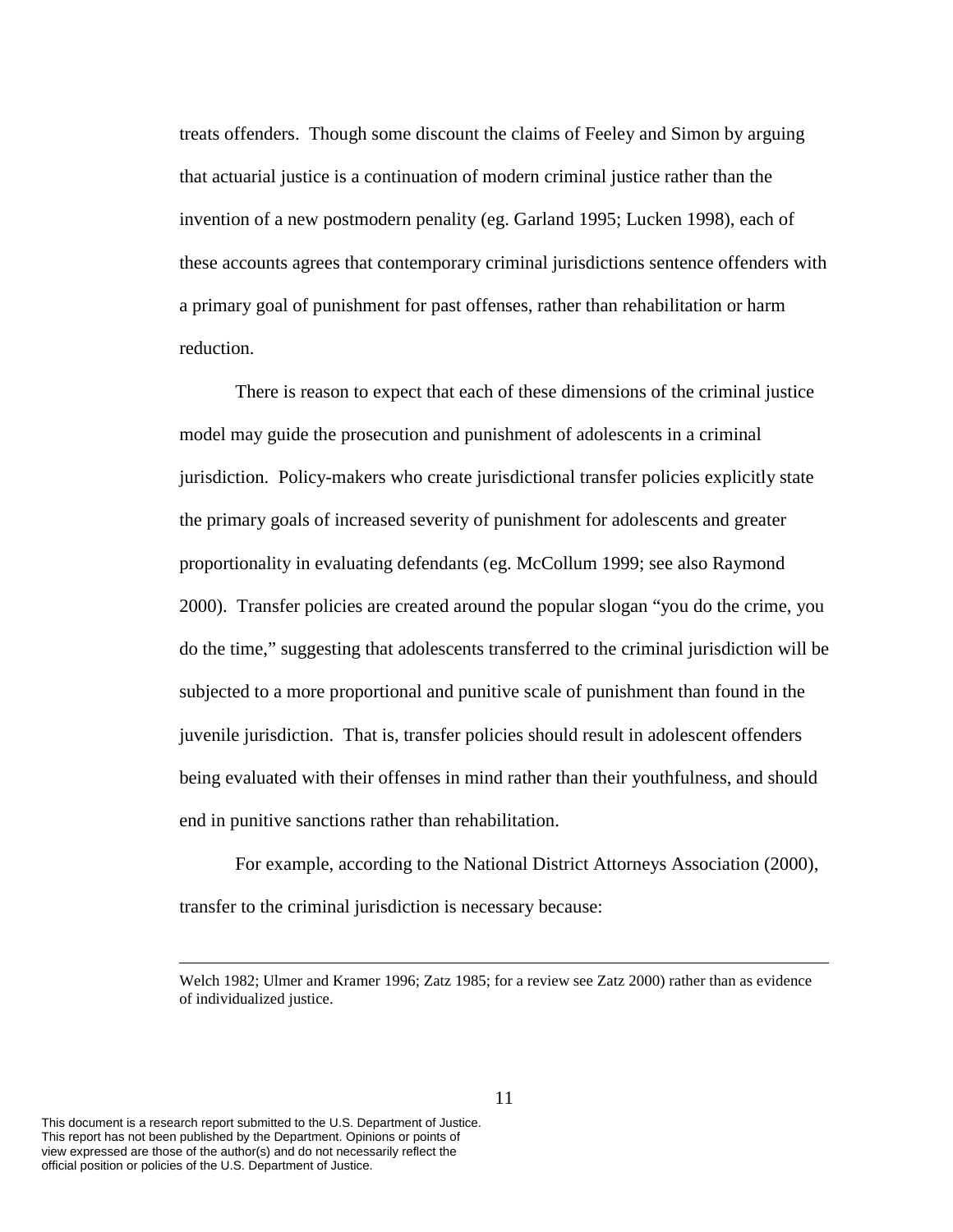treats offenders. Though some discount the claims of Feeley and Simon by arguing that actuarial justice is a continuation of modern criminal justice rather than the invention of a new postmodern penality (eg. Garland 1995; Lucken 1998), each of these accounts agrees that contemporary criminal jurisdictions sentence offenders with a primary goal of punishment for past offenses, rather than rehabilitation or harm reduction.

There is reason to expect that each of these dimensions of the criminal justice model may guide the prosecution and punishment of adolescents in a criminal jurisdiction. Policy-makers who create jurisdictional transfer policies explicitly state the primary goals of increased severity of punishment for adolescents and greater proportionality in evaluating defendants (eg. McCollum 1999; see also Raymond 2000). Transfer policies are created around the popular slogan "you do the crime, you do the time," suggesting that adolescents transferred to the criminal jurisdiction will be subjected to a more proportional and punitive scale of punishment than found in the juvenile jurisdiction. That is, transfer policies should result in adolescent offenders being evaluated with their offenses in mind rather than their youthfulness, and should end in punitive sanctions rather than rehabilitation.

For example, according to the National District Attorneys Association (2000), transfer to the criminal jurisdiction is necessary because:

This document is a research report submitted to the U.S. Department of Justice. This report has not been published by the Department. Opinions or points of view expressed are those of the author(s) and do not necessarily reflect the official position or policies of the U.S. Department of Justice.

 $\overline{a}$ 

Welch 1982; Ulmer and Kramer 1996; Zatz 1985; for a review see Zatz 2000) rather than as evidence of individualized justice.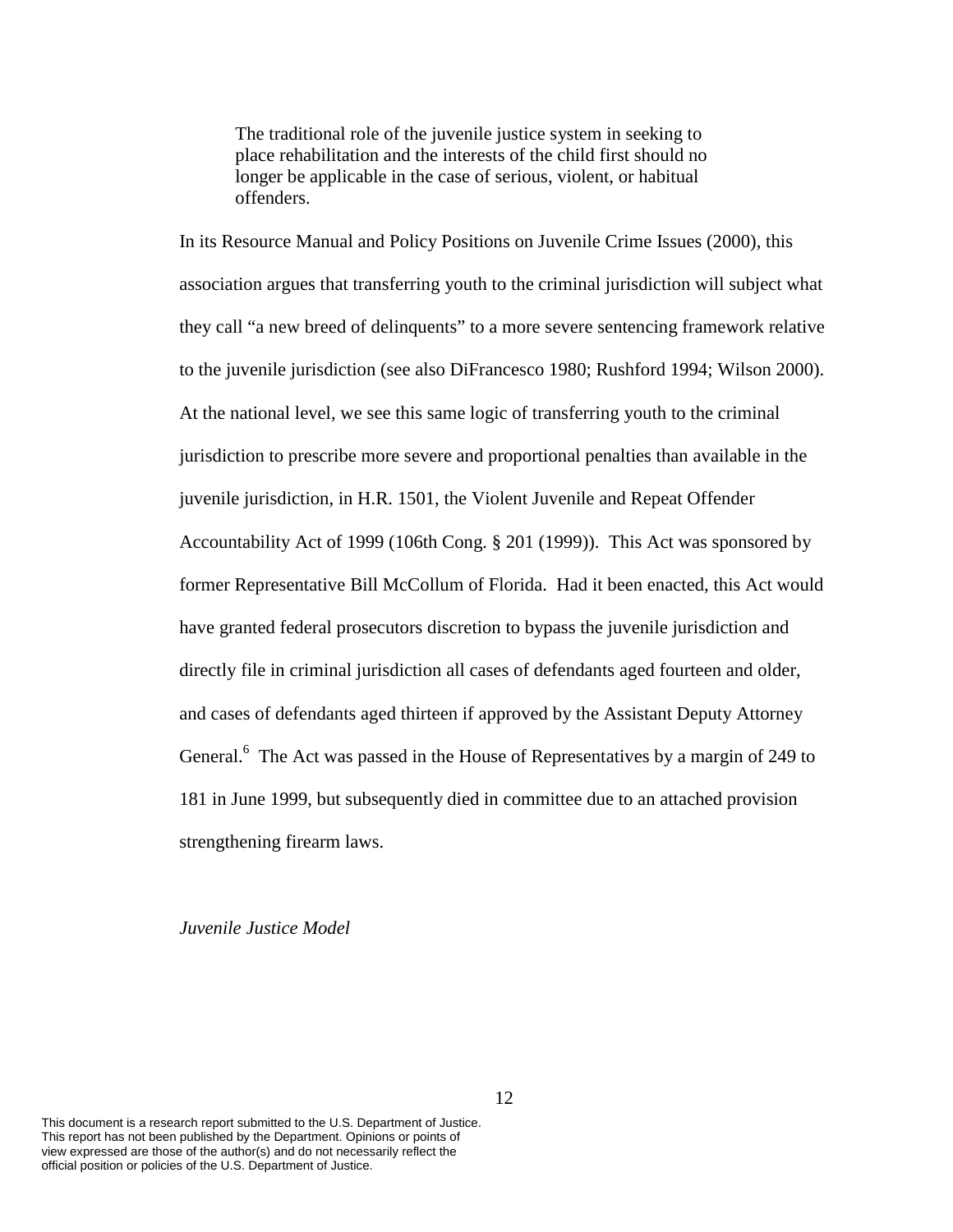The traditional role of the juvenile justice system in seeking to place rehabilitation and the interests of the child first should no longer be applicable in the case of serious, violent, or habitual offenders.

In its Resource Manual and Policy Positions on Juvenile Crime Issues (2000), this association argues that transferring youth to the criminal jurisdiction will subject what they call "a new breed of delinquents" to a more severe sentencing framework relative to the juvenile jurisdiction (see also DiFrancesco 1980; Rushford 1994; Wilson 2000). At the national level, we see this same logic of transferring youth to the criminal jurisdiction to prescribe more severe and proportional penalties than available in the juvenile jurisdiction, in H.R. 1501, the Violent Juvenile and Repeat Offender Accountability Act of 1999 (106th Cong. § 201 (1999)). This Act was sponsored by former Representative Bill McCollum of Florida. Had it been enacted, this Act would have granted federal prosecutors discretion to bypass the juvenile jurisdiction and directly file in criminal jurisdiction all cases of defendants aged fourteen and older, and cases of defendants aged thirteen if approved by the Assistant Deputy Attorney General.<sup>6</sup> The Act was passed in the House of Representatives by a margin of 249 to 181 in June 1999, but subsequently died in committee due to an attached provision strengthening firearm laws.

## *Juvenile Justice Model*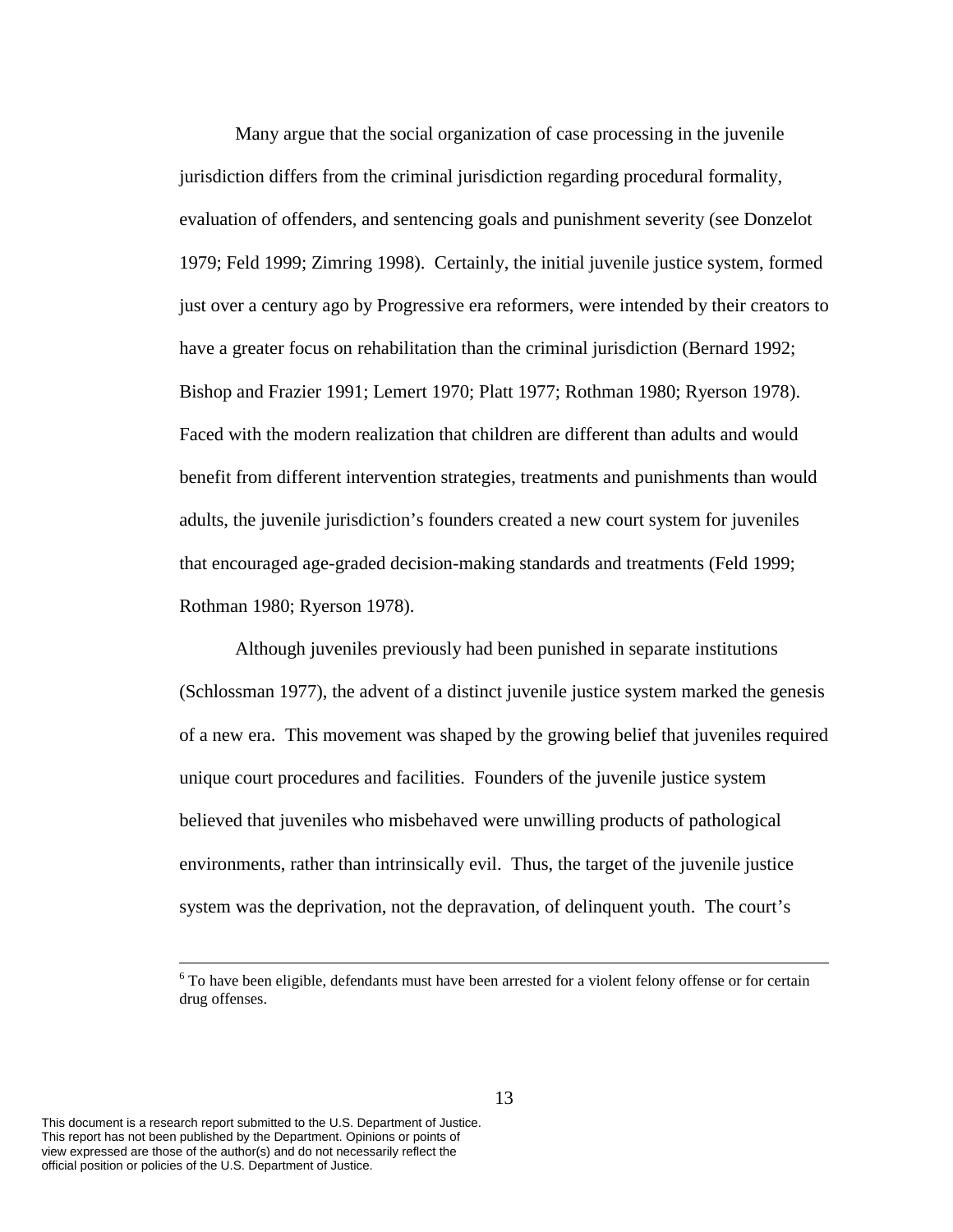Many argue that the social organization of case processing in the juvenile jurisdiction differs from the criminal jurisdiction regarding procedural formality, evaluation of offenders, and sentencing goals and punishment severity (see Donzelot 1979; Feld 1999; Zimring 1998). Certainly, the initial juvenile justice system, formed just over a century ago by Progressive era reformers, were intended by their creators to have a greater focus on rehabilitation than the criminal jurisdiction (Bernard 1992; Bishop and Frazier 1991; Lemert 1970; Platt 1977; Rothman 1980; Ryerson 1978). Faced with the modern realization that children are different than adults and would benefit from different intervention strategies, treatments and punishments than would adults, the juvenile jurisdiction's founders created a new court system for juveniles that encouraged age-graded decision-making standards and treatments (Feld 1999; Rothman 1980; Ryerson 1978).

Although juveniles previously had been punished in separate institutions (Schlossman 1977), the advent of a distinct juvenile justice system marked the genesis of a new era. This movement was shaped by the growing belief that juveniles required unique court procedures and facilities. Founders of the juvenile justice system believed that juveniles who misbehaved were unwilling products of pathological environments, rather than intrinsically evil. Thus, the target of the juvenile justice system was the deprivation, not the depravation, of delinquent youth. The court's

 $\frac{1}{6}$  $6$  To have been eligible, defendants must have been arrested for a violent felony offense or for certain drug offenses.

This document is a research report submitted to the U.S. Department of Justice. This report has not been published by the Department. Opinions or points of view expressed are those of the author(s) and do not necessarily reflect the official position or policies of the U.S. Department of Justice.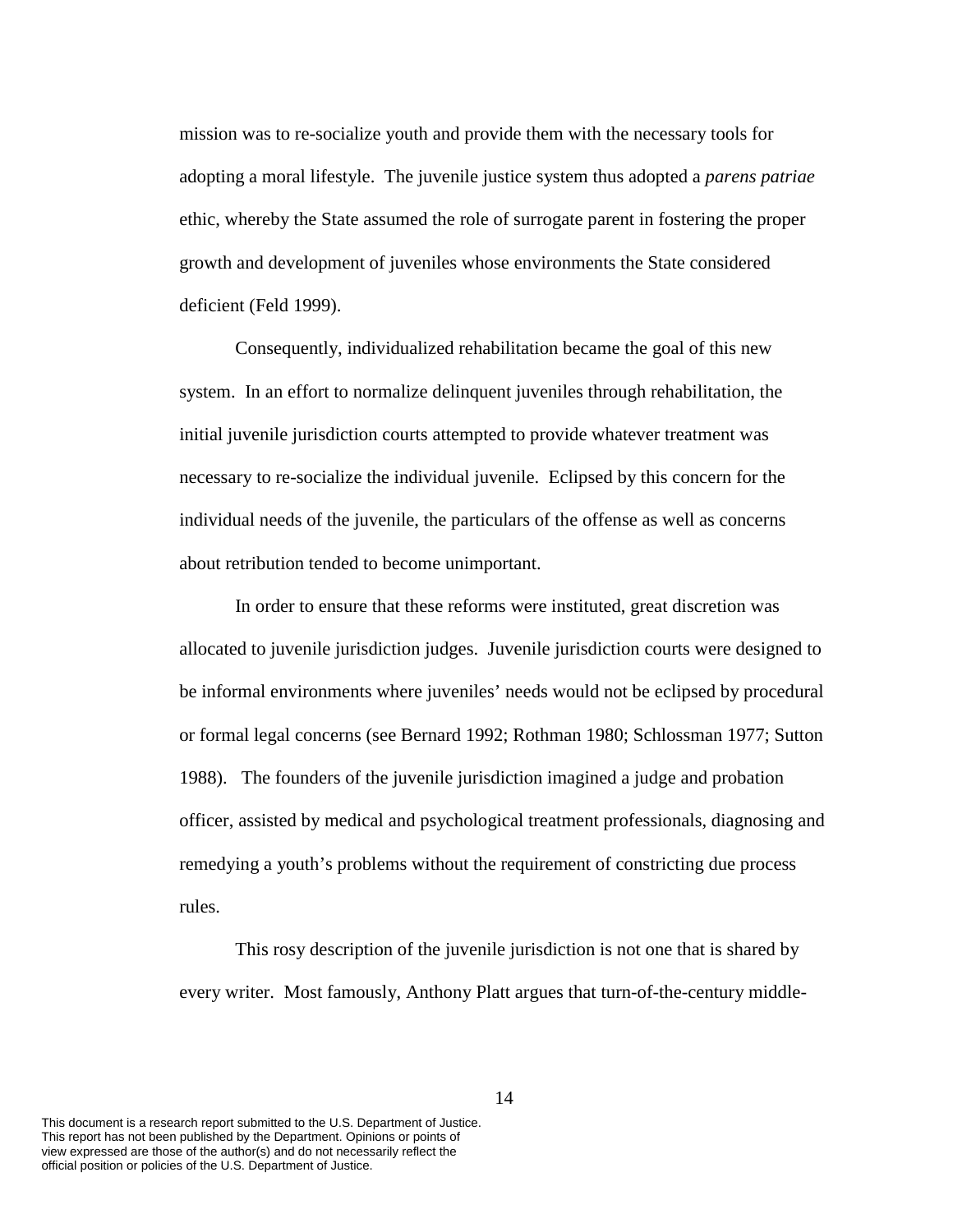mission was to re-socialize youth and provide them with the necessary tools for adopting a moral lifestyle. The juvenile justice system thus adopted a *parens patriae* ethic, whereby the State assumed the role of surrogate parent in fostering the proper growth and development of juveniles whose environments the State considered deficient (Feld 1999).

Consequently, individualized rehabilitation became the goal of this new system. In an effort to normalize delinquent juveniles through rehabilitation, the initial juvenile jurisdiction courts attempted to provide whatever treatment was necessary to re-socialize the individual juvenile. Eclipsed by this concern for the individual needs of the juvenile, the particulars of the offense as well as concerns about retribution tended to become unimportant.

In order to ensure that these reforms were instituted, great discretion was allocated to juvenile jurisdiction judges. Juvenile jurisdiction courts were designed to be informal environments where juveniles' needs would not be eclipsed by procedural or formal legal concerns (see Bernard 1992; Rothman 1980; Schlossman 1977; Sutton 1988). The founders of the juvenile jurisdiction imagined a judge and probation officer, assisted by medical and psychological treatment professionals, diagnosing and remedying a youth's problems without the requirement of constricting due process rules.

This rosy description of the juvenile jurisdiction is not one that is shared by every writer. Most famously, Anthony Platt argues that turn-of-the-century middle-

This document is a research report submitted to the U.S. Department of Justice. This report has not been published by the Department. Opinions or points of view expressed are those of the author(s) and do not necessarily reflect the official position or policies of the U.S. Department of Justice.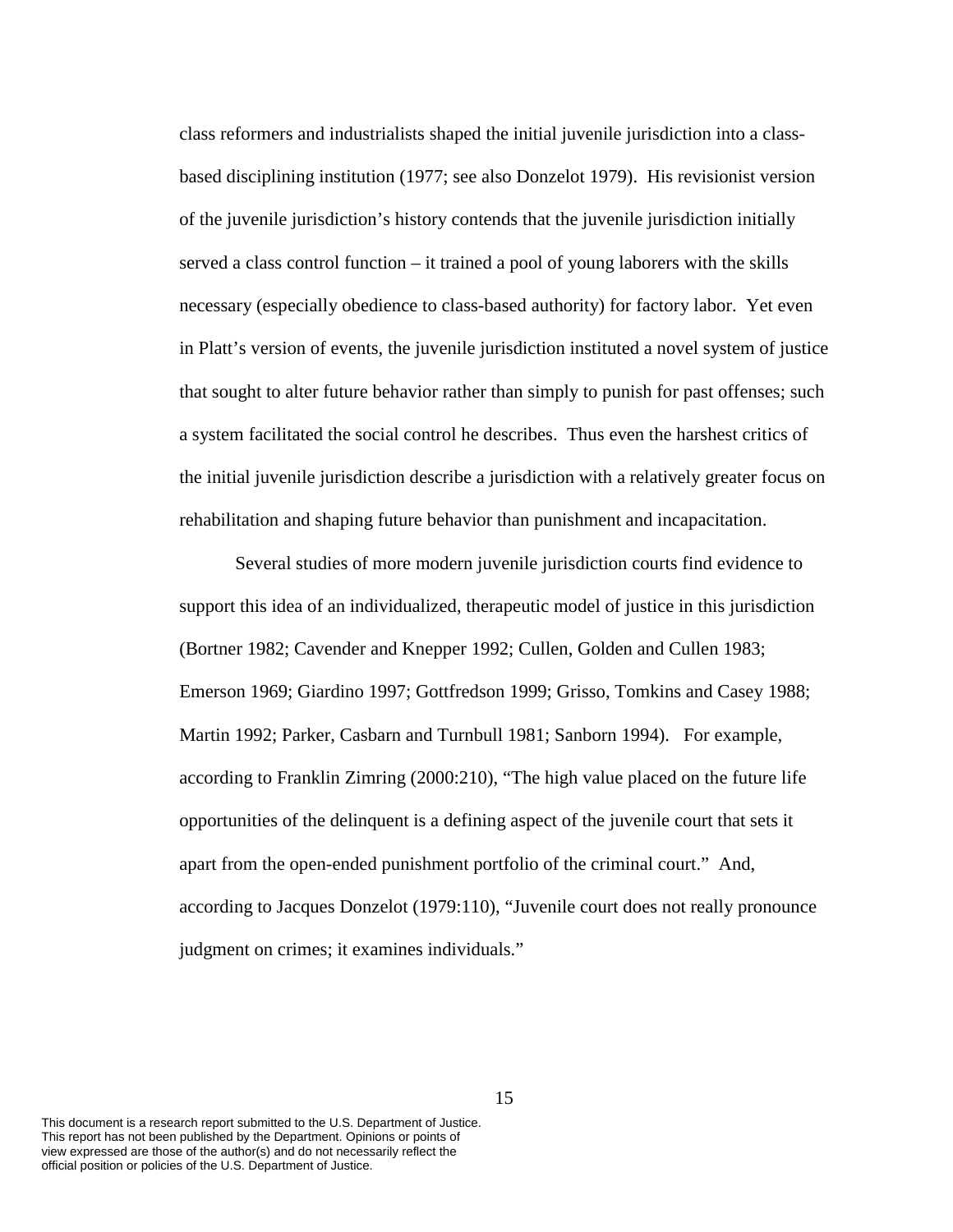class reformers and industrialists shaped the initial juvenile jurisdiction into a classbased disciplining institution (1977; see also Donzelot 1979). His revisionist version of the juvenile jurisdiction's history contends that the juvenile jurisdiction initially served a class control function – it trained a pool of young laborers with the skills necessary (especially obedience to class-based authority) for factory labor. Yet even in Platt's version of events, the juvenile jurisdiction instituted a novel system of justice that sought to alter future behavior rather than simply to punish for past offenses; such a system facilitated the social control he describes. Thus even the harshest critics of the initial juvenile jurisdiction describe a jurisdiction with a relatively greater focus on rehabilitation and shaping future behavior than punishment and incapacitation.

Several studies of more modern juvenile jurisdiction courts find evidence to support this idea of an individualized, therapeutic model of justice in this jurisdiction (Bortner 1982; Cavender and Knepper 1992; Cullen, Golden and Cullen 1983; Emerson 1969; Giardino 1997; Gottfredson 1999; Grisso, Tomkins and Casey 1988; Martin 1992; Parker, Casbarn and Turnbull 1981; Sanborn 1994). For example, according to Franklin Zimring (2000:210), "The high value placed on the future life opportunities of the delinquent is a defining aspect of the juvenile court that sets it apart from the open-ended punishment portfolio of the criminal court." And, according to Jacques Donzelot (1979:110), "Juvenile court does not really pronounce judgment on crimes; it examines individuals."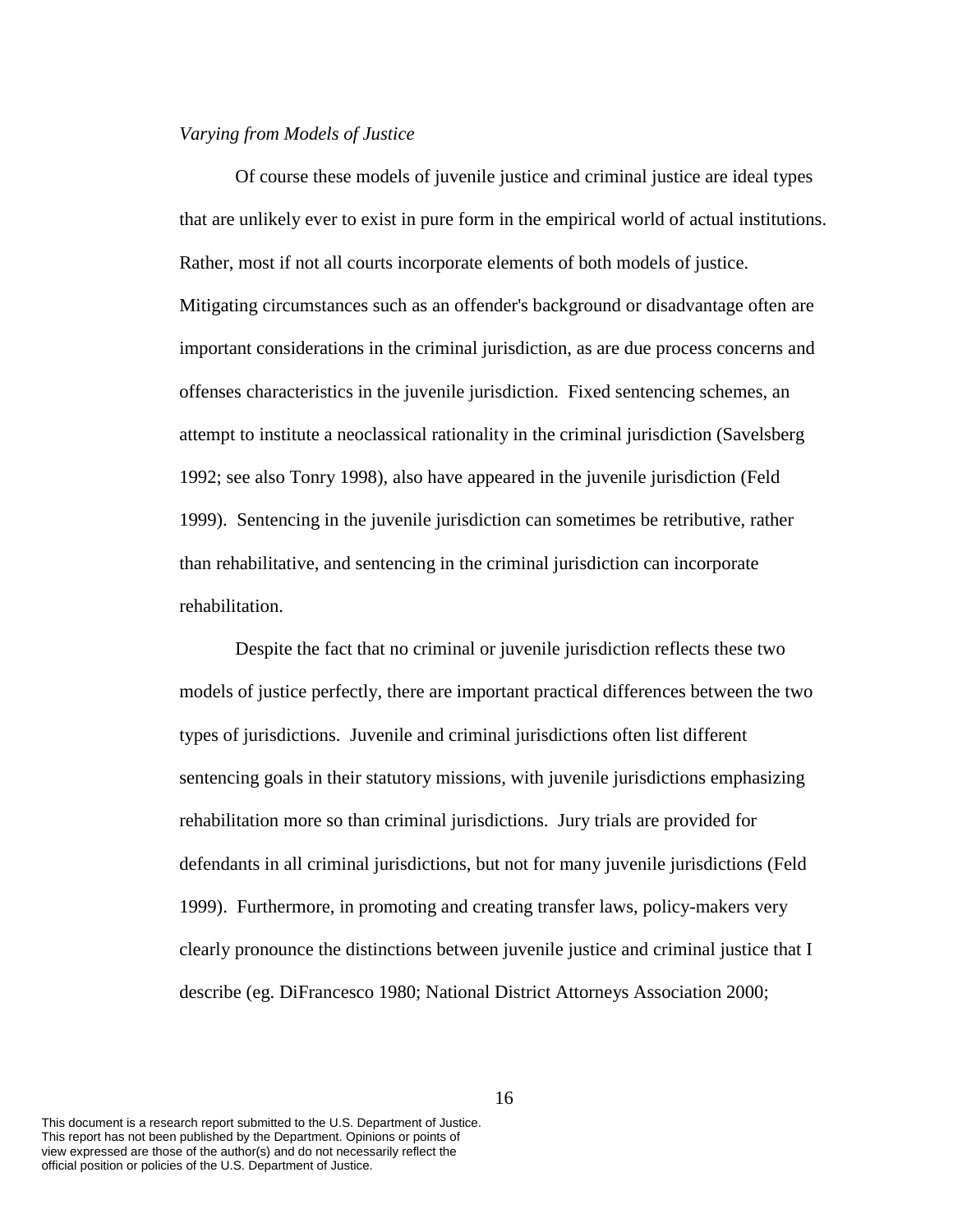#### *Varying from Models of Justice*

Of course these models of juvenile justice and criminal justice are ideal types that are unlikely ever to exist in pure form in the empirical world of actual institutions. Rather, most if not all courts incorporate elements of both models of justice. Mitigating circumstances such as an offender's background or disadvantage often are important considerations in the criminal jurisdiction, as are due process concerns and offenses characteristics in the juvenile jurisdiction. Fixed sentencing schemes, an attempt to institute a neoclassical rationality in the criminal jurisdiction (Savelsberg 1992; see also Tonry 1998), also have appeared in the juvenile jurisdiction (Feld 1999). Sentencing in the juvenile jurisdiction can sometimes be retributive, rather than rehabilitative, and sentencing in the criminal jurisdiction can incorporate rehabilitation.

Despite the fact that no criminal or juvenile jurisdiction reflects these two models of justice perfectly, there are important practical differences between the two types of jurisdictions. Juvenile and criminal jurisdictions often list different sentencing goals in their statutory missions, with juvenile jurisdictions emphasizing rehabilitation more so than criminal jurisdictions. Jury trials are provided for defendants in all criminal jurisdictions, but not for many juvenile jurisdictions (Feld 1999). Furthermore, in promoting and creating transfer laws, policy-makers very clearly pronounce the distinctions between juvenile justice and criminal justice that I describe (eg. DiFrancesco 1980; National District Attorneys Association 2000;

This document is a research report submitted to the U.S. Department of Justice. This report has not been published by the Department. Opinions or points of view expressed are those of the author(s) and do not necessarily reflect the official position or policies of the U.S. Department of Justice.

16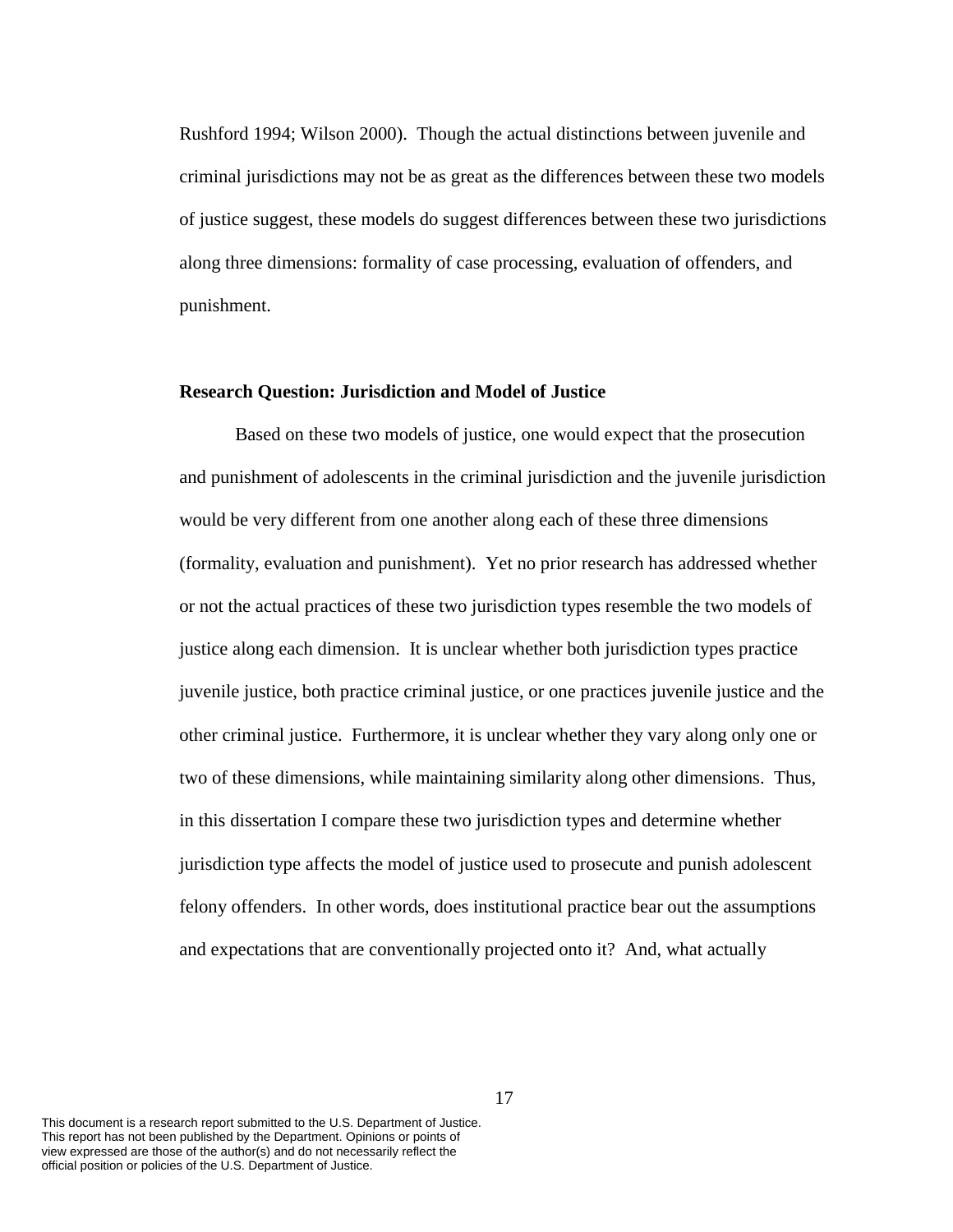Rushford 1994; Wilson 2000). Though the actual distinctions between juvenile and criminal jurisdictions may not be as great as the differences between these two models of justice suggest, these models do suggest differences between these two jurisdictions along three dimensions: formality of case processing, evaluation of offenders, and punishment.

### **Research Question: Jurisdiction and Model of Justice**

Based on these two models of justice, one would expect that the prosecution and punishment of adolescents in the criminal jurisdiction and the juvenile jurisdiction would be very different from one another along each of these three dimensions (formality, evaluation and punishment). Yet no prior research has addressed whether or not the actual practices of these two jurisdiction types resemble the two models of justice along each dimension. It is unclear whether both jurisdiction types practice juvenile justice, both practice criminal justice, or one practices juvenile justice and the other criminal justice. Furthermore, it is unclear whether they vary along only one or two of these dimensions, while maintaining similarity along other dimensions. Thus, in this dissertation I compare these two jurisdiction types and determine whether jurisdiction type affects the model of justice used to prosecute and punish adolescent felony offenders. In other words, does institutional practice bear out the assumptions and expectations that are conventionally projected onto it? And, what actually

This document is a research report submitted to the U.S. Department of Justice. This report has not been published by the Department. Opinions or points of view expressed are those of the author(s) and do not necessarily reflect the official position or policies of the U.S. Department of Justice.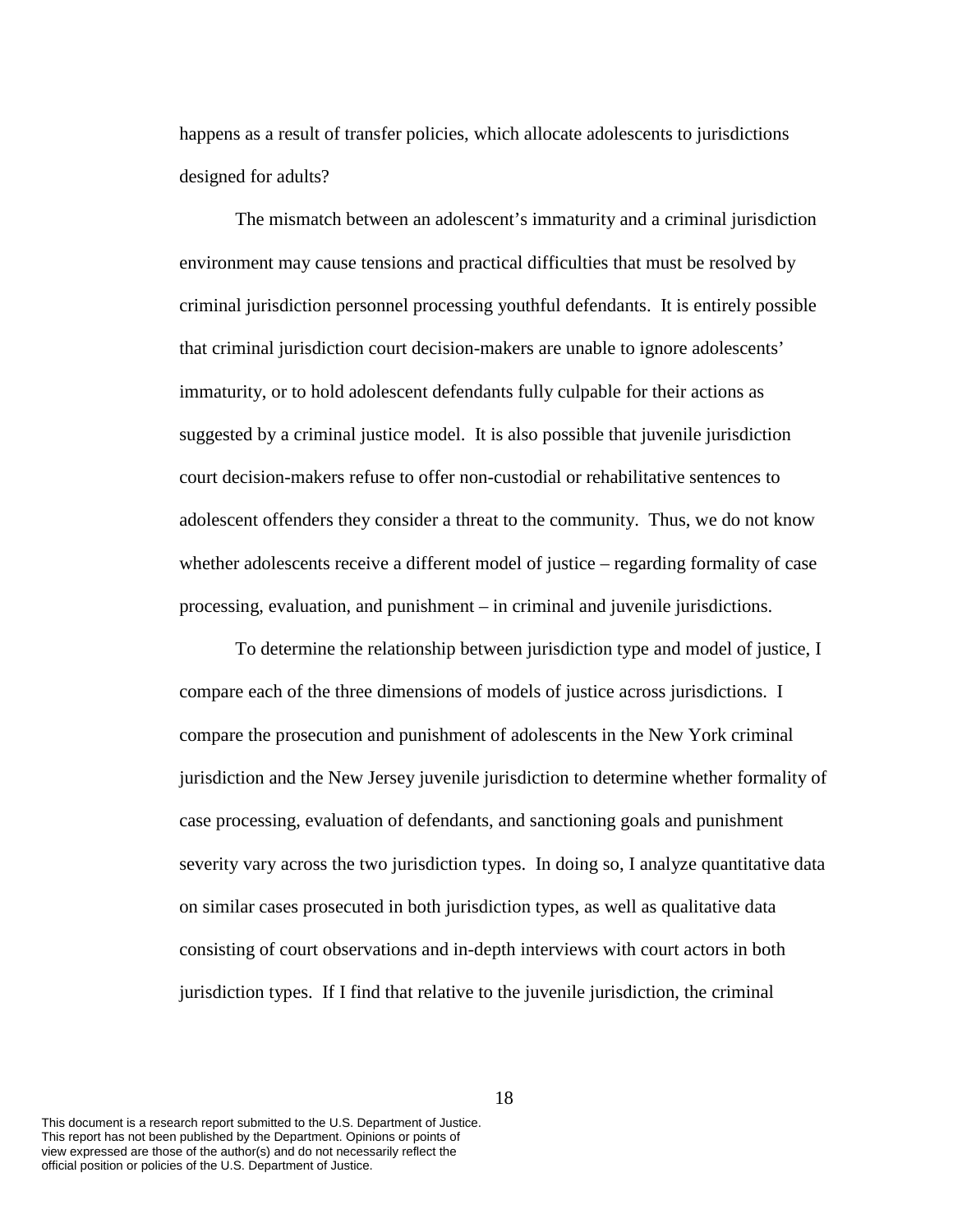happens as a result of transfer policies, which allocate adolescents to jurisdictions designed for adults?

The mismatch between an adolescent's immaturity and a criminal jurisdiction environment may cause tensions and practical difficulties that must be resolved by criminal jurisdiction personnel processing youthful defendants. It is entirely possible that criminal jurisdiction court decision-makers are unable to ignore adolescents' immaturity, or to hold adolescent defendants fully culpable for their actions as suggested by a criminal justice model. It is also possible that juvenile jurisdiction court decision-makers refuse to offer non-custodial or rehabilitative sentences to adolescent offenders they consider a threat to the community. Thus, we do not know whether adolescents receive a different model of justice – regarding formality of case processing, evaluation, and punishment – in criminal and juvenile jurisdictions.

To determine the relationship between jurisdiction type and model of justice, I compare each of the three dimensions of models of justice across jurisdictions. I compare the prosecution and punishment of adolescents in the New York criminal jurisdiction and the New Jersey juvenile jurisdiction to determine whether formality of case processing, evaluation of defendants, and sanctioning goals and punishment severity vary across the two jurisdiction types. In doing so, I analyze quantitative data on similar cases prosecuted in both jurisdiction types, as well as qualitative data consisting of court observations and in-depth interviews with court actors in both jurisdiction types. If I find that relative to the juvenile jurisdiction, the criminal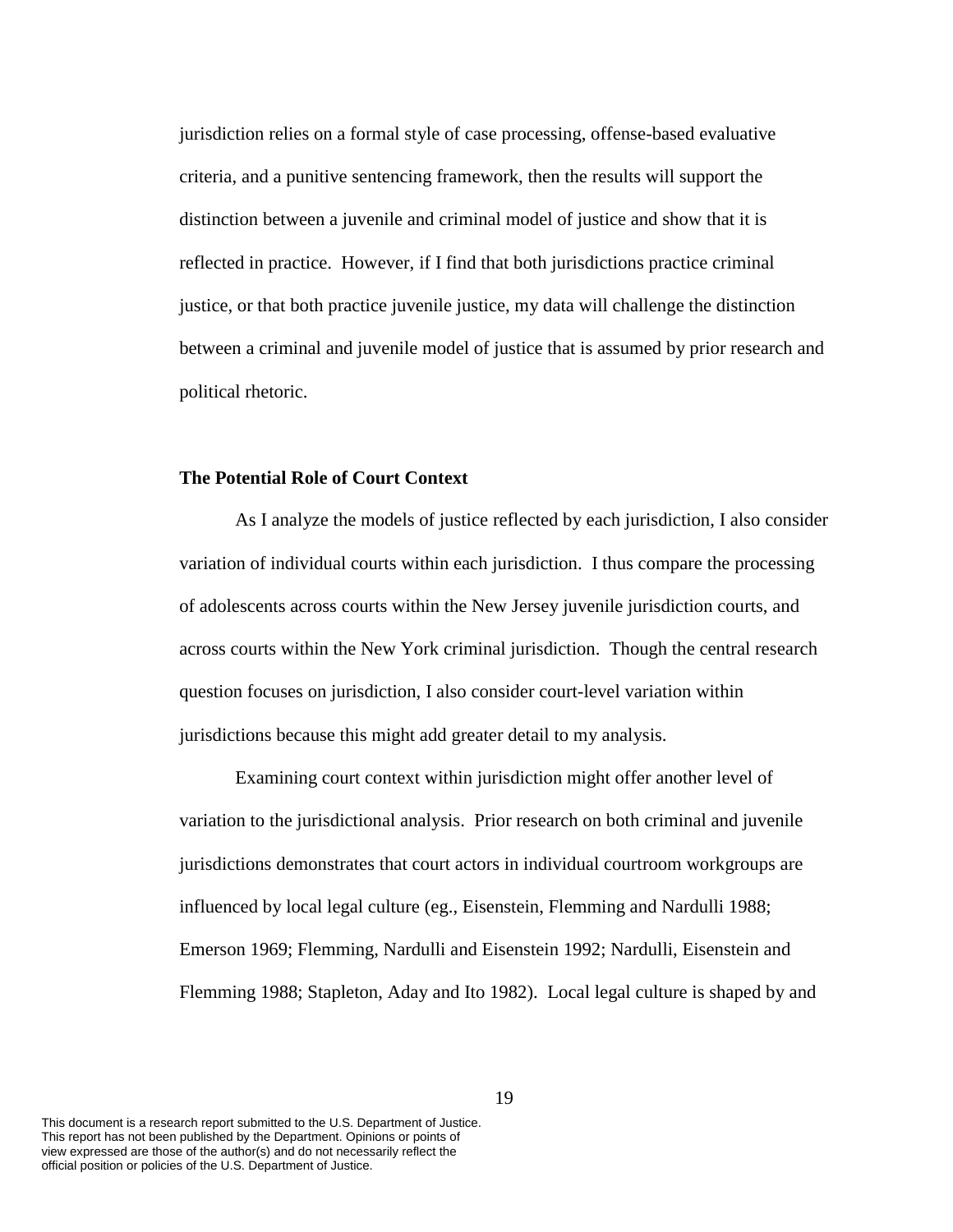jurisdiction relies on a formal style of case processing, offense-based evaluative criteria, and a punitive sentencing framework, then the results will support the distinction between a juvenile and criminal model of justice and show that it is reflected in practice. However, if I find that both jurisdictions practice criminal justice, or that both practice juvenile justice, my data will challenge the distinction between a criminal and juvenile model of justice that is assumed by prior research and political rhetoric.

## **The Potential Role of Court Context**

As I analyze the models of justice reflected by each jurisdiction, I also consider variation of individual courts within each jurisdiction. I thus compare the processing of adolescents across courts within the New Jersey juvenile jurisdiction courts, and across courts within the New York criminal jurisdiction. Though the central research question focuses on jurisdiction, I also consider court-level variation within jurisdictions because this might add greater detail to my analysis.

Examining court context within jurisdiction might offer another level of variation to the jurisdictional analysis. Prior research on both criminal and juvenile jurisdictions demonstrates that court actors in individual courtroom workgroups are influenced by local legal culture (eg., Eisenstein, Flemming and Nardulli 1988; Emerson 1969; Flemming, Nardulli and Eisenstein 1992; Nardulli, Eisenstein and Flemming 1988; Stapleton, Aday and Ito 1982). Local legal culture is shaped by and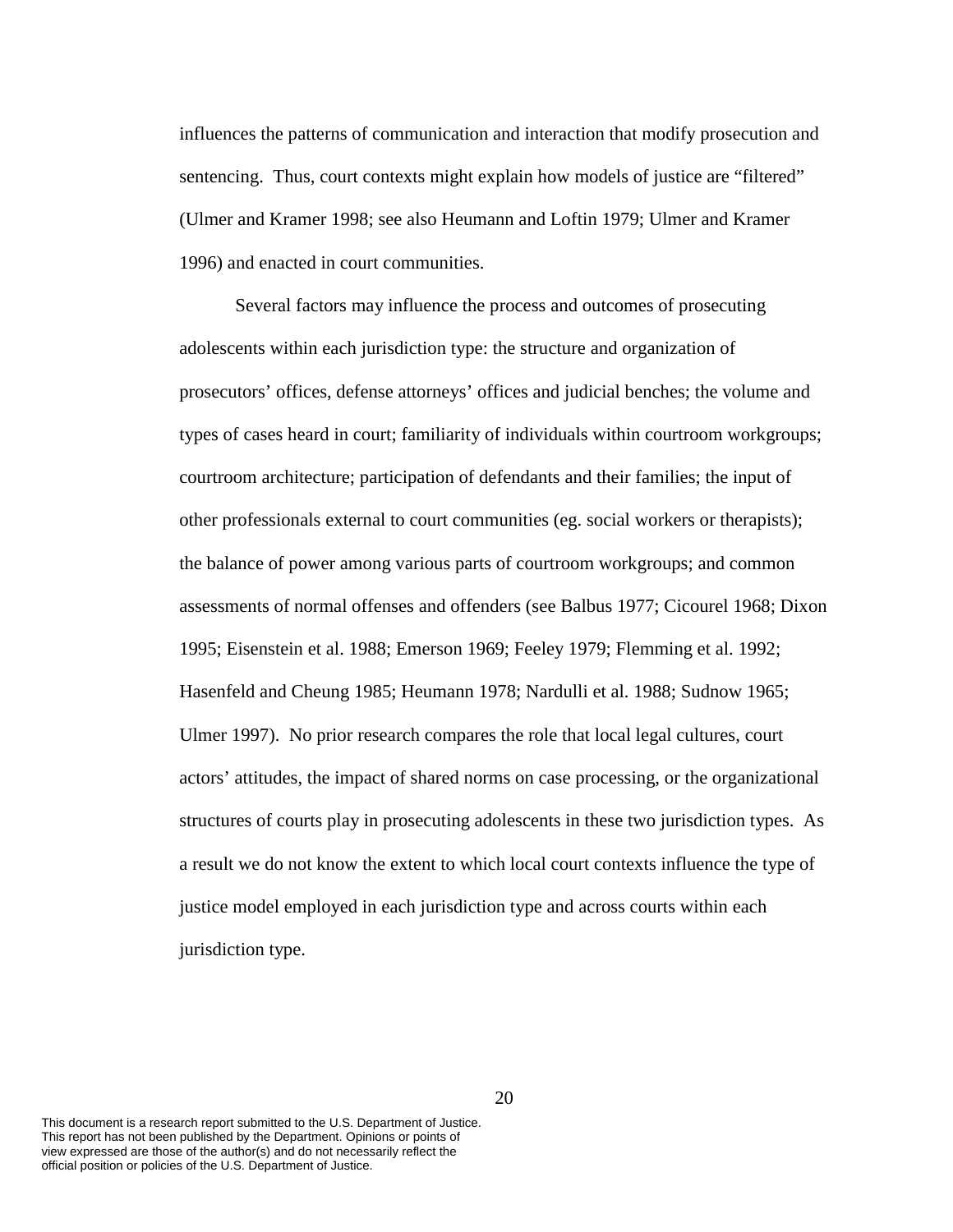influences the patterns of communication and interaction that modify prosecution and sentencing. Thus, court contexts might explain how models of justice are "filtered" (Ulmer and Kramer 1998; see also Heumann and Loftin 1979; Ulmer and Kramer 1996) and enacted in court communities.

Several factors may influence the process and outcomes of prosecuting adolescents within each jurisdiction type: the structure and organization of prosecutors' offices, defense attorneys' offices and judicial benches; the volume and types of cases heard in court; familiarity of individuals within courtroom workgroups; courtroom architecture; participation of defendants and their families; the input of other professionals external to court communities (eg. social workers or therapists); the balance of power among various parts of courtroom workgroups; and common assessments of normal offenses and offenders (see Balbus 1977; Cicourel 1968; Dixon 1995; Eisenstein et al. 1988; Emerson 1969; Feeley 1979; Flemming et al. 1992; Hasenfeld and Cheung 1985; Heumann 1978; Nardulli et al. 1988; Sudnow 1965; Ulmer 1997). No prior research compares the role that local legal cultures, court actors' attitudes, the impact of shared norms on case processing, or the organizational structures of courts play in prosecuting adolescents in these two jurisdiction types. As a result we do not know the extent to which local court contexts influence the type of justice model employed in each jurisdiction type and across courts within each jurisdiction type.

20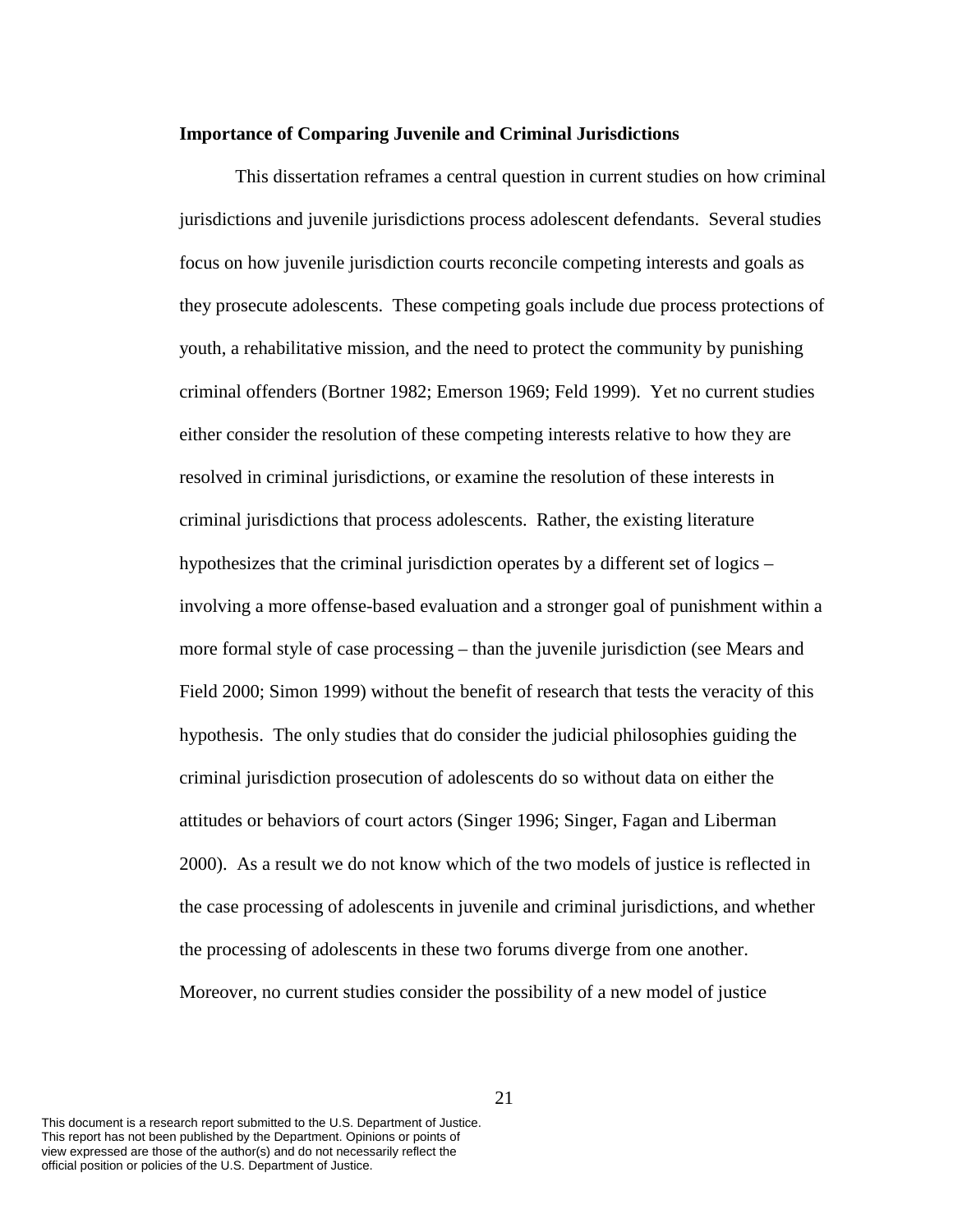#### **Importance of Comparing Juvenile and Criminal Jurisdictions**

This dissertation reframes a central question in current studies on how criminal jurisdictions and juvenile jurisdictions process adolescent defendants. Several studies focus on how juvenile jurisdiction courts reconcile competing interests and goals as they prosecute adolescents. These competing goals include due process protections of youth, a rehabilitative mission, and the need to protect the community by punishing criminal offenders (Bortner 1982; Emerson 1969; Feld 1999). Yet no current studies either consider the resolution of these competing interests relative to how they are resolved in criminal jurisdictions, or examine the resolution of these interests in criminal jurisdictions that process adolescents. Rather, the existing literature hypothesizes that the criminal jurisdiction operates by a different set of logics – involving a more offense-based evaluation and a stronger goal of punishment within a more formal style of case processing – than the juvenile jurisdiction (see Mears and Field 2000; Simon 1999) without the benefit of research that tests the veracity of this hypothesis. The only studies that do consider the judicial philosophies guiding the criminal jurisdiction prosecution of adolescents do so without data on either the attitudes or behaviors of court actors (Singer 1996; Singer, Fagan and Liberman 2000). As a result we do not know which of the two models of justice is reflected in the case processing of adolescents in juvenile and criminal jurisdictions, and whether the processing of adolescents in these two forums diverge from one another. Moreover, no current studies consider the possibility of a new model of justice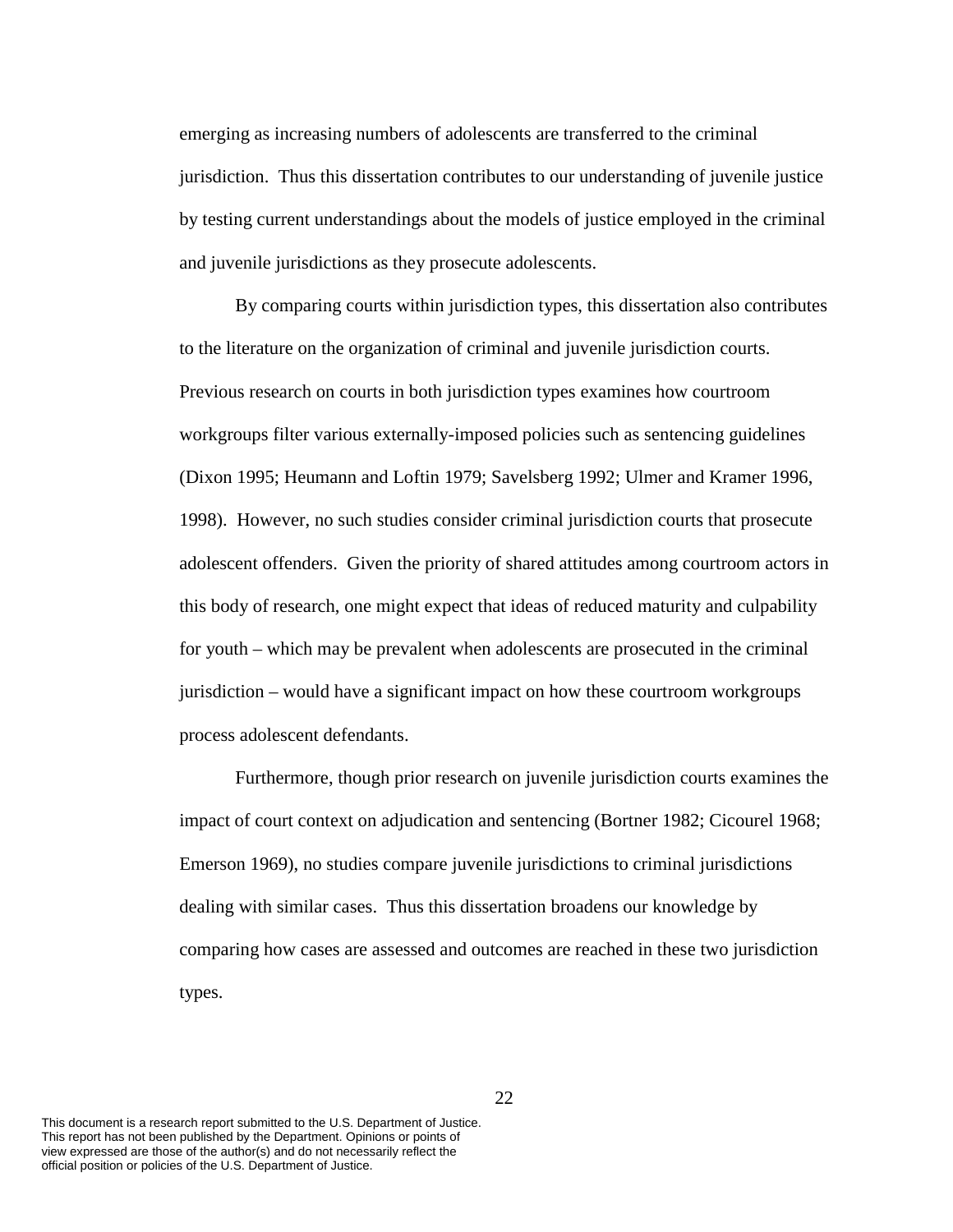emerging as increasing numbers of adolescents are transferred to the criminal jurisdiction. Thus this dissertation contributes to our understanding of juvenile justice by testing current understandings about the models of justice employed in the criminal and juvenile jurisdictions as they prosecute adolescents.

By comparing courts within jurisdiction types, this dissertation also contributes to the literature on the organization of criminal and juvenile jurisdiction courts. Previous research on courts in both jurisdiction types examines how courtroom workgroups filter various externally-imposed policies such as sentencing guidelines (Dixon 1995; Heumann and Loftin 1979; Savelsberg 1992; Ulmer and Kramer 1996, 1998). However, no such studies consider criminal jurisdiction courts that prosecute adolescent offenders. Given the priority of shared attitudes among courtroom actors in this body of research, one might expect that ideas of reduced maturity and culpability for youth – which may be prevalent when adolescents are prosecuted in the criminal jurisdiction – would have a significant impact on how these courtroom workgroups process adolescent defendants.

Furthermore, though prior research on juvenile jurisdiction courts examines the impact of court context on adjudication and sentencing (Bortner 1982; Cicourel 1968; Emerson 1969), no studies compare juvenile jurisdictions to criminal jurisdictions dealing with similar cases. Thus this dissertation broadens our knowledge by comparing how cases are assessed and outcomes are reached in these two jurisdiction types.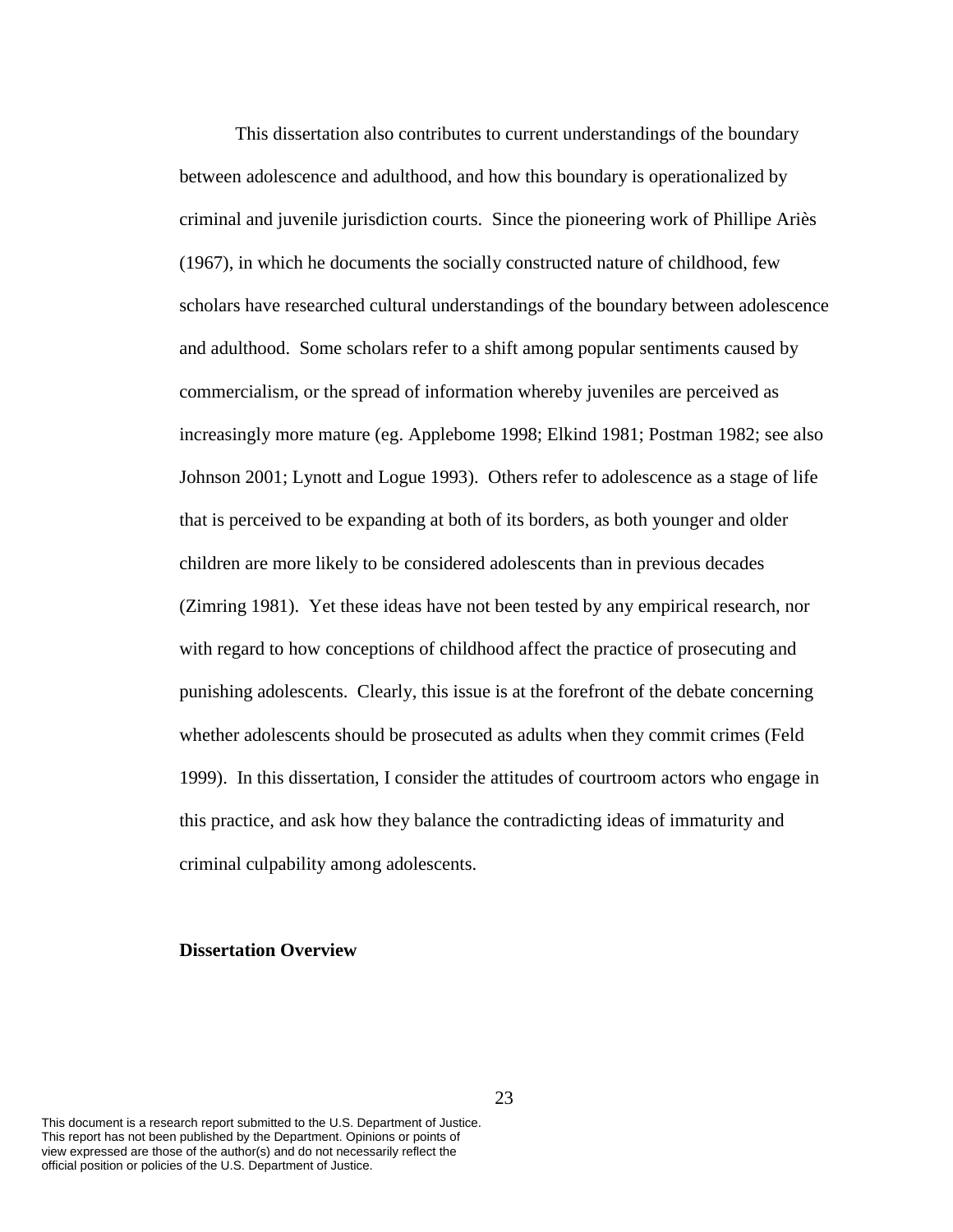This dissertation also contributes to current understandings of the boundary between adolescence and adulthood, and how this boundary is operationalized by criminal and juvenile jurisdiction courts. Since the pioneering work of Phillipe Ariès (1967), in which he documents the socially constructed nature of childhood, few scholars have researched cultural understandings of the boundary between adolescence and adulthood. Some scholars refer to a shift among popular sentiments caused by commercialism, or the spread of information whereby juveniles are perceived as increasingly more mature (eg. Applebome 1998; Elkind 1981; Postman 1982; see also Johnson 2001; Lynott and Logue 1993). Others refer to adolescence as a stage of life that is perceived to be expanding at both of its borders, as both younger and older children are more likely to be considered adolescents than in previous decades (Zimring 1981). Yet these ideas have not been tested by any empirical research, nor with regard to how conceptions of childhood affect the practice of prosecuting and punishing adolescents. Clearly, this issue is at the forefront of the debate concerning whether adolescents should be prosecuted as adults when they commit crimes (Feld 1999). In this dissertation, I consider the attitudes of courtroom actors who engage in this practice, and ask how they balance the contradicting ideas of immaturity and criminal culpability among adolescents.

# **Dissertation Overview**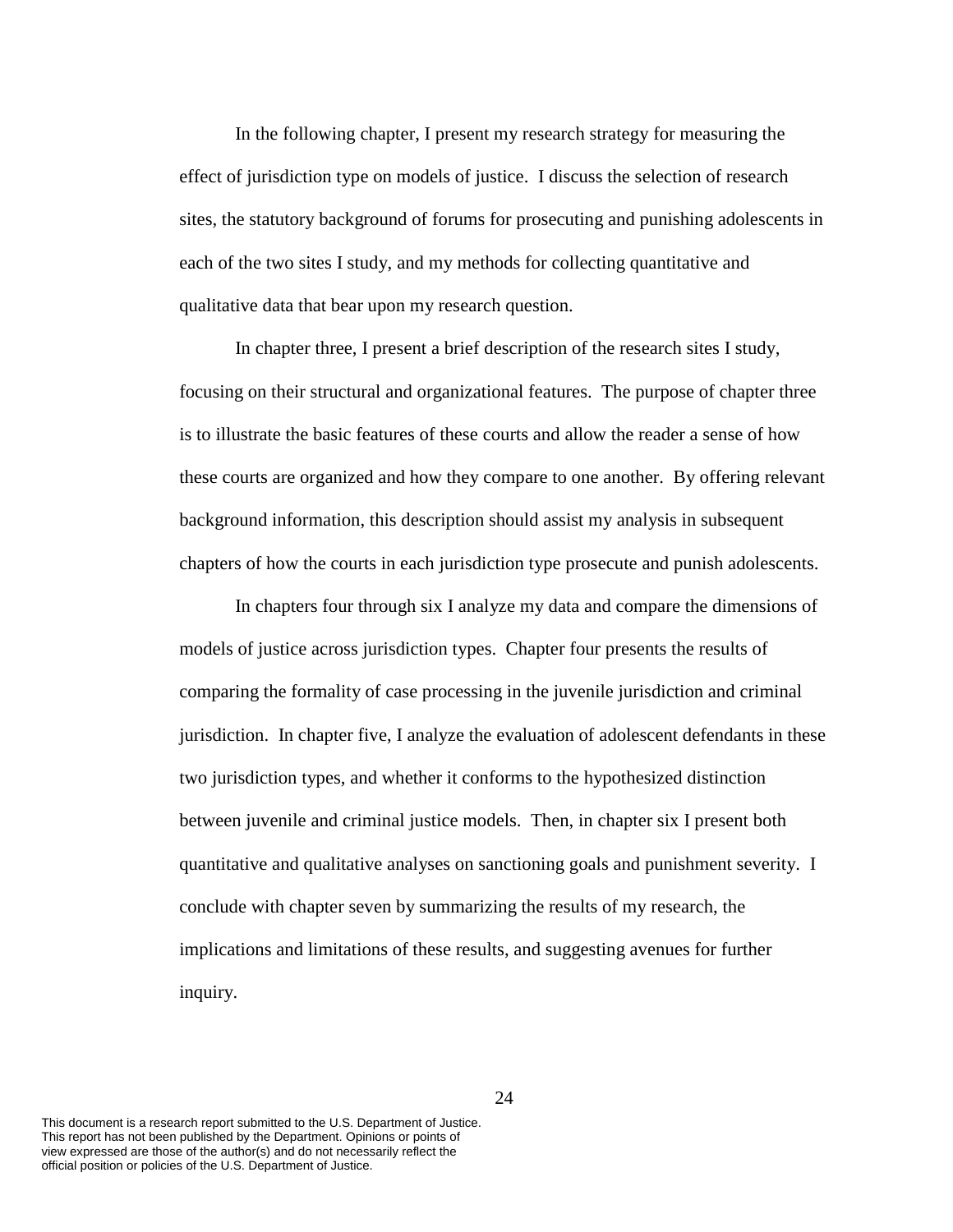In the following chapter, I present my research strategy for measuring the effect of jurisdiction type on models of justice. I discuss the selection of research sites, the statutory background of forums for prosecuting and punishing adolescents in each of the two sites I study, and my methods for collecting quantitative and qualitative data that bear upon my research question.

In chapter three, I present a brief description of the research sites I study, focusing on their structural and organizational features. The purpose of chapter three is to illustrate the basic features of these courts and allow the reader a sense of how these courts are organized and how they compare to one another. By offering relevant background information, this description should assist my analysis in subsequent chapters of how the courts in each jurisdiction type prosecute and punish adolescents.

In chapters four through six I analyze my data and compare the dimensions of models of justice across jurisdiction types. Chapter four presents the results of comparing the formality of case processing in the juvenile jurisdiction and criminal jurisdiction. In chapter five, I analyze the evaluation of adolescent defendants in these two jurisdiction types, and whether it conforms to the hypothesized distinction between juvenile and criminal justice models. Then, in chapter six I present both quantitative and qualitative analyses on sanctioning goals and punishment severity. I conclude with chapter seven by summarizing the results of my research, the implications and limitations of these results, and suggesting avenues for further inquiry.

This document is a research report submitted to the U.S. Department of Justice. This report has not been published by the Department. Opinions or points of view expressed are those of the author(s) and do not necessarily reflect the official position or policies of the U.S. Department of Justice.

24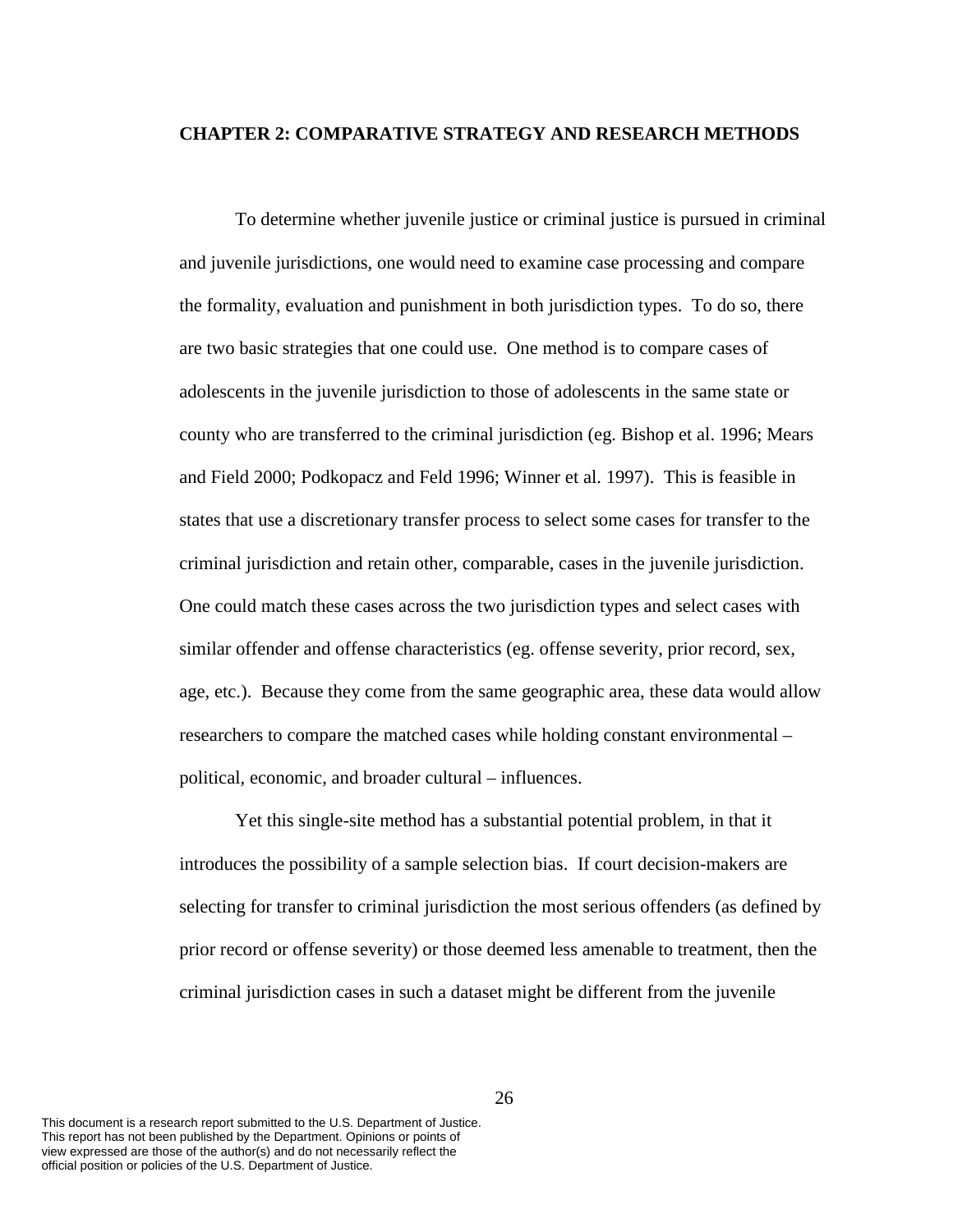#### **CHAPTER 2: COMPARATIVE STRATEGY AND RESEARCH METHODS**

To determine whether juvenile justice or criminal justice is pursued in criminal and juvenile jurisdictions, one would need to examine case processing and compare the formality, evaluation and punishment in both jurisdiction types. To do so, there are two basic strategies that one could use. One method is to compare cases of adolescents in the juvenile jurisdiction to those of adolescents in the same state or county who are transferred to the criminal jurisdiction (eg. Bishop et al. 1996; Mears and Field 2000; Podkopacz and Feld 1996; Winner et al. 1997). This is feasible in states that use a discretionary transfer process to select some cases for transfer to the criminal jurisdiction and retain other, comparable, cases in the juvenile jurisdiction. One could match these cases across the two jurisdiction types and select cases with similar offender and offense characteristics (eg. offense severity, prior record, sex, age, etc.). Because they come from the same geographic area, these data would allow researchers to compare the matched cases while holding constant environmental – political, economic, and broader cultural – influences.

Yet this single-site method has a substantial potential problem, in that it introduces the possibility of a sample selection bias. If court decision-makers are selecting for transfer to criminal jurisdiction the most serious offenders (as defined by prior record or offense severity) or those deemed less amenable to treatment, then the criminal jurisdiction cases in such a dataset might be different from the juvenile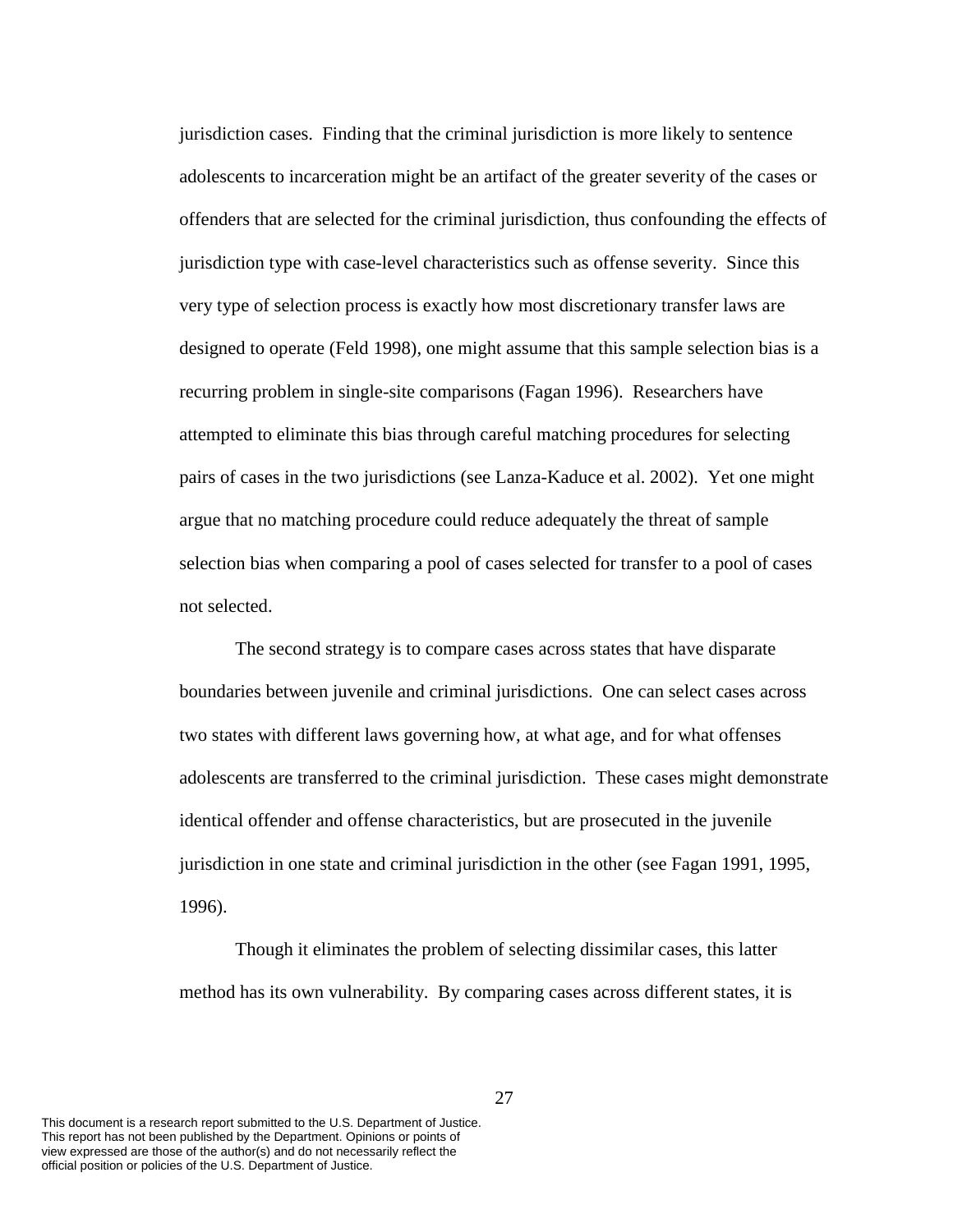jurisdiction cases. Finding that the criminal jurisdiction is more likely to sentence adolescents to incarceration might be an artifact of the greater severity of the cases or offenders that are selected for the criminal jurisdiction, thus confounding the effects of jurisdiction type with case-level characteristics such as offense severity. Since this very type of selection process is exactly how most discretionary transfer laws are designed to operate (Feld 1998), one might assume that this sample selection bias is a recurring problem in single-site comparisons (Fagan 1996). Researchers have attempted to eliminate this bias through careful matching procedures for selecting pairs of cases in the two jurisdictions (see Lanza-Kaduce et al. 2002). Yet one might argue that no matching procedure could reduce adequately the threat of sample selection bias when comparing a pool of cases selected for transfer to a pool of cases not selected.

The second strategy is to compare cases across states that have disparate boundaries between juvenile and criminal jurisdictions. One can select cases across two states with different laws governing how, at what age, and for what offenses adolescents are transferred to the criminal jurisdiction. These cases might demonstrate identical offender and offense characteristics, but are prosecuted in the juvenile jurisdiction in one state and criminal jurisdiction in the other (see Fagan 1991, 1995, 1996).

Though it eliminates the problem of selecting dissimilar cases, this latter method has its own vulnerability. By comparing cases across different states, it is

This document is a research report submitted to the U.S. Department of Justice. This report has not been published by the Department. Opinions or points of view expressed are those of the author(s) and do not necessarily reflect the official position or policies of the U.S. Department of Justice.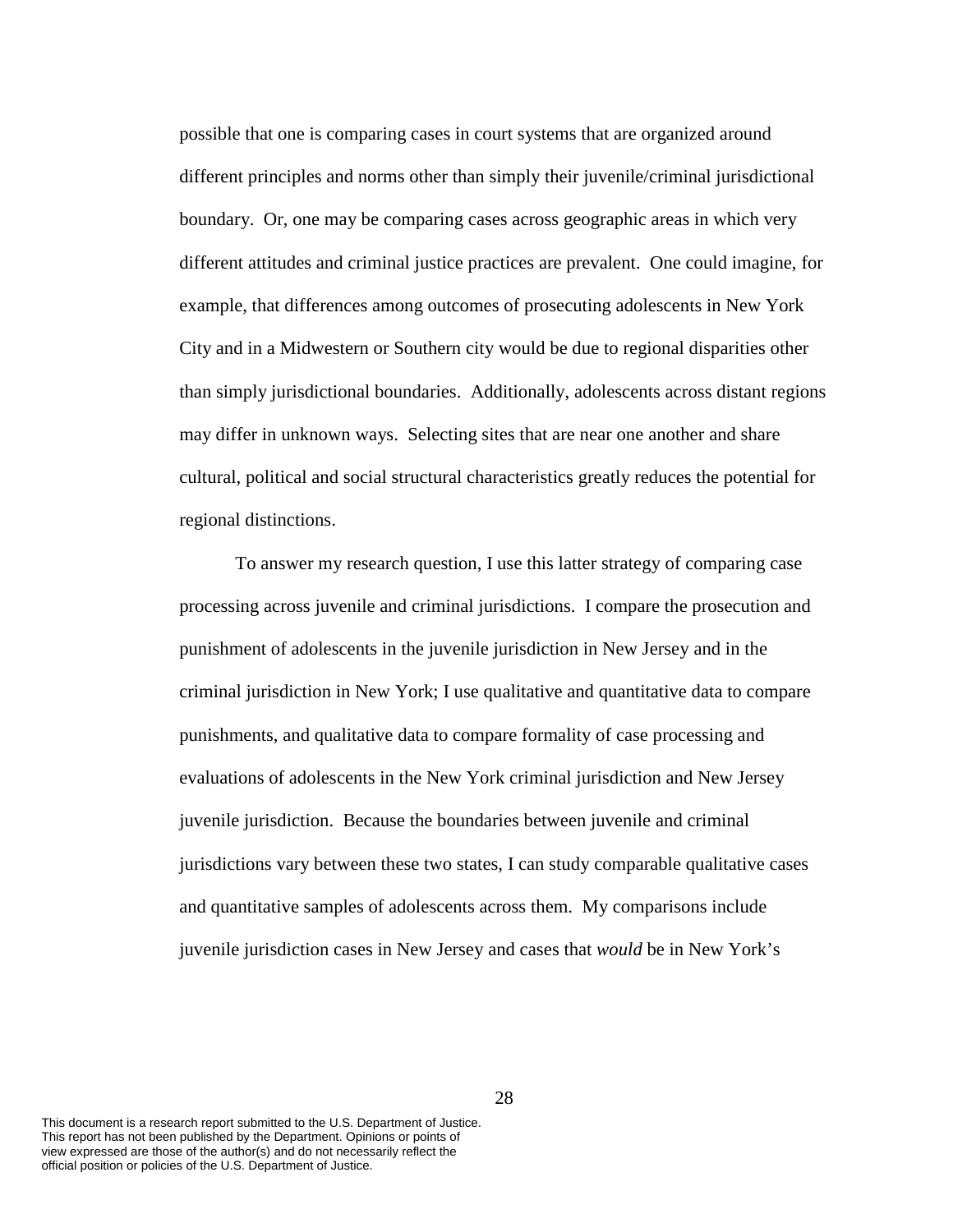possible that one is comparing cases in court systems that are organized around different principles and norms other than simply their juvenile/criminal jurisdictional boundary. Or, one may be comparing cases across geographic areas in which very different attitudes and criminal justice practices are prevalent. One could imagine, for example, that differences among outcomes of prosecuting adolescents in New York City and in a Midwestern or Southern city would be due to regional disparities other than simply jurisdictional boundaries. Additionally, adolescents across distant regions may differ in unknown ways. Selecting sites that are near one another and share cultural, political and social structural characteristics greatly reduces the potential for regional distinctions.

To answer my research question, I use this latter strategy of comparing case processing across juvenile and criminal jurisdictions. I compare the prosecution and punishment of adolescents in the juvenile jurisdiction in New Jersey and in the criminal jurisdiction in New York; I use qualitative and quantitative data to compare punishments, and qualitative data to compare formality of case processing and evaluations of adolescents in the New York criminal jurisdiction and New Jersey juvenile jurisdiction. Because the boundaries between juvenile and criminal jurisdictions vary between these two states, I can study comparable qualitative cases and quantitative samples of adolescents across them. My comparisons include juvenile jurisdiction cases in New Jersey and cases that *would* be in New York's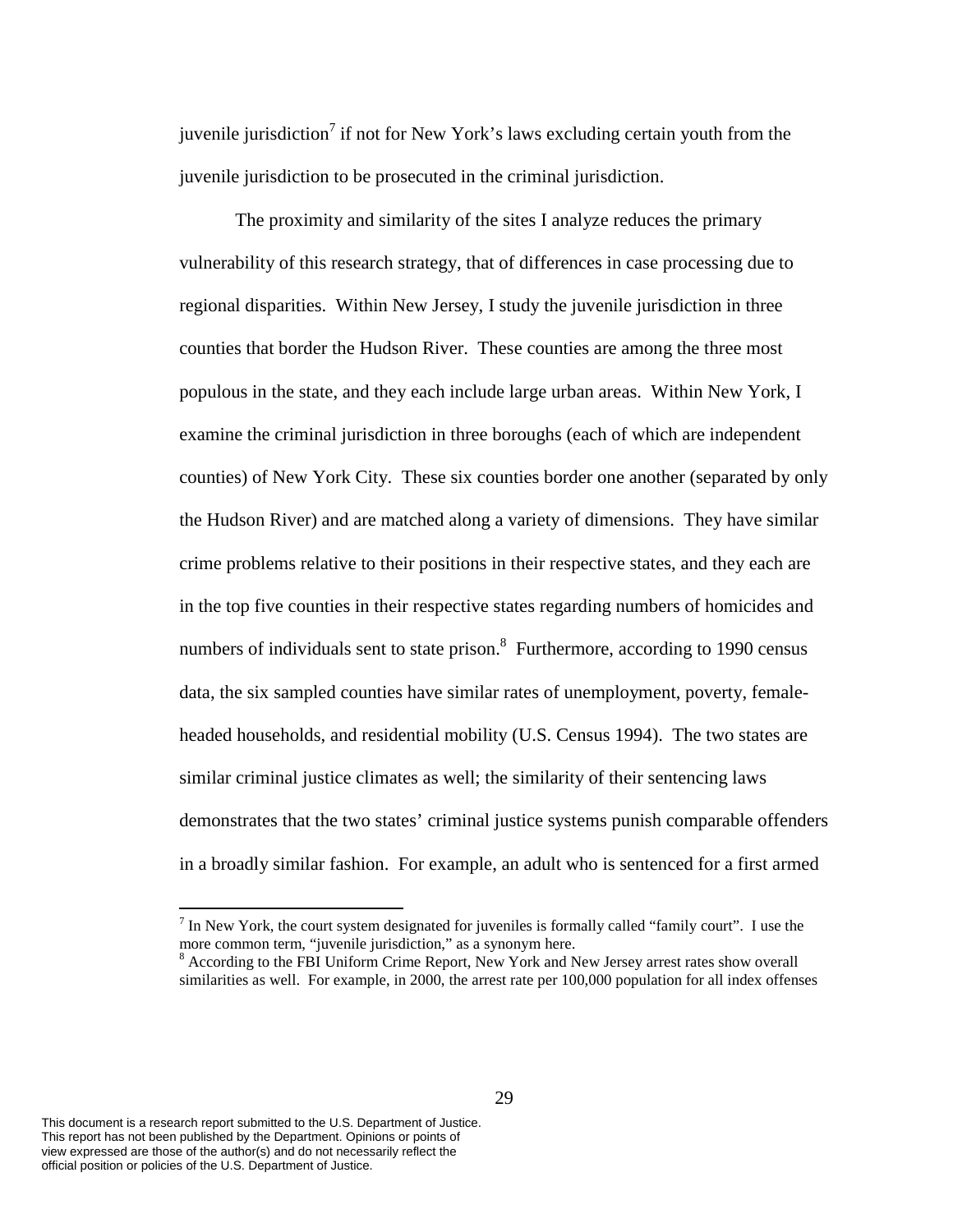juvenile jurisdiction<sup>7</sup> if not for New York's laws excluding certain youth from the juvenile jurisdiction to be prosecuted in the criminal jurisdiction.

The proximity and similarity of the sites I analyze reduces the primary vulnerability of this research strategy, that of differences in case processing due to regional disparities. Within New Jersey, I study the juvenile jurisdiction in three counties that border the Hudson River. These counties are among the three most populous in the state, and they each include large urban areas. Within New York, I examine the criminal jurisdiction in three boroughs (each of which are independent counties) of New York City. These six counties border one another (separated by only the Hudson River) and are matched along a variety of dimensions. They have similar crime problems relative to their positions in their respective states, and they each are in the top five counties in their respective states regarding numbers of homicides and numbers of individuals sent to state prison. $8$  Furthermore, according to 1990 census data, the six sampled counties have similar rates of unemployment, poverty, femaleheaded households, and residential mobility (U.S. Census 1994). The two states are similar criminal justice climates as well; the similarity of their sentencing laws demonstrates that the two states' criminal justice systems punish comparable offenders in a broadly similar fashion. For example, an adult who is sentenced for a first armed

This document is a research report submitted to the U.S. Department of Justice. This report has not been published by the Department. Opinions or points of view expressed are those of the author(s) and do not necessarily reflect the official position or policies of the U.S. Department of Justice.

 $<sup>7</sup>$  In New York, the court system designated for juveniles is formally called "family court". I use the</sup> more common term, "juvenile jurisdiction," as a synonym here.

<sup>&</sup>lt;sup>8</sup> According to the FBI Uniform Crime Report, New York and New Jersey arrest rates show overall similarities as well. For example, in 2000, the arrest rate per 100,000 population for all index offenses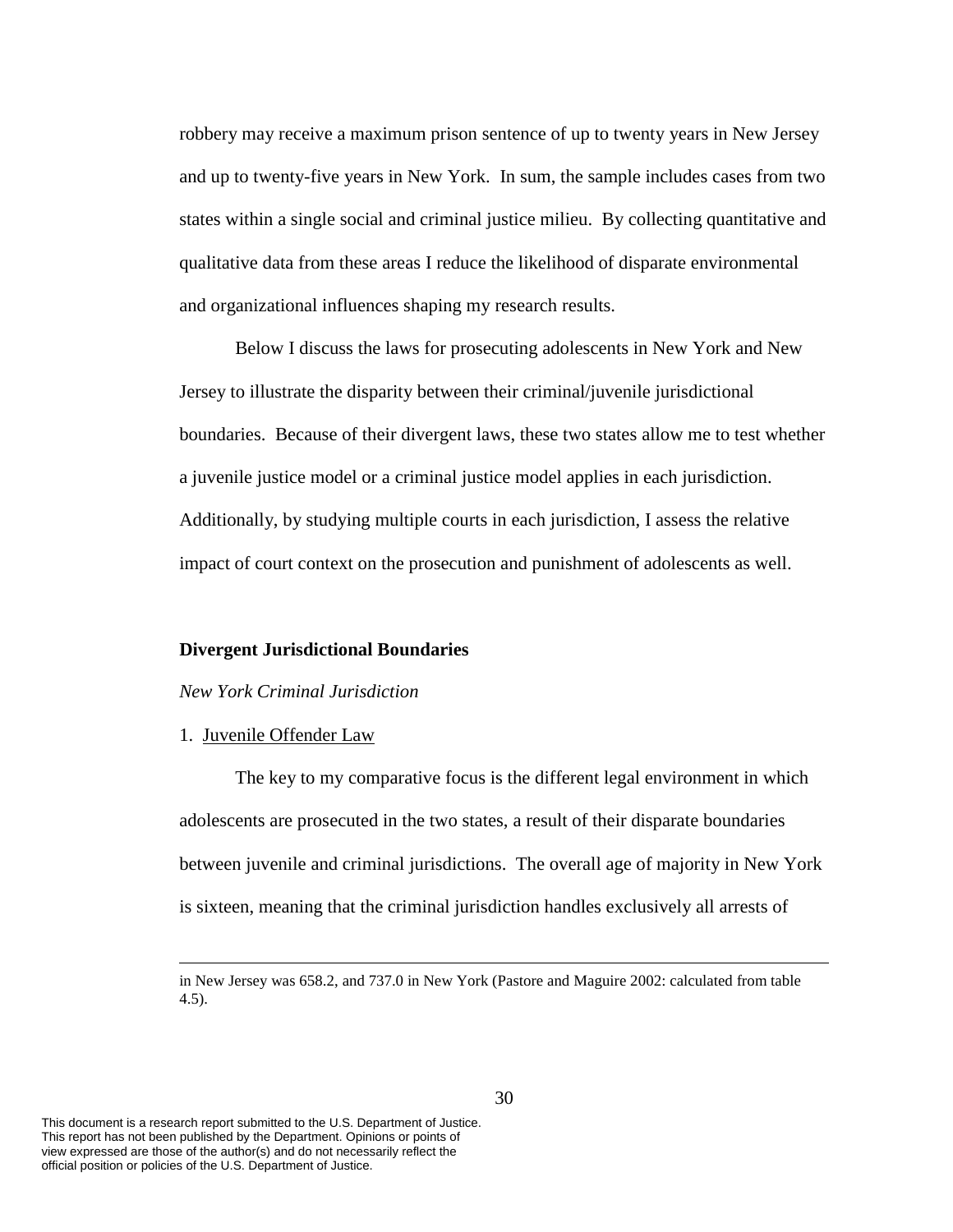robbery may receive a maximum prison sentence of up to twenty years in New Jersey and up to twenty-five years in New York. In sum, the sample includes cases from two states within a single social and criminal justice milieu. By collecting quantitative and qualitative data from these areas I reduce the likelihood of disparate environmental and organizational influences shaping my research results.

Below I discuss the laws for prosecuting adolescents in New York and New Jersey to illustrate the disparity between their criminal/juvenile jurisdictional boundaries. Because of their divergent laws, these two states allow me to test whether a juvenile justice model or a criminal justice model applies in each jurisdiction. Additionally, by studying multiple courts in each jurisdiction, I assess the relative impact of court context on the prosecution and punishment of adolescents as well.

### **Divergent Jurisdictional Boundaries**

### *New York Criminal Jurisdiction*

1. Juvenile Offender Law

The key to my comparative focus is the different legal environment in which adolescents are prosecuted in the two states, a result of their disparate boundaries between juvenile and criminal jurisdictions. The overall age of majority in New York is sixteen, meaning that the criminal jurisdiction handles exclusively all arrests of

in New Jersey was 658.2, and 737.0 in New York (Pastore and Maguire 2002: calculated from table 4.5).

This document is a research report submitted to the U.S. Department of Justice. This report has not been published by the Department. Opinions or points of view expressed are those of the author(s) and do not necessarily reflect the official position or policies of the U.S. Department of Justice.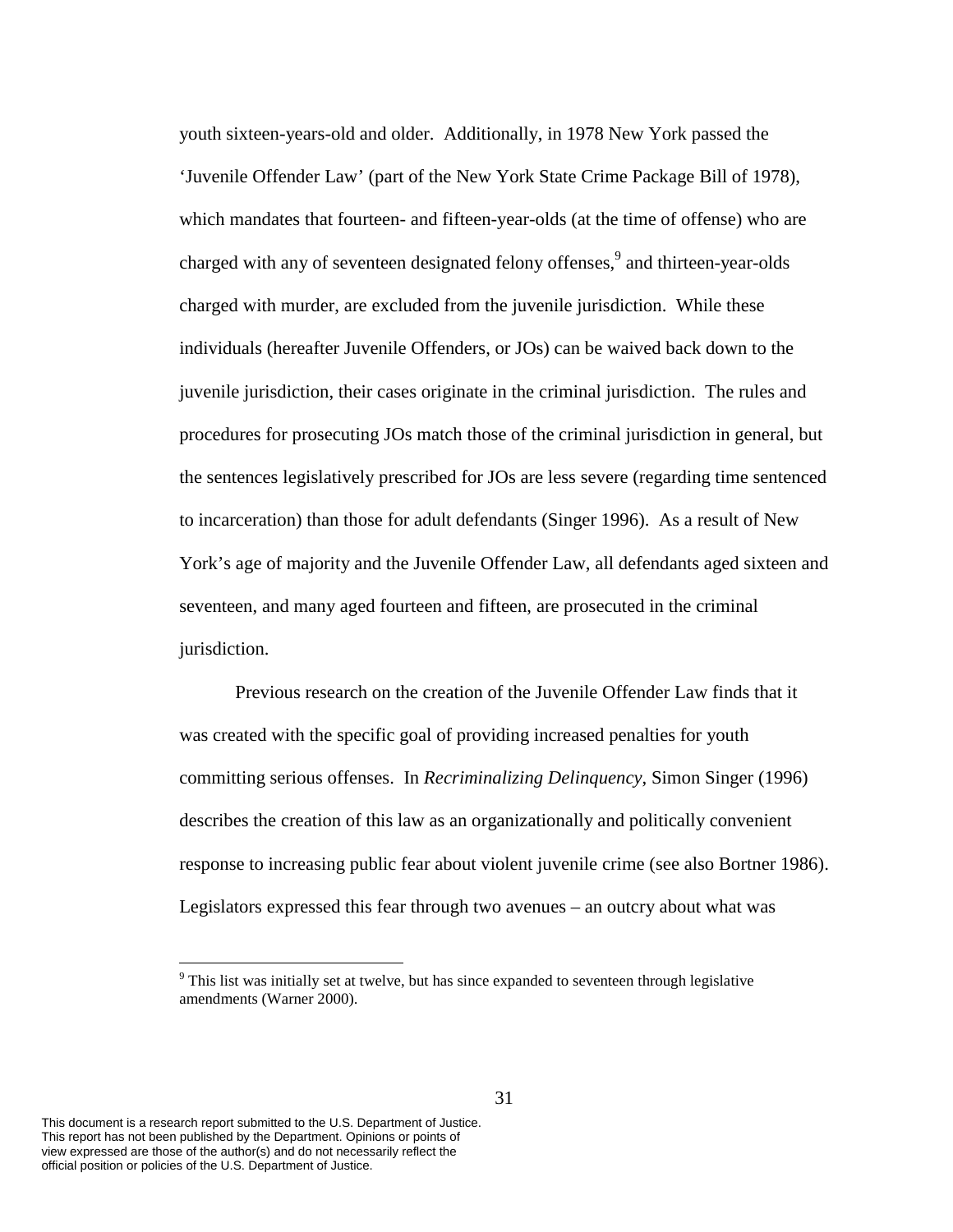youth sixteen-years-old and older. Additionally, in 1978 New York passed the 'Juvenile Offender Law' (part of the New York State Crime Package Bill of 1978), which mandates that fourteen- and fifteen-year-olds (at the time of offense) who are charged with any of seventeen designated felony offenses, <sup>9</sup> and thirteen-year-olds charged with murder, are excluded from the juvenile jurisdiction. While these individuals (hereafter Juvenile Offenders, or JOs) can be waived back down to the juvenile jurisdiction, their cases originate in the criminal jurisdiction. The rules and procedures for prosecuting JOs match those of the criminal jurisdiction in general, but the sentences legislatively prescribed for JOs are less severe (regarding time sentenced to incarceration) than those for adult defendants (Singer 1996). As a result of New York's age of majority and the Juvenile Offender Law, all defendants aged sixteen and seventeen, and many aged fourteen and fifteen, are prosecuted in the criminal jurisdiction.

Previous research on the creation of the Juvenile Offender Law finds that it was created with the specific goal of providing increased penalties for youth committing serious offenses. In *Recriminalizing Delinquency*, Simon Singer (1996) describes the creation of this law as an organizationally and politically convenient response to increasing public fear about violent juvenile crime (see also Bortner 1986). Legislators expressed this fear through two avenues – an outcry about what was

 $9$  This list was initially set at twelve, but has since expanded to seventeen through legislative amendments (Warner 2000).

This document is a research report submitted to the U.S. Department of Justice. This report has not been published by the Department. Opinions or points of view expressed are those of the author(s) and do not necessarily reflect the official position or policies of the U.S. Department of Justice.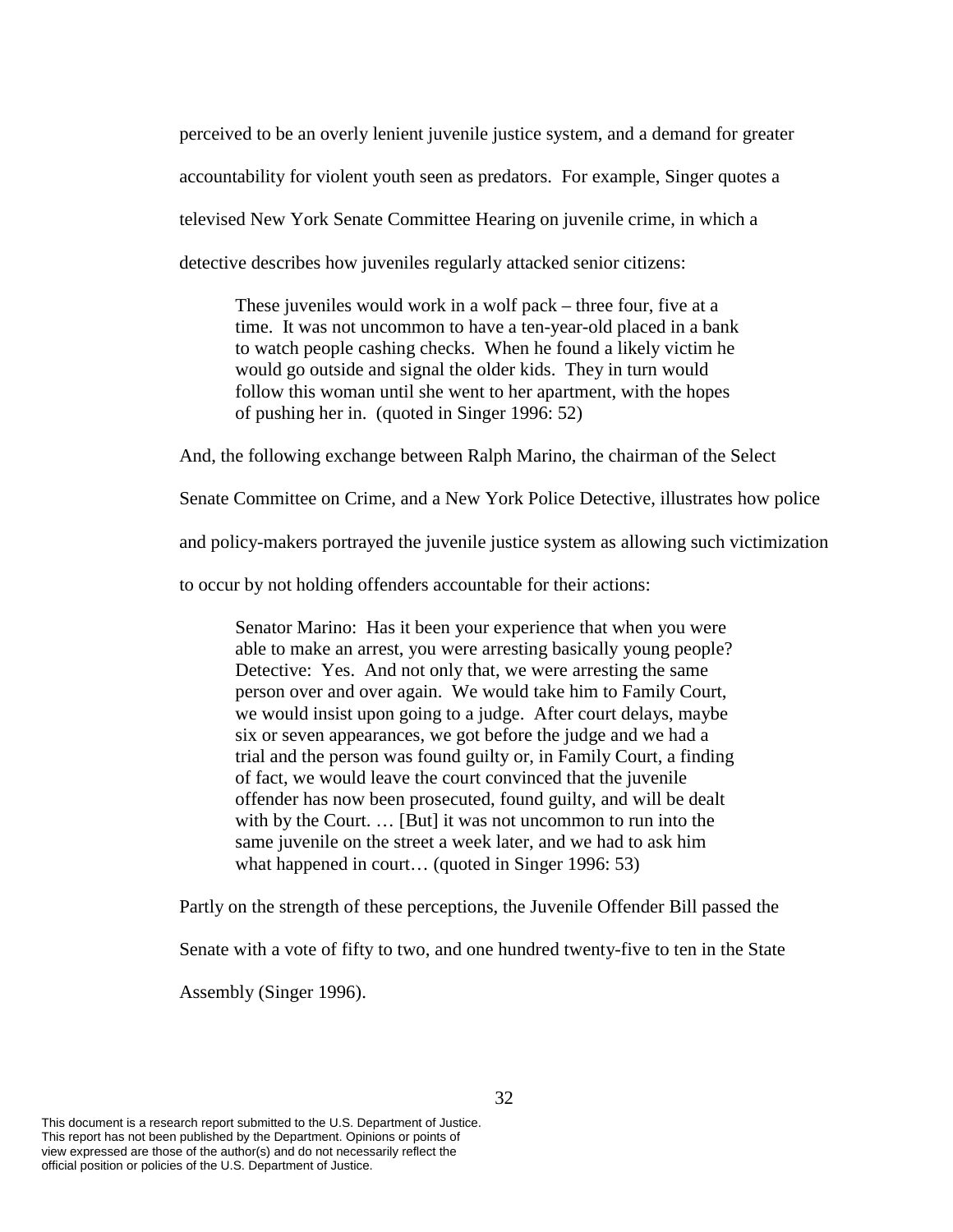perceived to be an overly lenient juvenile justice system, and a demand for greater accountability for violent youth seen as predators. For example, Singer quotes a televised New York Senate Committee Hearing on juvenile crime, in which a detective describes how juveniles regularly attacked senior citizens:

These juveniles would work in a wolf pack – three four, five at a time. It was not uncommon to have a ten-year-old placed in a bank to watch people cashing checks. When he found a likely victim he would go outside and signal the older kids. They in turn would follow this woman until she went to her apartment, with the hopes of pushing her in. (quoted in Singer 1996: 52)

And, the following exchange between Ralph Marino, the chairman of the Select

Senate Committee on Crime, and a New York Police Detective, illustrates how police

and policy-makers portrayed the juvenile justice system as allowing such victimization

to occur by not holding offenders accountable for their actions:

Senator Marino: Has it been your experience that when you were able to make an arrest, you were arresting basically young people? Detective: Yes. And not only that, we were arresting the same person over and over again. We would take him to Family Court, we would insist upon going to a judge. After court delays, maybe six or seven appearances, we got before the judge and we had a trial and the person was found guilty or, in Family Court, a finding of fact, we would leave the court convinced that the juvenile offender has now been prosecuted, found guilty, and will be dealt with by the Court. … [But] it was not uncommon to run into the same juvenile on the street a week later, and we had to ask him what happened in court… (quoted in Singer 1996: 53)

Partly on the strength of these perceptions, the Juvenile Offender Bill passed the

Senate with a vote of fifty to two, and one hundred twenty-five to ten in the State

Assembly (Singer 1996).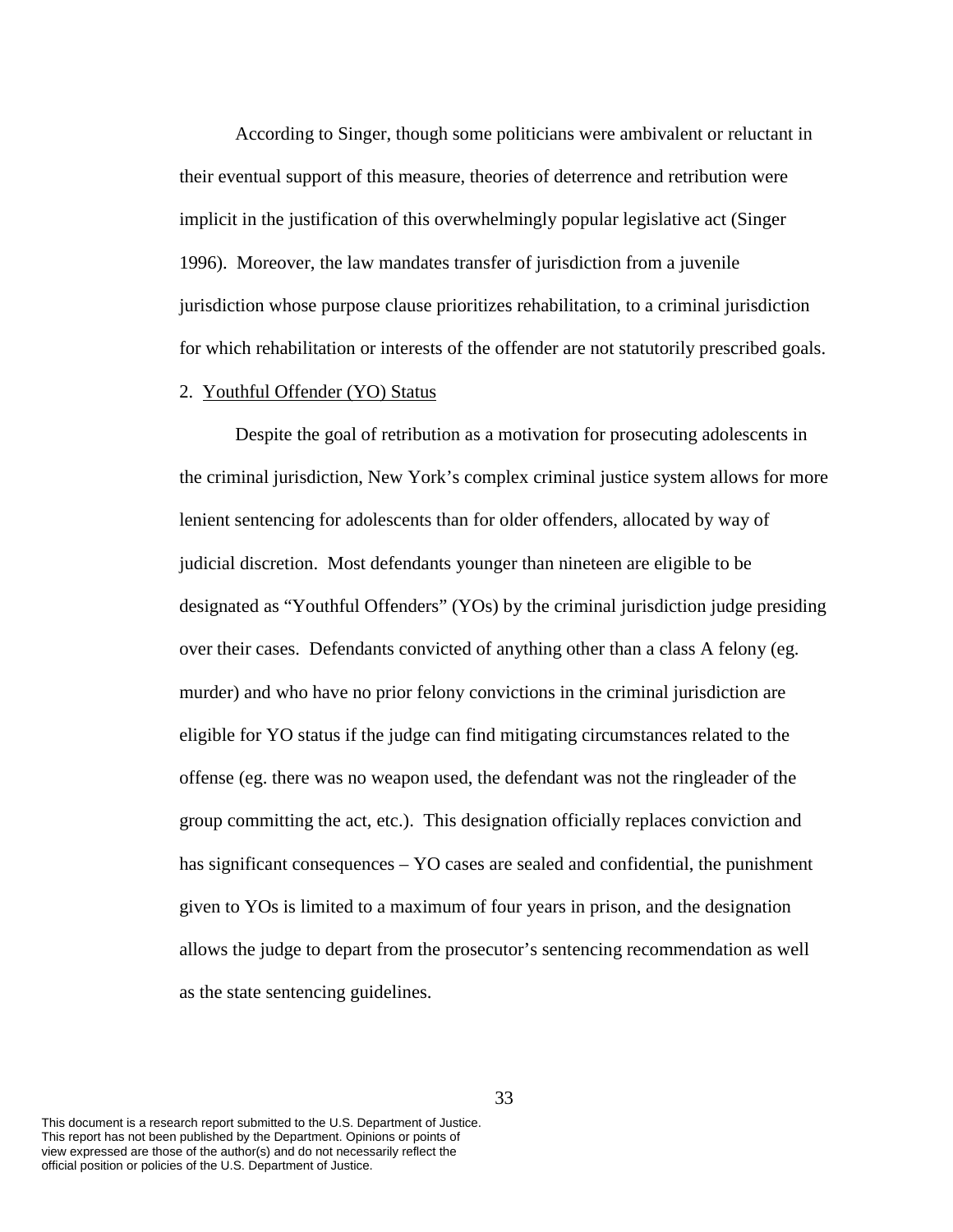According to Singer, though some politicians were ambivalent or reluctant in their eventual support of this measure, theories of deterrence and retribution were implicit in the justification of this overwhelmingly popular legislative act (Singer 1996). Moreover, the law mandates transfer of jurisdiction from a juvenile jurisdiction whose purpose clause prioritizes rehabilitation, to a criminal jurisdiction for which rehabilitation or interests of the offender are not statutorily prescribed goals.

### 2. Youthful Offender (YO) Status

Despite the goal of retribution as a motivation for prosecuting adolescents in the criminal jurisdiction, New York's complex criminal justice system allows for more lenient sentencing for adolescents than for older offenders, allocated by way of judicial discretion. Most defendants younger than nineteen are eligible to be designated as "Youthful Offenders" (YOs) by the criminal jurisdiction judge presiding over their cases. Defendants convicted of anything other than a class A felony (eg. murder) and who have no prior felony convictions in the criminal jurisdiction are eligible for YO status if the judge can find mitigating circumstances related to the offense (eg. there was no weapon used, the defendant was not the ringleader of the group committing the act, etc.). This designation officially replaces conviction and has significant consequences – YO cases are sealed and confidential, the punishment given to YOs is limited to a maximum of four years in prison, and the designation allows the judge to depart from the prosecutor's sentencing recommendation as well as the state sentencing guidelines.

This document is a research report submitted to the U.S. Department of Justice. This report has not been published by the Department. Opinions or points of view expressed are those of the author(s) and do not necessarily reflect the official position or policies of the U.S. Department of Justice.

33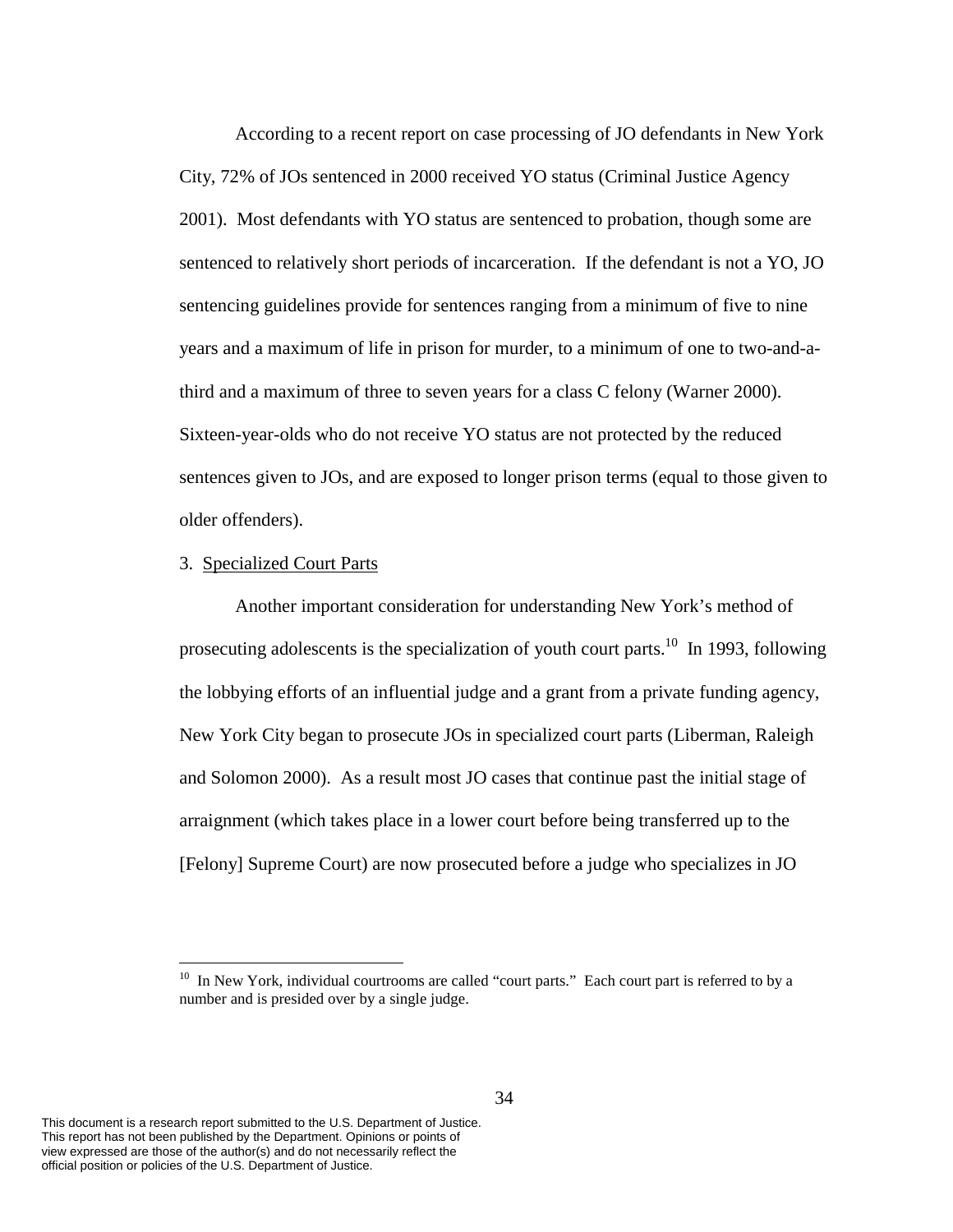According to a recent report on case processing of JO defendants in New York City, 72% of JOs sentenced in 2000 received YO status (Criminal Justice Agency 2001). Most defendants with YO status are sentenced to probation, though some are sentenced to relatively short periods of incarceration. If the defendant is not a YO, JO sentencing guidelines provide for sentences ranging from a minimum of five to nine years and a maximum of life in prison for murder, to a minimum of one to two-and-athird and a maximum of three to seven years for a class C felony (Warner 2000). Sixteen-year-olds who do not receive YO status are not protected by the reduced sentences given to JOs, and are exposed to longer prison terms (equal to those given to older offenders).

### 3. Specialized Court Parts

Another important consideration for understanding New York's method of prosecuting adolescents is the specialization of youth court parts.<sup>10</sup> In 1993, following the lobbying efforts of an influential judge and a grant from a private funding agency, New York City began to prosecute JOs in specialized court parts (Liberman, Raleigh and Solomon 2000). As a result most JO cases that continue past the initial stage of arraignment (which takes place in a lower court before being transferred up to the [Felony] Supreme Court) are now prosecuted before a judge who specializes in JO

 $10$  In New York, individual courtrooms are called "court parts." Each court part is referred to by a number and is presided over by a single judge.

This document is a research report submitted to the U.S. Department of Justice. This report has not been published by the Department. Opinions or points of view expressed are those of the author(s) and do not necessarily reflect the official position or policies of the U.S. Department of Justice.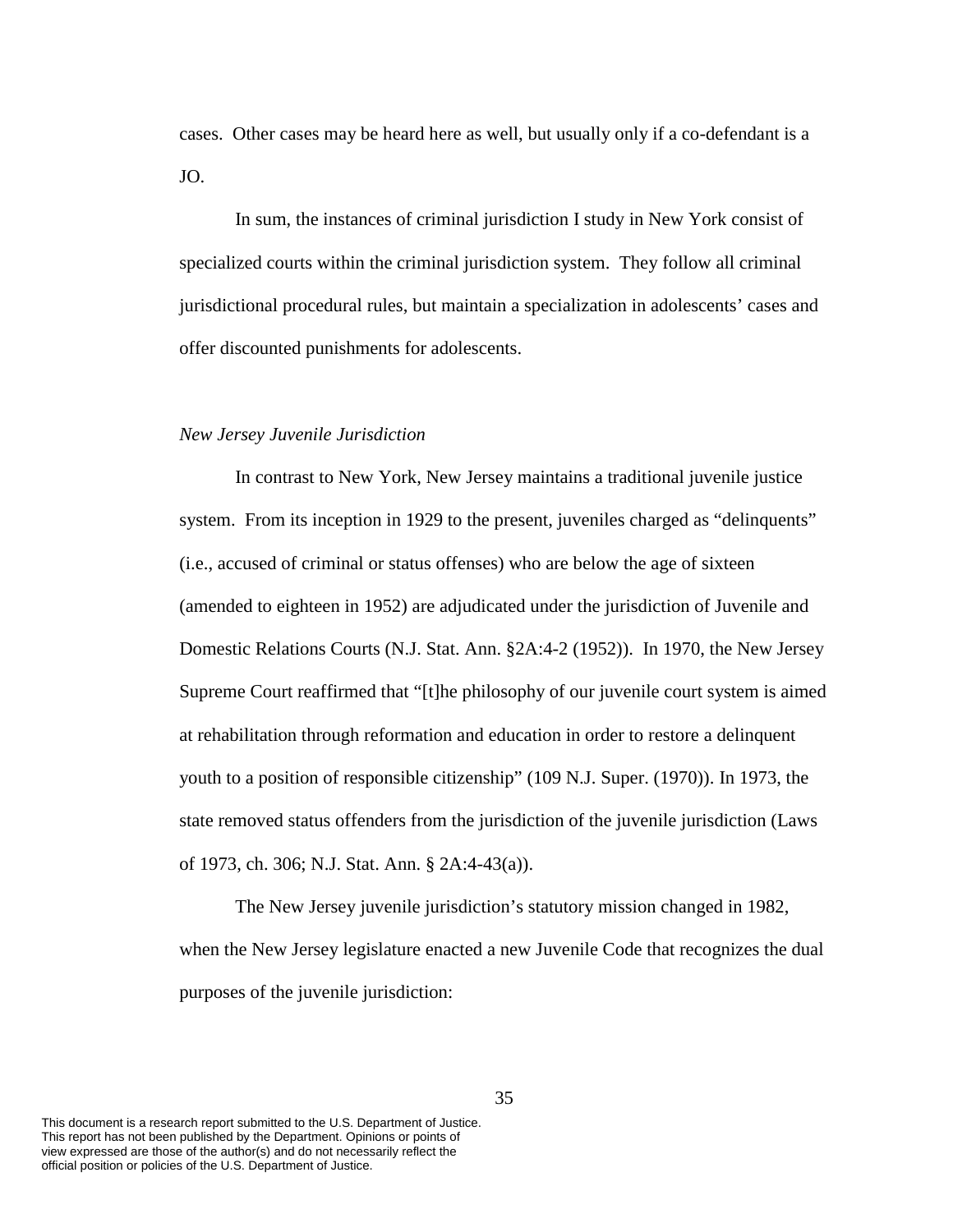cases. Other cases may be heard here as well, but usually only if a co-defendant is a JO.

In sum, the instances of criminal jurisdiction I study in New York consist of specialized courts within the criminal jurisdiction system. They follow all criminal jurisdictional procedural rules, but maintain a specialization in adolescents' cases and offer discounted punishments for adolescents.

### *New Jersey Juvenile Jurisdiction*

In contrast to New York, New Jersey maintains a traditional juvenile justice system. From its inception in 1929 to the present, juveniles charged as "delinquents" (i.e., accused of criminal or status offenses) who are below the age of sixteen (amended to eighteen in 1952) are adjudicated under the jurisdiction of Juvenile and Domestic Relations Courts (N.J. Stat. Ann. §2A:4-2 (1952)). In 1970, the New Jersey Supreme Court reaffirmed that "[t]he philosophy of our juvenile court system is aimed at rehabilitation through reformation and education in order to restore a delinquent youth to a position of responsible citizenship" (109 N.J. Super. (1970)). In 1973, the state removed status offenders from the jurisdiction of the juvenile jurisdiction (Laws of 1973, ch. 306; N.J. Stat. Ann. § 2A:4-43(a)).

The New Jersey juvenile jurisdiction's statutory mission changed in 1982, when the New Jersey legislature enacted a new Juvenile Code that recognizes the dual purposes of the juvenile jurisdiction:

This document is a research report submitted to the U.S. Department of Justice. This report has not been published by the Department. Opinions or points of view expressed are those of the author(s) and do not necessarily reflect the official position or policies of the U.S. Department of Justice.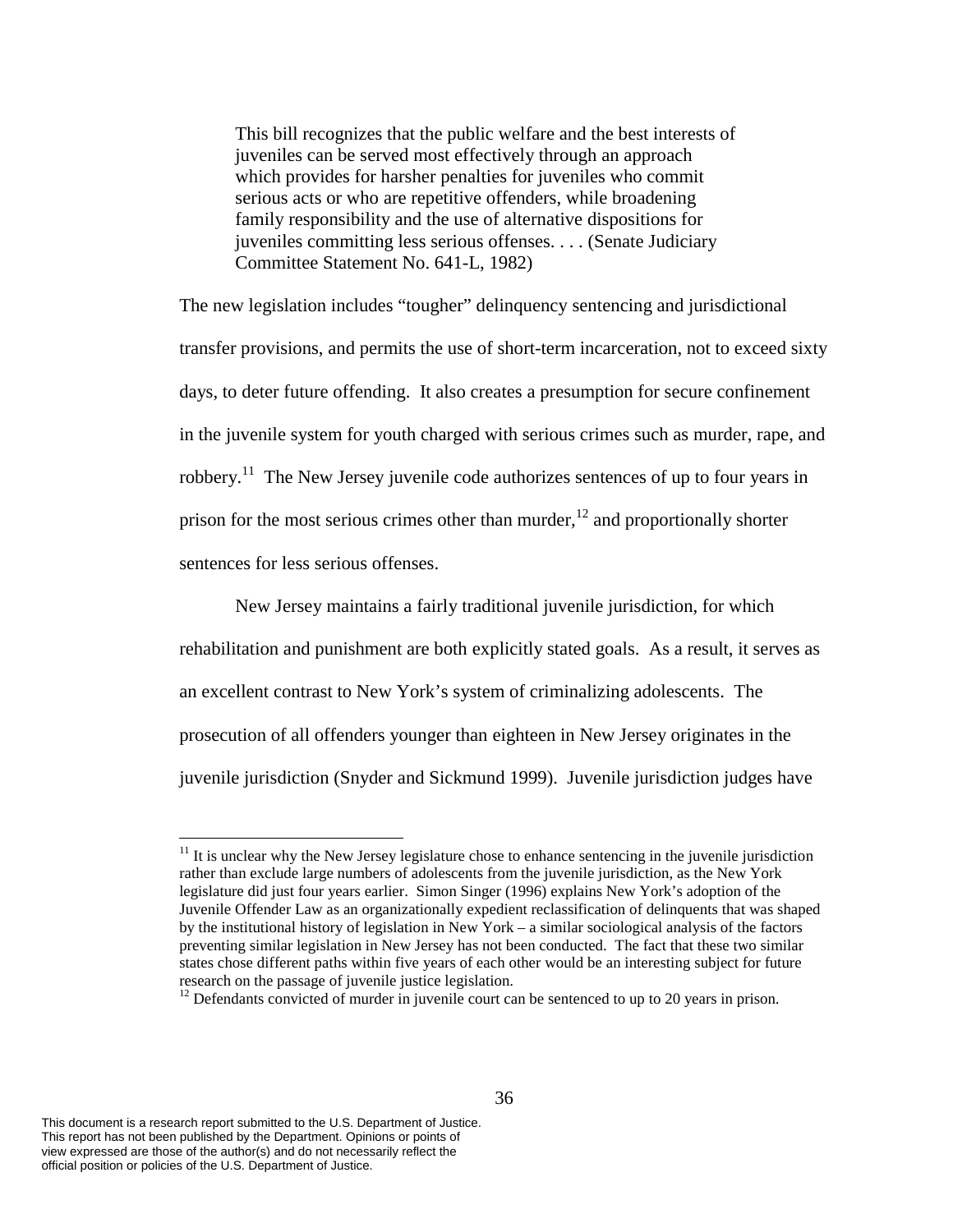This bill recognizes that the public welfare and the best interests of juveniles can be served most effectively through an approach which provides for harsher penalties for juveniles who commit serious acts or who are repetitive offenders, while broadening family responsibility and the use of alternative dispositions for juveniles committing less serious offenses. . . . (Senate Judiciary Committee Statement No. 641-L, 1982)

The new legislation includes "tougher" delinquency sentencing and jurisdictional transfer provisions, and permits the use of short-term incarceration, not to exceed sixty days, to deter future offending. It also creates a presumption for secure confinement in the juvenile system for youth charged with serious crimes such as murder, rape, and robbery.<sup>11</sup> The New Jersey juvenile code authorizes sentences of up to four years in prison for the most serious crimes other than murder, $12$  and proportionally shorter sentences for less serious offenses.

New Jersey maintains a fairly traditional juvenile jurisdiction, for which rehabilitation and punishment are both explicitly stated goals. As a result, it serves as an excellent contrast to New York's system of criminalizing adolescents. The prosecution of all offenders younger than eighteen in New Jersey originates in the juvenile jurisdiction (Snyder and Sickmund 1999). Juvenile jurisdiction judges have

 $11$  It is unclear why the New Jersey legislature chose to enhance sentencing in the juvenile jurisdiction rather than exclude large numbers of adolescents from the juvenile jurisdiction, as the New York legislature did just four years earlier. Simon Singer (1996) explains New York's adoption of the Juvenile Offender Law as an organizationally expedient reclassification of delinquents that was shaped by the institutional history of legislation in New York – a similar sociological analysis of the factors preventing similar legislation in New Jersey has not been conducted. The fact that these two similar states chose different paths within five years of each other would be an interesting subject for future research on the passage of juvenile justice legislation.

 $12$  Defendants convicted of murder in juvenile court can be sentenced to up to 20 years in prison.

This document is a research report submitted to the U.S. Department of Justice. This report has not been published by the Department. Opinions or points of view expressed are those of the author(s) and do not necessarily reflect the official position or policies of the U.S. Department of Justice.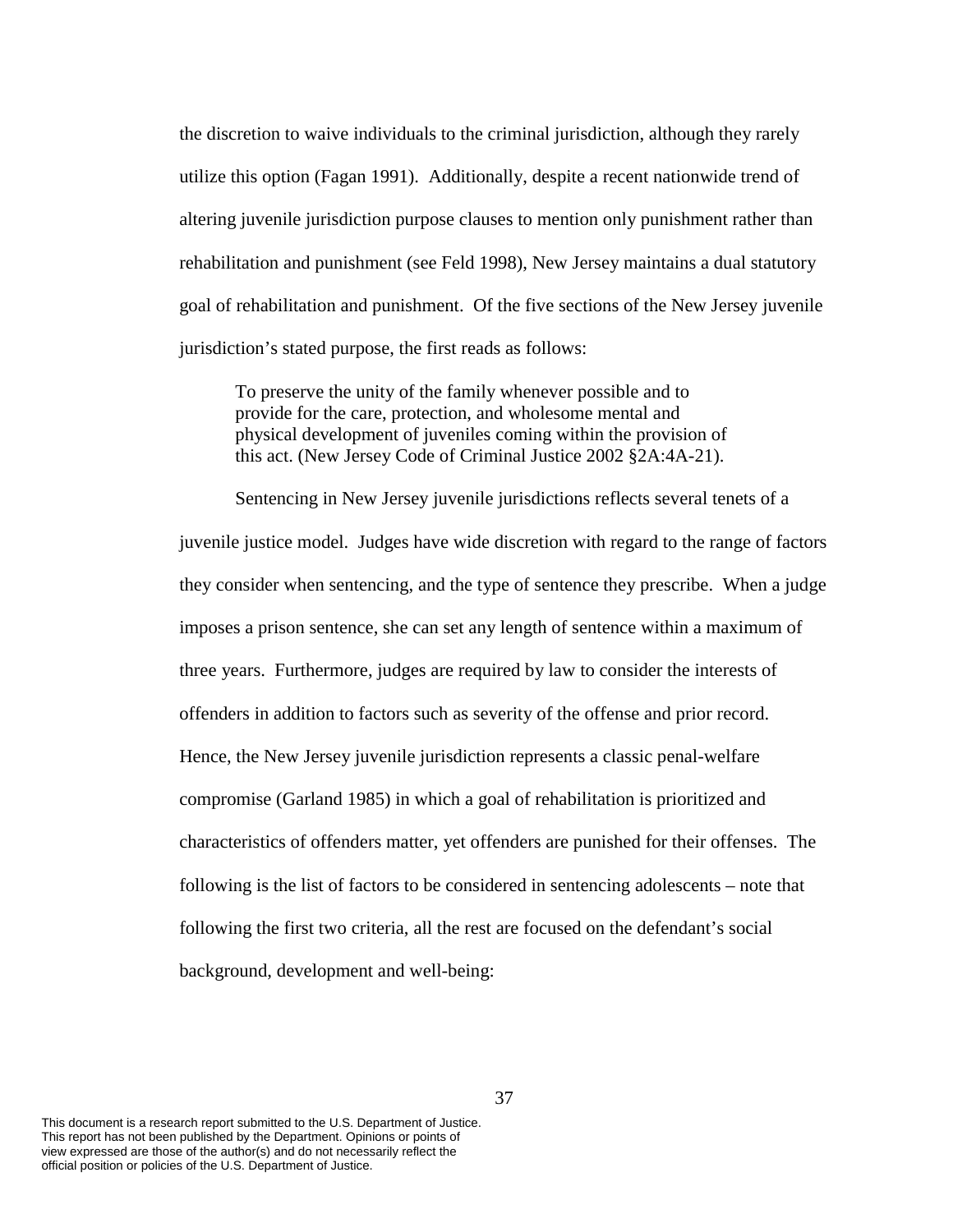the discretion to waive individuals to the criminal jurisdiction, although they rarely utilize this option (Fagan 1991). Additionally, despite a recent nationwide trend of altering juvenile jurisdiction purpose clauses to mention only punishment rather than rehabilitation and punishment (see Feld 1998), New Jersey maintains a dual statutory goal of rehabilitation and punishment. Of the five sections of the New Jersey juvenile jurisdiction's stated purpose, the first reads as follows:

To preserve the unity of the family whenever possible and to provide for the care, protection, and wholesome mental and physical development of juveniles coming within the provision of this act. (New Jersey Code of Criminal Justice 2002 §2A:4A-21).

Sentencing in New Jersey juvenile jurisdictions reflects several tenets of a juvenile justice model. Judges have wide discretion with regard to the range of factors they consider when sentencing, and the type of sentence they prescribe. When a judge imposes a prison sentence, she can set any length of sentence within a maximum of three years. Furthermore, judges are required by law to consider the interests of offenders in addition to factors such as severity of the offense and prior record. Hence, the New Jersey juvenile jurisdiction represents a classic penal-welfare compromise (Garland 1985) in which a goal of rehabilitation is prioritized and characteristics of offenders matter, yet offenders are punished for their offenses. The following is the list of factors to be considered in sentencing adolescents – note that following the first two criteria, all the rest are focused on the defendant's social background, development and well-being: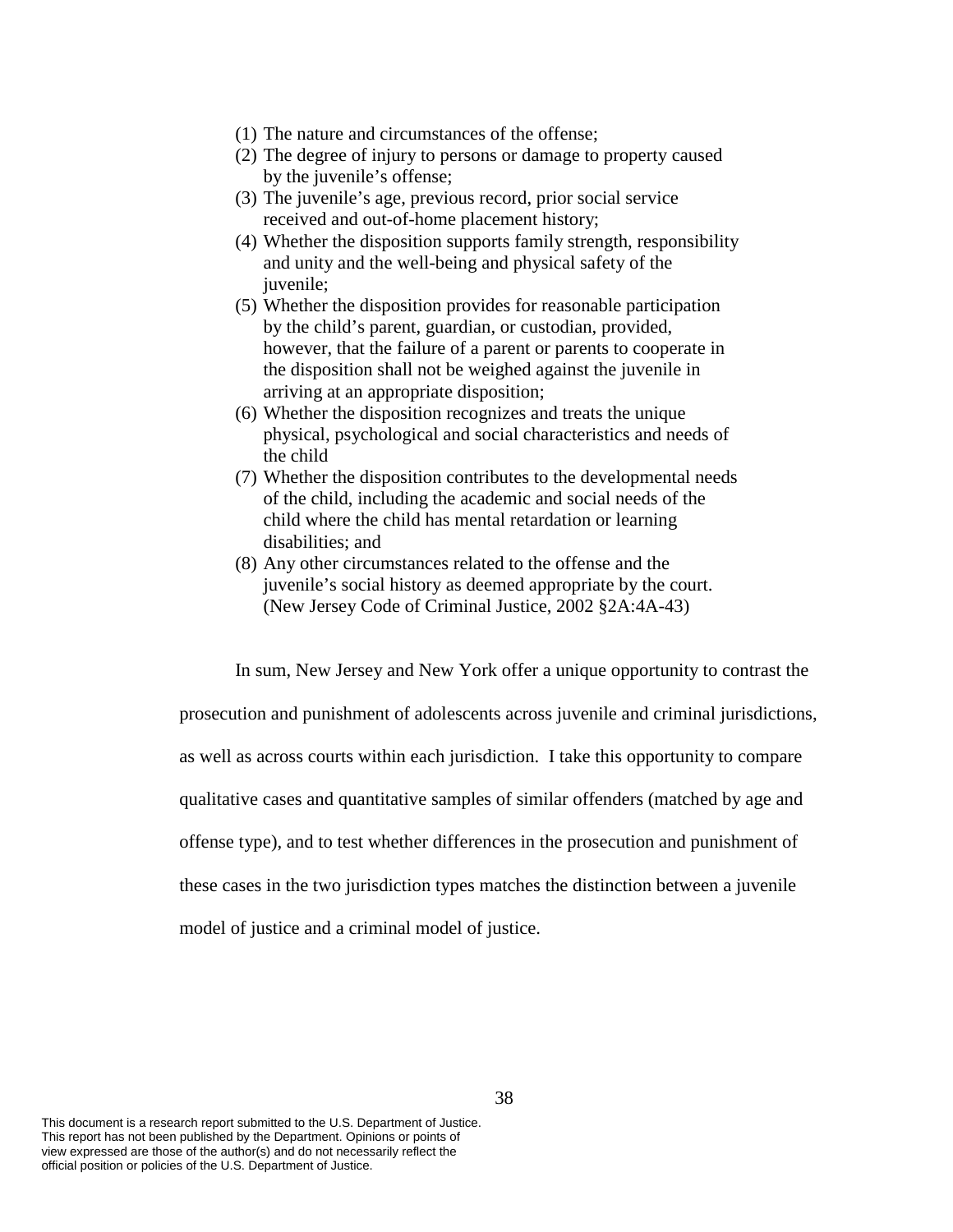- (1) The nature and circumstances of the offense;
- (2) The degree of injury to persons or damage to property caused by the juvenile's offense;
- (3) The juvenile's age, previous record, prior social service received and out-of-home placement history;
- (4) Whether the disposition supports family strength, responsibility and unity and the well-being and physical safety of the juvenile;
- (5) Whether the disposition provides for reasonable participation by the child's parent, guardian, or custodian, provided, however, that the failure of a parent or parents to cooperate in the disposition shall not be weighed against the juvenile in arriving at an appropriate disposition;
- (6) Whether the disposition recognizes and treats the unique physical, psychological and social characteristics and needs of the child
- (7) Whether the disposition contributes to the developmental needs of the child, including the academic and social needs of the child where the child has mental retardation or learning disabilities; and
- (8) Any other circumstances related to the offense and the juvenile's social history as deemed appropriate by the court. (New Jersey Code of Criminal Justice, 2002 §2A:4A-43)

In sum, New Jersey and New York offer a unique opportunity to contrast the prosecution and punishment of adolescents across juvenile and criminal jurisdictions, as well as across courts within each jurisdiction. I take this opportunity to compare qualitative cases and quantitative samples of similar offenders (matched by age and offense type), and to test whether differences in the prosecution and punishment of these cases in the two jurisdiction types matches the distinction between a juvenile model of justice and a criminal model of justice.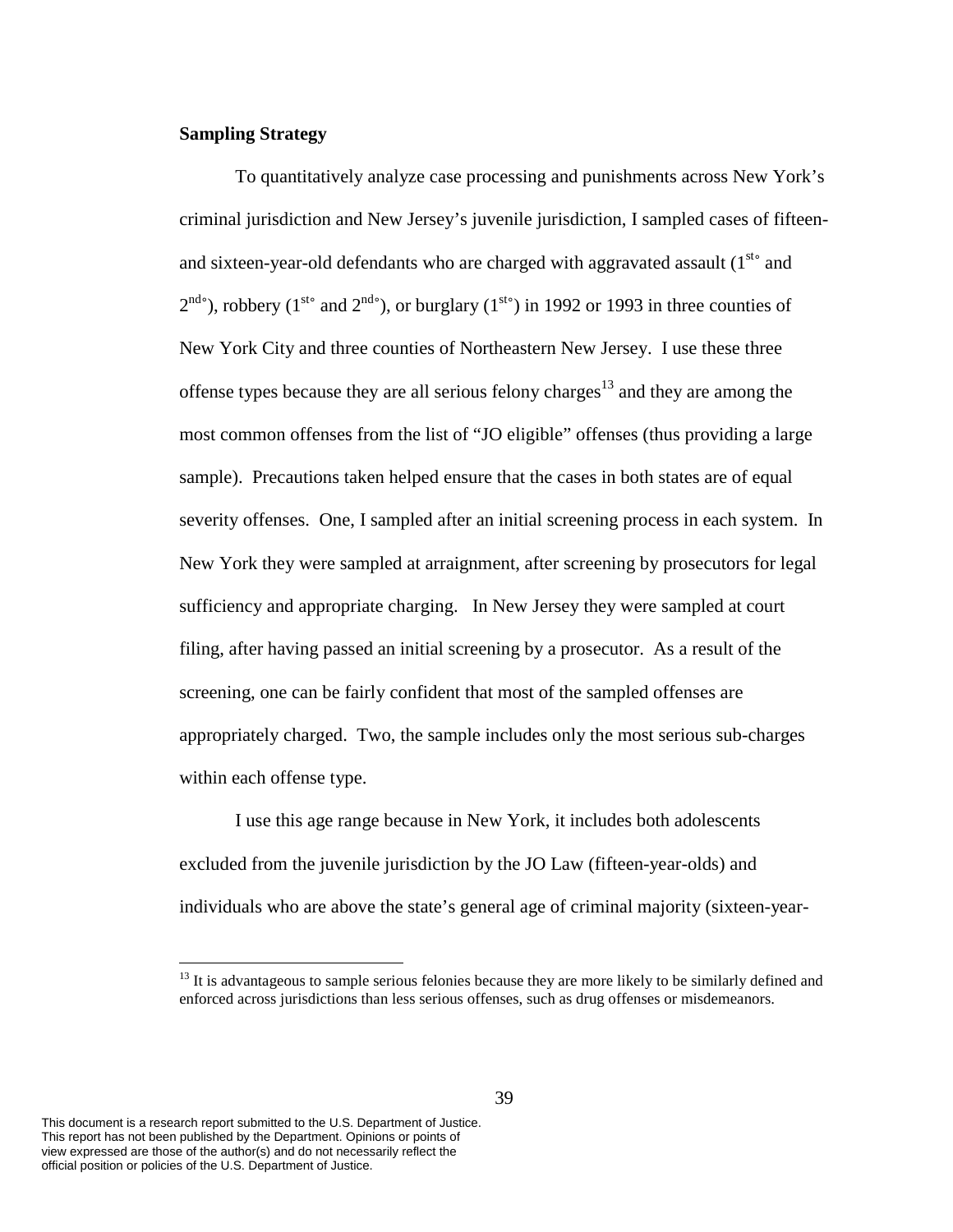### **Sampling Strategy**

To quantitatively analyze case processing and punishments across New York's criminal jurisdiction and New Jersey's juvenile jurisdiction, I sampled cases of fifteenand sixteen-year-old defendants who are charged with aggravated assault  $(1^{st} \text{ and } t)$  $2^{nd\circ}$ ), robbery (1<sup>st</sup> and  $2^{nd\circ}$ ), or burglary (1<sup>st</sup>) in 1992 or 1993 in three counties of New York City and three counties of Northeastern New Jersey. I use these three offense types because they are all serious felony charges<sup>13</sup> and they are among the most common offenses from the list of "JO eligible" offenses (thus providing a large sample). Precautions taken helped ensure that the cases in both states are of equal severity offenses. One, I sampled after an initial screening process in each system. In New York they were sampled at arraignment, after screening by prosecutors for legal sufficiency and appropriate charging. In New Jersey they were sampled at court filing, after having passed an initial screening by a prosecutor. As a result of the screening, one can be fairly confident that most of the sampled offenses are appropriately charged. Two, the sample includes only the most serious sub-charges within each offense type.

I use this age range because in New York, it includes both adolescents excluded from the juvenile jurisdiction by the JO Law (fifteen-year-olds) and individuals who are above the state's general age of criminal majority (sixteen-year-

 $13$  It is advantageous to sample serious felonies because they are more likely to be similarly defined and enforced across jurisdictions than less serious offenses, such as drug offenses or misdemeanors.

This document is a research report submitted to the U.S. Department of Justice. This report has not been published by the Department. Opinions or points of view expressed are those of the author(s) and do not necessarily reflect the official position or policies of the U.S. Department of Justice.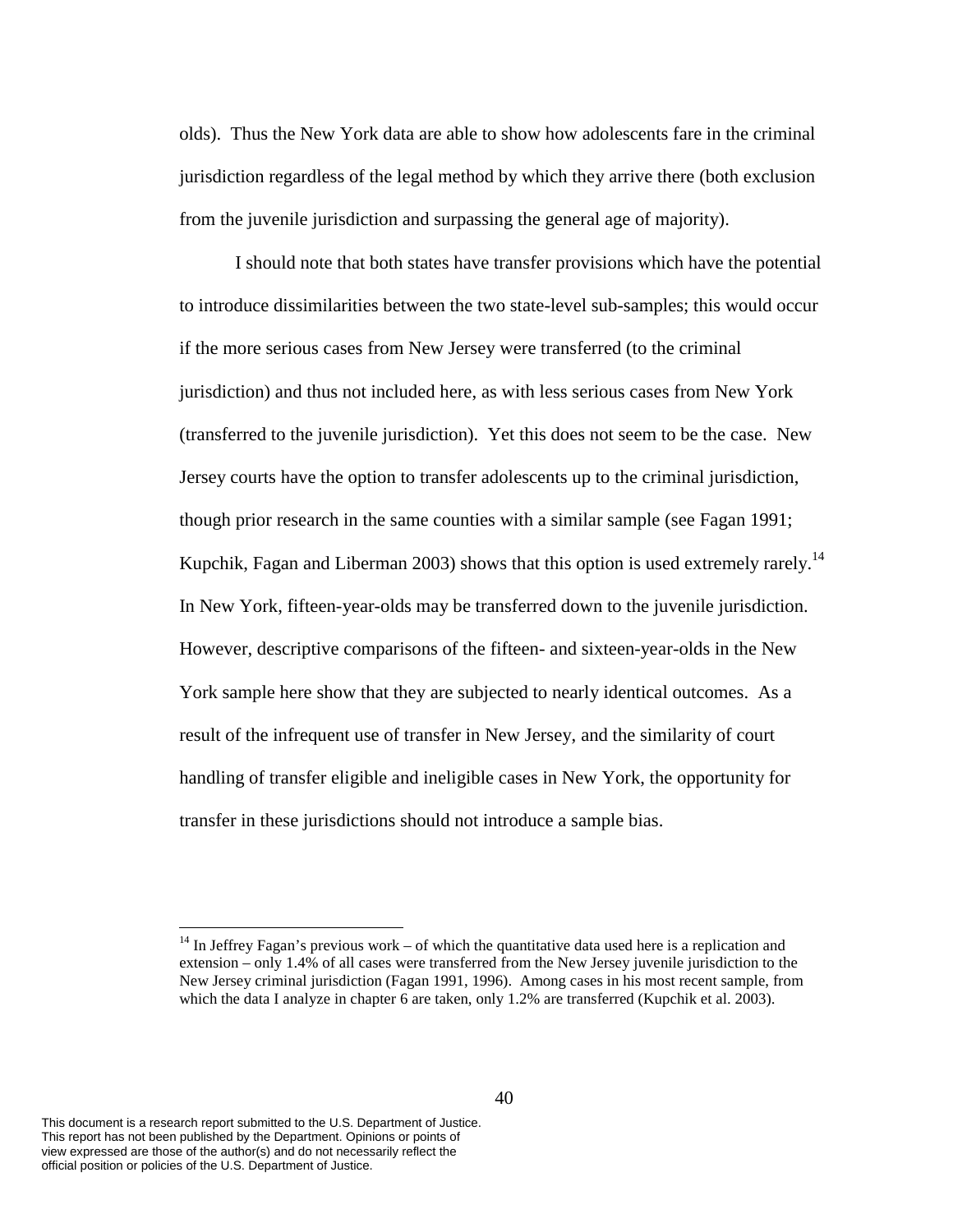olds). Thus the New York data are able to show how adolescents fare in the criminal jurisdiction regardless of the legal method by which they arrive there (both exclusion from the juvenile jurisdiction and surpassing the general age of majority).

I should note that both states have transfer provisions which have the potential to introduce dissimilarities between the two state-level sub-samples; this would occur if the more serious cases from New Jersey were transferred (to the criminal jurisdiction) and thus not included here, as with less serious cases from New York (transferred to the juvenile jurisdiction). Yet this does not seem to be the case. New Jersey courts have the option to transfer adolescents up to the criminal jurisdiction, though prior research in the same counties with a similar sample (see Fagan 1991; Kupchik, Fagan and Liberman 2003) shows that this option is used extremely rarely.<sup>14</sup> In New York, fifteen-year-olds may be transferred down to the juvenile jurisdiction. However, descriptive comparisons of the fifteen- and sixteen-year-olds in the New York sample here show that they are subjected to nearly identical outcomes. As a result of the infrequent use of transfer in New Jersey, and the similarity of court handling of transfer eligible and ineligible cases in New York, the opportunity for transfer in these jurisdictions should not introduce a sample bias.

 $14$  In Jeffrey Fagan's previous work – of which the quantitative data used here is a replication and extension – only 1.4% of all cases were transferred from the New Jersey juvenile jurisdiction to the New Jersey criminal jurisdiction (Fagan 1991, 1996). Among cases in his most recent sample, from which the data I analyze in chapter 6 are taken, only 1.2% are transferred (Kupchik et al. 2003).

This document is a research report submitted to the U.S. Department of Justice. This report has not been published by the Department. Opinions or points of view expressed are those of the author(s) and do not necessarily reflect the official position or policies of the U.S. Department of Justice.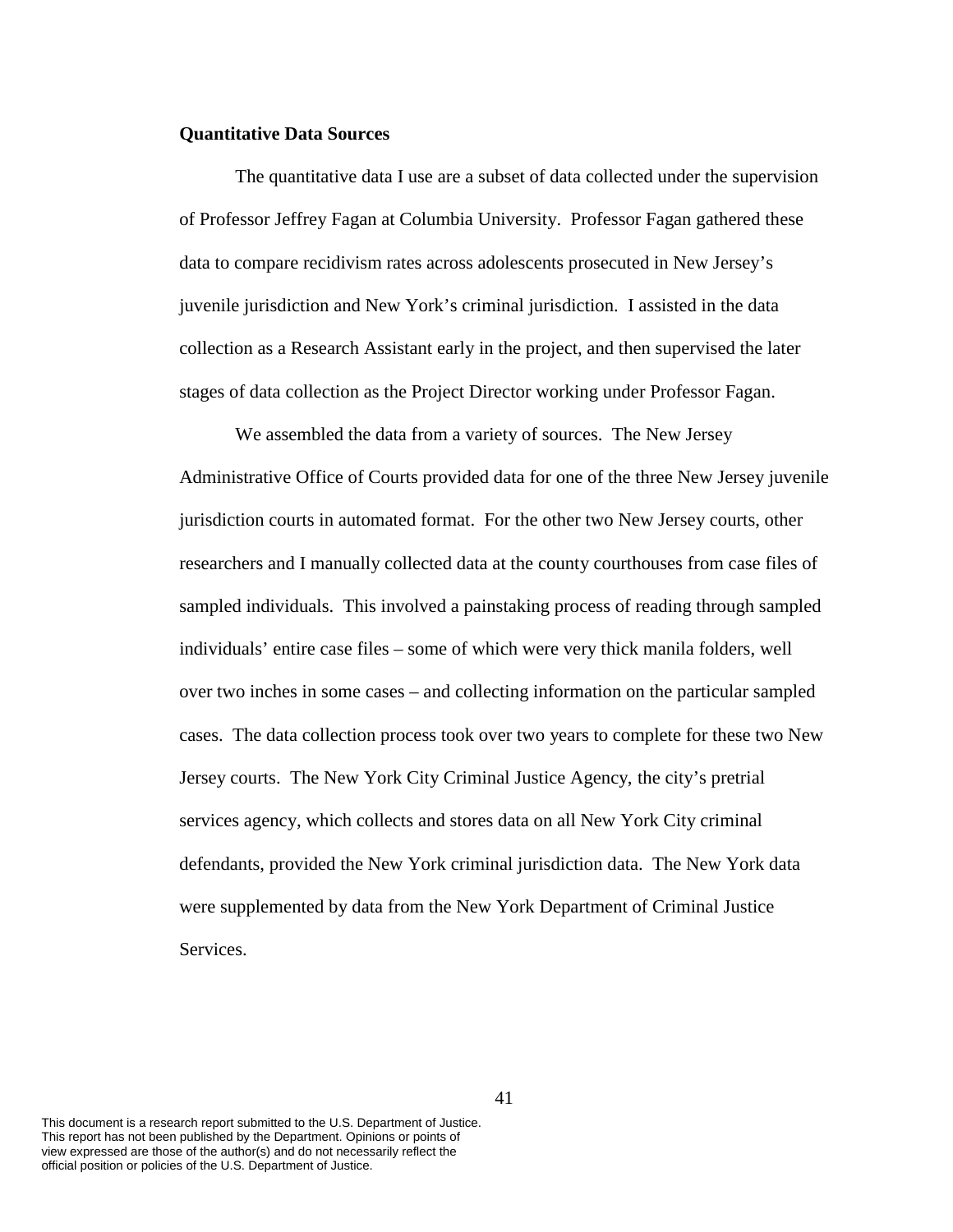### **Quantitative Data Sources**

The quantitative data I use are a subset of data collected under the supervision of Professor Jeffrey Fagan at Columbia University. Professor Fagan gathered these data to compare recidivism rates across adolescents prosecuted in New Jersey's juvenile jurisdiction and New York's criminal jurisdiction. I assisted in the data collection as a Research Assistant early in the project, and then supervised the later stages of data collection as the Project Director working under Professor Fagan.

We assembled the data from a variety of sources. The New Jersey Administrative Office of Courts provided data for one of the three New Jersey juvenile jurisdiction courts in automated format. For the other two New Jersey courts, other researchers and I manually collected data at the county courthouses from case files of sampled individuals. This involved a painstaking process of reading through sampled individuals' entire case files – some of which were very thick manila folders, well over two inches in some cases – and collecting information on the particular sampled cases. The data collection process took over two years to complete for these two New Jersey courts. The New York City Criminal Justice Agency, the city's pretrial services agency, which collects and stores data on all New York City criminal defendants, provided the New York criminal jurisdiction data. The New York data were supplemented by data from the New York Department of Criminal Justice Services.

This document is a research report submitted to the U.S. Department of Justice. This report has not been published by the Department. Opinions or points of view expressed are those of the author(s) and do not necessarily reflect the official position or policies of the U.S. Department of Justice.

41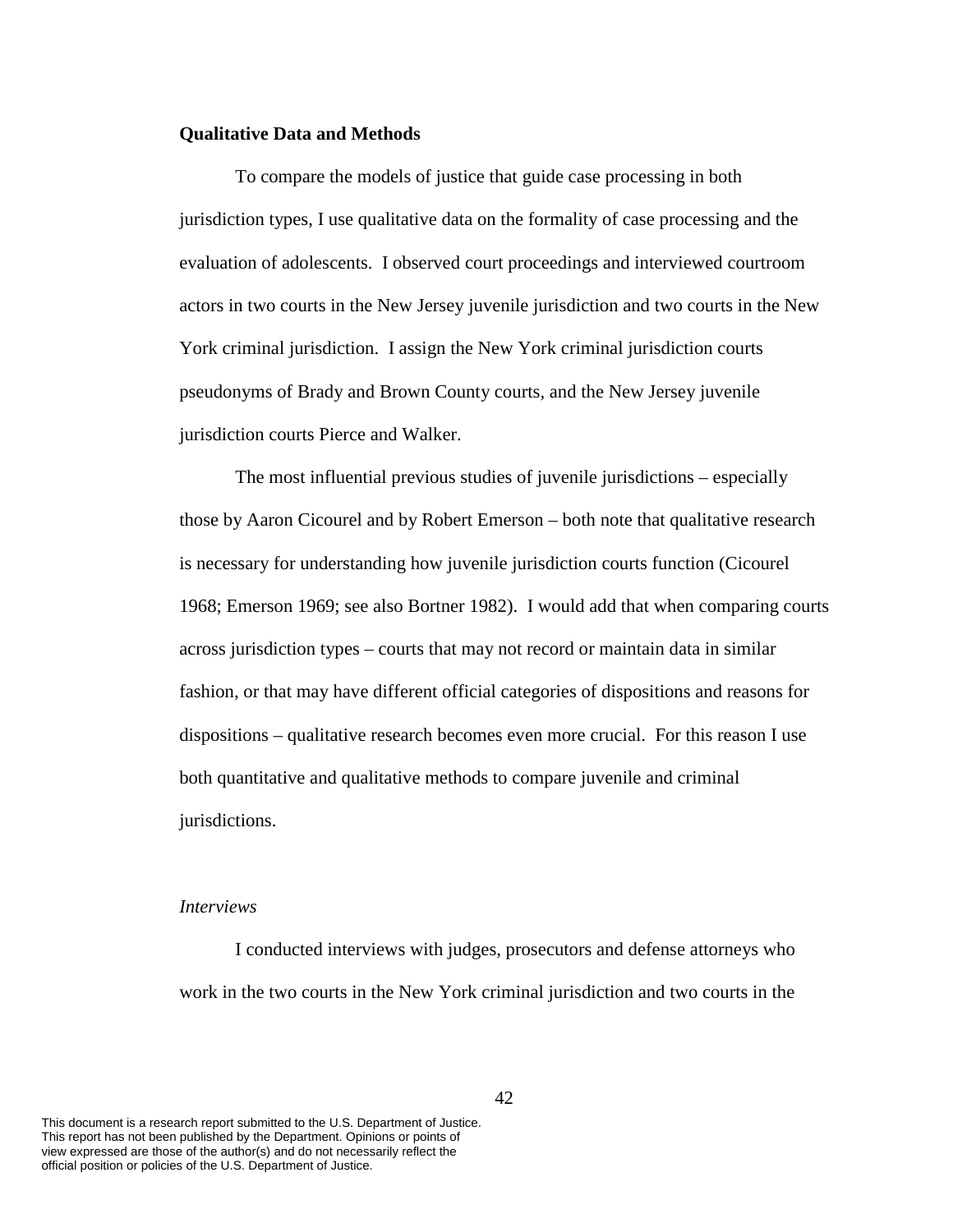### **Qualitative Data and Methods**

To compare the models of justice that guide case processing in both jurisdiction types, I use qualitative data on the formality of case processing and the evaluation of adolescents. I observed court proceedings and interviewed courtroom actors in two courts in the New Jersey juvenile jurisdiction and two courts in the New York criminal jurisdiction. I assign the New York criminal jurisdiction courts pseudonyms of Brady and Brown County courts, and the New Jersey juvenile jurisdiction courts Pierce and Walker.

The most influential previous studies of juvenile jurisdictions – especially those by Aaron Cicourel and by Robert Emerson – both note that qualitative research is necessary for understanding how juvenile jurisdiction courts function (Cicourel 1968; Emerson 1969; see also Bortner 1982). I would add that when comparing courts across jurisdiction types – courts that may not record or maintain data in similar fashion, or that may have different official categories of dispositions and reasons for dispositions – qualitative research becomes even more crucial. For this reason I use both quantitative and qualitative methods to compare juvenile and criminal jurisdictions.

#### *Interviews*

I conducted interviews with judges, prosecutors and defense attorneys who work in the two courts in the New York criminal jurisdiction and two courts in the

This document is a research report submitted to the U.S. Department of Justice. This report has not been published by the Department. Opinions or points of view expressed are those of the author(s) and do not necessarily reflect the official position or policies of the U.S. Department of Justice.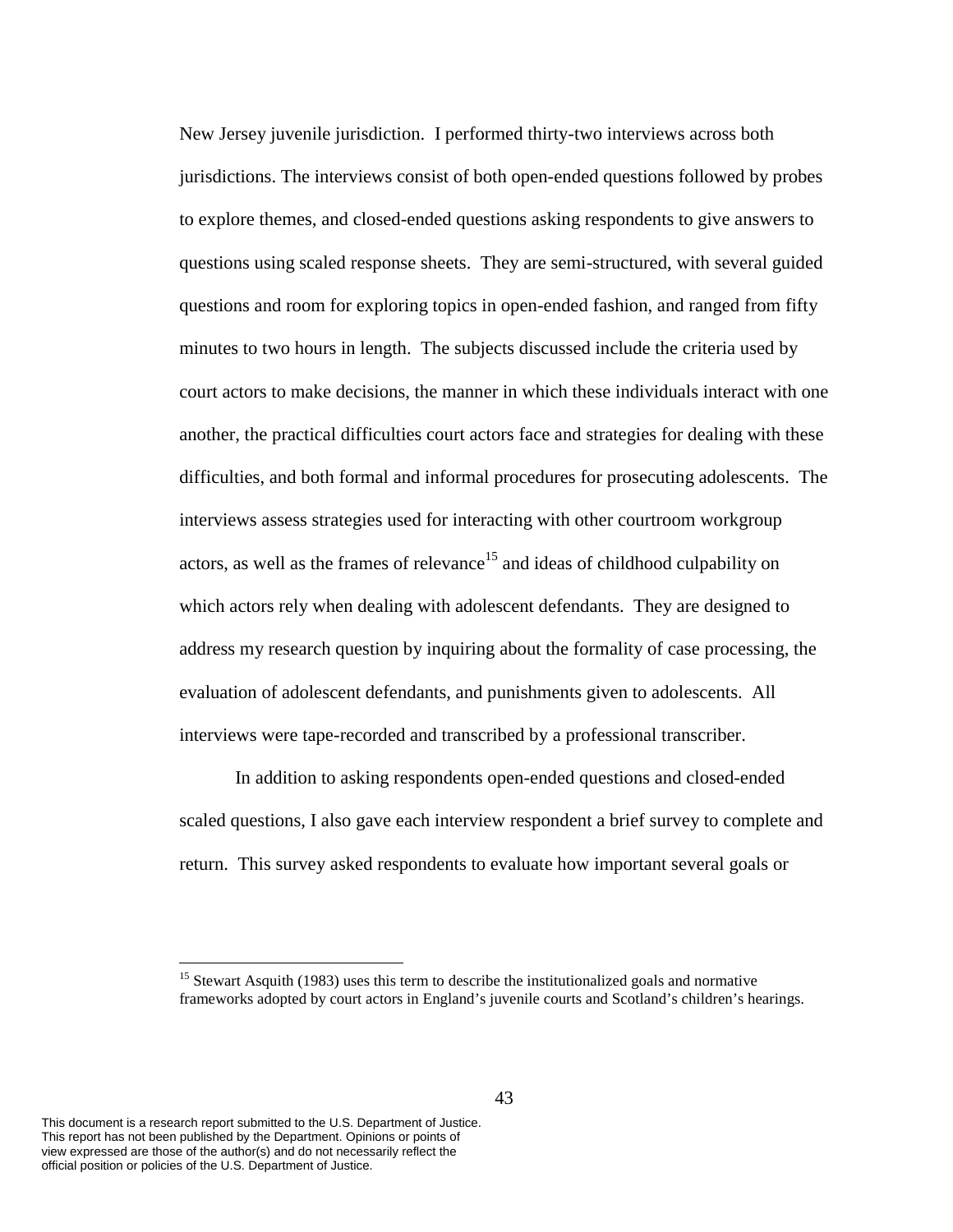New Jersey juvenile jurisdiction. I performed thirty-two interviews across both jurisdictions. The interviews consist of both open-ended questions followed by probes to explore themes, and closed-ended questions asking respondents to give answers to questions using scaled response sheets. They are semi-structured, with several guided questions and room for exploring topics in open-ended fashion, and ranged from fifty minutes to two hours in length. The subjects discussed include the criteria used by court actors to make decisions, the manner in which these individuals interact with one another, the practical difficulties court actors face and strategies for dealing with these difficulties, and both formal and informal procedures for prosecuting adolescents. The interviews assess strategies used for interacting with other courtroom workgroup actors, as well as the frames of relevance<sup>15</sup> and ideas of childhood culpability on which actors rely when dealing with adolescent defendants. They are designed to address my research question by inquiring about the formality of case processing, the evaluation of adolescent defendants, and punishments given to adolescents. All interviews were tape-recorded and transcribed by a professional transcriber.

In addition to asking respondents open-ended questions and closed-ended scaled questions, I also gave each interview respondent a brief survey to complete and return. This survey asked respondents to evaluate how important several goals or

<sup>&</sup>lt;sup>15</sup> Stewart Asquith (1983) uses this term to describe the institutionalized goals and normative frameworks adopted by court actors in England's juvenile courts and Scotland's children's hearings.

This document is a research report submitted to the U.S. Department of Justice. This report has not been published by the Department. Opinions or points of view expressed are those of the author(s) and do not necessarily reflect the official position or policies of the U.S. Department of Justice.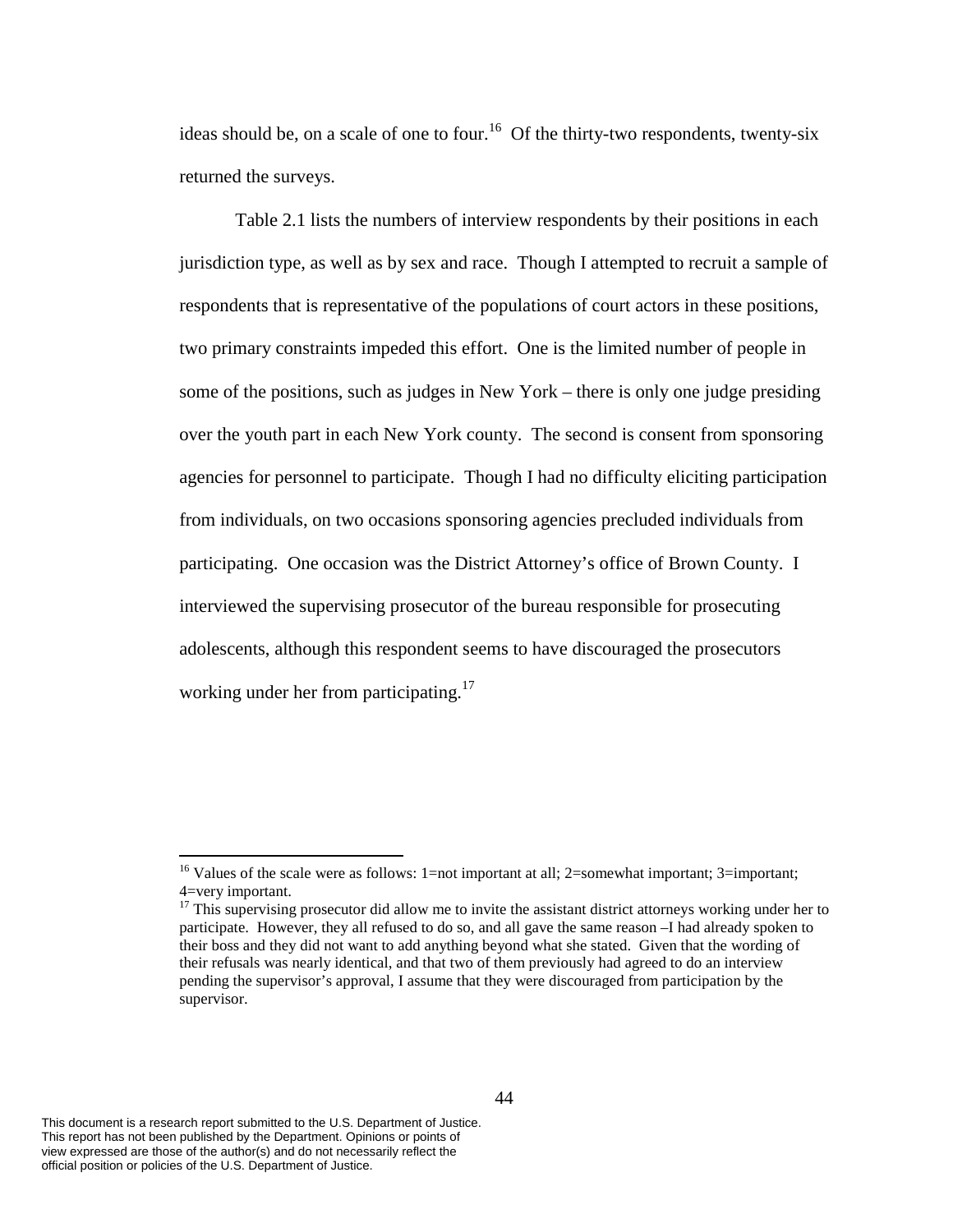ideas should be, on a scale of one to four.<sup>16</sup> Of the thirty-two respondents, twenty-six returned the surveys.

Table 2.1 lists the numbers of interview respondents by their positions in each jurisdiction type, as well as by sex and race. Though I attempted to recruit a sample of respondents that is representative of the populations of court actors in these positions, two primary constraints impeded this effort. One is the limited number of people in some of the positions, such as judges in New York – there is only one judge presiding over the youth part in each New York county. The second is consent from sponsoring agencies for personnel to participate. Though I had no difficulty eliciting participation from individuals, on two occasions sponsoring agencies precluded individuals from participating. One occasion was the District Attorney's office of Brown County. I interviewed the supervising prosecutor of the bureau responsible for prosecuting adolescents, although this respondent seems to have discouraged the prosecutors working under her from participating.<sup>17</sup>

<sup>&</sup>lt;sup>16</sup> Values of the scale were as follows: 1=not important at all; 2=somewhat important; 3=important; 4=very important.

<sup>&</sup>lt;sup>17</sup> This supervising prosecutor did allow me to invite the assistant district attorneys working under her to participate. However, they all refused to do so, and all gave the same reason –I had already spoken to their boss and they did not want to add anything beyond what she stated. Given that the wording of their refusals was nearly identical, and that two of them previously had agreed to do an interview pending the supervisor's approval, I assume that they were discouraged from participation by the supervisor.

This document is a research report submitted to the U.S. Department of Justice. This report has not been published by the Department. Opinions or points of view expressed are those of the author(s) and do not necessarily reflect the official position or policies of the U.S. Department of Justice.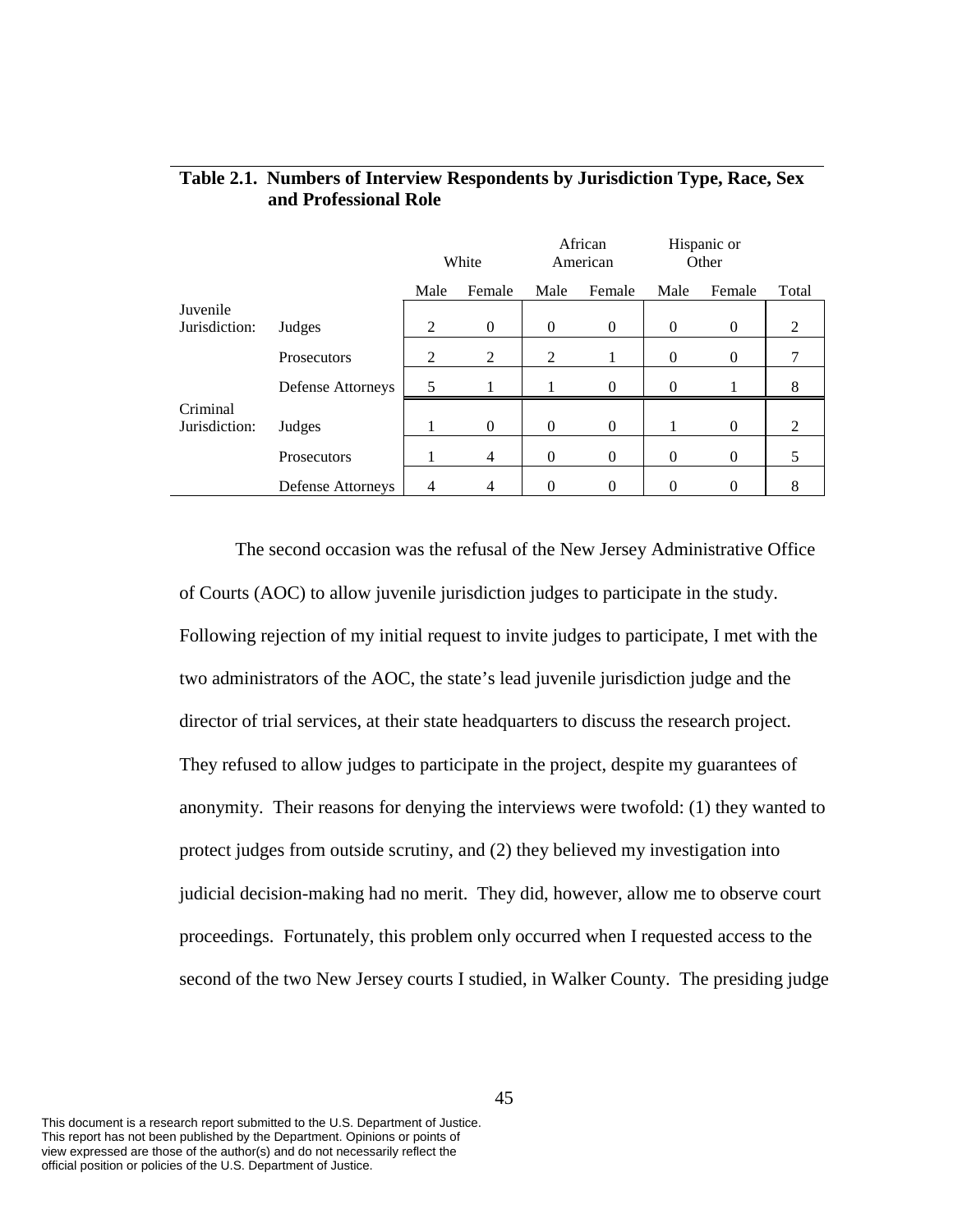|                           |                   | White          |                | African<br>American |          | Hispanic or<br>Other |          |       |
|---------------------------|-------------------|----------------|----------------|---------------------|----------|----------------------|----------|-------|
|                           |                   | Male           | Female         | Male                | Female   | Male                 | Female   | Total |
| Juvenile<br>Jurisdiction: | Judges            | 2              | $\theta$       | $\theta$            | $\theta$ | $\theta$             | $\theta$ | 2     |
| Criminal<br>Jurisdiction: | Prosecutors       | $\overline{2}$ | 2              | $\overline{2}$      |          | $\Omega$             | $\theta$ |       |
|                           | Defense Attorneys | 5              |                |                     | 0        |                      |          | 8     |
|                           | Judges            |                | $\theta$       | $\theta$            | $\theta$ |                      | $\theta$ | 2     |
|                           | Prosecutors       |                | $\overline{4}$ | $\theta$            | $\theta$ | $\theta$             | $\theta$ | 5     |
|                           | Defense Attorneys | 4              | 4              | 0                   |          |                      |          | 8     |

## **Table 2.1. Numbers of Interview Respondents by Jurisdiction Type, Race, Sex and Professional Role**

The second occasion was the refusal of the New Jersey Administrative Office of Courts (AOC) to allow juvenile jurisdiction judges to participate in the study. Following rejection of my initial request to invite judges to participate, I met with the two administrators of the AOC, the state's lead juvenile jurisdiction judge and the director of trial services, at their state headquarters to discuss the research project. They refused to allow judges to participate in the project, despite my guarantees of anonymity. Their reasons for denying the interviews were twofold: (1) they wanted to protect judges from outside scrutiny, and (2) they believed my investigation into judicial decision-making had no merit. They did, however, allow me to observe court proceedings. Fortunately, this problem only occurred when I requested access to the second of the two New Jersey courts I studied, in Walker County. The presiding judge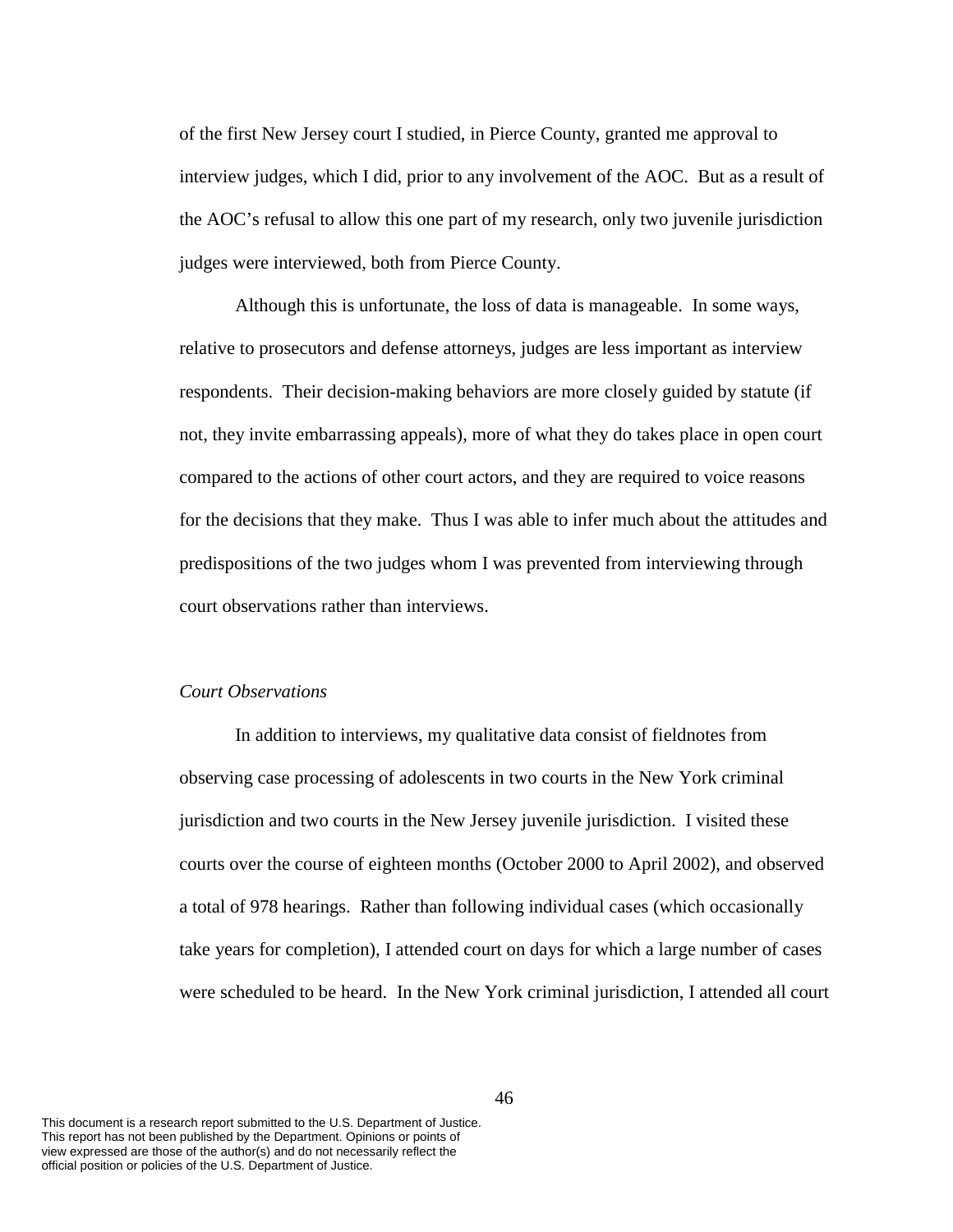of the first New Jersey court I studied, in Pierce County, granted me approval to interview judges, which I did, prior to any involvement of the AOC. But as a result of the AOC's refusal to allow this one part of my research, only two juvenile jurisdiction judges were interviewed, both from Pierce County.

Although this is unfortunate, the loss of data is manageable. In some ways, relative to prosecutors and defense attorneys, judges are less important as interview respondents. Their decision-making behaviors are more closely guided by statute (if not, they invite embarrassing appeals), more of what they do takes place in open court compared to the actions of other court actors, and they are required to voice reasons for the decisions that they make. Thus I was able to infer much about the attitudes and predispositions of the two judges whom I was prevented from interviewing through court observations rather than interviews.

### *Court Observations*

In addition to interviews, my qualitative data consist of fieldnotes from observing case processing of adolescents in two courts in the New York criminal jurisdiction and two courts in the New Jersey juvenile jurisdiction. I visited these courts over the course of eighteen months (October 2000 to April 2002), and observed a total of 978 hearings. Rather than following individual cases (which occasionally take years for completion), I attended court on days for which a large number of cases were scheduled to be heard. In the New York criminal jurisdiction, I attended all court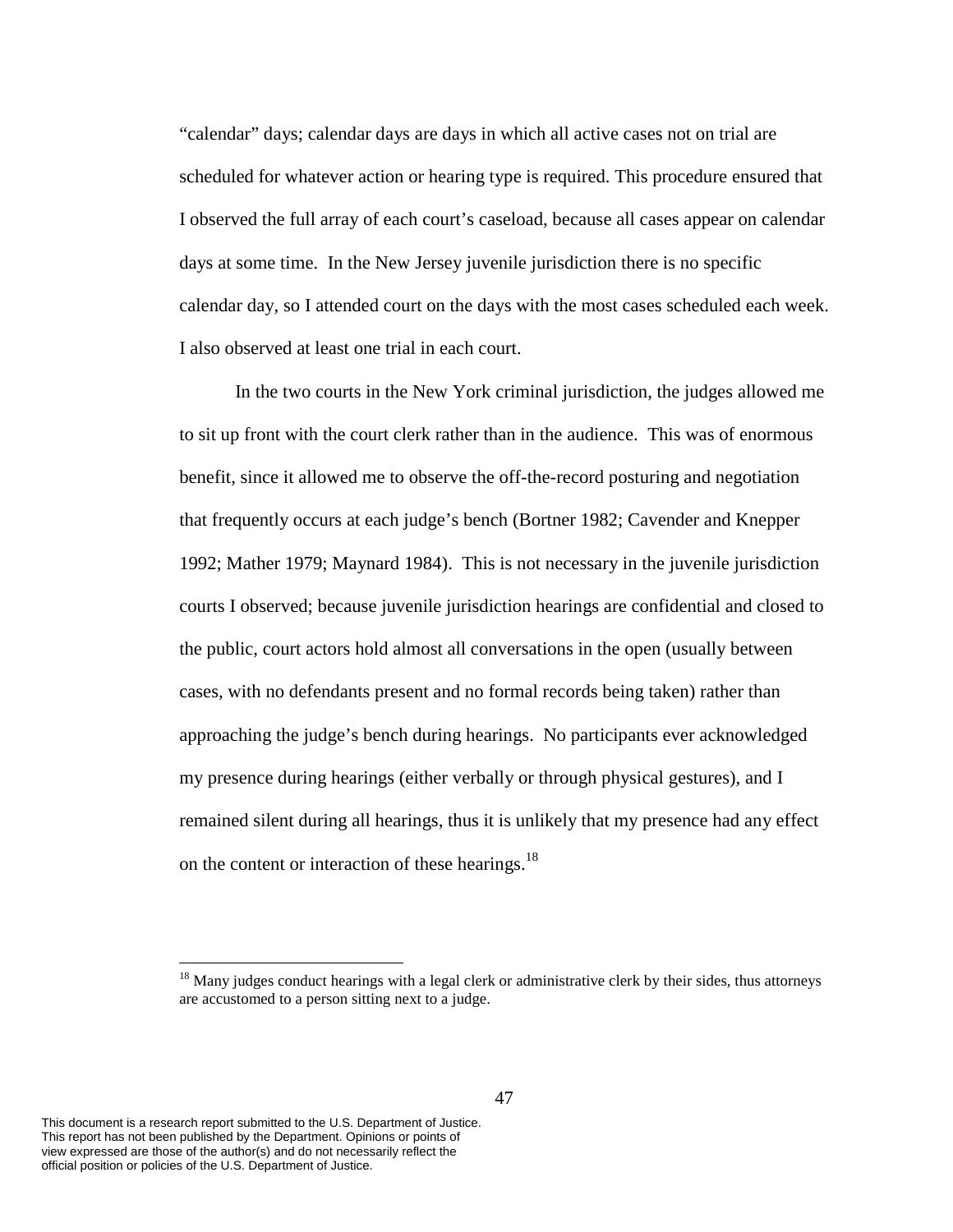"calendar" days; calendar days are days in which all active cases not on trial are scheduled for whatever action or hearing type is required. This procedure ensured that I observed the full array of each court's caseload, because all cases appear on calendar days at some time. In the New Jersey juvenile jurisdiction there is no specific calendar day, so I attended court on the days with the most cases scheduled each week. I also observed at least one trial in each court.

In the two courts in the New York criminal jurisdiction, the judges allowed me to sit up front with the court clerk rather than in the audience. This was of enormous benefit, since it allowed me to observe the off-the-record posturing and negotiation that frequently occurs at each judge's bench (Bortner 1982; Cavender and Knepper 1992; Mather 1979; Maynard 1984). This is not necessary in the juvenile jurisdiction courts I observed; because juvenile jurisdiction hearings are confidential and closed to the public, court actors hold almost all conversations in the open (usually between cases, with no defendants present and no formal records being taken) rather than approaching the judge's bench during hearings. No participants ever acknowledged my presence during hearings (either verbally or through physical gestures), and I remained silent during all hearings, thus it is unlikely that my presence had any effect on the content or interaction of these hearings.<sup>18</sup>

This document is a research report submitted to the U.S. Department of Justice. This report has not been published by the Department. Opinions or points of view expressed are those of the author(s) and do not necessarily reflect the official position or policies of the U.S. Department of Justice.

 $18$  Many judges conduct hearings with a legal clerk or administrative clerk by their sides, thus attorneys are accustomed to a person sitting next to a judge.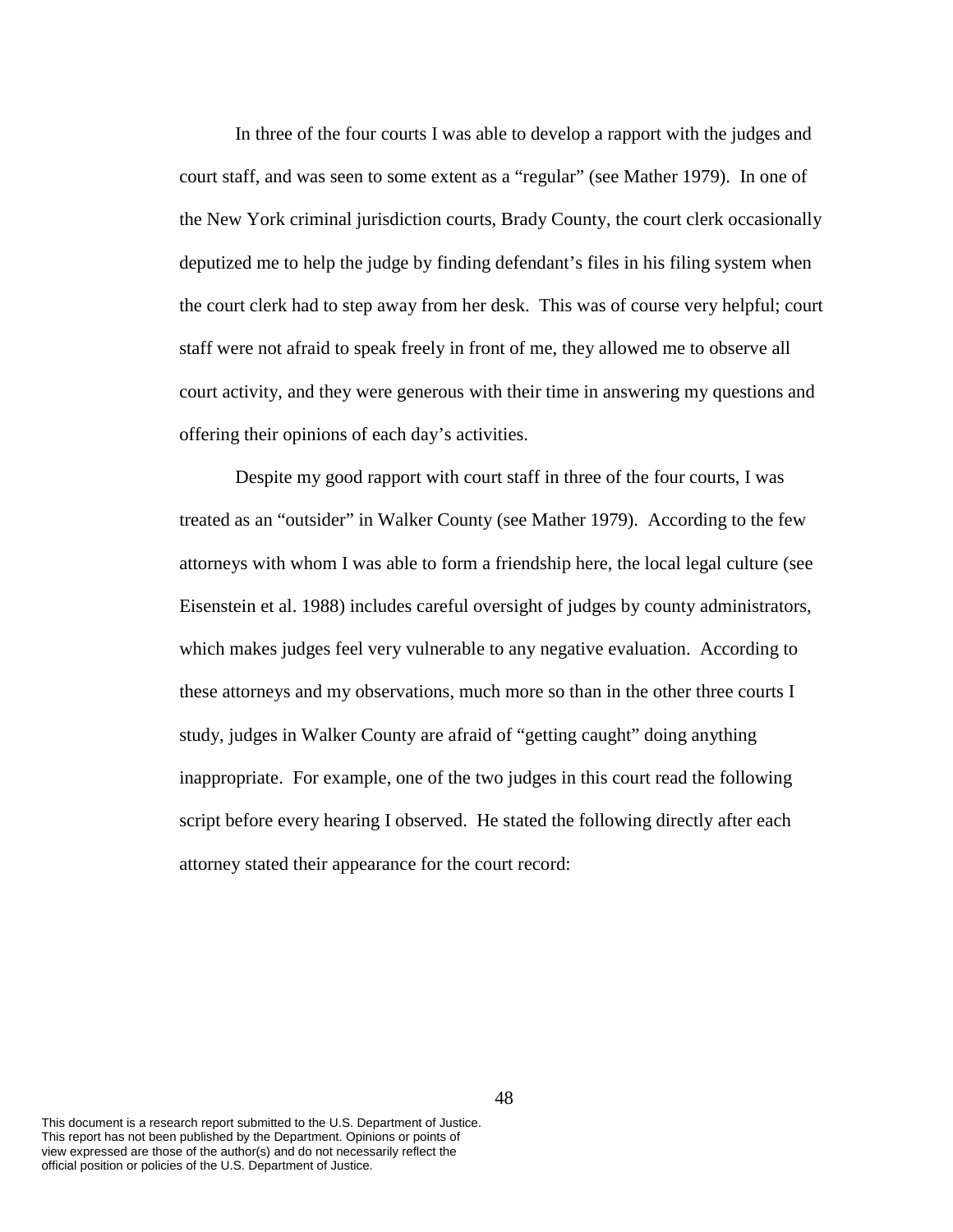In three of the four courts I was able to develop a rapport with the judges and court staff, and was seen to some extent as a "regular" (see Mather 1979). In one of the New York criminal jurisdiction courts, Brady County, the court clerk occasionally deputized me to help the judge by finding defendant's files in his filing system when the court clerk had to step away from her desk. This was of course very helpful; court staff were not afraid to speak freely in front of me, they allowed me to observe all court activity, and they were generous with their time in answering my questions and offering their opinions of each day's activities.

Despite my good rapport with court staff in three of the four courts, I was treated as an "outsider" in Walker County (see Mather 1979). According to the few attorneys with whom I was able to form a friendship here, the local legal culture (see Eisenstein et al. 1988) includes careful oversight of judges by county administrators, which makes judges feel very vulnerable to any negative evaluation. According to these attorneys and my observations, much more so than in the other three courts I study, judges in Walker County are afraid of "getting caught" doing anything inappropriate. For example, one of the two judges in this court read the following script before every hearing I observed. He stated the following directly after each attorney stated their appearance for the court record:

This document is a research report submitted to the U.S. Department of Justice. This report has not been published by the Department. Opinions or points of view expressed are those of the author(s) and do not necessarily reflect the official position or policies of the U.S. Department of Justice.

48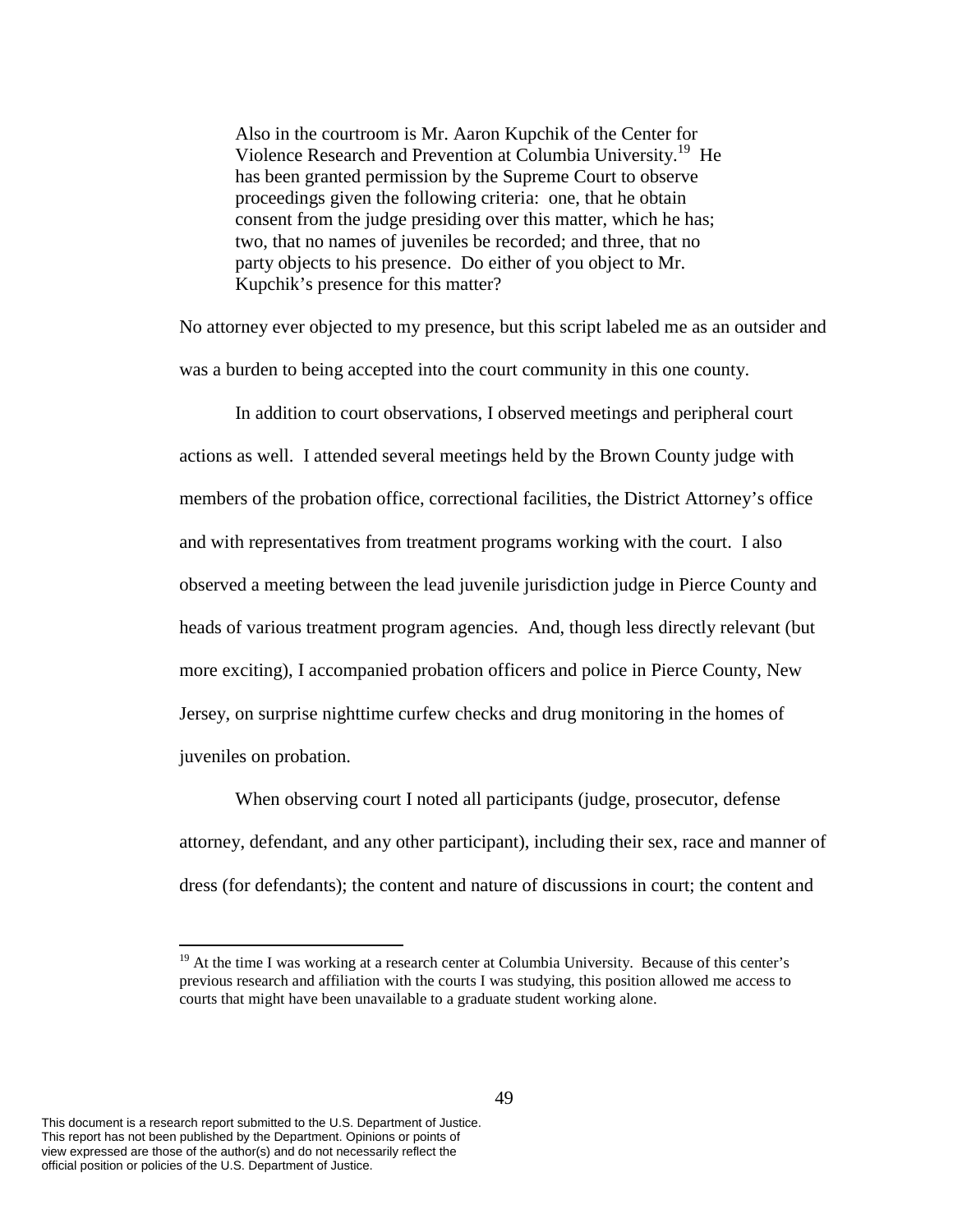Also in the courtroom is Mr. Aaron Kupchik of the Center for Violence Research and Prevention at Columbia University.19 He has been granted permission by the Supreme Court to observe proceedings given the following criteria: one, that he obtain consent from the judge presiding over this matter, which he has; two, that no names of juveniles be recorded; and three, that no party objects to his presence. Do either of you object to Mr. Kupchik's presence for this matter?

No attorney ever objected to my presence, but this script labeled me as an outsider and was a burden to being accepted into the court community in this one county.

In addition to court observations, I observed meetings and peripheral court actions as well. I attended several meetings held by the Brown County judge with members of the probation office, correctional facilities, the District Attorney's office and with representatives from treatment programs working with the court. I also observed a meeting between the lead juvenile jurisdiction judge in Pierce County and heads of various treatment program agencies. And, though less directly relevant (but more exciting), I accompanied probation officers and police in Pierce County, New Jersey, on surprise nighttime curfew checks and drug monitoring in the homes of juveniles on probation.

When observing court I noted all participants (judge, prosecutor, defense attorney, defendant, and any other participant), including their sex, race and manner of dress (for defendants); the content and nature of discussions in court; the content and

 $19$  At the time I was working at a research center at Columbia University. Because of this center's previous research and affiliation with the courts I was studying, this position allowed me access to courts that might have been unavailable to a graduate student working alone.

This document is a research report submitted to the U.S. Department of Justice. This report has not been published by the Department. Opinions or points of view expressed are those of the author(s) and do not necessarily reflect the official position or policies of the U.S. Department of Justice.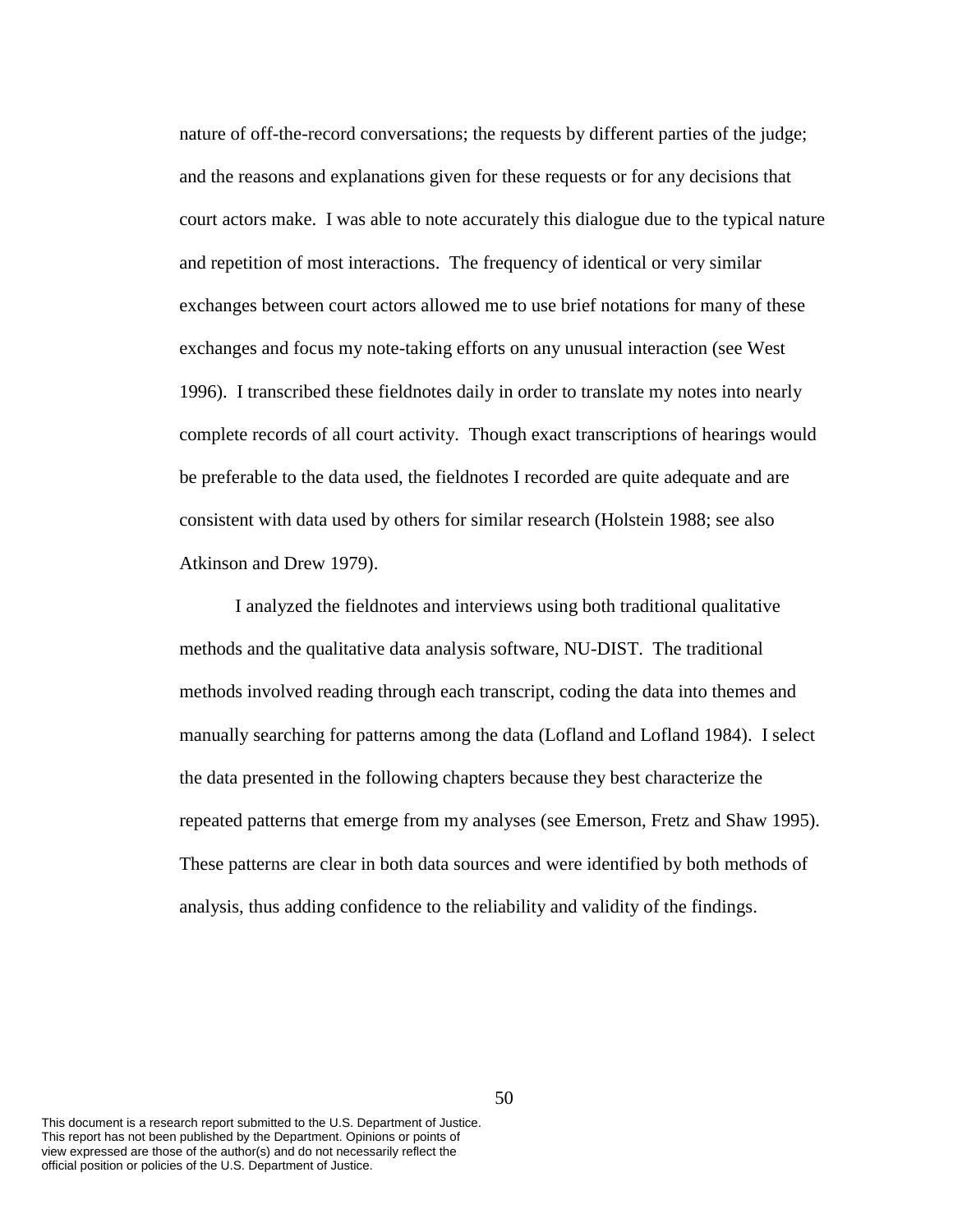nature of off-the-record conversations; the requests by different parties of the judge; and the reasons and explanations given for these requests or for any decisions that court actors make. I was able to note accurately this dialogue due to the typical nature and repetition of most interactions. The frequency of identical or very similar exchanges between court actors allowed me to use brief notations for many of these exchanges and focus my note-taking efforts on any unusual interaction (see West 1996). I transcribed these fieldnotes daily in order to translate my notes into nearly complete records of all court activity. Though exact transcriptions of hearings would be preferable to the data used, the fieldnotes I recorded are quite adequate and are consistent with data used by others for similar research (Holstein 1988; see also Atkinson and Drew 1979).

I analyzed the fieldnotes and interviews using both traditional qualitative methods and the qualitative data analysis software, NU-DIST. The traditional methods involved reading through each transcript, coding the data into themes and manually searching for patterns among the data (Lofland and Lofland 1984). I select the data presented in the following chapters because they best characterize the repeated patterns that emerge from my analyses (see Emerson, Fretz and Shaw 1995). These patterns are clear in both data sources and were identified by both methods of analysis, thus adding confidence to the reliability and validity of the findings.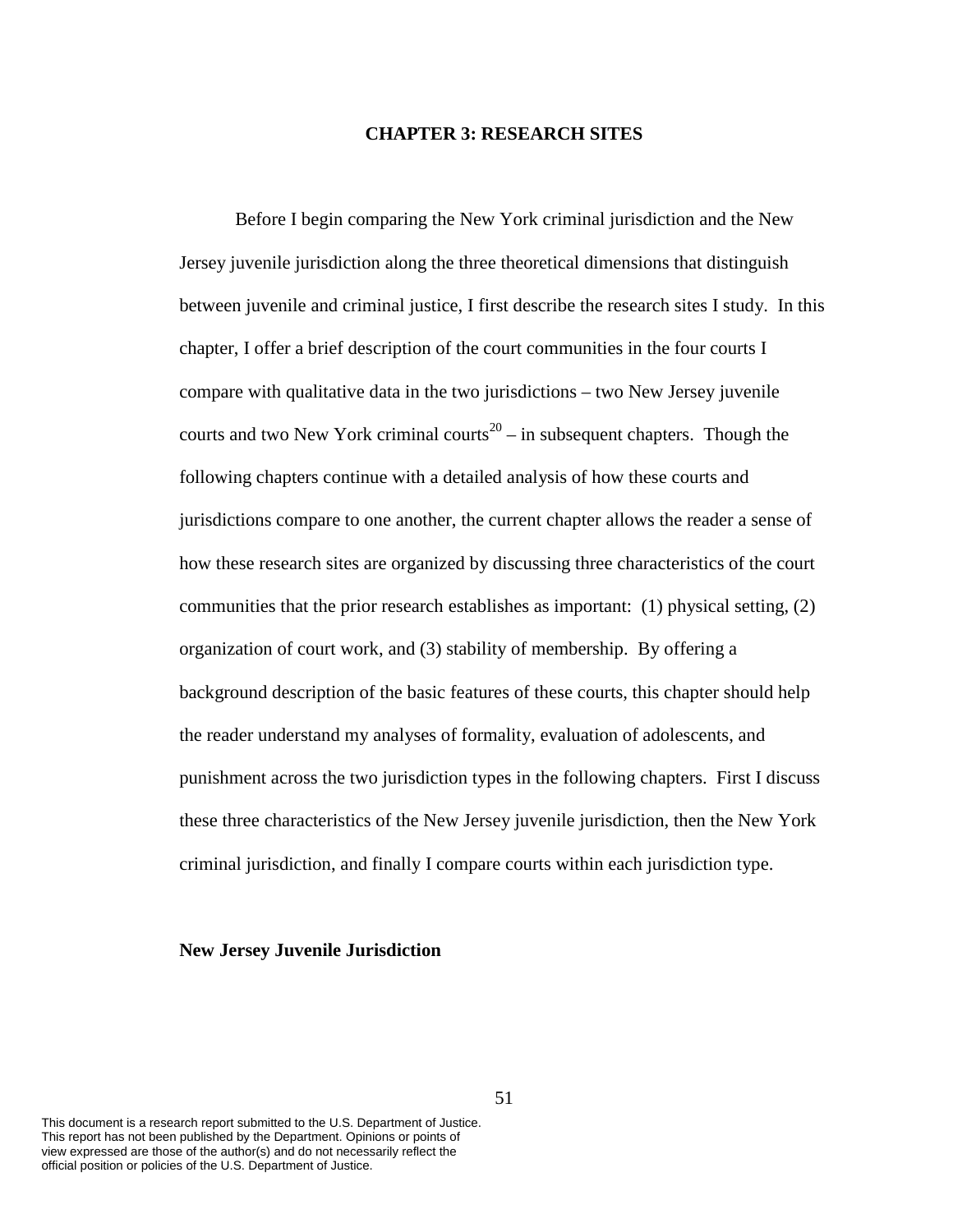### **CHAPTER 3: RESEARCH SITES**

Before I begin comparing the New York criminal jurisdiction and the New Jersey juvenile jurisdiction along the three theoretical dimensions that distinguish between juvenile and criminal justice, I first describe the research sites I study. In this chapter, I offer a brief description of the court communities in the four courts I compare with qualitative data in the two jurisdictions – two New Jersey juvenile courts and two New York criminal courts<sup>20</sup> – in subsequent chapters. Though the following chapters continue with a detailed analysis of how these courts and jurisdictions compare to one another, the current chapter allows the reader a sense of how these research sites are organized by discussing three characteristics of the court communities that the prior research establishes as important: (1) physical setting, (2) organization of court work, and (3) stability of membership. By offering a background description of the basic features of these courts, this chapter should help the reader understand my analyses of formality, evaluation of adolescents, and punishment across the two jurisdiction types in the following chapters. First I discuss these three characteristics of the New Jersey juvenile jurisdiction, then the New York criminal jurisdiction, and finally I compare courts within each jurisdiction type.

### **New Jersey Juvenile Jurisdiction**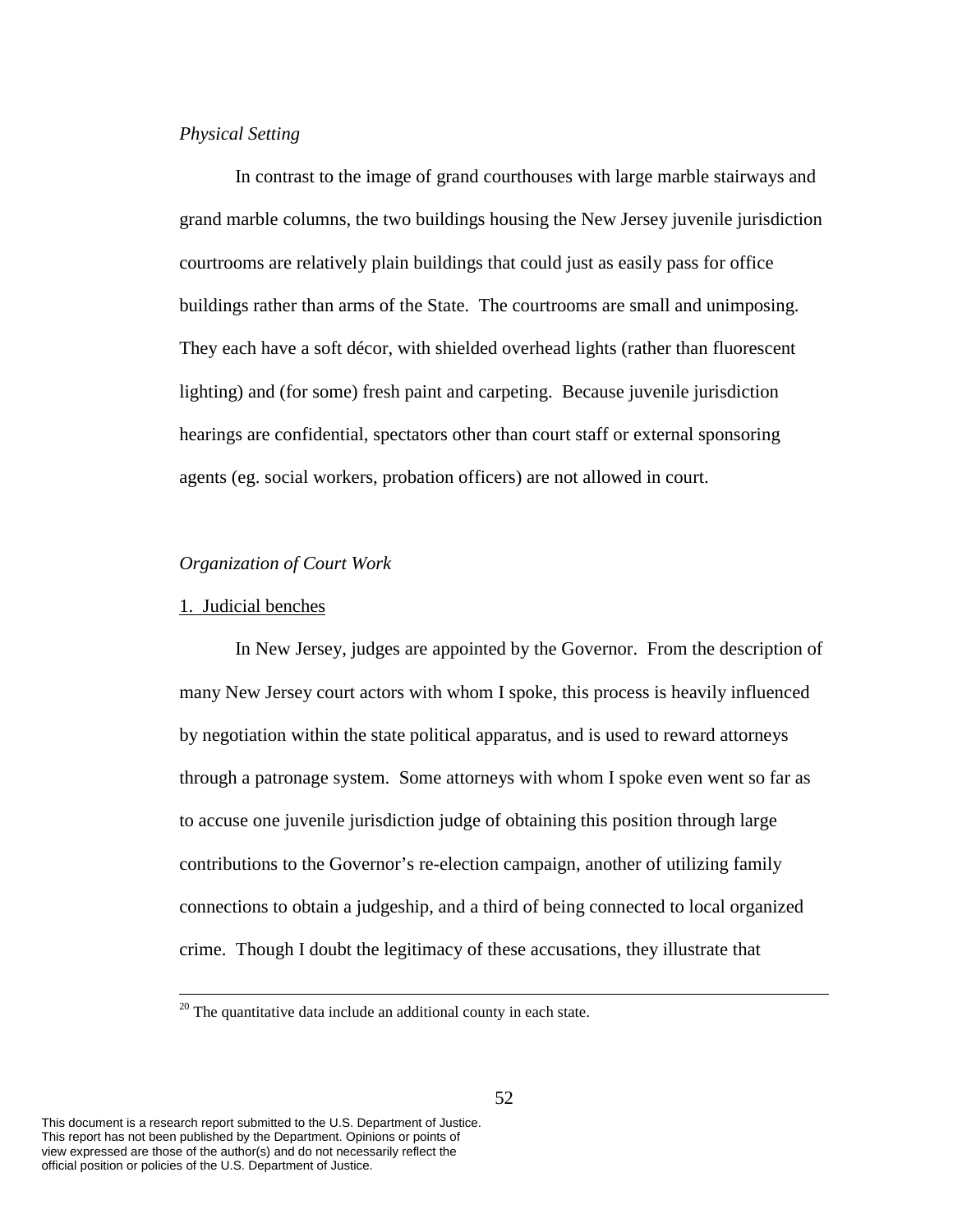### *Physical Setting*

In contrast to the image of grand courthouses with large marble stairways and grand marble columns, the two buildings housing the New Jersey juvenile jurisdiction courtrooms are relatively plain buildings that could just as easily pass for office buildings rather than arms of the State. The courtrooms are small and unimposing. They each have a soft décor, with shielded overhead lights (rather than fluorescent lighting) and (for some) fresh paint and carpeting. Because juvenile jurisdiction hearings are confidential, spectators other than court staff or external sponsoring agents (eg. social workers, probation officers) are not allowed in court.

### *Organization of Court Work*

### 1. Judicial benches

In New Jersey, judges are appointed by the Governor. From the description of many New Jersey court actors with whom I spoke, this process is heavily influenced by negotiation within the state political apparatus, and is used to reward attorneys through a patronage system. Some attorneys with whom I spoke even went so far as to accuse one juvenile jurisdiction judge of obtaining this position through large contributions to the Governor's re-election campaign, another of utilizing family connections to obtain a judgeship, and a third of being connected to local organized crime. Though I doubt the legitimacy of these accusations, they illustrate that

 $20$  The quantitative data include an additional county in each state.

This document is a research report submitted to the U.S. Department of Justice. This report has not been published by the Department. Opinions or points of view expressed are those of the author(s) and do not necessarily reflect the official position or policies of the U.S. Department of Justice.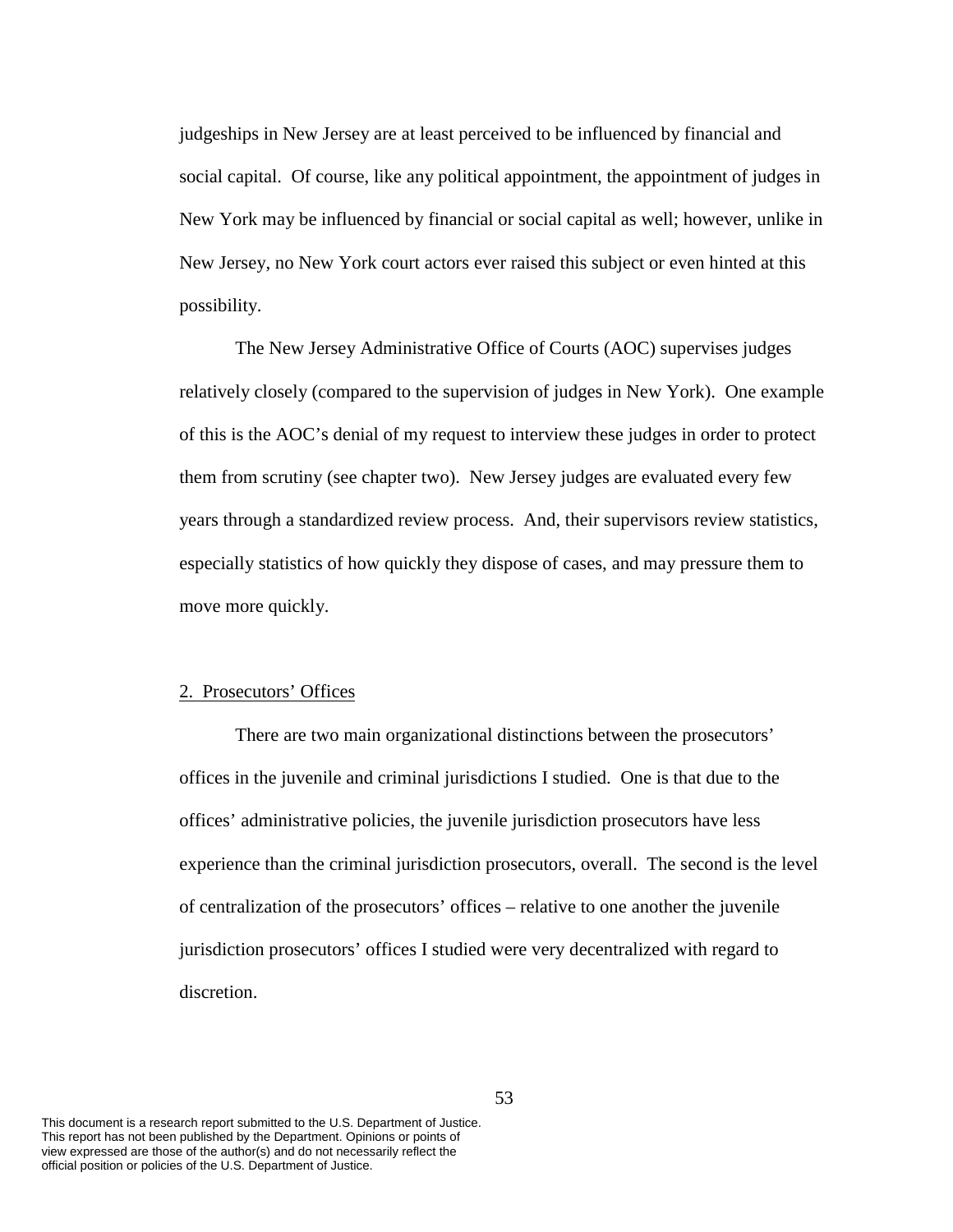judgeships in New Jersey are at least perceived to be influenced by financial and social capital. Of course, like any political appointment, the appointment of judges in New York may be influenced by financial or social capital as well; however, unlike in New Jersey, no New York court actors ever raised this subject or even hinted at this possibility.

The New Jersey Administrative Office of Courts (AOC) supervises judges relatively closely (compared to the supervision of judges in New York). One example of this is the AOC's denial of my request to interview these judges in order to protect them from scrutiny (see chapter two). New Jersey judges are evaluated every few years through a standardized review process. And, their supervisors review statistics, especially statistics of how quickly they dispose of cases, and may pressure them to move more quickly.

# 2. Prosecutors' Offices

There are two main organizational distinctions between the prosecutors' offices in the juvenile and criminal jurisdictions I studied. One is that due to the offices' administrative policies, the juvenile jurisdiction prosecutors have less experience than the criminal jurisdiction prosecutors, overall. The second is the level of centralization of the prosecutors' offices – relative to one another the juvenile jurisdiction prosecutors' offices I studied were very decentralized with regard to discretion.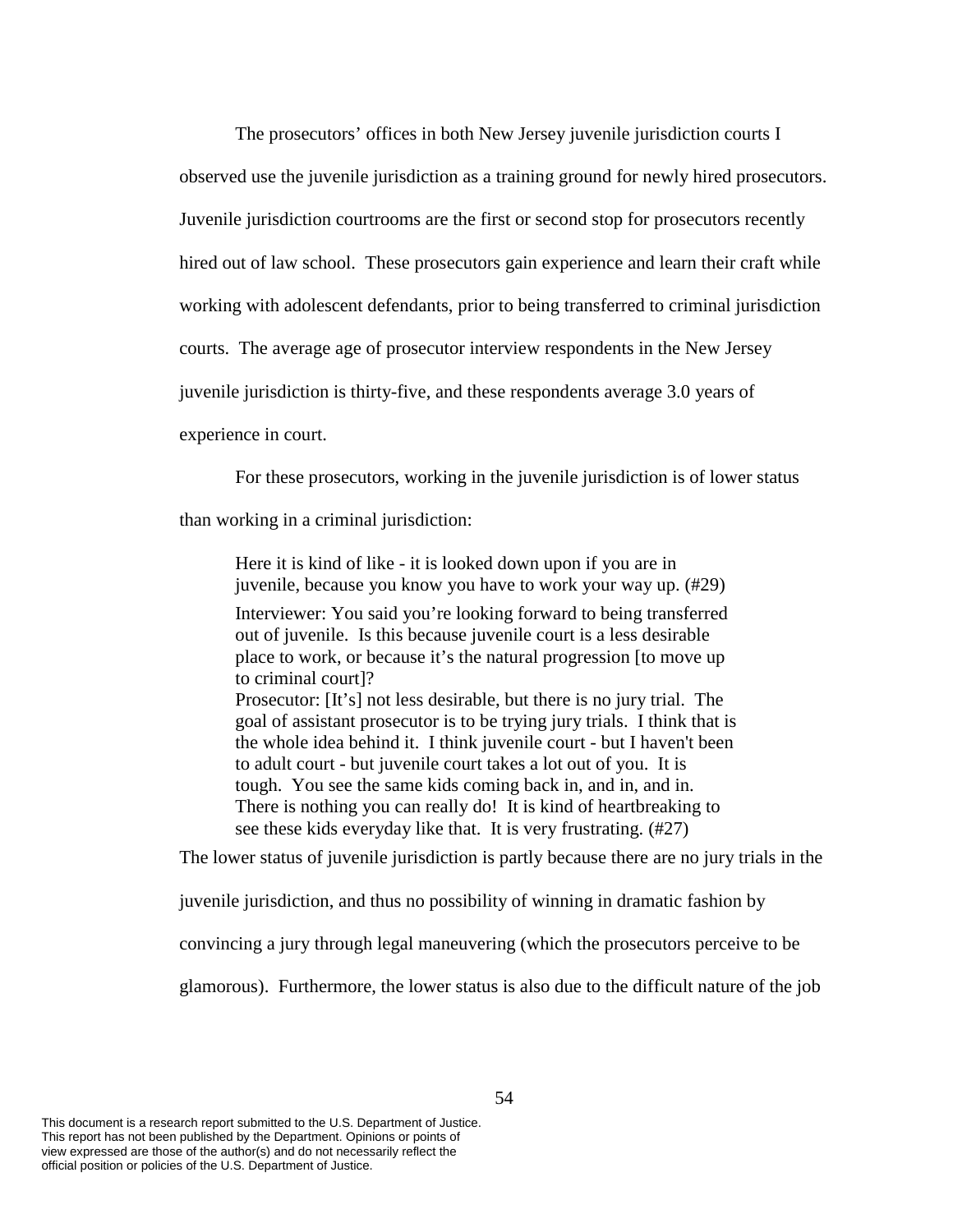The prosecutors' offices in both New Jersey juvenile jurisdiction courts I observed use the juvenile jurisdiction as a training ground for newly hired prosecutors. Juvenile jurisdiction courtrooms are the first or second stop for prosecutors recently hired out of law school. These prosecutors gain experience and learn their craft while working with adolescent defendants, prior to being transferred to criminal jurisdiction courts. The average age of prosecutor interview respondents in the New Jersey juvenile jurisdiction is thirty-five, and these respondents average 3.0 years of experience in court.

For these prosecutors, working in the juvenile jurisdiction is of lower status

than working in a criminal jurisdiction:

Here it is kind of like - it is looked down upon if you are in juvenile, because you know you have to work your way up. (#29)

Interviewer: You said you're looking forward to being transferred out of juvenile. Is this because juvenile court is a less desirable place to work, or because it's the natural progression [to move up to criminal court]? Prosecutor: [It's] not less desirable, but there is no jury trial. The goal of assistant prosecutor is to be trying jury trials. I think that is the whole idea behind it. I think juvenile court - but I haven't been to adult court - but juvenile court takes a lot out of you. It is tough. You see the same kids coming back in, and in, and in. There is nothing you can really do! It is kind of heartbreaking to

see these kids everyday like that. It is very frustrating. (#27)

The lower status of juvenile jurisdiction is partly because there are no jury trials in the

juvenile jurisdiction, and thus no possibility of winning in dramatic fashion by

convincing a jury through legal maneuvering (which the prosecutors perceive to be

glamorous). Furthermore, the lower status is also due to the difficult nature of the job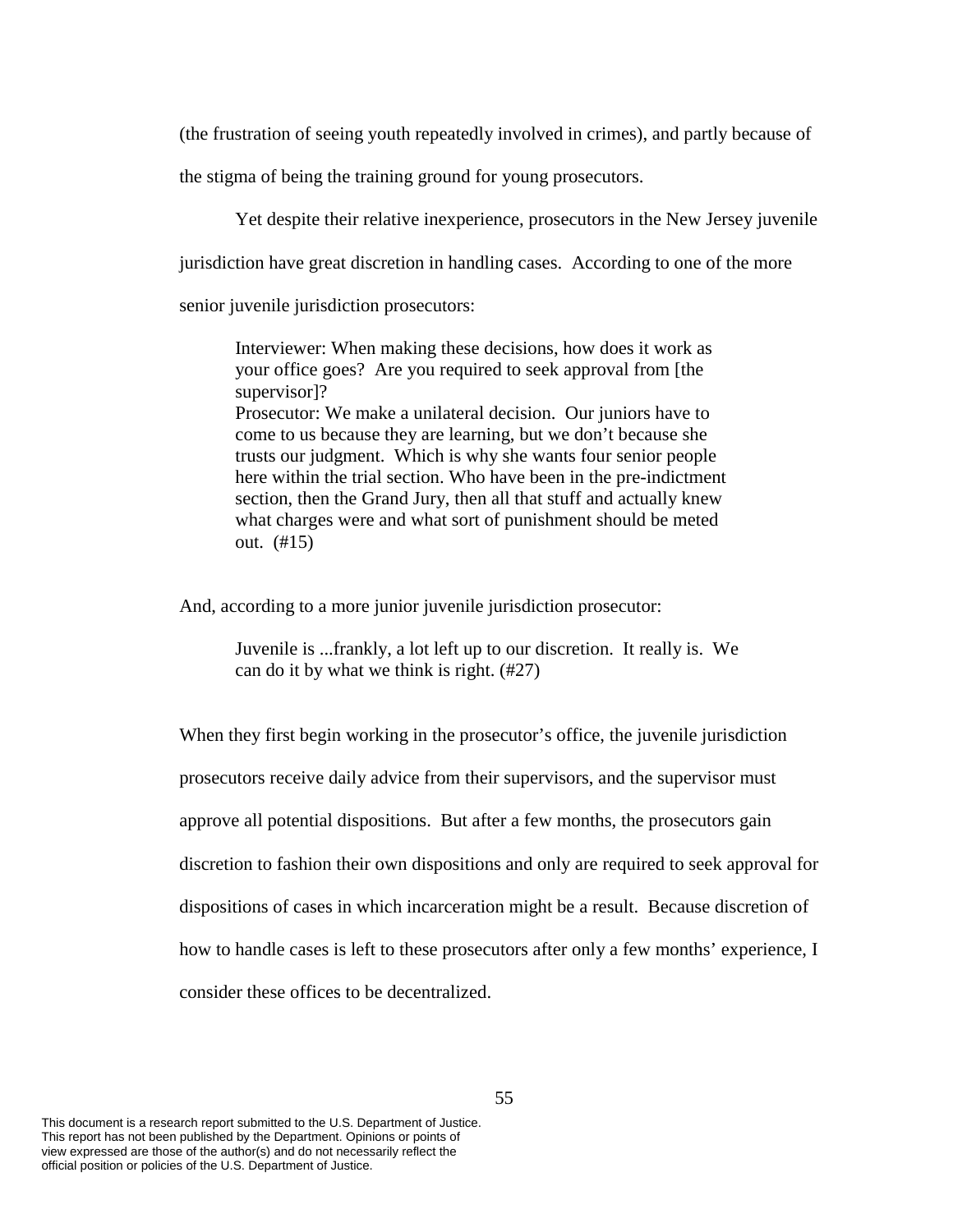(the frustration of seeing youth repeatedly involved in crimes), and partly because of

the stigma of being the training ground for young prosecutors.

Yet despite their relative inexperience, prosecutors in the New Jersey juvenile jurisdiction have great discretion in handling cases. According to one of the more senior juvenile jurisdiction prosecutors:

Interviewer: When making these decisions, how does it work as your office goes? Are you required to seek approval from [the supervisor]? Prosecutor: We make a unilateral decision. Our juniors have to come to us because they are learning, but we don't because she trusts our judgment. Which is why she wants four senior people

here within the trial section. Who have been in the pre-indictment section, then the Grand Jury, then all that stuff and actually knew what charges were and what sort of punishment should be meted out. (#15)

And, according to a more junior juvenile jurisdiction prosecutor:

Juvenile is ...frankly, a lot left up to our discretion. It really is. We can do it by what we think is right. (#27)

When they first begin working in the prosecutor's office, the juvenile jurisdiction prosecutors receive daily advice from their supervisors, and the supervisor must approve all potential dispositions. But after a few months, the prosecutors gain discretion to fashion their own dispositions and only are required to seek approval for dispositions of cases in which incarceration might be a result. Because discretion of how to handle cases is left to these prosecutors after only a few months' experience, I consider these offices to be decentralized.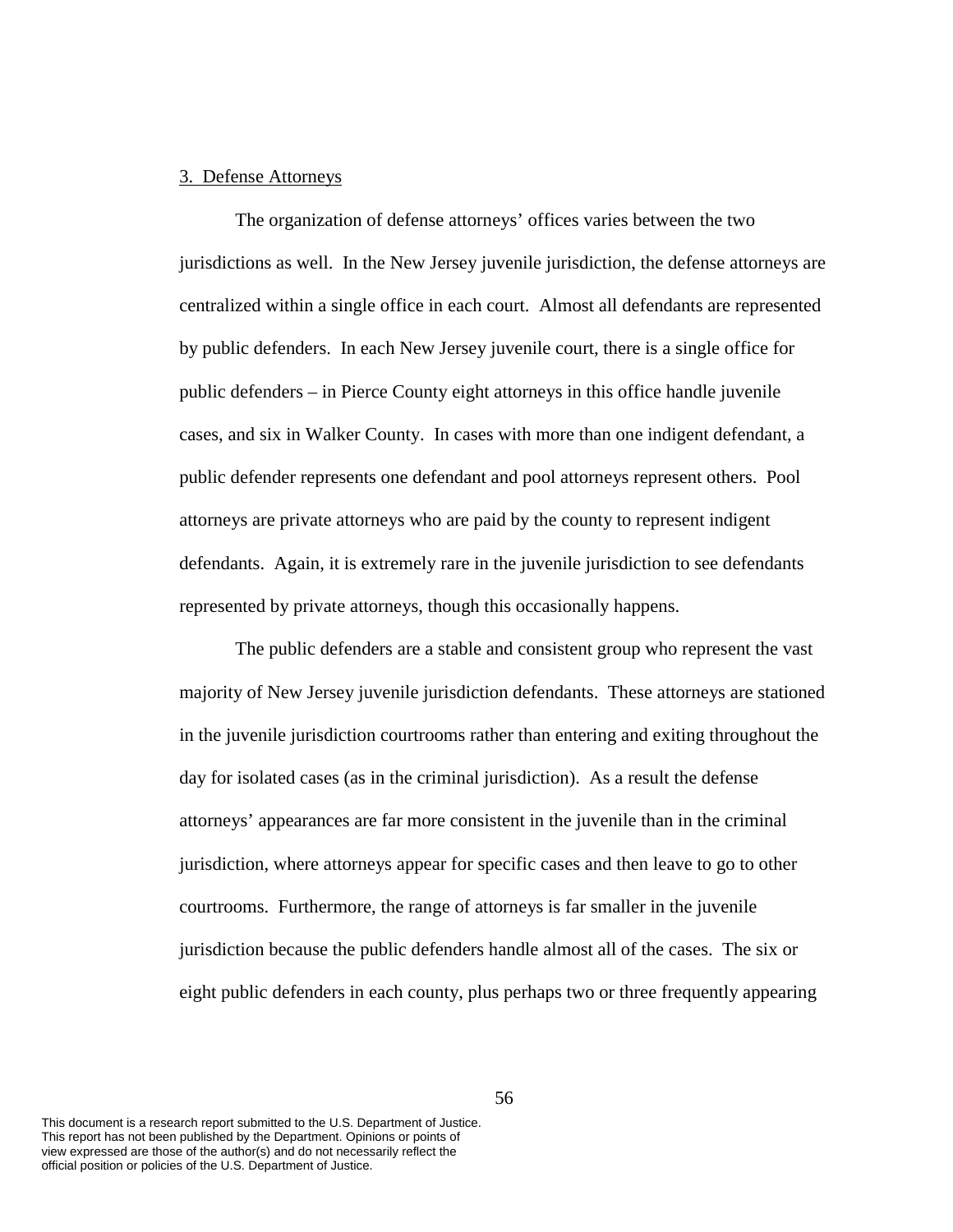#### 3. Defense Attorneys

The organization of defense attorneys' offices varies between the two jurisdictions as well. In the New Jersey juvenile jurisdiction, the defense attorneys are centralized within a single office in each court. Almost all defendants are represented by public defenders. In each New Jersey juvenile court, there is a single office for public defenders – in Pierce County eight attorneys in this office handle juvenile cases, and six in Walker County. In cases with more than one indigent defendant, a public defender represents one defendant and pool attorneys represent others. Pool attorneys are private attorneys who are paid by the county to represent indigent defendants. Again, it is extremely rare in the juvenile jurisdiction to see defendants represented by private attorneys, though this occasionally happens.

The public defenders are a stable and consistent group who represent the vast majority of New Jersey juvenile jurisdiction defendants. These attorneys are stationed in the juvenile jurisdiction courtrooms rather than entering and exiting throughout the day for isolated cases (as in the criminal jurisdiction). As a result the defense attorneys' appearances are far more consistent in the juvenile than in the criminal jurisdiction, where attorneys appear for specific cases and then leave to go to other courtrooms. Furthermore, the range of attorneys is far smaller in the juvenile jurisdiction because the public defenders handle almost all of the cases. The six or eight public defenders in each county, plus perhaps two or three frequently appearing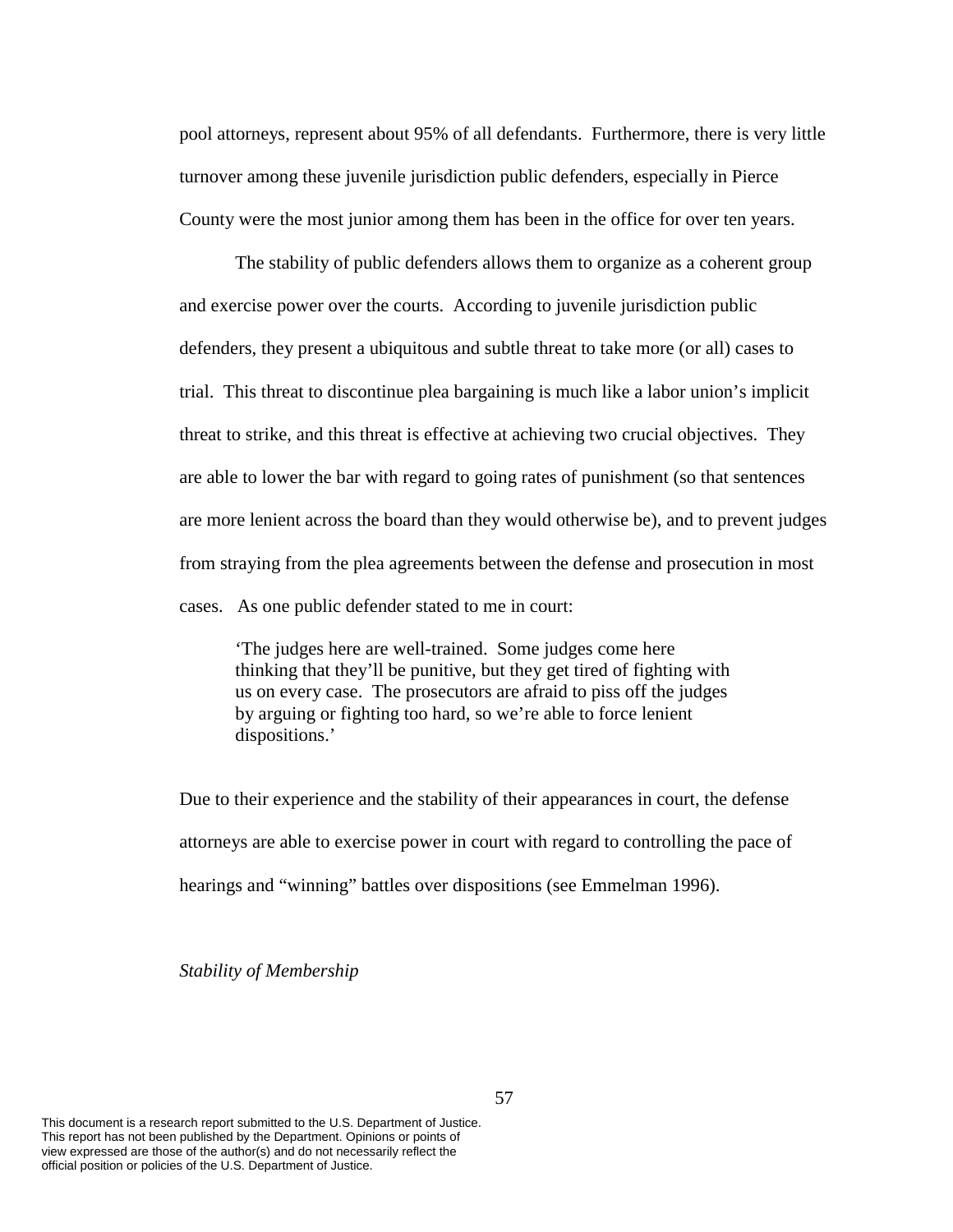pool attorneys, represent about 95% of all defendants. Furthermore, there is very little turnover among these juvenile jurisdiction public defenders, especially in Pierce County were the most junior among them has been in the office for over ten years.

The stability of public defenders allows them to organize as a coherent group and exercise power over the courts. According to juvenile jurisdiction public defenders, they present a ubiquitous and subtle threat to take more (or all) cases to trial. This threat to discontinue plea bargaining is much like a labor union's implicit threat to strike, and this threat is effective at achieving two crucial objectives. They are able to lower the bar with regard to going rates of punishment (so that sentences are more lenient across the board than they would otherwise be), and to prevent judges from straying from the plea agreements between the defense and prosecution in most cases. As one public defender stated to me in court:

'The judges here are well-trained. Some judges come here thinking that they'll be punitive, but they get tired of fighting with us on every case. The prosecutors are afraid to piss off the judges by arguing or fighting too hard, so we're able to force lenient dispositions.'

Due to their experience and the stability of their appearances in court, the defense attorneys are able to exercise power in court with regard to controlling the pace of hearings and "winning" battles over dispositions (see Emmelman 1996).

### *Stability of Membership*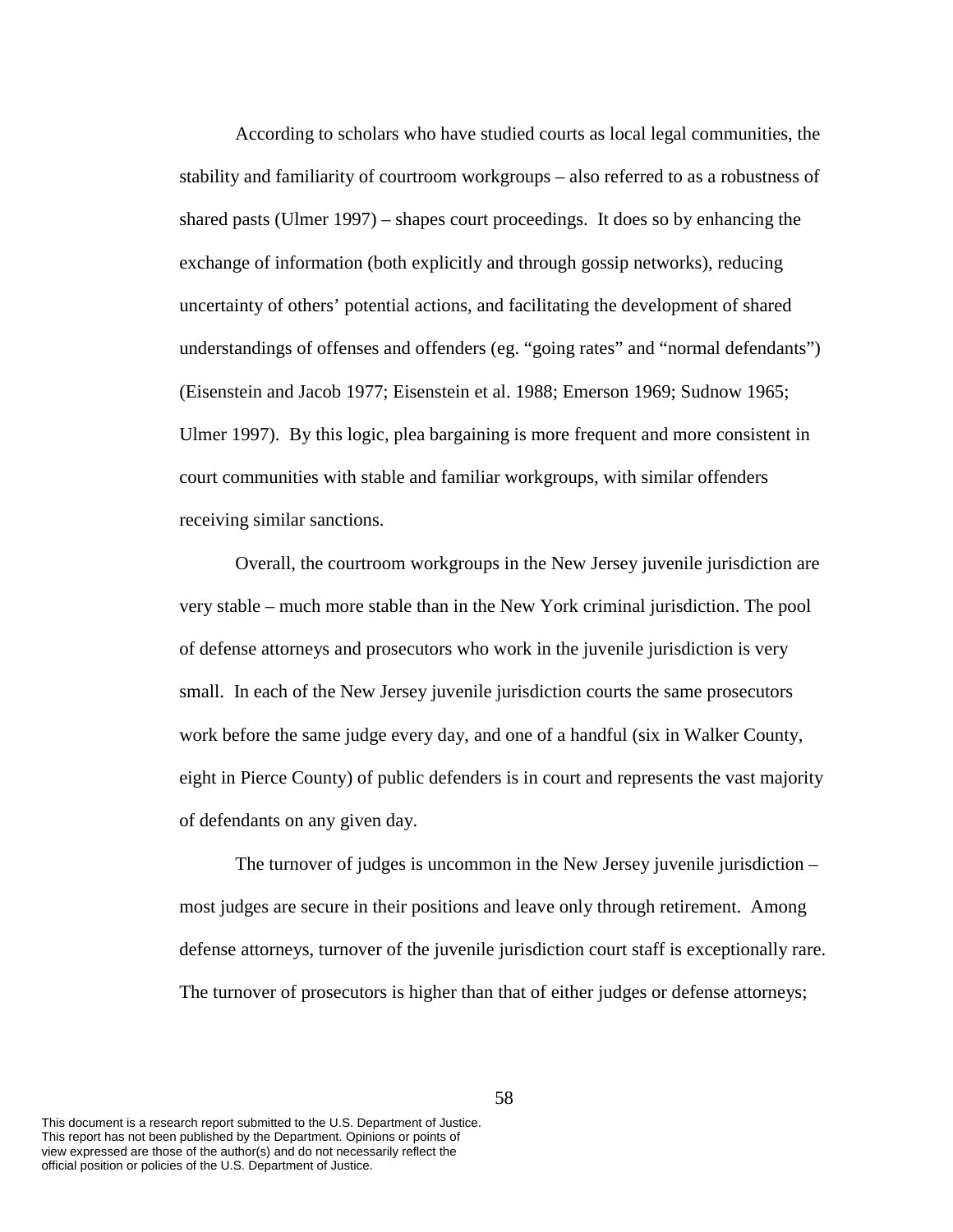According to scholars who have studied courts as local legal communities, the stability and familiarity of courtroom workgroups – also referred to as a robustness of shared pasts (Ulmer 1997) – shapes court proceedings. It does so by enhancing the exchange of information (both explicitly and through gossip networks), reducing uncertainty of others' potential actions, and facilitating the development of shared understandings of offenses and offenders (eg. "going rates" and "normal defendants") (Eisenstein and Jacob 1977; Eisenstein et al. 1988; Emerson 1969; Sudnow 1965; Ulmer 1997). By this logic, plea bargaining is more frequent and more consistent in court communities with stable and familiar workgroups, with similar offenders receiving similar sanctions.

Overall, the courtroom workgroups in the New Jersey juvenile jurisdiction are very stable – much more stable than in the New York criminal jurisdiction. The pool of defense attorneys and prosecutors who work in the juvenile jurisdiction is very small. In each of the New Jersey juvenile jurisdiction courts the same prosecutors work before the same judge every day, and one of a handful (six in Walker County, eight in Pierce County) of public defenders is in court and represents the vast majority of defendants on any given day.

The turnover of judges is uncommon in the New Jersey juvenile jurisdiction – most judges are secure in their positions and leave only through retirement. Among defense attorneys, turnover of the juvenile jurisdiction court staff is exceptionally rare. The turnover of prosecutors is higher than that of either judges or defense attorneys;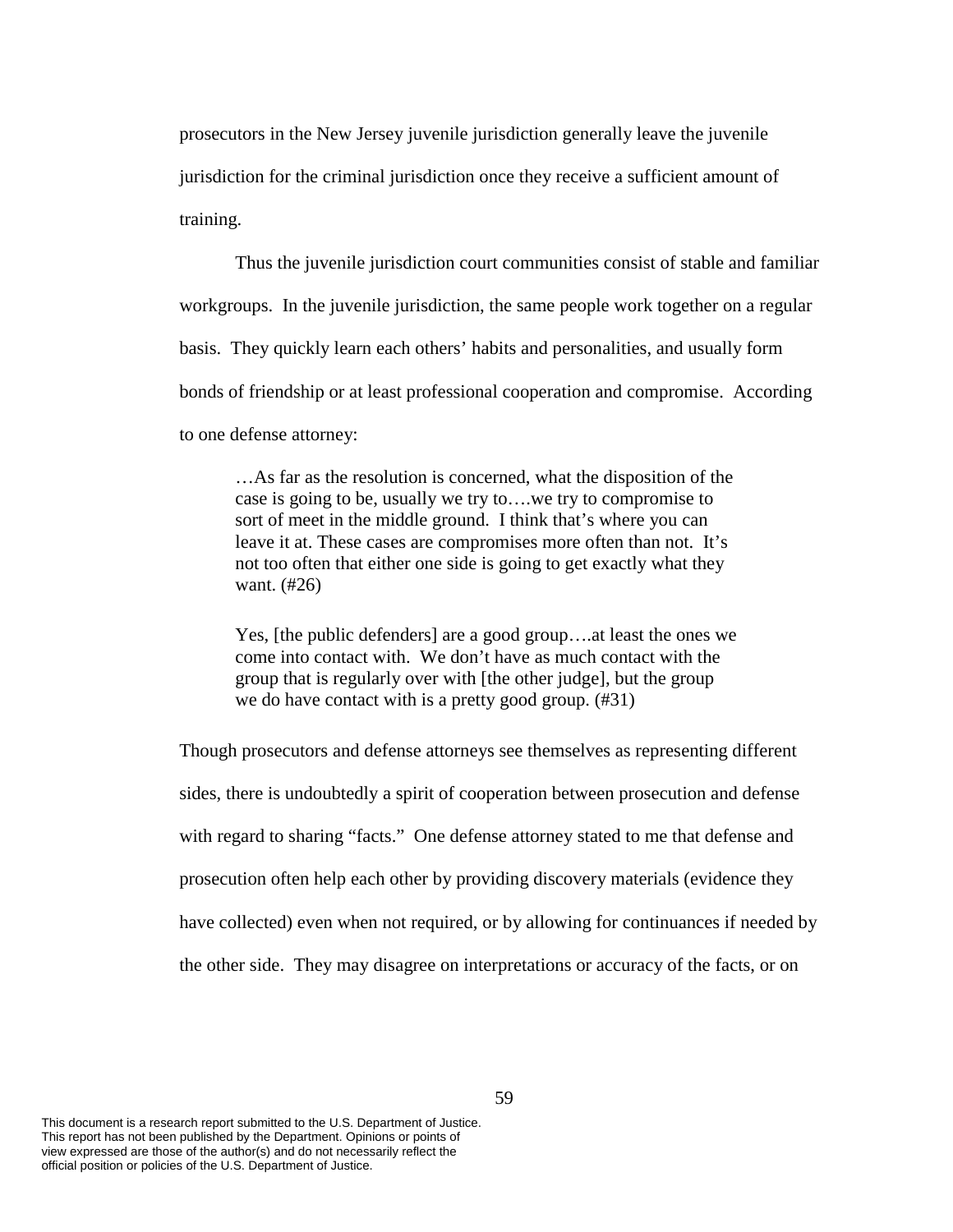prosecutors in the New Jersey juvenile jurisdiction generally leave the juvenile jurisdiction for the criminal jurisdiction once they receive a sufficient amount of training.

Thus the juvenile jurisdiction court communities consist of stable and familiar workgroups. In the juvenile jurisdiction, the same people work together on a regular basis. They quickly learn each others' habits and personalities, and usually form bonds of friendship or at least professional cooperation and compromise. According to one defense attorney:

…As far as the resolution is concerned, what the disposition of the case is going to be, usually we try to….we try to compromise to sort of meet in the middle ground. I think that's where you can leave it at. These cases are compromises more often than not. It's not too often that either one side is going to get exactly what they want. (#26)

Yes, [the public defenders] are a good group….at least the ones we come into contact with. We don't have as much contact with the group that is regularly over with [the other judge], but the group we do have contact with is a pretty good group. (#31)

Though prosecutors and defense attorneys see themselves as representing different sides, there is undoubtedly a spirit of cooperation between prosecution and defense with regard to sharing "facts." One defense attorney stated to me that defense and prosecution often help each other by providing discovery materials (evidence they have collected) even when not required, or by allowing for continuances if needed by the other side. They may disagree on interpretations or accuracy of the facts, or on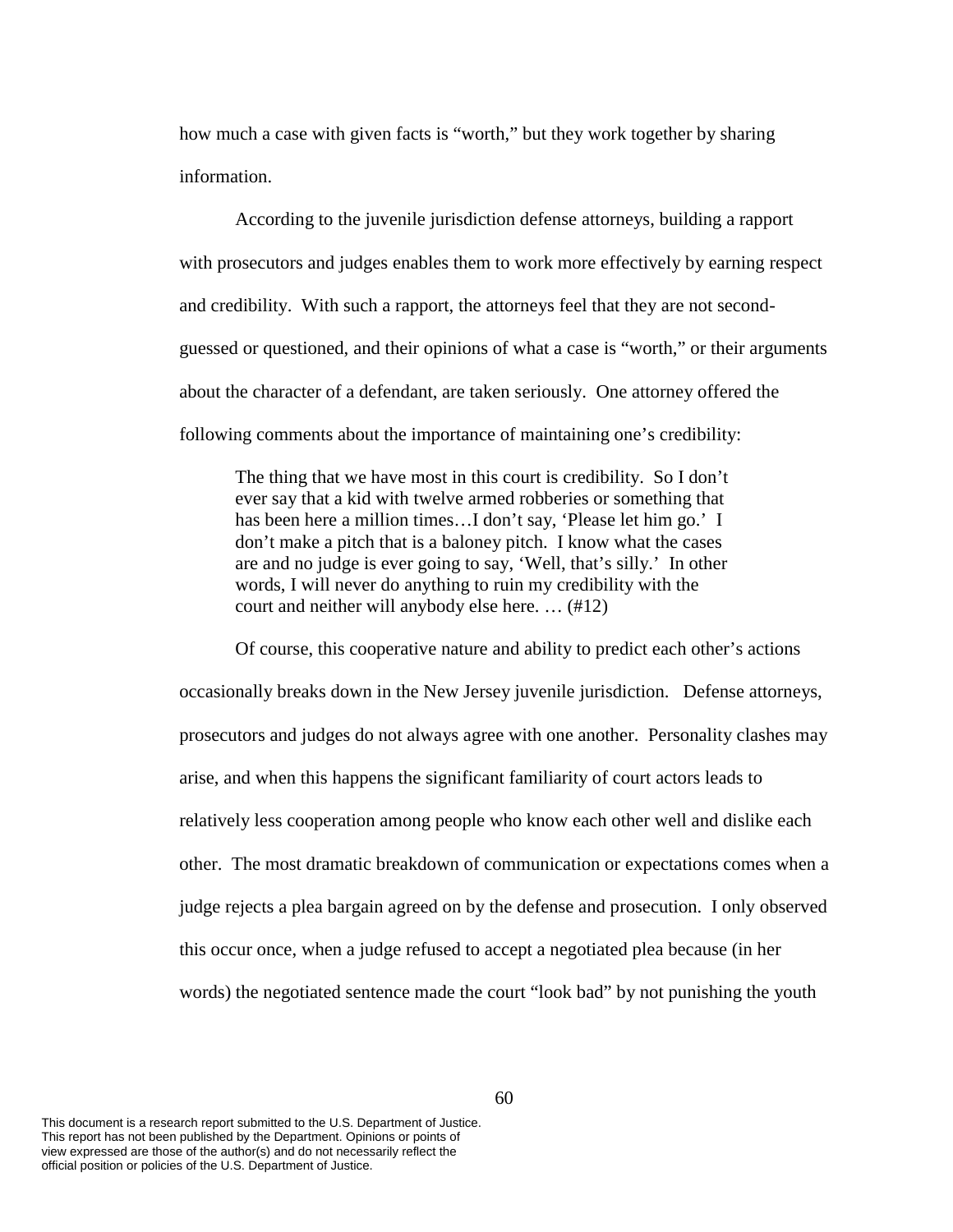how much a case with given facts is "worth," but they work together by sharing information.

According to the juvenile jurisdiction defense attorneys, building a rapport with prosecutors and judges enables them to work more effectively by earning respect and credibility. With such a rapport, the attorneys feel that they are not secondguessed or questioned, and their opinions of what a case is "worth," or their arguments about the character of a defendant, are taken seriously. One attorney offered the following comments about the importance of maintaining one's credibility:

The thing that we have most in this court is credibility. So I don't ever say that a kid with twelve armed robberies or something that has been here a million times...I don't say, 'Please let him go.' I don't make a pitch that is a baloney pitch. I know what the cases are and no judge is ever going to say, 'Well, that's silly.' In other words, I will never do anything to ruin my credibility with the court and neither will anybody else here. … (#12)

Of course, this cooperative nature and ability to predict each other's actions occasionally breaks down in the New Jersey juvenile jurisdiction. Defense attorneys, prosecutors and judges do not always agree with one another. Personality clashes may arise, and when this happens the significant familiarity of court actors leads to relatively less cooperation among people who know each other well and dislike each other. The most dramatic breakdown of communication or expectations comes when a judge rejects a plea bargain agreed on by the defense and prosecution. I only observed this occur once, when a judge refused to accept a negotiated plea because (in her words) the negotiated sentence made the court "look bad" by not punishing the youth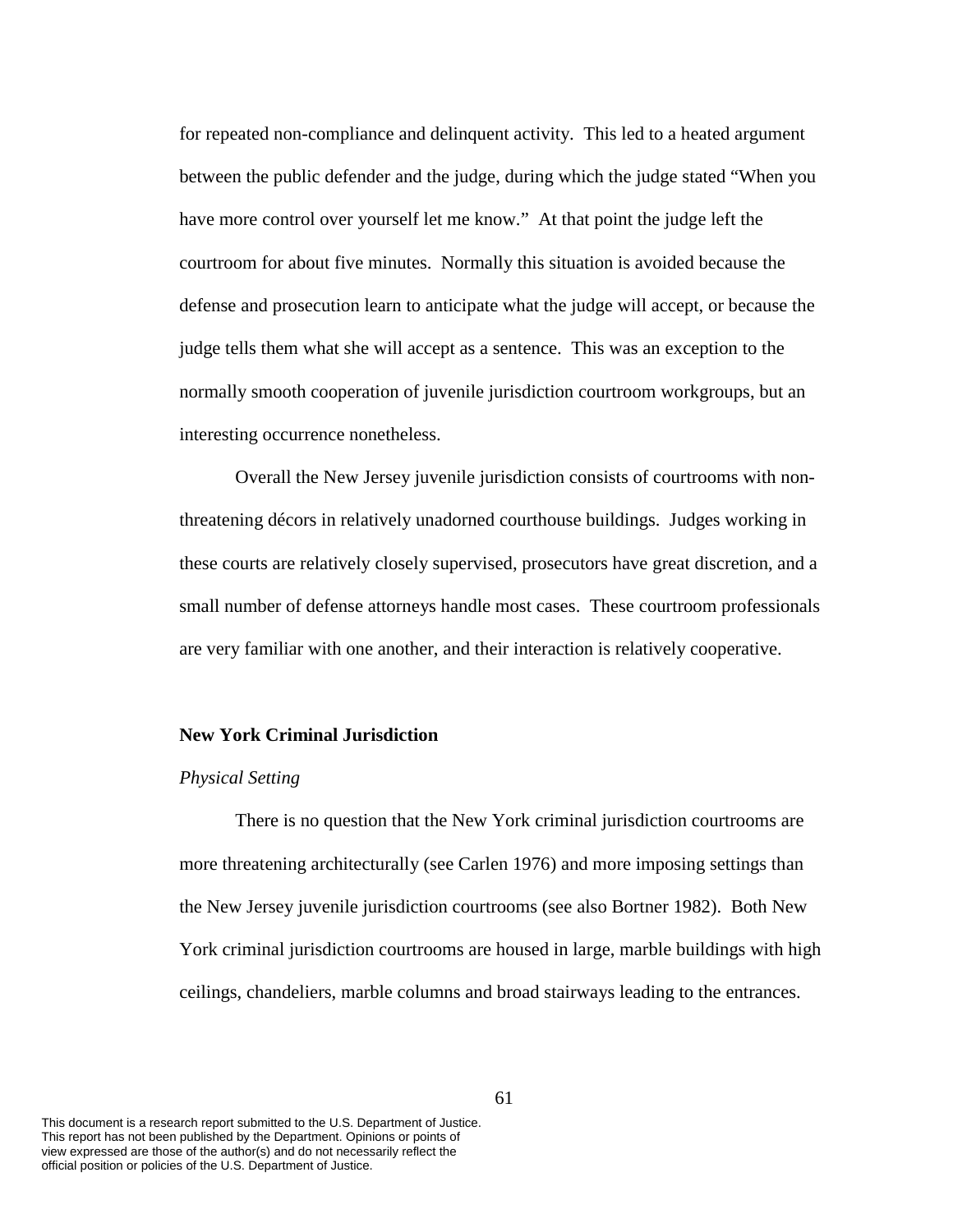for repeated non-compliance and delinquent activity. This led to a heated argument between the public defender and the judge, during which the judge stated "When you have more control over yourself let me know." At that point the judge left the courtroom for about five minutes. Normally this situation is avoided because the defense and prosecution learn to anticipate what the judge will accept, or because the judge tells them what she will accept as a sentence. This was an exception to the normally smooth cooperation of juvenile jurisdiction courtroom workgroups, but an interesting occurrence nonetheless.

Overall the New Jersey juvenile jurisdiction consists of courtrooms with nonthreatening décors in relatively unadorned courthouse buildings. Judges working in these courts are relatively closely supervised, prosecutors have great discretion, and a small number of defense attorneys handle most cases. These courtroom professionals are very familiar with one another, and their interaction is relatively cooperative.

#### **New York Criminal Jurisdiction**

#### *Physical Setting*

There is no question that the New York criminal jurisdiction courtrooms are more threatening architecturally (see Carlen 1976) and more imposing settings than the New Jersey juvenile jurisdiction courtrooms (see also Bortner 1982). Both New York criminal jurisdiction courtrooms are housed in large, marble buildings with high ceilings, chandeliers, marble columns and broad stairways leading to the entrances.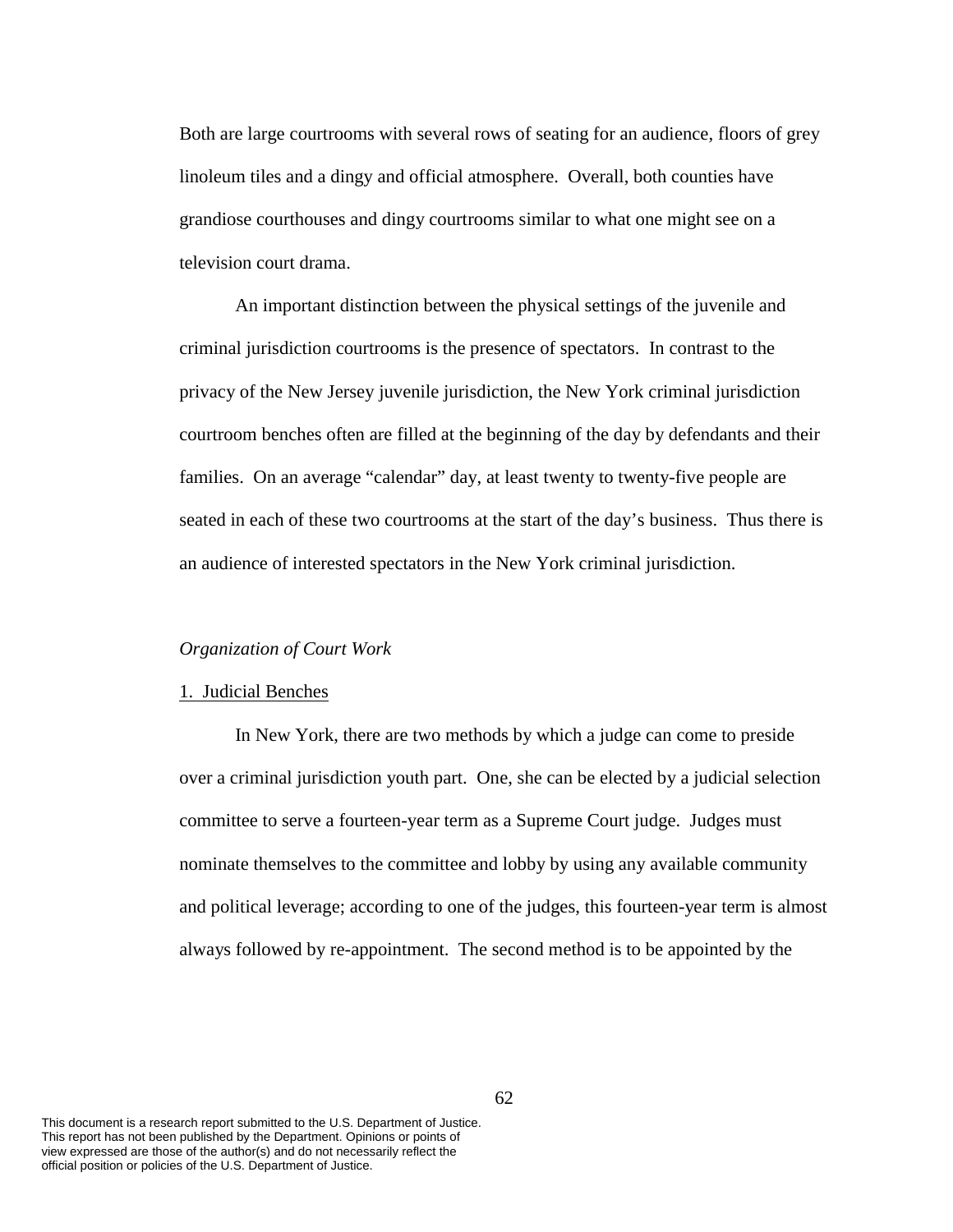Both are large courtrooms with several rows of seating for an audience, floors of grey linoleum tiles and a dingy and official atmosphere. Overall, both counties have grandiose courthouses and dingy courtrooms similar to what one might see on a television court drama.

An important distinction between the physical settings of the juvenile and criminal jurisdiction courtrooms is the presence of spectators. In contrast to the privacy of the New Jersey juvenile jurisdiction, the New York criminal jurisdiction courtroom benches often are filled at the beginning of the day by defendants and their families. On an average "calendar" day, at least twenty to twenty-five people are seated in each of these two courtrooms at the start of the day's business. Thus there is an audience of interested spectators in the New York criminal jurisdiction.

## *Organization of Court Work*

# 1. Judicial Benches

In New York, there are two methods by which a judge can come to preside over a criminal jurisdiction youth part. One, she can be elected by a judicial selection committee to serve a fourteen-year term as a Supreme Court judge. Judges must nominate themselves to the committee and lobby by using any available community and political leverage; according to one of the judges, this fourteen-year term is almost always followed by re-appointment. The second method is to be appointed by the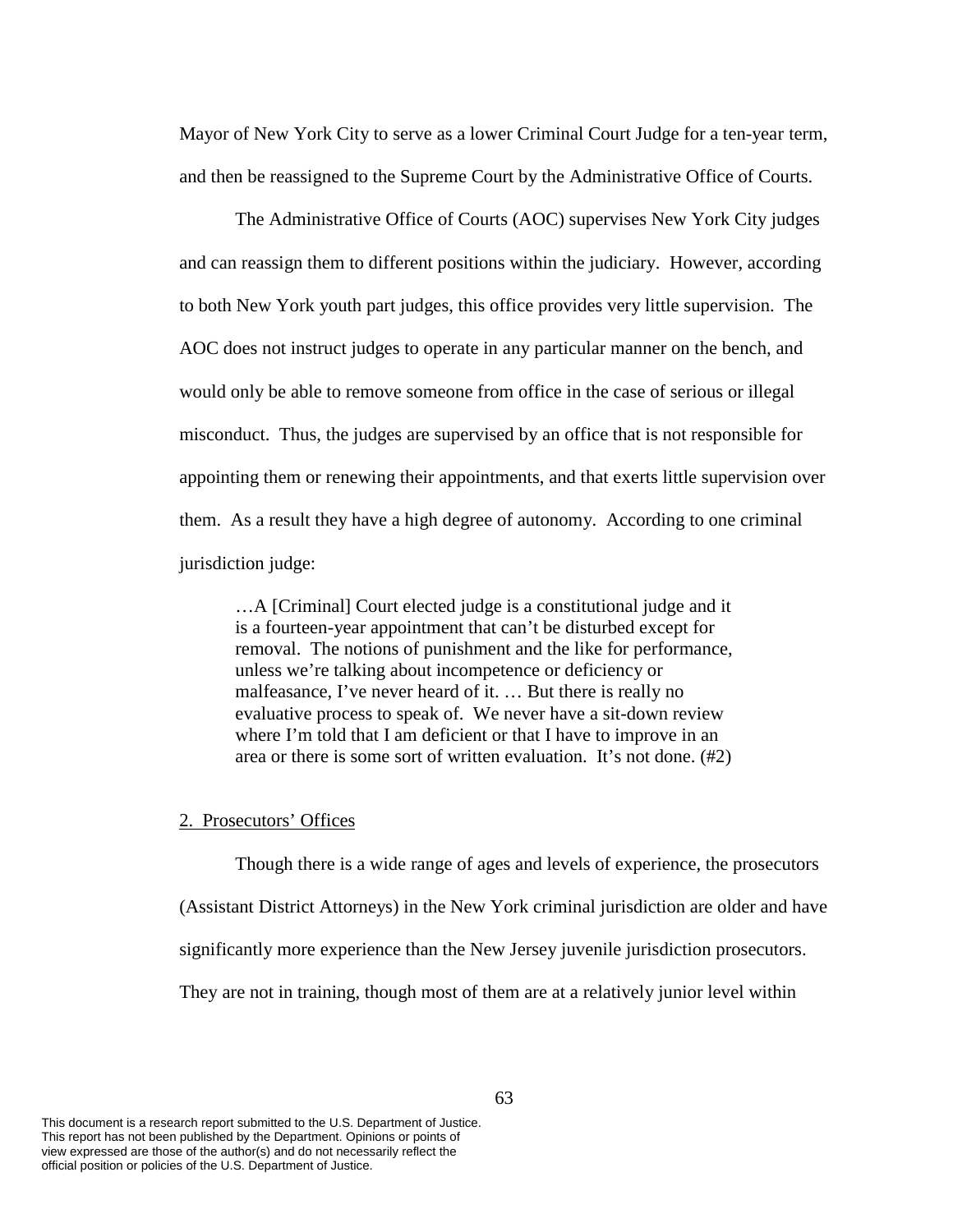Mayor of New York City to serve as a lower Criminal Court Judge for a ten-year term, and then be reassigned to the Supreme Court by the Administrative Office of Courts.

The Administrative Office of Courts (AOC) supervises New York City judges and can reassign them to different positions within the judiciary. However, according to both New York youth part judges, this office provides very little supervision. The AOC does not instruct judges to operate in any particular manner on the bench, and would only be able to remove someone from office in the case of serious or illegal misconduct. Thus, the judges are supervised by an office that is not responsible for appointing them or renewing their appointments, and that exerts little supervision over them. As a result they have a high degree of autonomy. According to one criminal jurisdiction judge:

…A [Criminal] Court elected judge is a constitutional judge and it is a fourteen-year appointment that can't be disturbed except for removal. The notions of punishment and the like for performance, unless we're talking about incompetence or deficiency or malfeasance, I've never heard of it. … But there is really no evaluative process to speak of. We never have a sit-down review where I'm told that I am deficient or that I have to improve in an area or there is some sort of written evaluation. It's not done. (#2)

## 2. Prosecutors' Offices

Though there is a wide range of ages and levels of experience, the prosecutors (Assistant District Attorneys) in the New York criminal jurisdiction are older and have significantly more experience than the New Jersey juvenile jurisdiction prosecutors. They are not in training, though most of them are at a relatively junior level within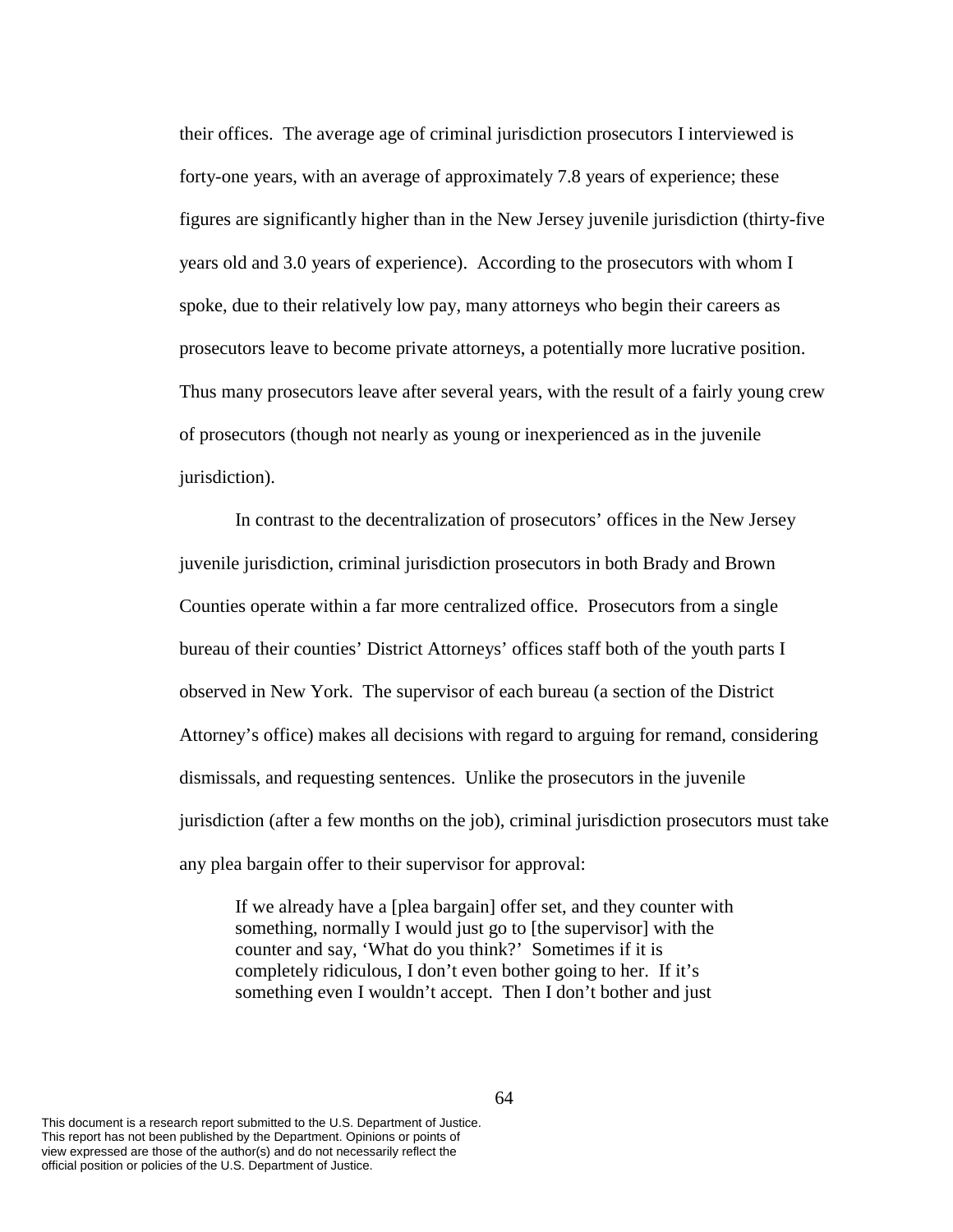their offices. The average age of criminal jurisdiction prosecutors I interviewed is forty-one years, with an average of approximately 7.8 years of experience; these figures are significantly higher than in the New Jersey juvenile jurisdiction (thirty-five years old and 3.0 years of experience). According to the prosecutors with whom I spoke, due to their relatively low pay, many attorneys who begin their careers as prosecutors leave to become private attorneys, a potentially more lucrative position. Thus many prosecutors leave after several years, with the result of a fairly young crew of prosecutors (though not nearly as young or inexperienced as in the juvenile jurisdiction).

In contrast to the decentralization of prosecutors' offices in the New Jersey juvenile jurisdiction, criminal jurisdiction prosecutors in both Brady and Brown Counties operate within a far more centralized office. Prosecutors from a single bureau of their counties' District Attorneys' offices staff both of the youth parts I observed in New York. The supervisor of each bureau (a section of the District Attorney's office) makes all decisions with regard to arguing for remand, considering dismissals, and requesting sentences. Unlike the prosecutors in the juvenile jurisdiction (after a few months on the job), criminal jurisdiction prosecutors must take any plea bargain offer to their supervisor for approval:

If we already have a [plea bargain] offer set, and they counter with something, normally I would just go to [the supervisor] with the counter and say, 'What do you think?' Sometimes if it is completely ridiculous, I don't even bother going to her. If it's something even I wouldn't accept. Then I don't bother and just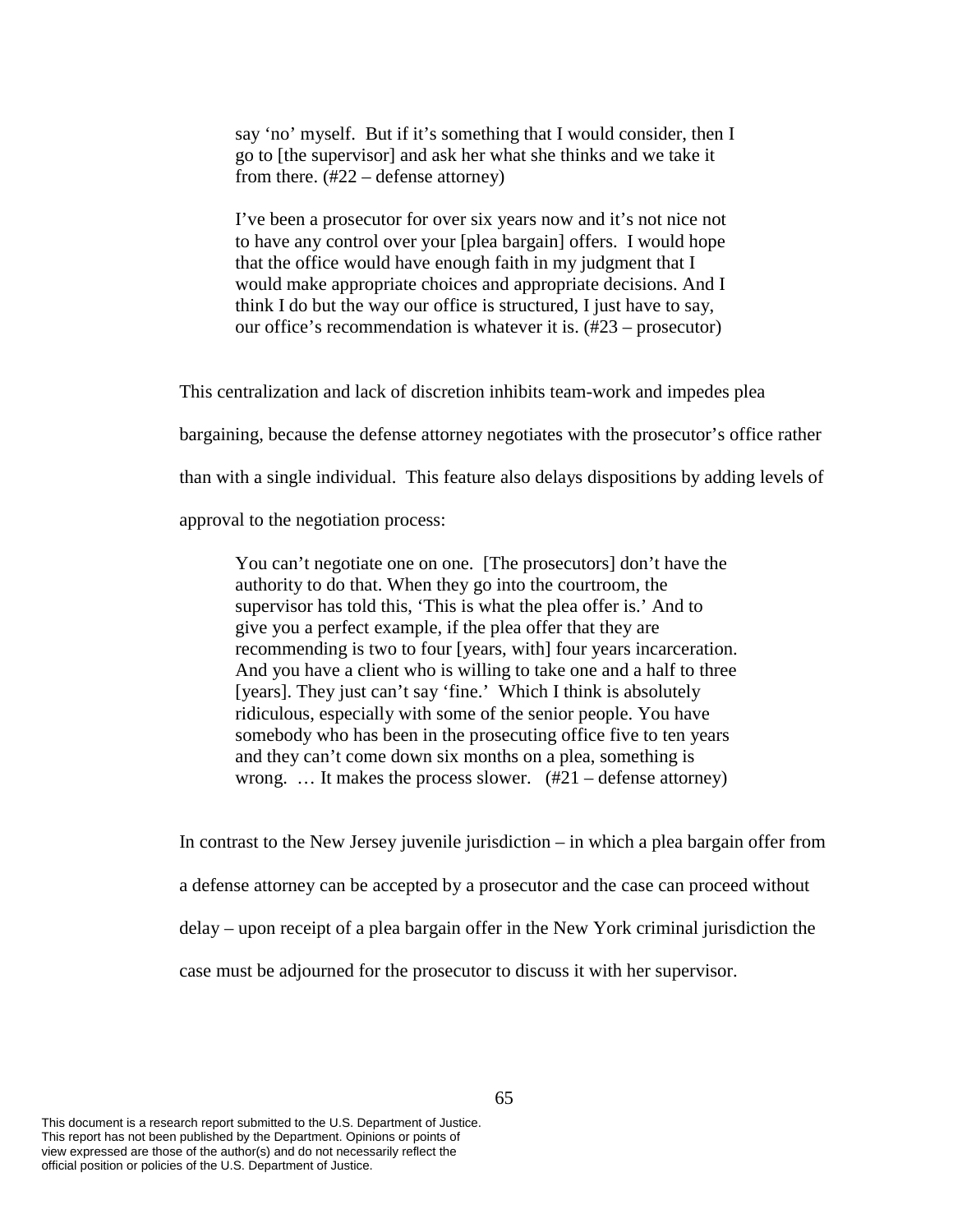say 'no' myself. But if it's something that I would consider, then I go to [the supervisor] and ask her what she thinks and we take it from there.  $(\text{\#22} - \text{define}$  attorney)

I've been a prosecutor for over six years now and it's not nice not to have any control over your [plea bargain] offers. I would hope that the office would have enough faith in my judgment that I would make appropriate choices and appropriate decisions. And I think I do but the way our office is structured, I just have to say, our office's recommendation is whatever it is. (#23 – prosecutor)

This centralization and lack of discretion inhibits team-work and impedes plea

bargaining, because the defense attorney negotiates with the prosecutor's office rather

than with a single individual. This feature also delays dispositions by adding levels of

approval to the negotiation process:

You can't negotiate one on one. [The prosecutors] don't have the authority to do that. When they go into the courtroom, the supervisor has told this, 'This is what the plea offer is.' And to give you a perfect example, if the plea offer that they are recommending is two to four [years, with] four years incarceration. And you have a client who is willing to take one and a half to three [years]. They just can't say 'fine.' Which I think is absolutely ridiculous, especially with some of the senior people. You have somebody who has been in the prosecuting office five to ten years and they can't come down six months on a plea, something is wrong. … It makes the process slower. (#21 – defense attorney)

In contrast to the New Jersey juvenile jurisdiction – in which a plea bargain offer from a defense attorney can be accepted by a prosecutor and the case can proceed without delay – upon receipt of a plea bargain offer in the New York criminal jurisdiction the case must be adjourned for the prosecutor to discuss it with her supervisor.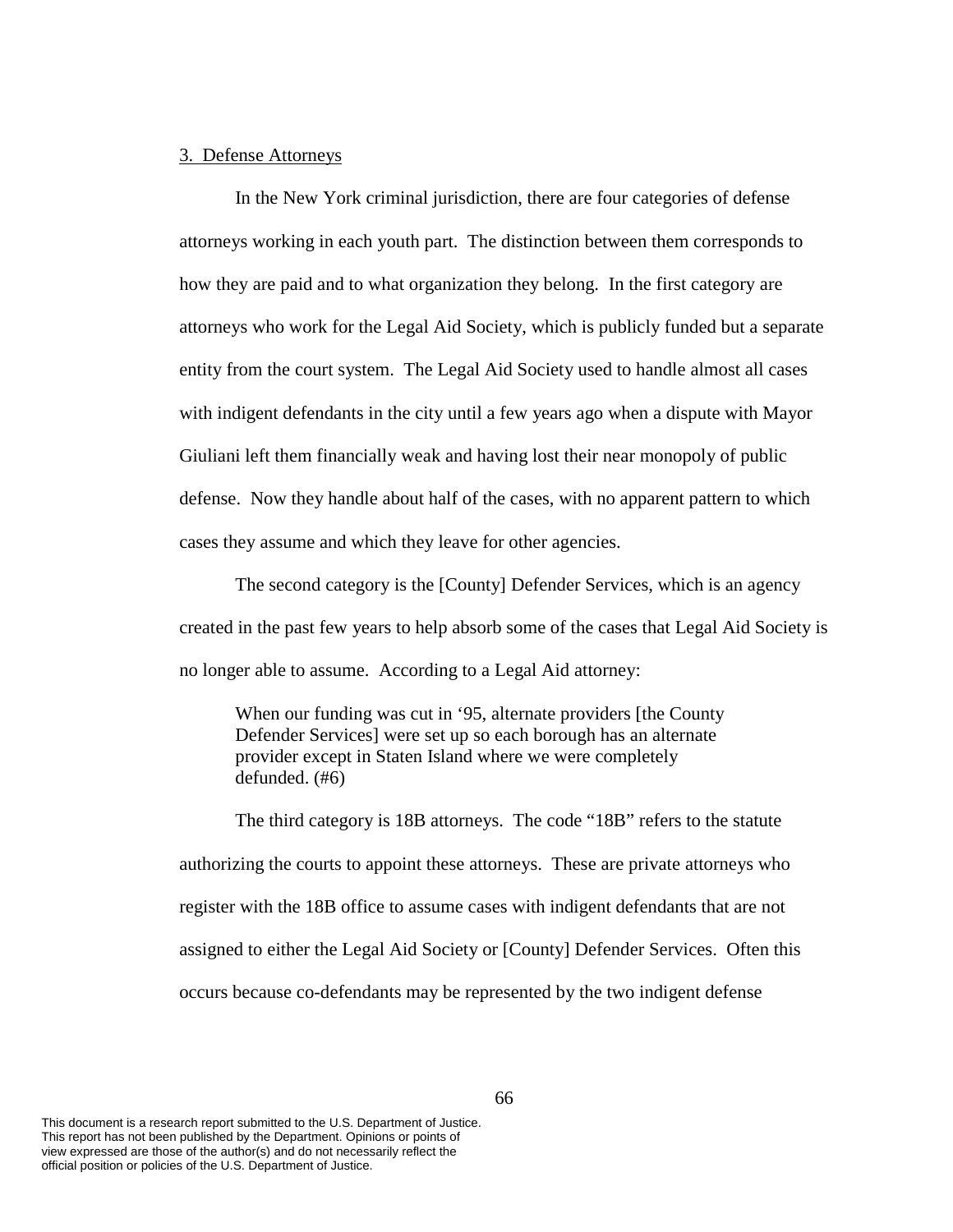#### 3. Defense Attorneys

In the New York criminal jurisdiction, there are four categories of defense attorneys working in each youth part. The distinction between them corresponds to how they are paid and to what organization they belong. In the first category are attorneys who work for the Legal Aid Society, which is publicly funded but a separate entity from the court system. The Legal Aid Society used to handle almost all cases with indigent defendants in the city until a few years ago when a dispute with Mayor Giuliani left them financially weak and having lost their near monopoly of public defense. Now they handle about half of the cases, with no apparent pattern to which cases they assume and which they leave for other agencies.

The second category is the [County] Defender Services, which is an agency created in the past few years to help absorb some of the cases that Legal Aid Society is no longer able to assume. According to a Legal Aid attorney:

When our funding was cut in '95, alternate providers [the County Defender Services] were set up so each borough has an alternate provider except in Staten Island where we were completely defunded. (#6)

The third category is 18B attorneys. The code "18B" refers to the statute authorizing the courts to appoint these attorneys. These are private attorneys who register with the 18B office to assume cases with indigent defendants that are not assigned to either the Legal Aid Society or [County] Defender Services. Often this occurs because co-defendants may be represented by the two indigent defense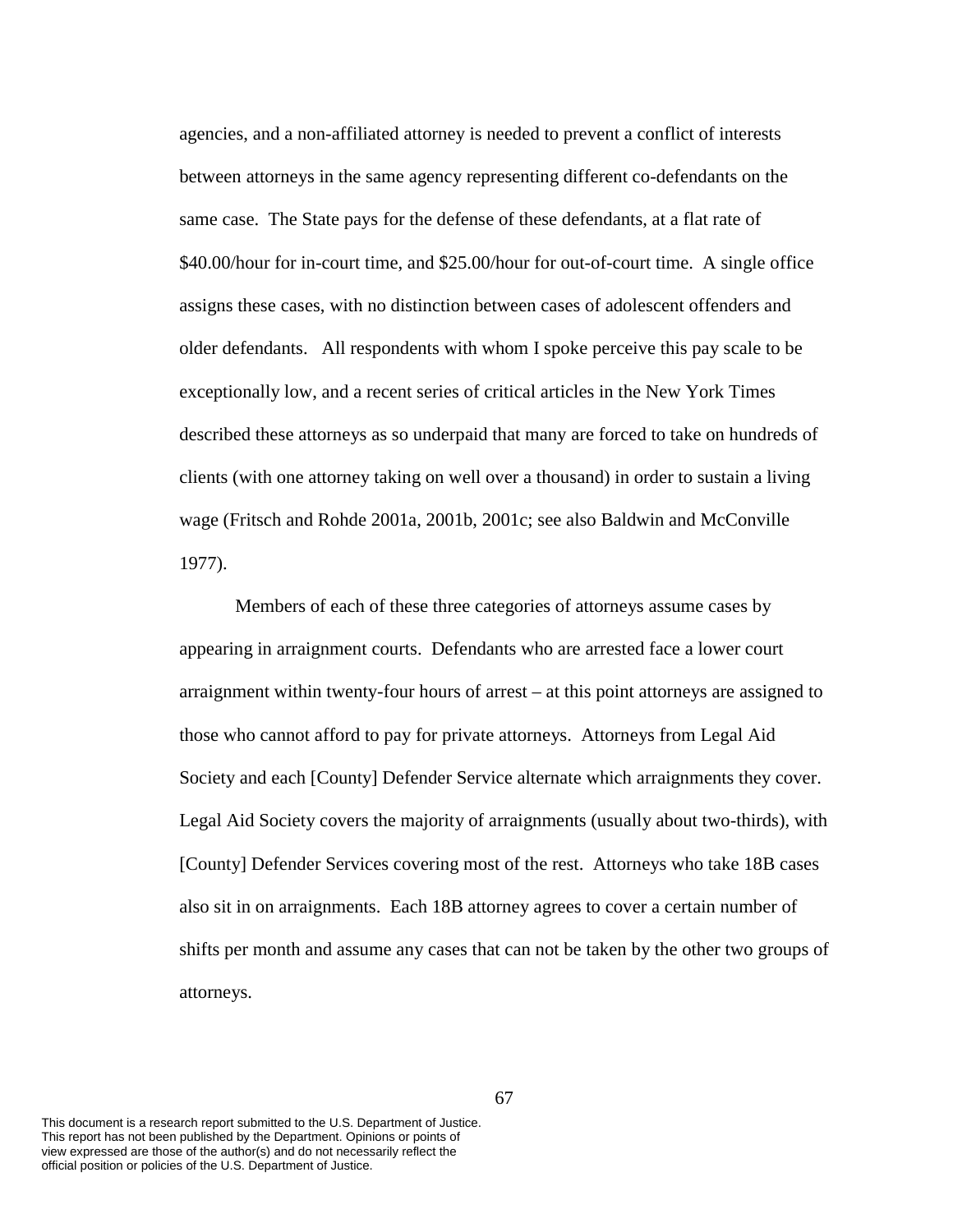agencies, and a non-affiliated attorney is needed to prevent a conflict of interests between attorneys in the same agency representing different co-defendants on the same case. The State pays for the defense of these defendants, at a flat rate of \$40.00/hour for in-court time, and \$25.00/hour for out-of-court time. A single office assigns these cases, with no distinction between cases of adolescent offenders and older defendants. All respondents with whom I spoke perceive this pay scale to be exceptionally low, and a recent series of critical articles in the New York Times described these attorneys as so underpaid that many are forced to take on hundreds of clients (with one attorney taking on well over a thousand) in order to sustain a living wage (Fritsch and Rohde 2001a, 2001b, 2001c; see also Baldwin and McConville 1977).

Members of each of these three categories of attorneys assume cases by appearing in arraignment courts. Defendants who are arrested face a lower court arraignment within twenty-four hours of arrest – at this point attorneys are assigned to those who cannot afford to pay for private attorneys. Attorneys from Legal Aid Society and each [County] Defender Service alternate which arraignments they cover. Legal Aid Society covers the majority of arraignments (usually about two-thirds), with [County] Defender Services covering most of the rest. Attorneys who take 18B cases also sit in on arraignments. Each 18B attorney agrees to cover a certain number of shifts per month and assume any cases that can not be taken by the other two groups of attorneys.

This document is a research report submitted to the U.S. Department of Justice. This report has not been published by the Department. Opinions or points of view expressed are those of the author(s) and do not necessarily reflect the official position or policies of the U.S. Department of Justice.

67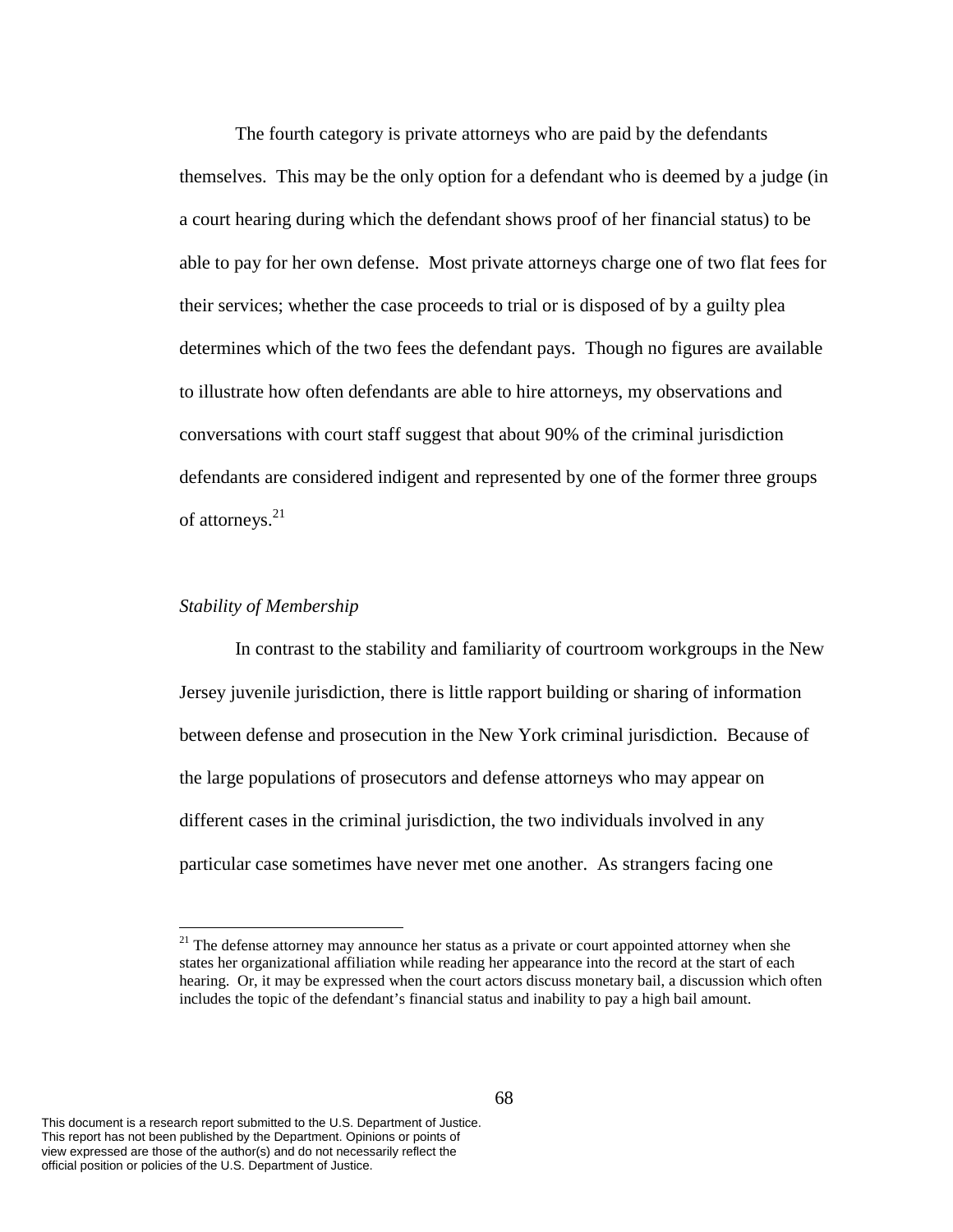The fourth category is private attorneys who are paid by the defendants themselves. This may be the only option for a defendant who is deemed by a judge (in a court hearing during which the defendant shows proof of her financial status) to be able to pay for her own defense. Most private attorneys charge one of two flat fees for their services; whether the case proceeds to trial or is disposed of by a guilty plea determines which of the two fees the defendant pays. Though no figures are available to illustrate how often defendants are able to hire attorneys, my observations and conversations with court staff suggest that about 90% of the criminal jurisdiction defendants are considered indigent and represented by one of the former three groups of attorneys.<sup>21</sup>

# *Stability of Membership*

In contrast to the stability and familiarity of courtroom workgroups in the New Jersey juvenile jurisdiction, there is little rapport building or sharing of information between defense and prosecution in the New York criminal jurisdiction. Because of the large populations of prosecutors and defense attorneys who may appear on different cases in the criminal jurisdiction, the two individuals involved in any particular case sometimes have never met one another. As strangers facing one

 $\overline{a}$ 

 $21$  The defense attorney may announce her status as a private or court appointed attorney when she states her organizational affiliation while reading her appearance into the record at the start of each hearing. Or, it may be expressed when the court actors discuss monetary bail, a discussion which often includes the topic of the defendant's financial status and inability to pay a high bail amount.

This document is a research report submitted to the U.S. Department of Justice. This report has not been published by the Department. Opinions or points of view expressed are those of the author(s) and do not necessarily reflect the official position or policies of the U.S. Department of Justice.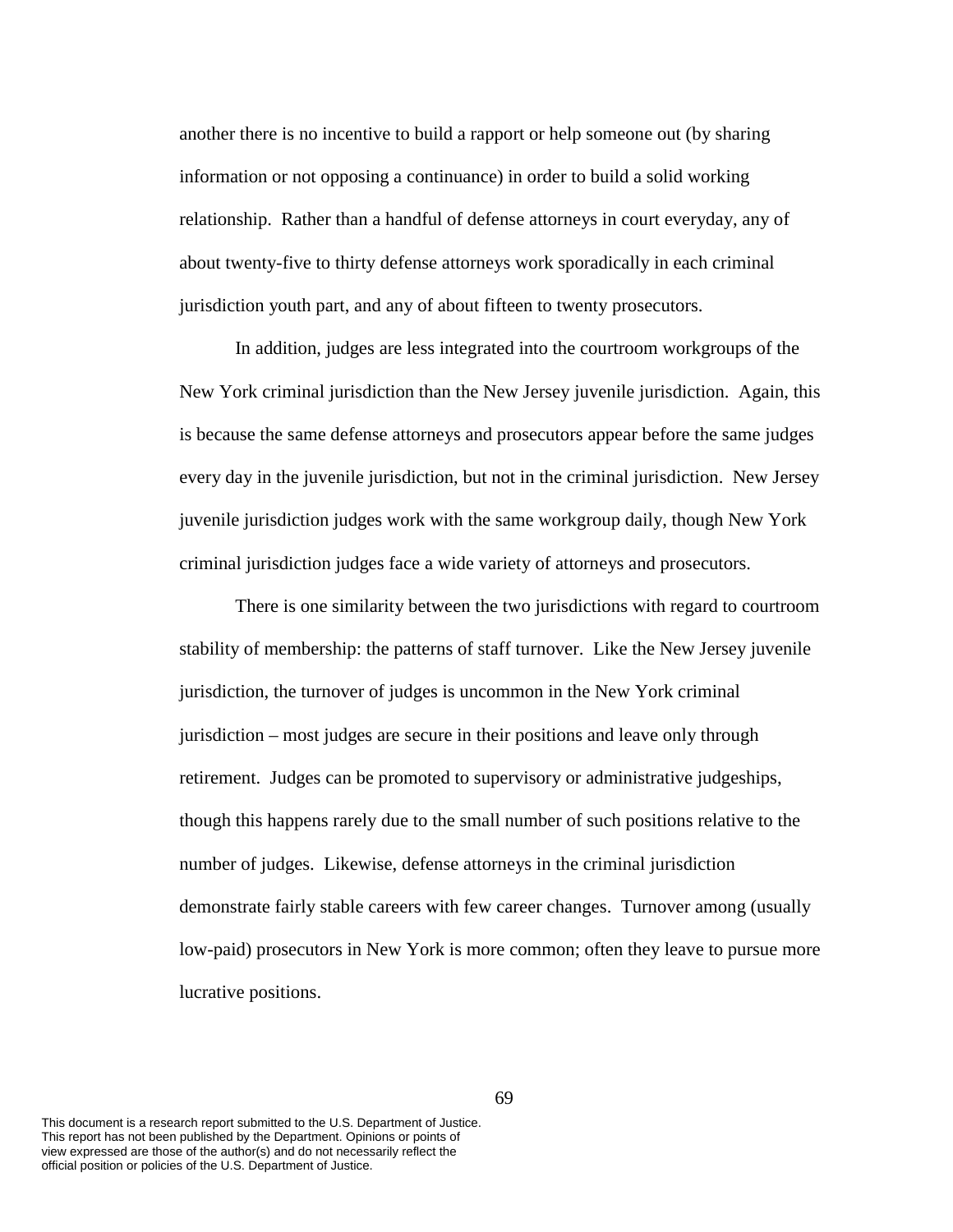another there is no incentive to build a rapport or help someone out (by sharing information or not opposing a continuance) in order to build a solid working relationship. Rather than a handful of defense attorneys in court everyday, any of about twenty-five to thirty defense attorneys work sporadically in each criminal jurisdiction youth part, and any of about fifteen to twenty prosecutors.

In addition, judges are less integrated into the courtroom workgroups of the New York criminal jurisdiction than the New Jersey juvenile jurisdiction. Again, this is because the same defense attorneys and prosecutors appear before the same judges every day in the juvenile jurisdiction, but not in the criminal jurisdiction. New Jersey juvenile jurisdiction judges work with the same workgroup daily, though New York criminal jurisdiction judges face a wide variety of attorneys and prosecutors.

There is one similarity between the two jurisdictions with regard to courtroom stability of membership: the patterns of staff turnover. Like the New Jersey juvenile jurisdiction, the turnover of judges is uncommon in the New York criminal jurisdiction – most judges are secure in their positions and leave only through retirement. Judges can be promoted to supervisory or administrative judgeships, though this happens rarely due to the small number of such positions relative to the number of judges. Likewise, defense attorneys in the criminal jurisdiction demonstrate fairly stable careers with few career changes. Turnover among (usually low-paid) prosecutors in New York is more common; often they leave to pursue more lucrative positions.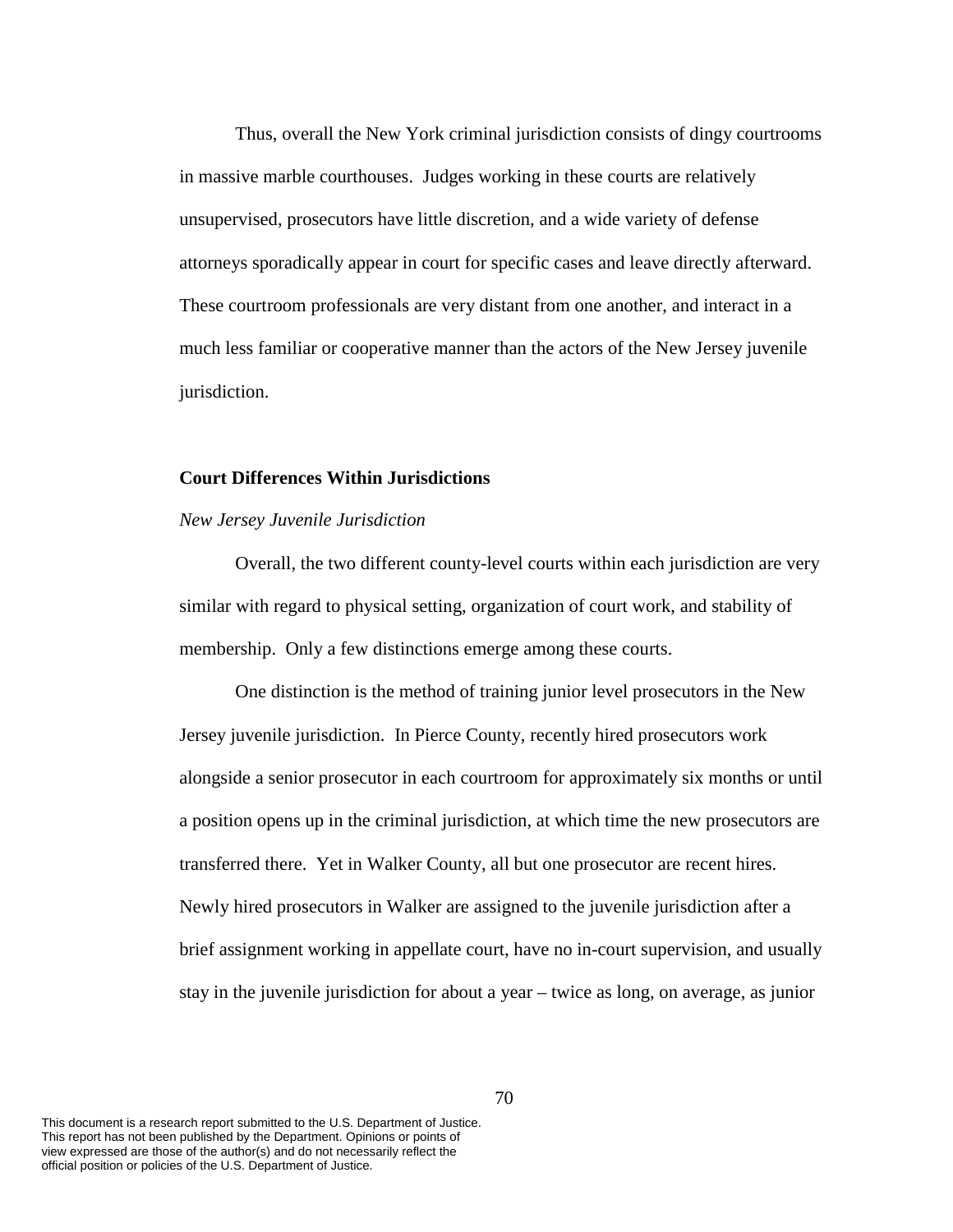Thus, overall the New York criminal jurisdiction consists of dingy courtrooms in massive marble courthouses. Judges working in these courts are relatively unsupervised, prosecutors have little discretion, and a wide variety of defense attorneys sporadically appear in court for specific cases and leave directly afterward. These courtroom professionals are very distant from one another, and interact in a much less familiar or cooperative manner than the actors of the New Jersey juvenile jurisdiction.

#### **Court Differences Within Jurisdictions**

#### *New Jersey Juvenile Jurisdiction*

Overall, the two different county-level courts within each jurisdiction are very similar with regard to physical setting, organization of court work, and stability of membership. Only a few distinctions emerge among these courts.

One distinction is the method of training junior level prosecutors in the New Jersey juvenile jurisdiction. In Pierce County, recently hired prosecutors work alongside a senior prosecutor in each courtroom for approximately six months or until a position opens up in the criminal jurisdiction, at which time the new prosecutors are transferred there. Yet in Walker County, all but one prosecutor are recent hires. Newly hired prosecutors in Walker are assigned to the juvenile jurisdiction after a brief assignment working in appellate court, have no in-court supervision, and usually stay in the juvenile jurisdiction for about a year – twice as long, on average, as junior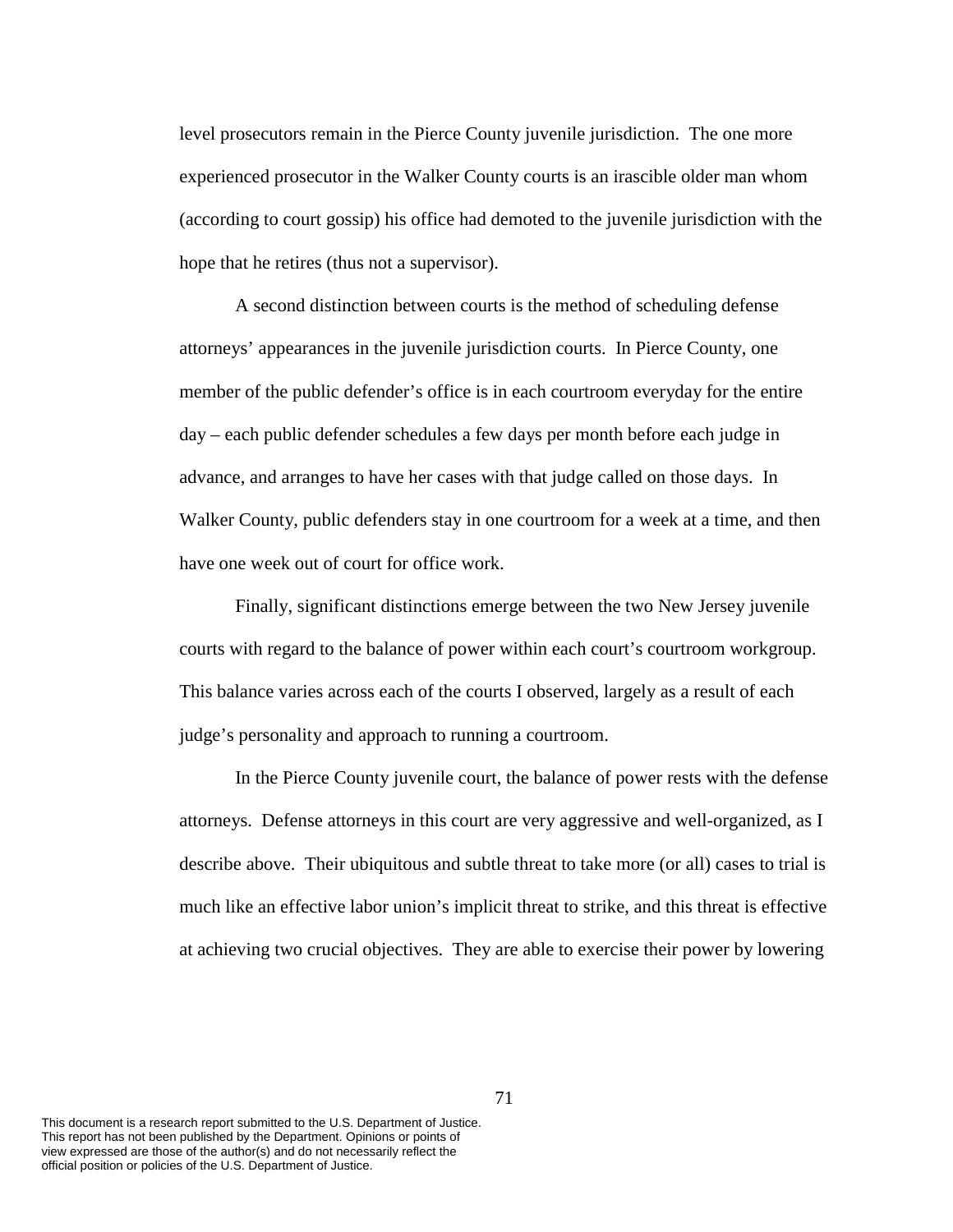level prosecutors remain in the Pierce County juvenile jurisdiction. The one more experienced prosecutor in the Walker County courts is an irascible older man whom (according to court gossip) his office had demoted to the juvenile jurisdiction with the hope that he retires (thus not a supervisor).

A second distinction between courts is the method of scheduling defense attorneys' appearances in the juvenile jurisdiction courts. In Pierce County, one member of the public defender's office is in each courtroom everyday for the entire day – each public defender schedules a few days per month before each judge in advance, and arranges to have her cases with that judge called on those days. In Walker County, public defenders stay in one courtroom for a week at a time, and then have one week out of court for office work.

Finally, significant distinctions emerge between the two New Jersey juvenile courts with regard to the balance of power within each court's courtroom workgroup. This balance varies across each of the courts I observed, largely as a result of each judge's personality and approach to running a courtroom.

In the Pierce County juvenile court, the balance of power rests with the defense attorneys. Defense attorneys in this court are very aggressive and well-organized, as I describe above. Their ubiquitous and subtle threat to take more (or all) cases to trial is much like an effective labor union's implicit threat to strike, and this threat is effective at achieving two crucial objectives. They are able to exercise their power by lowering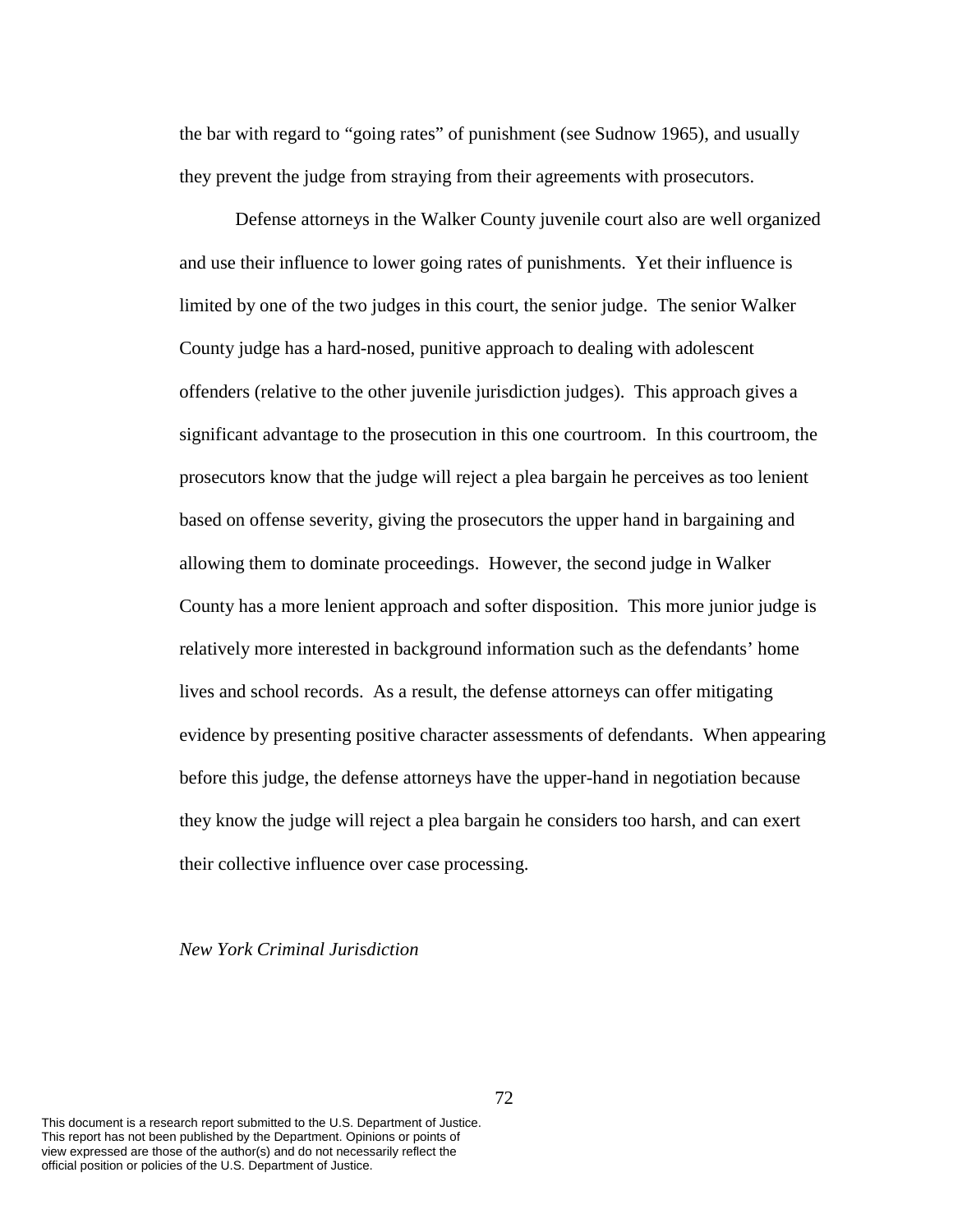the bar with regard to "going rates" of punishment (see Sudnow 1965), and usually they prevent the judge from straying from their agreements with prosecutors.

Defense attorneys in the Walker County juvenile court also are well organized and use their influence to lower going rates of punishments. Yet their influence is limited by one of the two judges in this court, the senior judge. The senior Walker County judge has a hard-nosed, punitive approach to dealing with adolescent offenders (relative to the other juvenile jurisdiction judges). This approach gives a significant advantage to the prosecution in this one courtroom. In this courtroom, the prosecutors know that the judge will reject a plea bargain he perceives as too lenient based on offense severity, giving the prosecutors the upper hand in bargaining and allowing them to dominate proceedings. However, the second judge in Walker County has a more lenient approach and softer disposition. This more junior judge is relatively more interested in background information such as the defendants' home lives and school records. As a result, the defense attorneys can offer mitigating evidence by presenting positive character assessments of defendants. When appearing before this judge, the defense attorneys have the upper-hand in negotiation because they know the judge will reject a plea bargain he considers too harsh, and can exert their collective influence over case processing.

# *New York Criminal Jurisdiction*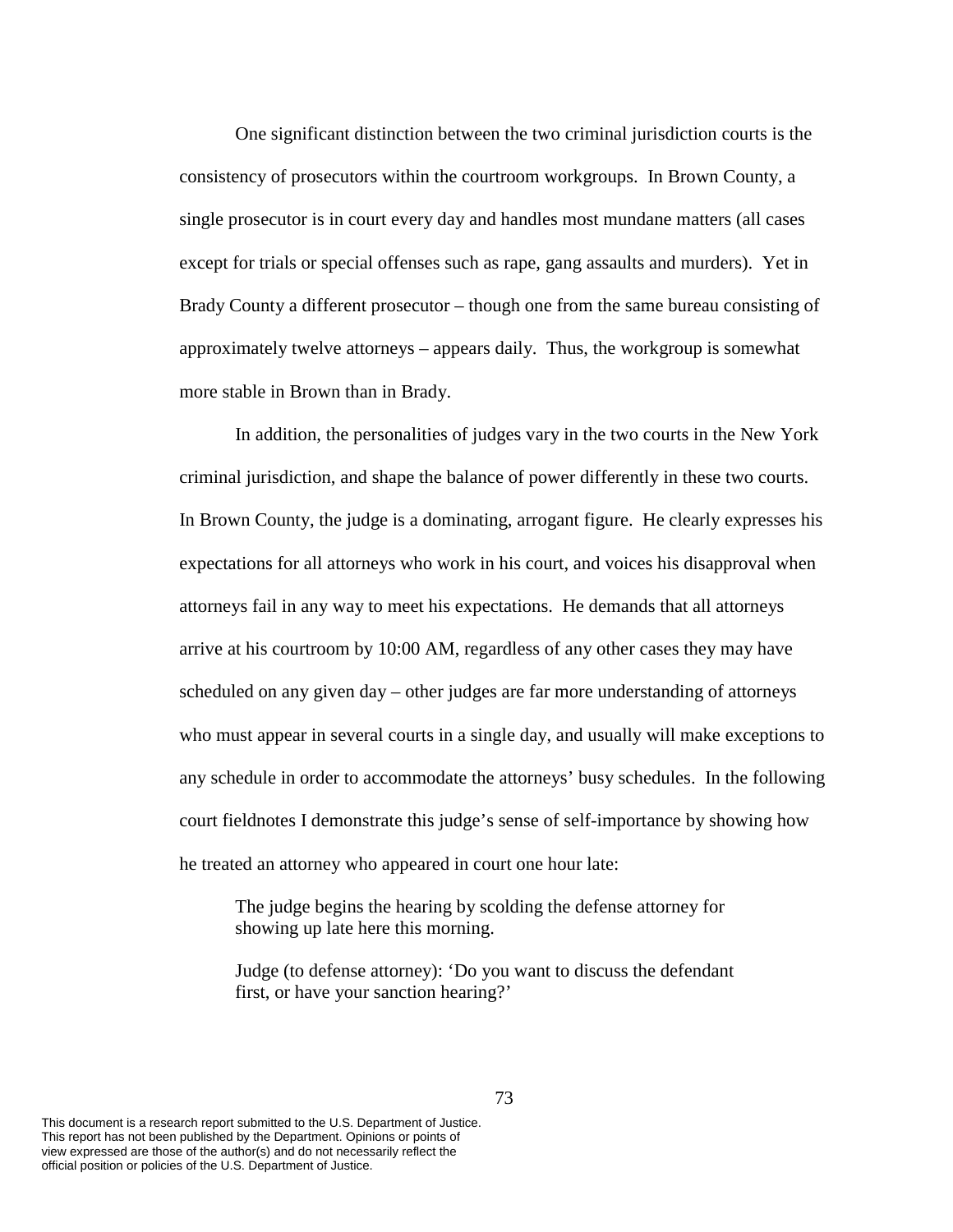One significant distinction between the two criminal jurisdiction courts is the consistency of prosecutors within the courtroom workgroups. In Brown County, a single prosecutor is in court every day and handles most mundane matters (all cases except for trials or special offenses such as rape, gang assaults and murders). Yet in Brady County a different prosecutor – though one from the same bureau consisting of approximately twelve attorneys – appears daily. Thus, the workgroup is somewhat more stable in Brown than in Brady.

In addition, the personalities of judges vary in the two courts in the New York criminal jurisdiction, and shape the balance of power differently in these two courts. In Brown County, the judge is a dominating, arrogant figure. He clearly expresses his expectations for all attorneys who work in his court, and voices his disapproval when attorneys fail in any way to meet his expectations. He demands that all attorneys arrive at his courtroom by 10:00 AM, regardless of any other cases they may have scheduled on any given day – other judges are far more understanding of attorneys who must appear in several courts in a single day, and usually will make exceptions to any schedule in order to accommodate the attorneys' busy schedules. In the following court fieldnotes I demonstrate this judge's sense of self-importance by showing how he treated an attorney who appeared in court one hour late:

The judge begins the hearing by scolding the defense attorney for showing up late here this morning.

Judge (to defense attorney): 'Do you want to discuss the defendant first, or have your sanction hearing?'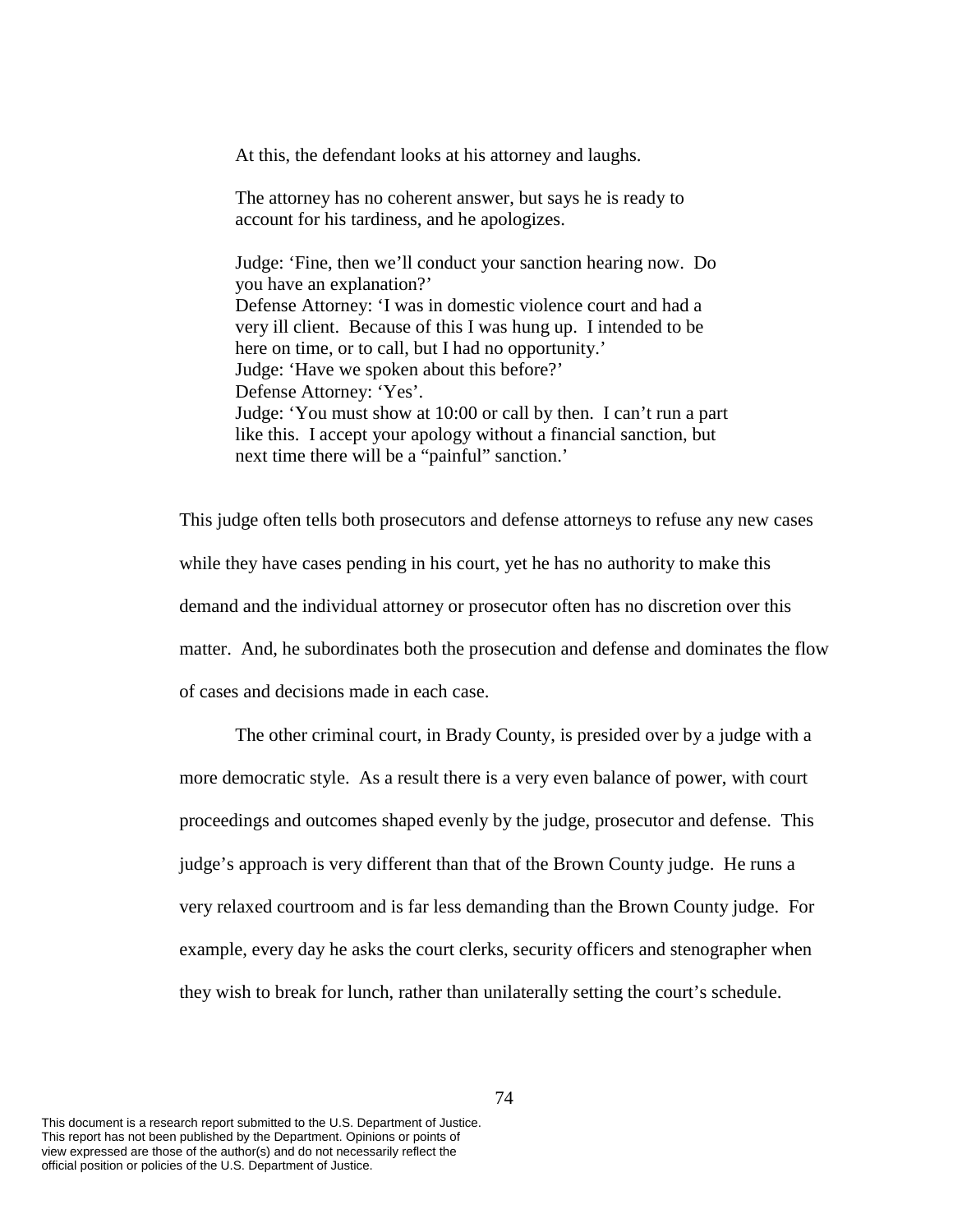At this, the defendant looks at his attorney and laughs.

The attorney has no coherent answer, but says he is ready to account for his tardiness, and he apologizes.

Judge: 'Fine, then we'll conduct your sanction hearing now. Do you have an explanation?' Defense Attorney: 'I was in domestic violence court and had a very ill client. Because of this I was hung up. I intended to be here on time, or to call, but I had no opportunity.' Judge: 'Have we spoken about this before?' Defense Attorney: 'Yes'. Judge: 'You must show at 10:00 or call by then. I can't run a part like this. I accept your apology without a financial sanction, but next time there will be a "painful" sanction.'

This judge often tells both prosecutors and defense attorneys to refuse any new cases while they have cases pending in his court, yet he has no authority to make this demand and the individual attorney or prosecutor often has no discretion over this matter. And, he subordinates both the prosecution and defense and dominates the flow of cases and decisions made in each case.

The other criminal court, in Brady County, is presided over by a judge with a more democratic style. As a result there is a very even balance of power, with court proceedings and outcomes shaped evenly by the judge, prosecutor and defense. This judge's approach is very different than that of the Brown County judge. He runs a very relaxed courtroom and is far less demanding than the Brown County judge. For example, every day he asks the court clerks, security officers and stenographer when they wish to break for lunch, rather than unilaterally setting the court's schedule.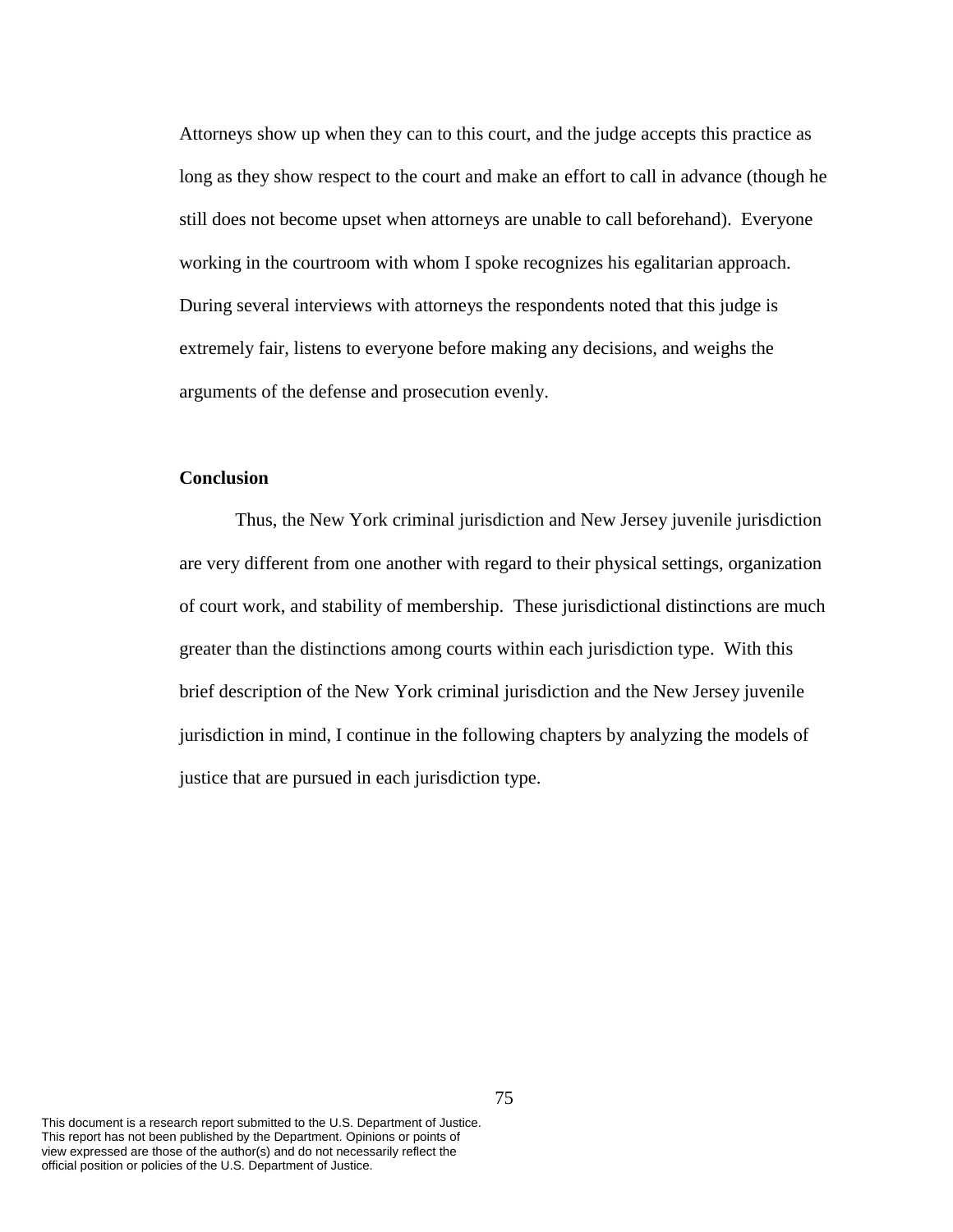Attorneys show up when they can to this court, and the judge accepts this practice as long as they show respect to the court and make an effort to call in advance (though he still does not become upset when attorneys are unable to call beforehand). Everyone working in the courtroom with whom I spoke recognizes his egalitarian approach. During several interviews with attorneys the respondents noted that this judge is extremely fair, listens to everyone before making any decisions, and weighs the arguments of the defense and prosecution evenly.

# **Conclusion**

Thus, the New York criminal jurisdiction and New Jersey juvenile jurisdiction are very different from one another with regard to their physical settings, organization of court work, and stability of membership. These jurisdictional distinctions are much greater than the distinctions among courts within each jurisdiction type. With this brief description of the New York criminal jurisdiction and the New Jersey juvenile jurisdiction in mind, I continue in the following chapters by analyzing the models of justice that are pursued in each jurisdiction type.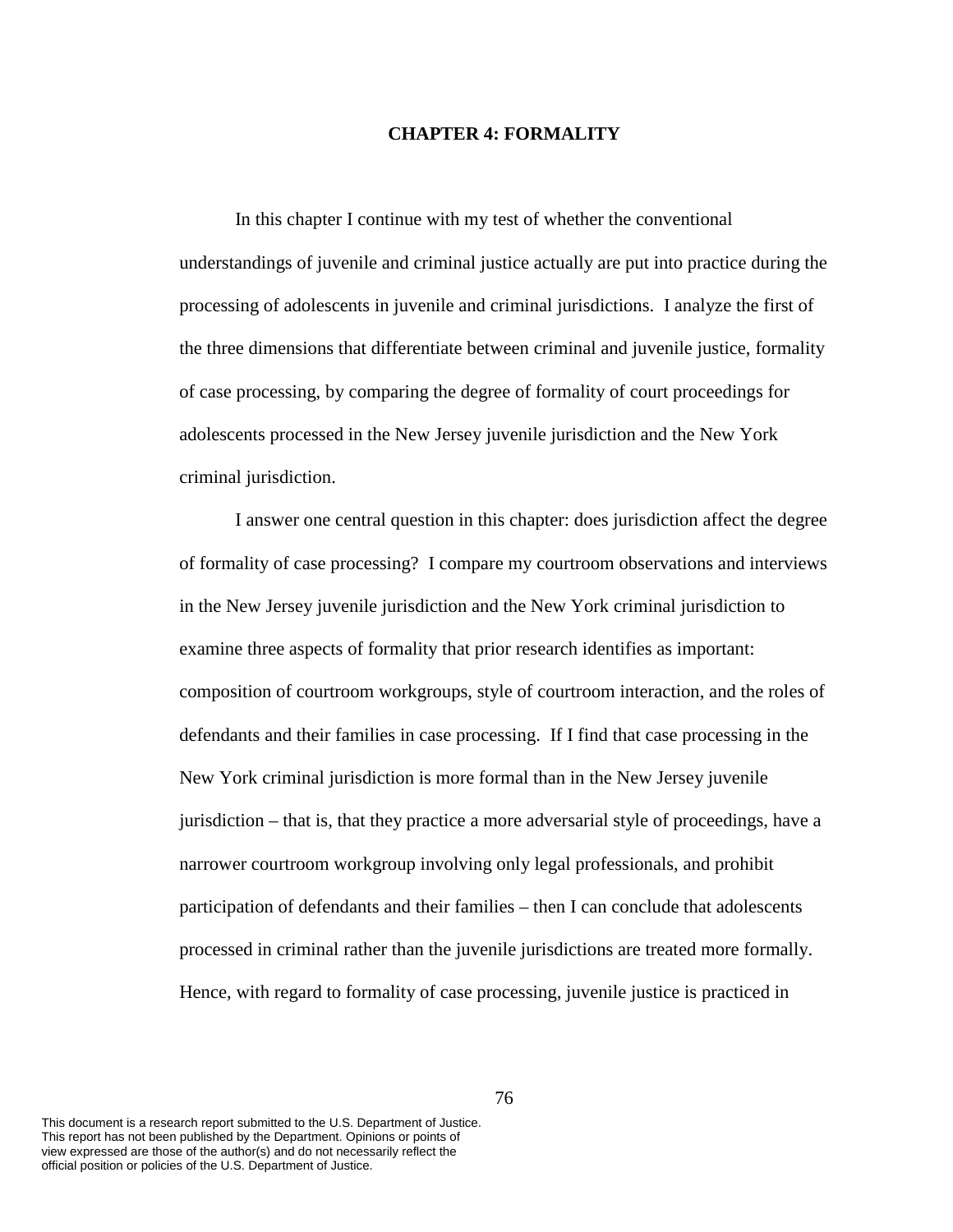## **CHAPTER 4: FORMALITY**

In this chapter I continue with my test of whether the conventional understandings of juvenile and criminal justice actually are put into practice during the processing of adolescents in juvenile and criminal jurisdictions. I analyze the first of the three dimensions that differentiate between criminal and juvenile justice, formality of case processing, by comparing the degree of formality of court proceedings for adolescents processed in the New Jersey juvenile jurisdiction and the New York criminal jurisdiction.

I answer one central question in this chapter: does jurisdiction affect the degree of formality of case processing? I compare my courtroom observations and interviews in the New Jersey juvenile jurisdiction and the New York criminal jurisdiction to examine three aspects of formality that prior research identifies as important: composition of courtroom workgroups, style of courtroom interaction, and the roles of defendants and their families in case processing. If I find that case processing in the New York criminal jurisdiction is more formal than in the New Jersey juvenile jurisdiction – that is, that they practice a more adversarial style of proceedings, have a narrower courtroom workgroup involving only legal professionals, and prohibit participation of defendants and their families – then I can conclude that adolescents processed in criminal rather than the juvenile jurisdictions are treated more formally. Hence, with regard to formality of case processing, juvenile justice is practiced in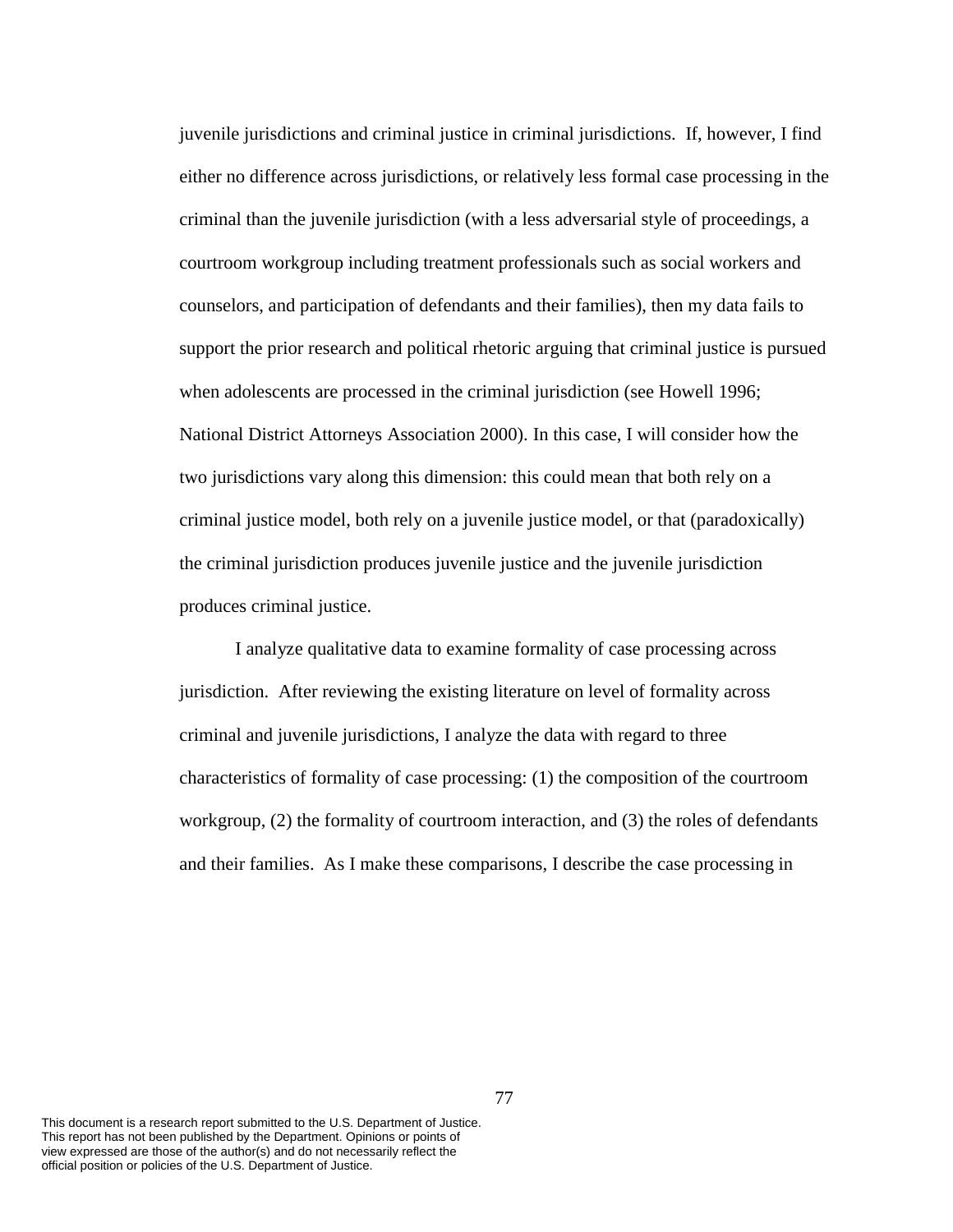juvenile jurisdictions and criminal justice in criminal jurisdictions. If, however, I find either no difference across jurisdictions, or relatively less formal case processing in the criminal than the juvenile jurisdiction (with a less adversarial style of proceedings, a courtroom workgroup including treatment professionals such as social workers and counselors, and participation of defendants and their families), then my data fails to support the prior research and political rhetoric arguing that criminal justice is pursued when adolescents are processed in the criminal jurisdiction (see Howell 1996; National District Attorneys Association 2000). In this case, I will consider how the two jurisdictions vary along this dimension: this could mean that both rely on a criminal justice model, both rely on a juvenile justice model, or that (paradoxically) the criminal jurisdiction produces juvenile justice and the juvenile jurisdiction produces criminal justice.

I analyze qualitative data to examine formality of case processing across jurisdiction. After reviewing the existing literature on level of formality across criminal and juvenile jurisdictions, I analyze the data with regard to three characteristics of formality of case processing: (1) the composition of the courtroom workgroup, (2) the formality of courtroom interaction, and (3) the roles of defendants and their families. As I make these comparisons, I describe the case processing in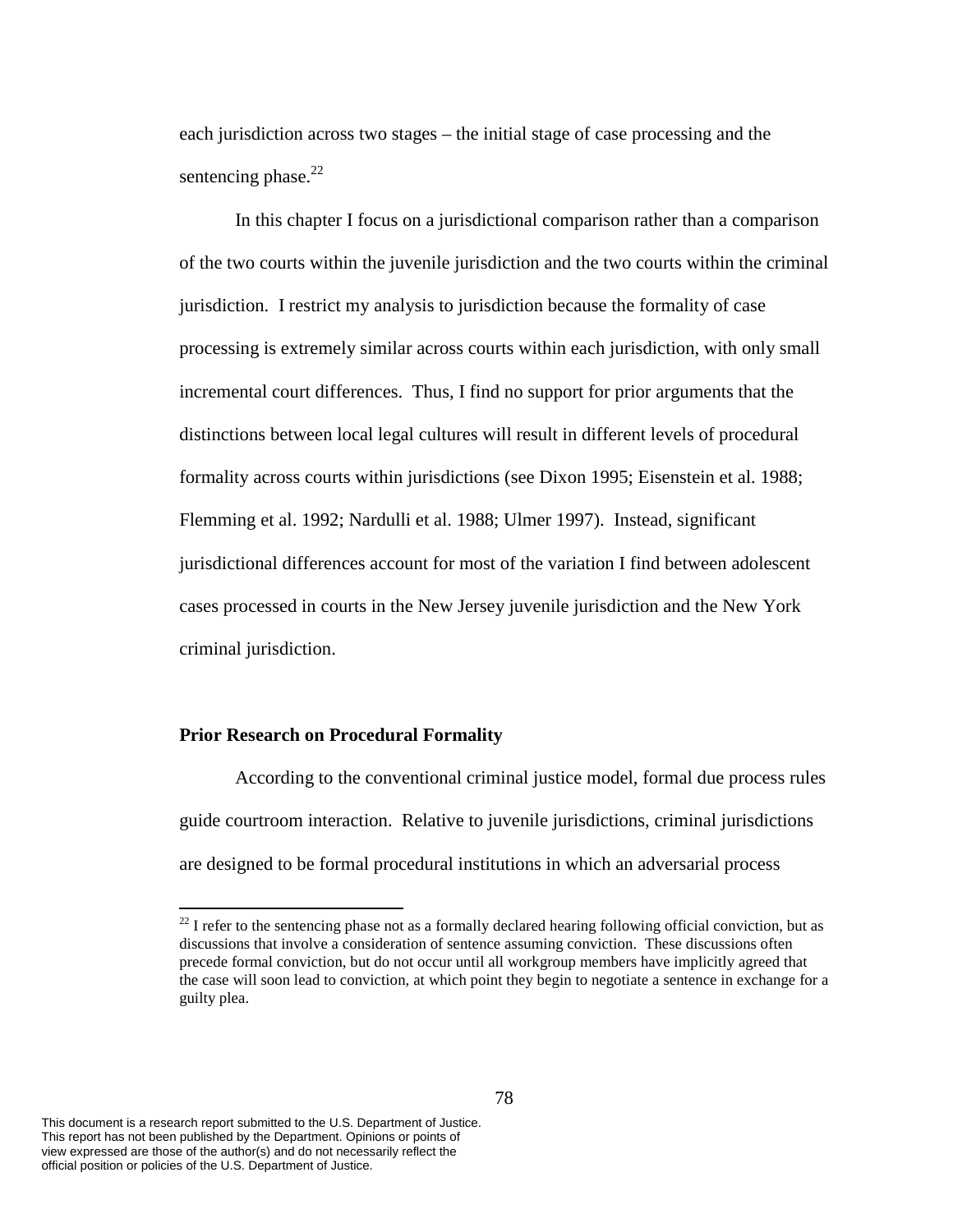each jurisdiction across two stages – the initial stage of case processing and the sentencing phase. $^{22}$ 

In this chapter I focus on a jurisdictional comparison rather than a comparison of the two courts within the juvenile jurisdiction and the two courts within the criminal jurisdiction. I restrict my analysis to jurisdiction because the formality of case processing is extremely similar across courts within each jurisdiction, with only small incremental court differences. Thus, I find no support for prior arguments that the distinctions between local legal cultures will result in different levels of procedural formality across courts within jurisdictions (see Dixon 1995; Eisenstein et al. 1988; Flemming et al. 1992; Nardulli et al. 1988; Ulmer 1997). Instead, significant jurisdictional differences account for most of the variation I find between adolescent cases processed in courts in the New Jersey juvenile jurisdiction and the New York criminal jurisdiction.

# **Prior Research on Procedural Formality**

According to the conventional criminal justice model, formal due process rules guide courtroom interaction. Relative to juvenile jurisdictions, criminal jurisdictions are designed to be formal procedural institutions in which an adversarial process

 $\overline{a}$ 

 $22$  I refer to the sentencing phase not as a formally declared hearing following official conviction, but as discussions that involve a consideration of sentence assuming conviction. These discussions often precede formal conviction, but do not occur until all workgroup members have implicitly agreed that the case will soon lead to conviction, at which point they begin to negotiate a sentence in exchange for a guilty plea.

This document is a research report submitted to the U.S. Department of Justice. This report has not been published by the Department. Opinions or points of view expressed are those of the author(s) and do not necessarily reflect the official position or policies of the U.S. Department of Justice.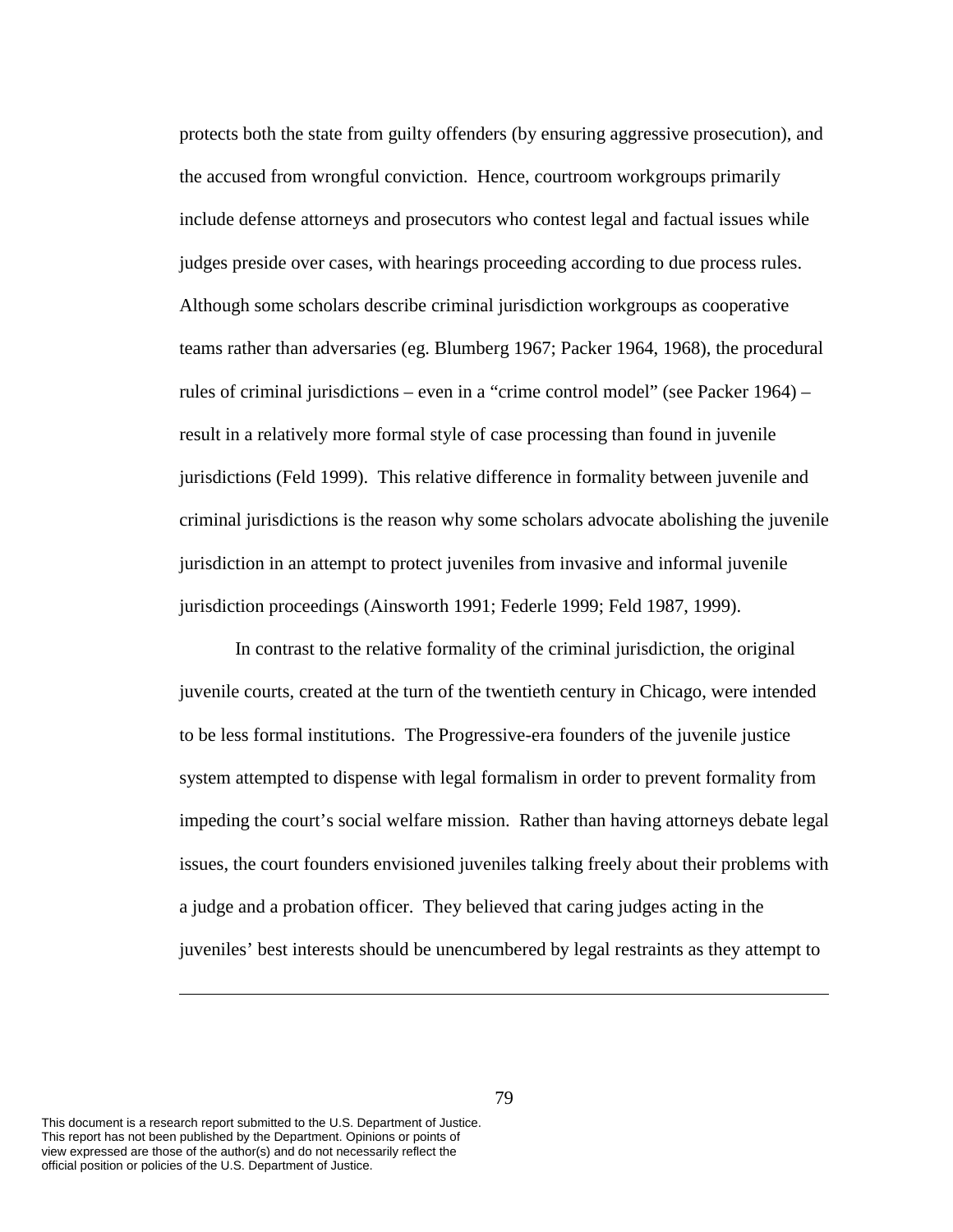protects both the state from guilty offenders (by ensuring aggressive prosecution), and the accused from wrongful conviction. Hence, courtroom workgroups primarily include defense attorneys and prosecutors who contest legal and factual issues while judges preside over cases, with hearings proceeding according to due process rules. Although some scholars describe criminal jurisdiction workgroups as cooperative teams rather than adversaries (eg. Blumberg 1967; Packer 1964, 1968), the procedural rules of criminal jurisdictions – even in a "crime control model" (see Packer 1964) – result in a relatively more formal style of case processing than found in juvenile jurisdictions (Feld 1999). This relative difference in formality between juvenile and criminal jurisdictions is the reason why some scholars advocate abolishing the juvenile jurisdiction in an attempt to protect juveniles from invasive and informal juvenile jurisdiction proceedings (Ainsworth 1991; Federle 1999; Feld 1987, 1999).

In contrast to the relative formality of the criminal jurisdiction, the original juvenile courts, created at the turn of the twentieth century in Chicago, were intended to be less formal institutions. The Progressive-era founders of the juvenile justice system attempted to dispense with legal formalism in order to prevent formality from impeding the court's social welfare mission. Rather than having attorneys debate legal issues, the court founders envisioned juveniles talking freely about their problems with a judge and a probation officer. They believed that caring judges acting in the juveniles' best interests should be unencumbered by legal restraints as they attempt to

 $\overline{a}$ 

This document is a research report submitted to the U.S. Department of Justice. This report has not been published by the Department. Opinions or points of view expressed are those of the author(s) and do not necessarily reflect the official position or policies of the U.S. Department of Justice.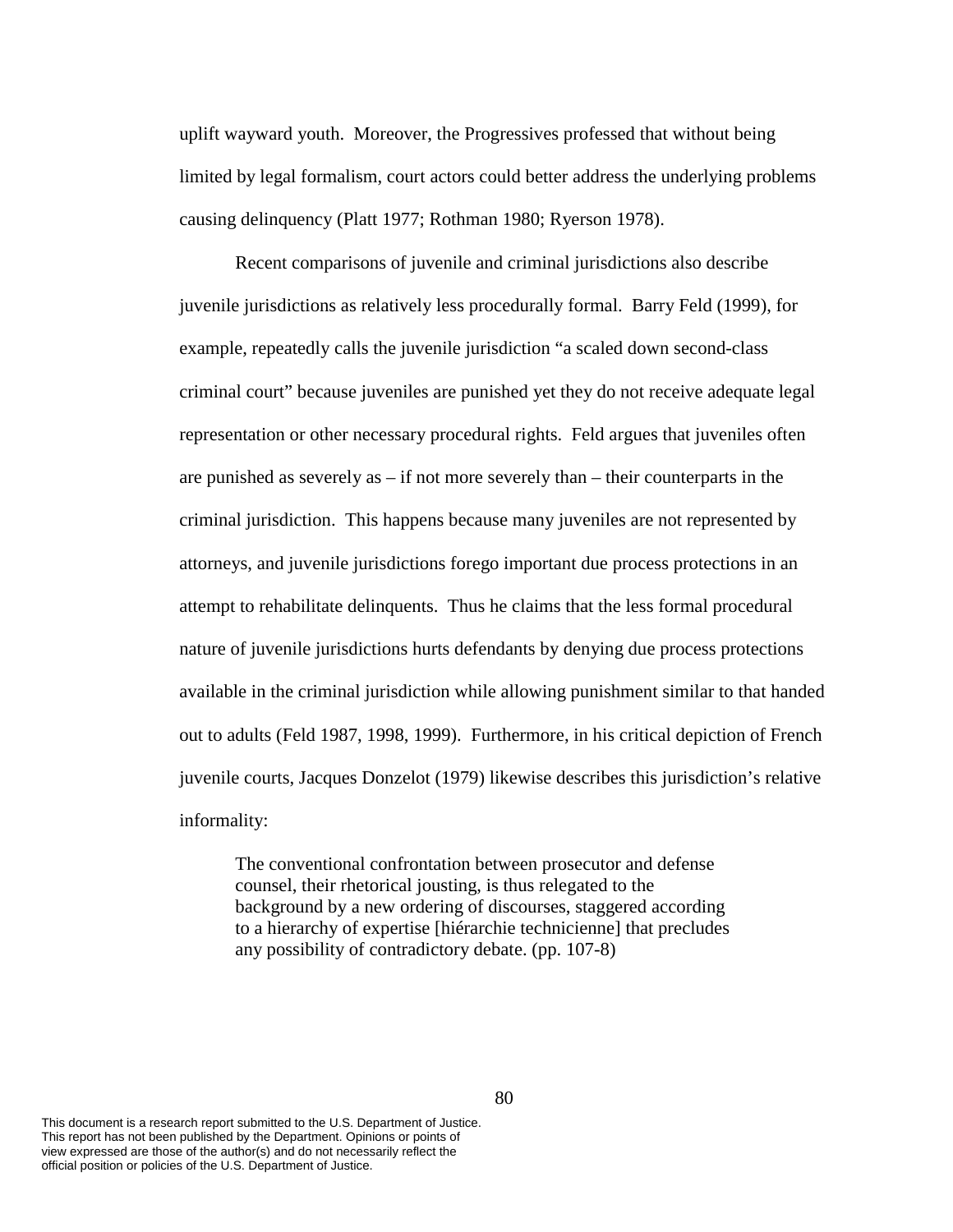uplift wayward youth. Moreover, the Progressives professed that without being limited by legal formalism, court actors could better address the underlying problems causing delinquency (Platt 1977; Rothman 1980; Ryerson 1978).

Recent comparisons of juvenile and criminal jurisdictions also describe juvenile jurisdictions as relatively less procedurally formal. Barry Feld (1999), for example, repeatedly calls the juvenile jurisdiction "a scaled down second-class criminal court" because juveniles are punished yet they do not receive adequate legal representation or other necessary procedural rights. Feld argues that juveniles often are punished as severely as  $-$  if not more severely than  $-$  their counterparts in the criminal jurisdiction. This happens because many juveniles are not represented by attorneys, and juvenile jurisdictions forego important due process protections in an attempt to rehabilitate delinquents. Thus he claims that the less formal procedural nature of juvenile jurisdictions hurts defendants by denying due process protections available in the criminal jurisdiction while allowing punishment similar to that handed out to adults (Feld 1987, 1998, 1999). Furthermore, in his critical depiction of French juvenile courts, Jacques Donzelot (1979) likewise describes this jurisdiction's relative informality:

The conventional confrontation between prosecutor and defense counsel, their rhetorical jousting, is thus relegated to the background by a new ordering of discourses, staggered according to a hierarchy of expertise [hiérarchie technicienne] that precludes any possibility of contradictory debate. (pp. 107-8)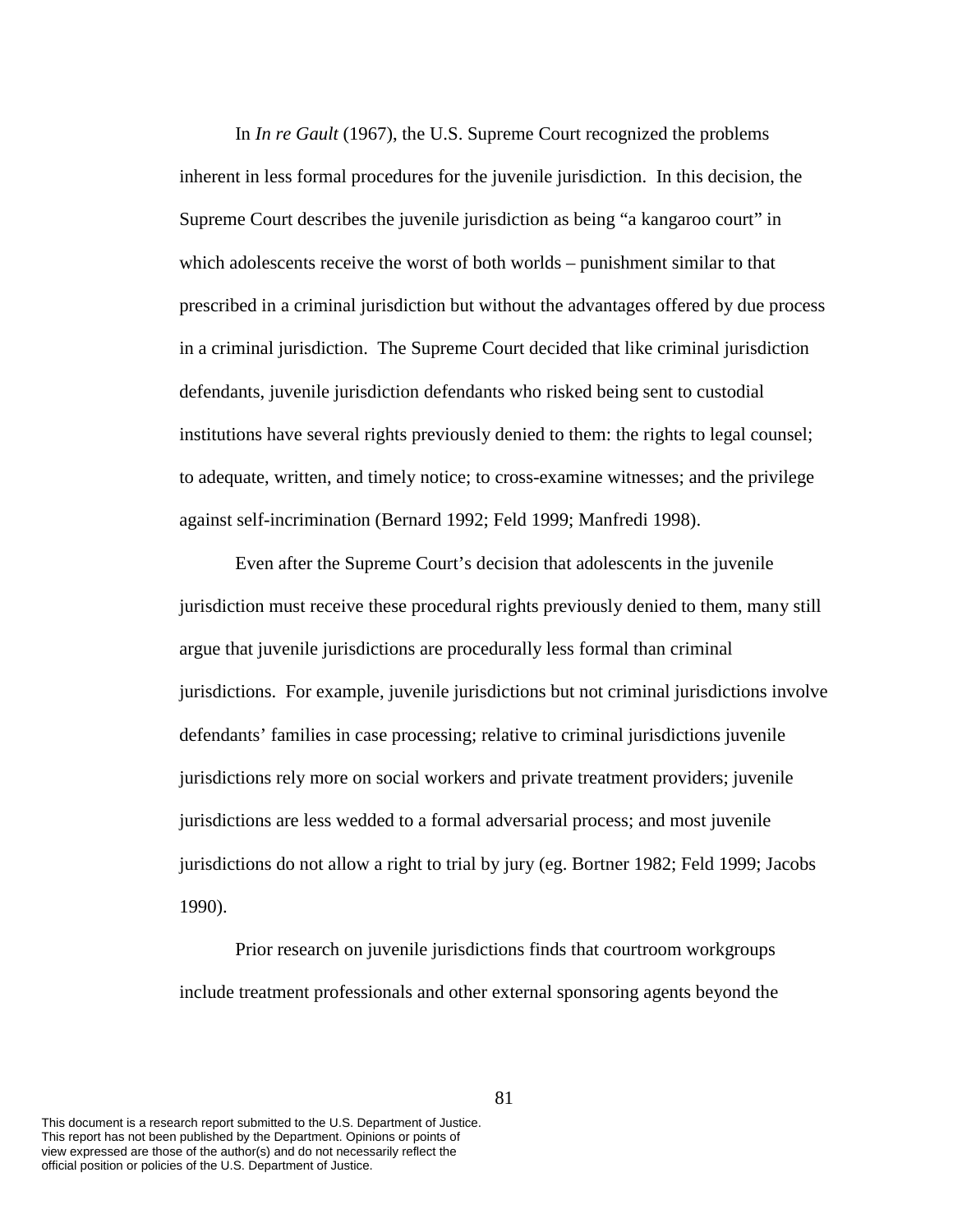In *In re Gault* (1967), the U.S. Supreme Court recognized the problems inherent in less formal procedures for the juvenile jurisdiction. In this decision, the Supreme Court describes the juvenile jurisdiction as being "a kangaroo court" in which adolescents receive the worst of both worlds – punishment similar to that prescribed in a criminal jurisdiction but without the advantages offered by due process in a criminal jurisdiction. The Supreme Court decided that like criminal jurisdiction defendants, juvenile jurisdiction defendants who risked being sent to custodial institutions have several rights previously denied to them: the rights to legal counsel; to adequate, written, and timely notice; to cross-examine witnesses; and the privilege against self-incrimination (Bernard 1992; Feld 1999; Manfredi 1998).

Even after the Supreme Court's decision that adolescents in the juvenile jurisdiction must receive these procedural rights previously denied to them, many still argue that juvenile jurisdictions are procedurally less formal than criminal jurisdictions. For example, juvenile jurisdictions but not criminal jurisdictions involve defendants' families in case processing; relative to criminal jurisdictions juvenile jurisdictions rely more on social workers and private treatment providers; juvenile jurisdictions are less wedded to a formal adversarial process; and most juvenile jurisdictions do not allow a right to trial by jury (eg. Bortner 1982; Feld 1999; Jacobs 1990).

Prior research on juvenile jurisdictions finds that courtroom workgroups include treatment professionals and other external sponsoring agents beyond the

This document is a research report submitted to the U.S. Department of Justice. This report has not been published by the Department. Opinions or points of view expressed are those of the author(s) and do not necessarily reflect the official position or policies of the U.S. Department of Justice.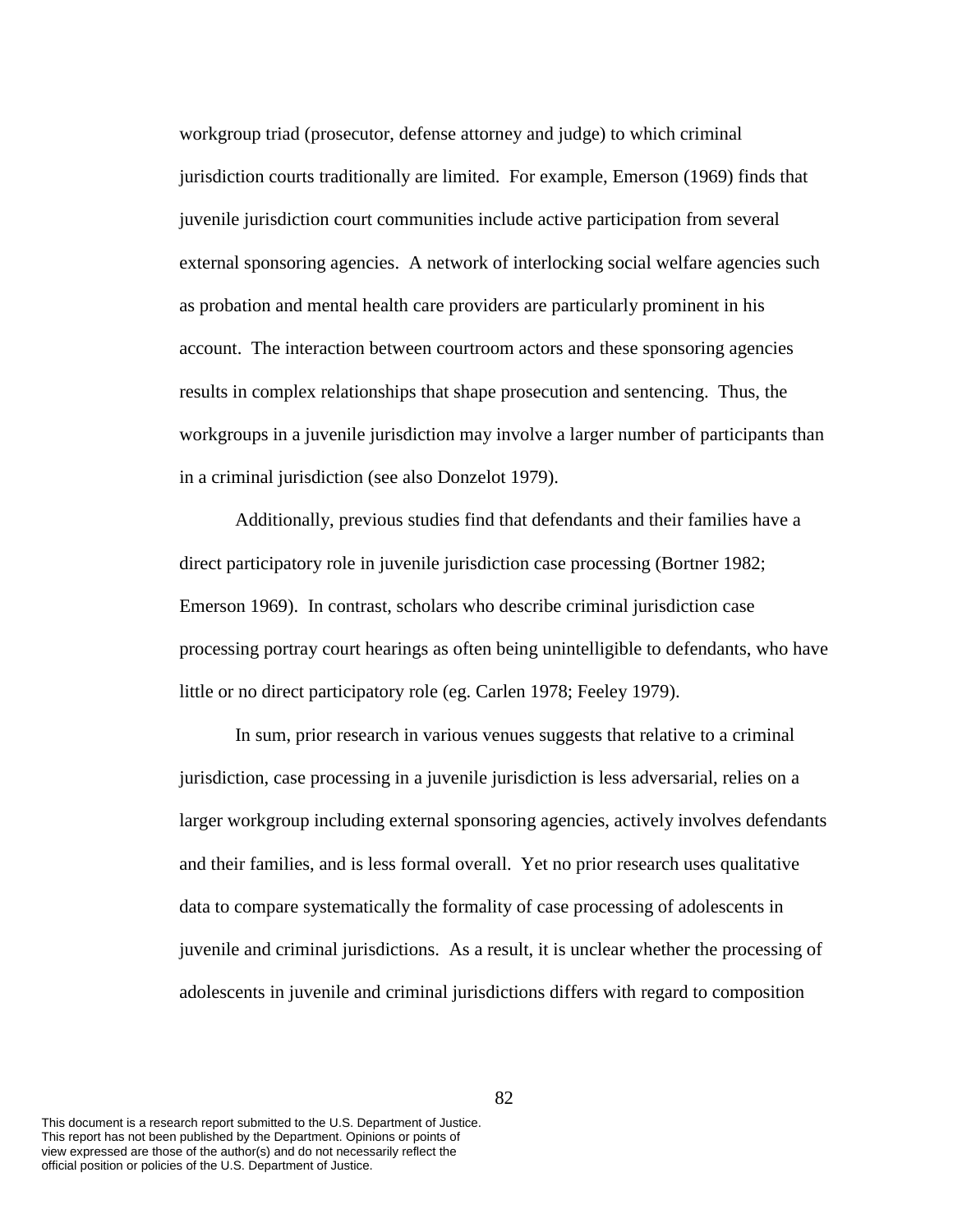workgroup triad (prosecutor, defense attorney and judge) to which criminal jurisdiction courts traditionally are limited. For example, Emerson (1969) finds that juvenile jurisdiction court communities include active participation from several external sponsoring agencies. A network of interlocking social welfare agencies such as probation and mental health care providers are particularly prominent in his account. The interaction between courtroom actors and these sponsoring agencies results in complex relationships that shape prosecution and sentencing. Thus, the workgroups in a juvenile jurisdiction may involve a larger number of participants than in a criminal jurisdiction (see also Donzelot 1979).

Additionally, previous studies find that defendants and their families have a direct participatory role in juvenile jurisdiction case processing (Bortner 1982; Emerson 1969). In contrast, scholars who describe criminal jurisdiction case processing portray court hearings as often being unintelligible to defendants, who have little or no direct participatory role (eg. Carlen 1978; Feeley 1979).

In sum, prior research in various venues suggests that relative to a criminal jurisdiction, case processing in a juvenile jurisdiction is less adversarial, relies on a larger workgroup including external sponsoring agencies, actively involves defendants and their families, and is less formal overall. Yet no prior research uses qualitative data to compare systematically the formality of case processing of adolescents in juvenile and criminal jurisdictions. As a result, it is unclear whether the processing of adolescents in juvenile and criminal jurisdictions differs with regard to composition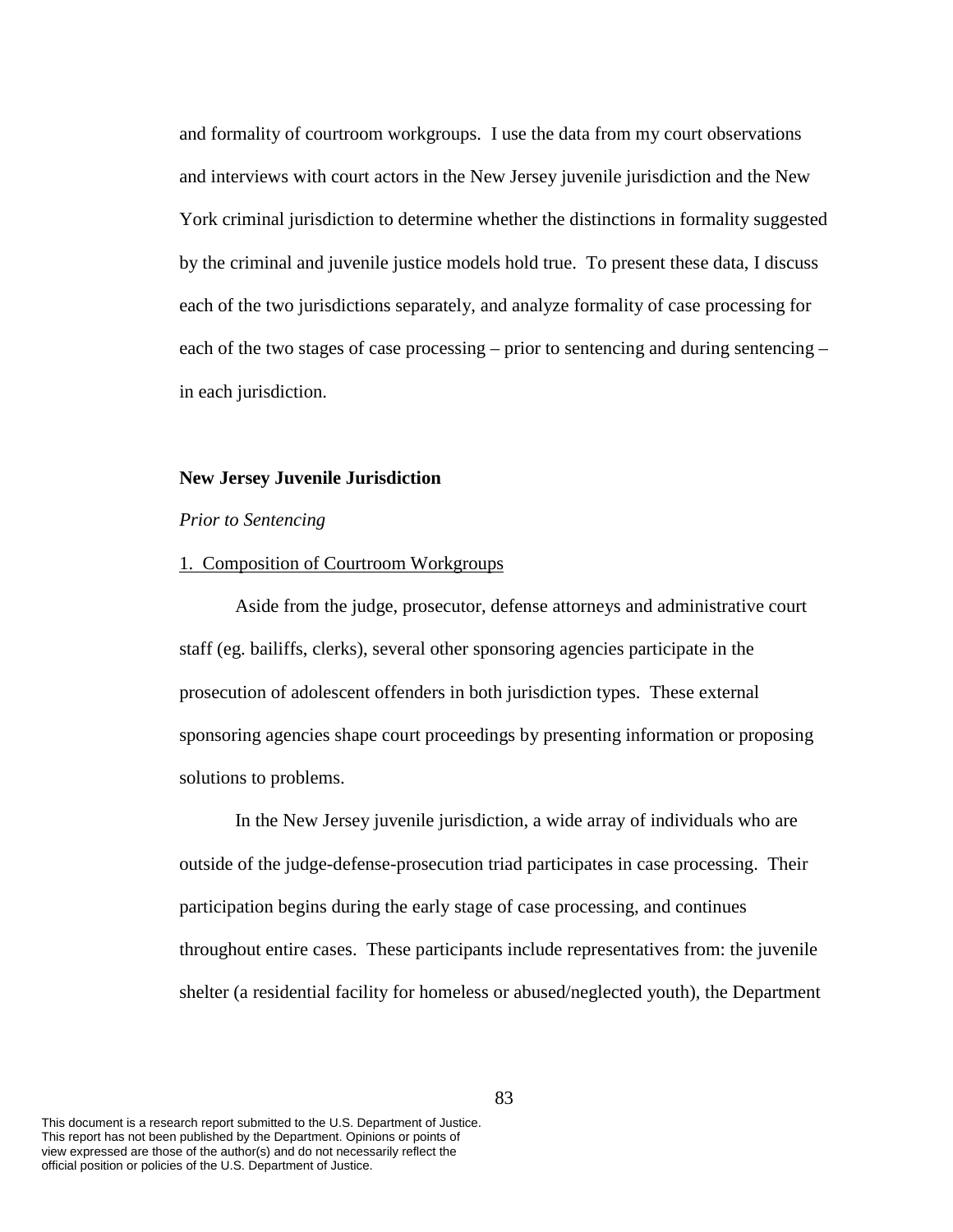and formality of courtroom workgroups. I use the data from my court observations and interviews with court actors in the New Jersey juvenile jurisdiction and the New York criminal jurisdiction to determine whether the distinctions in formality suggested by the criminal and juvenile justice models hold true. To present these data, I discuss each of the two jurisdictions separately, and analyze formality of case processing for each of the two stages of case processing – prior to sentencing and during sentencing – in each jurisdiction.

## **New Jersey Juvenile Jurisdiction**

#### *Prior to Sentencing*

## 1. Composition of Courtroom Workgroups

Aside from the judge, prosecutor, defense attorneys and administrative court staff (eg. bailiffs, clerks), several other sponsoring agencies participate in the prosecution of adolescent offenders in both jurisdiction types. These external sponsoring agencies shape court proceedings by presenting information or proposing solutions to problems.

In the New Jersey juvenile jurisdiction, a wide array of individuals who are outside of the judge-defense-prosecution triad participates in case processing. Their participation begins during the early stage of case processing, and continues throughout entire cases. These participants include representatives from: the juvenile shelter (a residential facility for homeless or abused/neglected youth), the Department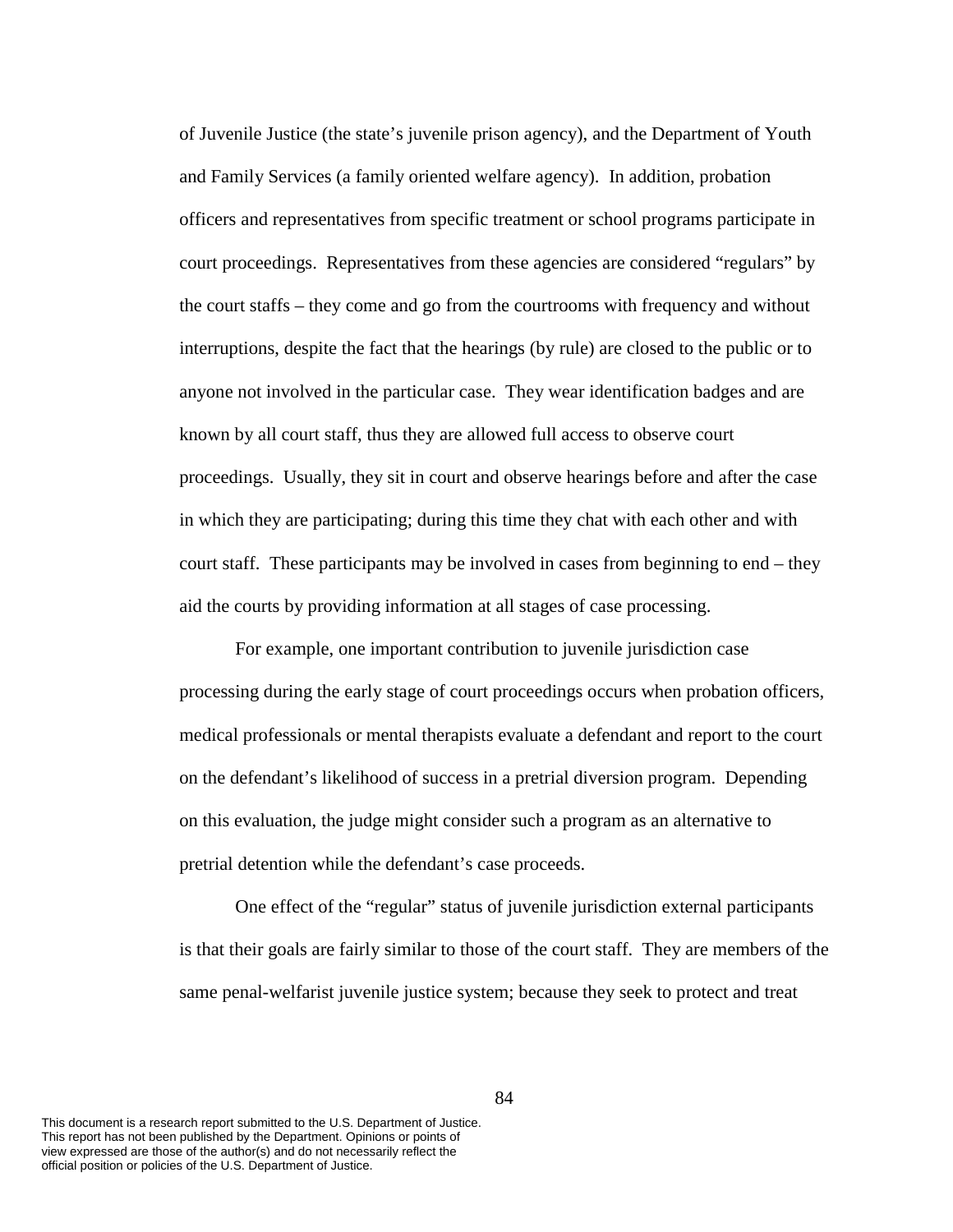of Juvenile Justice (the state's juvenile prison agency), and the Department of Youth and Family Services (a family oriented welfare agency). In addition, probation officers and representatives from specific treatment or school programs participate in court proceedings. Representatives from these agencies are considered "regulars" by the court staffs – they come and go from the courtrooms with frequency and without interruptions, despite the fact that the hearings (by rule) are closed to the public or to anyone not involved in the particular case. They wear identification badges and are known by all court staff, thus they are allowed full access to observe court proceedings. Usually, they sit in court and observe hearings before and after the case in which they are participating; during this time they chat with each other and with court staff. These participants may be involved in cases from beginning to end – they aid the courts by providing information at all stages of case processing.

For example, one important contribution to juvenile jurisdiction case processing during the early stage of court proceedings occurs when probation officers, medical professionals or mental therapists evaluate a defendant and report to the court on the defendant's likelihood of success in a pretrial diversion program. Depending on this evaluation, the judge might consider such a program as an alternative to pretrial detention while the defendant's case proceeds.

One effect of the "regular" status of juvenile jurisdiction external participants is that their goals are fairly similar to those of the court staff. They are members of the same penal-welfarist juvenile justice system; because they seek to protect and treat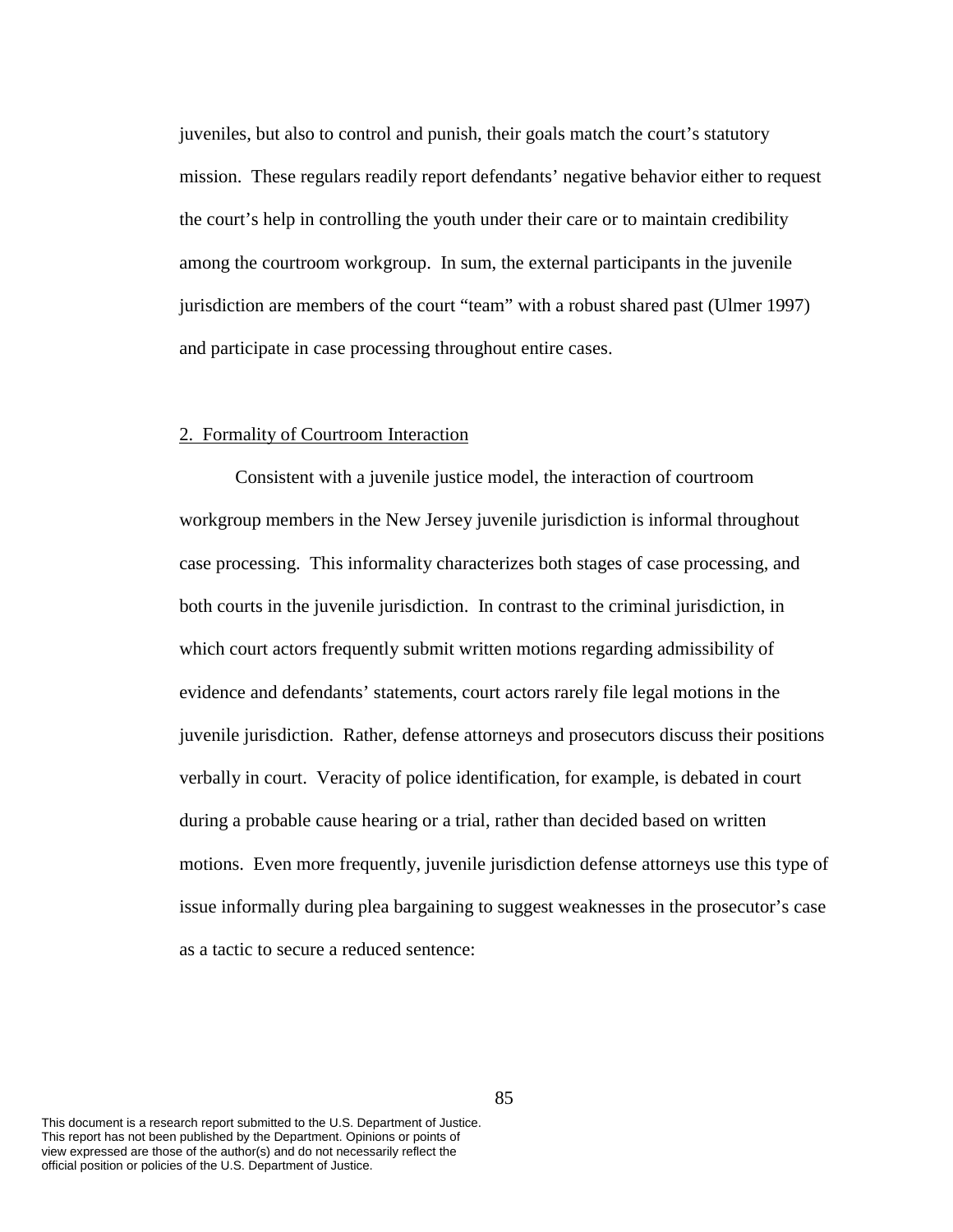juveniles, but also to control and punish, their goals match the court's statutory mission. These regulars readily report defendants' negative behavior either to request the court's help in controlling the youth under their care or to maintain credibility among the courtroom workgroup. In sum, the external participants in the juvenile jurisdiction are members of the court "team" with a robust shared past (Ulmer 1997) and participate in case processing throughout entire cases.

# 2. Formality of Courtroom Interaction

Consistent with a juvenile justice model, the interaction of courtroom workgroup members in the New Jersey juvenile jurisdiction is informal throughout case processing. This informality characterizes both stages of case processing, and both courts in the juvenile jurisdiction. In contrast to the criminal jurisdiction, in which court actors frequently submit written motions regarding admissibility of evidence and defendants' statements, court actors rarely file legal motions in the juvenile jurisdiction. Rather, defense attorneys and prosecutors discuss their positions verbally in court. Veracity of police identification, for example, is debated in court during a probable cause hearing or a trial, rather than decided based on written motions. Even more frequently, juvenile jurisdiction defense attorneys use this type of issue informally during plea bargaining to suggest weaknesses in the prosecutor's case as a tactic to secure a reduced sentence: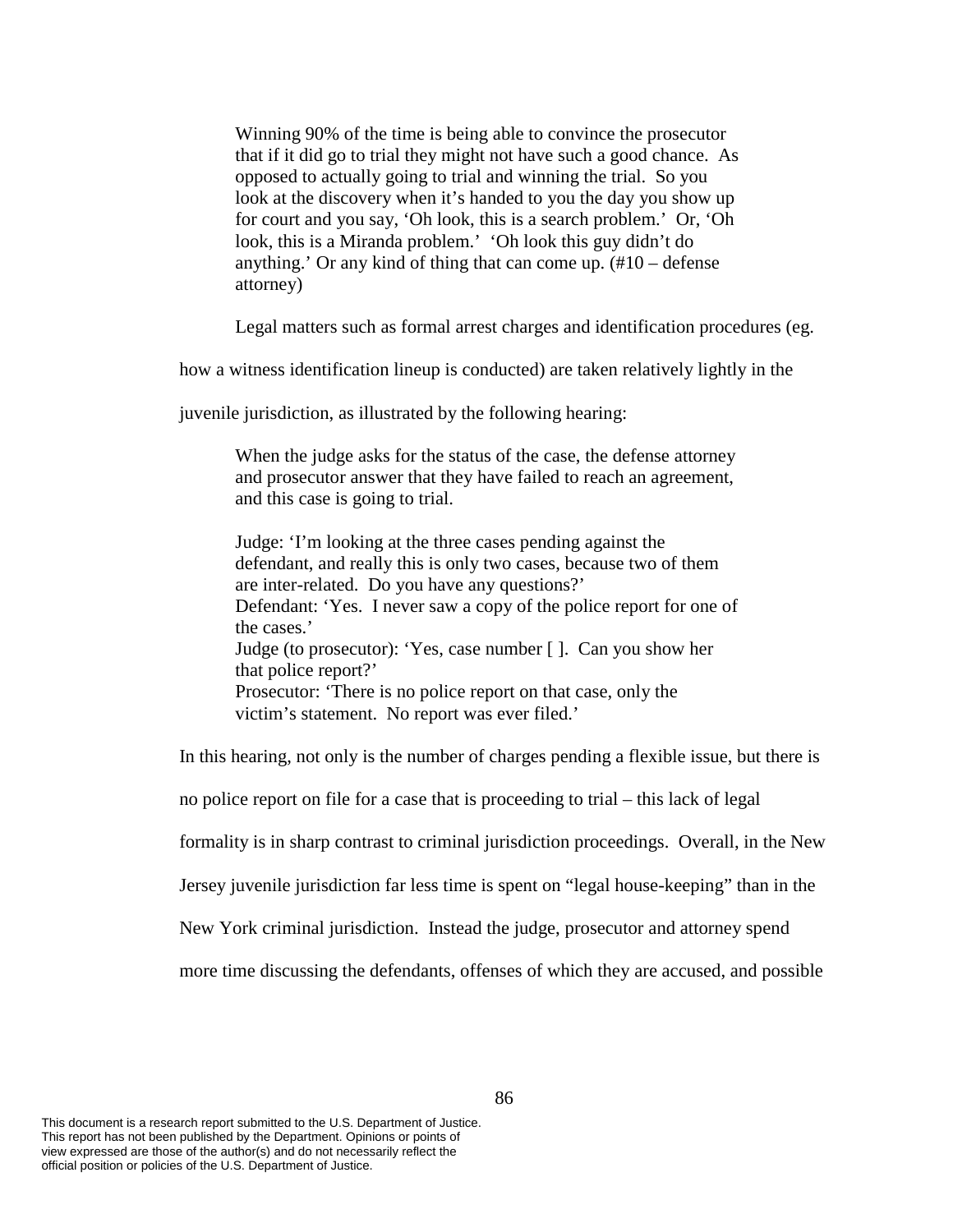Winning 90% of the time is being able to convince the prosecutor that if it did go to trial they might not have such a good chance. As opposed to actually going to trial and winning the trial. So you look at the discovery when it's handed to you the day you show up for court and you say, 'Oh look, this is a search problem.' Or, 'Oh look, this is a Miranda problem.' 'Oh look this guy didn't do anything.' Or any kind of thing that can come up. (#10 – defense attorney)

Legal matters such as formal arrest charges and identification procedures (eg.

how a witness identification lineup is conducted) are taken relatively lightly in the

juvenile jurisdiction, as illustrated by the following hearing:

When the judge asks for the status of the case, the defense attorney and prosecutor answer that they have failed to reach an agreement, and this case is going to trial.

Judge: 'I'm looking at the three cases pending against the defendant, and really this is only two cases, because two of them are inter-related. Do you have any questions?' Defendant: 'Yes. I never saw a copy of the police report for one of the cases.' Judge (to prosecutor): 'Yes, case number [ ]. Can you show her that police report?' Prosecutor: 'There is no police report on that case, only the victim's statement. No report was ever filed.'

In this hearing, not only is the number of charges pending a flexible issue, but there is no police report on file for a case that is proceeding to trial – this lack of legal formality is in sharp contrast to criminal jurisdiction proceedings. Overall, in the New Jersey juvenile jurisdiction far less time is spent on "legal house-keeping" than in the New York criminal jurisdiction. Instead the judge, prosecutor and attorney spend more time discussing the defendants, offenses of which they are accused, and possible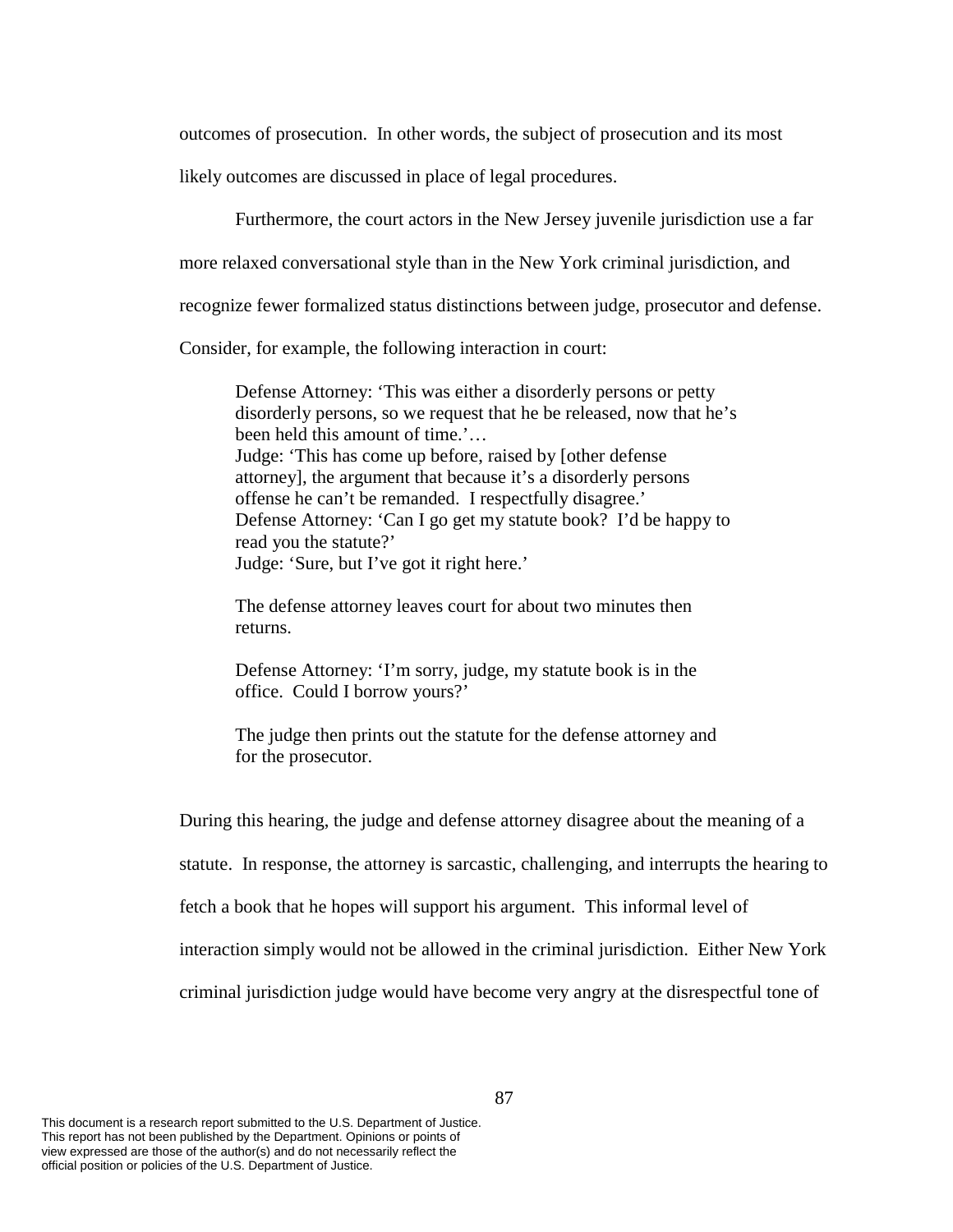outcomes of prosecution. In other words, the subject of prosecution and its most

likely outcomes are discussed in place of legal procedures.

Furthermore, the court actors in the New Jersey juvenile jurisdiction use a far

more relaxed conversational style than in the New York criminal jurisdiction, and

recognize fewer formalized status distinctions between judge, prosecutor and defense.

Consider, for example, the following interaction in court:

Defense Attorney: 'This was either a disorderly persons or petty disorderly persons, so we request that he be released, now that he's been held this amount of time.'… Judge: 'This has come up before, raised by [other defense attorney], the argument that because it's a disorderly persons offense he can't be remanded. I respectfully disagree.' Defense Attorney: 'Can I go get my statute book? I'd be happy to read you the statute?' Judge: 'Sure, but I've got it right here.'

The defense attorney leaves court for about two minutes then returns.

Defense Attorney: 'I'm sorry, judge, my statute book is in the office. Could I borrow yours?'

The judge then prints out the statute for the defense attorney and for the prosecutor.

During this hearing, the judge and defense attorney disagree about the meaning of a statute. In response, the attorney is sarcastic, challenging, and interrupts the hearing to fetch a book that he hopes will support his argument. This informal level of interaction simply would not be allowed in the criminal jurisdiction. Either New York criminal jurisdiction judge would have become very angry at the disrespectful tone of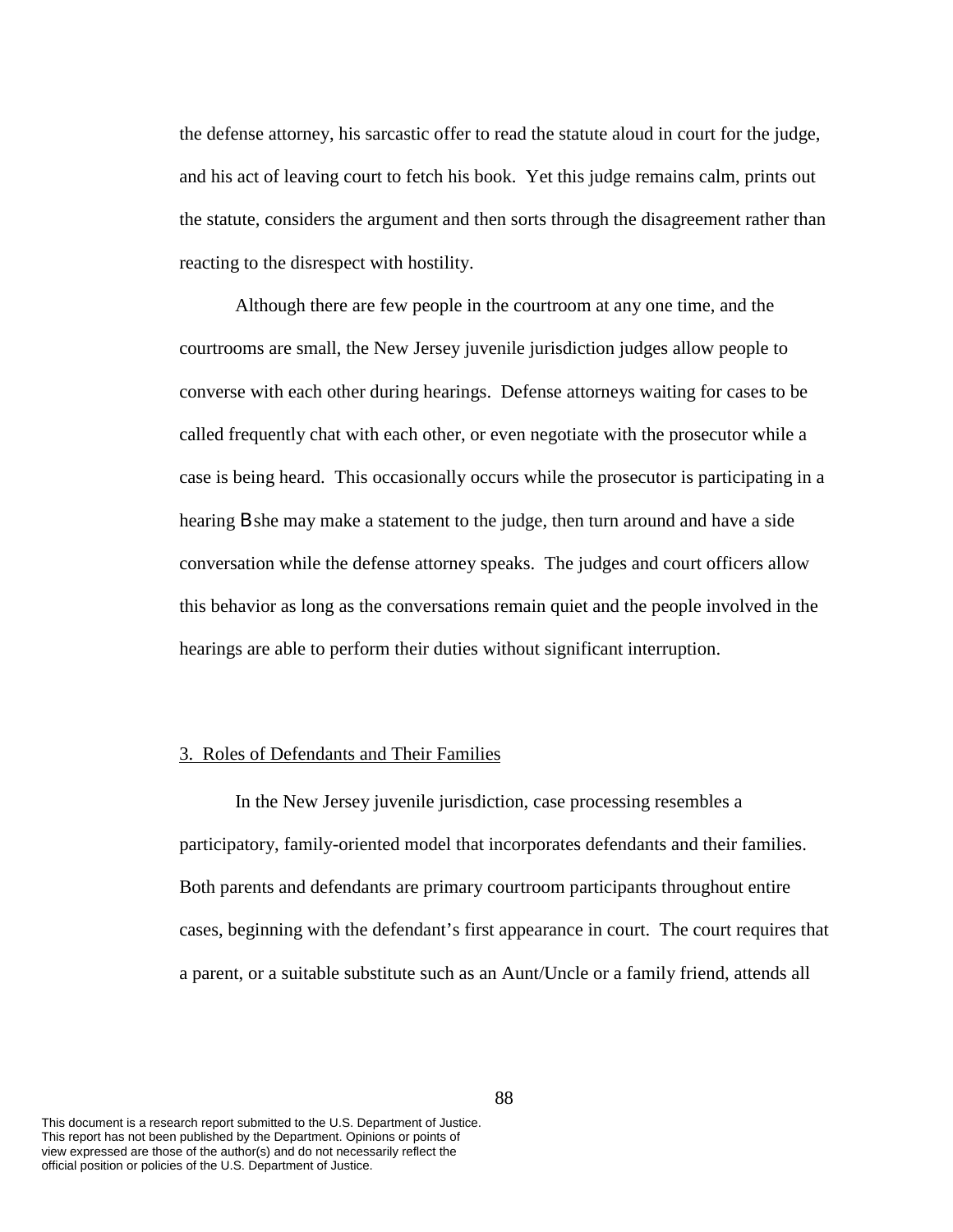the defense attorney, his sarcastic offer to read the statute aloud in court for the judge, and his act of leaving court to fetch his book. Yet this judge remains calm, prints out the statute, considers the argument and then sorts through the disagreement rather than reacting to the disrespect with hostility.

Although there are few people in the courtroom at any one time, and the courtrooms are small, the New Jersey juvenile jurisdiction judges allow people to converse with each other during hearings. Defense attorneys waiting for cases to be called frequently chat with each other, or even negotiate with the prosecutor while a case is being heard. This occasionally occurs while the prosecutor is participating in a hearing B she may make a statement to the judge, then turn around and have a side conversation while the defense attorney speaks. The judges and court officers allow this behavior as long as the conversations remain quiet and the people involved in the hearings are able to perform their duties without significant interruption.

#### 3. Roles of Defendants and Their Families

In the New Jersey juvenile jurisdiction, case processing resembles a participatory, family-oriented model that incorporates defendants and their families. Both parents and defendants are primary courtroom participants throughout entire cases, beginning with the defendant's first appearance in court. The court requires that a parent, or a suitable substitute such as an Aunt/Uncle or a family friend, attends all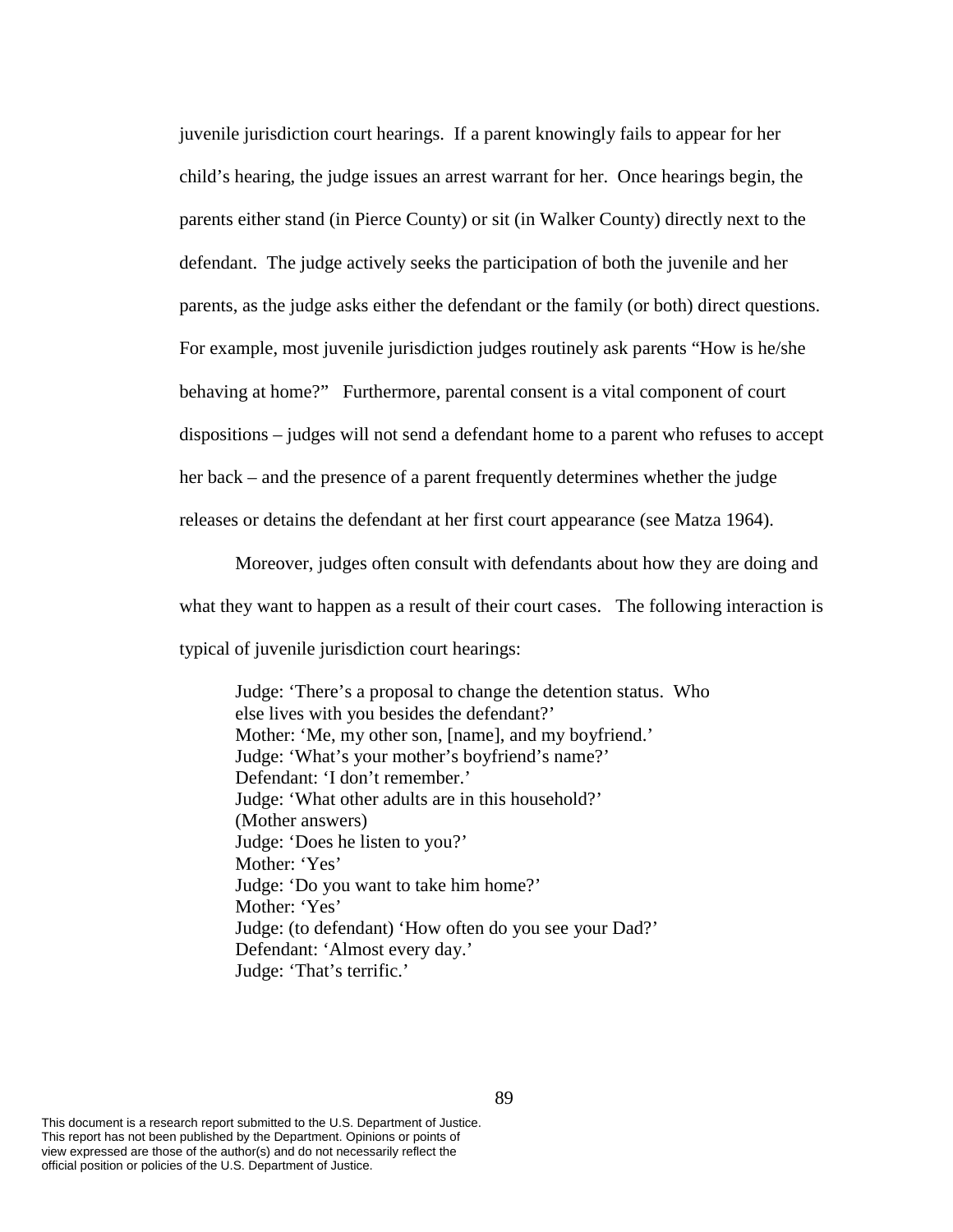juvenile jurisdiction court hearings. If a parent knowingly fails to appear for her child's hearing, the judge issues an arrest warrant for her. Once hearings begin, the parents either stand (in Pierce County) or sit (in Walker County) directly next to the defendant. The judge actively seeks the participation of both the juvenile and her parents, as the judge asks either the defendant or the family (or both) direct questions. For example, most juvenile jurisdiction judges routinely ask parents "How is he/she behaving at home?" Furthermore, parental consent is a vital component of court dispositions – judges will not send a defendant home to a parent who refuses to accept her back – and the presence of a parent frequently determines whether the judge releases or detains the defendant at her first court appearance (see Matza 1964).

Moreover, judges often consult with defendants about how they are doing and what they want to happen as a result of their court cases. The following interaction is typical of juvenile jurisdiction court hearings:

Judge: 'There's a proposal to change the detention status. Who else lives with you besides the defendant?' Mother: 'Me, my other son, [name], and my boyfriend.' Judge: 'What's your mother's boyfriend's name?' Defendant: 'I don't remember.' Judge: 'What other adults are in this household?' (Mother answers) Judge: 'Does he listen to you?' Mother: 'Yes' Judge: 'Do you want to take him home?' Mother: 'Yes' Judge: (to defendant) 'How often do you see your Dad?' Defendant: 'Almost every day.' Judge: 'That's terrific.'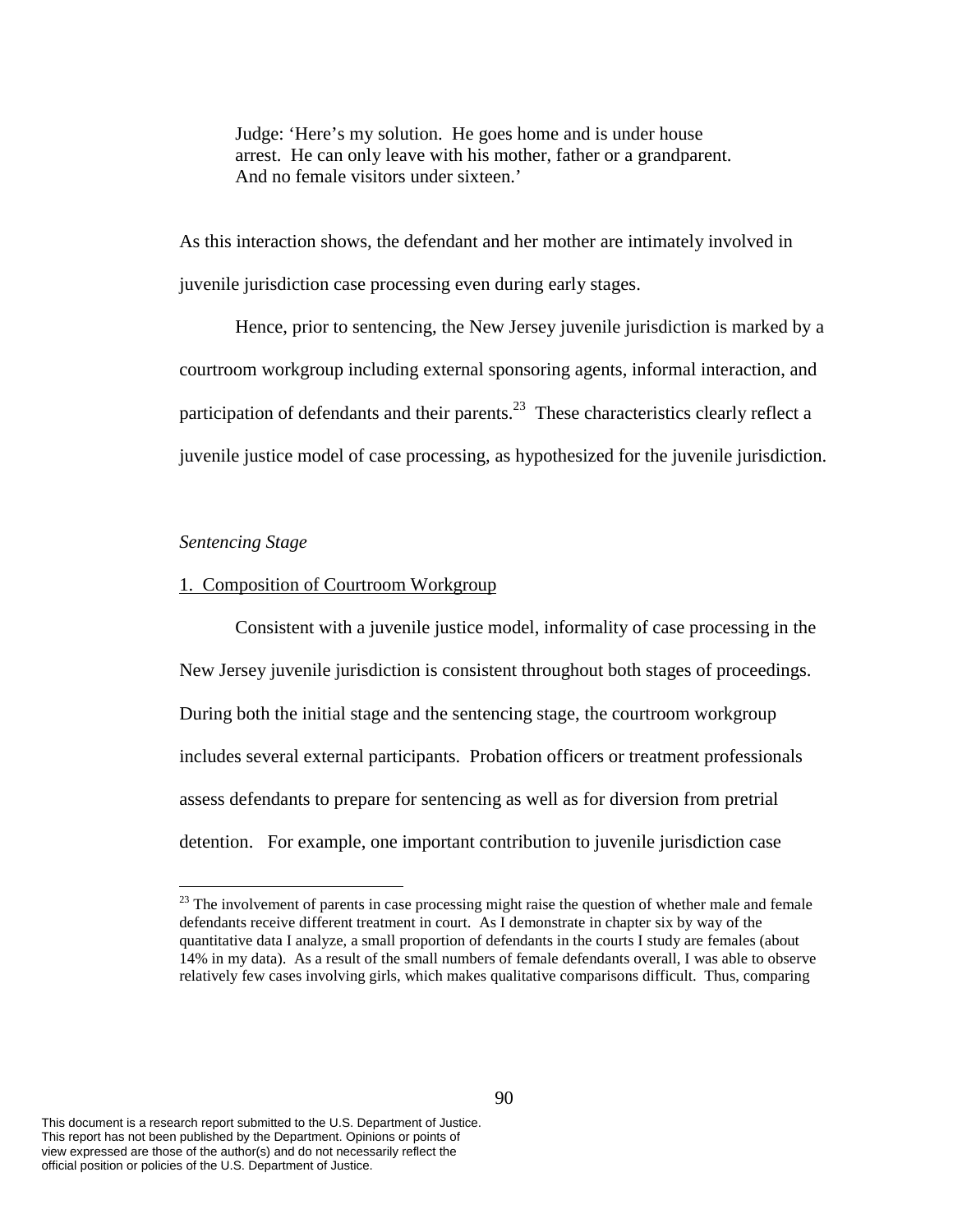Judge: 'Here's my solution. He goes home and is under house arrest. He can only leave with his mother, father or a grandparent. And no female visitors under sixteen.'

As this interaction shows, the defendant and her mother are intimately involved in juvenile jurisdiction case processing even during early stages.

Hence, prior to sentencing, the New Jersey juvenile jurisdiction is marked by a courtroom workgroup including external sponsoring agents, informal interaction, and participation of defendants and their parents.<sup>23</sup> These characteristics clearly reflect a juvenile justice model of case processing, as hypothesized for the juvenile jurisdiction.

# *Sentencing Stage*

#### 1. Composition of Courtroom Workgroup

Consistent with a juvenile justice model, informality of case processing in the New Jersey juvenile jurisdiction is consistent throughout both stages of proceedings. During both the initial stage and the sentencing stage, the courtroom workgroup includes several external participants. Probation officers or treatment professionals assess defendants to prepare for sentencing as well as for diversion from pretrial detention. For example, one important contribution to juvenile jurisdiction case

This document is a research report submitted to the U.S. Department of Justice. This report has not been published by the Department. Opinions or points of view expressed are those of the author(s) and do not necessarily reflect the official position or policies of the U.S. Department of Justice.

 $\overline{a}$ 

<sup>&</sup>lt;sup>23</sup> The involvement of parents in case processing might raise the question of whether male and female defendants receive different treatment in court. As I demonstrate in chapter six by way of the quantitative data I analyze, a small proportion of defendants in the courts I study are females (about 14% in my data). As a result of the small numbers of female defendants overall, I was able to observe relatively few cases involving girls, which makes qualitative comparisons difficult. Thus, comparing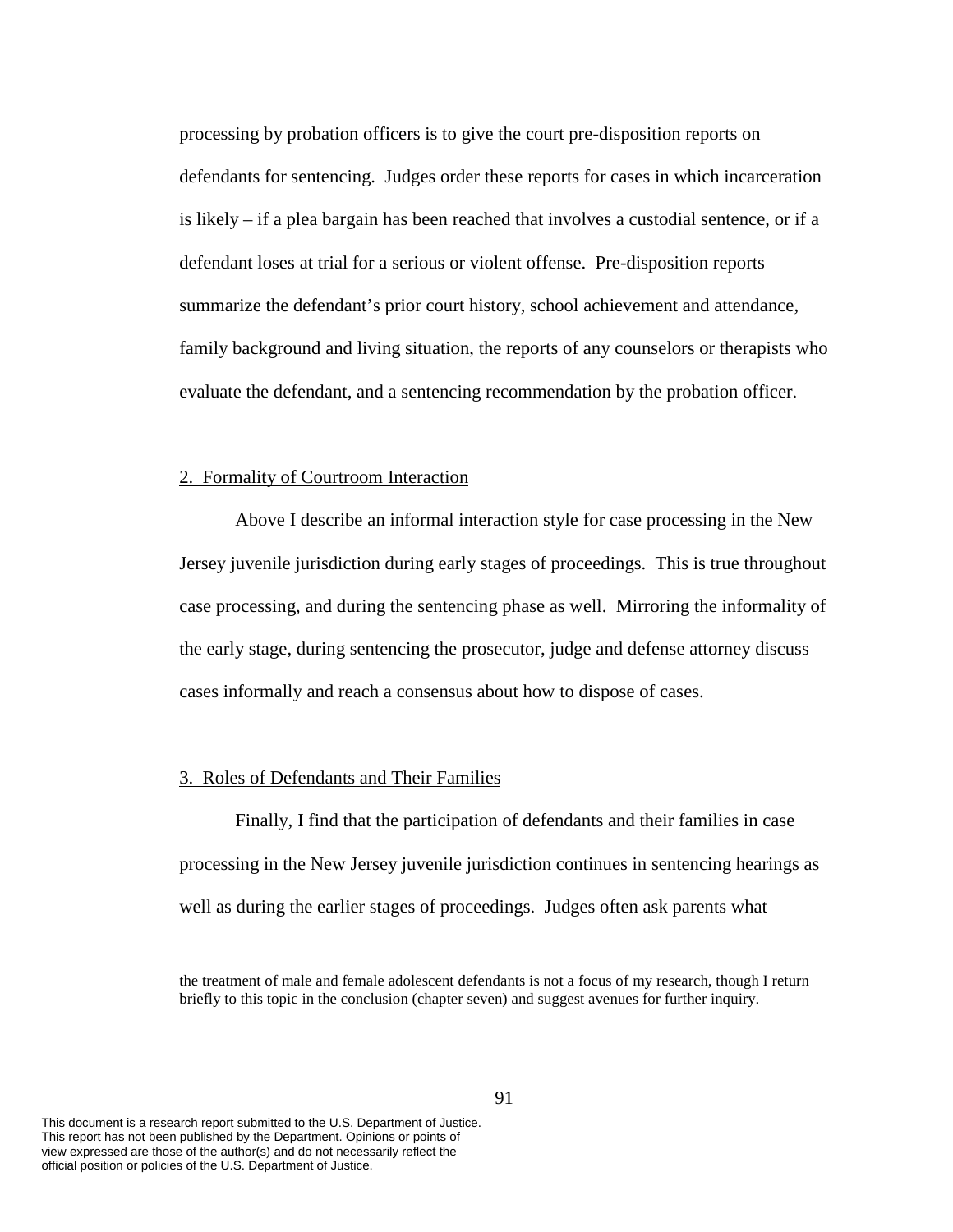processing by probation officers is to give the court pre-disposition reports on defendants for sentencing. Judges order these reports for cases in which incarceration is likely – if a plea bargain has been reached that involves a custodial sentence, or if a defendant loses at trial for a serious or violent offense. Pre-disposition reports summarize the defendant's prior court history, school achievement and attendance, family background and living situation, the reports of any counselors or therapists who evaluate the defendant, and a sentencing recommendation by the probation officer.

#### 2. Formality of Courtroom Interaction

Above I describe an informal interaction style for case processing in the New Jersey juvenile jurisdiction during early stages of proceedings. This is true throughout case processing, and during the sentencing phase as well. Mirroring the informality of the early stage, during sentencing the prosecutor, judge and defense attorney discuss cases informally and reach a consensus about how to dispose of cases.

#### 3. Roles of Defendants and Their Families

Finally, I find that the participation of defendants and their families in case processing in the New Jersey juvenile jurisdiction continues in sentencing hearings as well as during the earlier stages of proceedings. Judges often ask parents what

 the treatment of male and female adolescent defendants is not a focus of my research, though I return briefly to this topic in the conclusion (chapter seven) and suggest avenues for further inquiry.

This document is a research report submitted to the U.S. Department of Justice. This report has not been published by the Department. Opinions or points of view expressed are those of the author(s) and do not necessarily reflect the official position or policies of the U.S. Department of Justice.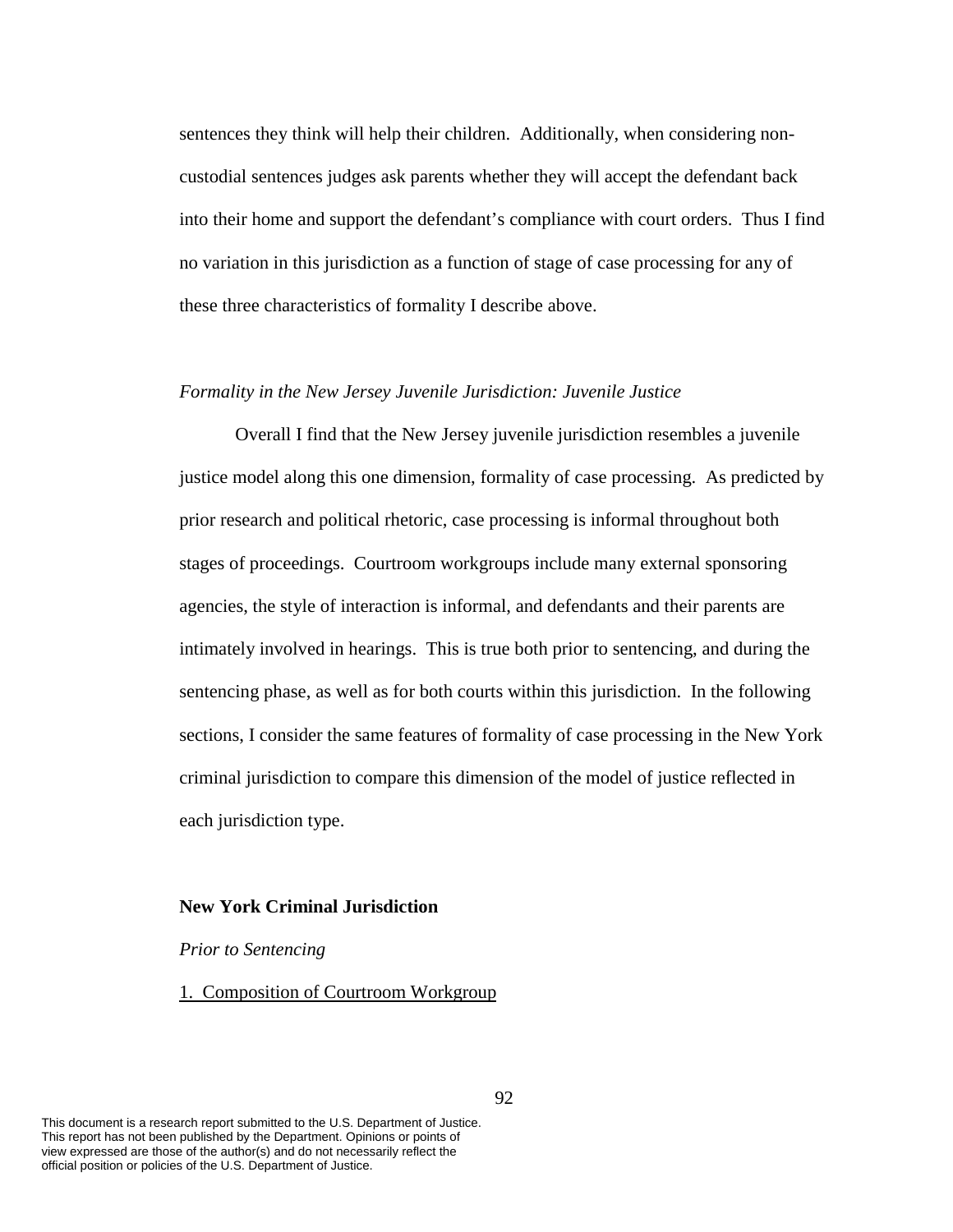sentences they think will help their children. Additionally, when considering noncustodial sentences judges ask parents whether they will accept the defendant back into their home and support the defendant's compliance with court orders. Thus I find no variation in this jurisdiction as a function of stage of case processing for any of these three characteristics of formality I describe above.

#### *Formality in the New Jersey Juvenile Jurisdiction: Juvenile Justice*

Overall I find that the New Jersey juvenile jurisdiction resembles a juvenile justice model along this one dimension, formality of case processing. As predicted by prior research and political rhetoric, case processing is informal throughout both stages of proceedings. Courtroom workgroups include many external sponsoring agencies, the style of interaction is informal, and defendants and their parents are intimately involved in hearings. This is true both prior to sentencing, and during the sentencing phase, as well as for both courts within this jurisdiction. In the following sections, I consider the same features of formality of case processing in the New York criminal jurisdiction to compare this dimension of the model of justice reflected in each jurisdiction type.

#### **New York Criminal Jurisdiction**

#### *Prior to Sentencing*

# 1. Composition of Courtroom Workgroup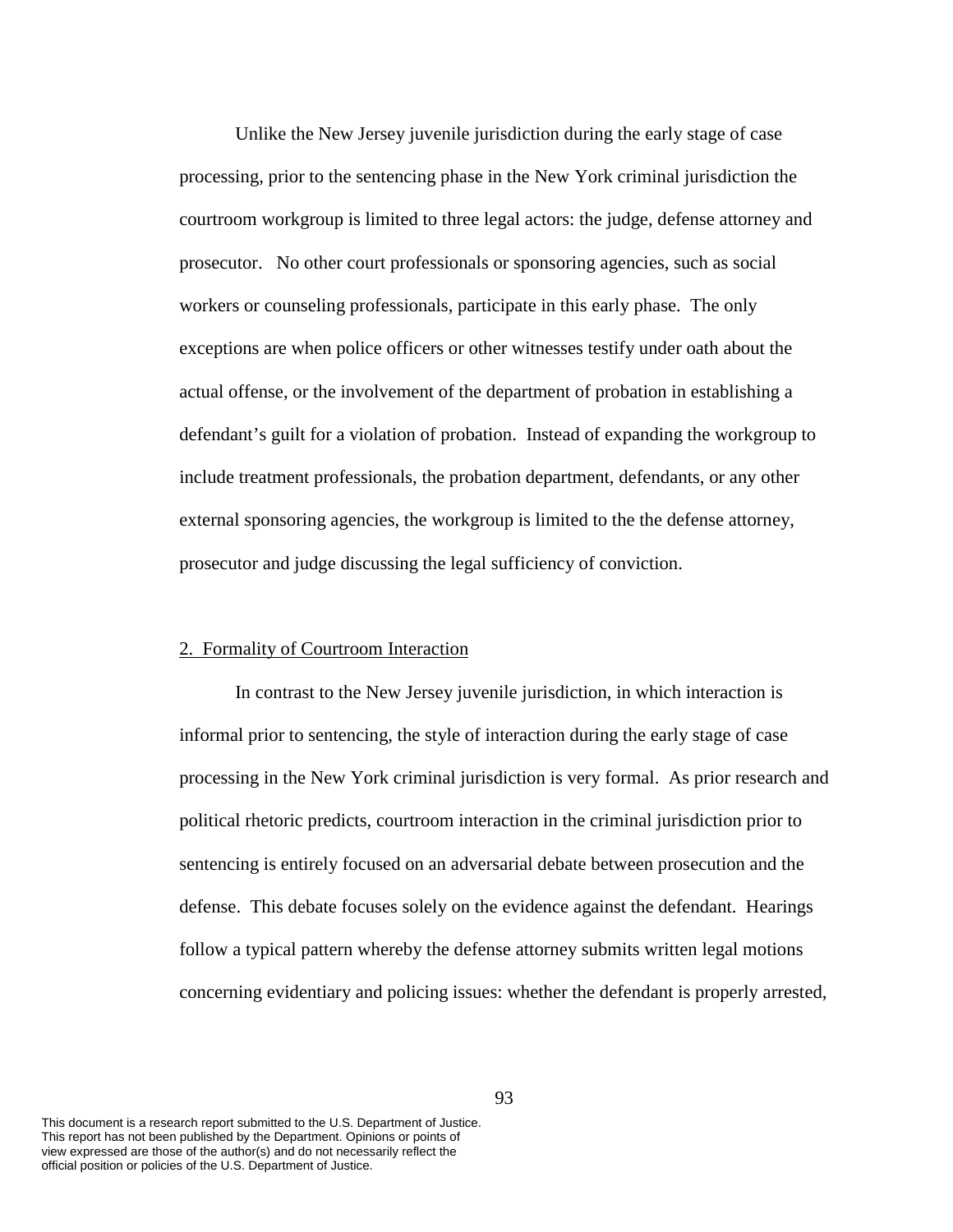Unlike the New Jersey juvenile jurisdiction during the early stage of case processing, prior to the sentencing phase in the New York criminal jurisdiction the courtroom workgroup is limited to three legal actors: the judge, defense attorney and prosecutor. No other court professionals or sponsoring agencies, such as social workers or counseling professionals, participate in this early phase. The only exceptions are when police officers or other witnesses testify under oath about the actual offense, or the involvement of the department of probation in establishing a defendant's guilt for a violation of probation. Instead of expanding the workgroup to include treatment professionals, the probation department, defendants, or any other external sponsoring agencies, the workgroup is limited to the the defense attorney, prosecutor and judge discussing the legal sufficiency of conviction.

# 2. Formality of Courtroom Interaction

In contrast to the New Jersey juvenile jurisdiction, in which interaction is informal prior to sentencing, the style of interaction during the early stage of case processing in the New York criminal jurisdiction is very formal. As prior research and political rhetoric predicts, courtroom interaction in the criminal jurisdiction prior to sentencing is entirely focused on an adversarial debate between prosecution and the defense. This debate focuses solely on the evidence against the defendant. Hearings follow a typical pattern whereby the defense attorney submits written legal motions concerning evidentiary and policing issues: whether the defendant is properly arrested,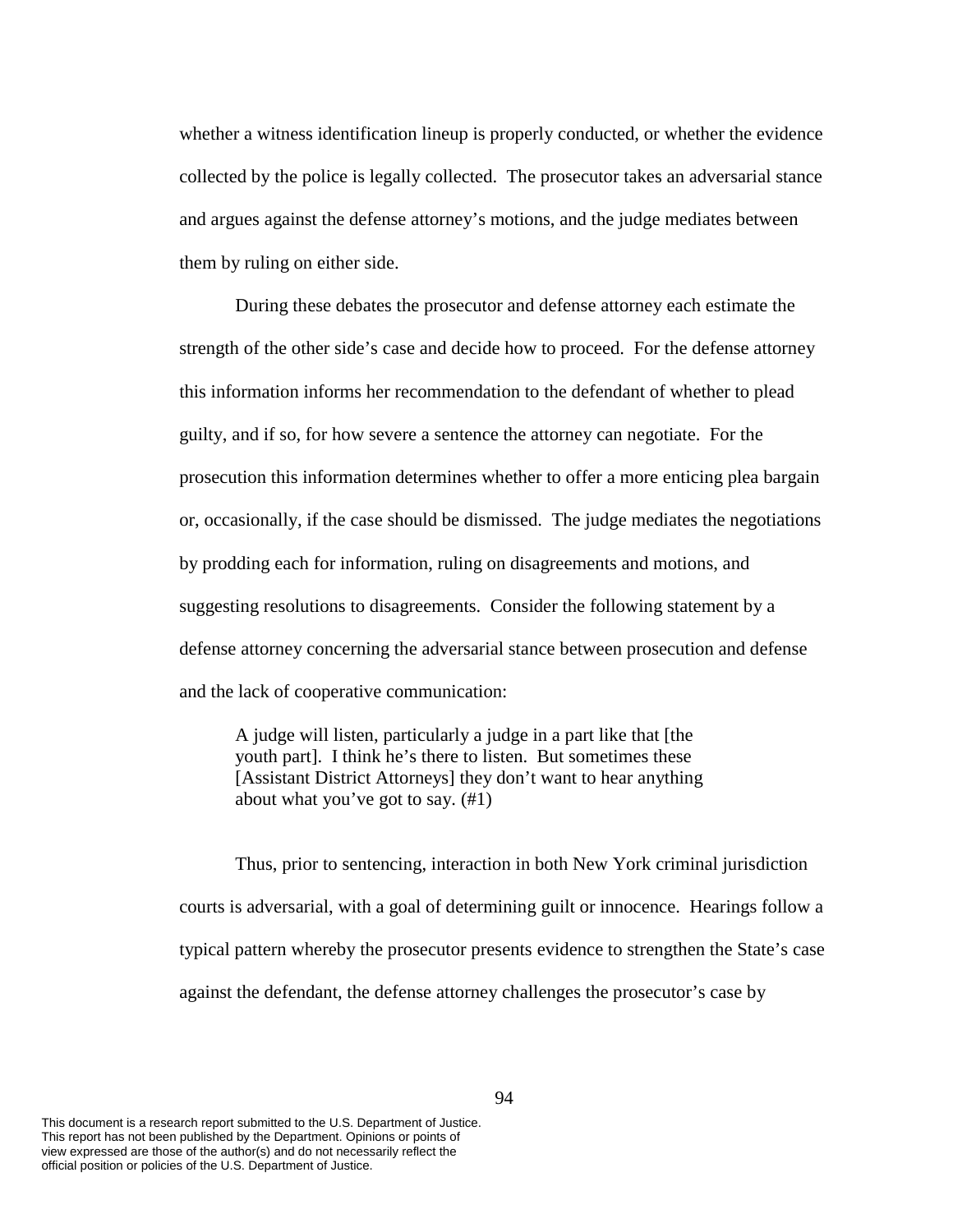whether a witness identification lineup is properly conducted, or whether the evidence collected by the police is legally collected. The prosecutor takes an adversarial stance and argues against the defense attorney's motions, and the judge mediates between them by ruling on either side.

During these debates the prosecutor and defense attorney each estimate the strength of the other side's case and decide how to proceed. For the defense attorney this information informs her recommendation to the defendant of whether to plead guilty, and if so, for how severe a sentence the attorney can negotiate. For the prosecution this information determines whether to offer a more enticing plea bargain or, occasionally, if the case should be dismissed. The judge mediates the negotiations by prodding each for information, ruling on disagreements and motions, and suggesting resolutions to disagreements. Consider the following statement by a defense attorney concerning the adversarial stance between prosecution and defense and the lack of cooperative communication:

A judge will listen, particularly a judge in a part like that [the youth part]. I think he's there to listen. But sometimes these [Assistant District Attorneys] they don't want to hear anything about what you've got to say. (#1)

Thus, prior to sentencing, interaction in both New York criminal jurisdiction courts is adversarial, with a goal of determining guilt or innocence. Hearings follow a typical pattern whereby the prosecutor presents evidence to strengthen the State's case against the defendant, the defense attorney challenges the prosecutor's case by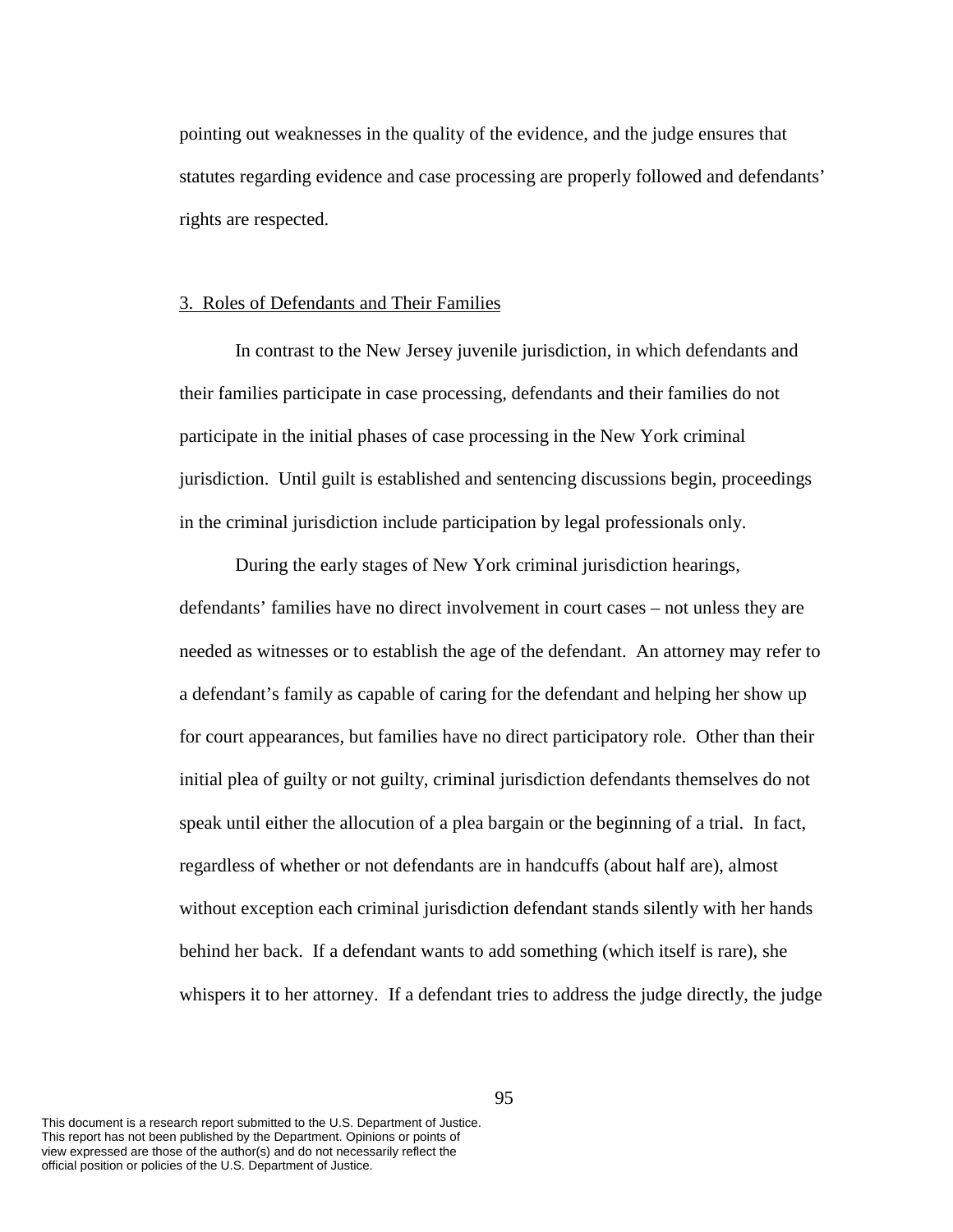pointing out weaknesses in the quality of the evidence, and the judge ensures that statutes regarding evidence and case processing are properly followed and defendants' rights are respected.

## 3. Roles of Defendants and Their Families

In contrast to the New Jersey juvenile jurisdiction, in which defendants and their families participate in case processing, defendants and their families do not participate in the initial phases of case processing in the New York criminal jurisdiction. Until guilt is established and sentencing discussions begin, proceedings in the criminal jurisdiction include participation by legal professionals only.

During the early stages of New York criminal jurisdiction hearings, defendants' families have no direct involvement in court cases – not unless they are needed as witnesses or to establish the age of the defendant. An attorney may refer to a defendant's family as capable of caring for the defendant and helping her show up for court appearances, but families have no direct participatory role. Other than their initial plea of guilty or not guilty, criminal jurisdiction defendants themselves do not speak until either the allocution of a plea bargain or the beginning of a trial. In fact, regardless of whether or not defendants are in handcuffs (about half are), almost without exception each criminal jurisdiction defendant stands silently with her hands behind her back. If a defendant wants to add something (which itself is rare), she whispers it to her attorney. If a defendant tries to address the judge directly, the judge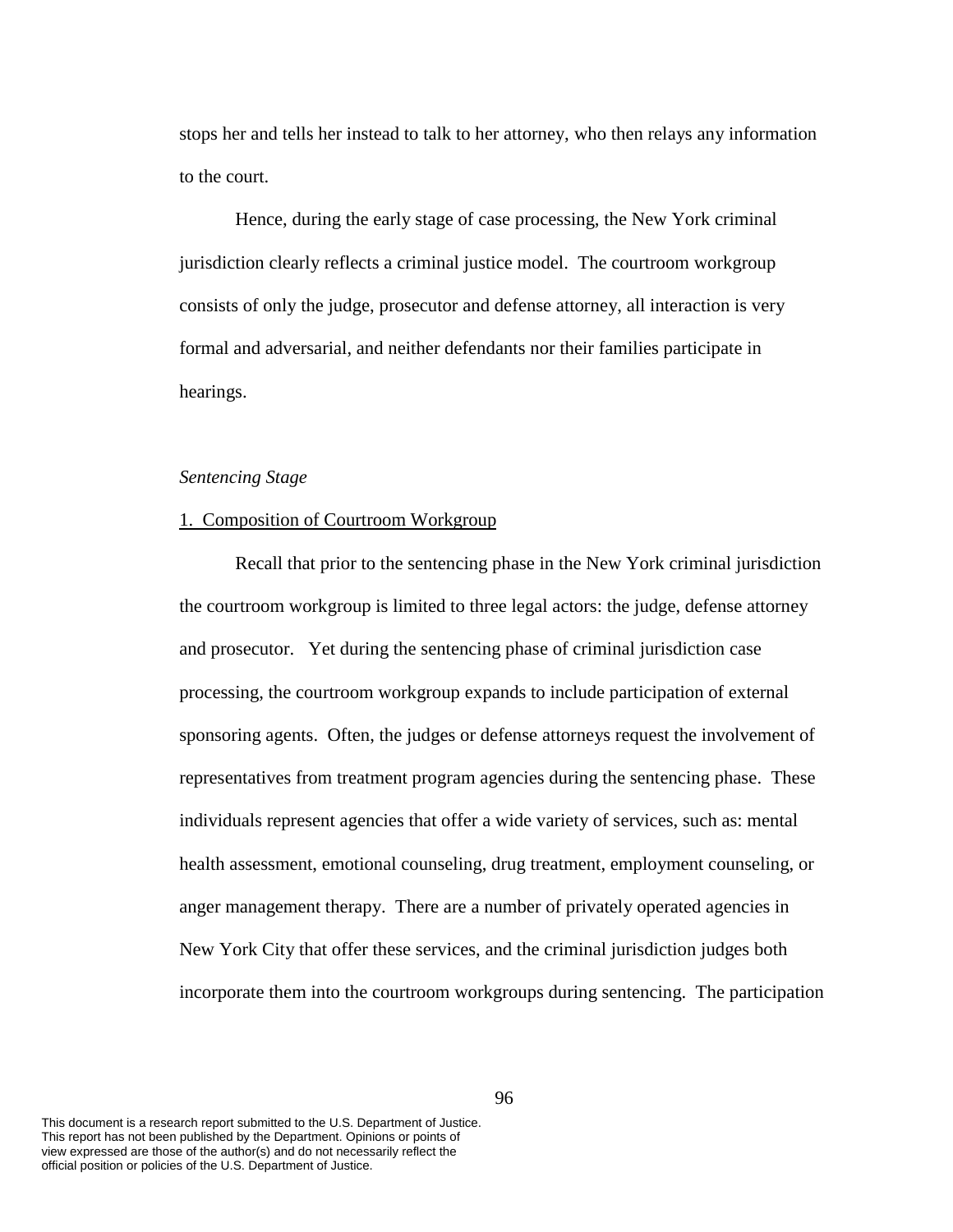stops her and tells her instead to talk to her attorney, who then relays any information to the court.

Hence, during the early stage of case processing, the New York criminal jurisdiction clearly reflects a criminal justice model. The courtroom workgroup consists of only the judge, prosecutor and defense attorney, all interaction is very formal and adversarial, and neither defendants nor their families participate in hearings.

#### *Sentencing Stage*

## 1. Composition of Courtroom Workgroup

Recall that prior to the sentencing phase in the New York criminal jurisdiction the courtroom workgroup is limited to three legal actors: the judge, defense attorney and prosecutor. Yet during the sentencing phase of criminal jurisdiction case processing, the courtroom workgroup expands to include participation of external sponsoring agents. Often, the judges or defense attorneys request the involvement of representatives from treatment program agencies during the sentencing phase. These individuals represent agencies that offer a wide variety of services, such as: mental health assessment, emotional counseling, drug treatment, employment counseling, or anger management therapy. There are a number of privately operated agencies in New York City that offer these services, and the criminal jurisdiction judges both incorporate them into the courtroom workgroups during sentencing. The participation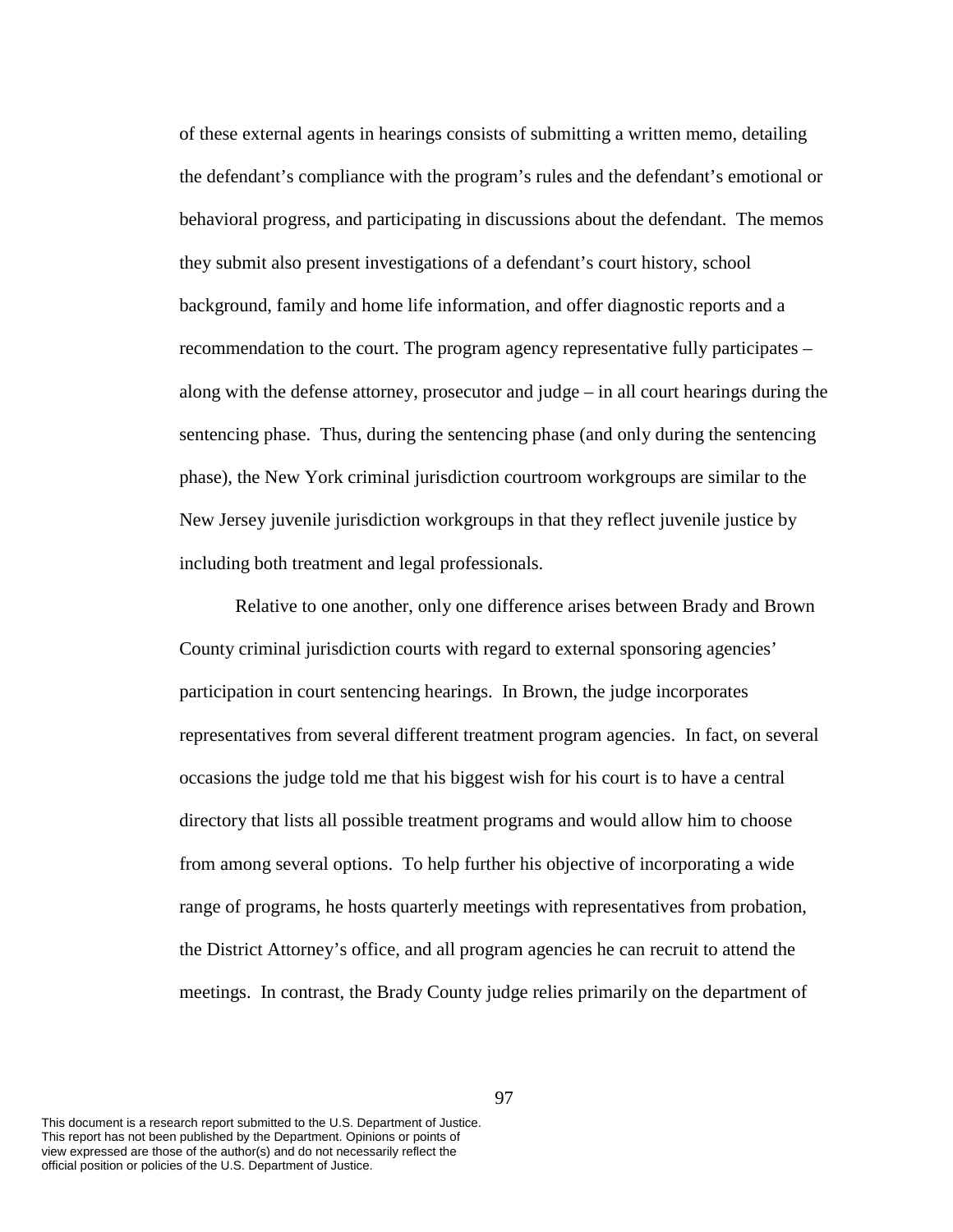of these external agents in hearings consists of submitting a written memo, detailing the defendant's compliance with the program's rules and the defendant's emotional or behavioral progress, and participating in discussions about the defendant. The memos they submit also present investigations of a defendant's court history, school background, family and home life information, and offer diagnostic reports and a recommendation to the court. The program agency representative fully participates – along with the defense attorney, prosecutor and judge – in all court hearings during the sentencing phase. Thus, during the sentencing phase (and only during the sentencing phase), the New York criminal jurisdiction courtroom workgroups are similar to the New Jersey juvenile jurisdiction workgroups in that they reflect juvenile justice by including both treatment and legal professionals.

Relative to one another, only one difference arises between Brady and Brown County criminal jurisdiction courts with regard to external sponsoring agencies' participation in court sentencing hearings. In Brown, the judge incorporates representatives from several different treatment program agencies. In fact, on several occasions the judge told me that his biggest wish for his court is to have a central directory that lists all possible treatment programs and would allow him to choose from among several options. To help further his objective of incorporating a wide range of programs, he hosts quarterly meetings with representatives from probation, the District Attorney's office, and all program agencies he can recruit to attend the meetings. In contrast, the Brady County judge relies primarily on the department of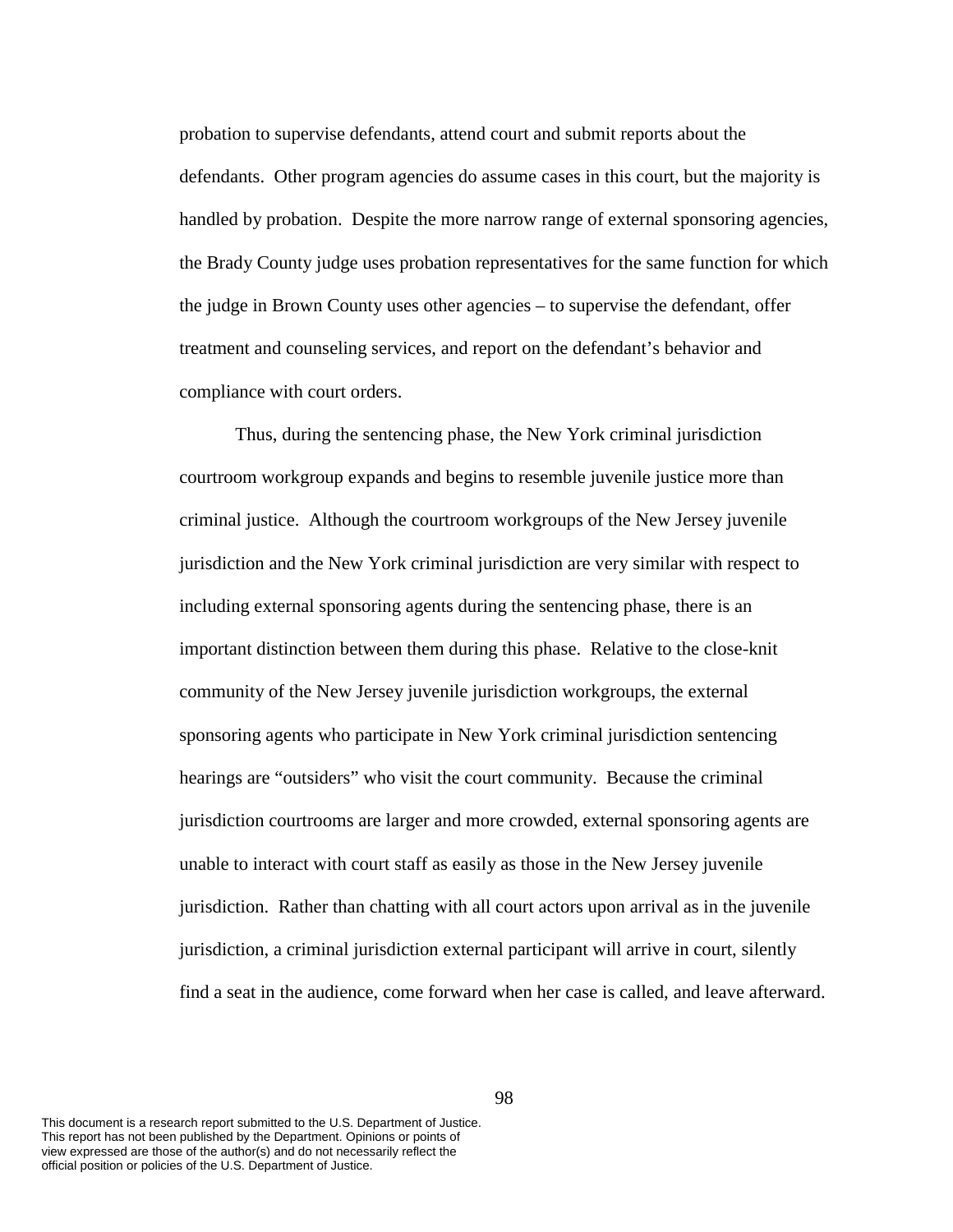probation to supervise defendants, attend court and submit reports about the defendants. Other program agencies do assume cases in this court, but the majority is handled by probation. Despite the more narrow range of external sponsoring agencies, the Brady County judge uses probation representatives for the same function for which the judge in Brown County uses other agencies – to supervise the defendant, offer treatment and counseling services, and report on the defendant's behavior and compliance with court orders.

Thus, during the sentencing phase, the New York criminal jurisdiction courtroom workgroup expands and begins to resemble juvenile justice more than criminal justice. Although the courtroom workgroups of the New Jersey juvenile jurisdiction and the New York criminal jurisdiction are very similar with respect to including external sponsoring agents during the sentencing phase, there is an important distinction between them during this phase. Relative to the close-knit community of the New Jersey juvenile jurisdiction workgroups, the external sponsoring agents who participate in New York criminal jurisdiction sentencing hearings are "outsiders" who visit the court community. Because the criminal jurisdiction courtrooms are larger and more crowded, external sponsoring agents are unable to interact with court staff as easily as those in the New Jersey juvenile jurisdiction. Rather than chatting with all court actors upon arrival as in the juvenile jurisdiction, a criminal jurisdiction external participant will arrive in court, silently find a seat in the audience, come forward when her case is called, and leave afterward.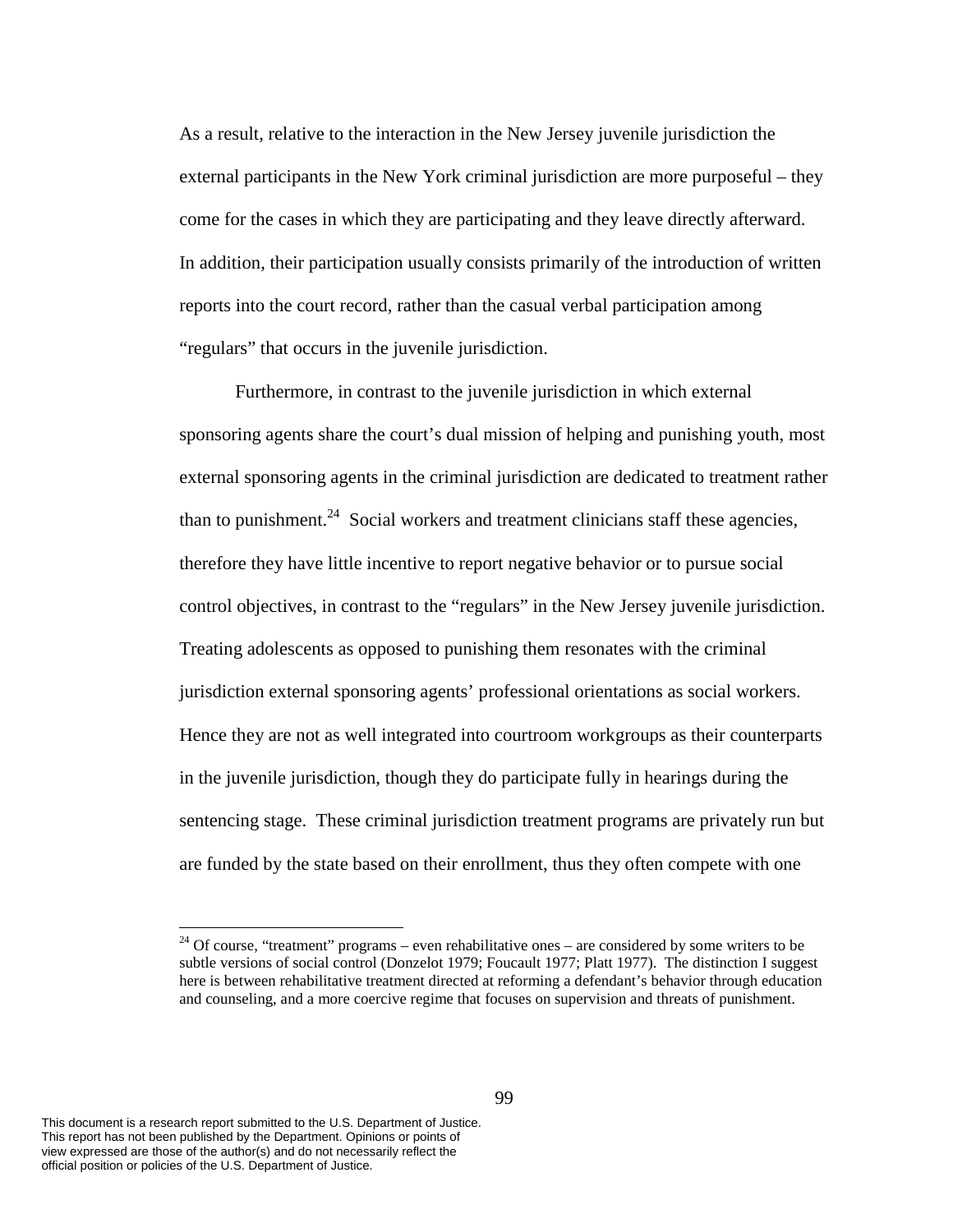As a result, relative to the interaction in the New Jersey juvenile jurisdiction the external participants in the New York criminal jurisdiction are more purposeful – they come for the cases in which they are participating and they leave directly afterward. In addition, their participation usually consists primarily of the introduction of written reports into the court record, rather than the casual verbal participation among "regulars" that occurs in the juvenile jurisdiction.

Furthermore, in contrast to the juvenile jurisdiction in which external sponsoring agents share the court's dual mission of helping and punishing youth, most external sponsoring agents in the criminal jurisdiction are dedicated to treatment rather than to punishment.<sup>24</sup> Social workers and treatment clinicians staff these agencies, therefore they have little incentive to report negative behavior or to pursue social control objectives, in contrast to the "regulars" in the New Jersey juvenile jurisdiction. Treating adolescents as opposed to punishing them resonates with the criminal jurisdiction external sponsoring agents' professional orientations as social workers. Hence they are not as well integrated into courtroom workgroups as their counterparts in the juvenile jurisdiction, though they do participate fully in hearings during the sentencing stage. These criminal jurisdiction treatment programs are privately run but are funded by the state based on their enrollment, thus they often compete with one

 $\overline{a}$ 

 $24$  Of course, "treatment" programs – even rehabilitative ones – are considered by some writers to be subtle versions of social control (Donzelot 1979; Foucault 1977; Platt 1977). The distinction I suggest here is between rehabilitative treatment directed at reforming a defendant's behavior through education and counseling, and a more coercive regime that focuses on supervision and threats of punishment.

This document is a research report submitted to the U.S. Department of Justice. This report has not been published by the Department. Opinions or points of view expressed are those of the author(s) and do not necessarily reflect the official position or policies of the U.S. Department of Justice.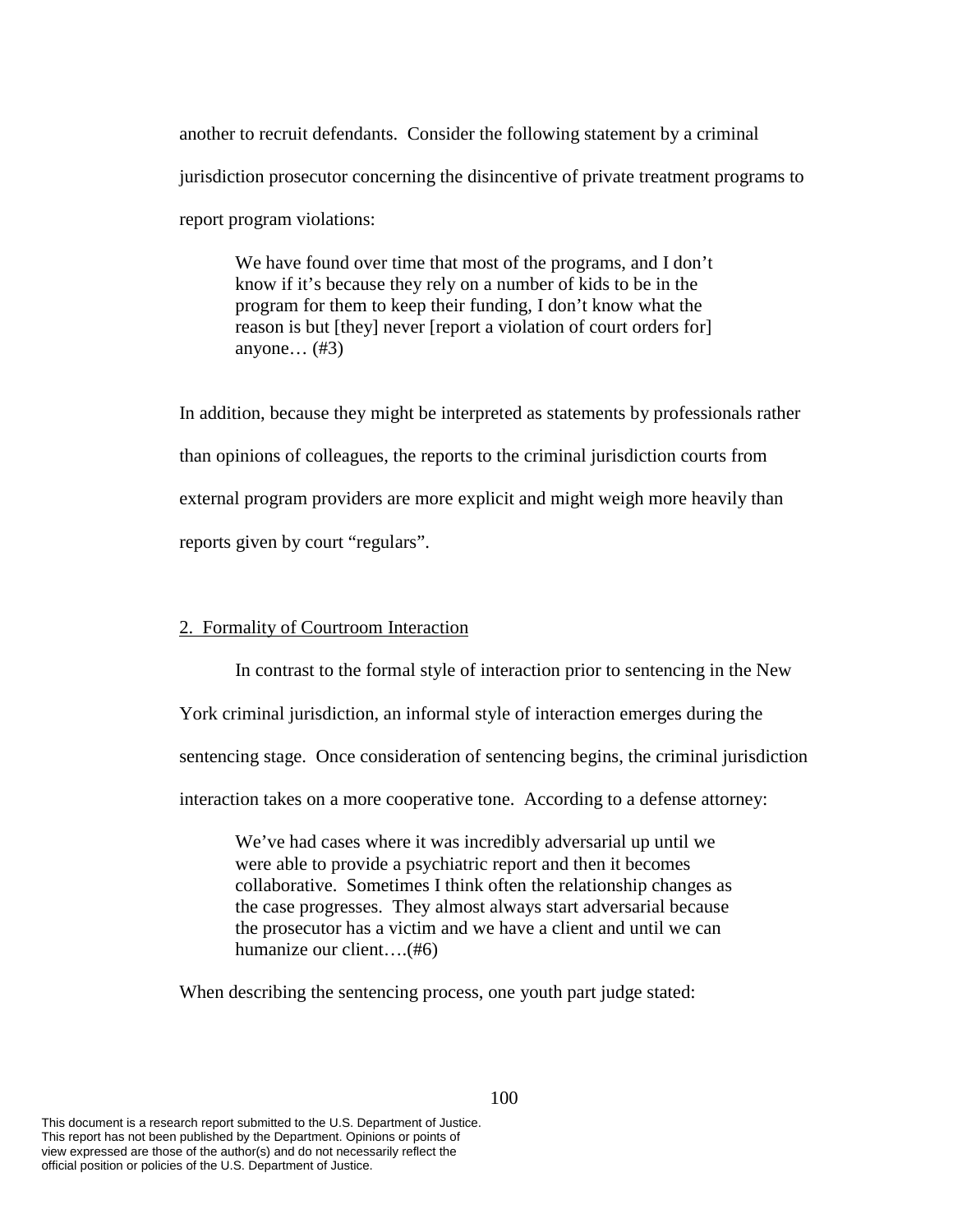another to recruit defendants. Consider the following statement by a criminal jurisdiction prosecutor concerning the disincentive of private treatment programs to report program violations:

We have found over time that most of the programs, and I don't know if it's because they rely on a number of kids to be in the program for them to keep their funding, I don't know what the reason is but [they] never [report a violation of court orders for] anyone… (#3)

In addition, because they might be interpreted as statements by professionals rather than opinions of colleagues, the reports to the criminal jurisdiction courts from external program providers are more explicit and might weigh more heavily than reports given by court "regulars".

# 2. Formality of Courtroom Interaction

In contrast to the formal style of interaction prior to sentencing in the New

York criminal jurisdiction, an informal style of interaction emerges during the

sentencing stage. Once consideration of sentencing begins, the criminal jurisdiction

interaction takes on a more cooperative tone. According to a defense attorney:

We've had cases where it was incredibly adversarial up until we were able to provide a psychiatric report and then it becomes collaborative. Sometimes I think often the relationship changes as the case progresses. They almost always start adversarial because the prosecutor has a victim and we have a client and until we can humanize our client….(#6)

When describing the sentencing process, one youth part judge stated: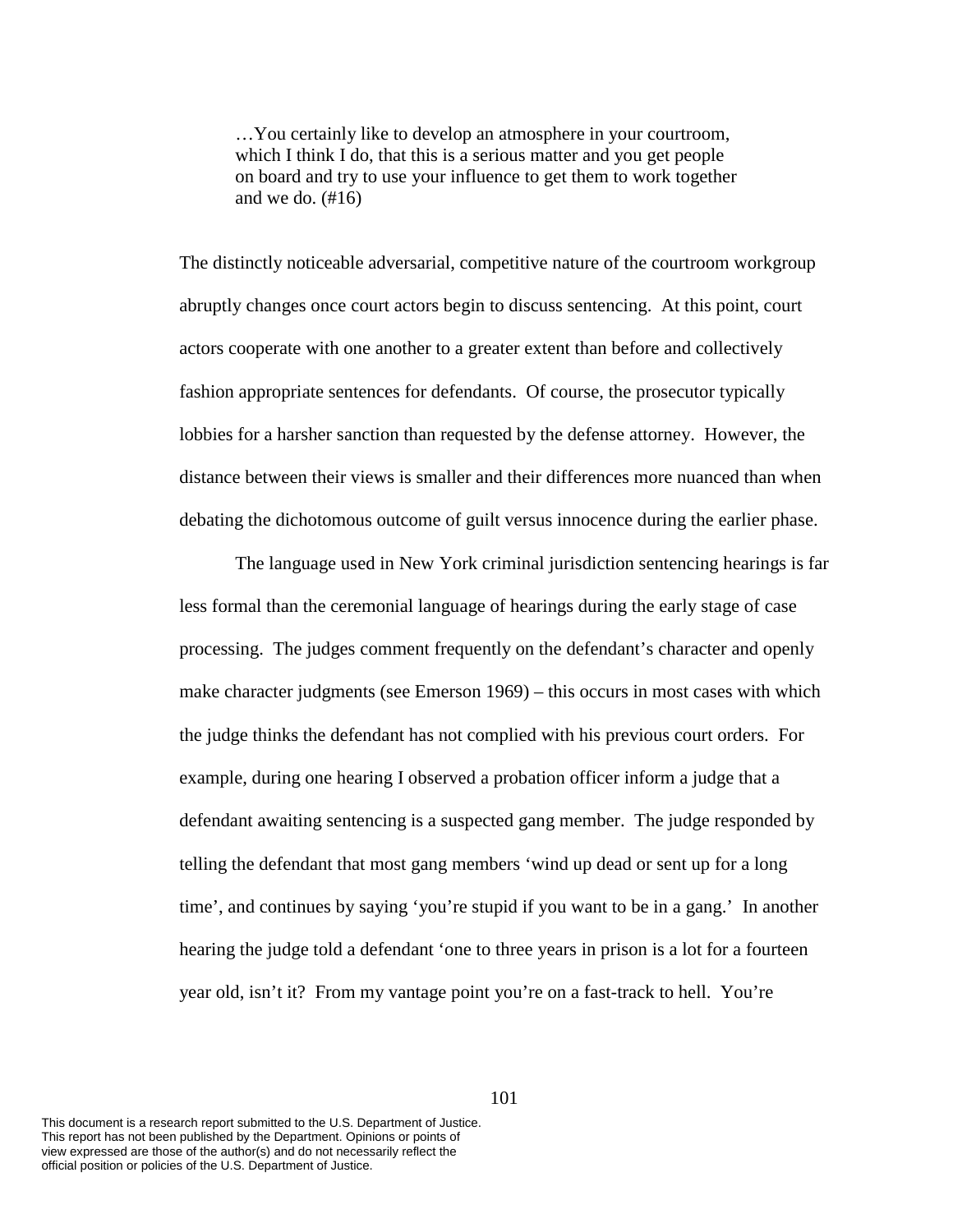…You certainly like to develop an atmosphere in your courtroom, which I think I do, that this is a serious matter and you get people on board and try to use your influence to get them to work together and we do. (#16)

The distinctly noticeable adversarial, competitive nature of the courtroom workgroup abruptly changes once court actors begin to discuss sentencing. At this point, court actors cooperate with one another to a greater extent than before and collectively fashion appropriate sentences for defendants. Of course, the prosecutor typically lobbies for a harsher sanction than requested by the defense attorney. However, the distance between their views is smaller and their differences more nuanced than when debating the dichotomous outcome of guilt versus innocence during the earlier phase.

The language used in New York criminal jurisdiction sentencing hearings is far less formal than the ceremonial language of hearings during the early stage of case processing. The judges comment frequently on the defendant's character and openly make character judgments (see Emerson 1969) – this occurs in most cases with which the judge thinks the defendant has not complied with his previous court orders. For example, during one hearing I observed a probation officer inform a judge that a defendant awaiting sentencing is a suspected gang member. The judge responded by telling the defendant that most gang members 'wind up dead or sent up for a long time', and continues by saying 'you're stupid if you want to be in a gang.' In another hearing the judge told a defendant 'one to three years in prison is a lot for a fourteen year old, isn't it? From my vantage point you're on a fast-track to hell. You're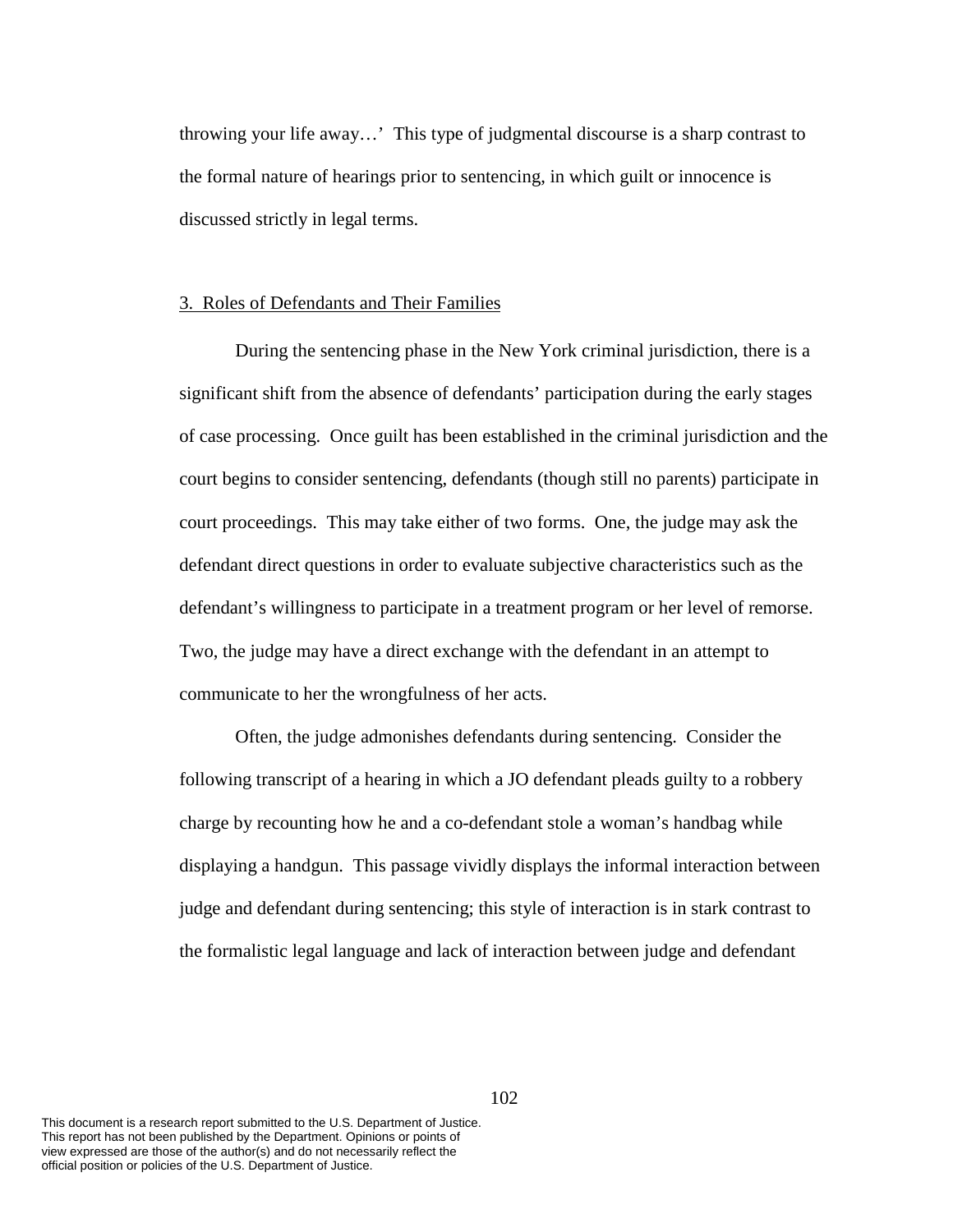throwing your life away…' This type of judgmental discourse is a sharp contrast to the formal nature of hearings prior to sentencing, in which guilt or innocence is discussed strictly in legal terms.

# 3. Roles of Defendants and Their Families

During the sentencing phase in the New York criminal jurisdiction, there is a significant shift from the absence of defendants' participation during the early stages of case processing. Once guilt has been established in the criminal jurisdiction and the court begins to consider sentencing, defendants (though still no parents) participate in court proceedings. This may take either of two forms. One, the judge may ask the defendant direct questions in order to evaluate subjective characteristics such as the defendant's willingness to participate in a treatment program or her level of remorse. Two, the judge may have a direct exchange with the defendant in an attempt to communicate to her the wrongfulness of her acts.

Often, the judge admonishes defendants during sentencing. Consider the following transcript of a hearing in which a JO defendant pleads guilty to a robbery charge by recounting how he and a co-defendant stole a woman's handbag while displaying a handgun. This passage vividly displays the informal interaction between judge and defendant during sentencing; this style of interaction is in stark contrast to the formalistic legal language and lack of interaction between judge and defendant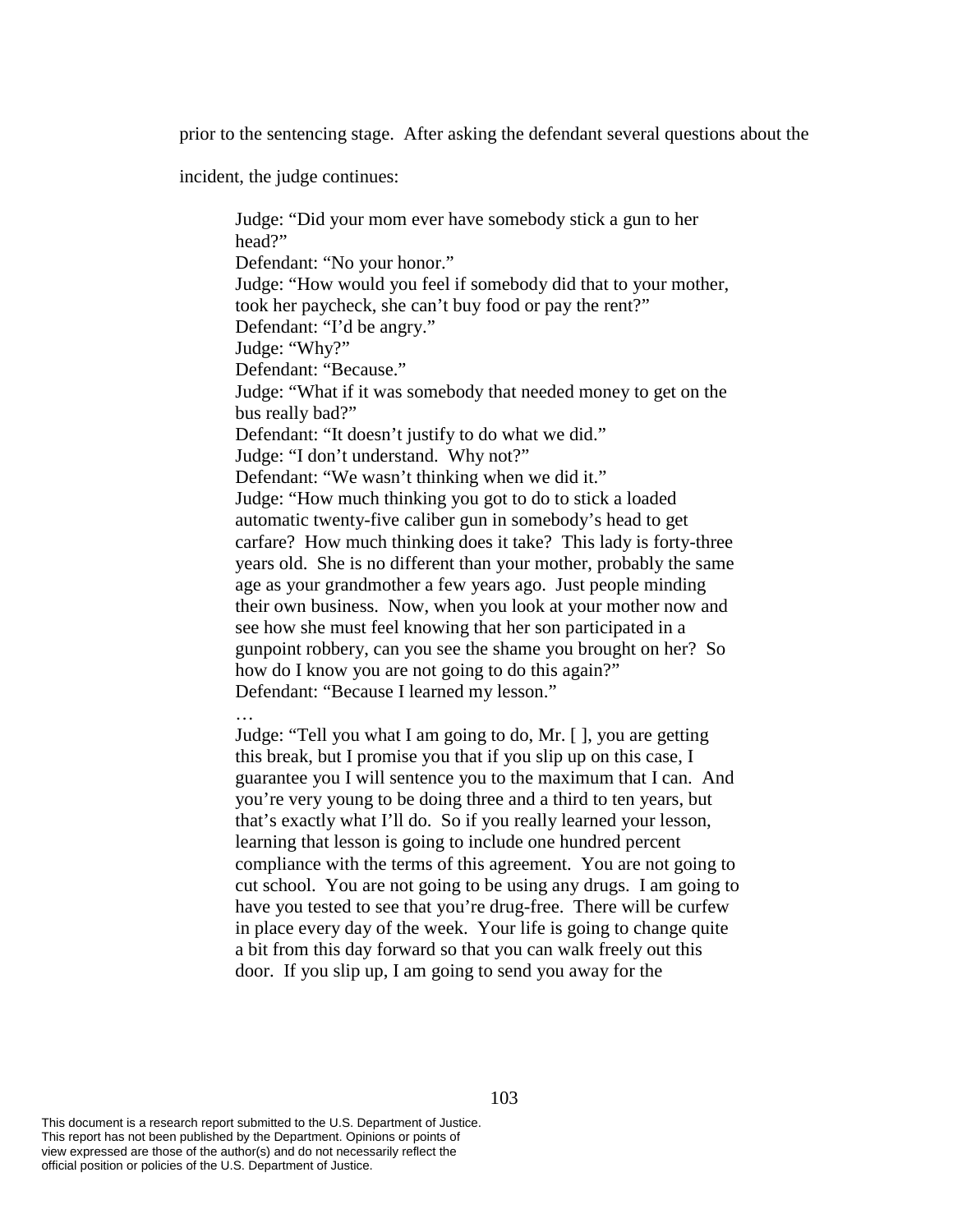prior to the sentencing stage. After asking the defendant several questions about the

incident, the judge continues:

Judge: "Did your mom ever have somebody stick a gun to her head?" Defendant: "No your honor." Judge: "How would you feel if somebody did that to your mother, took her paycheck, she can't buy food or pay the rent?" Defendant: "I'd be angry." Judge: "Why?" Defendant: "Because." Judge: "What if it was somebody that needed money to get on the bus really bad?" Defendant: "It doesn't justify to do what we did." Judge: "I don't understand. Why not?" Defendant: "We wasn't thinking when we did it." Judge: "How much thinking you got to do to stick a loaded automatic twenty-five caliber gun in somebody's head to get carfare? How much thinking does it take? This lady is forty-three years old. She is no different than your mother, probably the same age as your grandmother a few years ago. Just people minding their own business. Now, when you look at your mother now and see how she must feel knowing that her son participated in a gunpoint robbery, can you see the shame you brought on her? So how do I know you are not going to do this again?" Defendant: "Because I learned my lesson." …

Judge: "Tell you what I am going to do, Mr. [ ], you are getting this break, but I promise you that if you slip up on this case, I guarantee you I will sentence you to the maximum that I can. And you're very young to be doing three and a third to ten years, but that's exactly what I'll do. So if you really learned your lesson, learning that lesson is going to include one hundred percent compliance with the terms of this agreement. You are not going to cut school. You are not going to be using any drugs. I am going to have you tested to see that you're drug-free. There will be curfew in place every day of the week. Your life is going to change quite a bit from this day forward so that you can walk freely out this door. If you slip up, I am going to send you away for the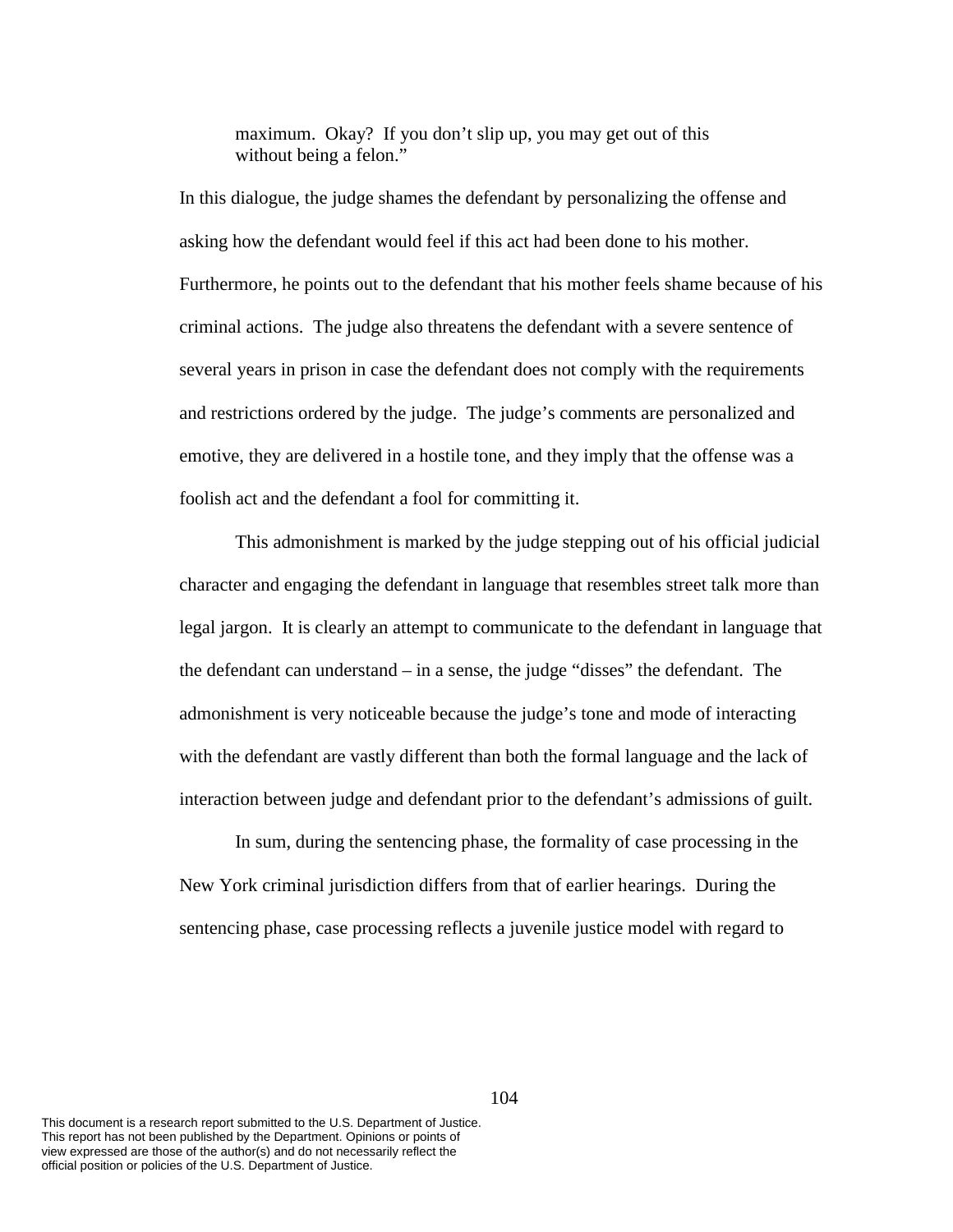maximum. Okay? If you don't slip up, you may get out of this without being a felon."

In this dialogue, the judge shames the defendant by personalizing the offense and asking how the defendant would feel if this act had been done to his mother. Furthermore, he points out to the defendant that his mother feels shame because of his criminal actions. The judge also threatens the defendant with a severe sentence of several years in prison in case the defendant does not comply with the requirements and restrictions ordered by the judge. The judge's comments are personalized and emotive, they are delivered in a hostile tone, and they imply that the offense was a foolish act and the defendant a fool for committing it.

This admonishment is marked by the judge stepping out of his official judicial character and engaging the defendant in language that resembles street talk more than legal jargon. It is clearly an attempt to communicate to the defendant in language that the defendant can understand – in a sense, the judge "disses" the defendant. The admonishment is very noticeable because the judge's tone and mode of interacting with the defendant are vastly different than both the formal language and the lack of interaction between judge and defendant prior to the defendant's admissions of guilt.

In sum, during the sentencing phase, the formality of case processing in the New York criminal jurisdiction differs from that of earlier hearings. During the sentencing phase, case processing reflects a juvenile justice model with regard to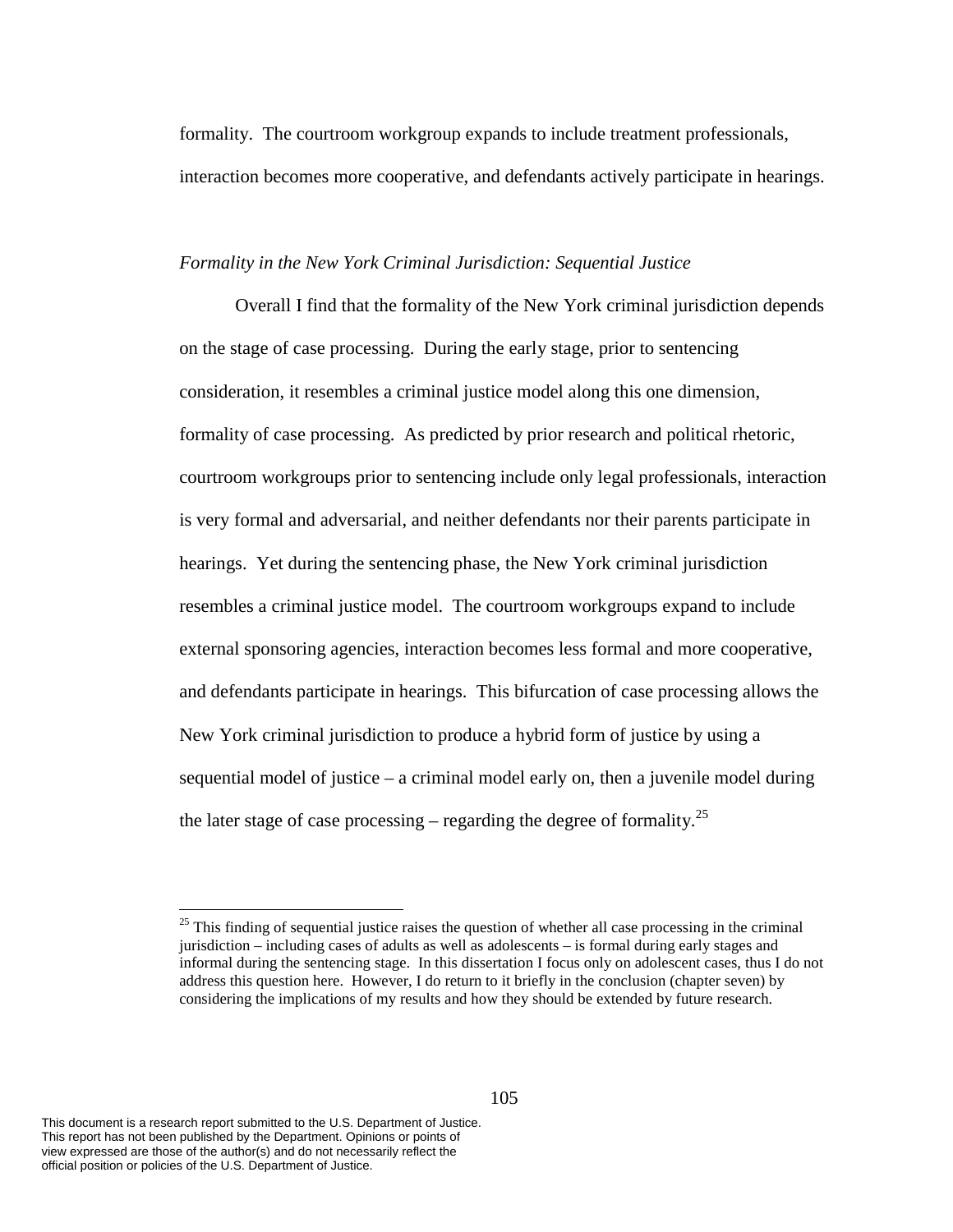formality. The courtroom workgroup expands to include treatment professionals, interaction becomes more cooperative, and defendants actively participate in hearings.

#### *Formality in the New York Criminal Jurisdiction: Sequential Justice*

Overall I find that the formality of the New York criminal jurisdiction depends on the stage of case processing. During the early stage, prior to sentencing consideration, it resembles a criminal justice model along this one dimension, formality of case processing. As predicted by prior research and political rhetoric, courtroom workgroups prior to sentencing include only legal professionals, interaction is very formal and adversarial, and neither defendants nor their parents participate in hearings. Yet during the sentencing phase, the New York criminal jurisdiction resembles a criminal justice model. The courtroom workgroups expand to include external sponsoring agencies, interaction becomes less formal and more cooperative, and defendants participate in hearings. This bifurcation of case processing allows the New York criminal jurisdiction to produce a hybrid form of justice by using a sequential model of justice – a criminal model early on, then a juvenile model during the later stage of case processing – regarding the degree of formality.<sup>25</sup>

 $\overline{a}$ 

 $25$  This finding of sequential justice raises the question of whether all case processing in the criminal jurisdiction – including cases of adults as well as adolescents – is formal during early stages and informal during the sentencing stage. In this dissertation I focus only on adolescent cases, thus I do not address this question here. However, I do return to it briefly in the conclusion (chapter seven) by considering the implications of my results and how they should be extended by future research.

This document is a research report submitted to the U.S. Department of Justice. This report has not been published by the Department. Opinions or points of view expressed are those of the author(s) and do not necessarily reflect the official position or policies of the U.S. Department of Justice.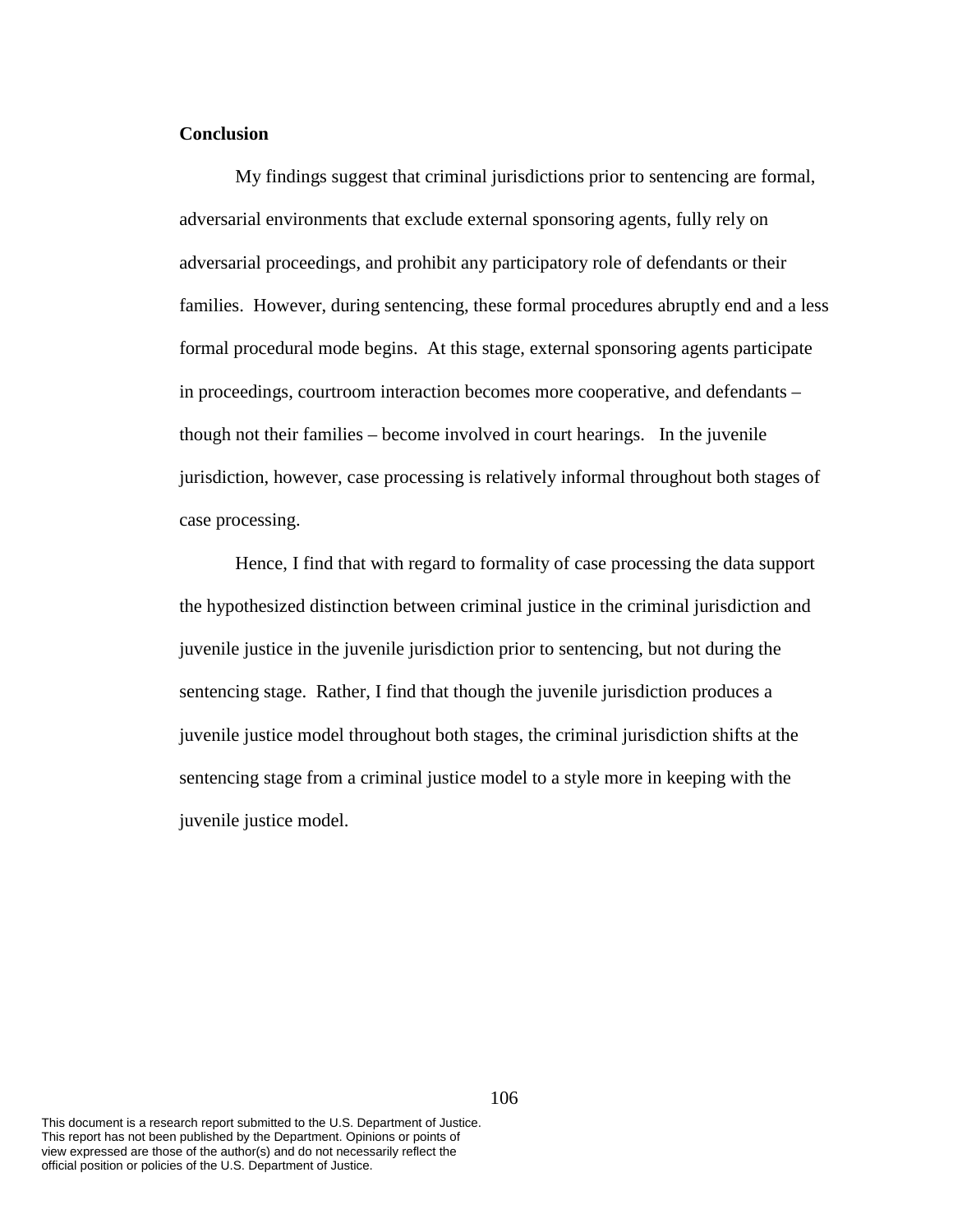# **Conclusion**

My findings suggest that criminal jurisdictions prior to sentencing are formal, adversarial environments that exclude external sponsoring agents, fully rely on adversarial proceedings, and prohibit any participatory role of defendants or their families. However, during sentencing, these formal procedures abruptly end and a less formal procedural mode begins. At this stage, external sponsoring agents participate in proceedings, courtroom interaction becomes more cooperative, and defendants – though not their families – become involved in court hearings. In the juvenile jurisdiction, however, case processing is relatively informal throughout both stages of case processing.

Hence, I find that with regard to formality of case processing the data support the hypothesized distinction between criminal justice in the criminal jurisdiction and juvenile justice in the juvenile jurisdiction prior to sentencing, but not during the sentencing stage. Rather, I find that though the juvenile jurisdiction produces a juvenile justice model throughout both stages, the criminal jurisdiction shifts at the sentencing stage from a criminal justice model to a style more in keeping with the juvenile justice model.

This document is a research report submitted to the U.S. Department of Justice. This report has not been published by the Department. Opinions or points of view expressed are those of the author(s) and do not necessarily reflect the official position or policies of the U.S. Department of Justice.

106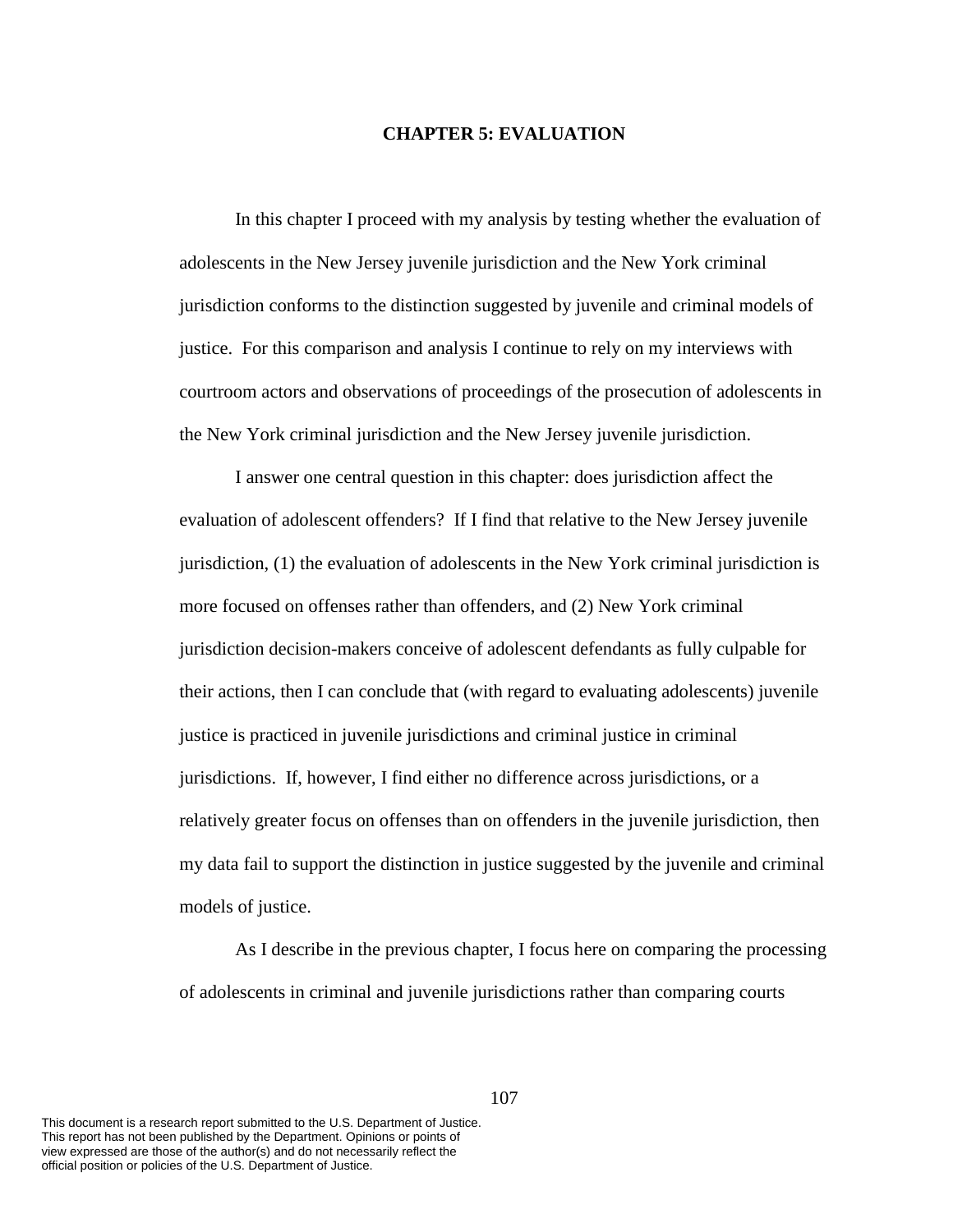## **CHAPTER 5: EVALUATION**

In this chapter I proceed with my analysis by testing whether the evaluation of adolescents in the New Jersey juvenile jurisdiction and the New York criminal jurisdiction conforms to the distinction suggested by juvenile and criminal models of justice. For this comparison and analysis I continue to rely on my interviews with courtroom actors and observations of proceedings of the prosecution of adolescents in the New York criminal jurisdiction and the New Jersey juvenile jurisdiction.

I answer one central question in this chapter: does jurisdiction affect the evaluation of adolescent offenders? If I find that relative to the New Jersey juvenile jurisdiction, (1) the evaluation of adolescents in the New York criminal jurisdiction is more focused on offenses rather than offenders, and (2) New York criminal jurisdiction decision-makers conceive of adolescent defendants as fully culpable for their actions, then I can conclude that (with regard to evaluating adolescents) juvenile justice is practiced in juvenile jurisdictions and criminal justice in criminal jurisdictions. If, however, I find either no difference across jurisdictions, or a relatively greater focus on offenses than on offenders in the juvenile jurisdiction, then my data fail to support the distinction in justice suggested by the juvenile and criminal models of justice.

As I describe in the previous chapter, I focus here on comparing the processing of adolescents in criminal and juvenile jurisdictions rather than comparing courts

This document is a research report submitted to the U.S. Department of Justice. This report has not been published by the Department. Opinions or points of view expressed are those of the author(s) and do not necessarily reflect the official position or policies of the U.S. Department of Justice.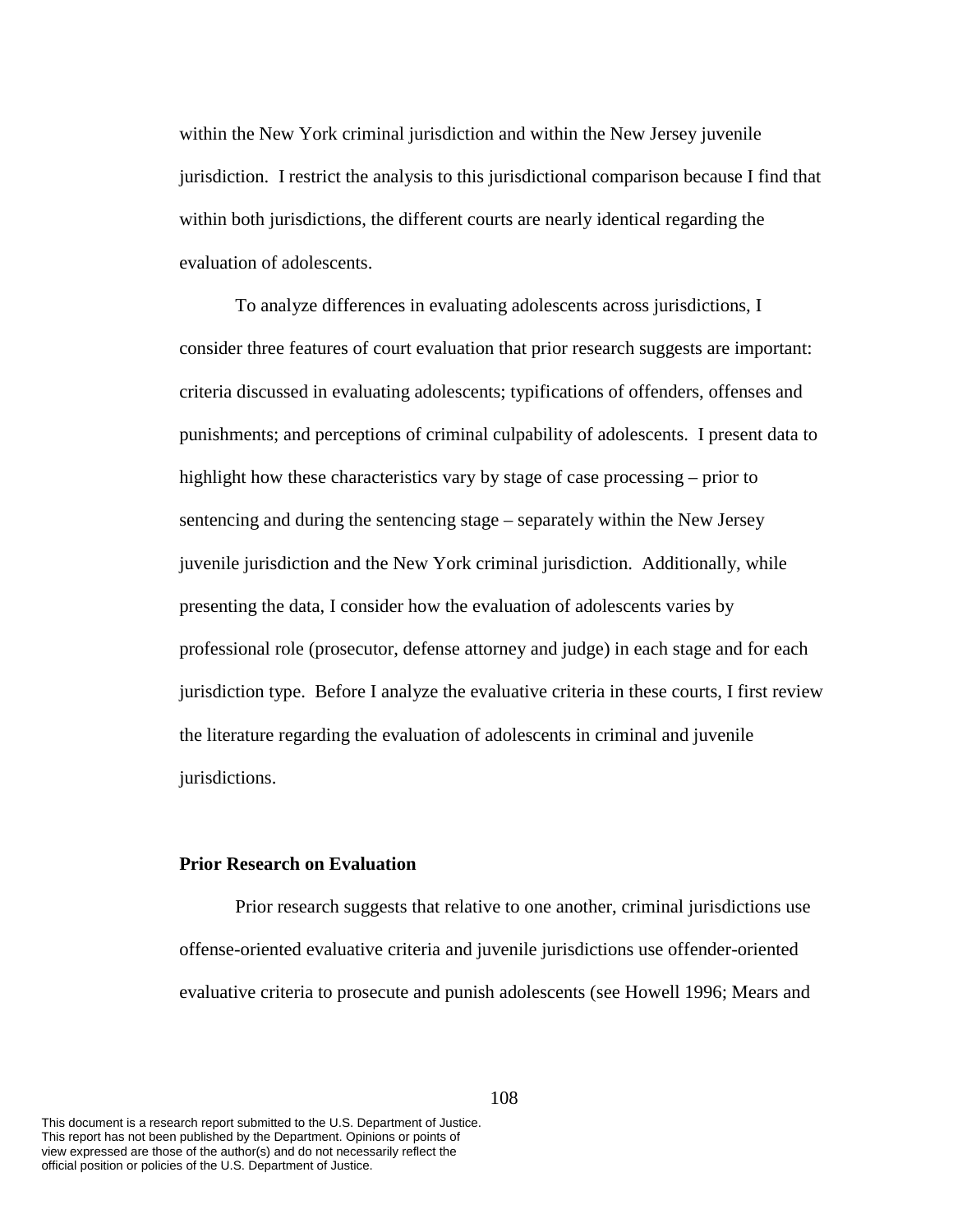within the New York criminal jurisdiction and within the New Jersey juvenile jurisdiction. I restrict the analysis to this jurisdictional comparison because I find that within both jurisdictions, the different courts are nearly identical regarding the evaluation of adolescents.

To analyze differences in evaluating adolescents across jurisdictions, I consider three features of court evaluation that prior research suggests are important: criteria discussed in evaluating adolescents; typifications of offenders, offenses and punishments; and perceptions of criminal culpability of adolescents. I present data to highlight how these characteristics vary by stage of case processing – prior to sentencing and during the sentencing stage – separately within the New Jersey juvenile jurisdiction and the New York criminal jurisdiction. Additionally, while presenting the data, I consider how the evaluation of adolescents varies by professional role (prosecutor, defense attorney and judge) in each stage and for each jurisdiction type. Before I analyze the evaluative criteria in these courts, I first review the literature regarding the evaluation of adolescents in criminal and juvenile jurisdictions.

# **Prior Research on Evaluation**

Prior research suggests that relative to one another, criminal jurisdictions use offense-oriented evaluative criteria and juvenile jurisdictions use offender-oriented evaluative criteria to prosecute and punish adolescents (see Howell 1996; Mears and

This document is a research report submitted to the U.S. Department of Justice. This report has not been published by the Department. Opinions or points of view expressed are those of the author(s) and do not necessarily reflect the official position or policies of the U.S. Department of Justice.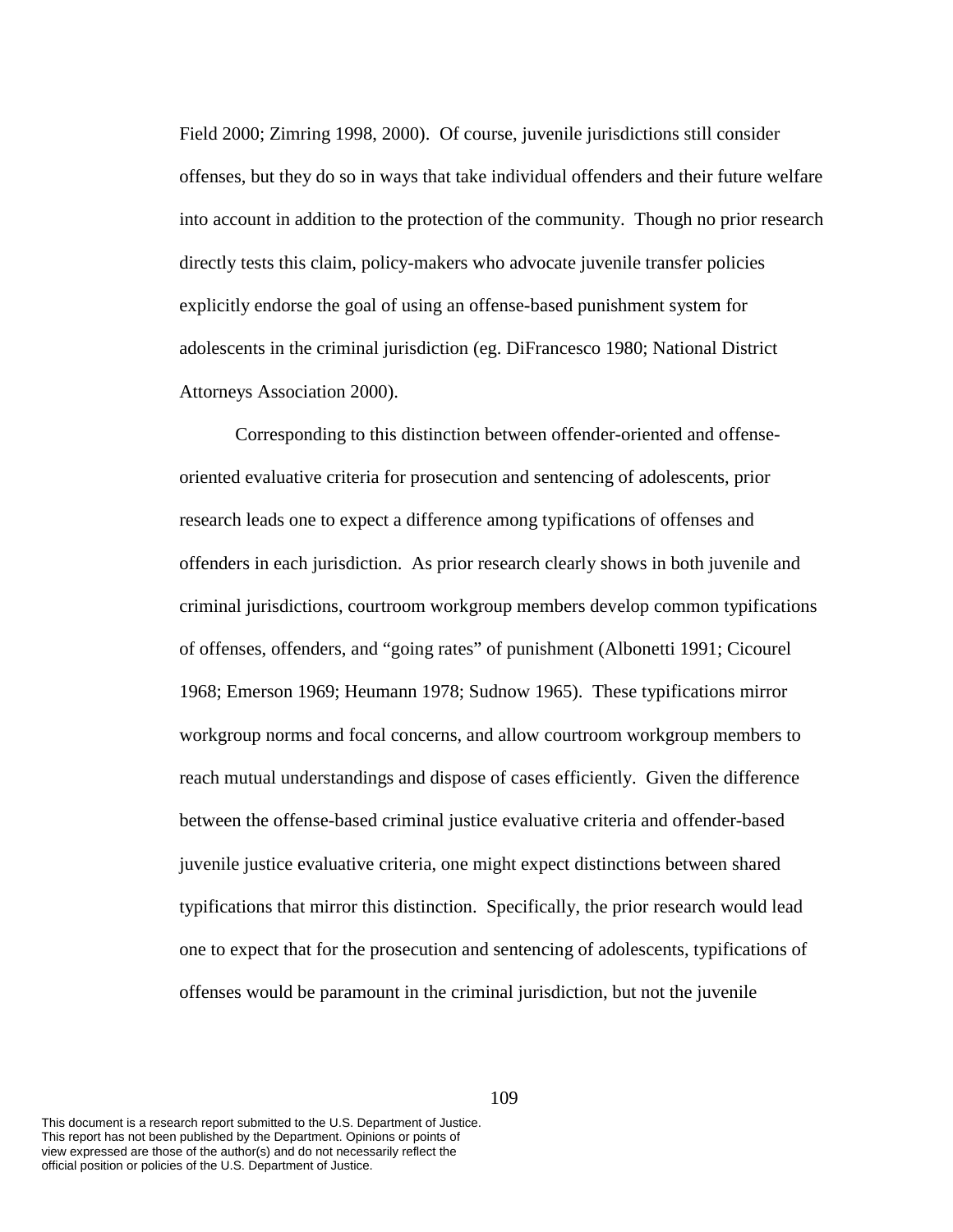Field 2000; Zimring 1998, 2000). Of course, juvenile jurisdictions still consider offenses, but they do so in ways that take individual offenders and their future welfare into account in addition to the protection of the community. Though no prior research directly tests this claim, policy-makers who advocate juvenile transfer policies explicitly endorse the goal of using an offense-based punishment system for adolescents in the criminal jurisdiction (eg. DiFrancesco 1980; National District Attorneys Association 2000).

Corresponding to this distinction between offender-oriented and offenseoriented evaluative criteria for prosecution and sentencing of adolescents, prior research leads one to expect a difference among typifications of offenses and offenders in each jurisdiction. As prior research clearly shows in both juvenile and criminal jurisdictions, courtroom workgroup members develop common typifications of offenses, offenders, and "going rates" of punishment (Albonetti 1991; Cicourel 1968; Emerson 1969; Heumann 1978; Sudnow 1965). These typifications mirror workgroup norms and focal concerns, and allow courtroom workgroup members to reach mutual understandings and dispose of cases efficiently. Given the difference between the offense-based criminal justice evaluative criteria and offender-based juvenile justice evaluative criteria, one might expect distinctions between shared typifications that mirror this distinction. Specifically, the prior research would lead one to expect that for the prosecution and sentencing of adolescents, typifications of offenses would be paramount in the criminal jurisdiction, but not the juvenile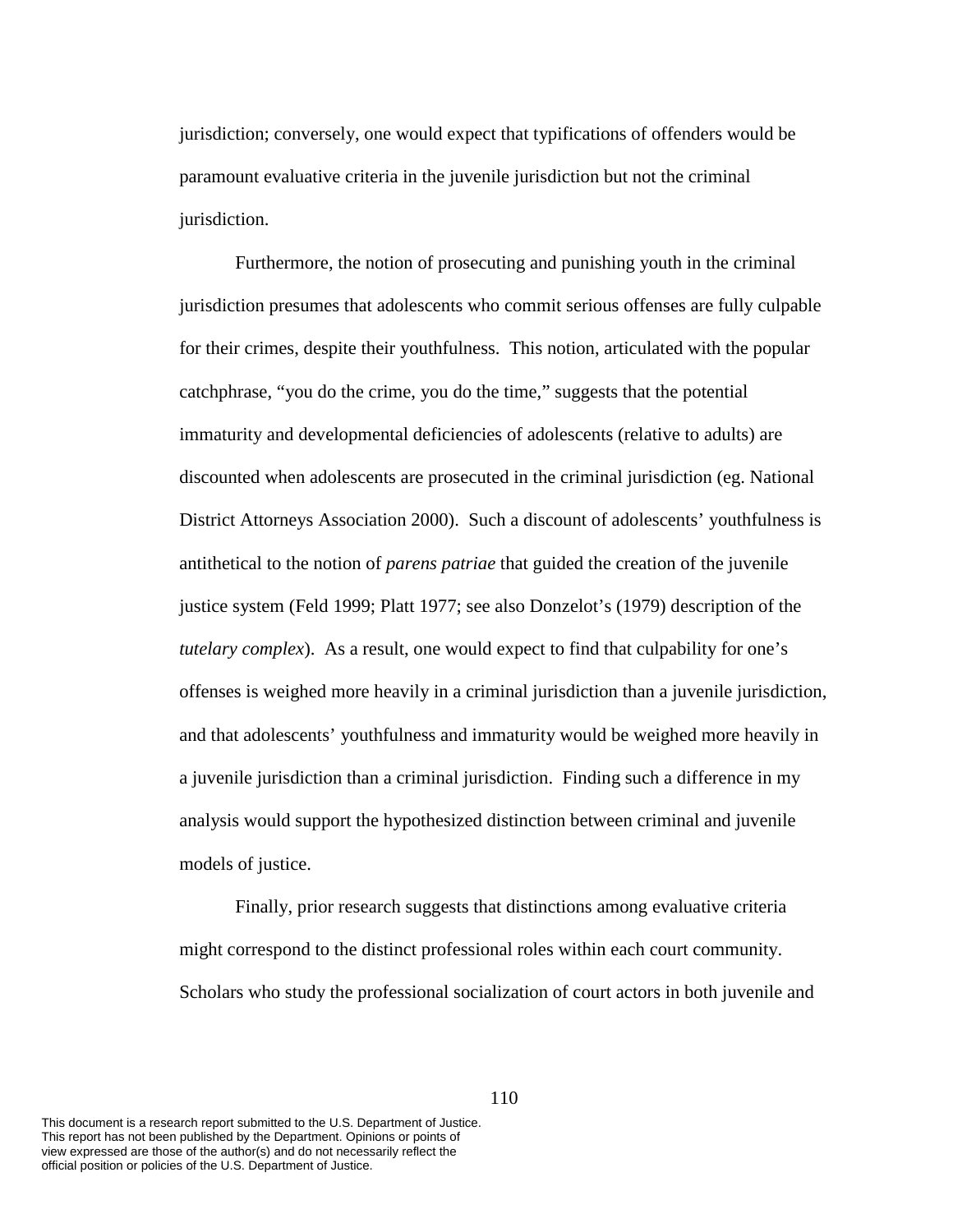jurisdiction; conversely, one would expect that typifications of offenders would be paramount evaluative criteria in the juvenile jurisdiction but not the criminal jurisdiction.

Furthermore, the notion of prosecuting and punishing youth in the criminal jurisdiction presumes that adolescents who commit serious offenses are fully culpable for their crimes, despite their youthfulness. This notion, articulated with the popular catchphrase, "you do the crime, you do the time," suggests that the potential immaturity and developmental deficiencies of adolescents (relative to adults) are discounted when adolescents are prosecuted in the criminal jurisdiction (eg. National District Attorneys Association 2000). Such a discount of adolescents' youthfulness is antithetical to the notion of *parens patriae* that guided the creation of the juvenile justice system (Feld 1999; Platt 1977; see also Donzelot's (1979) description of the *tutelary complex*). As a result, one would expect to find that culpability for one's offenses is weighed more heavily in a criminal jurisdiction than a juvenile jurisdiction, and that adolescents' youthfulness and immaturity would be weighed more heavily in a juvenile jurisdiction than a criminal jurisdiction. Finding such a difference in my analysis would support the hypothesized distinction between criminal and juvenile models of justice.

Finally, prior research suggests that distinctions among evaluative criteria might correspond to the distinct professional roles within each court community. Scholars who study the professional socialization of court actors in both juvenile and

This document is a research report submitted to the U.S. Department of Justice. This report has not been published by the Department. Opinions or points of view expressed are those of the author(s) and do not necessarily reflect the official position or policies of the U.S. Department of Justice.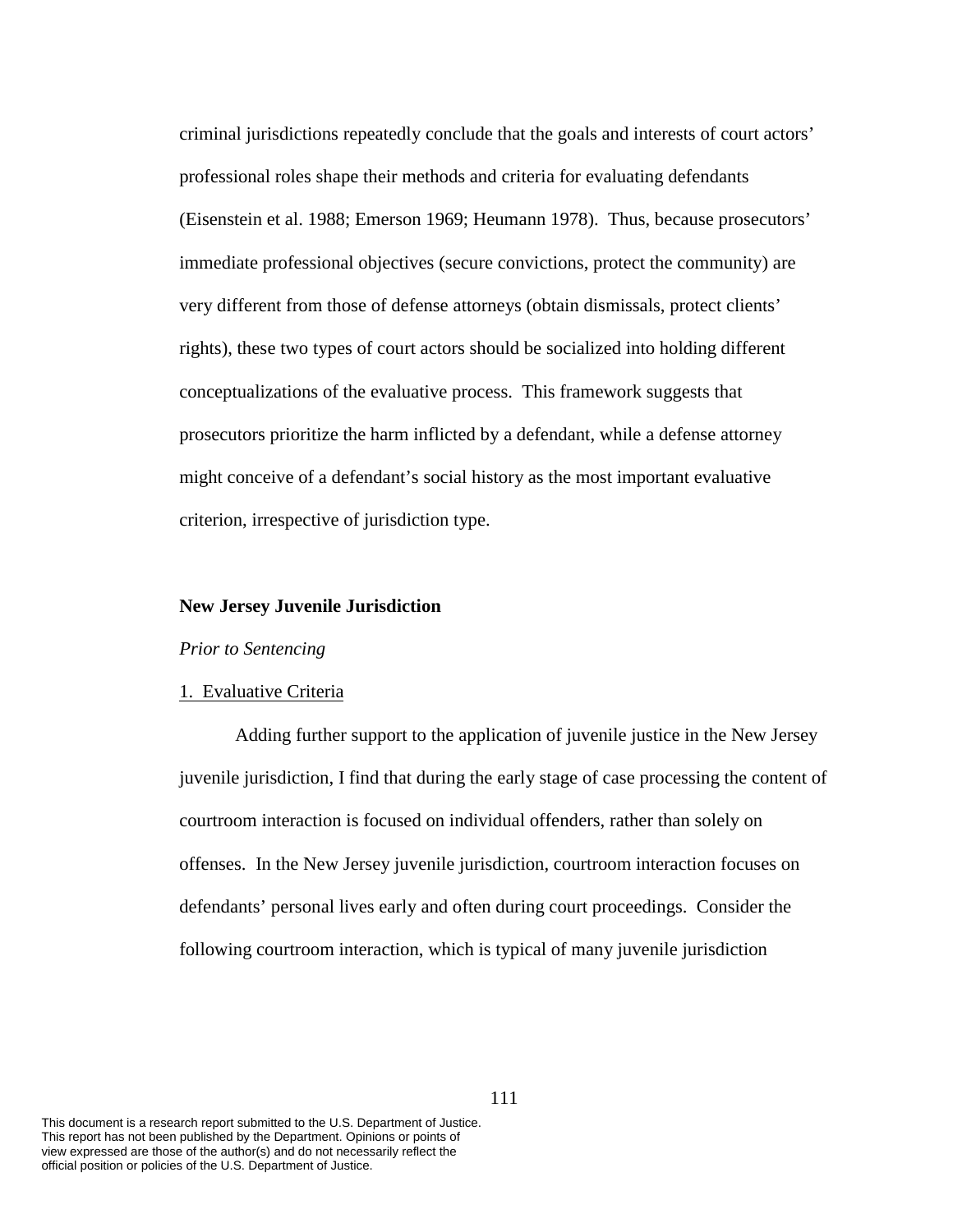criminal jurisdictions repeatedly conclude that the goals and interests of court actors' professional roles shape their methods and criteria for evaluating defendants (Eisenstein et al. 1988; Emerson 1969; Heumann 1978). Thus, because prosecutors' immediate professional objectives (secure convictions, protect the community) are very different from those of defense attorneys (obtain dismissals, protect clients' rights), these two types of court actors should be socialized into holding different conceptualizations of the evaluative process. This framework suggests that prosecutors prioritize the harm inflicted by a defendant, while a defense attorney might conceive of a defendant's social history as the most important evaluative criterion, irrespective of jurisdiction type.

## **New Jersey Juvenile Jurisdiction**

## *Prior to Sentencing*

## 1. Evaluative Criteria

Adding further support to the application of juvenile justice in the New Jersey juvenile jurisdiction, I find that during the early stage of case processing the content of courtroom interaction is focused on individual offenders, rather than solely on offenses. In the New Jersey juvenile jurisdiction, courtroom interaction focuses on defendants' personal lives early and often during court proceedings. Consider the following courtroom interaction, which is typical of many juvenile jurisdiction

This document is a research report submitted to the U.S. Department of Justice. This report has not been published by the Department. Opinions or points of view expressed are those of the author(s) and do not necessarily reflect the official position or policies of the U.S. Department of Justice.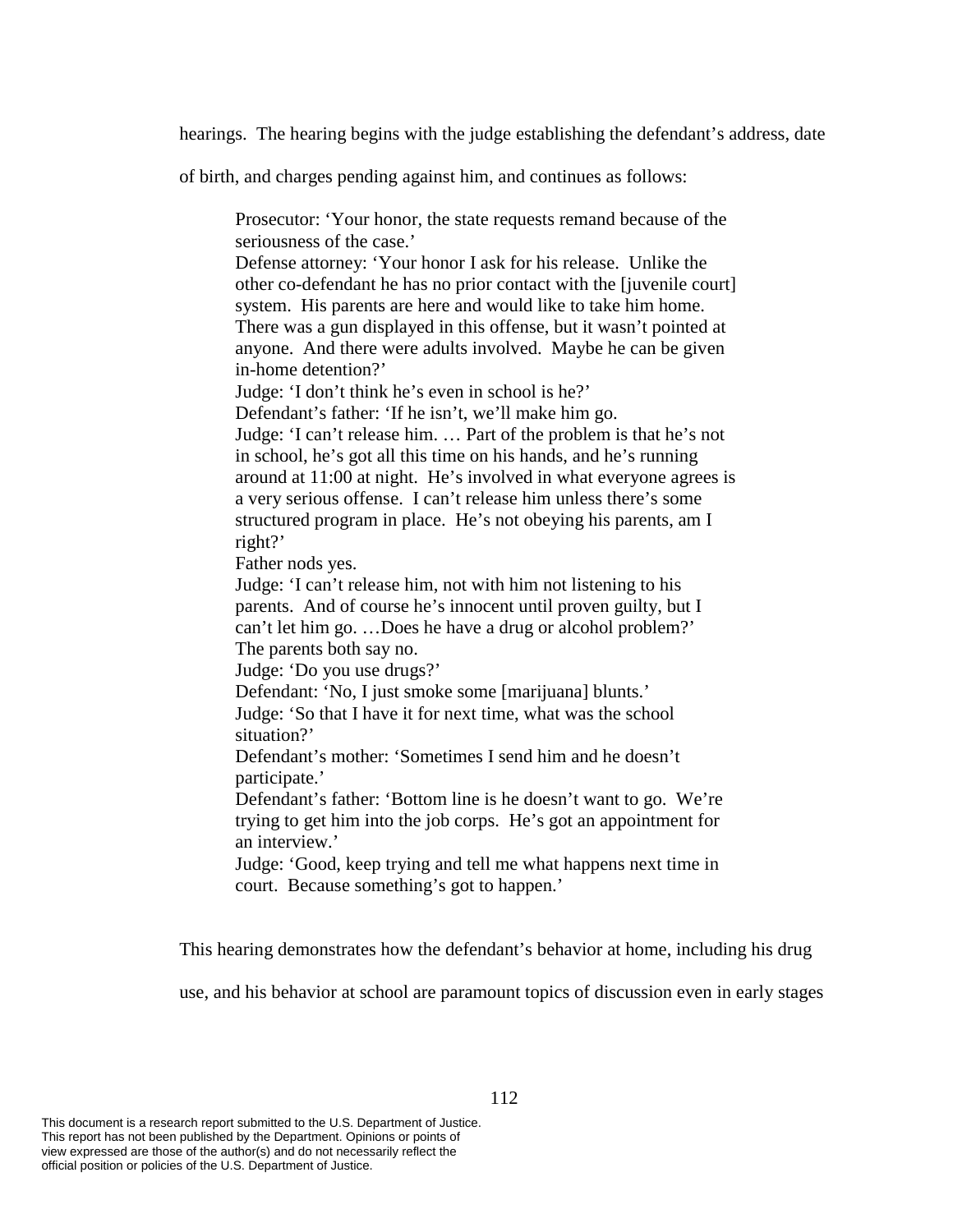hearings. The hearing begins with the judge establishing the defendant's address, date

of birth, and charges pending against him, and continues as follows:

Prosecutor: 'Your honor, the state requests remand because of the seriousness of the case.' Defense attorney: 'Your honor I ask for his release. Unlike the other co-defendant he has no prior contact with the [juvenile court] system. His parents are here and would like to take him home. There was a gun displayed in this offense, but it wasn't pointed at anyone. And there were adults involved. Maybe he can be given in-home detention?' Judge: 'I don't think he's even in school is he?' Defendant's father: 'If he isn't, we'll make him go. Judge: 'I can't release him. … Part of the problem is that he's not in school, he's got all this time on his hands, and he's running around at 11:00 at night. He's involved in what everyone agrees is a very serious offense. I can't release him unless there's some structured program in place. He's not obeying his parents, am I right?' Father nods yes. Judge: 'I can't release him, not with him not listening to his parents. And of course he's innocent until proven guilty, but I can't let him go. …Does he have a drug or alcohol problem?' The parents both say no. Judge: 'Do you use drugs?' Defendant: 'No, I just smoke some [marijuana] blunts.' Judge: 'So that I have it for next time, what was the school situation?' Defendant's mother: 'Sometimes I send him and he doesn't participate.' Defendant's father: 'Bottom line is he doesn't want to go. We're trying to get him into the job corps. He's got an appointment for an interview.' Judge: 'Good, keep trying and tell me what happens next time in court. Because something's got to happen.'

This hearing demonstrates how the defendant's behavior at home, including his drug

use, and his behavior at school are paramount topics of discussion even in early stages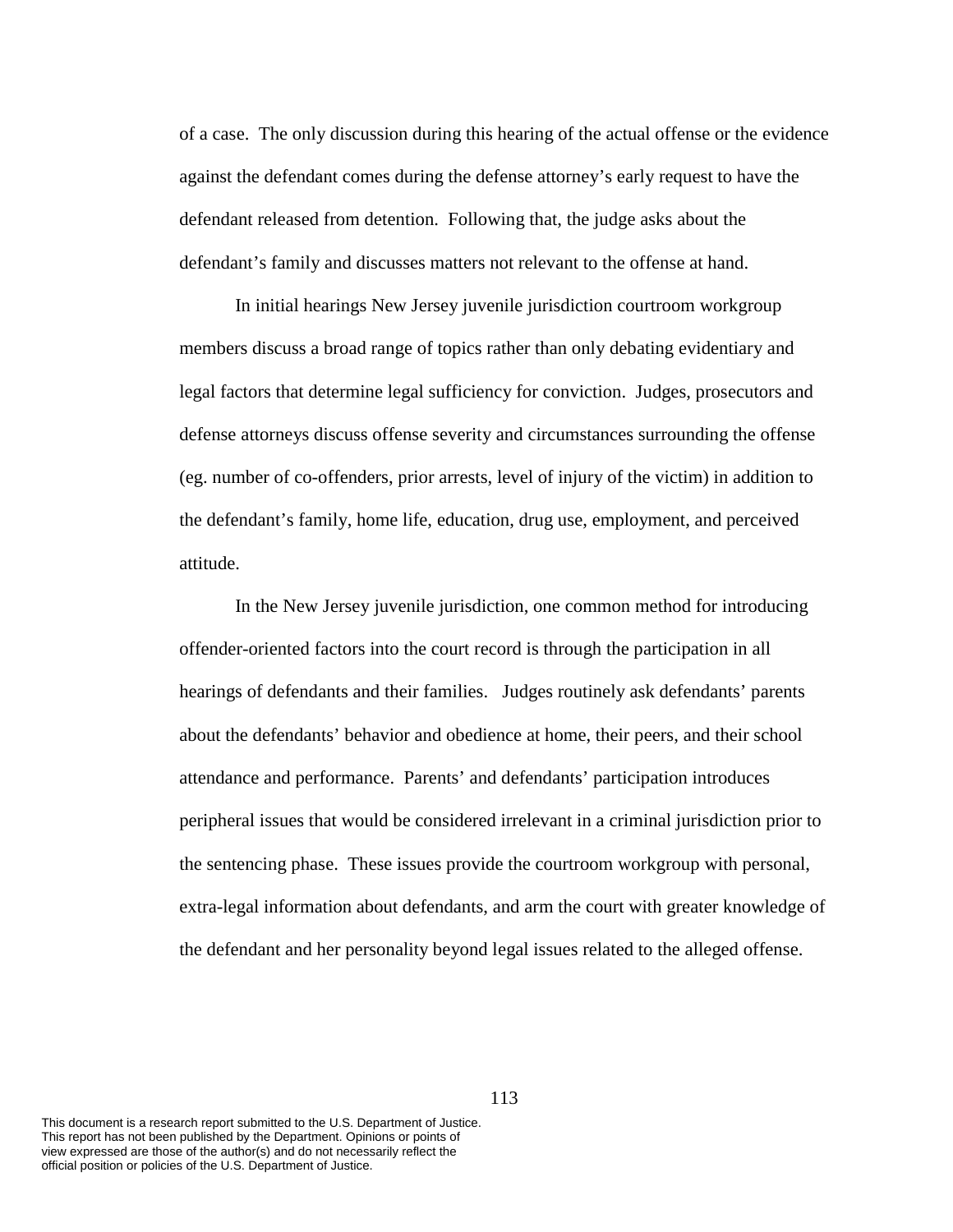of a case. The only discussion during this hearing of the actual offense or the evidence against the defendant comes during the defense attorney's early request to have the defendant released from detention. Following that, the judge asks about the defendant's family and discusses matters not relevant to the offense at hand.

In initial hearings New Jersey juvenile jurisdiction courtroom workgroup members discuss a broad range of topics rather than only debating evidentiary and legal factors that determine legal sufficiency for conviction. Judges, prosecutors and defense attorneys discuss offense severity and circumstances surrounding the offense (eg. number of co-offenders, prior arrests, level of injury of the victim) in addition to the defendant's family, home life, education, drug use, employment, and perceived attitude.

In the New Jersey juvenile jurisdiction, one common method for introducing offender-oriented factors into the court record is through the participation in all hearings of defendants and their families. Judges routinely ask defendants' parents about the defendants' behavior and obedience at home, their peers, and their school attendance and performance. Parents' and defendants' participation introduces peripheral issues that would be considered irrelevant in a criminal jurisdiction prior to the sentencing phase. These issues provide the courtroom workgroup with personal, extra-legal information about defendants, and arm the court with greater knowledge of the defendant and her personality beyond legal issues related to the alleged offense.

This document is a research report submitted to the U.S. Department of Justice. This report has not been published by the Department. Opinions or points of view expressed are those of the author(s) and do not necessarily reflect the official position or policies of the U.S. Department of Justice.

113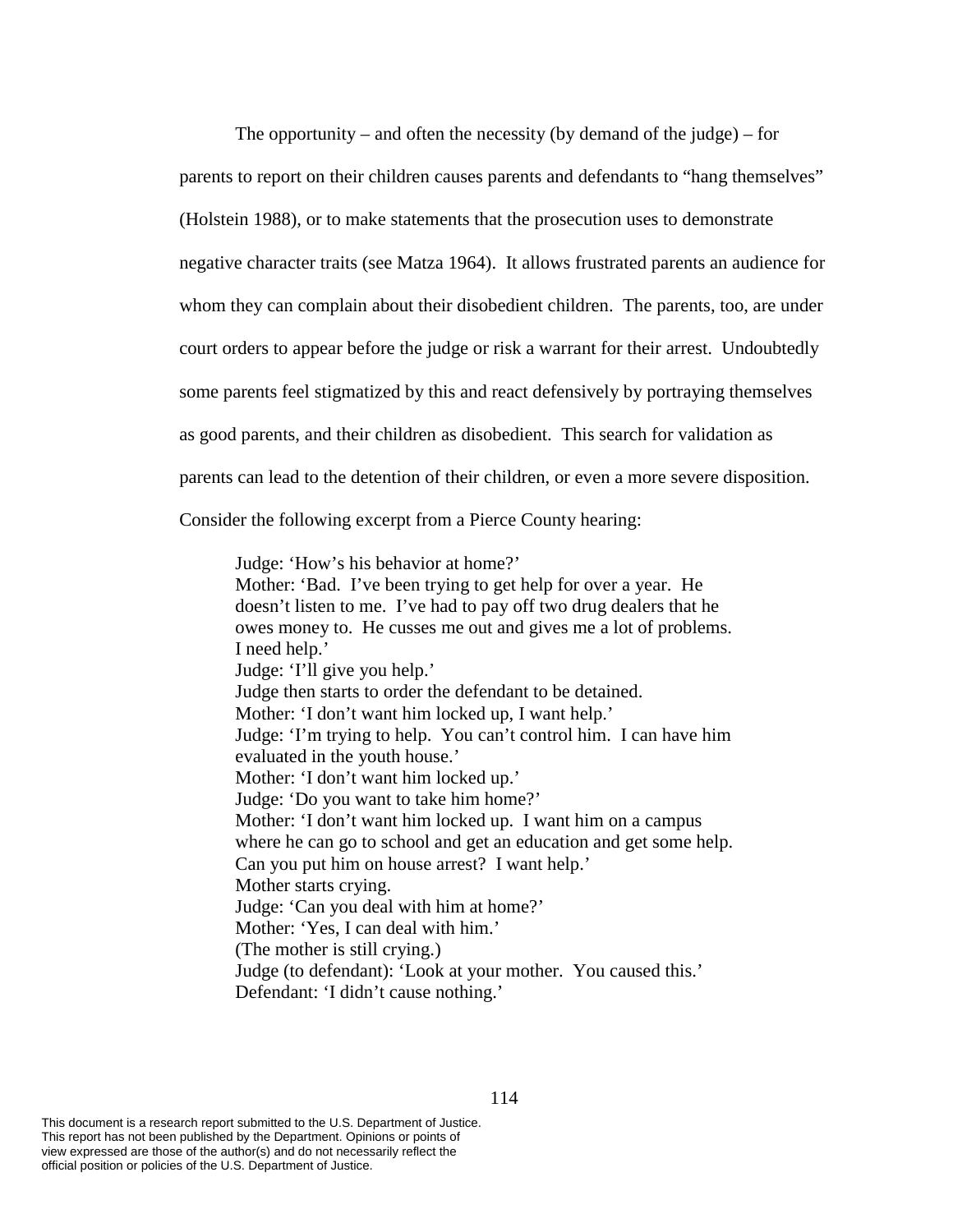The opportunity – and often the necessity (by demand of the judge) – for

parents to report on their children causes parents and defendants to "hang themselves"

(Holstein 1988), or to make statements that the prosecution uses to demonstrate

negative character traits (see Matza 1964). It allows frustrated parents an audience for

whom they can complain about their disobedient children. The parents, too, are under

court orders to appear before the judge or risk a warrant for their arrest. Undoubtedly

some parents feel stigmatized by this and react defensively by portraying themselves

as good parents, and their children as disobedient. This search for validation as

parents can lead to the detention of their children, or even a more severe disposition.

Consider the following excerpt from a Pierce County hearing:

Judge: 'How's his behavior at home?' Mother: 'Bad. I've been trying to get help for over a year. He doesn't listen to me. I've had to pay off two drug dealers that he owes money to. He cusses me out and gives me a lot of problems. I need help.' Judge: 'I'll give you help.' Judge then starts to order the defendant to be detained. Mother: 'I don't want him locked up, I want help.' Judge: 'I'm trying to help. You can't control him. I can have him evaluated in the youth house.' Mother: 'I don't want him locked up.' Judge: 'Do you want to take him home?' Mother: 'I don't want him locked up. I want him on a campus where he can go to school and get an education and get some help. Can you put him on house arrest? I want help.' Mother starts crying. Judge: 'Can you deal with him at home?' Mother: 'Yes, I can deal with him.' (The mother is still crying.) Judge (to defendant): 'Look at your mother. You caused this.' Defendant: 'I didn't cause nothing.'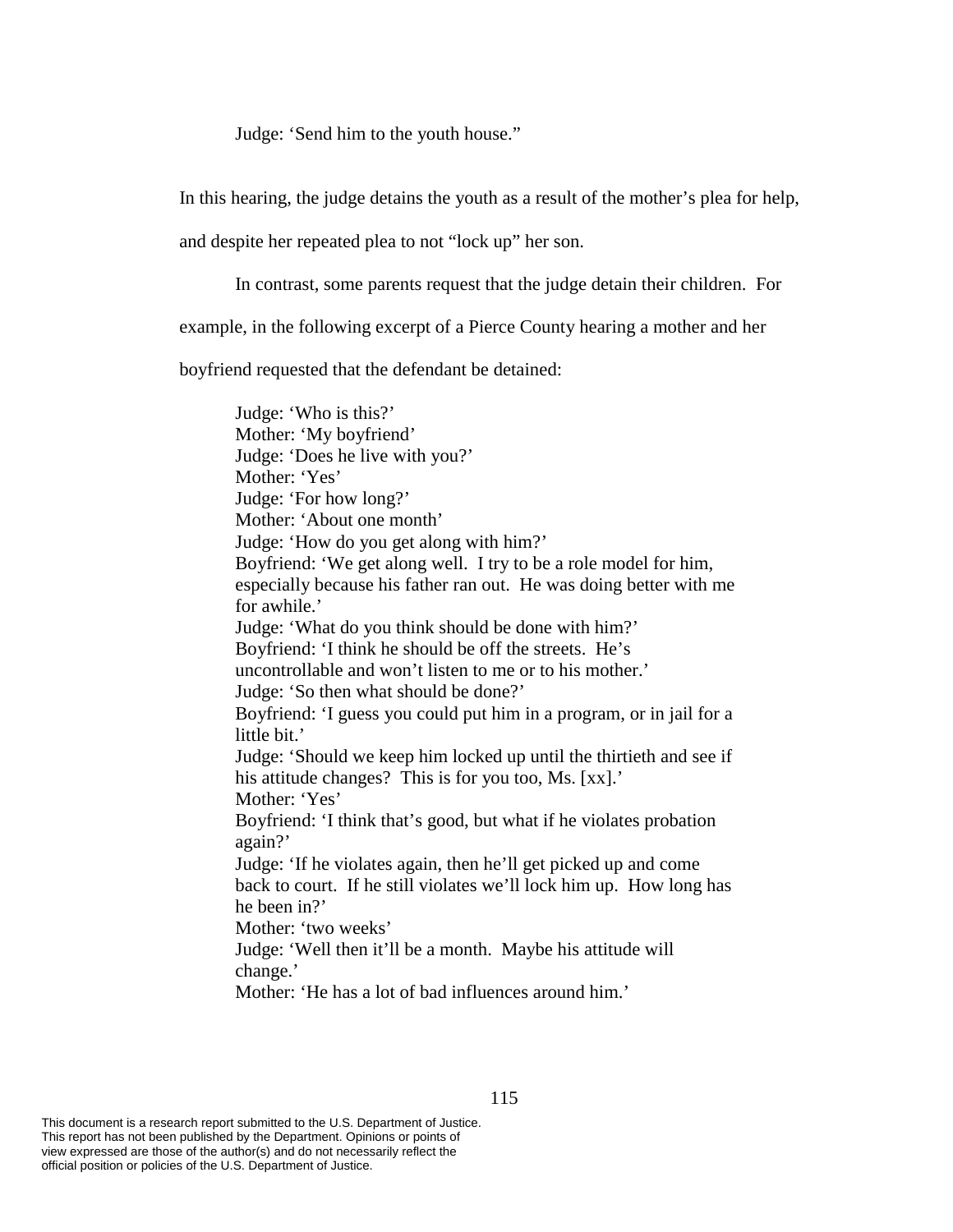Judge: 'Send him to the youth house."

In this hearing, the judge detains the youth as a result of the mother's plea for help,

and despite her repeated plea to not "lock up" her son.

In contrast, some parents request that the judge detain their children. For

example, in the following excerpt of a Pierce County hearing a mother and her

boyfriend requested that the defendant be detained:

Judge: 'Who is this?' Mother: 'My boyfriend' Judge: 'Does he live with you?' Mother: 'Yes' Judge: 'For how long?' Mother: 'About one month' Judge: 'How do you get along with him?' Boyfriend: 'We get along well. I try to be a role model for him, especially because his father ran out. He was doing better with me for awhile.' Judge: 'What do you think should be done with him?' Boyfriend: 'I think he should be off the streets. He's uncontrollable and won't listen to me or to his mother.' Judge: 'So then what should be done?' Boyfriend: 'I guess you could put him in a program, or in jail for a little bit.' Judge: 'Should we keep him locked up until the thirtieth and see if his attitude changes? This is for you too, Ms. [xx].' Mother: 'Yes' Boyfriend: 'I think that's good, but what if he violates probation again?' Judge: 'If he violates again, then he'll get picked up and come back to court. If he still violates we'll lock him up. How long has he been in?' Mother: 'two weeks' Judge: 'Well then it'll be a month. Maybe his attitude will change.' Mother: 'He has a lot of bad influences around him.'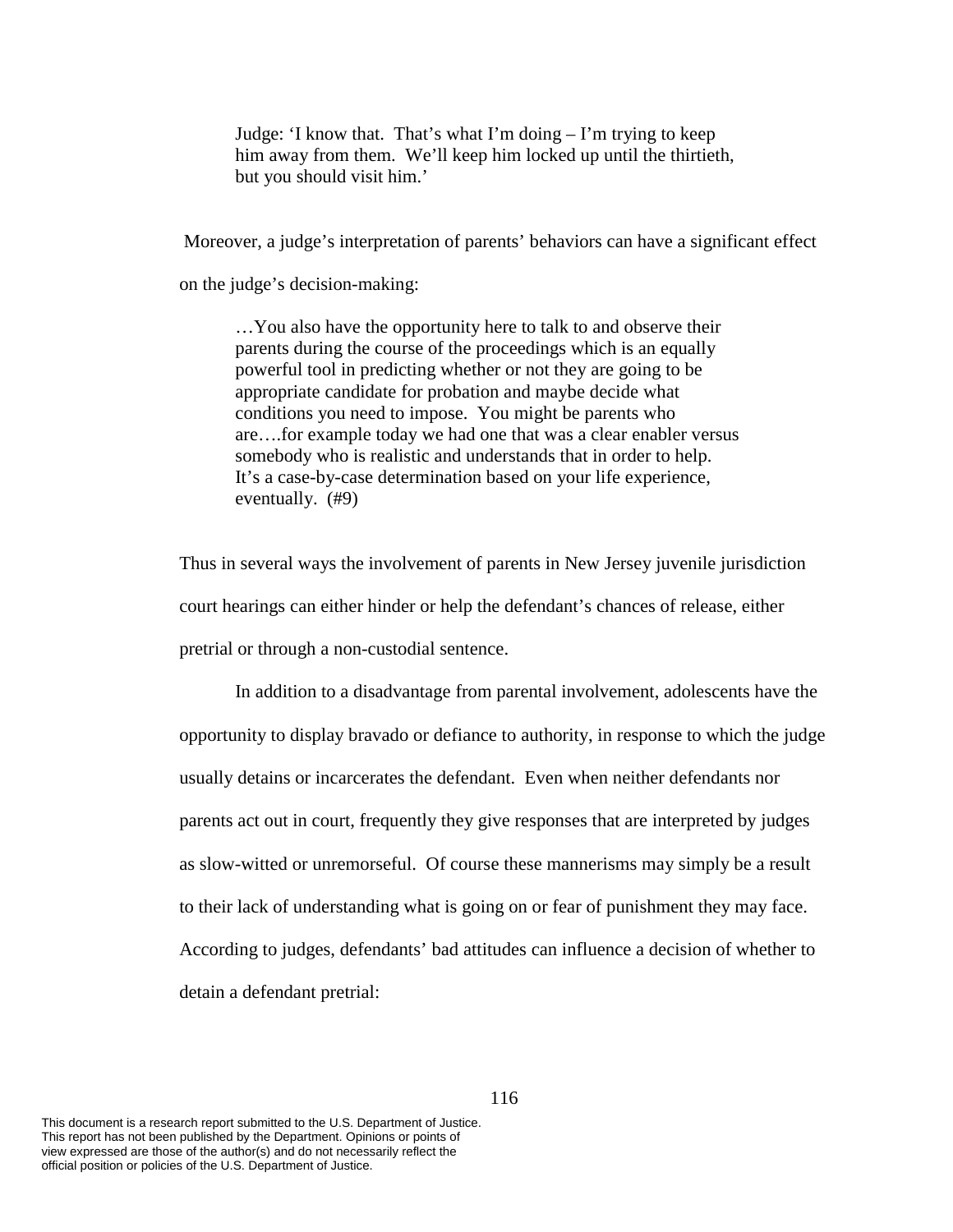Judge: 'I know that. That's what I'm doing  $-$  I'm trying to keep him away from them. We'll keep him locked up until the thirtieth, but you should visit him.'

Moreover, a judge's interpretation of parents' behaviors can have a significant effect

on the judge's decision-making:

…You also have the opportunity here to talk to and observe their parents during the course of the proceedings which is an equally powerful tool in predicting whether or not they are going to be appropriate candidate for probation and maybe decide what conditions you need to impose. You might be parents who are….for example today we had one that was a clear enabler versus somebody who is realistic and understands that in order to help. It's a case-by-case determination based on your life experience, eventually. (#9)

Thus in several ways the involvement of parents in New Jersey juvenile jurisdiction court hearings can either hinder or help the defendant's chances of release, either pretrial or through a non-custodial sentence.

In addition to a disadvantage from parental involvement, adolescents have the opportunity to display bravado or defiance to authority, in response to which the judge usually detains or incarcerates the defendant. Even when neither defendants nor parents act out in court, frequently they give responses that are interpreted by judges as slow-witted or unremorseful. Of course these mannerisms may simply be a result to their lack of understanding what is going on or fear of punishment they may face. According to judges, defendants' bad attitudes can influence a decision of whether to detain a defendant pretrial: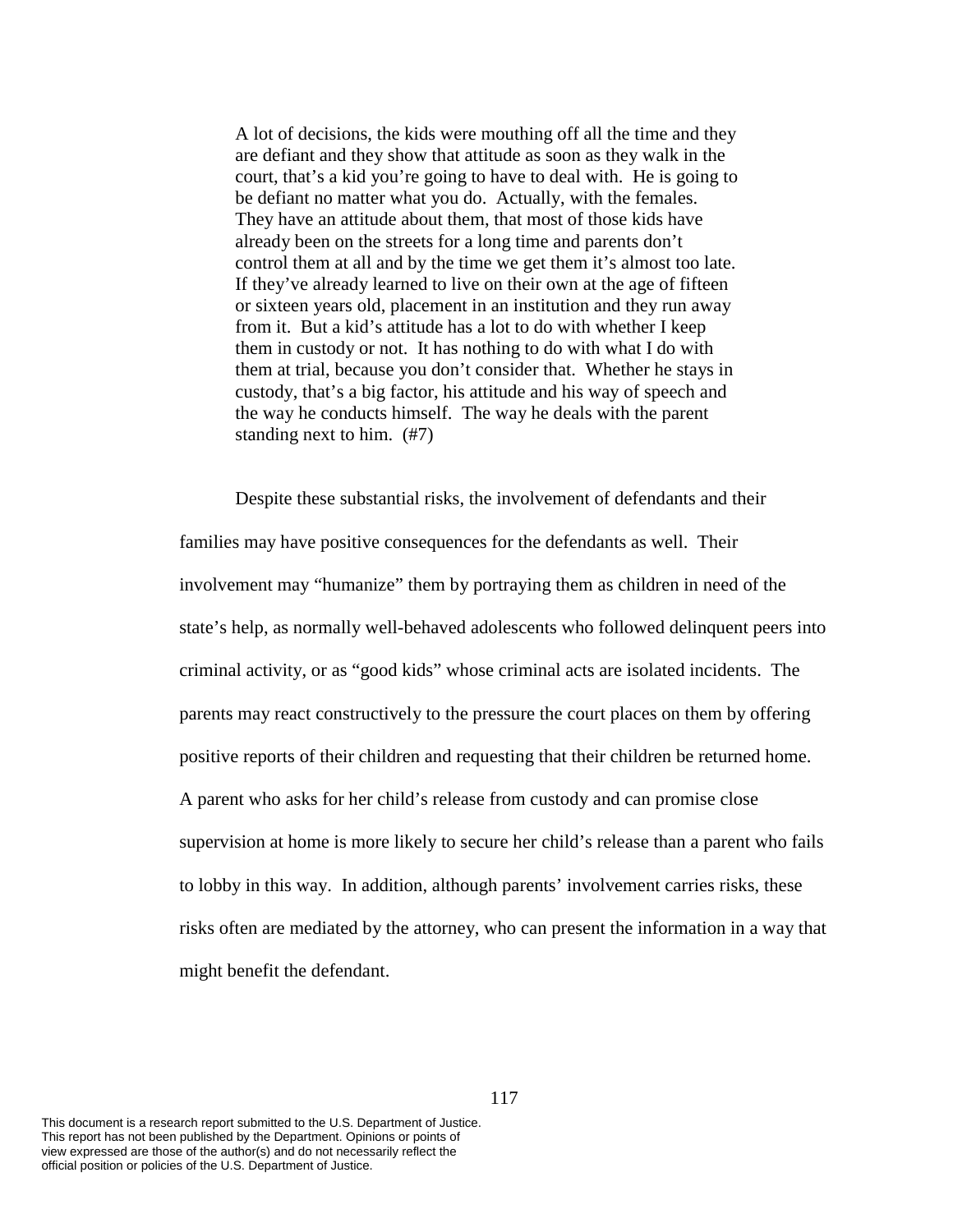A lot of decisions, the kids were mouthing off all the time and they are defiant and they show that attitude as soon as they walk in the court, that's a kid you're going to have to deal with. He is going to be defiant no matter what you do. Actually, with the females. They have an attitude about them, that most of those kids have already been on the streets for a long time and parents don't control them at all and by the time we get them it's almost too late. If they've already learned to live on their own at the age of fifteen or sixteen years old, placement in an institution and they run away from it. But a kid's attitude has a lot to do with whether I keep them in custody or not. It has nothing to do with what I do with them at trial, because you don't consider that. Whether he stays in custody, that's a big factor, his attitude and his way of speech and the way he conducts himself. The way he deals with the parent standing next to him. (#7)

Despite these substantial risks, the involvement of defendants and their families may have positive consequences for the defendants as well. Their involvement may "humanize" them by portraying them as children in need of the state's help, as normally well-behaved adolescents who followed delinquent peers into criminal activity, or as "good kids" whose criminal acts are isolated incidents. The parents may react constructively to the pressure the court places on them by offering positive reports of their children and requesting that their children be returned home. A parent who asks for her child's release from custody and can promise close supervision at home is more likely to secure her child's release than a parent who fails to lobby in this way. In addition, although parents' involvement carries risks, these risks often are mediated by the attorney, who can present the information in a way that might benefit the defendant.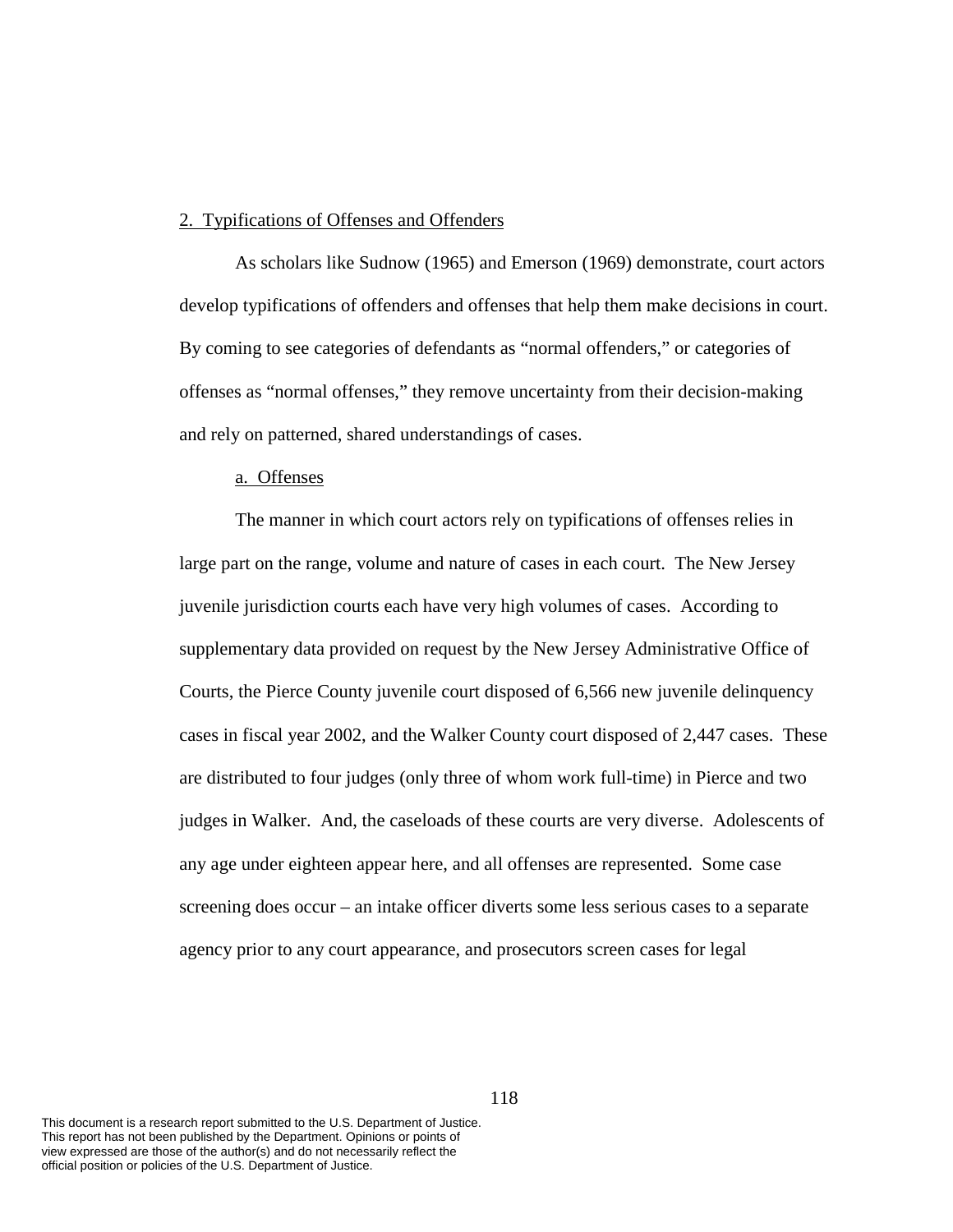## 2. Typifications of Offenses and Offenders

As scholars like Sudnow (1965) and Emerson (1969) demonstrate, court actors develop typifications of offenders and offenses that help them make decisions in court. By coming to see categories of defendants as "normal offenders," or categories of offenses as "normal offenses," they remove uncertainty from their decision-making and rely on patterned, shared understandings of cases.

## a. Offenses

The manner in which court actors rely on typifications of offenses relies in large part on the range, volume and nature of cases in each court. The New Jersey juvenile jurisdiction courts each have very high volumes of cases. According to supplementary data provided on request by the New Jersey Administrative Office of Courts, the Pierce County juvenile court disposed of 6,566 new juvenile delinquency cases in fiscal year 2002, and the Walker County court disposed of 2,447 cases. These are distributed to four judges (only three of whom work full-time) in Pierce and two judges in Walker. And, the caseloads of these courts are very diverse. Adolescents of any age under eighteen appear here, and all offenses are represented. Some case screening does occur – an intake officer diverts some less serious cases to a separate agency prior to any court appearance, and prosecutors screen cases for legal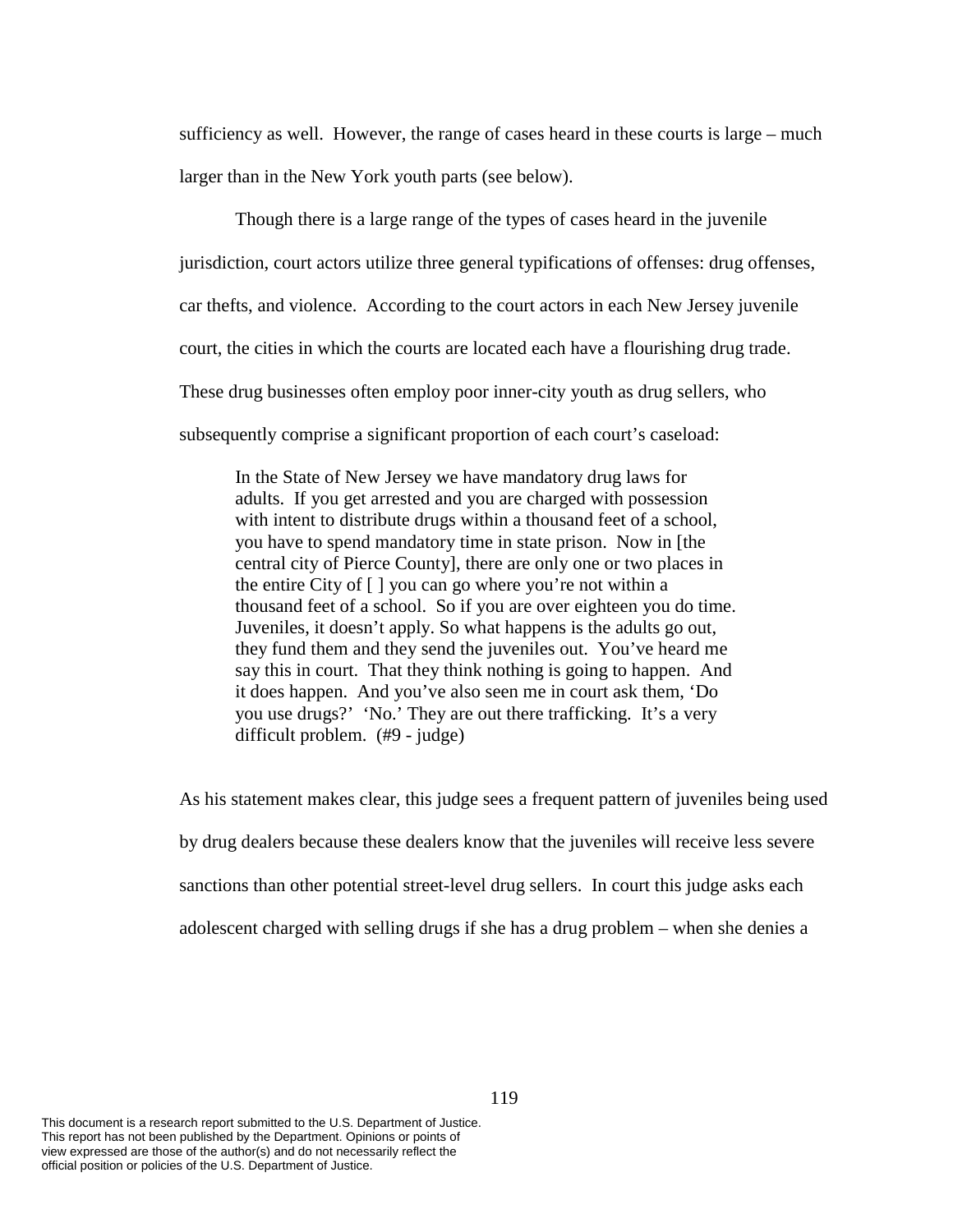sufficiency as well. However, the range of cases heard in these courts is large – much larger than in the New York youth parts (see below).

Though there is a large range of the types of cases heard in the juvenile jurisdiction, court actors utilize three general typifications of offenses: drug offenses, car thefts, and violence. According to the court actors in each New Jersey juvenile court, the cities in which the courts are located each have a flourishing drug trade. These drug businesses often employ poor inner-city youth as drug sellers, who subsequently comprise a significant proportion of each court's caseload:

In the State of New Jersey we have mandatory drug laws for adults. If you get arrested and you are charged with possession with intent to distribute drugs within a thousand feet of a school, you have to spend mandatory time in state prison. Now in [the central city of Pierce County], there are only one or two places in the entire City of [ ] you can go where you're not within a thousand feet of a school. So if you are over eighteen you do time. Juveniles, it doesn't apply. So what happens is the adults go out, they fund them and they send the juveniles out. You've heard me say this in court. That they think nothing is going to happen. And it does happen. And you've also seen me in court ask them, 'Do you use drugs?' 'No.' They are out there trafficking. It's a very difficult problem. (#9 - judge)

As his statement makes clear, this judge sees a frequent pattern of juveniles being used by drug dealers because these dealers know that the juveniles will receive less severe sanctions than other potential street-level drug sellers. In court this judge asks each adolescent charged with selling drugs if she has a drug problem – when she denies a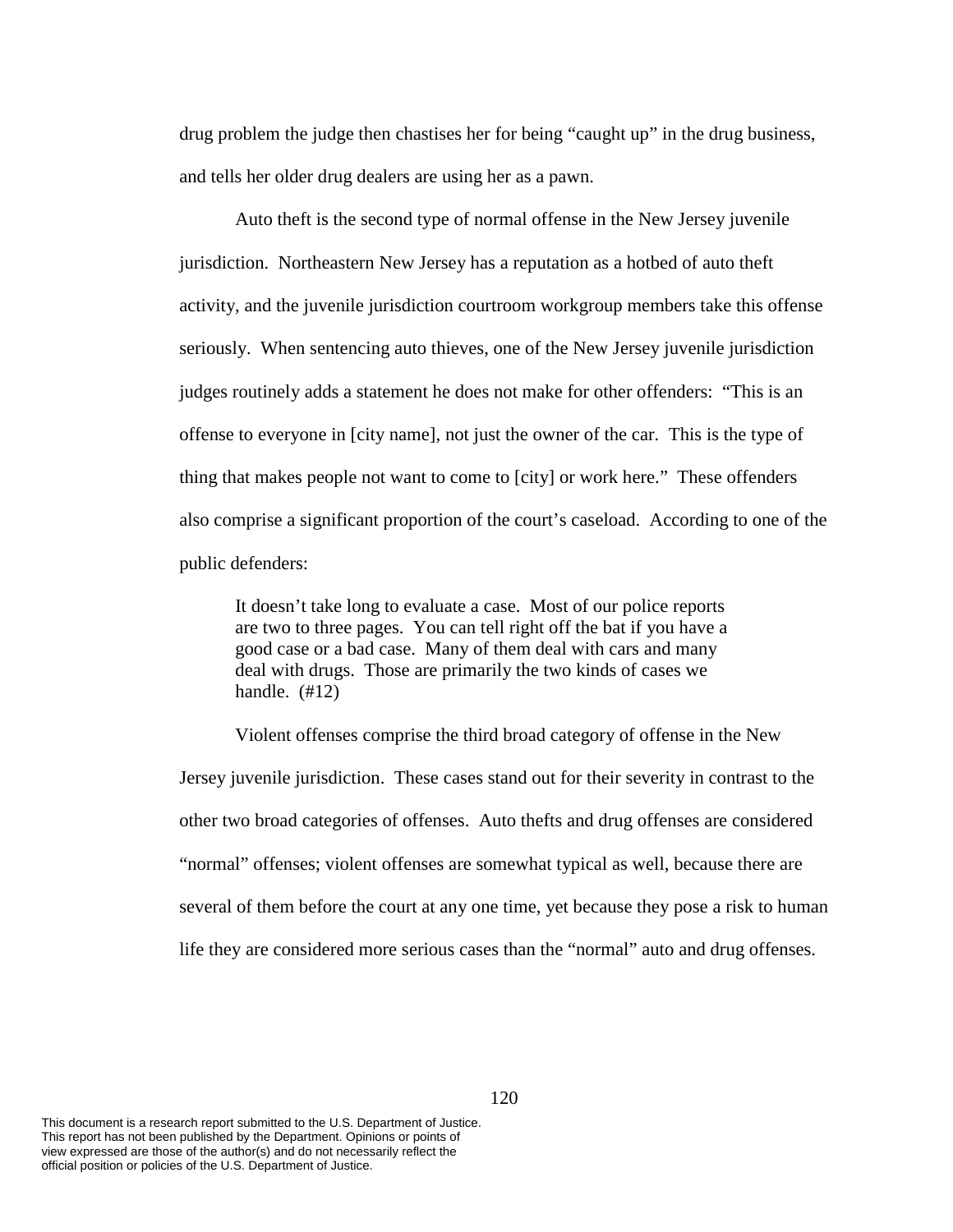drug problem the judge then chastises her for being "caught up" in the drug business, and tells her older drug dealers are using her as a pawn.

Auto theft is the second type of normal offense in the New Jersey juvenile jurisdiction. Northeastern New Jersey has a reputation as a hotbed of auto theft activity, and the juvenile jurisdiction courtroom workgroup members take this offense seriously. When sentencing auto thieves, one of the New Jersey juvenile jurisdiction judges routinely adds a statement he does not make for other offenders: "This is an offense to everyone in [city name], not just the owner of the car. This is the type of thing that makes people not want to come to [city] or work here." These offenders also comprise a significant proportion of the court's caseload. According to one of the public defenders:

It doesn't take long to evaluate a case. Most of our police reports are two to three pages. You can tell right off the bat if you have a good case or a bad case. Many of them deal with cars and many deal with drugs. Those are primarily the two kinds of cases we handle. (#12)

Violent offenses comprise the third broad category of offense in the New Jersey juvenile jurisdiction. These cases stand out for their severity in contrast to the other two broad categories of offenses. Auto thefts and drug offenses are considered "normal" offenses; violent offenses are somewhat typical as well, because there are several of them before the court at any one time, yet because they pose a risk to human life they are considered more serious cases than the "normal" auto and drug offenses.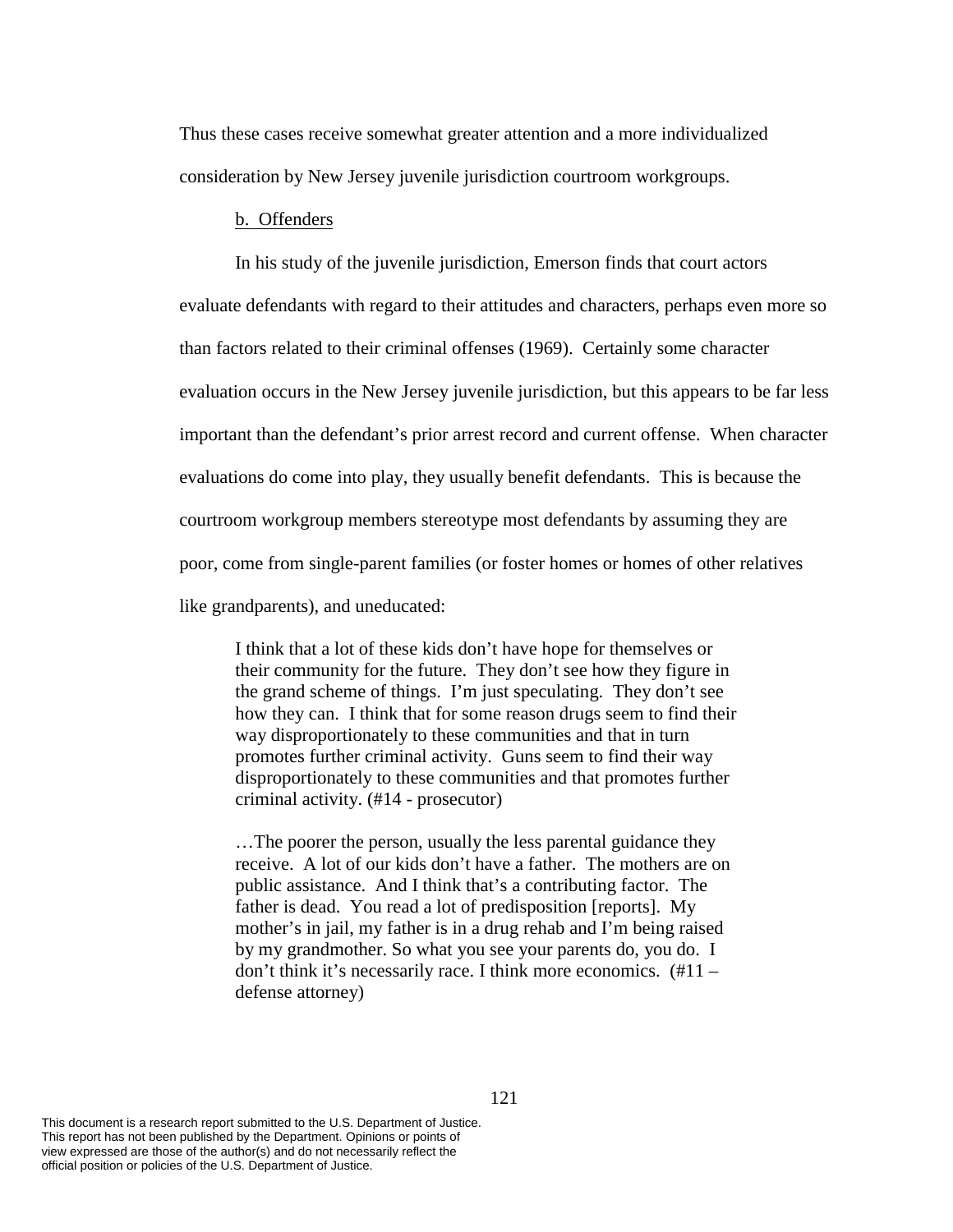Thus these cases receive somewhat greater attention and a more individualized consideration by New Jersey juvenile jurisdiction courtroom workgroups.

# b. Offenders

In his study of the juvenile jurisdiction, Emerson finds that court actors

evaluate defendants with regard to their attitudes and characters, perhaps even more so

than factors related to their criminal offenses (1969). Certainly some character

evaluation occurs in the New Jersey juvenile jurisdiction, but this appears to be far less

important than the defendant's prior arrest record and current offense. When character

evaluations do come into play, they usually benefit defendants. This is because the

courtroom workgroup members stereotype most defendants by assuming they are

poor, come from single-parent families (or foster homes or homes of other relatives

like grandparents), and uneducated:

I think that a lot of these kids don't have hope for themselves or their community for the future. They don't see how they figure in the grand scheme of things. I'm just speculating. They don't see how they can. I think that for some reason drugs seem to find their way disproportionately to these communities and that in turn promotes further criminal activity. Guns seem to find their way disproportionately to these communities and that promotes further criminal activity. (#14 - prosecutor)

…The poorer the person, usually the less parental guidance they receive. A lot of our kids don't have a father. The mothers are on public assistance. And I think that's a contributing factor. The father is dead. You read a lot of predisposition [reports]. My mother's in jail, my father is in a drug rehab and I'm being raised by my grandmother. So what you see your parents do, you do. I don't think it's necessarily race. I think more economics. (#11 – defense attorney)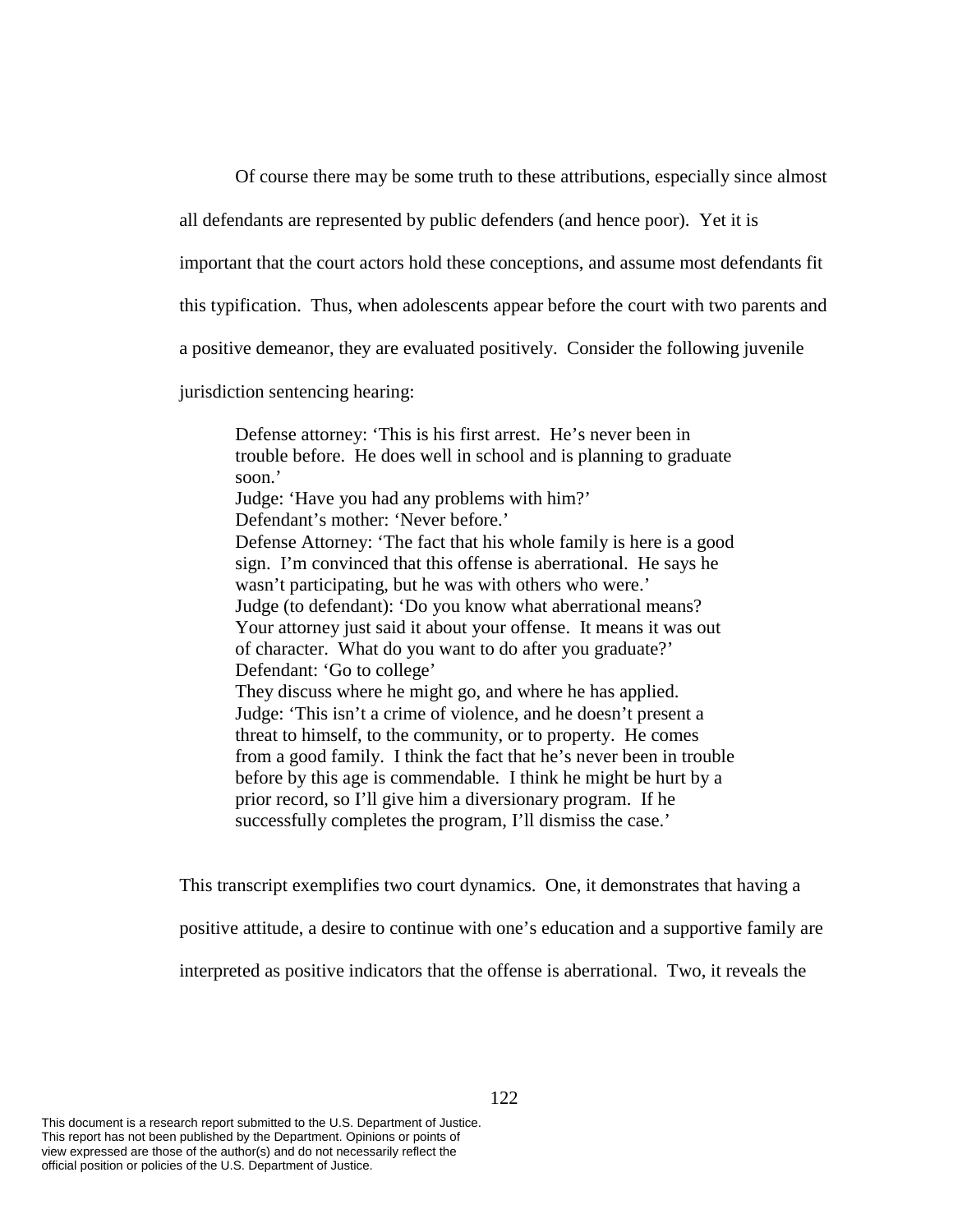Of course there may be some truth to these attributions, especially since almost

all defendants are represented by public defenders (and hence poor). Yet it is

important that the court actors hold these conceptions, and assume most defendants fit

this typification. Thus, when adolescents appear before the court with two parents and

a positive demeanor, they are evaluated positively. Consider the following juvenile

jurisdiction sentencing hearing:

Defense attorney: 'This is his first arrest. He's never been in trouble before. He does well in school and is planning to graduate soon.' Judge: 'Have you had any problems with him?' Defendant's mother: 'Never before.' Defense Attorney: 'The fact that his whole family is here is a good sign. I'm convinced that this offense is aberrational. He says he wasn't participating, but he was with others who were.' Judge (to defendant): 'Do you know what aberrational means? Your attorney just said it about your offense. It means it was out of character. What do you want to do after you graduate?' Defendant: 'Go to college' They discuss where he might go, and where he has applied. Judge: 'This isn't a crime of violence, and he doesn't present a threat to himself, to the community, or to property. He comes from a good family. I think the fact that he's never been in trouble before by this age is commendable. I think he might be hurt by a prior record, so I'll give him a diversionary program. If he successfully completes the program, I'll dismiss the case.'

This transcript exemplifies two court dynamics. One, it demonstrates that having a

positive attitude, a desire to continue with one's education and a supportive family are

interpreted as positive indicators that the offense is aberrational. Two, it reveals the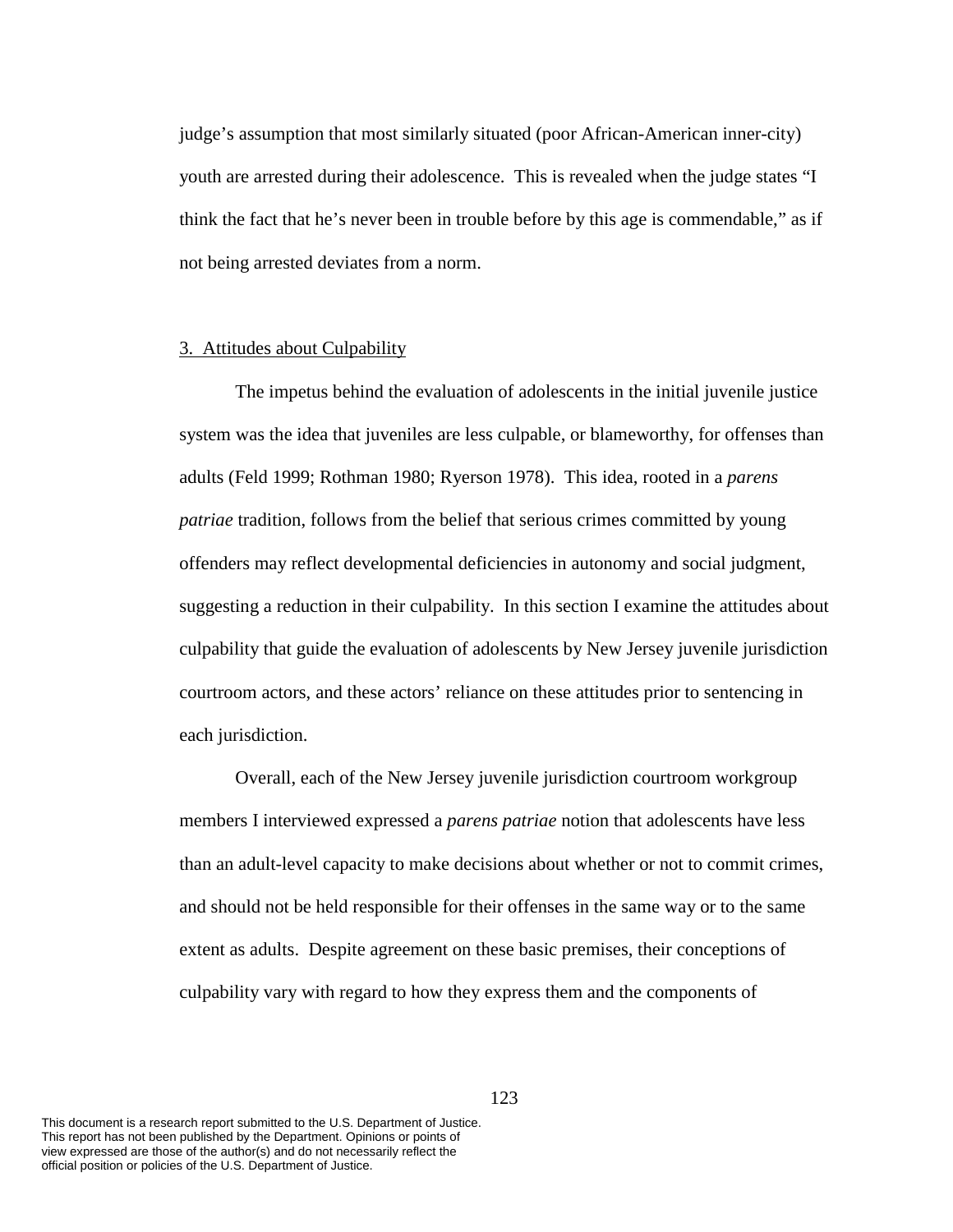judge's assumption that most similarly situated (poor African-American inner-city) youth are arrested during their adolescence. This is revealed when the judge states "I think the fact that he's never been in trouble before by this age is commendable," as if not being arrested deviates from a norm.

#### 3. Attitudes about Culpability

The impetus behind the evaluation of adolescents in the initial juvenile justice system was the idea that juveniles are less culpable, or blameworthy, for offenses than adults (Feld 1999; Rothman 1980; Ryerson 1978). This idea, rooted in a *parens patriae* tradition, follows from the belief that serious crimes committed by young offenders may reflect developmental deficiencies in autonomy and social judgment, suggesting a reduction in their culpability. In this section I examine the attitudes about culpability that guide the evaluation of adolescents by New Jersey juvenile jurisdiction courtroom actors, and these actors' reliance on these attitudes prior to sentencing in each jurisdiction.

Overall, each of the New Jersey juvenile jurisdiction courtroom workgroup members I interviewed expressed a *parens patriae* notion that adolescents have less than an adult-level capacity to make decisions about whether or not to commit crimes, and should not be held responsible for their offenses in the same way or to the same extent as adults. Despite agreement on these basic premises, their conceptions of culpability vary with regard to how they express them and the components of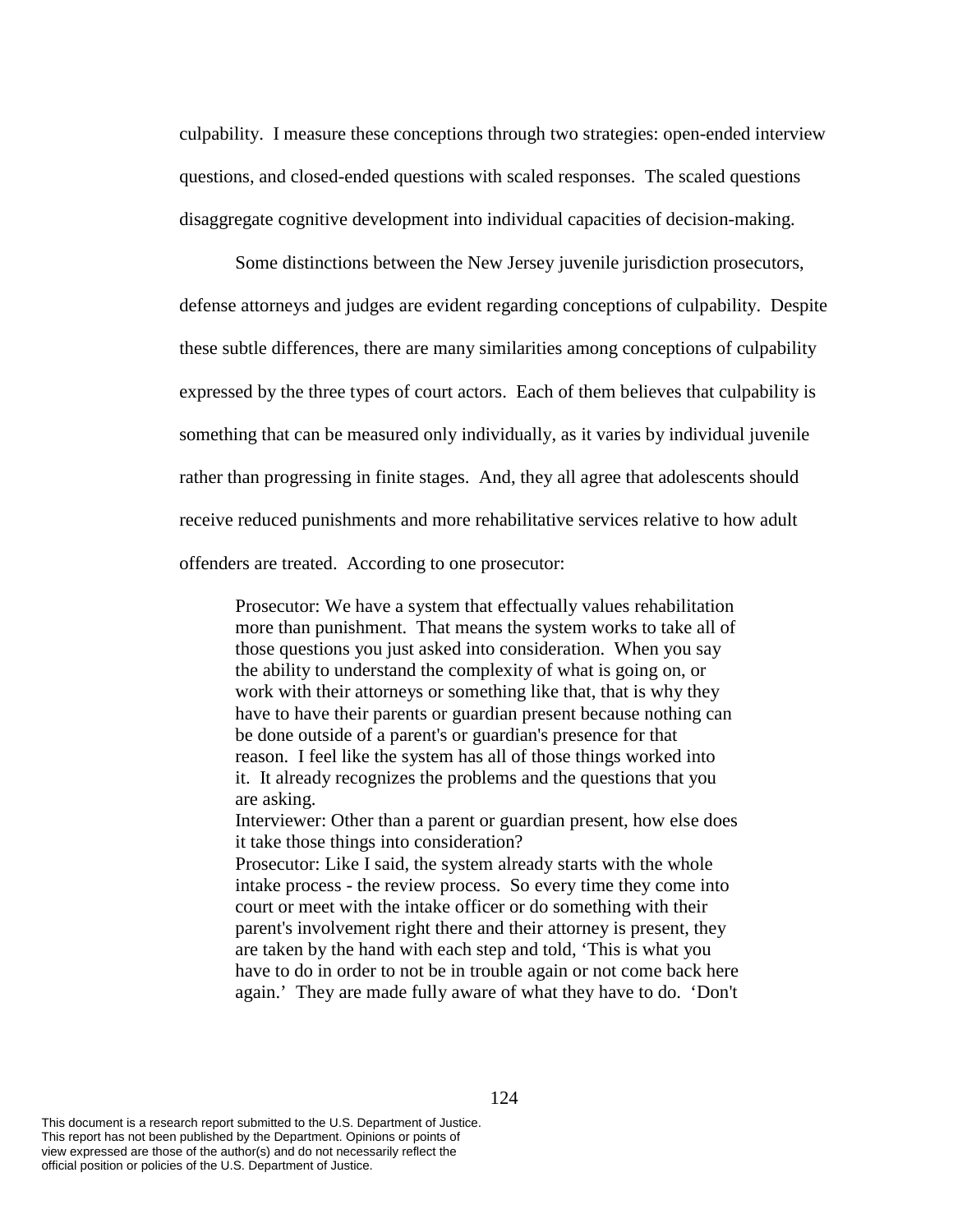culpability. I measure these conceptions through two strategies: open-ended interview questions, and closed-ended questions with scaled responses. The scaled questions disaggregate cognitive development into individual capacities of decision-making.

Some distinctions between the New Jersey juvenile jurisdiction prosecutors, defense attorneys and judges are evident regarding conceptions of culpability. Despite these subtle differences, there are many similarities among conceptions of culpability expressed by the three types of court actors. Each of them believes that culpability is something that can be measured only individually, as it varies by individual juvenile rather than progressing in finite stages. And, they all agree that adolescents should receive reduced punishments and more rehabilitative services relative to how adult offenders are treated. According to one prosecutor:

Prosecutor: We have a system that effectually values rehabilitation more than punishment. That means the system works to take all of those questions you just asked into consideration. When you say the ability to understand the complexity of what is going on, or work with their attorneys or something like that, that is why they have to have their parents or guardian present because nothing can be done outside of a parent's or guardian's presence for that reason. I feel like the system has all of those things worked into it. It already recognizes the problems and the questions that you are asking.

Interviewer: Other than a parent or guardian present, how else does it take those things into consideration?

Prosecutor: Like I said, the system already starts with the whole intake process - the review process. So every time they come into court or meet with the intake officer or do something with their parent's involvement right there and their attorney is present, they are taken by the hand with each step and told, 'This is what you have to do in order to not be in trouble again or not come back here again.' They are made fully aware of what they have to do. 'Don't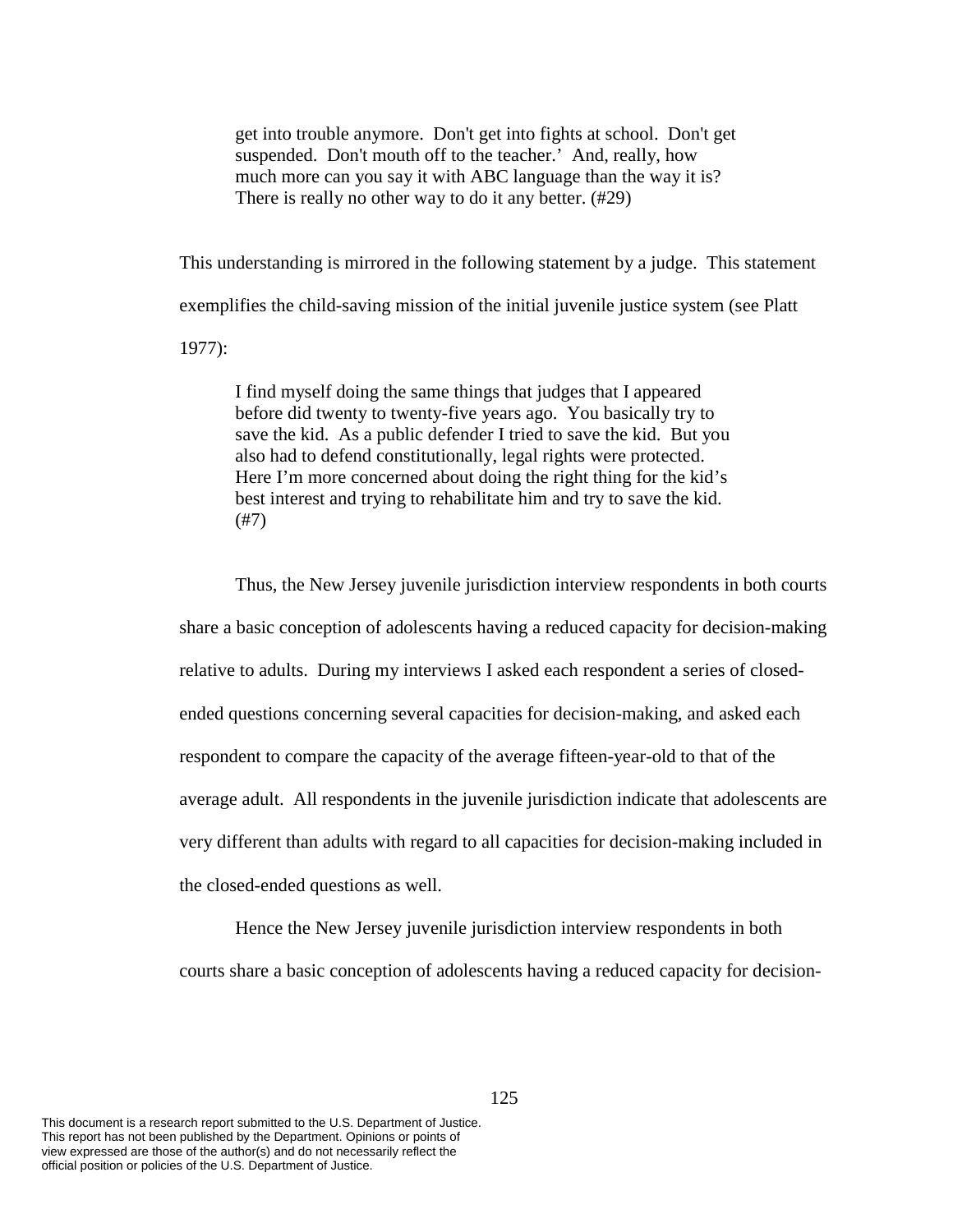get into trouble anymore. Don't get into fights at school. Don't get suspended. Don't mouth off to the teacher.' And, really, how much more can you say it with ABC language than the way it is? There is really no other way to do it any better. (#29)

This understanding is mirrored in the following statement by a judge. This statement exemplifies the child-saving mission of the initial juvenile justice system (see Platt

1977):

I find myself doing the same things that judges that I appeared before did twenty to twenty-five years ago. You basically try to save the kid. As a public defender I tried to save the kid. But you also had to defend constitutionally, legal rights were protected. Here I'm more concerned about doing the right thing for the kid's best interest and trying to rehabilitate him and try to save the kid. (#7)

Thus, the New Jersey juvenile jurisdiction interview respondents in both courts share a basic conception of adolescents having a reduced capacity for decision-making relative to adults. During my interviews I asked each respondent a series of closedended questions concerning several capacities for decision-making, and asked each respondent to compare the capacity of the average fifteen-year-old to that of the average adult. All respondents in the juvenile jurisdiction indicate that adolescents are very different than adults with regard to all capacities for decision-making included in the closed-ended questions as well.

Hence the New Jersey juvenile jurisdiction interview respondents in both courts share a basic conception of adolescents having a reduced capacity for decision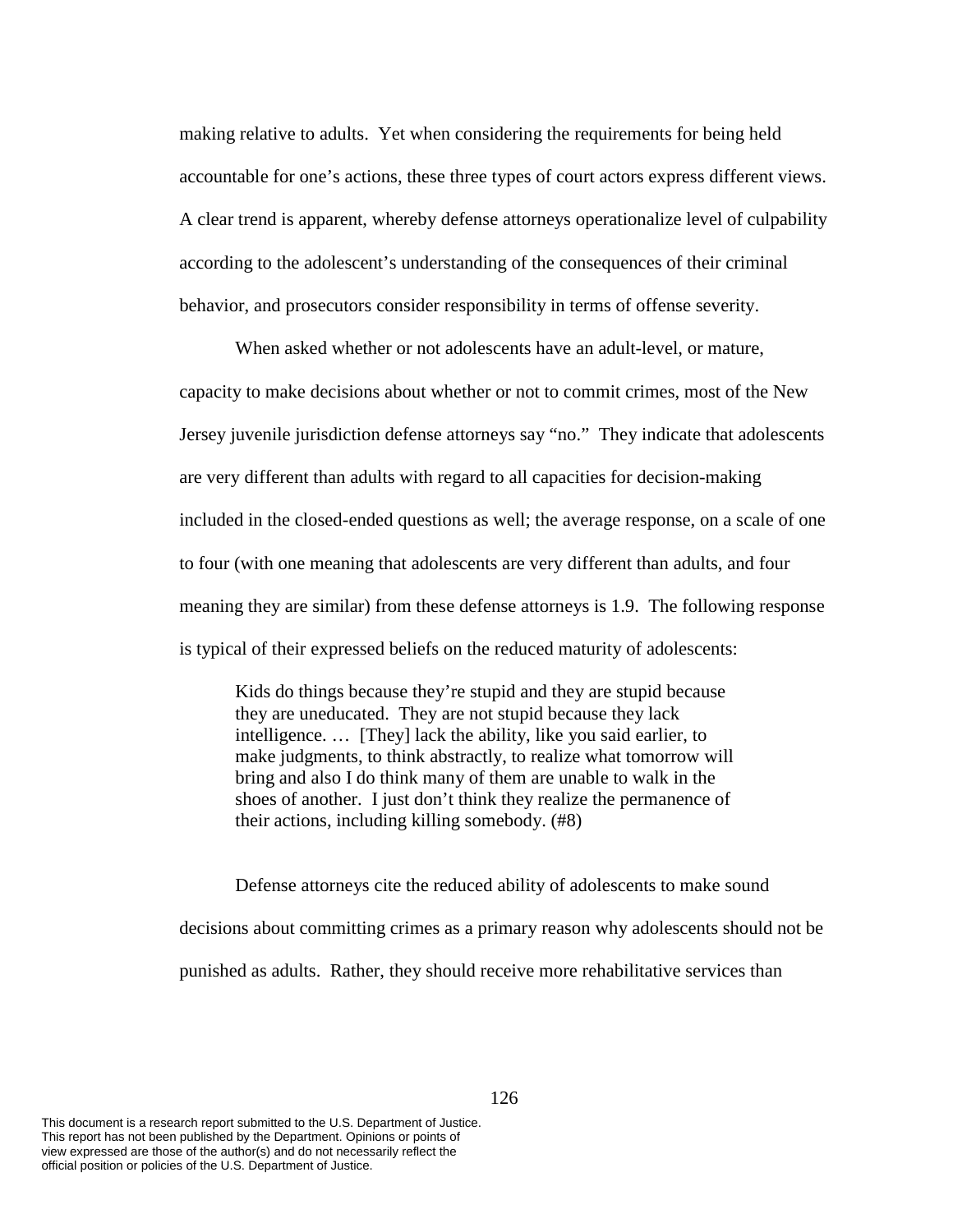making relative to adults. Yet when considering the requirements for being held accountable for one's actions, these three types of court actors express different views. A clear trend is apparent, whereby defense attorneys operationalize level of culpability according to the adolescent's understanding of the consequences of their criminal behavior, and prosecutors consider responsibility in terms of offense severity.

When asked whether or not adolescents have an adult-level, or mature, capacity to make decisions about whether or not to commit crimes, most of the New Jersey juvenile jurisdiction defense attorneys say "no." They indicate that adolescents are very different than adults with regard to all capacities for decision-making included in the closed-ended questions as well; the average response, on a scale of one to four (with one meaning that adolescents are very different than adults, and four meaning they are similar) from these defense attorneys is 1.9. The following response is typical of their expressed beliefs on the reduced maturity of adolescents:

Kids do things because they're stupid and they are stupid because they are uneducated. They are not stupid because they lack intelligence. … [They] lack the ability, like you said earlier, to make judgments, to think abstractly, to realize what tomorrow will bring and also I do think many of them are unable to walk in the shoes of another. I just don't think they realize the permanence of their actions, including killing somebody. (#8)

Defense attorneys cite the reduced ability of adolescents to make sound decisions about committing crimes as a primary reason why adolescents should not be punished as adults. Rather, they should receive more rehabilitative services than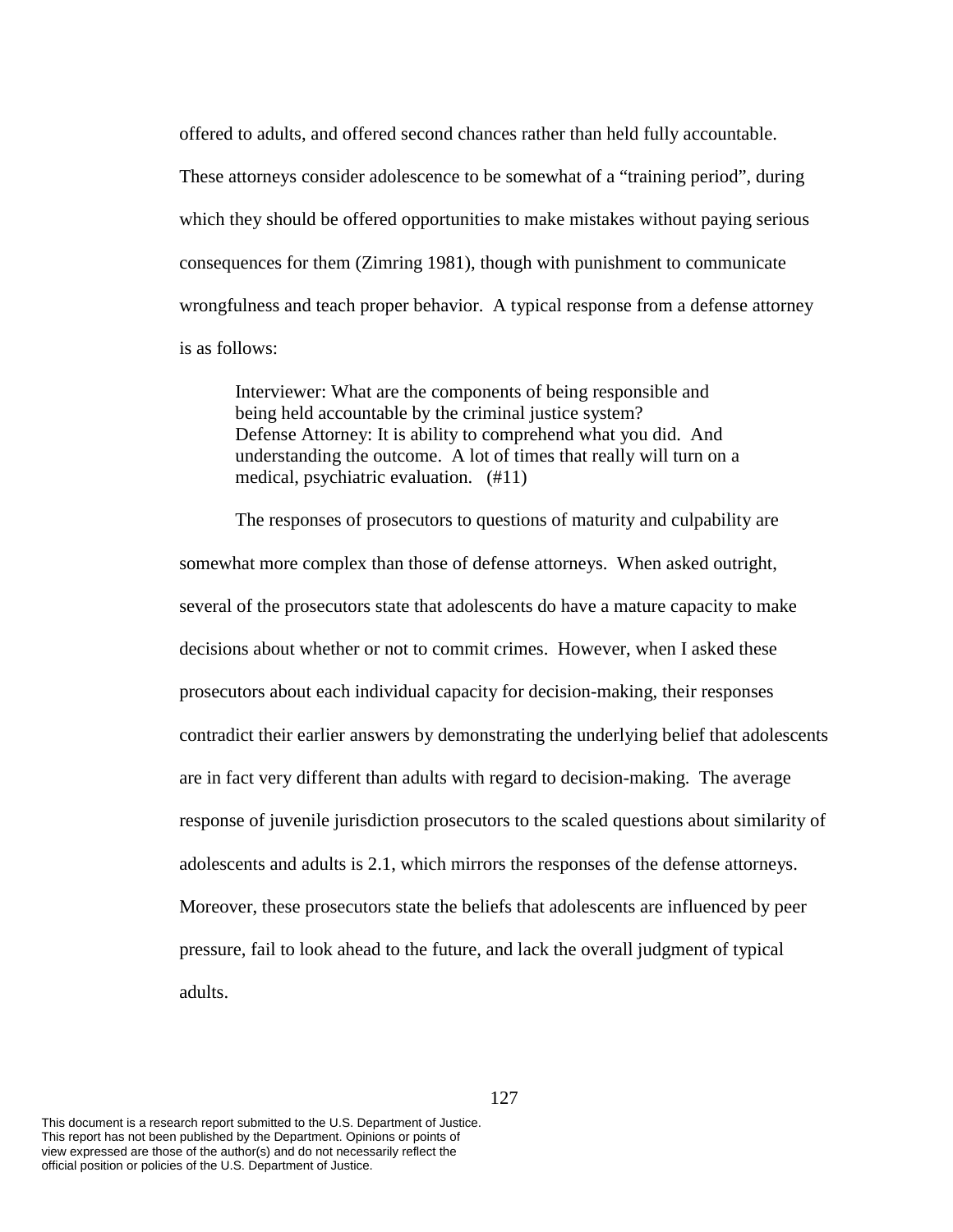offered to adults, and offered second chances rather than held fully accountable. These attorneys consider adolescence to be somewhat of a "training period", during which they should be offered opportunities to make mistakes without paying serious consequences for them (Zimring 1981), though with punishment to communicate wrongfulness and teach proper behavior. A typical response from a defense attorney is as follows:

Interviewer: What are the components of being responsible and being held accountable by the criminal justice system? Defense Attorney: It is ability to comprehend what you did. And understanding the outcome. A lot of times that really will turn on a medical, psychiatric evaluation. (#11)

The responses of prosecutors to questions of maturity and culpability are somewhat more complex than those of defense attorneys. When asked outright, several of the prosecutors state that adolescents do have a mature capacity to make decisions about whether or not to commit crimes. However, when I asked these prosecutors about each individual capacity for decision-making, their responses contradict their earlier answers by demonstrating the underlying belief that adolescents are in fact very different than adults with regard to decision-making. The average response of juvenile jurisdiction prosecutors to the scaled questions about similarity of adolescents and adults is 2.1, which mirrors the responses of the defense attorneys. Moreover, these prosecutors state the beliefs that adolescents are influenced by peer pressure, fail to look ahead to the future, and lack the overall judgment of typical adults.

This document is a research report submitted to the U.S. Department of Justice. This report has not been published by the Department. Opinions or points of view expressed are those of the author(s) and do not necessarily reflect the official position or policies of the U.S. Department of Justice.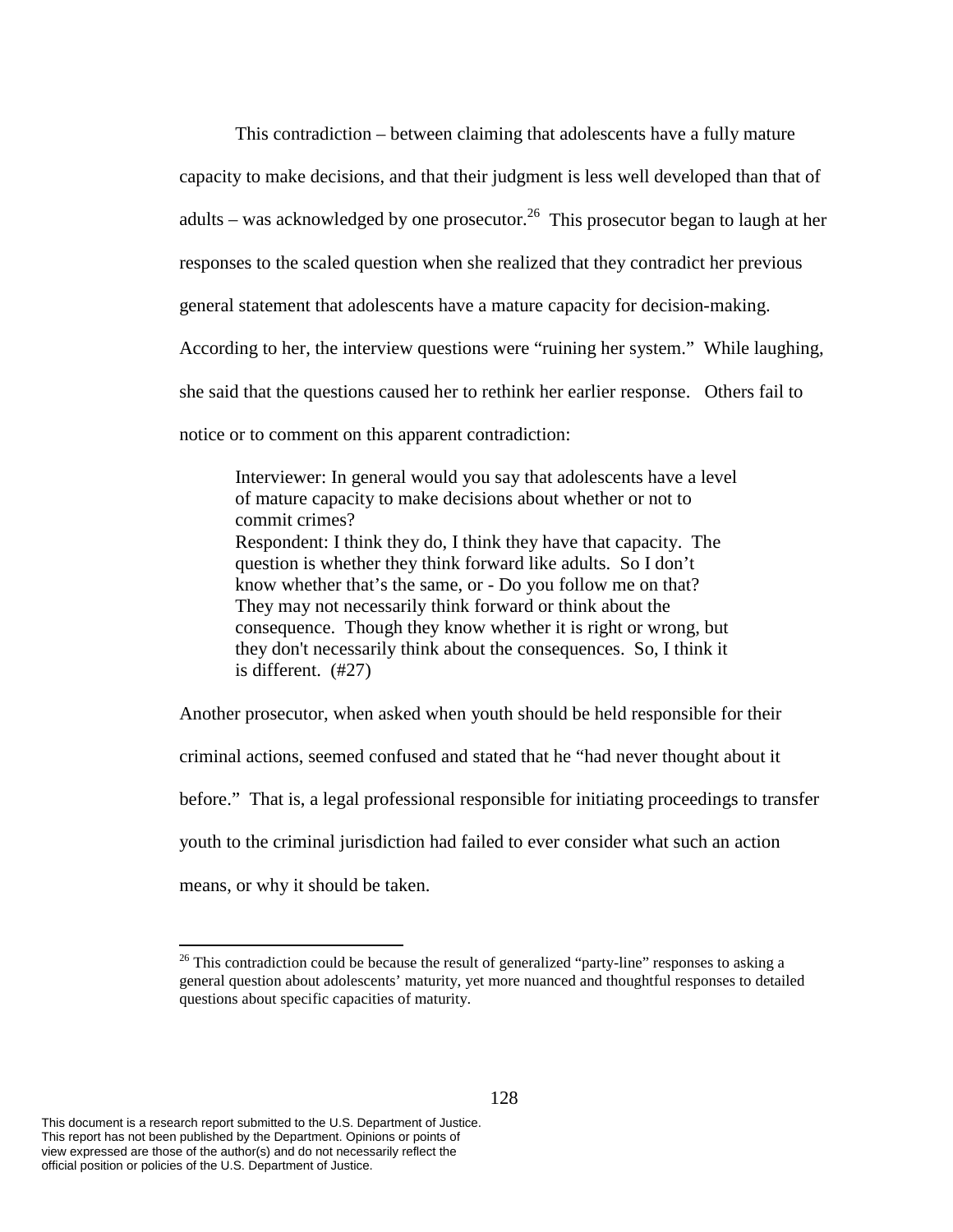This contradiction – between claiming that adolescents have a fully mature capacity to make decisions, and that their judgment is less well developed than that of adults – was acknowledged by one prosecutor.<sup>26</sup> This prosecutor began to laugh at her responses to the scaled question when she realized that they contradict her previous general statement that adolescents have a mature capacity for decision-making. According to her, the interview questions were "ruining her system." While laughing, she said that the questions caused her to rethink her earlier response. Others fail to notice or to comment on this apparent contradiction:

Interviewer: In general would you say that adolescents have a level of mature capacity to make decisions about whether or not to commit crimes? Respondent: I think they do, I think they have that capacity. The question is whether they think forward like adults. So I don't know whether that's the same, or - Do you follow me on that? They may not necessarily think forward or think about the consequence. Though they know whether it is right or wrong, but they don't necessarily think about the consequences. So, I think it is different. (#27)

Another prosecutor, when asked when youth should be held responsible for their criminal actions, seemed confused and stated that he "had never thought about it before." That is, a legal professional responsible for initiating proceedings to transfer youth to the criminal jurisdiction had failed to ever consider what such an action means, or why it should be taken.

This document is a research report submitted to the U.S. Department of Justice. This report has not been published by the Department. Opinions or points of view expressed are those of the author(s) and do not necessarily reflect the official position or policies of the U.S. Department of Justice.

 $\overline{a}$ 

 $26$  This contradiction could be because the result of generalized "party-line" responses to asking a general question about adolescents' maturity, yet more nuanced and thoughtful responses to detailed questions about specific capacities of maturity.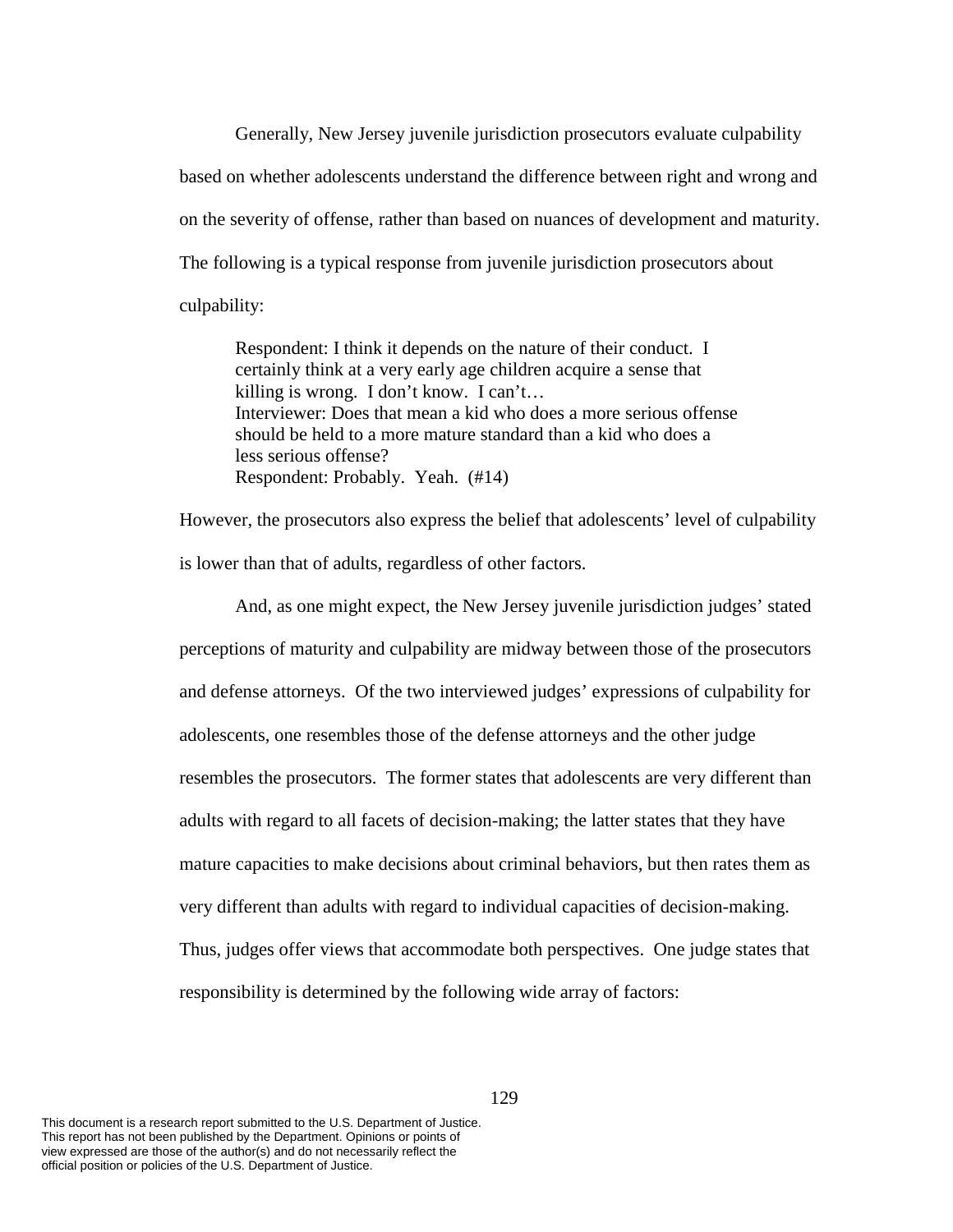Generally, New Jersey juvenile jurisdiction prosecutors evaluate culpability based on whether adolescents understand the difference between right and wrong and on the severity of offense, rather than based on nuances of development and maturity. The following is a typical response from juvenile jurisdiction prosecutors about culpability:

Respondent: I think it depends on the nature of their conduct. I certainly think at a very early age children acquire a sense that killing is wrong. I don't know. I can't… Interviewer: Does that mean a kid who does a more serious offense should be held to a more mature standard than a kid who does a less serious offense? Respondent: Probably. Yeah. (#14)

However, the prosecutors also express the belief that adolescents' level of culpability is lower than that of adults, regardless of other factors.

And, as one might expect, the New Jersey juvenile jurisdiction judges' stated perceptions of maturity and culpability are midway between those of the prosecutors and defense attorneys. Of the two interviewed judges' expressions of culpability for adolescents, one resembles those of the defense attorneys and the other judge resembles the prosecutors. The former states that adolescents are very different than adults with regard to all facets of decision-making; the latter states that they have mature capacities to make decisions about criminal behaviors, but then rates them as very different than adults with regard to individual capacities of decision-making. Thus, judges offer views that accommodate both perspectives. One judge states that responsibility is determined by the following wide array of factors: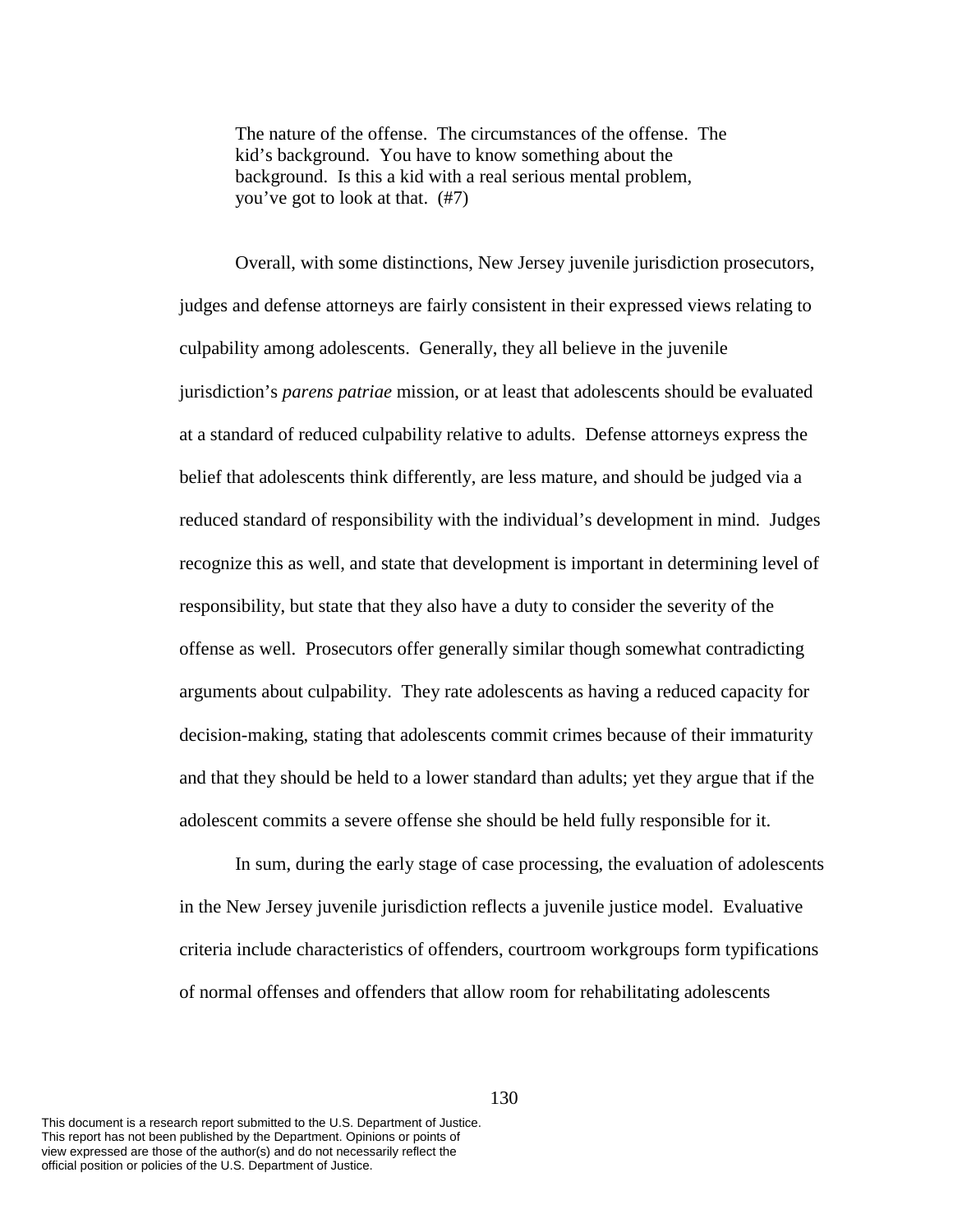The nature of the offense. The circumstances of the offense. The kid's background. You have to know something about the background. Is this a kid with a real serious mental problem, you've got to look at that. (#7)

Overall, with some distinctions, New Jersey juvenile jurisdiction prosecutors, judges and defense attorneys are fairly consistent in their expressed views relating to culpability among adolescents. Generally, they all believe in the juvenile jurisdiction's *parens patriae* mission, or at least that adolescents should be evaluated at a standard of reduced culpability relative to adults. Defense attorneys express the belief that adolescents think differently, are less mature, and should be judged via a reduced standard of responsibility with the individual's development in mind. Judges recognize this as well, and state that development is important in determining level of responsibility, but state that they also have a duty to consider the severity of the offense as well. Prosecutors offer generally similar though somewhat contradicting arguments about culpability. They rate adolescents as having a reduced capacity for decision-making, stating that adolescents commit crimes because of their immaturity and that they should be held to a lower standard than adults; yet they argue that if the adolescent commits a severe offense she should be held fully responsible for it.

In sum, during the early stage of case processing, the evaluation of adolescents in the New Jersey juvenile jurisdiction reflects a juvenile justice model. Evaluative criteria include characteristics of offenders, courtroom workgroups form typifications of normal offenses and offenders that allow room for rehabilitating adolescents

130

This document is a research report submitted to the U.S. Department of Justice. This report has not been published by the Department. Opinions or points of view expressed are those of the author(s) and do not necessarily reflect the official position or policies of the U.S. Department of Justice.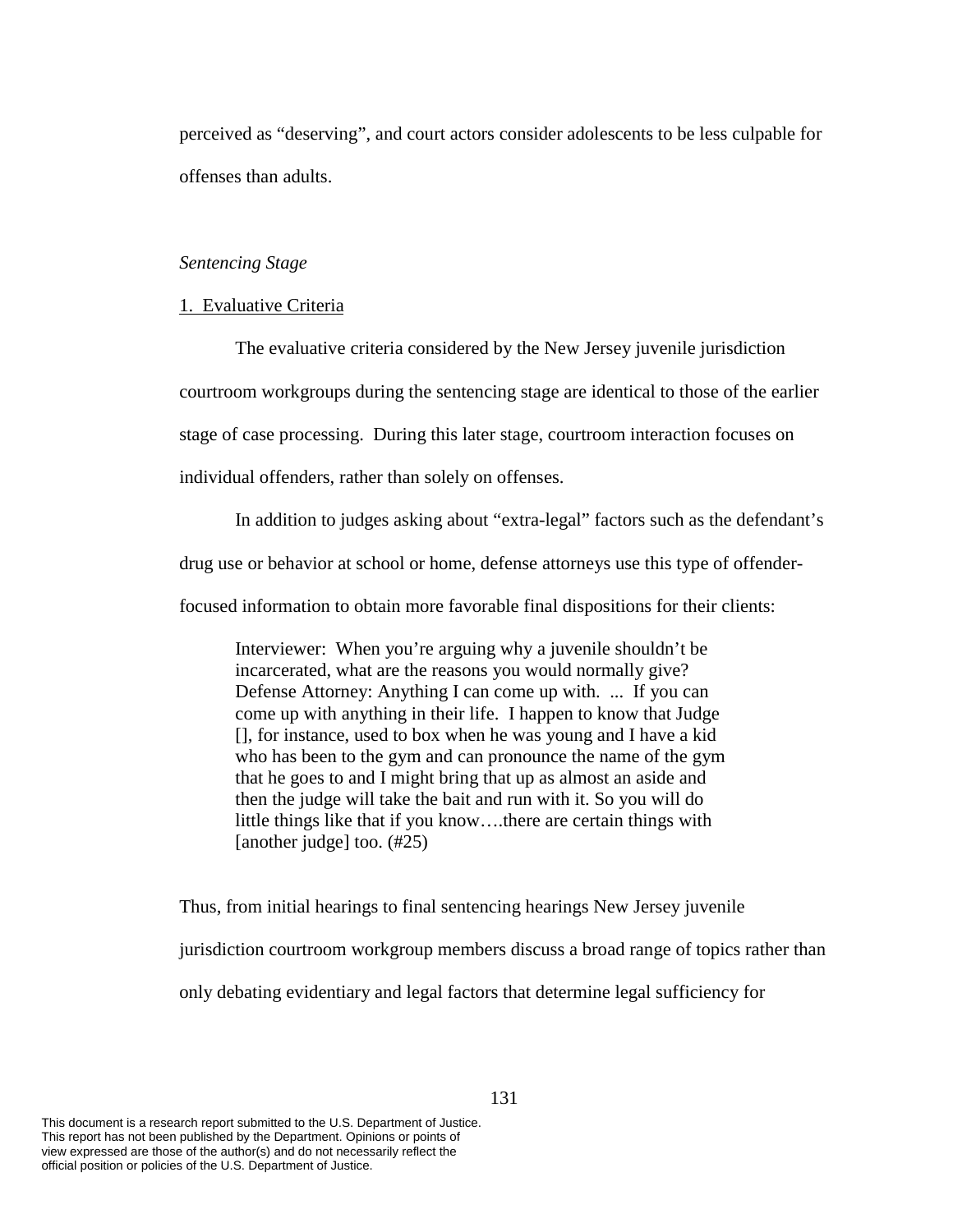perceived as "deserving", and court actors consider adolescents to be less culpable for offenses than adults.

#### *Sentencing Stage*

#### 1. Evaluative Criteria

The evaluative criteria considered by the New Jersey juvenile jurisdiction courtroom workgroups during the sentencing stage are identical to those of the earlier stage of case processing. During this later stage, courtroom interaction focuses on individual offenders, rather than solely on offenses.

In addition to judges asking about "extra-legal" factors such as the defendant's

drug use or behavior at school or home, defense attorneys use this type of offender-

focused information to obtain more favorable final dispositions for their clients:

Interviewer: When you're arguing why a juvenile shouldn't be incarcerated, what are the reasons you would normally give? Defense Attorney: Anything I can come up with. ... If you can come up with anything in their life. I happen to know that Judge [], for instance, used to box when he was young and I have a kid who has been to the gym and can pronounce the name of the gym that he goes to and I might bring that up as almost an aside and then the judge will take the bait and run with it. So you will do little things like that if you know….there are certain things with [another judge] too. (#25)

Thus, from initial hearings to final sentencing hearings New Jersey juvenile jurisdiction courtroom workgroup members discuss a broad range of topics rather than only debating evidentiary and legal factors that determine legal sufficiency for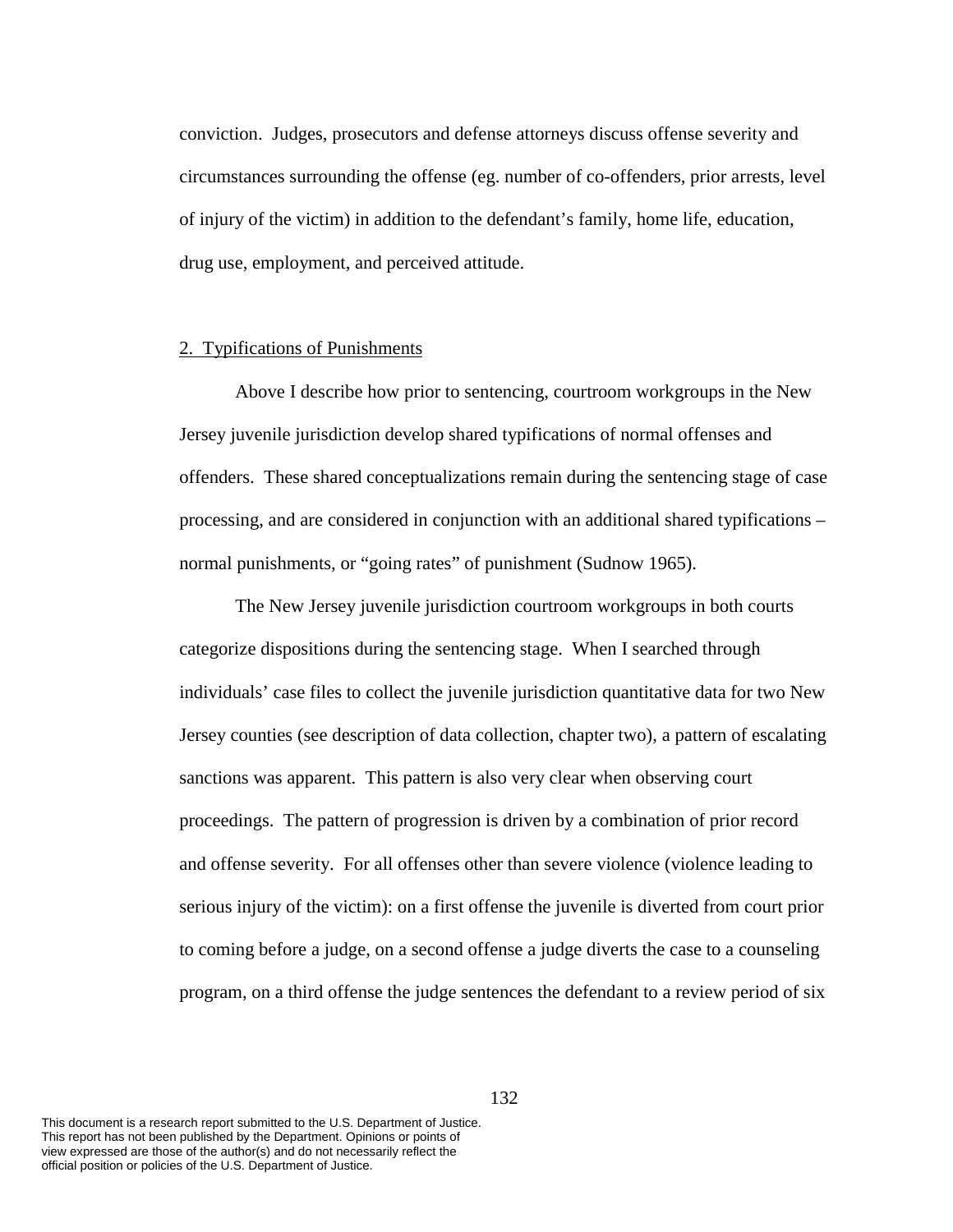conviction. Judges, prosecutors and defense attorneys discuss offense severity and circumstances surrounding the offense (eg. number of co-offenders, prior arrests, level of injury of the victim) in addition to the defendant's family, home life, education, drug use, employment, and perceived attitude.

#### 2. Typifications of Punishments

Above I describe how prior to sentencing, courtroom workgroups in the New Jersey juvenile jurisdiction develop shared typifications of normal offenses and offenders. These shared conceptualizations remain during the sentencing stage of case processing, and are considered in conjunction with an additional shared typifications – normal punishments, or "going rates" of punishment (Sudnow 1965).

The New Jersey juvenile jurisdiction courtroom workgroups in both courts categorize dispositions during the sentencing stage. When I searched through individuals' case files to collect the juvenile jurisdiction quantitative data for two New Jersey counties (see description of data collection, chapter two), a pattern of escalating sanctions was apparent. This pattern is also very clear when observing court proceedings. The pattern of progression is driven by a combination of prior record and offense severity. For all offenses other than severe violence (violence leading to serious injury of the victim): on a first offense the juvenile is diverted from court prior to coming before a judge, on a second offense a judge diverts the case to a counseling program, on a third offense the judge sentences the defendant to a review period of six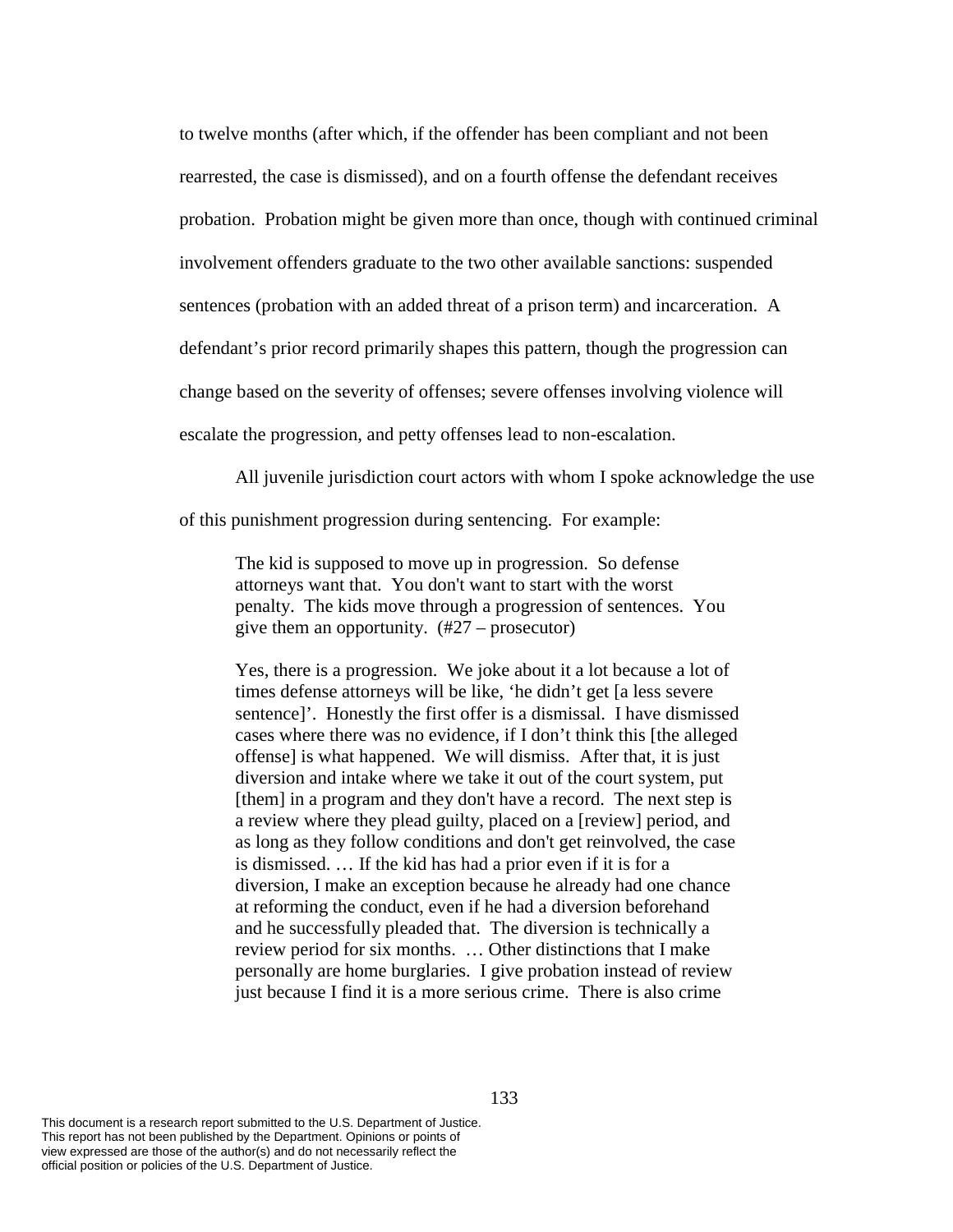to twelve months (after which, if the offender has been compliant and not been rearrested, the case is dismissed), and on a fourth offense the defendant receives probation. Probation might be given more than once, though with continued criminal involvement offenders graduate to the two other available sanctions: suspended sentences (probation with an added threat of a prison term) and incarceration. A defendant's prior record primarily shapes this pattern, though the progression can change based on the severity of offenses; severe offenses involving violence will escalate the progression, and petty offenses lead to non-escalation.

All juvenile jurisdiction court actors with whom I spoke acknowledge the use

of this punishment progression during sentencing. For example:

The kid is supposed to move up in progression. So defense attorneys want that. You don't want to start with the worst penalty. The kids move through a progression of sentences. You give them an opportunity.  $(\text{\#}27 - \text{prosecutor})$ 

Yes, there is a progression. We joke about it a lot because a lot of times defense attorneys will be like, 'he didn't get [a less severe sentence]'. Honestly the first offer is a dismissal. I have dismissed cases where there was no evidence, if I don't think this [the alleged offense] is what happened. We will dismiss. After that, it is just diversion and intake where we take it out of the court system, put [them] in a program and they don't have a record. The next step is a review where they plead guilty, placed on a [review] period, and as long as they follow conditions and don't get reinvolved, the case is dismissed. … If the kid has had a prior even if it is for a diversion, I make an exception because he already had one chance at reforming the conduct, even if he had a diversion beforehand and he successfully pleaded that. The diversion is technically a review period for six months. … Other distinctions that I make personally are home burglaries. I give probation instead of review just because I find it is a more serious crime. There is also crime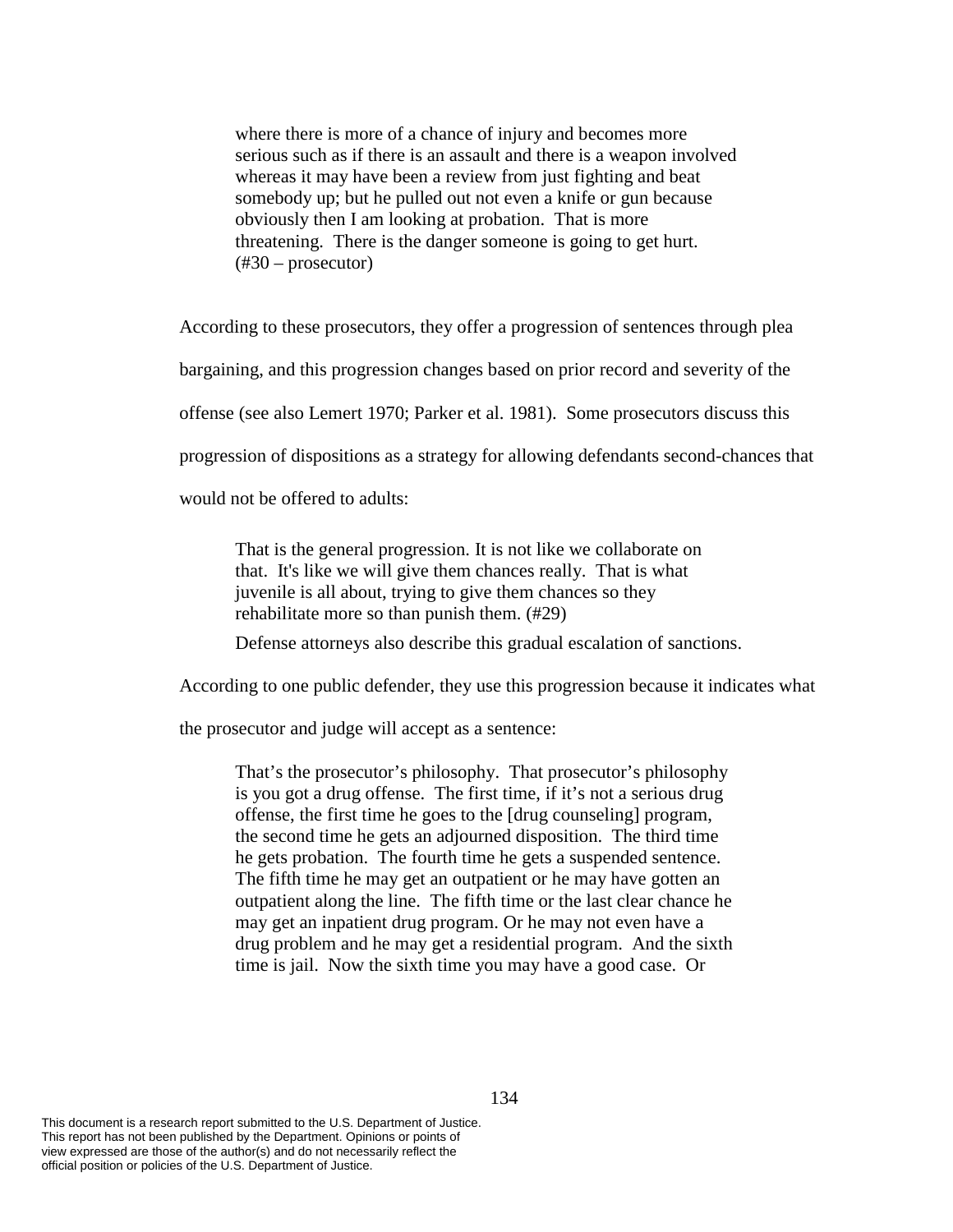where there is more of a chance of injury and becomes more serious such as if there is an assault and there is a weapon involved whereas it may have been a review from just fighting and beat somebody up; but he pulled out not even a knife or gun because obviously then I am looking at probation. That is more threatening. There is the danger someone is going to get hurt.  $(\text{\#30}-\text{prosecutor})$ 

According to these prosecutors, they offer a progression of sentences through plea

bargaining, and this progression changes based on prior record and severity of the

offense (see also Lemert 1970; Parker et al. 1981). Some prosecutors discuss this

progression of dispositions as a strategy for allowing defendants second-chances that

would not be offered to adults:

That is the general progression. It is not like we collaborate on that. It's like we will give them chances really. That is what juvenile is all about, trying to give them chances so they rehabilitate more so than punish them. (#29)

Defense attorneys also describe this gradual escalation of sanctions.

According to one public defender, they use this progression because it indicates what

the prosecutor and judge will accept as a sentence:

That's the prosecutor's philosophy. That prosecutor's philosophy is you got a drug offense. The first time, if it's not a serious drug offense, the first time he goes to the [drug counseling] program, the second time he gets an adjourned disposition. The third time he gets probation. The fourth time he gets a suspended sentence. The fifth time he may get an outpatient or he may have gotten an outpatient along the line. The fifth time or the last clear chance he may get an inpatient drug program. Or he may not even have a drug problem and he may get a residential program. And the sixth time is jail. Now the sixth time you may have a good case. Or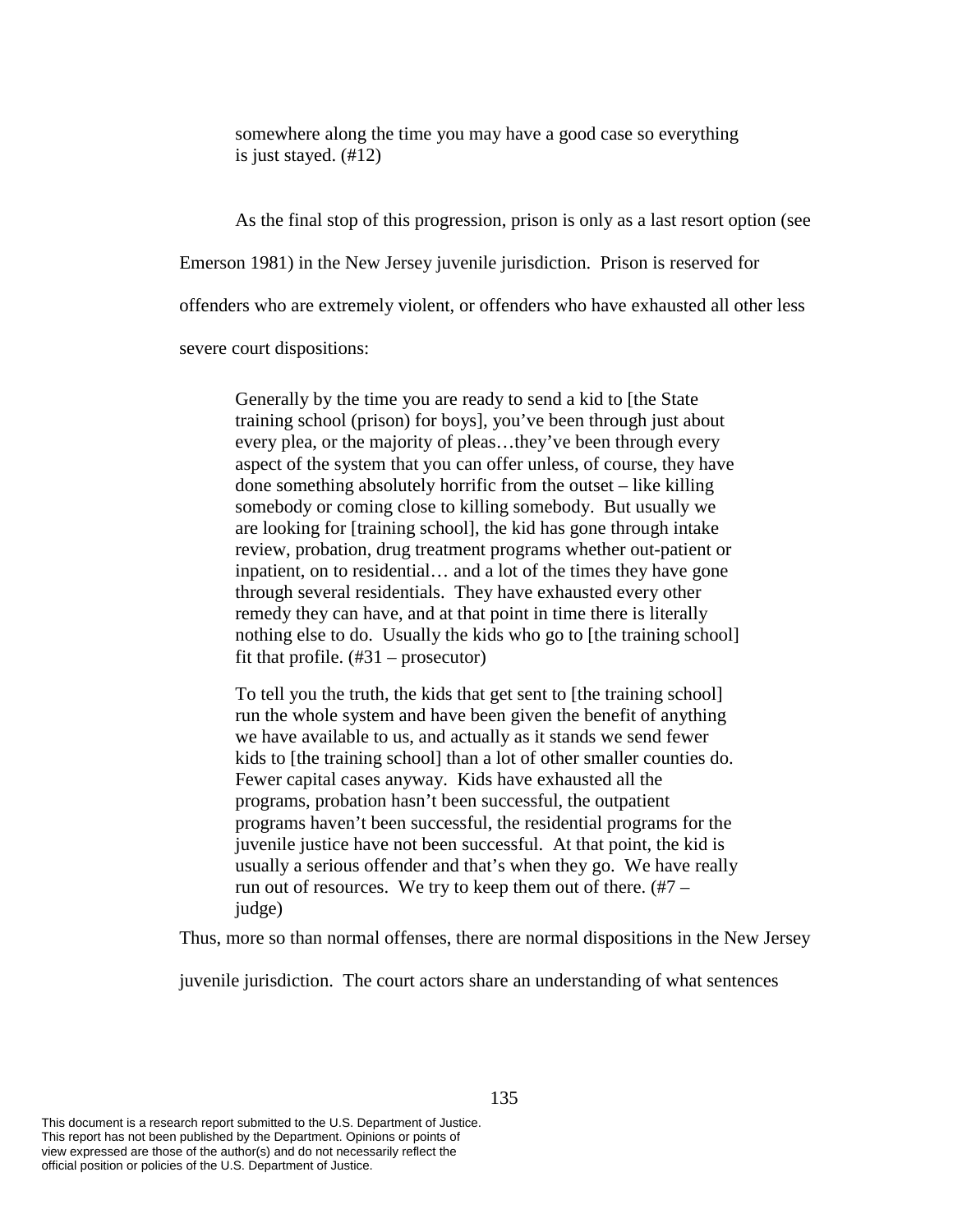somewhere along the time you may have a good case so everything is just stayed. (#12)

As the final stop of this progression, prison is only as a last resort option (see Emerson 1981) in the New Jersey juvenile jurisdiction. Prison is reserved for offenders who are extremely violent, or offenders who have exhausted all other less severe court dispositions:

Generally by the time you are ready to send a kid to [the State training school (prison) for boys], you've been through just about every plea, or the majority of pleas…they've been through every aspect of the system that you can offer unless, of course, they have done something absolutely horrific from the outset – like killing somebody or coming close to killing somebody. But usually we are looking for [training school], the kid has gone through intake review, probation, drug treatment programs whether out-patient or inpatient, on to residential… and a lot of the times they have gone through several residentials. They have exhausted every other remedy they can have, and at that point in time there is literally nothing else to do. Usually the kids who go to [the training school] fit that profile.  $(\#31 -$  prosecutor)

To tell you the truth, the kids that get sent to [the training school] run the whole system and have been given the benefit of anything we have available to us, and actually as it stands we send fewer kids to [the training school] than a lot of other smaller counties do. Fewer capital cases anyway. Kids have exhausted all the programs, probation hasn't been successful, the outpatient programs haven't been successful, the residential programs for the juvenile justice have not been successful. At that point, the kid is usually a serious offender and that's when they go. We have really run out of resources. We try to keep them out of there. (#7 – judge)

Thus, more so than normal offenses, there are normal dispositions in the New Jersey

juvenile jurisdiction. The court actors share an understanding of what sentences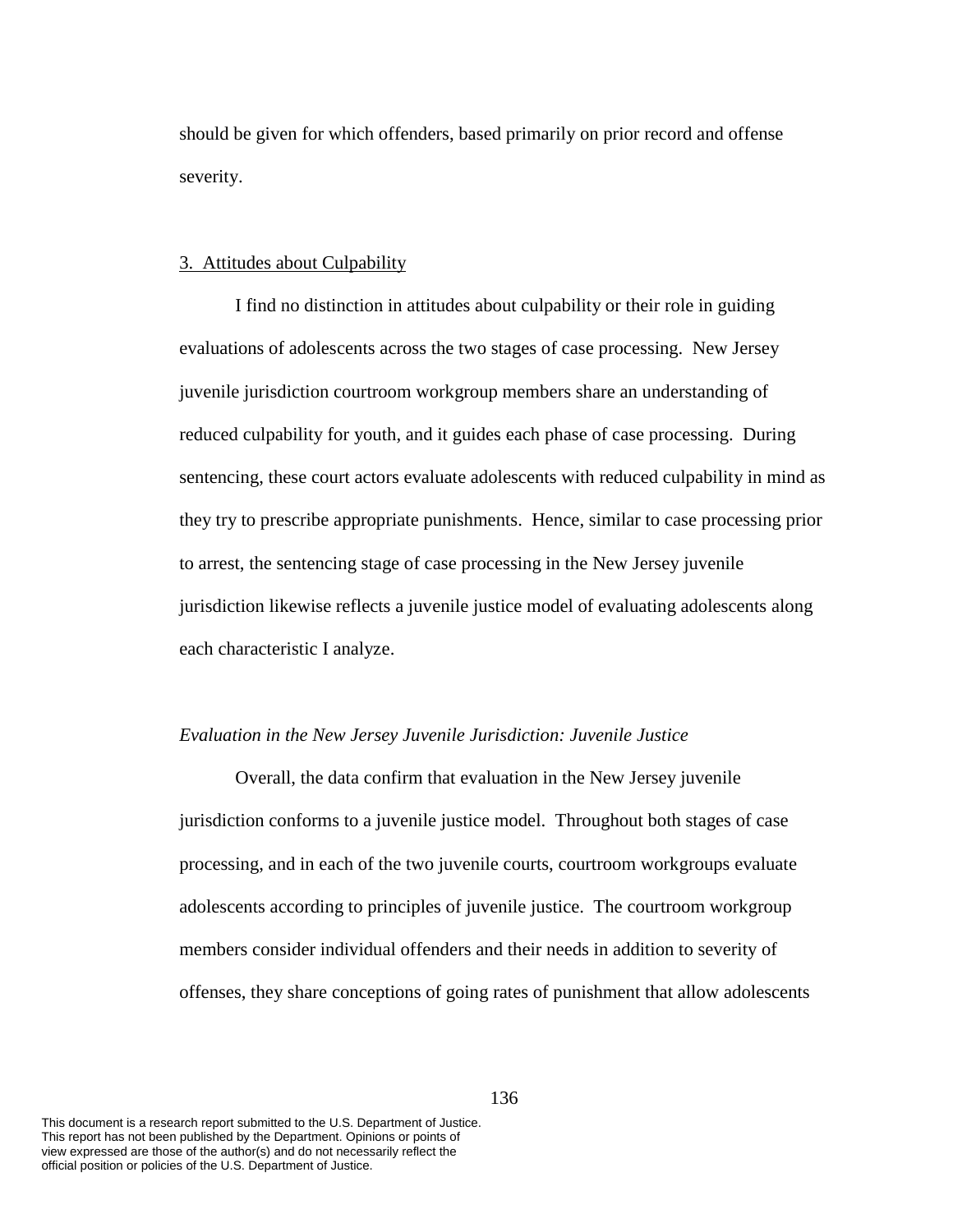should be given for which offenders, based primarily on prior record and offense severity.

#### 3. Attitudes about Culpability

I find no distinction in attitudes about culpability or their role in guiding evaluations of adolescents across the two stages of case processing. New Jersey juvenile jurisdiction courtroom workgroup members share an understanding of reduced culpability for youth, and it guides each phase of case processing. During sentencing, these court actors evaluate adolescents with reduced culpability in mind as they try to prescribe appropriate punishments. Hence, similar to case processing prior to arrest, the sentencing stage of case processing in the New Jersey juvenile jurisdiction likewise reflects a juvenile justice model of evaluating adolescents along each characteristic I analyze.

### *Evaluation in the New Jersey Juvenile Jurisdiction: Juvenile Justice*

Overall, the data confirm that evaluation in the New Jersey juvenile jurisdiction conforms to a juvenile justice model. Throughout both stages of case processing, and in each of the two juvenile courts, courtroom workgroups evaluate adolescents according to principles of juvenile justice. The courtroom workgroup members consider individual offenders and their needs in addition to severity of offenses, they share conceptions of going rates of punishment that allow adolescents

This document is a research report submitted to the U.S. Department of Justice. This report has not been published by the Department. Opinions or points of view expressed are those of the author(s) and do not necessarily reflect the official position or policies of the U.S. Department of Justice.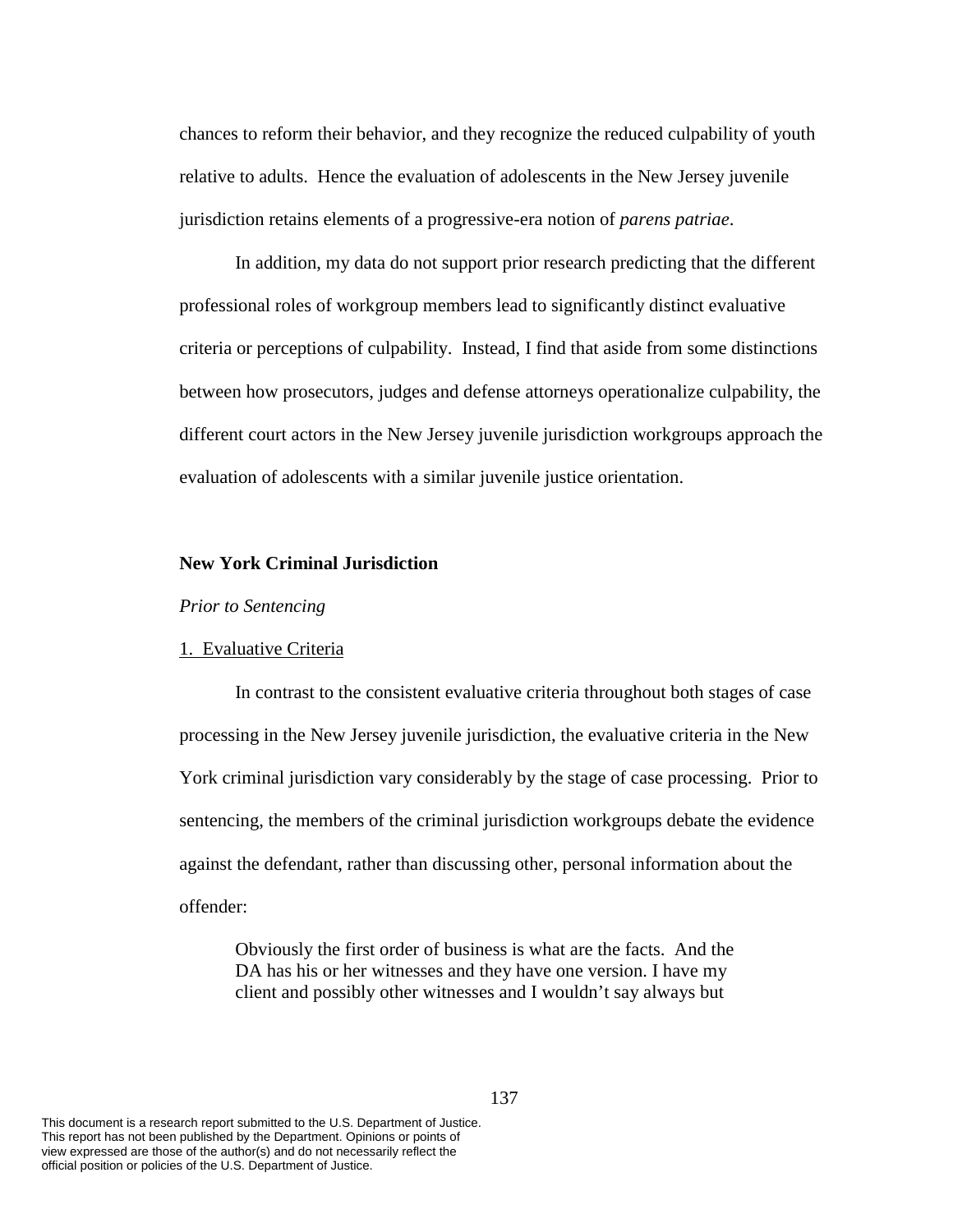chances to reform their behavior, and they recognize the reduced culpability of youth relative to adults. Hence the evaluation of adolescents in the New Jersey juvenile jurisdiction retains elements of a progressive-era notion of *parens patriae*.

In addition, my data do not support prior research predicting that the different professional roles of workgroup members lead to significantly distinct evaluative criteria or perceptions of culpability. Instead, I find that aside from some distinctions between how prosecutors, judges and defense attorneys operationalize culpability, the different court actors in the New Jersey juvenile jurisdiction workgroups approach the evaluation of adolescents with a similar juvenile justice orientation.

## **New York Criminal Jurisdiction**

## *Prior to Sentencing*

### 1. Evaluative Criteria

In contrast to the consistent evaluative criteria throughout both stages of case processing in the New Jersey juvenile jurisdiction, the evaluative criteria in the New York criminal jurisdiction vary considerably by the stage of case processing. Prior to sentencing, the members of the criminal jurisdiction workgroups debate the evidence against the defendant, rather than discussing other, personal information about the offender:

Obviously the first order of business is what are the facts. And the DA has his or her witnesses and they have one version. I have my client and possibly other witnesses and I wouldn't say always but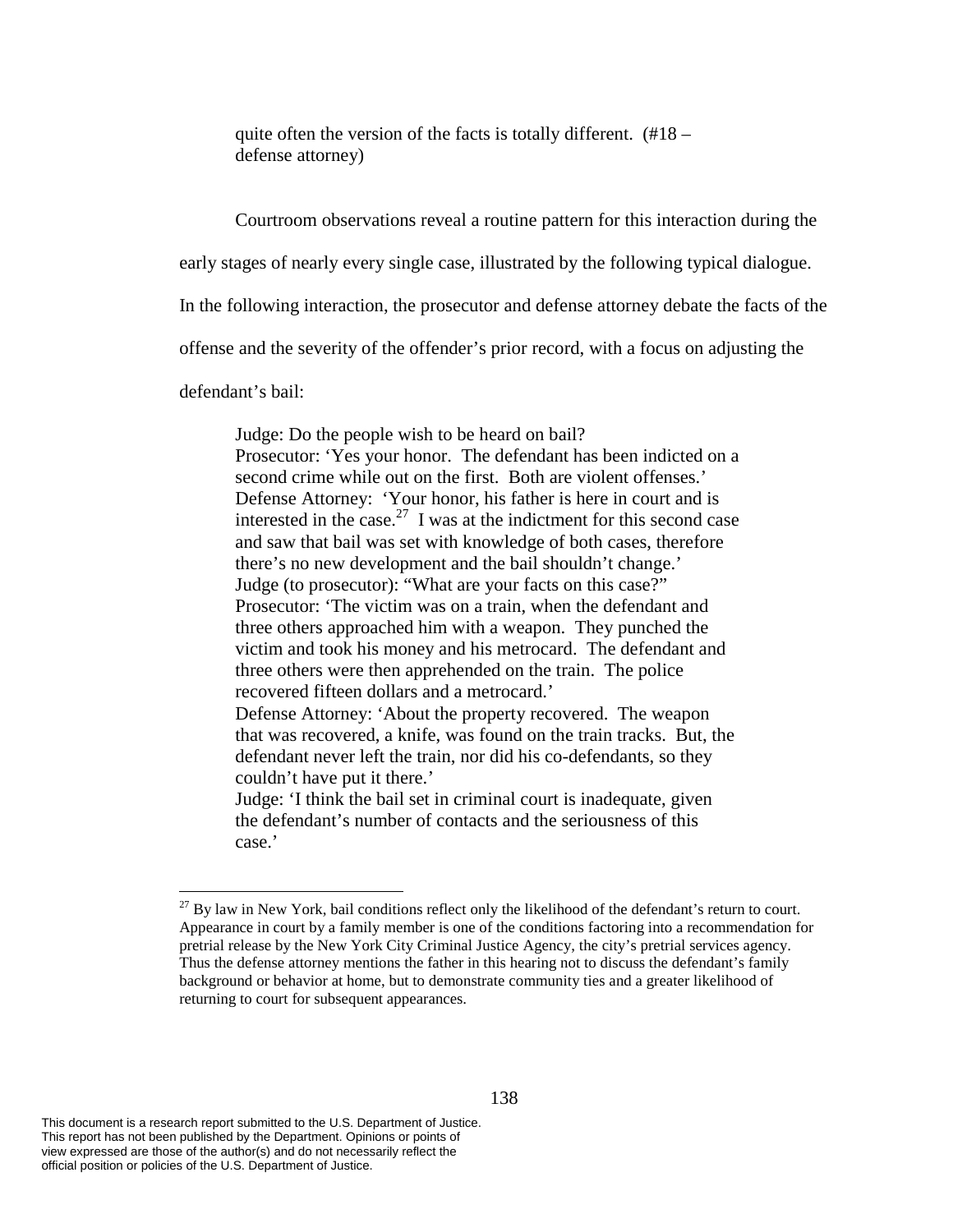quite often the version of the facts is totally different.  $(\text{\#18}-\text{)}$ defense attorney)

Courtroom observations reveal a routine pattern for this interaction during the

early stages of nearly every single case, illustrated by the following typical dialogue.

In the following interaction, the prosecutor and defense attorney debate the facts of the

offense and the severity of the offender's prior record, with a focus on adjusting the

defendant's bail:

Judge: Do the people wish to be heard on bail? Prosecutor: 'Yes your honor. The defendant has been indicted on a second crime while out on the first. Both are violent offenses.' Defense Attorney: 'Your honor, his father is here in court and is interested in the case.<sup>27</sup> I was at the indictment for this second case and saw that bail was set with knowledge of both cases, therefore there's no new development and the bail shouldn't change.' Judge (to prosecutor): "What are your facts on this case?" Prosecutor: 'The victim was on a train, when the defendant and three others approached him with a weapon. They punched the victim and took his money and his metrocard. The defendant and three others were then apprehended on the train. The police recovered fifteen dollars and a metrocard.' Defense Attorney: 'About the property recovered. The weapon that was recovered, a knife, was found on the train tracks. But, the

defendant never left the train, nor did his co-defendants, so they couldn't have put it there.'

Judge: 'I think the bail set in criminal court is inadequate, given the defendant's number of contacts and the seriousness of this case.'

This document is a research report submitted to the U.S. Department of Justice. This report has not been published by the Department. Opinions or points of view expressed are those of the author(s) and do not necessarily reflect the official position or policies of the U.S. Department of Justice.

 $\overline{a}$ 

 $^{27}$  By law in New York, bail conditions reflect only the likelihood of the defendant's return to court. Appearance in court by a family member is one of the conditions factoring into a recommendation for pretrial release by the New York City Criminal Justice Agency, the city's pretrial services agency. Thus the defense attorney mentions the father in this hearing not to discuss the defendant's family background or behavior at home, but to demonstrate community ties and a greater likelihood of returning to court for subsequent appearances.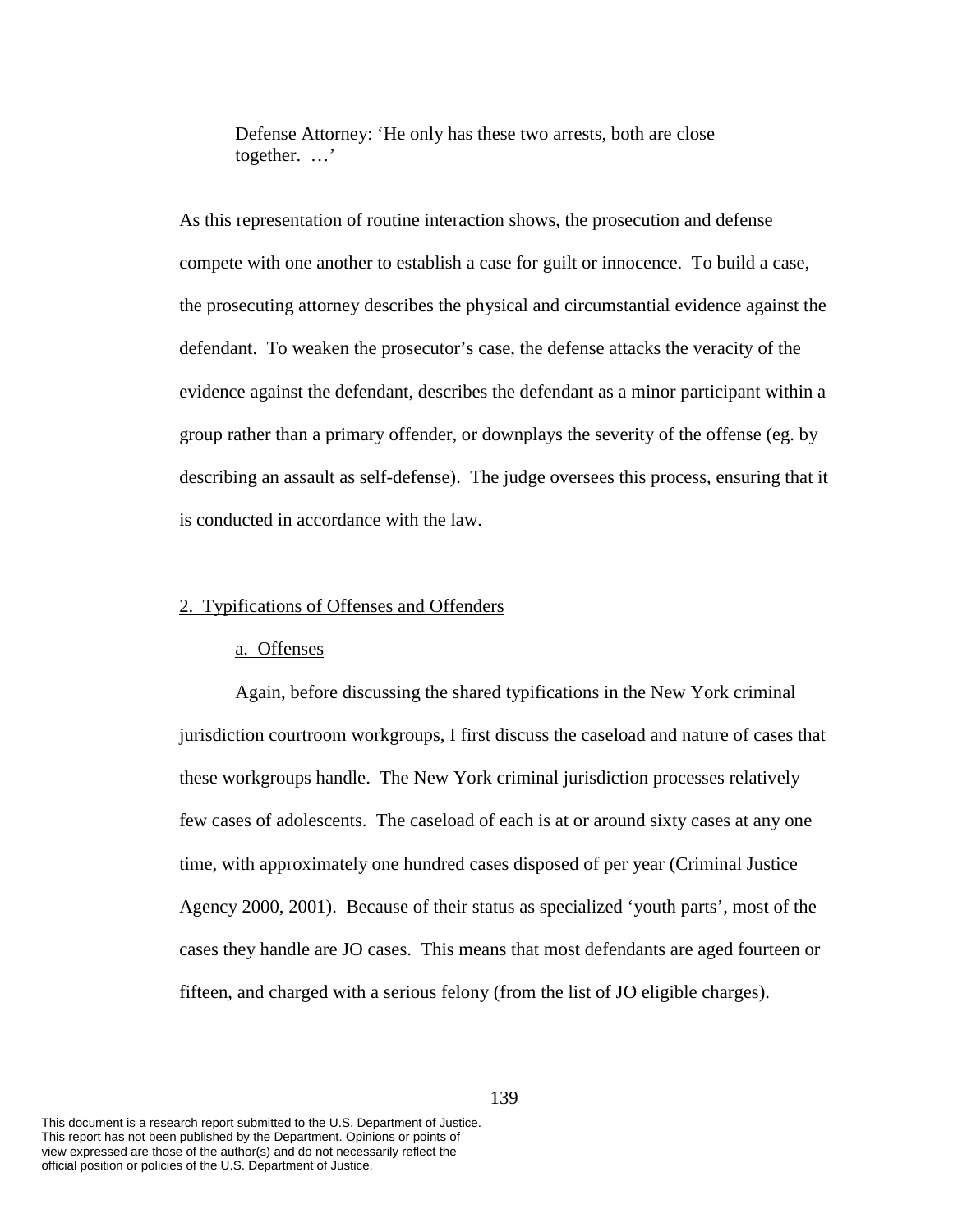Defense Attorney: 'He only has these two arrests, both are close together. …'

As this representation of routine interaction shows, the prosecution and defense compete with one another to establish a case for guilt or innocence. To build a case, the prosecuting attorney describes the physical and circumstantial evidence against the defendant. To weaken the prosecutor's case, the defense attacks the veracity of the evidence against the defendant, describes the defendant as a minor participant within a group rather than a primary offender, or downplays the severity of the offense (eg. by describing an assault as self-defense). The judge oversees this process, ensuring that it is conducted in accordance with the law.

# 2. Typifications of Offenses and Offenders

## a. Offenses

Again, before discussing the shared typifications in the New York criminal jurisdiction courtroom workgroups, I first discuss the caseload and nature of cases that these workgroups handle. The New York criminal jurisdiction processes relatively few cases of adolescents. The caseload of each is at or around sixty cases at any one time, with approximately one hundred cases disposed of per year (Criminal Justice Agency 2000, 2001). Because of their status as specialized 'youth parts', most of the cases they handle are JO cases. This means that most defendants are aged fourteen or fifteen, and charged with a serious felony (from the list of JO eligible charges).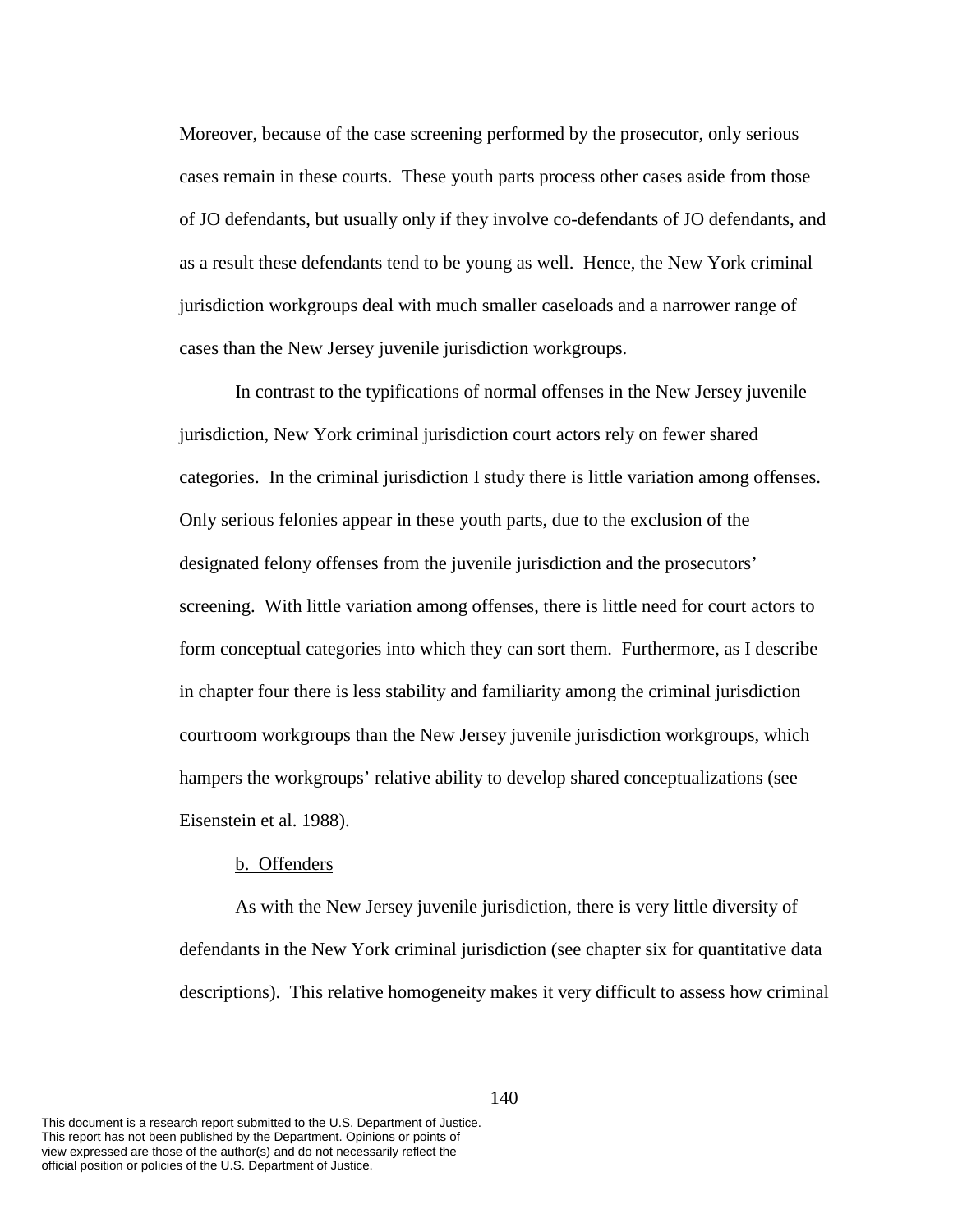Moreover, because of the case screening performed by the prosecutor, only serious cases remain in these courts. These youth parts process other cases aside from those of JO defendants, but usually only if they involve co-defendants of JO defendants, and as a result these defendants tend to be young as well. Hence, the New York criminal jurisdiction workgroups deal with much smaller caseloads and a narrower range of cases than the New Jersey juvenile jurisdiction workgroups.

In contrast to the typifications of normal offenses in the New Jersey juvenile jurisdiction, New York criminal jurisdiction court actors rely on fewer shared categories. In the criminal jurisdiction I study there is little variation among offenses. Only serious felonies appear in these youth parts, due to the exclusion of the designated felony offenses from the juvenile jurisdiction and the prosecutors' screening. With little variation among offenses, there is little need for court actors to form conceptual categories into which they can sort them. Furthermore, as I describe in chapter four there is less stability and familiarity among the criminal jurisdiction courtroom workgroups than the New Jersey juvenile jurisdiction workgroups, which hampers the workgroups' relative ability to develop shared conceptualizations (see Eisenstein et al. 1988).

### b. Offenders

As with the New Jersey juvenile jurisdiction, there is very little diversity of defendants in the New York criminal jurisdiction (see chapter six for quantitative data descriptions). This relative homogeneity makes it very difficult to assess how criminal

This document is a research report submitted to the U.S. Department of Justice. This report has not been published by the Department. Opinions or points of view expressed are those of the author(s) and do not necessarily reflect the official position or policies of the U.S. Department of Justice.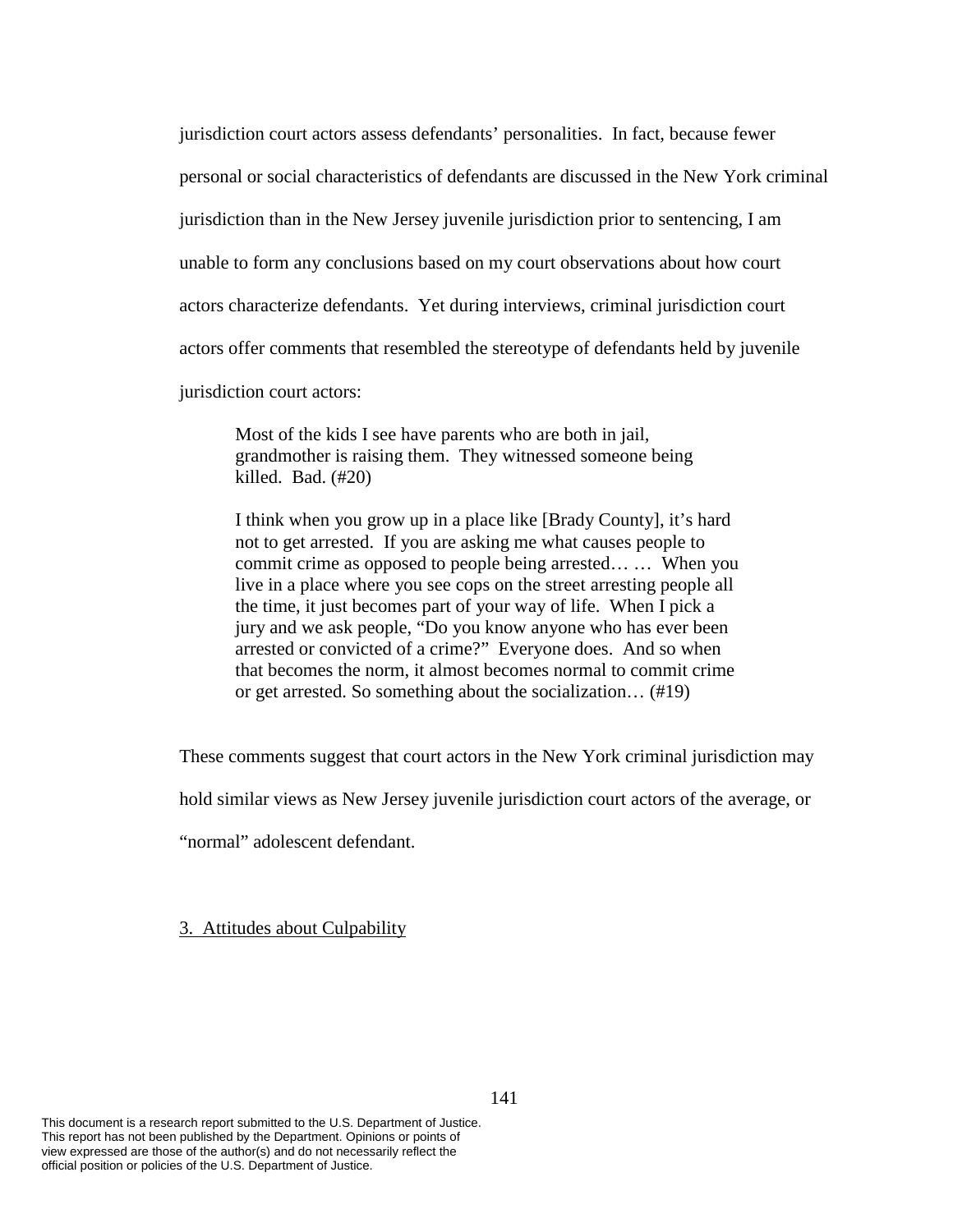jurisdiction court actors assess defendants' personalities. In fact, because fewer personal or social characteristics of defendants are discussed in the New York criminal jurisdiction than in the New Jersey juvenile jurisdiction prior to sentencing, I am unable to form any conclusions based on my court observations about how court actors characterize defendants. Yet during interviews, criminal jurisdiction court actors offer comments that resembled the stereotype of defendants held by juvenile jurisdiction court actors:

Most of the kids I see have parents who are both in jail, grandmother is raising them. They witnessed someone being killed. Bad. (#20)

I think when you grow up in a place like [Brady County], it's hard not to get arrested. If you are asking me what causes people to commit crime as opposed to people being arrested… … When you live in a place where you see cops on the street arresting people all the time, it just becomes part of your way of life. When I pick a jury and we ask people, "Do you know anyone who has ever been arrested or convicted of a crime?" Everyone does. And so when that becomes the norm, it almost becomes normal to commit crime or get arrested. So something about the socialization… (#19)

These comments suggest that court actors in the New York criminal jurisdiction may

hold similar views as New Jersey juvenile jurisdiction court actors of the average, or

"normal" adolescent defendant.

## 3. Attitudes about Culpability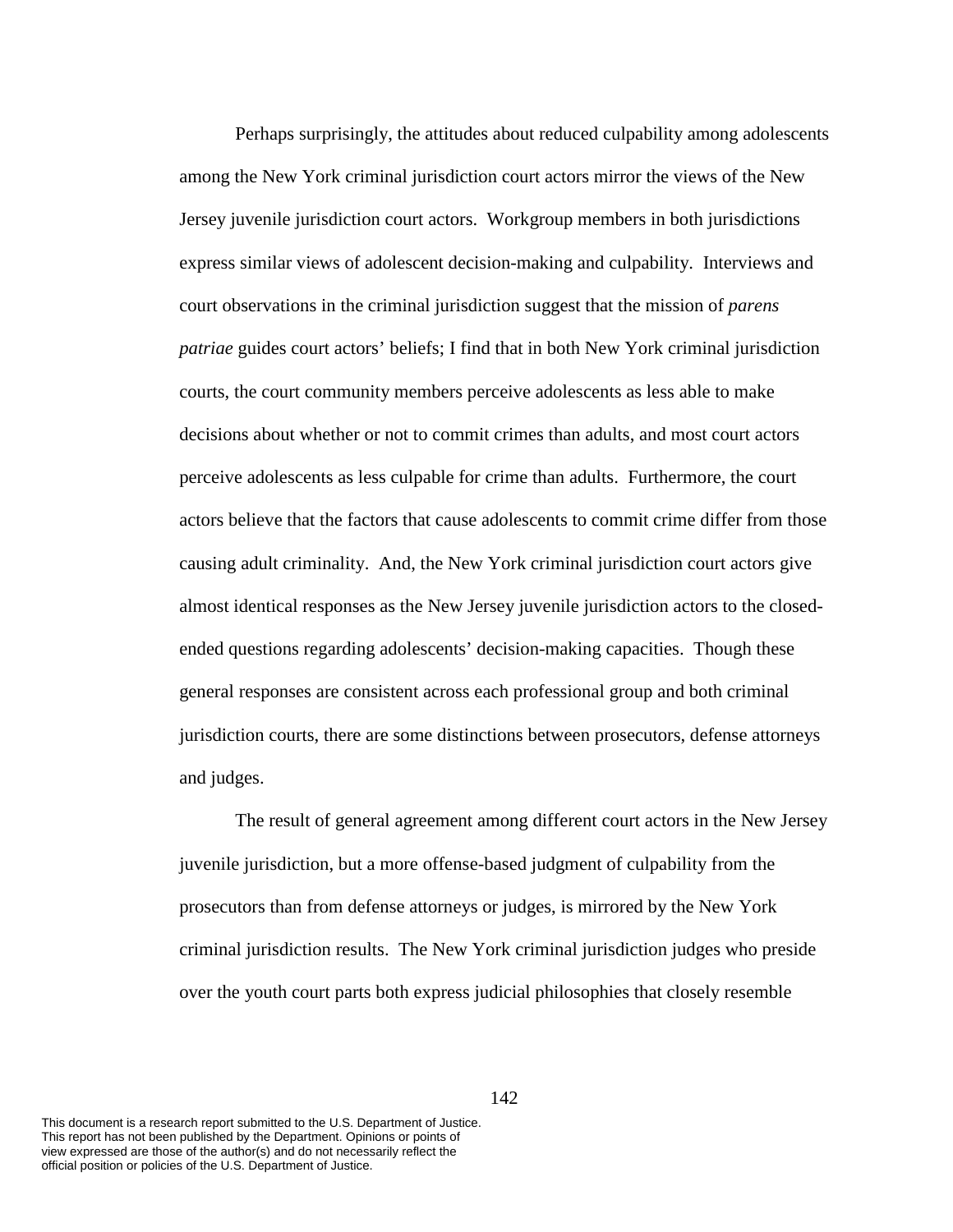Perhaps surprisingly, the attitudes about reduced culpability among adolescents among the New York criminal jurisdiction court actors mirror the views of the New Jersey juvenile jurisdiction court actors. Workgroup members in both jurisdictions express similar views of adolescent decision-making and culpability. Interviews and court observations in the criminal jurisdiction suggest that the mission of *parens patriae* guides court actors' beliefs; I find that in both New York criminal jurisdiction courts, the court community members perceive adolescents as less able to make decisions about whether or not to commit crimes than adults, and most court actors perceive adolescents as less culpable for crime than adults. Furthermore, the court actors believe that the factors that cause adolescents to commit crime differ from those causing adult criminality. And, the New York criminal jurisdiction court actors give almost identical responses as the New Jersey juvenile jurisdiction actors to the closedended questions regarding adolescents' decision-making capacities. Though these general responses are consistent across each professional group and both criminal jurisdiction courts, there are some distinctions between prosecutors, defense attorneys and judges.

The result of general agreement among different court actors in the New Jersey juvenile jurisdiction, but a more offense-based judgment of culpability from the prosecutors than from defense attorneys or judges, is mirrored by the New York criminal jurisdiction results. The New York criminal jurisdiction judges who preside over the youth court parts both express judicial philosophies that closely resemble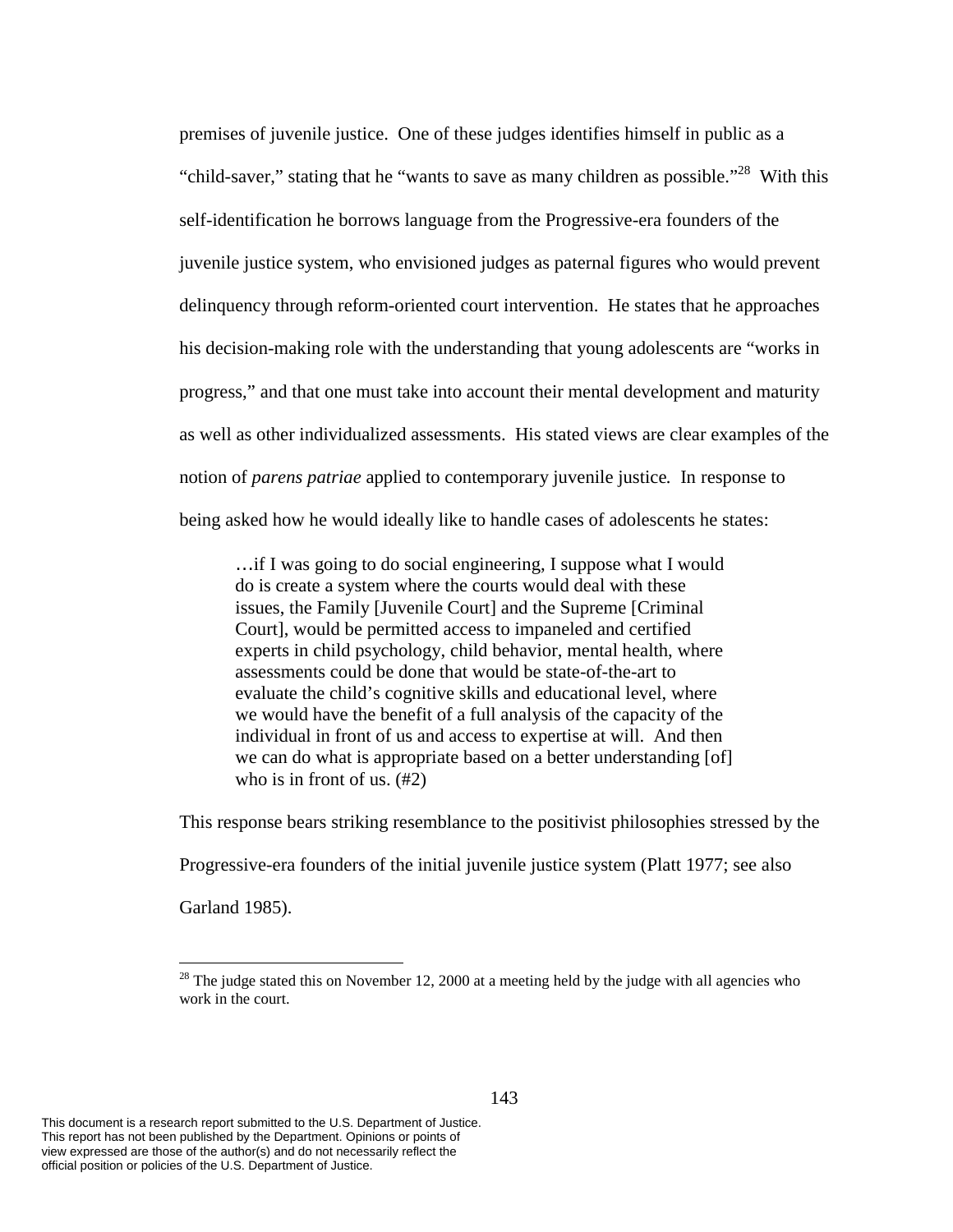premises of juvenile justice. One of these judges identifies himself in public as a "child-saver," stating that he "wants to save as many children as possible."28 With this self-identification he borrows language from the Progressive-era founders of the juvenile justice system, who envisioned judges as paternal figures who would prevent delinquency through reform-oriented court intervention. He states that he approaches his decision-making role with the understanding that young adolescents are "works in progress," and that one must take into account their mental development and maturity as well as other individualized assessments. His stated views are clear examples of the notion of *parens patriae* applied to contemporary juvenile justice*.* In response to being asked how he would ideally like to handle cases of adolescents he states:

…if I was going to do social engineering, I suppose what I would do is create a system where the courts would deal with these issues, the Family [Juvenile Court] and the Supreme [Criminal Court], would be permitted access to impaneled and certified experts in child psychology, child behavior, mental health, where assessments could be done that would be state-of-the-art to evaluate the child's cognitive skills and educational level, where we would have the benefit of a full analysis of the capacity of the individual in front of us and access to expertise at will. And then we can do what is appropriate based on a better understanding [of] who is in front of us. (#2)

This response bears striking resemblance to the positivist philosophies stressed by the

Progressive-era founders of the initial juvenile justice system (Platt 1977; see also

Garland 1985).

 $\overline{a}$ 

 $^{28}$  The judge stated this on November 12, 2000 at a meeting held by the judge with all agencies who work in the court.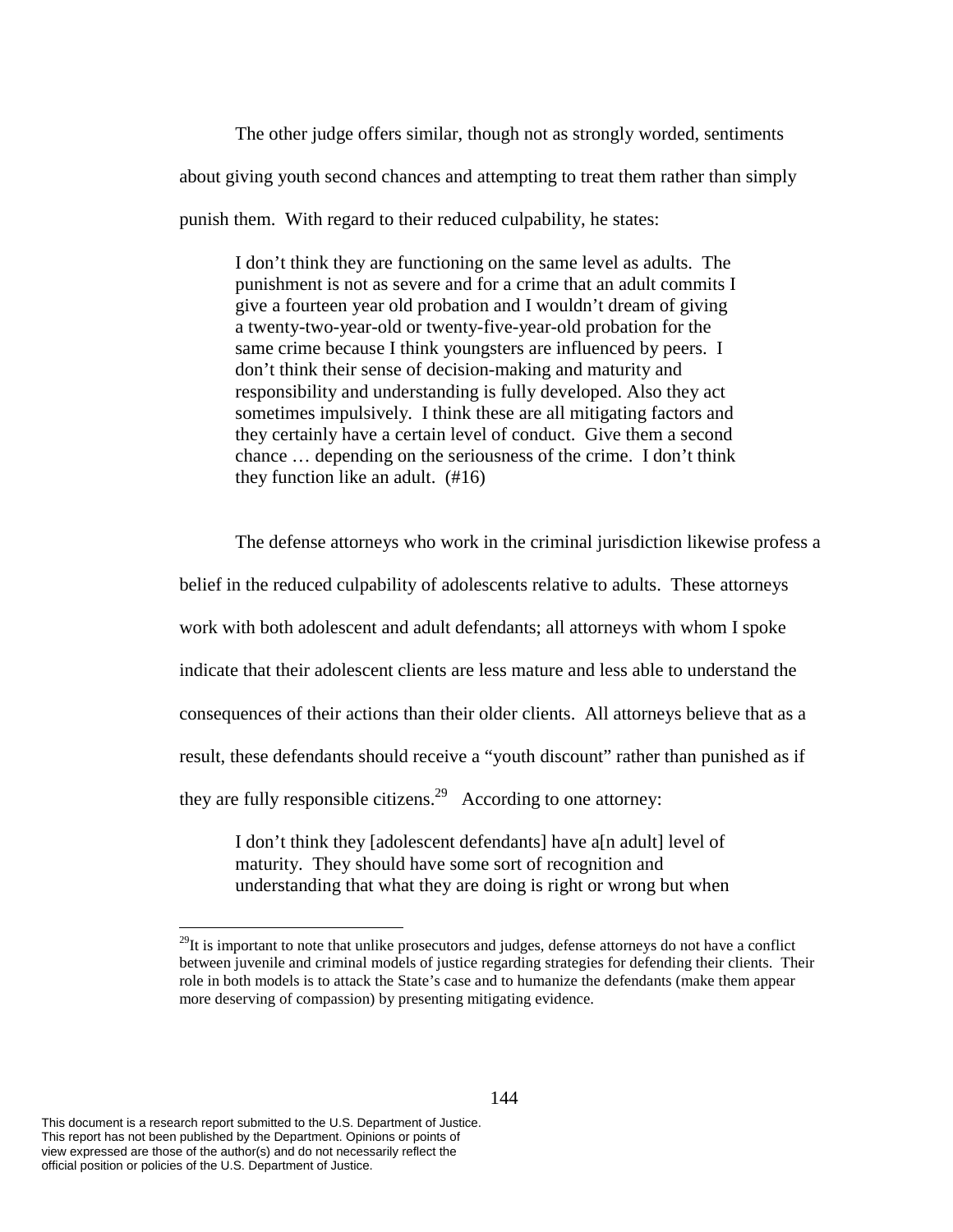The other judge offers similar, though not as strongly worded, sentiments about giving youth second chances and attempting to treat them rather than simply punish them. With regard to their reduced culpability, he states:

I don't think they are functioning on the same level as adults. The punishment is not as severe and for a crime that an adult commits I give a fourteen year old probation and I wouldn't dream of giving a twenty-two-year-old or twenty-five-year-old probation for the same crime because I think youngsters are influenced by peers. I don't think their sense of decision-making and maturity and responsibility and understanding is fully developed. Also they act sometimes impulsively. I think these are all mitigating factors and they certainly have a certain level of conduct. Give them a second chance … depending on the seriousness of the crime. I don't think they function like an adult. (#16)

The defense attorneys who work in the criminal jurisdiction likewise profess a belief in the reduced culpability of adolescents relative to adults. These attorneys work with both adolescent and adult defendants; all attorneys with whom I spoke indicate that their adolescent clients are less mature and less able to understand the consequences of their actions than their older clients. All attorneys believe that as a result, these defendants should receive a "youth discount" rather than punished as if they are fully responsible citizens.<sup>29</sup> According to one attorney:

I don't think they [adolescent defendants] have a<sup>[n adult]</sup> level of maturity. They should have some sort of recognition and understanding that what they are doing is right or wrong but when

This document is a research report submitted to the U.S. Department of Justice. This report has not been published by the Department. Opinions or points of view expressed are those of the author(s) and do not necessarily reflect the official position or policies of the U.S. Department of Justice.

 $\overline{a}$ 

<sup>&</sup>lt;sup>29</sup>It is important to note that unlike prosecutors and judges, defense attorneys do not have a conflict between juvenile and criminal models of justice regarding strategies for defending their clients. Their role in both models is to attack the State's case and to humanize the defendants (make them appear more deserving of compassion) by presenting mitigating evidence.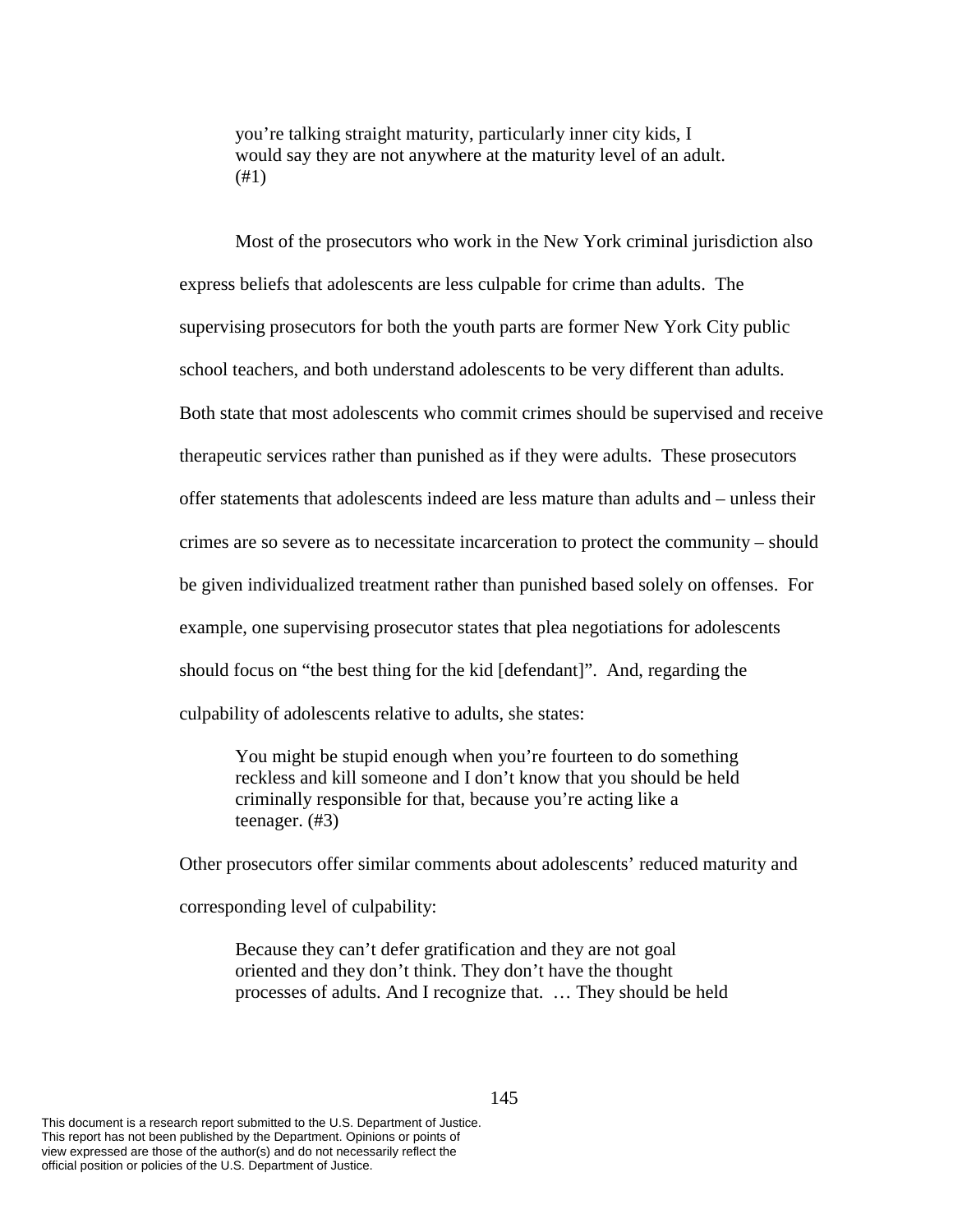you're talking straight maturity, particularly inner city kids, I would say they are not anywhere at the maturity level of an adult. (#1)

Most of the prosecutors who work in the New York criminal jurisdiction also express beliefs that adolescents are less culpable for crime than adults. The supervising prosecutors for both the youth parts are former New York City public school teachers, and both understand adolescents to be very different than adults. Both state that most adolescents who commit crimes should be supervised and receive therapeutic services rather than punished as if they were adults. These prosecutors offer statements that adolescents indeed are less mature than adults and – unless their crimes are so severe as to necessitate incarceration to protect the community – should be given individualized treatment rather than punished based solely on offenses. For example, one supervising prosecutor states that plea negotiations for adolescents should focus on "the best thing for the kid [defendant]". And, regarding the culpability of adolescents relative to adults, she states:

You might be stupid enough when you're fourteen to do something reckless and kill someone and I don't know that you should be held criminally responsible for that, because you're acting like a teenager. (#3)

Other prosecutors offer similar comments about adolescents' reduced maturity and

corresponding level of culpability:

Because they can't defer gratification and they are not goal oriented and they don't think. They don't have the thought processes of adults. And I recognize that. … They should be held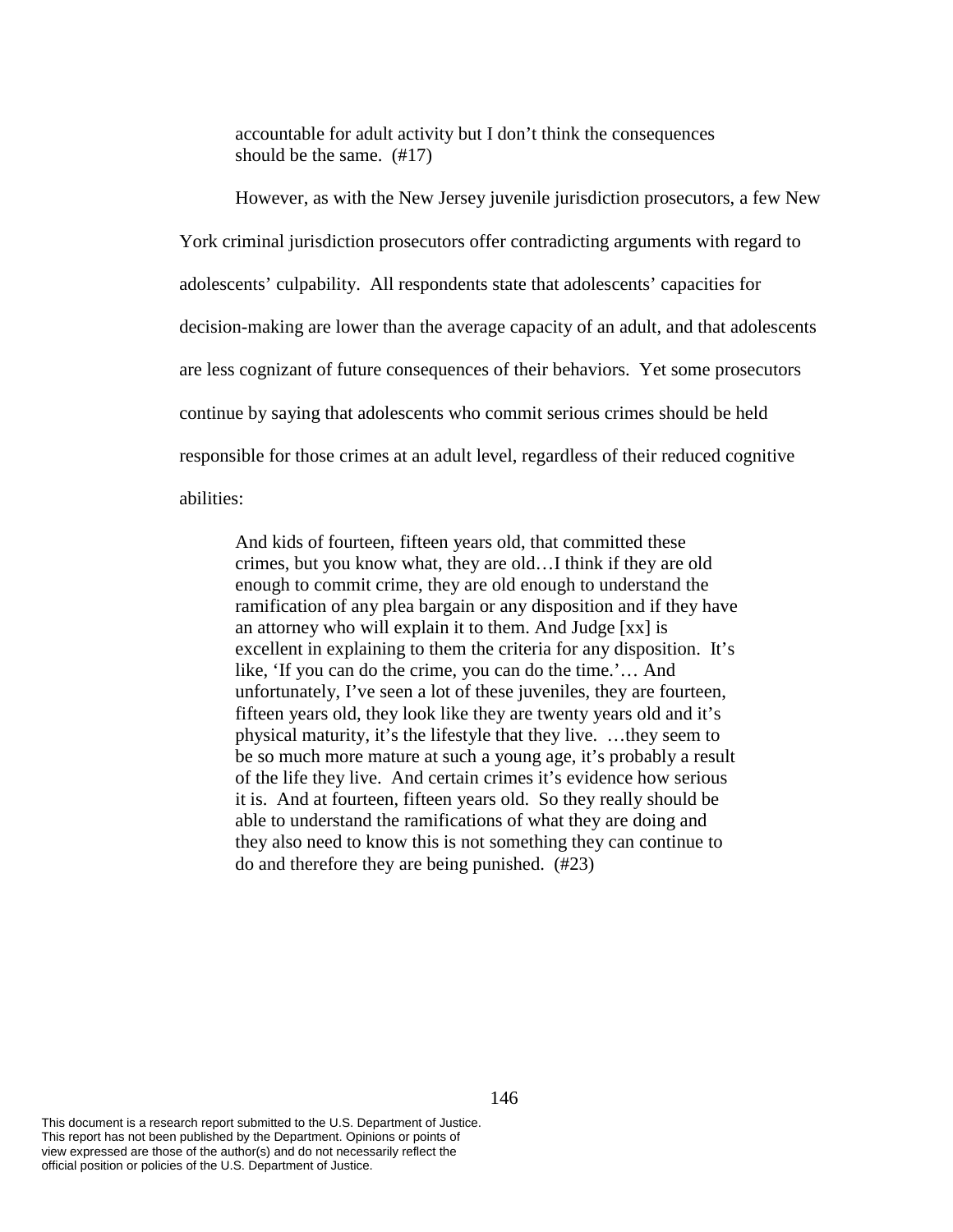accountable for adult activity but I don't think the consequences should be the same. (#17)

However, as with the New Jersey juvenile jurisdiction prosecutors, a few New York criminal jurisdiction prosecutors offer contradicting arguments with regard to adolescents' culpability. All respondents state that adolescents' capacities for decision-making are lower than the average capacity of an adult, and that adolescents are less cognizant of future consequences of their behaviors. Yet some prosecutors continue by saying that adolescents who commit serious crimes should be held responsible for those crimes at an adult level, regardless of their reduced cognitive abilities:

And kids of fourteen, fifteen years old, that committed these crimes, but you know what, they are old…I think if they are old enough to commit crime, they are old enough to understand the ramification of any plea bargain or any disposition and if they have an attorney who will explain it to them. And Judge [xx] is excellent in explaining to them the criteria for any disposition. It's like, 'If you can do the crime, you can do the time.'… And unfortunately, I've seen a lot of these juveniles, they are fourteen, fifteen years old, they look like they are twenty years old and it's physical maturity, it's the lifestyle that they live. …they seem to be so much more mature at such a young age, it's probably a result of the life they live. And certain crimes it's evidence how serious it is. And at fourteen, fifteen years old. So they really should be able to understand the ramifications of what they are doing and they also need to know this is not something they can continue to do and therefore they are being punished. (#23)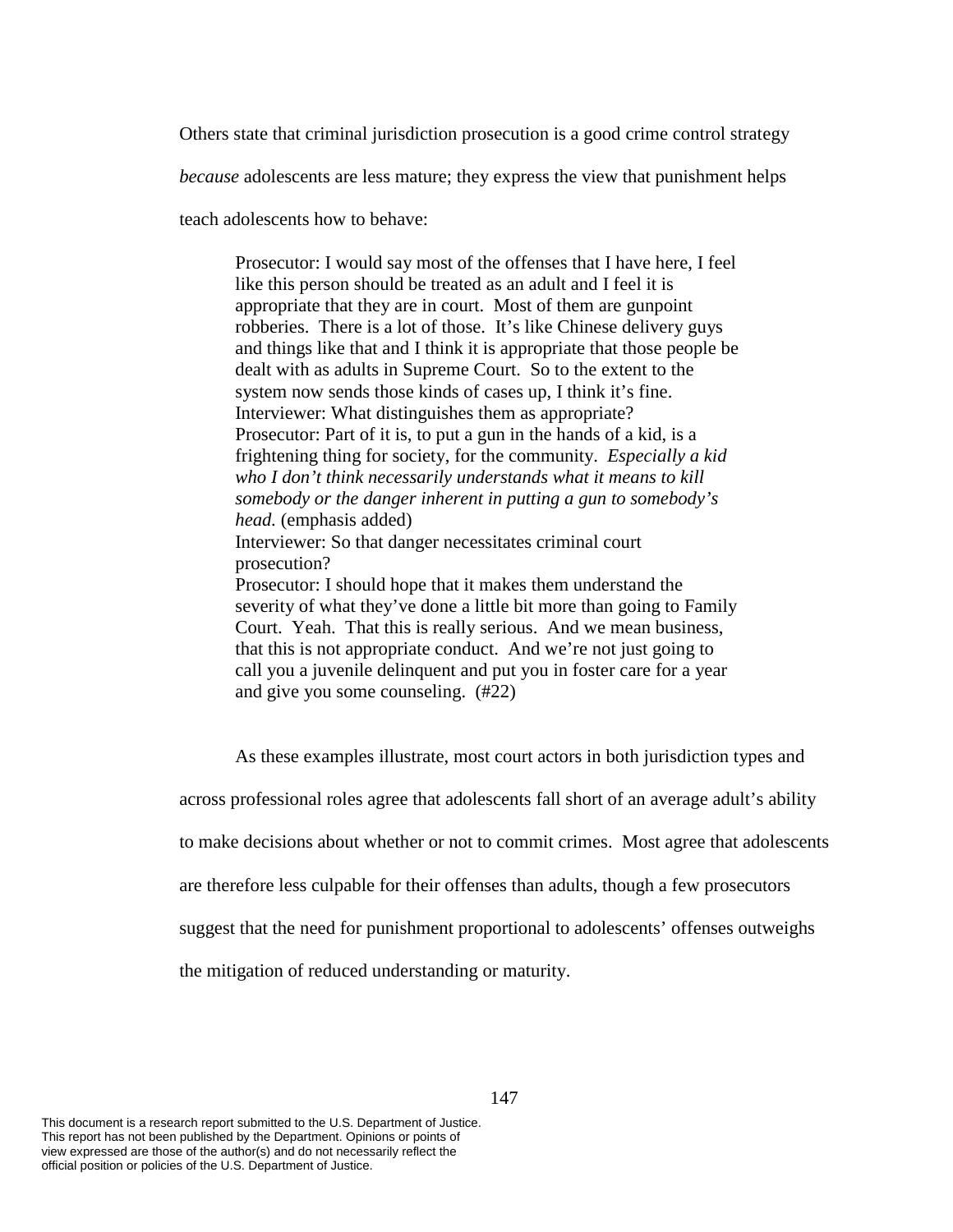Others state that criminal jurisdiction prosecution is a good crime control strategy

*because* adolescents are less mature; they express the view that punishment helps

teach adolescents how to behave:

Prosecutor: I would say most of the offenses that I have here, I feel like this person should be treated as an adult and I feel it is appropriate that they are in court. Most of them are gunpoint robberies. There is a lot of those. It's like Chinese delivery guys and things like that and I think it is appropriate that those people be dealt with as adults in Supreme Court. So to the extent to the system now sends those kinds of cases up, I think it's fine. Interviewer: What distinguishes them as appropriate? Prosecutor: Part of it is, to put a gun in the hands of a kid, is a frightening thing for society, for the community. *Especially a kid who I don't think necessarily understands what it means to kill somebody or the danger inherent in putting a gun to somebody's head.* (emphasis added) Interviewer: So that danger necessitates criminal court prosecution? Prosecutor: I should hope that it makes them understand the severity of what they've done a little bit more than going to Family Court. Yeah. That this is really serious. And we mean business, that this is not appropriate conduct. And we're not just going to

call you a juvenile delinquent and put you in foster care for a year and give you some counseling. (#22)

As these examples illustrate, most court actors in both jurisdiction types and

across professional roles agree that adolescents fall short of an average adult's ability

to make decisions about whether or not to commit crimes. Most agree that adolescents

are therefore less culpable for their offenses than adults, though a few prosecutors

suggest that the need for punishment proportional to adolescents' offenses outweighs

the mitigation of reduced understanding or maturity.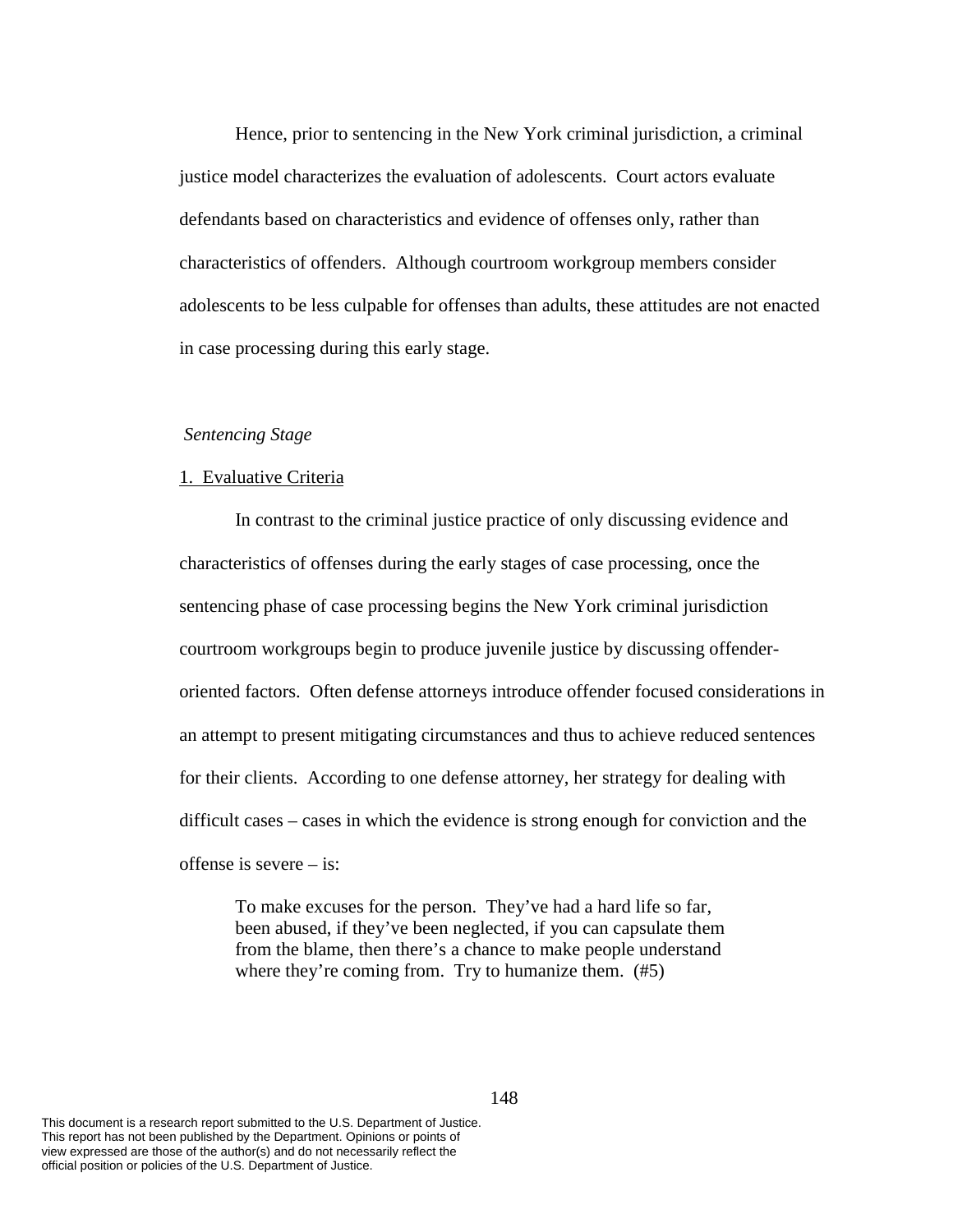Hence, prior to sentencing in the New York criminal jurisdiction, a criminal justice model characterizes the evaluation of adolescents. Court actors evaluate defendants based on characteristics and evidence of offenses only, rather than characteristics of offenders. Although courtroom workgroup members consider adolescents to be less culpable for offenses than adults, these attitudes are not enacted in case processing during this early stage.

### *Sentencing Stage*

#### 1. Evaluative Criteria

In contrast to the criminal justice practice of only discussing evidence and characteristics of offenses during the early stages of case processing, once the sentencing phase of case processing begins the New York criminal jurisdiction courtroom workgroups begin to produce juvenile justice by discussing offenderoriented factors. Often defense attorneys introduce offender focused considerations in an attempt to present mitigating circumstances and thus to achieve reduced sentences for their clients. According to one defense attorney, her strategy for dealing with difficult cases – cases in which the evidence is strong enough for conviction and the offense is severe – is:

To make excuses for the person. They've had a hard life so far, been abused, if they've been neglected, if you can capsulate them from the blame, then there's a chance to make people understand where they're coming from. Try to humanize them.  $(\#5)$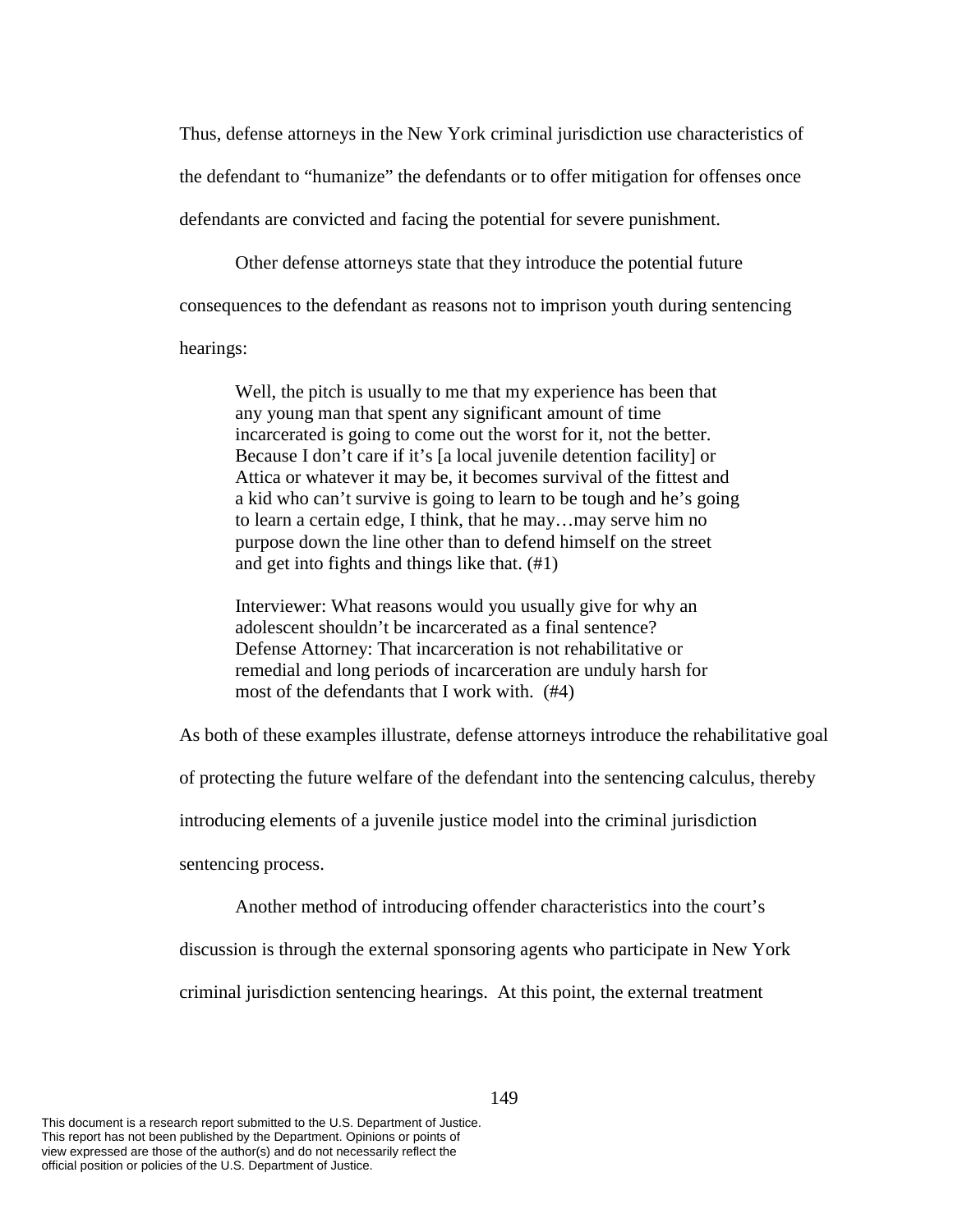Thus, defense attorneys in the New York criminal jurisdiction use characteristics of the defendant to "humanize" the defendants or to offer mitigation for offenses once defendants are convicted and facing the potential for severe punishment.

Other defense attorneys state that they introduce the potential future consequences to the defendant as reasons not to imprison youth during sentencing hearings:

Well, the pitch is usually to me that my experience has been that any young man that spent any significant amount of time incarcerated is going to come out the worst for it, not the better. Because I don't care if it's [a local juvenile detention facility] or Attica or whatever it may be, it becomes survival of the fittest and a kid who can't survive is going to learn to be tough and he's going to learn a certain edge, I think, that he may…may serve him no purpose down the line other than to defend himself on the street and get into fights and things like that. (#1)

Interviewer: What reasons would you usually give for why an adolescent shouldn't be incarcerated as a final sentence? Defense Attorney: That incarceration is not rehabilitative or remedial and long periods of incarceration are unduly harsh for most of the defendants that I work with. (#4)

As both of these examples illustrate, defense attorneys introduce the rehabilitative goal

of protecting the future welfare of the defendant into the sentencing calculus, thereby

introducing elements of a juvenile justice model into the criminal jurisdiction

sentencing process.

Another method of introducing offender characteristics into the court's

discussion is through the external sponsoring agents who participate in New York

criminal jurisdiction sentencing hearings. At this point, the external treatment

This document is a research report submitted to the U.S. Department of Justice. This report has not been published by the Department. Opinions or points of view expressed are those of the author(s) and do not necessarily reflect the official position or policies of the U.S. Department of Justice.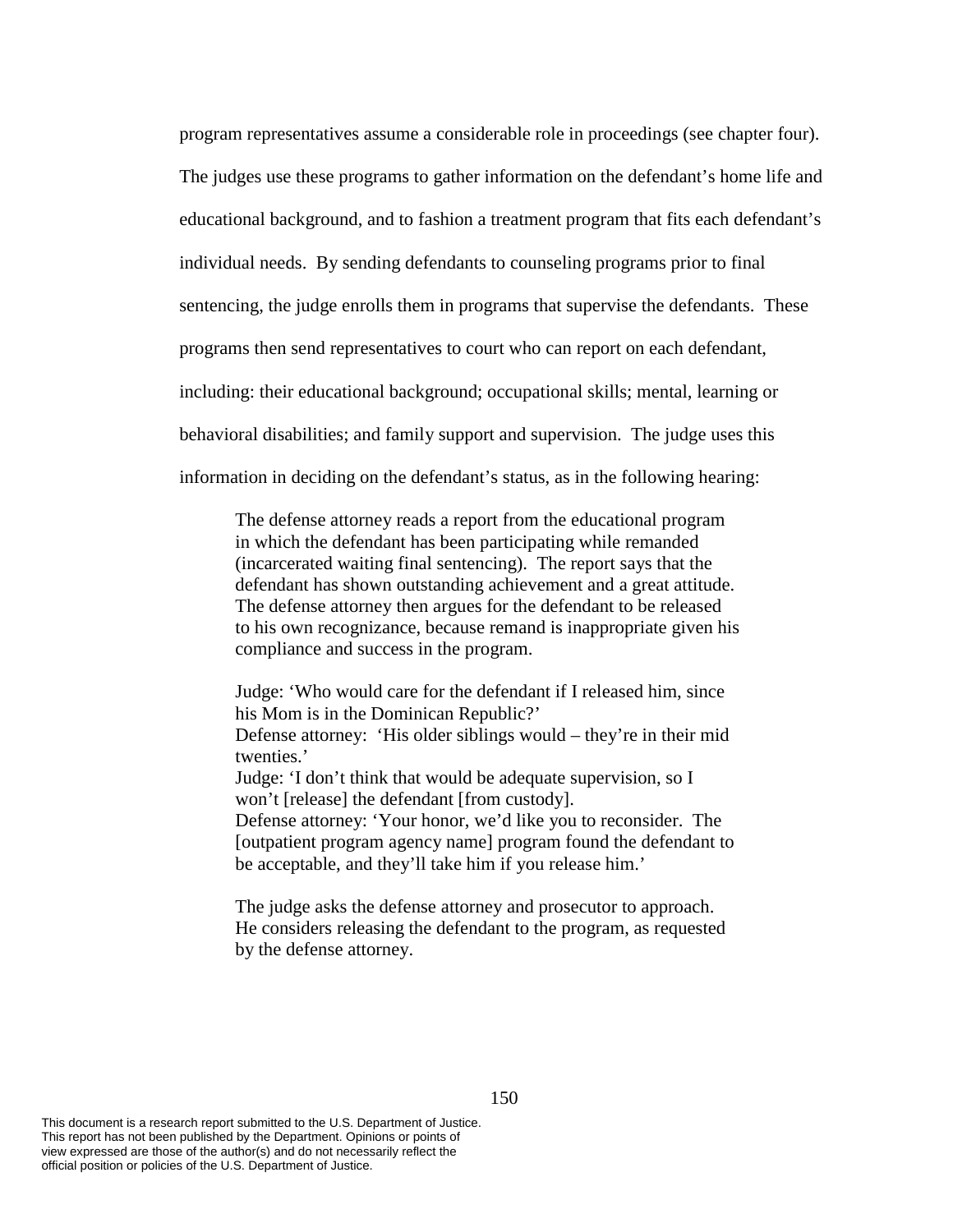program representatives assume a considerable role in proceedings (see chapter four). The judges use these programs to gather information on the defendant's home life and educational background, and to fashion a treatment program that fits each defendant's individual needs. By sending defendants to counseling programs prior to final sentencing, the judge enrolls them in programs that supervise the defendants. These programs then send representatives to court who can report on each defendant, including: their educational background; occupational skills; mental, learning or behavioral disabilities; and family support and supervision. The judge uses this information in deciding on the defendant's status, as in the following hearing:

The defense attorney reads a report from the educational program in which the defendant has been participating while remanded (incarcerated waiting final sentencing). The report says that the defendant has shown outstanding achievement and a great attitude. The defense attorney then argues for the defendant to be released to his own recognizance, because remand is inappropriate given his compliance and success in the program.

Judge: 'Who would care for the defendant if I released him, since his Mom is in the Dominican Republic?' Defense attorney: 'His older siblings would – they're in their mid twenties.' Judge: 'I don't think that would be adequate supervision, so I won't [release] the defendant [from custody]. Defense attorney: 'Your honor, we'd like you to reconsider. The [outpatient program agency name] program found the defendant to be acceptable, and they'll take him if you release him.'

The judge asks the defense attorney and prosecutor to approach. He considers releasing the defendant to the program, as requested by the defense attorney.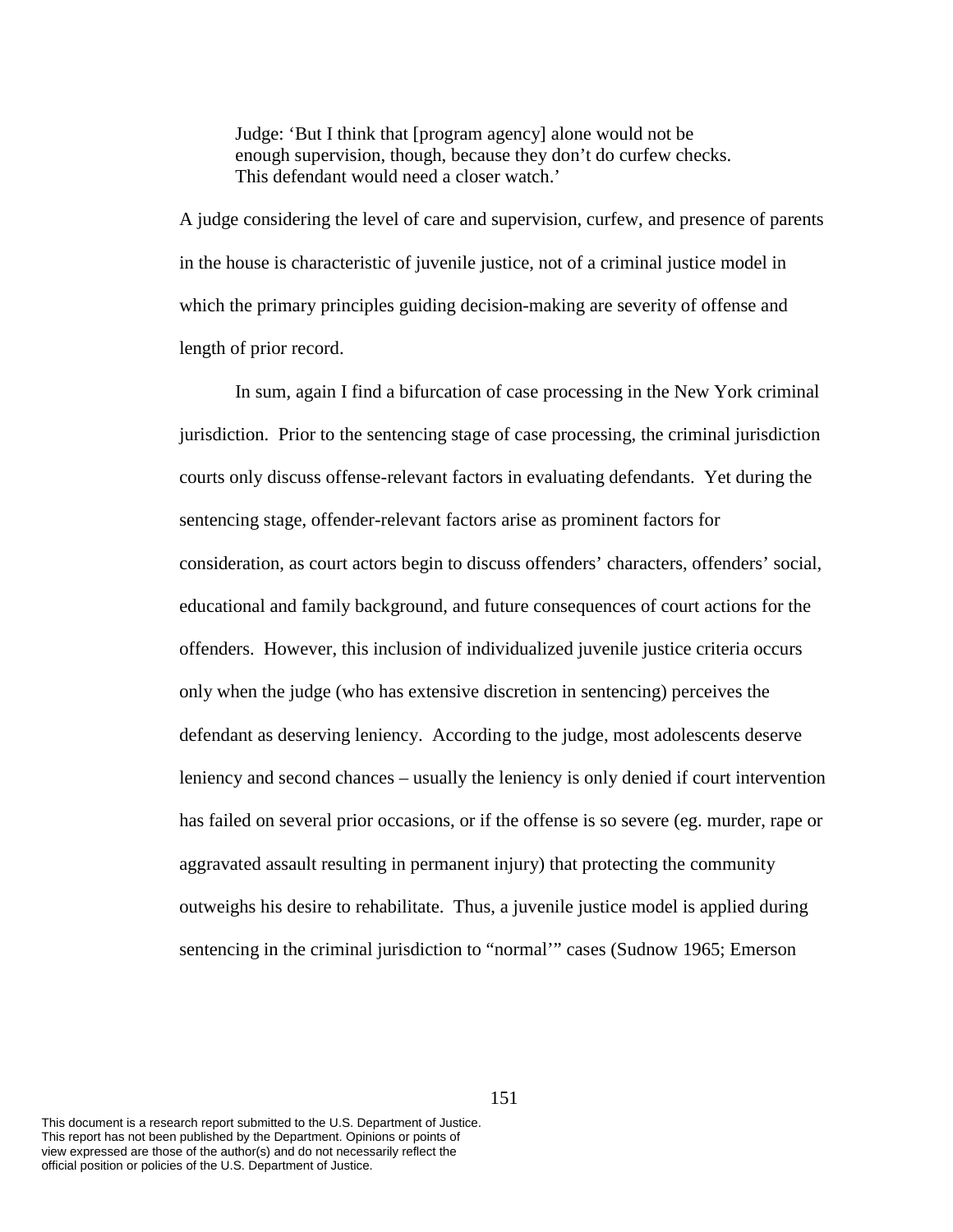Judge: 'But I think that [program agency] alone would not be enough supervision, though, because they don't do curfew checks. This defendant would need a closer watch.'

A judge considering the level of care and supervision, curfew, and presence of parents in the house is characteristic of juvenile justice, not of a criminal justice model in which the primary principles guiding decision-making are severity of offense and length of prior record.

In sum, again I find a bifurcation of case processing in the New York criminal jurisdiction. Prior to the sentencing stage of case processing, the criminal jurisdiction courts only discuss offense-relevant factors in evaluating defendants. Yet during the sentencing stage, offender-relevant factors arise as prominent factors for consideration, as court actors begin to discuss offenders' characters, offenders' social, educational and family background, and future consequences of court actions for the offenders. However, this inclusion of individualized juvenile justice criteria occurs only when the judge (who has extensive discretion in sentencing) perceives the defendant as deserving leniency. According to the judge, most adolescents deserve leniency and second chances – usually the leniency is only denied if court intervention has failed on several prior occasions, or if the offense is so severe (eg. murder, rape or aggravated assault resulting in permanent injury) that protecting the community outweighs his desire to rehabilitate. Thus, a juvenile justice model is applied during sentencing in the criminal jurisdiction to "normal'" cases (Sudnow 1965; Emerson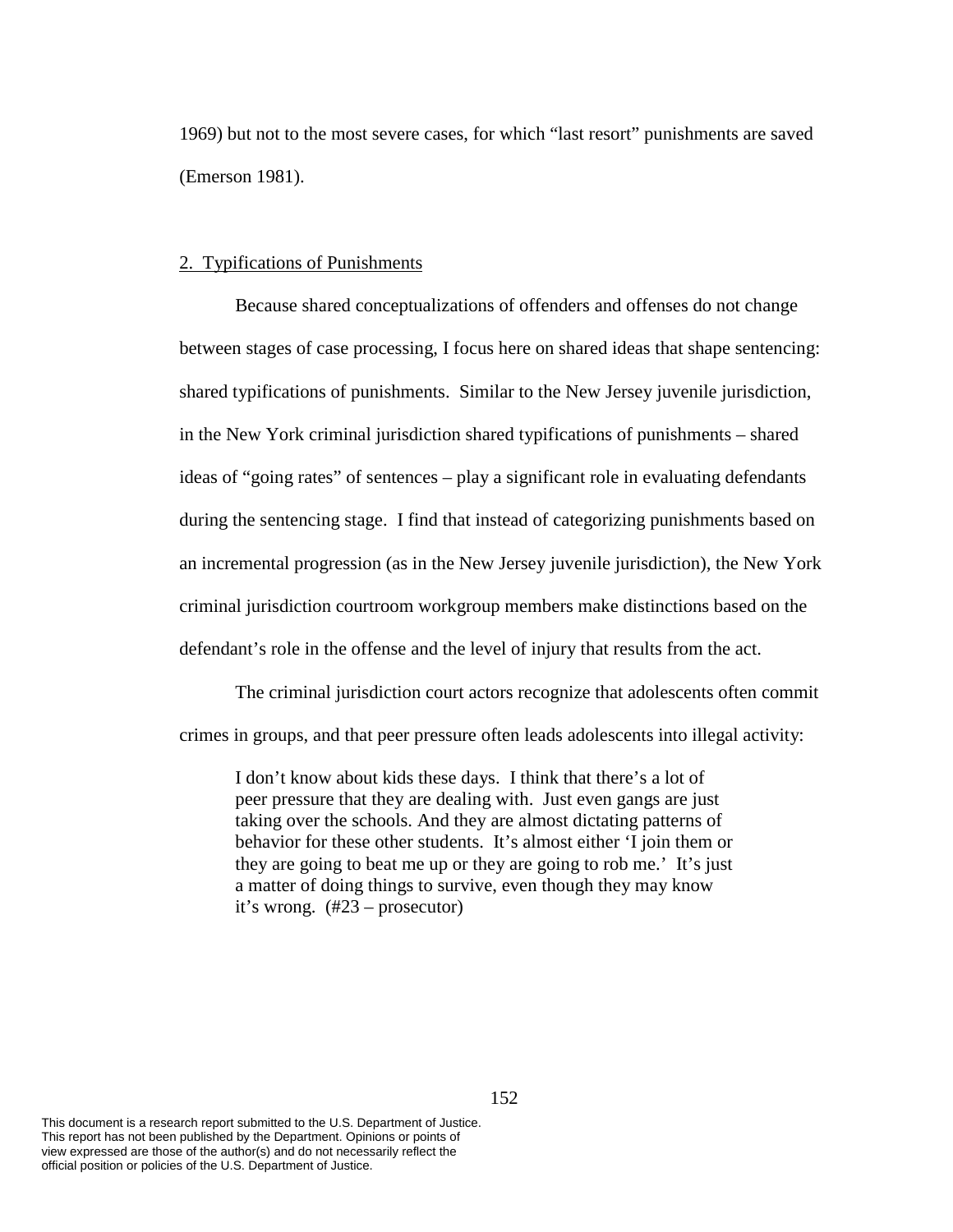1969) but not to the most severe cases, for which "last resort" punishments are saved (Emerson 1981).

### 2. Typifications of Punishments

Because shared conceptualizations of offenders and offenses do not change between stages of case processing, I focus here on shared ideas that shape sentencing: shared typifications of punishments. Similar to the New Jersey juvenile jurisdiction, in the New York criminal jurisdiction shared typifications of punishments – shared ideas of "going rates" of sentences – play a significant role in evaluating defendants during the sentencing stage. I find that instead of categorizing punishments based on an incremental progression (as in the New Jersey juvenile jurisdiction), the New York criminal jurisdiction courtroom workgroup members make distinctions based on the defendant's role in the offense and the level of injury that results from the act.

The criminal jurisdiction court actors recognize that adolescents often commit crimes in groups, and that peer pressure often leads adolescents into illegal activity:

I don't know about kids these days. I think that there's a lot of peer pressure that they are dealing with. Just even gangs are just taking over the schools. And they are almost dictating patterns of behavior for these other students. It's almost either 'I join them or they are going to beat me up or they are going to rob me.' It's just a matter of doing things to survive, even though they may know it's wrong. (#23 – prosecutor)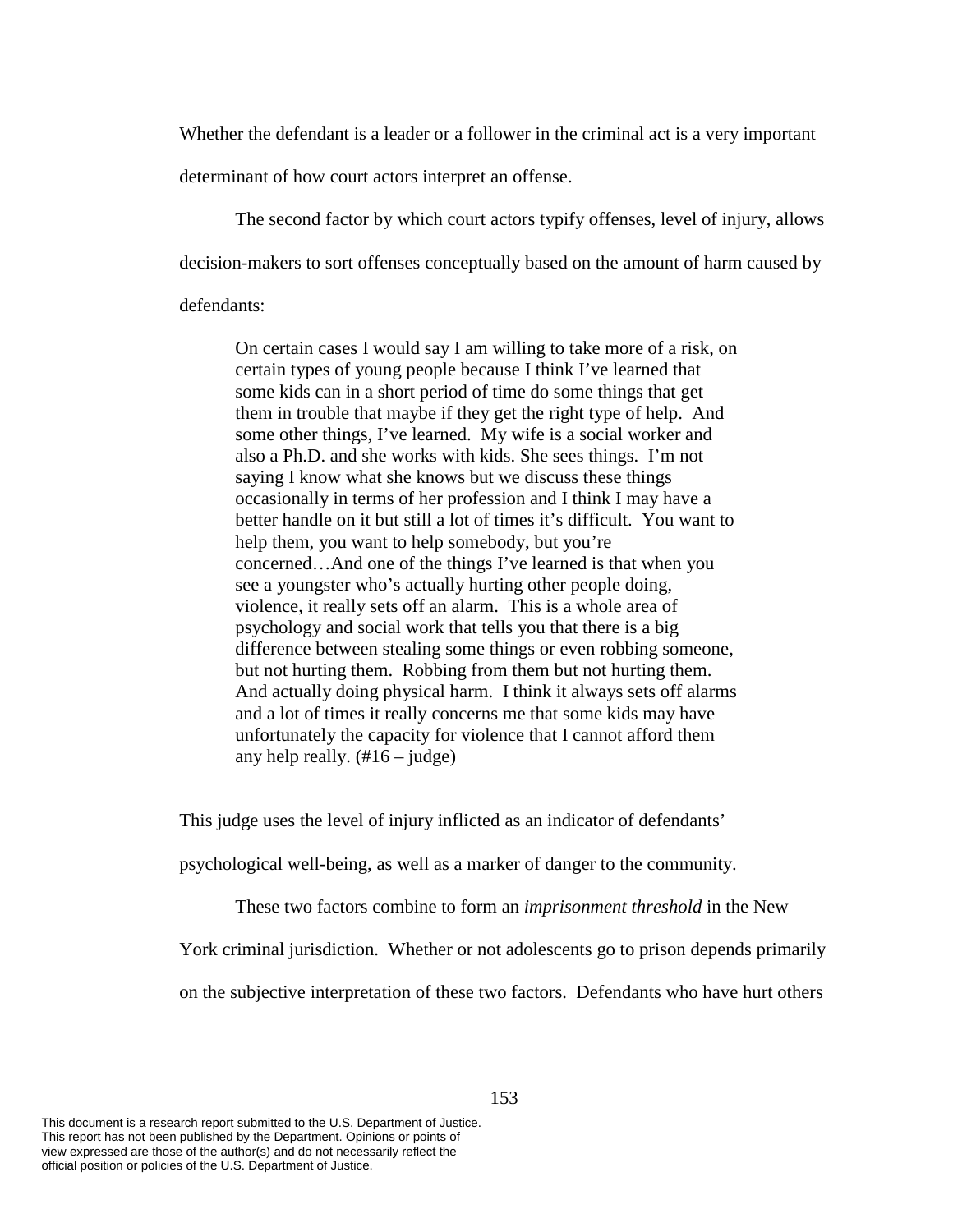Whether the defendant is a leader or a follower in the criminal act is a very important

determinant of how court actors interpret an offense.

The second factor by which court actors typify offenses, level of injury, allows decision-makers to sort offenses conceptually based on the amount of harm caused by

defendants:

On certain cases I would say I am willing to take more of a risk, on certain types of young people because I think I've learned that some kids can in a short period of time do some things that get them in trouble that maybe if they get the right type of help. And some other things, I've learned. My wife is a social worker and also a Ph.D. and she works with kids. She sees things. I'm not saying I know what she knows but we discuss these things occasionally in terms of her profession and I think I may have a better handle on it but still a lot of times it's difficult. You want to help them, you want to help somebody, but you're concerned…And one of the things I've learned is that when you see a youngster who's actually hurting other people doing, violence, it really sets off an alarm. This is a whole area of psychology and social work that tells you that there is a big difference between stealing some things or even robbing someone, but not hurting them. Robbing from them but not hurting them. And actually doing physical harm. I think it always sets off alarms and a lot of times it really concerns me that some kids may have unfortunately the capacity for violence that I cannot afford them any help really. (#16 – judge)

This judge uses the level of injury inflicted as an indicator of defendants'

psychological well-being, as well as a marker of danger to the community.

These two factors combine to form an *imprisonment threshold* in the New

York criminal jurisdiction. Whether or not adolescents go to prison depends primarily

on the subjective interpretation of these two factors. Defendants who have hurt others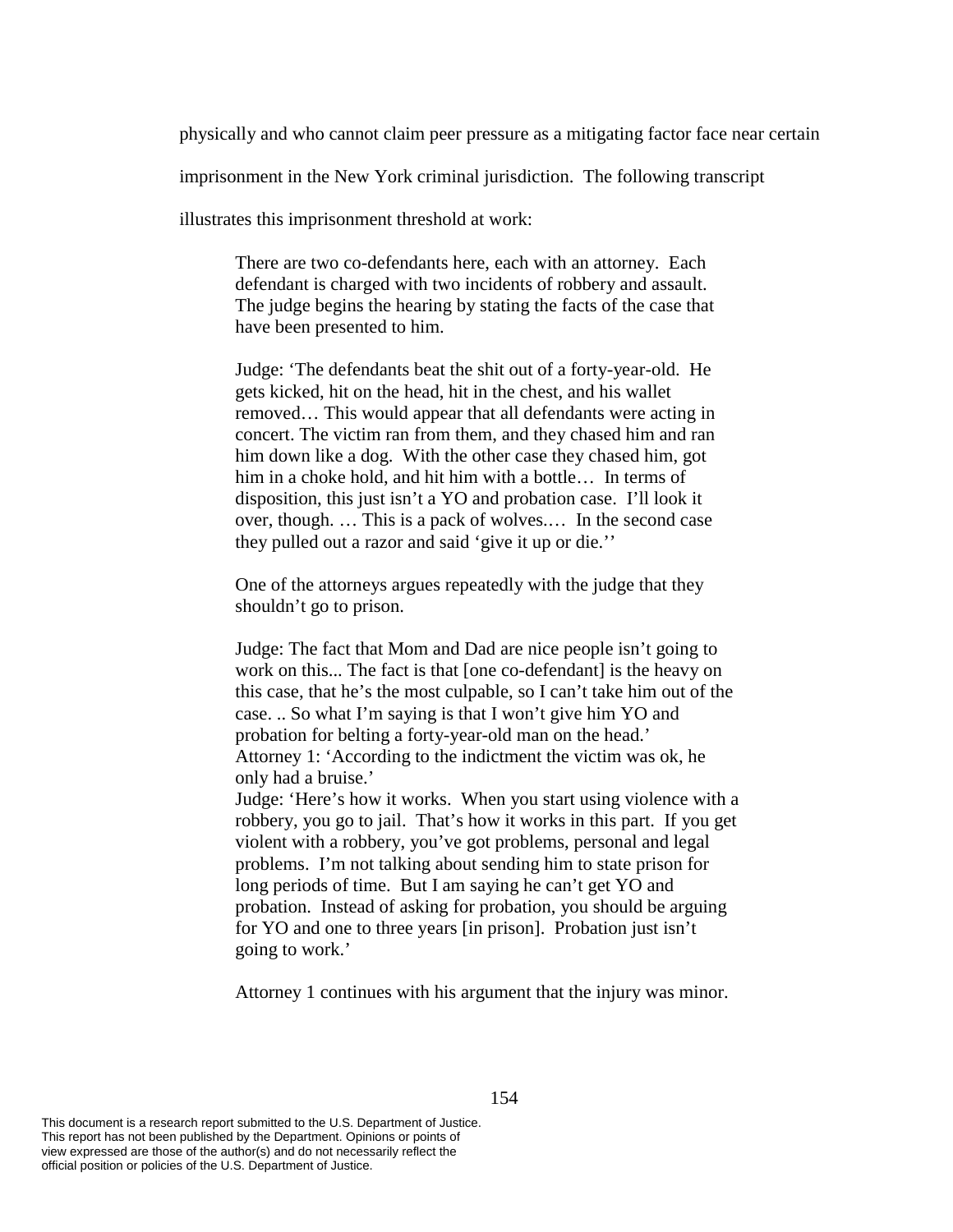physically and who cannot claim peer pressure as a mitigating factor face near certain

imprisonment in the New York criminal jurisdiction. The following transcript

illustrates this imprisonment threshold at work:

There are two co-defendants here, each with an attorney. Each defendant is charged with two incidents of robbery and assault. The judge begins the hearing by stating the facts of the case that have been presented to him.

Judge: 'The defendants beat the shit out of a forty-year-old. He gets kicked, hit on the head, hit in the chest, and his wallet removed… This would appear that all defendants were acting in concert. The victim ran from them, and they chased him and ran him down like a dog. With the other case they chased him, got him in a choke hold, and hit him with a bottle... In terms of disposition, this just isn't a YO and probation case. I'll look it over, though. … This is a pack of wolves.… In the second case they pulled out a razor and said 'give it up or die.''

One of the attorneys argues repeatedly with the judge that they shouldn't go to prison.

Judge: The fact that Mom and Dad are nice people isn't going to work on this... The fact is that [one co-defendant] is the heavy on this case, that he's the most culpable, so I can't take him out of the case. .. So what I'm saying is that I won't give him YO and probation for belting a forty-year-old man on the head.' Attorney 1: 'According to the indictment the victim was ok, he only had a bruise.'

Judge: 'Here's how it works. When you start using violence with a robbery, you go to jail. That's how it works in this part. If you get violent with a robbery, you've got problems, personal and legal problems. I'm not talking about sending him to state prison for long periods of time. But I am saying he can't get YO and probation. Instead of asking for probation, you should be arguing for YO and one to three years [in prison]. Probation just isn't going to work.'

Attorney 1 continues with his argument that the injury was minor.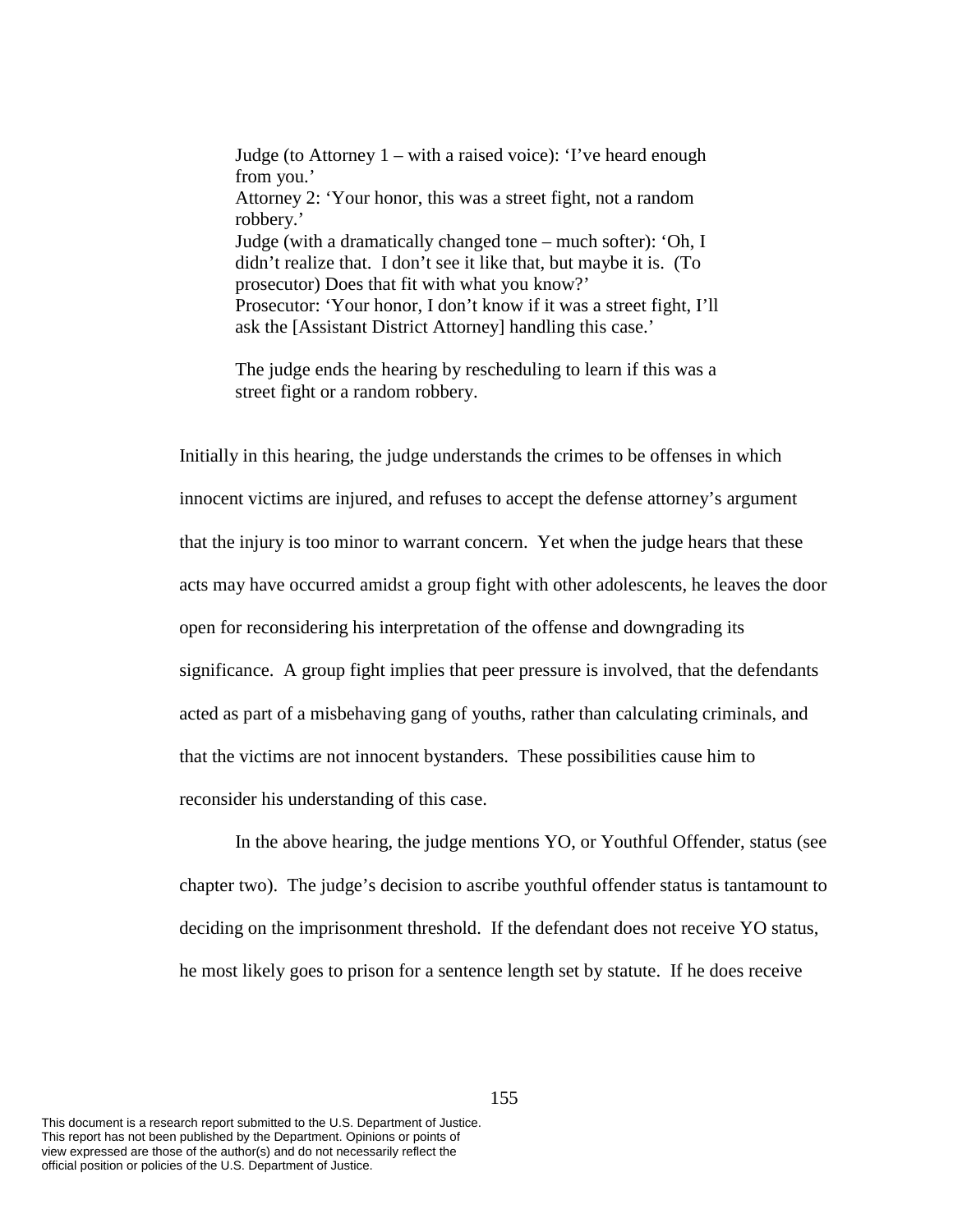Judge (to Attorney  $1 - \text{with a raised voice}$ ): 'I've heard enough from you.' Attorney 2: 'Your honor, this was a street fight, not a random robbery.' Judge (with a dramatically changed tone – much softer): 'Oh, I didn't realize that. I don't see it like that, but maybe it is. (To prosecutor) Does that fit with what you know?' Prosecutor: 'Your honor, I don't know if it was a street fight, I'll ask the [Assistant District Attorney] handling this case.'

The judge ends the hearing by rescheduling to learn if this was a street fight or a random robbery.

Initially in this hearing, the judge understands the crimes to be offenses in which innocent victims are injured, and refuses to accept the defense attorney's argument that the injury is too minor to warrant concern. Yet when the judge hears that these acts may have occurred amidst a group fight with other adolescents, he leaves the door open for reconsidering his interpretation of the offense and downgrading its significance. A group fight implies that peer pressure is involved, that the defendants acted as part of a misbehaving gang of youths, rather than calculating criminals, and that the victims are not innocent bystanders. These possibilities cause him to reconsider his understanding of this case.

In the above hearing, the judge mentions YO, or Youthful Offender, status (see chapter two). The judge's decision to ascribe youthful offender status is tantamount to deciding on the imprisonment threshold. If the defendant does not receive YO status, he most likely goes to prison for a sentence length set by statute. If he does receive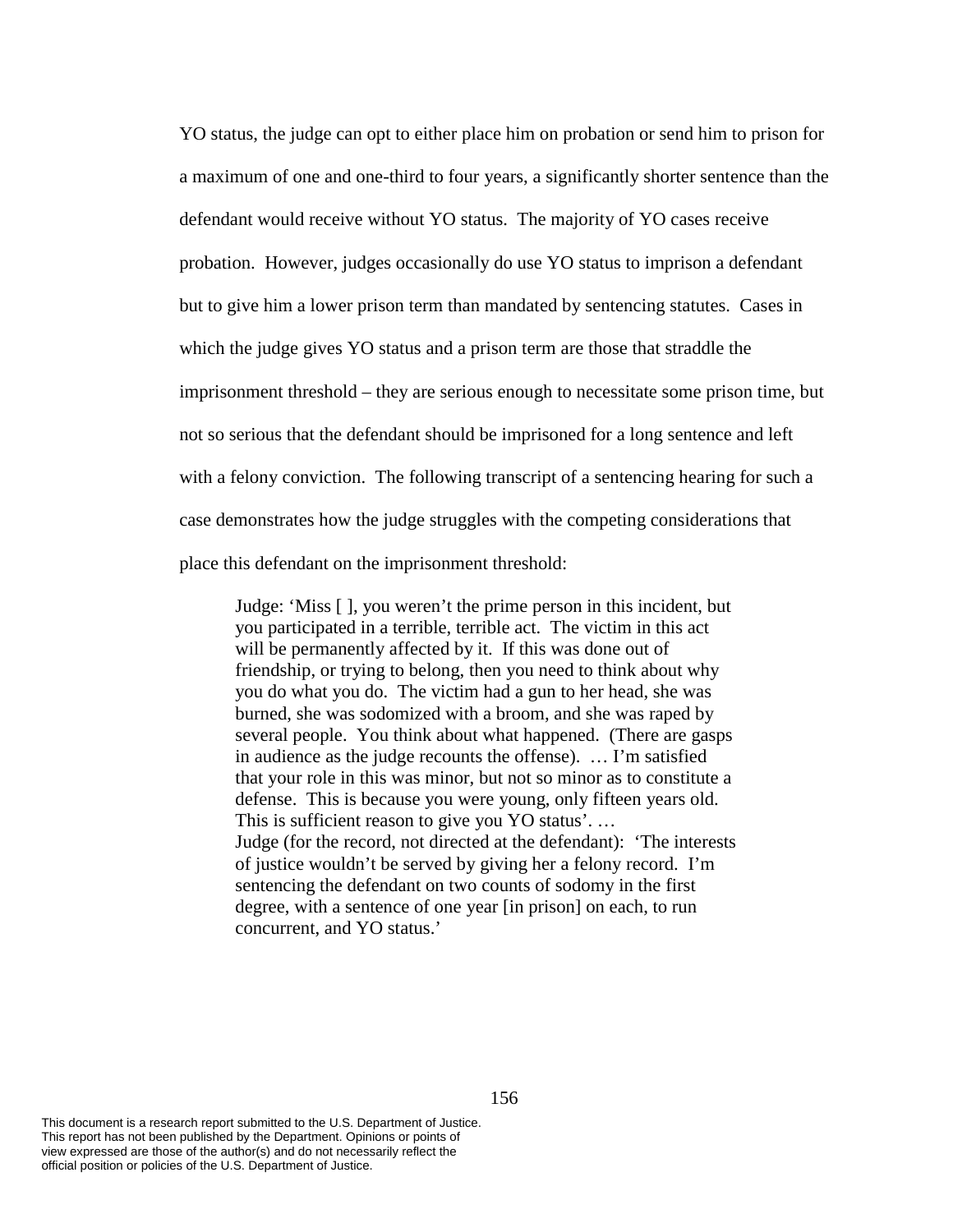YO status, the judge can opt to either place him on probation or send him to prison for a maximum of one and one-third to four years, a significantly shorter sentence than the defendant would receive without YO status. The majority of YO cases receive probation. However, judges occasionally do use YO status to imprison a defendant but to give him a lower prison term than mandated by sentencing statutes. Cases in which the judge gives YO status and a prison term are those that straddle the imprisonment threshold – they are serious enough to necessitate some prison time, but not so serious that the defendant should be imprisoned for a long sentence and left with a felony conviction. The following transcript of a sentencing hearing for such a case demonstrates how the judge struggles with the competing considerations that place this defendant on the imprisonment threshold:

Judge: 'Miss [ ], you weren't the prime person in this incident, but you participated in a terrible, terrible act. The victim in this act will be permanently affected by it. If this was done out of friendship, or trying to belong, then you need to think about why you do what you do. The victim had a gun to her head, she was burned, she was sodomized with a broom, and she was raped by several people. You think about what happened. (There are gasps in audience as the judge recounts the offense). … I'm satisfied that your role in this was minor, but not so minor as to constitute a defense. This is because you were young, only fifteen years old. This is sufficient reason to give you YO status'. … Judge (for the record, not directed at the defendant): 'The interests of justice wouldn't be served by giving her a felony record. I'm sentencing the defendant on two counts of sodomy in the first degree, with a sentence of one year [in prison] on each, to run concurrent, and YO status.'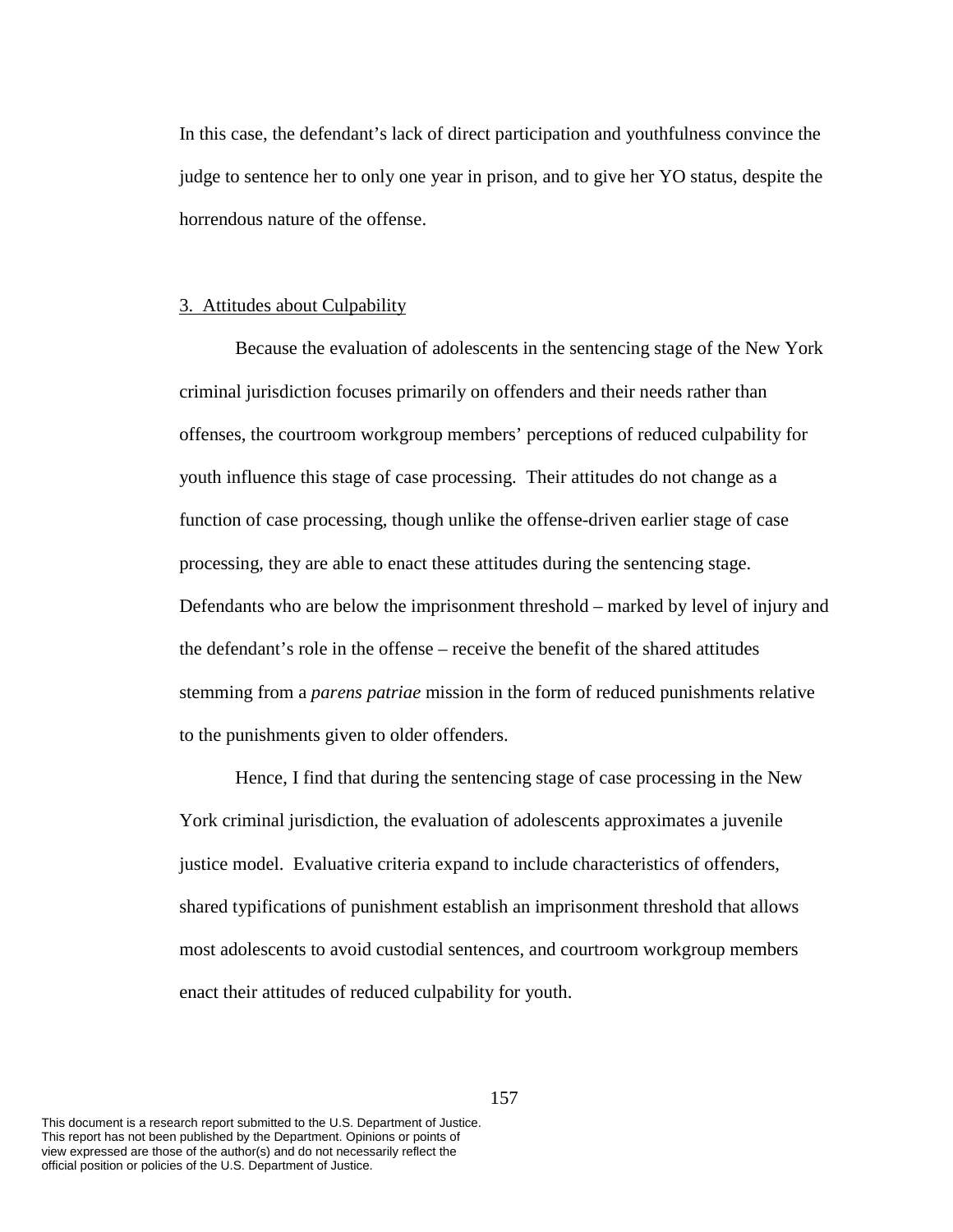In this case, the defendant's lack of direct participation and youthfulness convince the judge to sentence her to only one year in prison, and to give her YO status, despite the horrendous nature of the offense.

### 3. Attitudes about Culpability

Because the evaluation of adolescents in the sentencing stage of the New York criminal jurisdiction focuses primarily on offenders and their needs rather than offenses, the courtroom workgroup members' perceptions of reduced culpability for youth influence this stage of case processing. Their attitudes do not change as a function of case processing, though unlike the offense-driven earlier stage of case processing, they are able to enact these attitudes during the sentencing stage. Defendants who are below the imprisonment threshold – marked by level of injury and the defendant's role in the offense – receive the benefit of the shared attitudes stemming from a *parens patriae* mission in the form of reduced punishments relative to the punishments given to older offenders.

Hence, I find that during the sentencing stage of case processing in the New York criminal jurisdiction, the evaluation of adolescents approximates a juvenile justice model. Evaluative criteria expand to include characteristics of offenders, shared typifications of punishment establish an imprisonment threshold that allows most adolescents to avoid custodial sentences, and courtroom workgroup members enact their attitudes of reduced culpability for youth.

This document is a research report submitted to the U.S. Department of Justice. This report has not been published by the Department. Opinions or points of view expressed are those of the author(s) and do not necessarily reflect the official position or policies of the U.S. Department of Justice.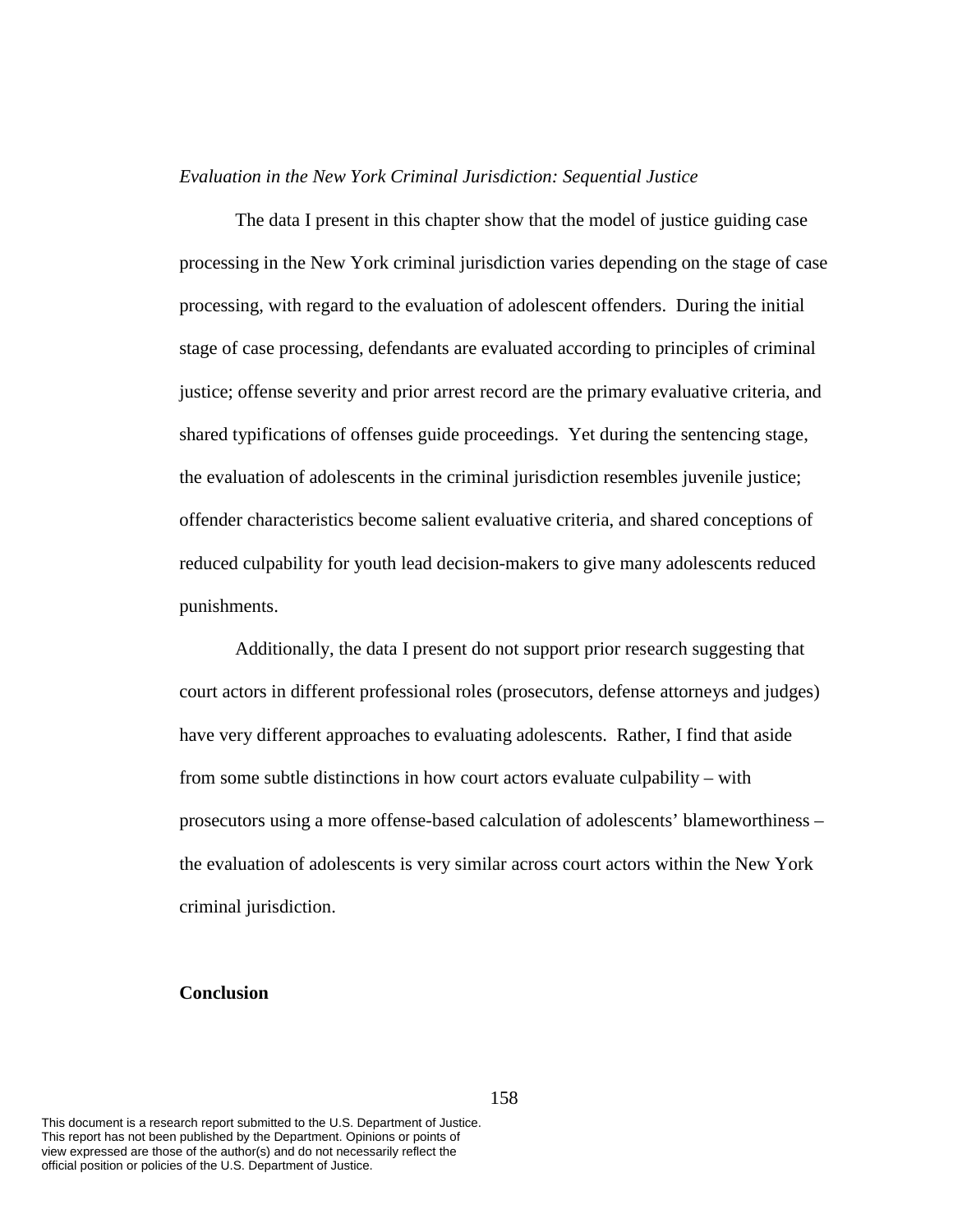#### *Evaluation in the New York Criminal Jurisdiction: Sequential Justice*

The data I present in this chapter show that the model of justice guiding case processing in the New York criminal jurisdiction varies depending on the stage of case processing, with regard to the evaluation of adolescent offenders. During the initial stage of case processing, defendants are evaluated according to principles of criminal justice; offense severity and prior arrest record are the primary evaluative criteria, and shared typifications of offenses guide proceedings. Yet during the sentencing stage, the evaluation of adolescents in the criminal jurisdiction resembles juvenile justice; offender characteristics become salient evaluative criteria, and shared conceptions of reduced culpability for youth lead decision-makers to give many adolescents reduced punishments.

Additionally, the data I present do not support prior research suggesting that court actors in different professional roles (prosecutors, defense attorneys and judges) have very different approaches to evaluating adolescents. Rather, I find that aside from some subtle distinctions in how court actors evaluate culpability – with prosecutors using a more offense-based calculation of adolescents' blameworthiness – the evaluation of adolescents is very similar across court actors within the New York criminal jurisdiction.

## **Conclusion**

This document is a research report submitted to the U.S. Department of Justice. This report has not been published by the Department. Opinions or points of view expressed are those of the author(s) and do not necessarily reflect the official position or policies of the U.S. Department of Justice.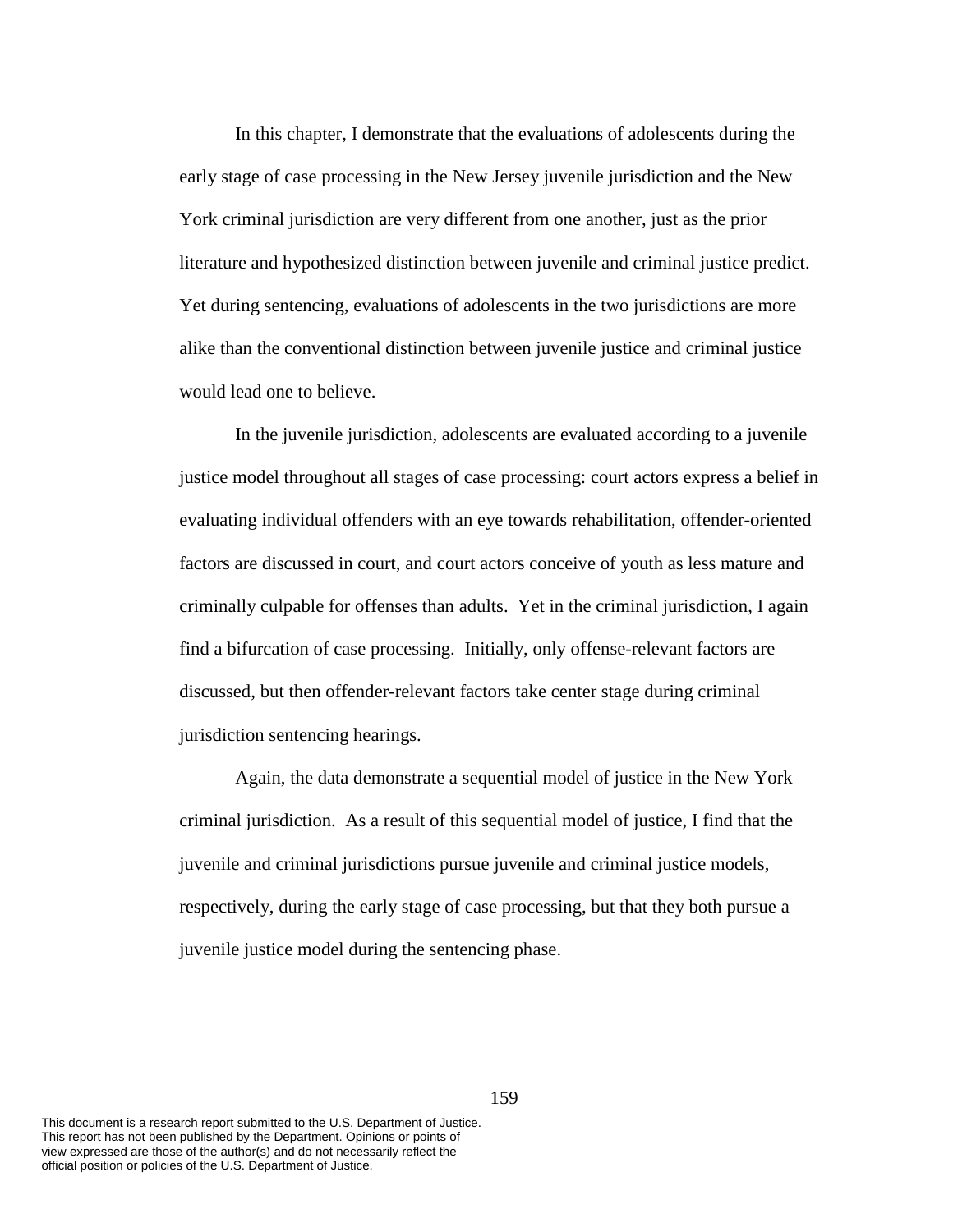In this chapter, I demonstrate that the evaluations of adolescents during the early stage of case processing in the New Jersey juvenile jurisdiction and the New York criminal jurisdiction are very different from one another, just as the prior literature and hypothesized distinction between juvenile and criminal justice predict. Yet during sentencing, evaluations of adolescents in the two jurisdictions are more alike than the conventional distinction between juvenile justice and criminal justice would lead one to believe.

In the juvenile jurisdiction, adolescents are evaluated according to a juvenile justice model throughout all stages of case processing: court actors express a belief in evaluating individual offenders with an eye towards rehabilitation, offender-oriented factors are discussed in court, and court actors conceive of youth as less mature and criminally culpable for offenses than adults. Yet in the criminal jurisdiction, I again find a bifurcation of case processing. Initially, only offense-relevant factors are discussed, but then offender-relevant factors take center stage during criminal jurisdiction sentencing hearings.

Again, the data demonstrate a sequential model of justice in the New York criminal jurisdiction. As a result of this sequential model of justice, I find that the juvenile and criminal jurisdictions pursue juvenile and criminal justice models, respectively, during the early stage of case processing, but that they both pursue a juvenile justice model during the sentencing phase.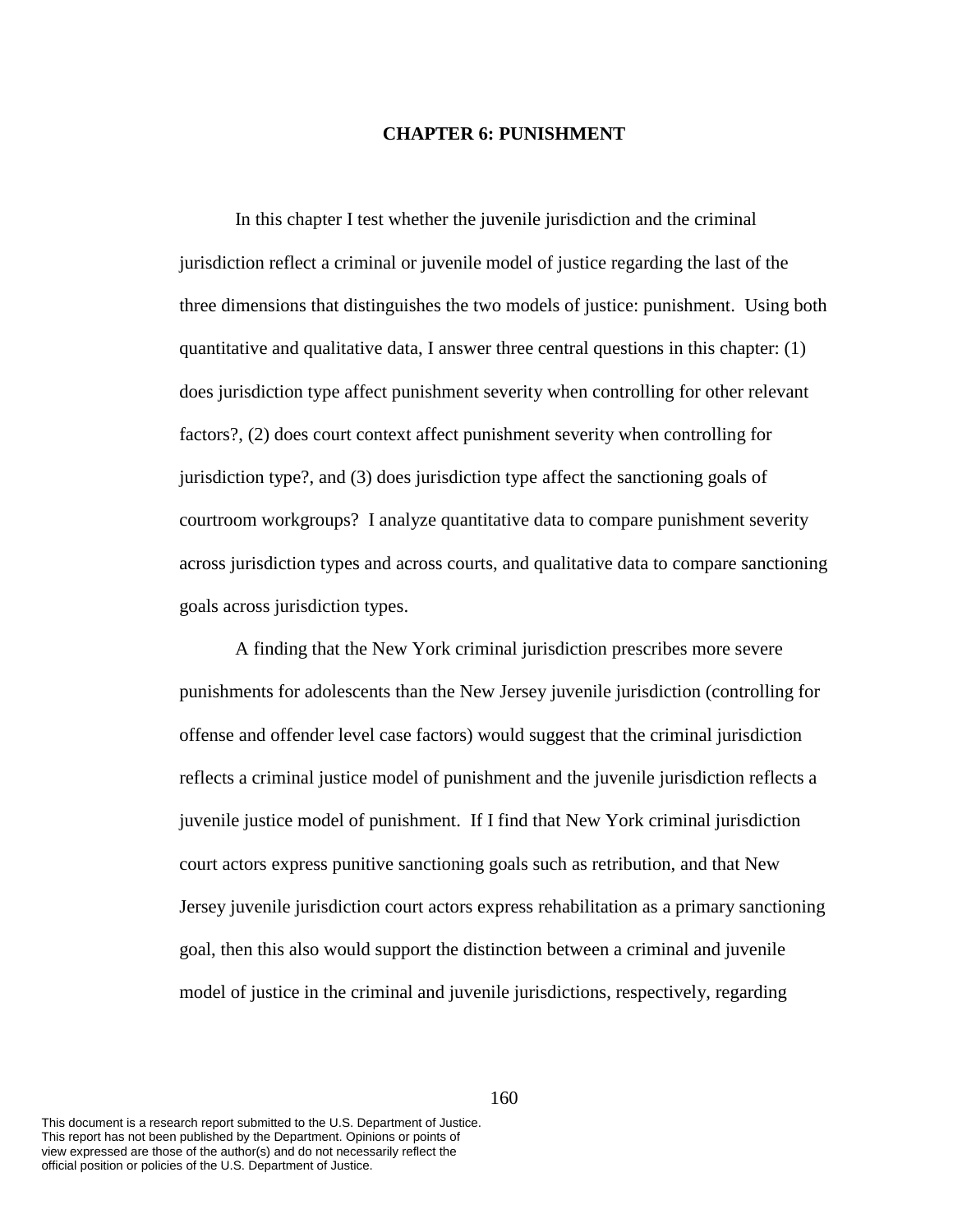### **CHAPTER 6: PUNISHMENT**

In this chapter I test whether the juvenile jurisdiction and the criminal jurisdiction reflect a criminal or juvenile model of justice regarding the last of the three dimensions that distinguishes the two models of justice: punishment. Using both quantitative and qualitative data, I answer three central questions in this chapter:  $(1)$ does jurisdiction type affect punishment severity when controlling for other relevant factors?, (2) does court context affect punishment severity when controlling for jurisdiction type?, and (3) does jurisdiction type affect the sanctioning goals of courtroom workgroups? I analyze quantitative data to compare punishment severity across jurisdiction types and across courts, and qualitative data to compare sanctioning goals across jurisdiction types.

A finding that the New York criminal jurisdiction prescribes more severe punishments for adolescents than the New Jersey juvenile jurisdiction (controlling for offense and offender level case factors) would suggest that the criminal jurisdiction reflects a criminal justice model of punishment and the juvenile jurisdiction reflects a juvenile justice model of punishment. If I find that New York criminal jurisdiction court actors express punitive sanctioning goals such as retribution, and that New Jersey juvenile jurisdiction court actors express rehabilitation as a primary sanctioning goal, then this also would support the distinction between a criminal and juvenile model of justice in the criminal and juvenile jurisdictions, respectively, regarding

This document is a research report submitted to the U.S. Department of Justice. This report has not been published by the Department. Opinions or points of view expressed are those of the author(s) and do not necessarily reflect the official position or policies of the U.S. Department of Justice.

160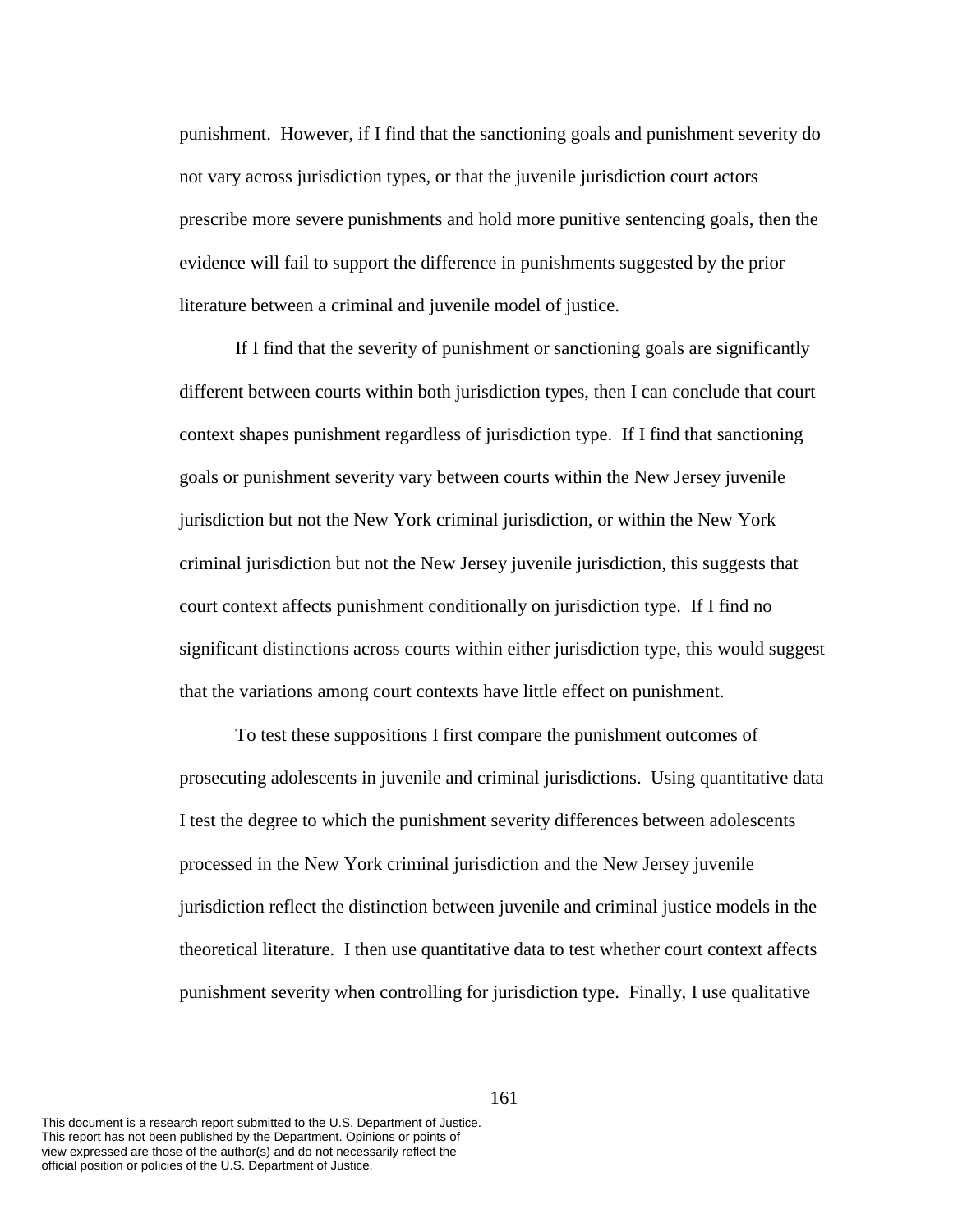punishment. However, if I find that the sanctioning goals and punishment severity do not vary across jurisdiction types, or that the juvenile jurisdiction court actors prescribe more severe punishments and hold more punitive sentencing goals, then the evidence will fail to support the difference in punishments suggested by the prior literature between a criminal and juvenile model of justice.

If I find that the severity of punishment or sanctioning goals are significantly different between courts within both jurisdiction types, then I can conclude that court context shapes punishment regardless of jurisdiction type. If I find that sanctioning goals or punishment severity vary between courts within the New Jersey juvenile jurisdiction but not the New York criminal jurisdiction, or within the New York criminal jurisdiction but not the New Jersey juvenile jurisdiction, this suggests that court context affects punishment conditionally on jurisdiction type. If I find no significant distinctions across courts within either jurisdiction type, this would suggest that the variations among court contexts have little effect on punishment.

To test these suppositions I first compare the punishment outcomes of prosecuting adolescents in juvenile and criminal jurisdictions. Using quantitative data I test the degree to which the punishment severity differences between adolescents processed in the New York criminal jurisdiction and the New Jersey juvenile jurisdiction reflect the distinction between juvenile and criminal justice models in the theoretical literature. I then use quantitative data to test whether court context affects punishment severity when controlling for jurisdiction type. Finally, I use qualitative

This document is a research report submitted to the U.S. Department of Justice. This report has not been published by the Department. Opinions or points of view expressed are those of the author(s) and do not necessarily reflect the official position or policies of the U.S. Department of Justice.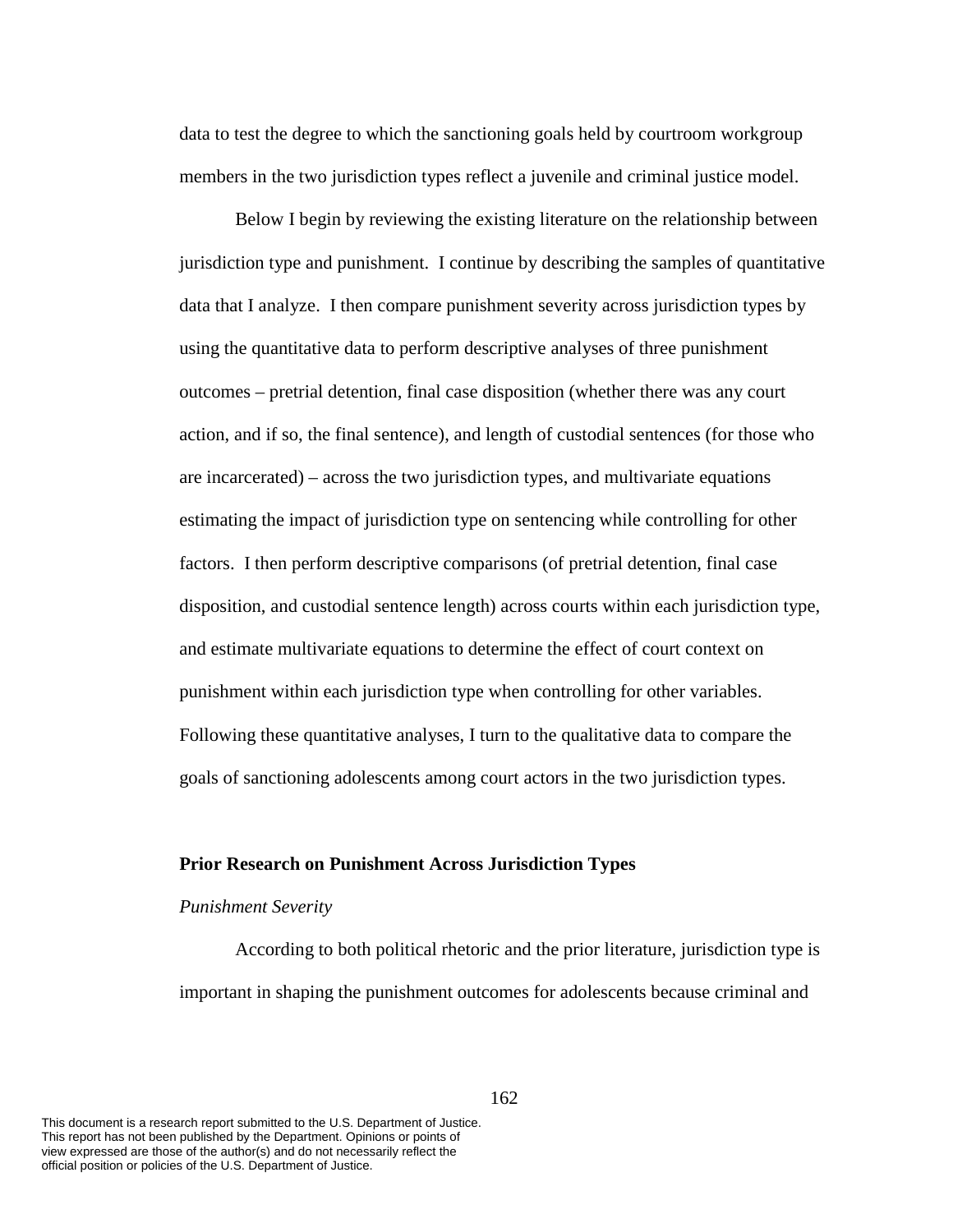data to test the degree to which the sanctioning goals held by courtroom workgroup members in the two jurisdiction types reflect a juvenile and criminal justice model.

Below I begin by reviewing the existing literature on the relationship between jurisdiction type and punishment. I continue by describing the samples of quantitative data that I analyze. I then compare punishment severity across jurisdiction types by using the quantitative data to perform descriptive analyses of three punishment outcomes – pretrial detention, final case disposition (whether there was any court action, and if so, the final sentence), and length of custodial sentences (for those who are incarcerated) – across the two jurisdiction types, and multivariate equations estimating the impact of jurisdiction type on sentencing while controlling for other factors. I then perform descriptive comparisons (of pretrial detention, final case disposition, and custodial sentence length) across courts within each jurisdiction type, and estimate multivariate equations to determine the effect of court context on punishment within each jurisdiction type when controlling for other variables. Following these quantitative analyses, I turn to the qualitative data to compare the goals of sanctioning adolescents among court actors in the two jurisdiction types.

### **Prior Research on Punishment Across Jurisdiction Types**

### *Punishment Severity*

According to both political rhetoric and the prior literature, jurisdiction type is important in shaping the punishment outcomes for adolescents because criminal and

This document is a research report submitted to the U.S. Department of Justice. This report has not been published by the Department. Opinions or points of view expressed are those of the author(s) and do not necessarily reflect the official position or policies of the U.S. Department of Justice.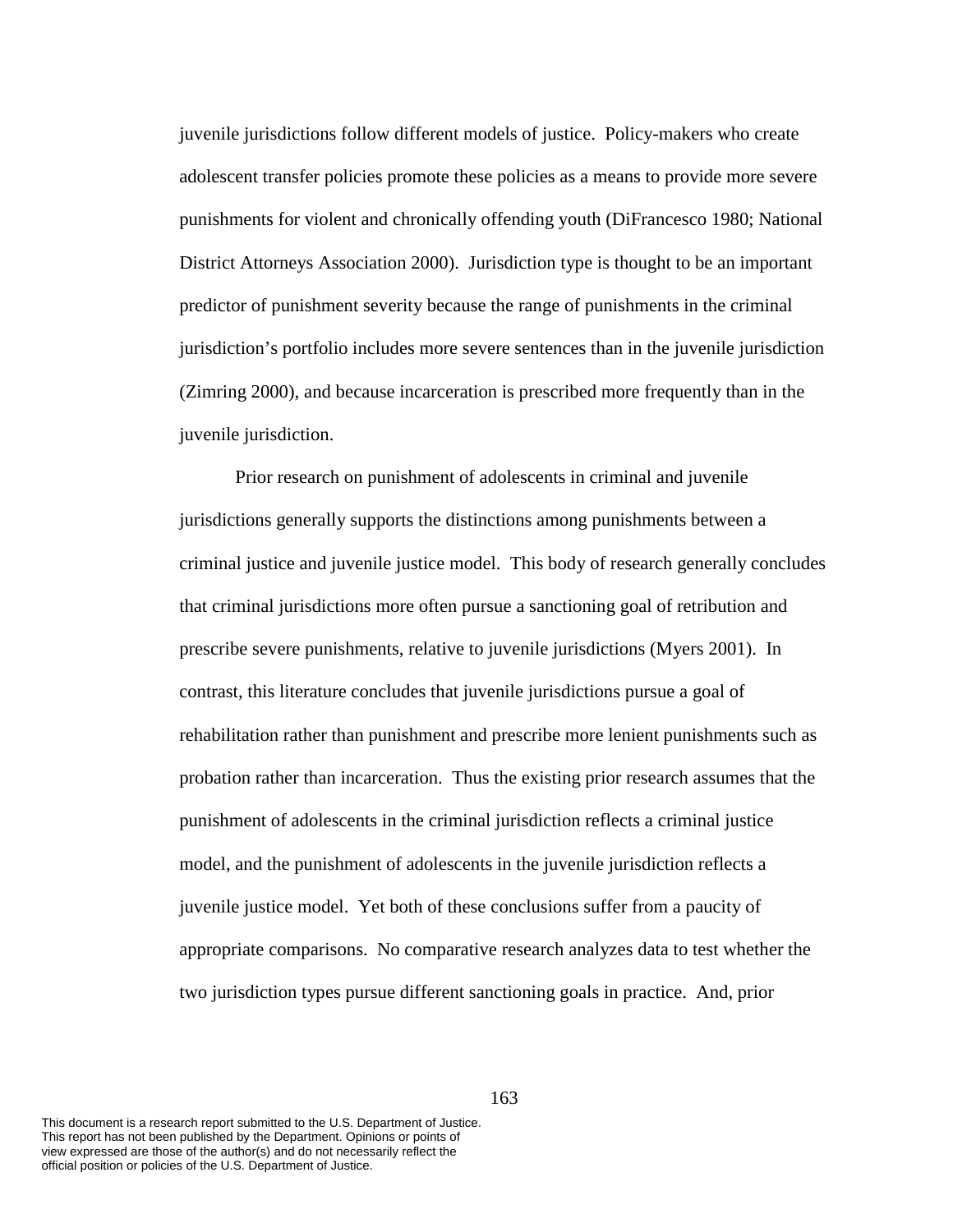juvenile jurisdictions follow different models of justice. Policy-makers who create adolescent transfer policies promote these policies as a means to provide more severe punishments for violent and chronically offending youth (DiFrancesco 1980; National District Attorneys Association 2000). Jurisdiction type is thought to be an important predictor of punishment severity because the range of punishments in the criminal jurisdiction's portfolio includes more severe sentences than in the juvenile jurisdiction (Zimring 2000), and because incarceration is prescribed more frequently than in the juvenile jurisdiction.

Prior research on punishment of adolescents in criminal and juvenile jurisdictions generally supports the distinctions among punishments between a criminal justice and juvenile justice model. This body of research generally concludes that criminal jurisdictions more often pursue a sanctioning goal of retribution and prescribe severe punishments, relative to juvenile jurisdictions (Myers 2001). In contrast, this literature concludes that juvenile jurisdictions pursue a goal of rehabilitation rather than punishment and prescribe more lenient punishments such as probation rather than incarceration. Thus the existing prior research assumes that the punishment of adolescents in the criminal jurisdiction reflects a criminal justice model, and the punishment of adolescents in the juvenile jurisdiction reflects a juvenile justice model. Yet both of these conclusions suffer from a paucity of appropriate comparisons. No comparative research analyzes data to test whether the two jurisdiction types pursue different sanctioning goals in practice. And, prior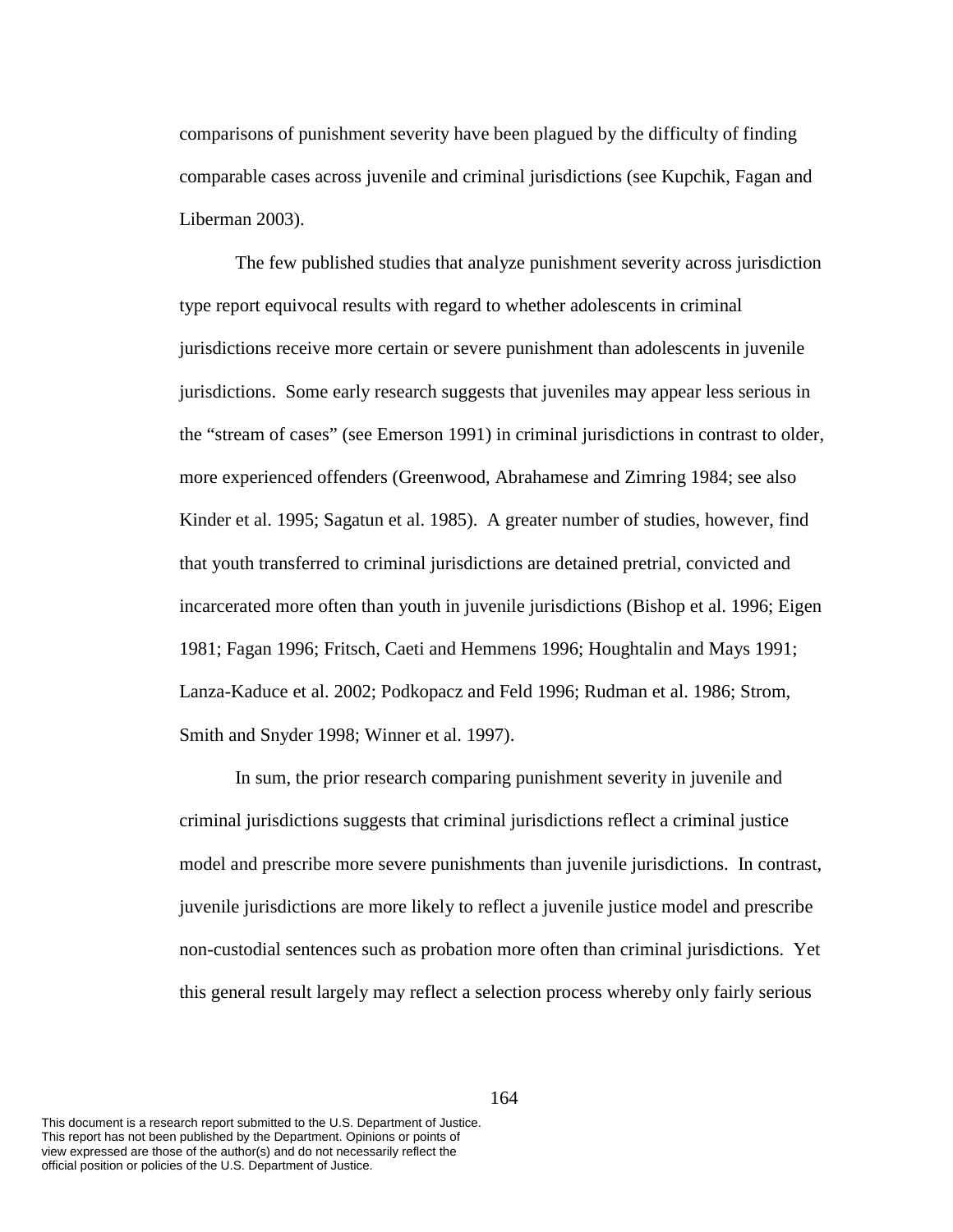comparisons of punishment severity have been plagued by the difficulty of finding comparable cases across juvenile and criminal jurisdictions (see Kupchik, Fagan and Liberman 2003).

The few published studies that analyze punishment severity across jurisdiction type report equivocal results with regard to whether adolescents in criminal jurisdictions receive more certain or severe punishment than adolescents in juvenile jurisdictions. Some early research suggests that juveniles may appear less serious in the "stream of cases" (see Emerson 1991) in criminal jurisdictions in contrast to older, more experienced offenders (Greenwood, Abrahamese and Zimring 1984; see also Kinder et al. 1995; Sagatun et al. 1985). A greater number of studies, however, find that youth transferred to criminal jurisdictions are detained pretrial, convicted and incarcerated more often than youth in juvenile jurisdictions (Bishop et al. 1996; Eigen 1981; Fagan 1996; Fritsch, Caeti and Hemmens 1996; Houghtalin and Mays 1991; Lanza-Kaduce et al. 2002; Podkopacz and Feld 1996; Rudman et al. 1986; Strom, Smith and Snyder 1998; Winner et al. 1997).

In sum, the prior research comparing punishment severity in juvenile and criminal jurisdictions suggests that criminal jurisdictions reflect a criminal justice model and prescribe more severe punishments than juvenile jurisdictions. In contrast, juvenile jurisdictions are more likely to reflect a juvenile justice model and prescribe non-custodial sentences such as probation more often than criminal jurisdictions. Yet this general result largely may reflect a selection process whereby only fairly serious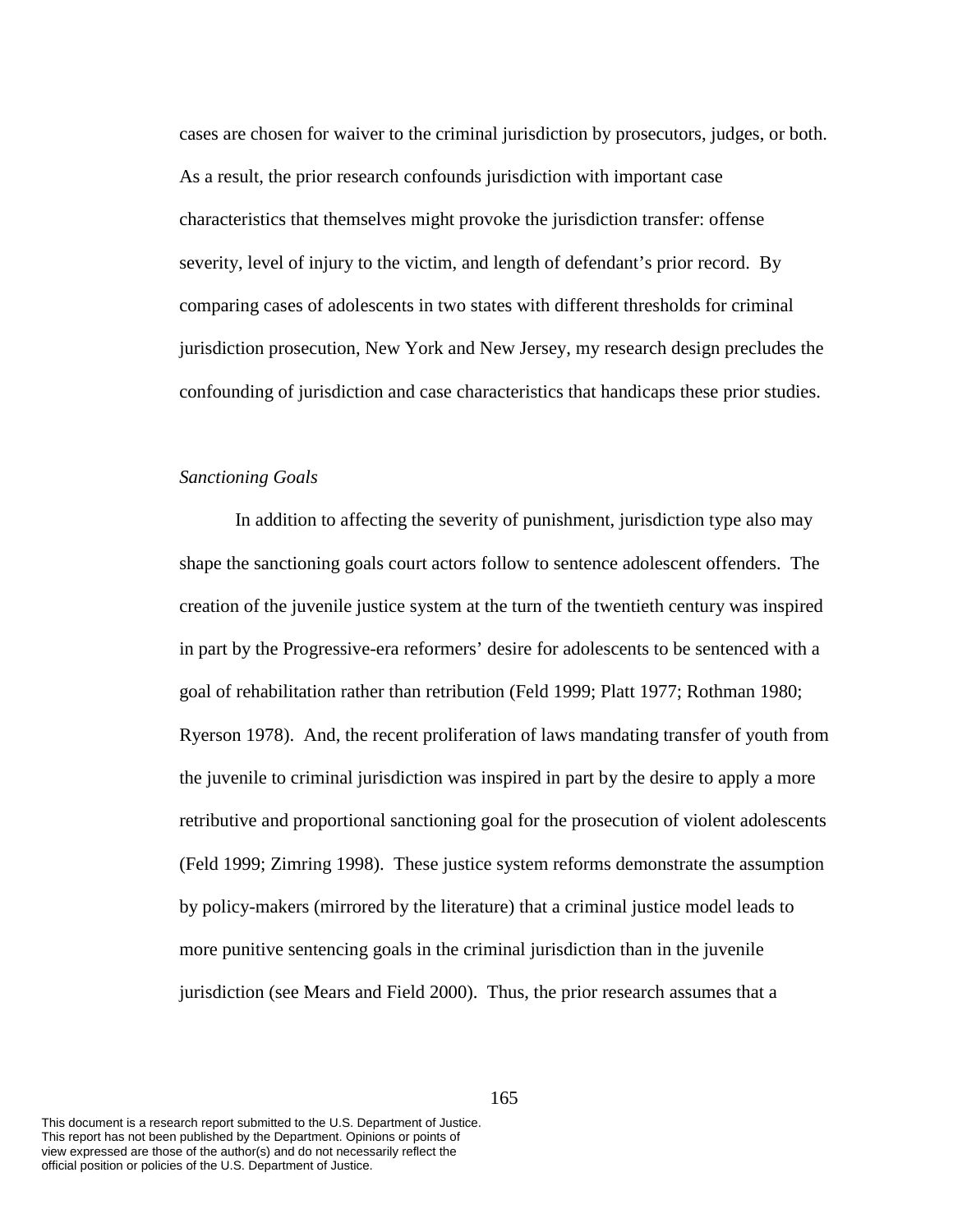cases are chosen for waiver to the criminal jurisdiction by prosecutors, judges, or both. As a result, the prior research confounds jurisdiction with important case characteristics that themselves might provoke the jurisdiction transfer: offense severity, level of injury to the victim, and length of defendant's prior record. By comparing cases of adolescents in two states with different thresholds for criminal jurisdiction prosecution, New York and New Jersey, my research design precludes the confounding of jurisdiction and case characteristics that handicaps these prior studies.

### *Sanctioning Goals*

In addition to affecting the severity of punishment, jurisdiction type also may shape the sanctioning goals court actors follow to sentence adolescent offenders. The creation of the juvenile justice system at the turn of the twentieth century was inspired in part by the Progressive-era reformers' desire for adolescents to be sentenced with a goal of rehabilitation rather than retribution (Feld 1999; Platt 1977; Rothman 1980; Ryerson 1978). And, the recent proliferation of laws mandating transfer of youth from the juvenile to criminal jurisdiction was inspired in part by the desire to apply a more retributive and proportional sanctioning goal for the prosecution of violent adolescents (Feld 1999; Zimring 1998). These justice system reforms demonstrate the assumption by policy-makers (mirrored by the literature) that a criminal justice model leads to more punitive sentencing goals in the criminal jurisdiction than in the juvenile jurisdiction (see Mears and Field 2000). Thus, the prior research assumes that a

This document is a research report submitted to the U.S. Department of Justice. This report has not been published by the Department. Opinions or points of view expressed are those of the author(s) and do not necessarily reflect the official position or policies of the U.S. Department of Justice.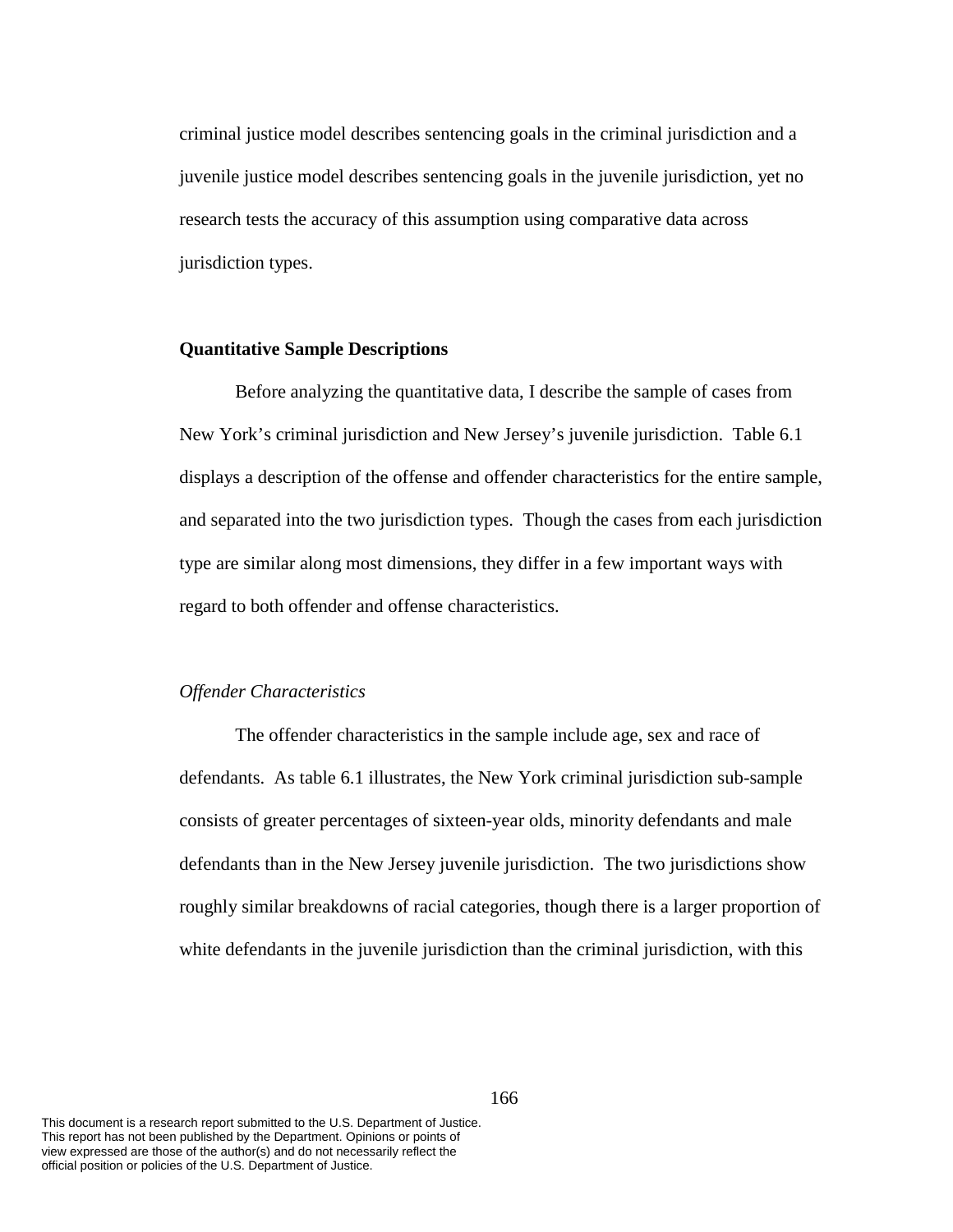criminal justice model describes sentencing goals in the criminal jurisdiction and a juvenile justice model describes sentencing goals in the juvenile jurisdiction, yet no research tests the accuracy of this assumption using comparative data across jurisdiction types.

### **Quantitative Sample Descriptions**

Before analyzing the quantitative data, I describe the sample of cases from New York's criminal jurisdiction and New Jersey's juvenile jurisdiction. Table 6.1 displays a description of the offense and offender characteristics for the entire sample, and separated into the two jurisdiction types. Though the cases from each jurisdiction type are similar along most dimensions, they differ in a few important ways with regard to both offender and offense characteristics.

## *Offender Characteristics*

The offender characteristics in the sample include age, sex and race of defendants. As table 6.1 illustrates, the New York criminal jurisdiction sub-sample consists of greater percentages of sixteen-year olds, minority defendants and male defendants than in the New Jersey juvenile jurisdiction. The two jurisdictions show roughly similar breakdowns of racial categories, though there is a larger proportion of white defendants in the juvenile jurisdiction than the criminal jurisdiction, with this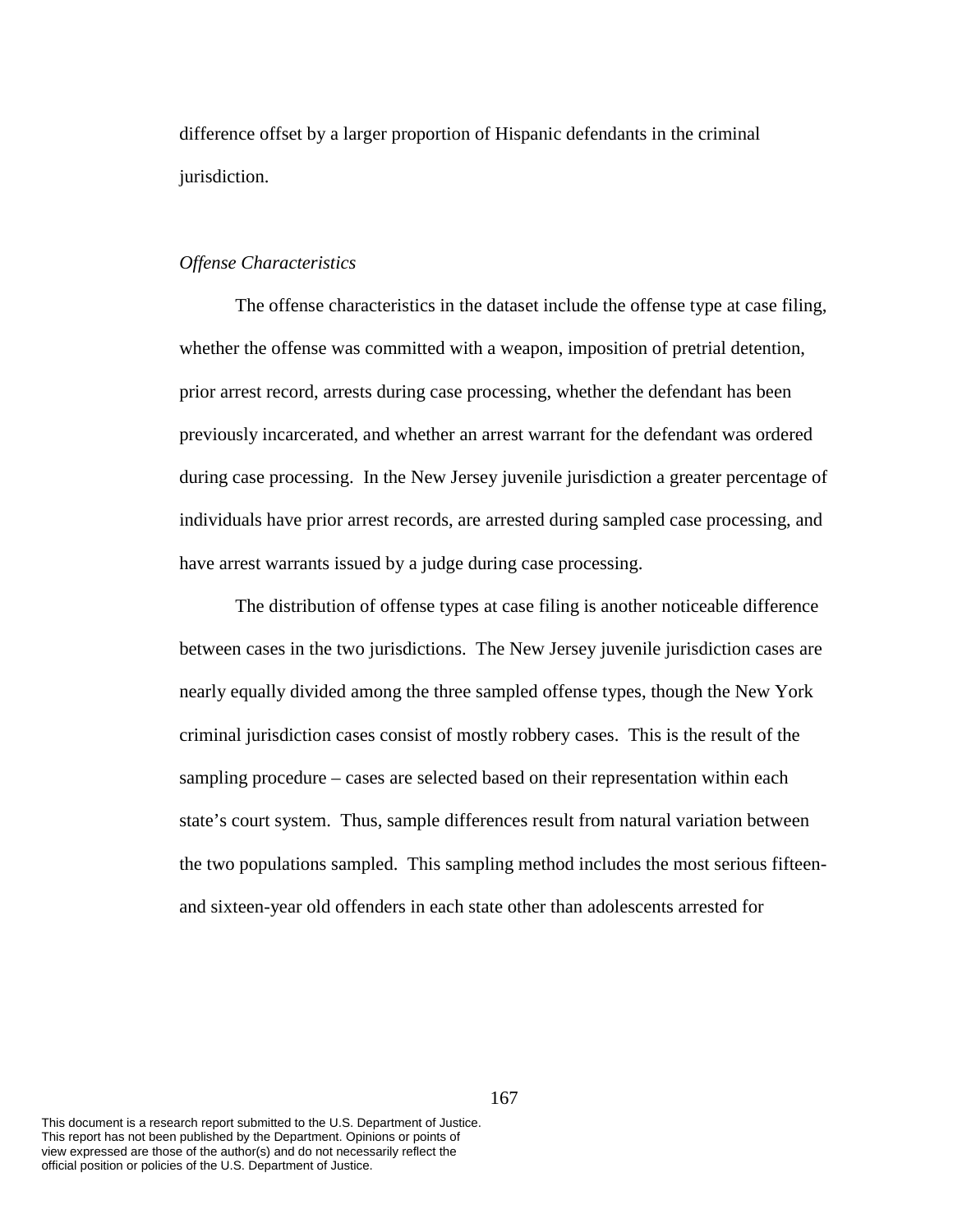difference offset by a larger proportion of Hispanic defendants in the criminal jurisdiction.

#### *Offense Characteristics*

The offense characteristics in the dataset include the offense type at case filing, whether the offense was committed with a weapon, imposition of pretrial detention, prior arrest record, arrests during case processing, whether the defendant has been previously incarcerated, and whether an arrest warrant for the defendant was ordered during case processing. In the New Jersey juvenile jurisdiction a greater percentage of individuals have prior arrest records, are arrested during sampled case processing, and have arrest warrants issued by a judge during case processing.

The distribution of offense types at case filing is another noticeable difference between cases in the two jurisdictions. The New Jersey juvenile jurisdiction cases are nearly equally divided among the three sampled offense types, though the New York criminal jurisdiction cases consist of mostly robbery cases. This is the result of the sampling procedure – cases are selected based on their representation within each state's court system. Thus, sample differences result from natural variation between the two populations sampled. This sampling method includes the most serious fifteenand sixteen-year old offenders in each state other than adolescents arrested for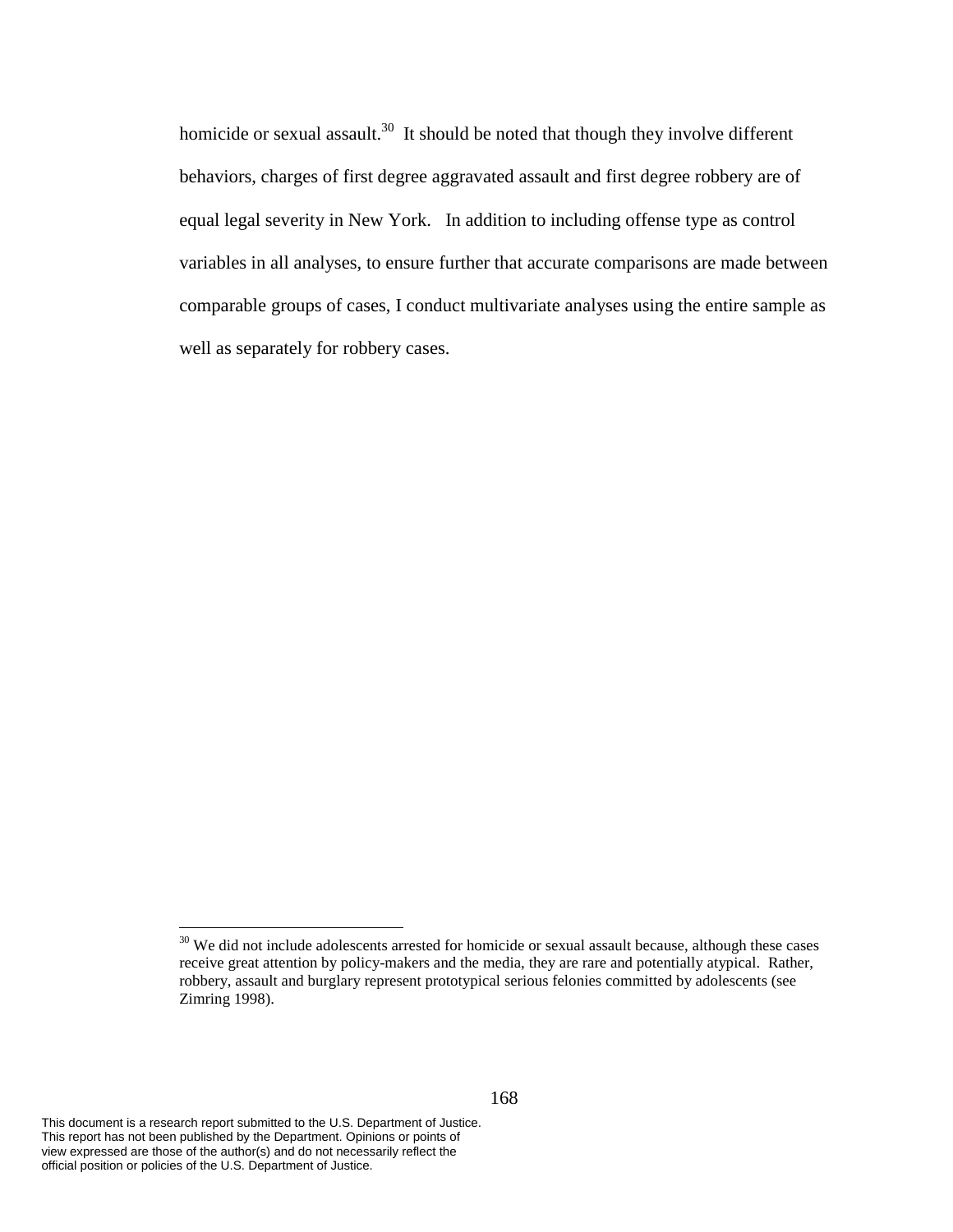homicide or sexual assault.<sup>30</sup> It should be noted that though they involve different behaviors, charges of first degree aggravated assault and first degree robbery are of equal legal severity in New York. In addition to including offense type as control variables in all analyses, to ensure further that accurate comparisons are made between comparable groups of cases, I conduct multivariate analyses using the entire sample as well as separately for robbery cases.

 $30$  We did not include adolescents arrested for homicide or sexual assault because, although these cases receive great attention by policy-makers and the media, they are rare and potentially atypical. Rather, robbery, assault and burglary represent prototypical serious felonies committed by adolescents (see Zimring 1998).

This document is a research report submitted to the U.S. Department of Justice. This report has not been published by the Department. Opinions or points of view expressed are those of the author(s) and do not necessarily reflect the official position or policies of the U.S. Department of Justice.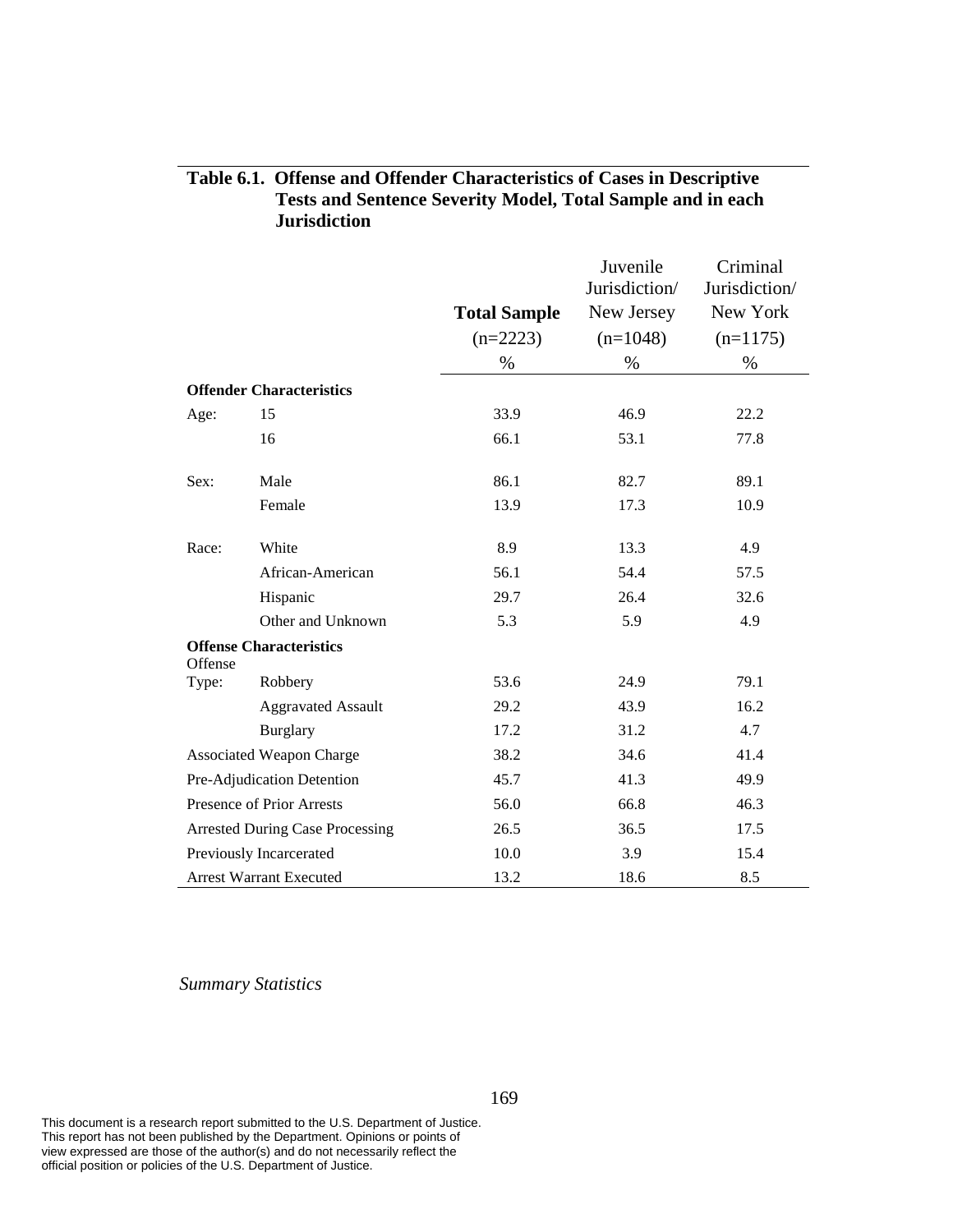|         |                                        | <b>Total Sample</b><br>$(n=2223)$ | Juvenile<br>Jurisdiction/<br>New Jersey<br>$(n=1048)$ | Criminal<br>Jurisdiction/<br>New York<br>$(n=1175)$ |
|---------|----------------------------------------|-----------------------------------|-------------------------------------------------------|-----------------------------------------------------|
|         |                                        | $\%$                              | %                                                     | %                                                   |
|         | <b>Offender Characteristics</b>        |                                   |                                                       |                                                     |
| Age:    | 15                                     | 33.9                              | 46.9                                                  | 22.2                                                |
|         | 16                                     | 66.1                              | 53.1                                                  | 77.8                                                |
| Sex:    | Male                                   | 86.1                              | 82.7                                                  | 89.1                                                |
|         | Female                                 | 13.9                              | 17.3                                                  | 10.9                                                |
| Race:   | White                                  | 8.9                               | 13.3                                                  | 4.9                                                 |
|         | African-American                       | 56.1                              | 54.4                                                  | 57.5                                                |
|         | Hispanic                               | 29.7                              | 26.4                                                  | 32.6                                                |
|         | Other and Unknown                      | 5.3                               | 5.9                                                   | 4.9                                                 |
| Offense | <b>Offense Characteristics</b>         |                                   |                                                       |                                                     |
| Type:   | Robbery                                | 53.6                              | 24.9                                                  | 79.1                                                |
|         | <b>Aggravated Assault</b>              | 29.2                              | 43.9                                                  | 16.2                                                |
|         | <b>Burglary</b>                        | 17.2                              | 31.2                                                  | 4.7                                                 |
|         | <b>Associated Weapon Charge</b>        | 38.2                              | 34.6                                                  | 41.4                                                |
|         | Pre-Adjudication Detention             | 45.7                              | 41.3                                                  | 49.9                                                |
|         | Presence of Prior Arrests              | 56.0                              | 66.8                                                  | 46.3                                                |
|         | <b>Arrested During Case Processing</b> | 26.5                              | 36.5                                                  | 17.5                                                |
|         | Previously Incarcerated                | 10.0                              | 3.9                                                   | 15.4                                                |
|         | <b>Arrest Warrant Executed</b>         | 13.2                              | 18.6                                                  | 8.5                                                 |

## **Table 6.1. Offense and Offender Characteristics of Cases in Descriptive Tests and Sentence Severity Model, Total Sample and in each Jurisdiction**

*Summary Statistics*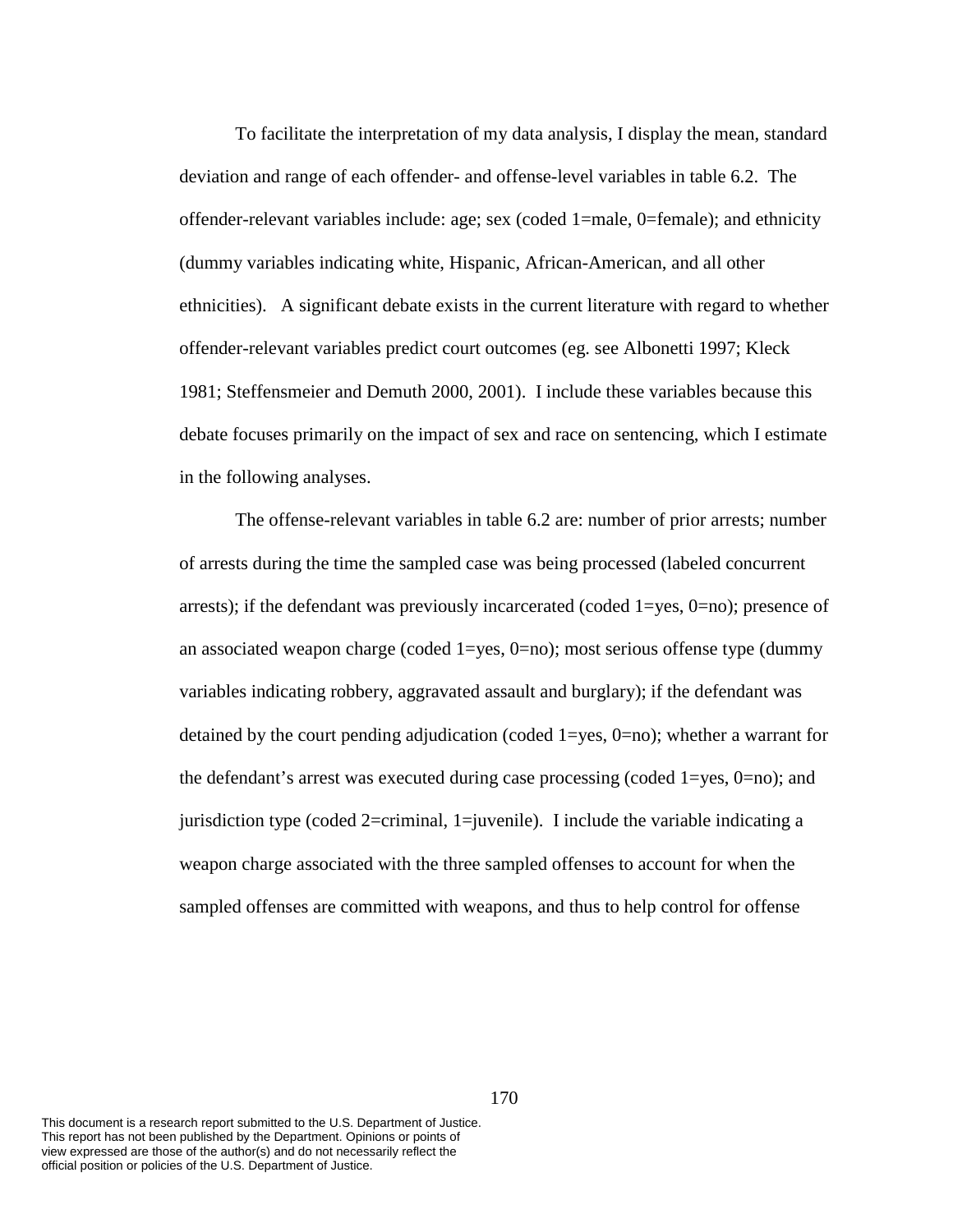To facilitate the interpretation of my data analysis, I display the mean, standard deviation and range of each offender- and offense-level variables in table 6.2. The offender-relevant variables include: age; sex (coded 1=male, 0=female); and ethnicity (dummy variables indicating white, Hispanic, African-American, and all other ethnicities). A significant debate exists in the current literature with regard to whether offender-relevant variables predict court outcomes (eg. see Albonetti 1997; Kleck 1981; Steffensmeier and Demuth 2000, 2001). I include these variables because this debate focuses primarily on the impact of sex and race on sentencing, which I estimate in the following analyses.

The offense-relevant variables in table 6.2 are: number of prior arrests; number of arrests during the time the sampled case was being processed (labeled concurrent arrests); if the defendant was previously incarcerated (coded 1=yes, 0=no); presence of an associated weapon charge (coded 1=yes, 0=no); most serious offense type (dummy variables indicating robbery, aggravated assault and burglary); if the defendant was detained by the court pending adjudication (coded 1=yes, 0=no); whether a warrant for the defendant's arrest was executed during case processing (coded 1=yes, 0=no); and jurisdiction type (coded 2=criminal, 1=juvenile). I include the variable indicating a weapon charge associated with the three sampled offenses to account for when the sampled offenses are committed with weapons, and thus to help control for offense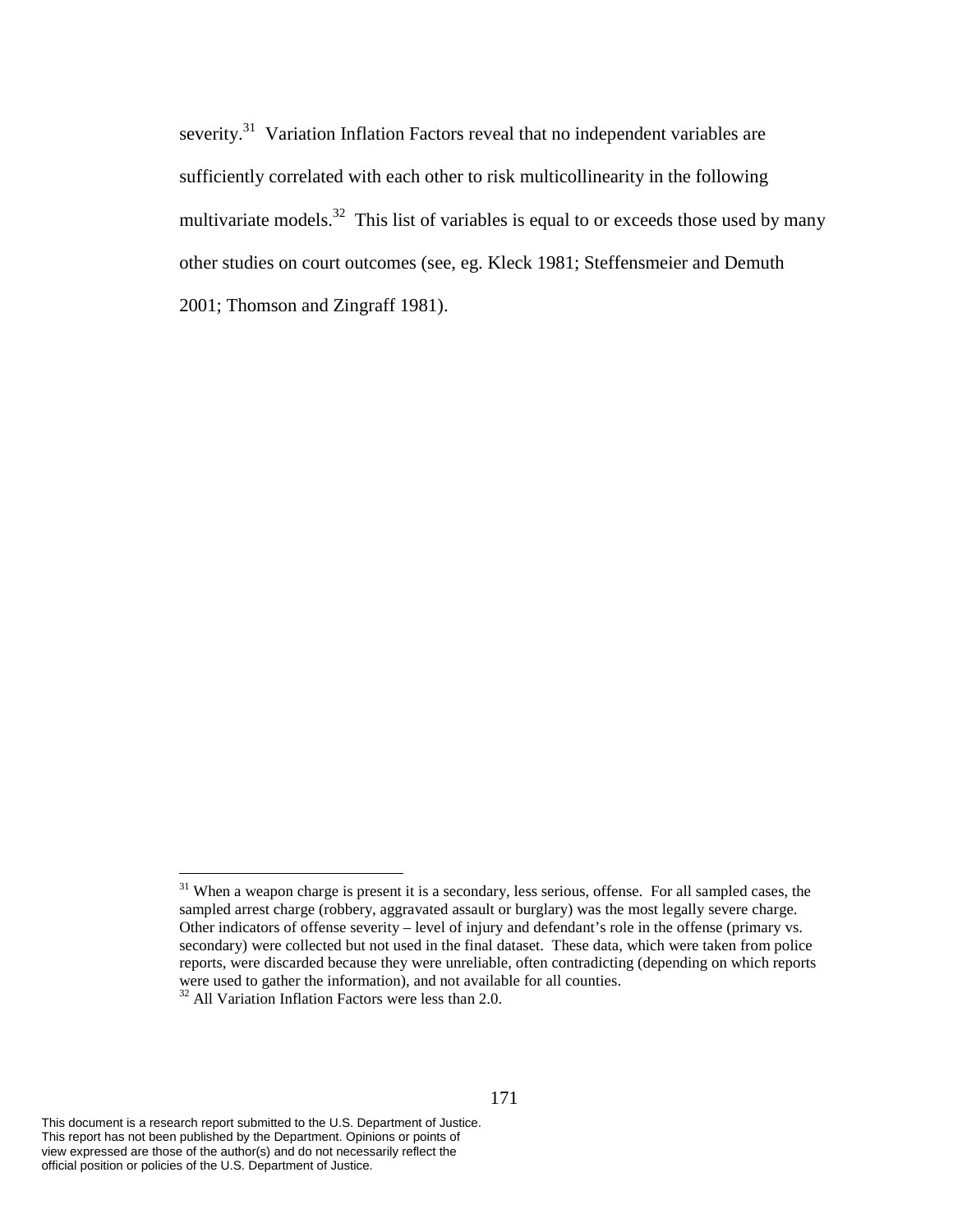severity.<sup>31</sup> Variation Inflation Factors reveal that no independent variables are sufficiently correlated with each other to risk multicollinearity in the following multivariate models.<sup>32</sup> This list of variables is equal to or exceeds those used by many other studies on court outcomes (see, eg. Kleck 1981; Steffensmeier and Demuth 2001; Thomson and Zingraff 1981).

<sup>&</sup>lt;sup>31</sup> When a weapon charge is present it is a secondary, less serious, offense. For all sampled cases, the sampled arrest charge (robbery, aggravated assault or burglary) was the most legally severe charge. Other indicators of offense severity – level of injury and defendant's role in the offense (primary vs. secondary) were collected but not used in the final dataset. These data, which were taken from police reports, were discarded because they were unreliable, often contradicting (depending on which reports were used to gather the information), and not available for all counties.

<sup>&</sup>lt;sup>32</sup> All Variation Inflation Factors were less than 2.0.

This document is a research report submitted to the U.S. Department of Justice. This report has not been published by the Department. Opinions or points of view expressed are those of the author(s) and do not necessarily reflect the official position or policies of the U.S. Department of Justice.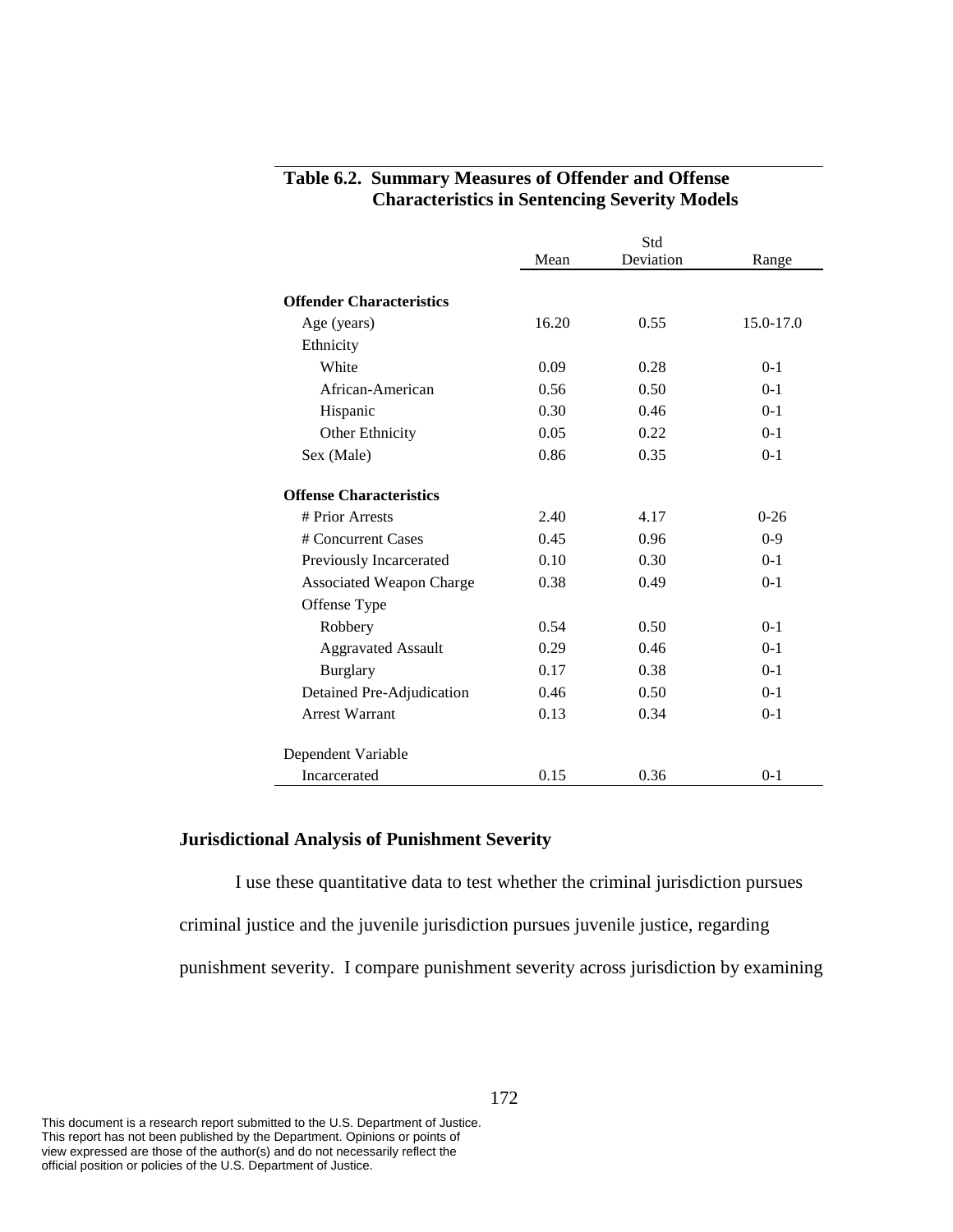|                                 |       | Std       |           |
|---------------------------------|-------|-----------|-----------|
|                                 | Mean  | Deviation | Range     |
| <b>Offender Characteristics</b> |       |           |           |
| Age (years)                     | 16.20 | 0.55      | 15.0-17.0 |
| Ethnicity                       |       |           |           |
| White                           | 0.09  | 0.28      | $0-1$     |
| African-American                | 0.56  | 0.50      | $0-1$     |
| Hispanic                        | 0.30  | 0.46      | $0-1$     |
| Other Ethnicity                 | 0.05  | 0.22      | $0-1$     |
| Sex (Male)                      | 0.86  | 0.35      | $0-1$     |
| <b>Offense Characteristics</b>  |       |           |           |
| # Prior Arrests                 | 2.40  | 4.17      | $0 - 26$  |
| # Concurrent Cases              | 0.45  | 0.96      | $0 - 9$   |
| Previously Incarcerated         | 0.10  | 0.30      | $0 - 1$   |
| <b>Associated Weapon Charge</b> | 0.38  | 0.49      | $0 - 1$   |
| Offense Type                    |       |           |           |
| Robbery                         | 0.54  | 0.50      | $0 - 1$   |
| <b>Aggravated Assault</b>       | 0.29  | 0.46      | $0-1$     |
| <b>Burglary</b>                 | 0.17  | 0.38      | $0-1$     |
| Detained Pre-Adjudication       | 0.46  | 0.50      | $0-1$     |
| <b>Arrest Warrant</b>           | 0.13  | 0.34      | $0 - 1$   |
| Dependent Variable              |       |           |           |
| Incarcerated                    | 0.15  | 0.36      | $0 - 1$   |

## **Table 6.2. Summary Measures of Offender and Offense Characteristics in Sentencing Severity Models**

## **Jurisdictional Analysis of Punishment Severity**

I use these quantitative data to test whether the criminal jurisdiction pursues criminal justice and the juvenile jurisdiction pursues juvenile justice, regarding punishment severity. I compare punishment severity across jurisdiction by examining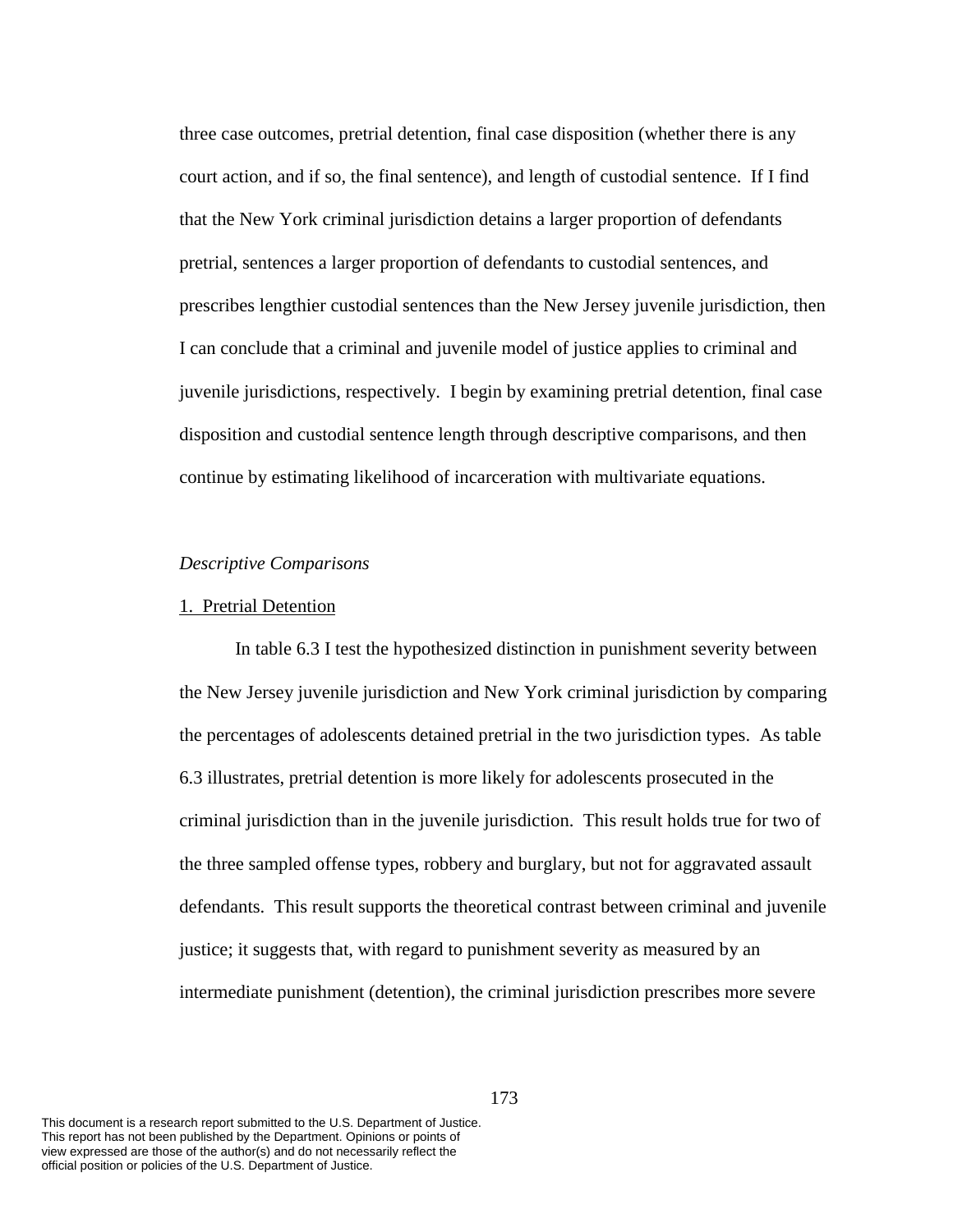three case outcomes, pretrial detention, final case disposition (whether there is any court action, and if so, the final sentence), and length of custodial sentence. If I find that the New York criminal jurisdiction detains a larger proportion of defendants pretrial, sentences a larger proportion of defendants to custodial sentences, and prescribes lengthier custodial sentences than the New Jersey juvenile jurisdiction, then I can conclude that a criminal and juvenile model of justice applies to criminal and juvenile jurisdictions, respectively. I begin by examining pretrial detention, final case disposition and custodial sentence length through descriptive comparisons, and then continue by estimating likelihood of incarceration with multivariate equations.

### *Descriptive Comparisons*

### 1. Pretrial Detention

In table 6.3 I test the hypothesized distinction in punishment severity between the New Jersey juvenile jurisdiction and New York criminal jurisdiction by comparing the percentages of adolescents detained pretrial in the two jurisdiction types. As table 6.3 illustrates, pretrial detention is more likely for adolescents prosecuted in the criminal jurisdiction than in the juvenile jurisdiction. This result holds true for two of the three sampled offense types, robbery and burglary, but not for aggravated assault defendants. This result supports the theoretical contrast between criminal and juvenile justice; it suggests that, with regard to punishment severity as measured by an intermediate punishment (detention), the criminal jurisdiction prescribes more severe

This document is a research report submitted to the U.S. Department of Justice. This report has not been published by the Department. Opinions or points of view expressed are those of the author(s) and do not necessarily reflect the official position or policies of the U.S. Department of Justice.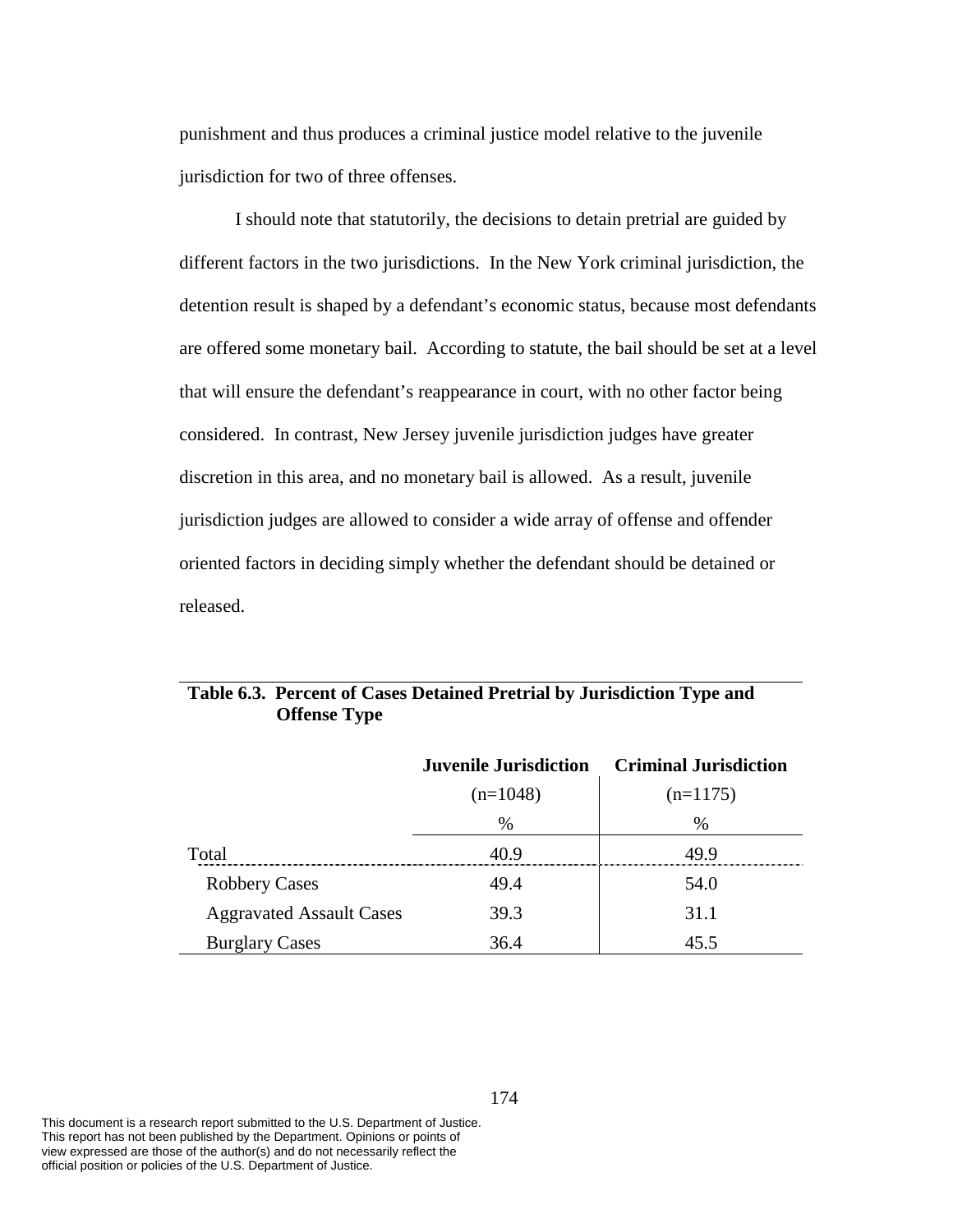punishment and thus produces a criminal justice model relative to the juvenile jurisdiction for two of three offenses.

I should note that statutorily, the decisions to detain pretrial are guided by different factors in the two jurisdictions. In the New York criminal jurisdiction, the detention result is shaped by a defendant's economic status, because most defendants are offered some monetary bail. According to statute, the bail should be set at a level that will ensure the defendant's reappearance in court, with no other factor being considered. In contrast, New Jersey juvenile jurisdiction judges have greater discretion in this area, and no monetary bail is allowed. As a result, juvenile jurisdiction judges are allowed to consider a wide array of offense and offender oriented factors in deciding simply whether the defendant should be detained or released.

# **Table 6.3. Percent of Cases Detained Pretrial by Jurisdiction Type and Offense Type**

|                                 | <b>Juvenile Jurisdiction</b> | <b>Criminal Jurisdiction</b> |
|---------------------------------|------------------------------|------------------------------|
|                                 | $(n=1048)$                   | $(n=1175)$                   |
|                                 | %                            | $\%$                         |
| Total                           | 40.9                         | 49.9                         |
| <b>Robbery Cases</b>            | 49.4                         | 54.0                         |
| <b>Aggravated Assault Cases</b> | 39.3                         | 31.1                         |
| Burglary<br>Cases               | 36.4                         | 45.5                         |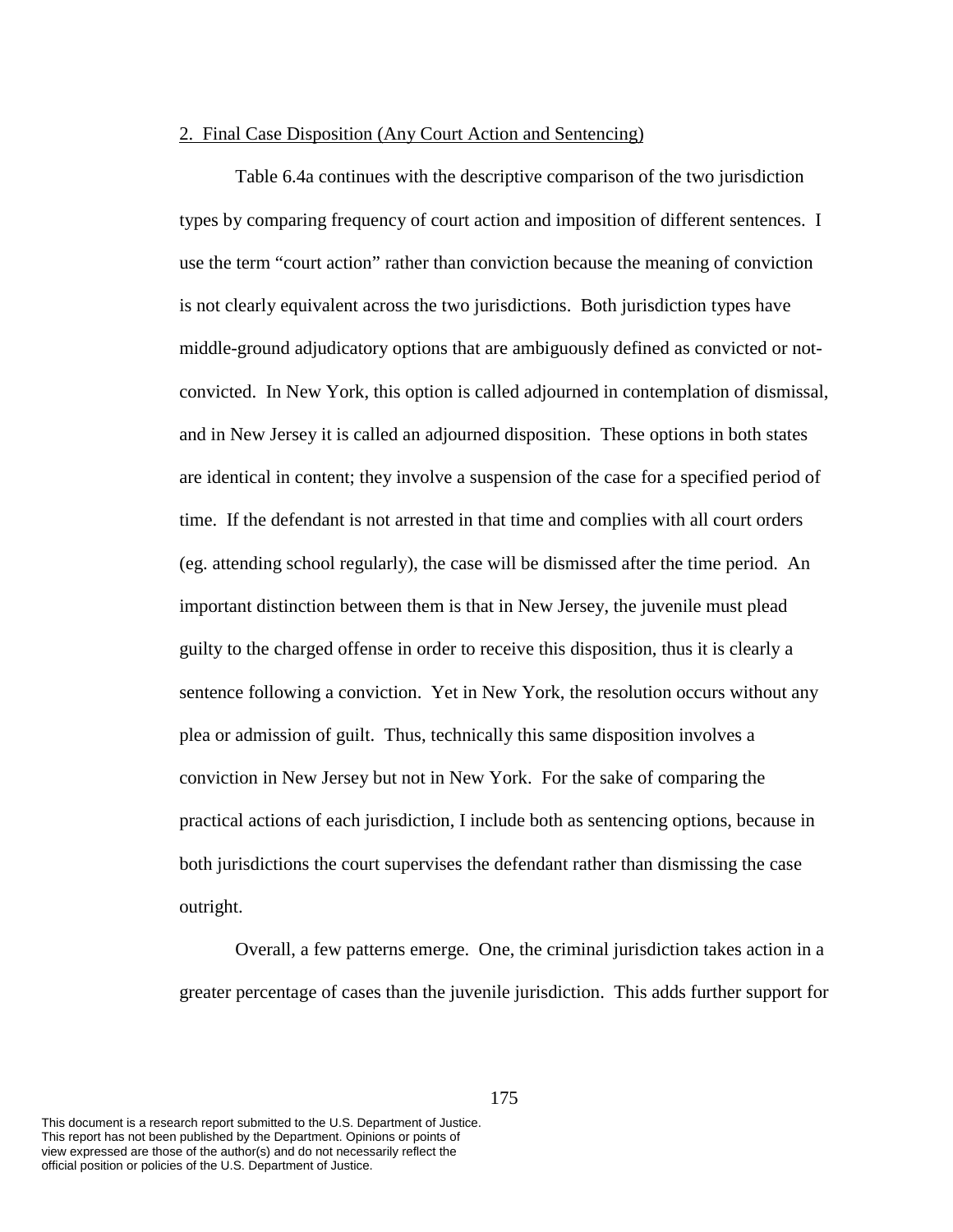#### 2. Final Case Disposition (Any Court Action and Sentencing)

Table 6.4a continues with the descriptive comparison of the two jurisdiction types by comparing frequency of court action and imposition of different sentences. I use the term "court action" rather than conviction because the meaning of conviction is not clearly equivalent across the two jurisdictions. Both jurisdiction types have middle-ground adjudicatory options that are ambiguously defined as convicted or notconvicted. In New York, this option is called adjourned in contemplation of dismissal, and in New Jersey it is called an adjourned disposition. These options in both states are identical in content; they involve a suspension of the case for a specified period of time. If the defendant is not arrested in that time and complies with all court orders (eg. attending school regularly), the case will be dismissed after the time period. An important distinction between them is that in New Jersey, the juvenile must plead guilty to the charged offense in order to receive this disposition, thus it is clearly a sentence following a conviction. Yet in New York, the resolution occurs without any plea or admission of guilt. Thus, technically this same disposition involves a conviction in New Jersey but not in New York. For the sake of comparing the practical actions of each jurisdiction, I include both as sentencing options, because in both jurisdictions the court supervises the defendant rather than dismissing the case outright.

Overall, a few patterns emerge. One, the criminal jurisdiction takes action in a greater percentage of cases than the juvenile jurisdiction. This adds further support for

This document is a research report submitted to the U.S. Department of Justice. This report has not been published by the Department. Opinions or points of view expressed are those of the author(s) and do not necessarily reflect the official position or policies of the U.S. Department of Justice.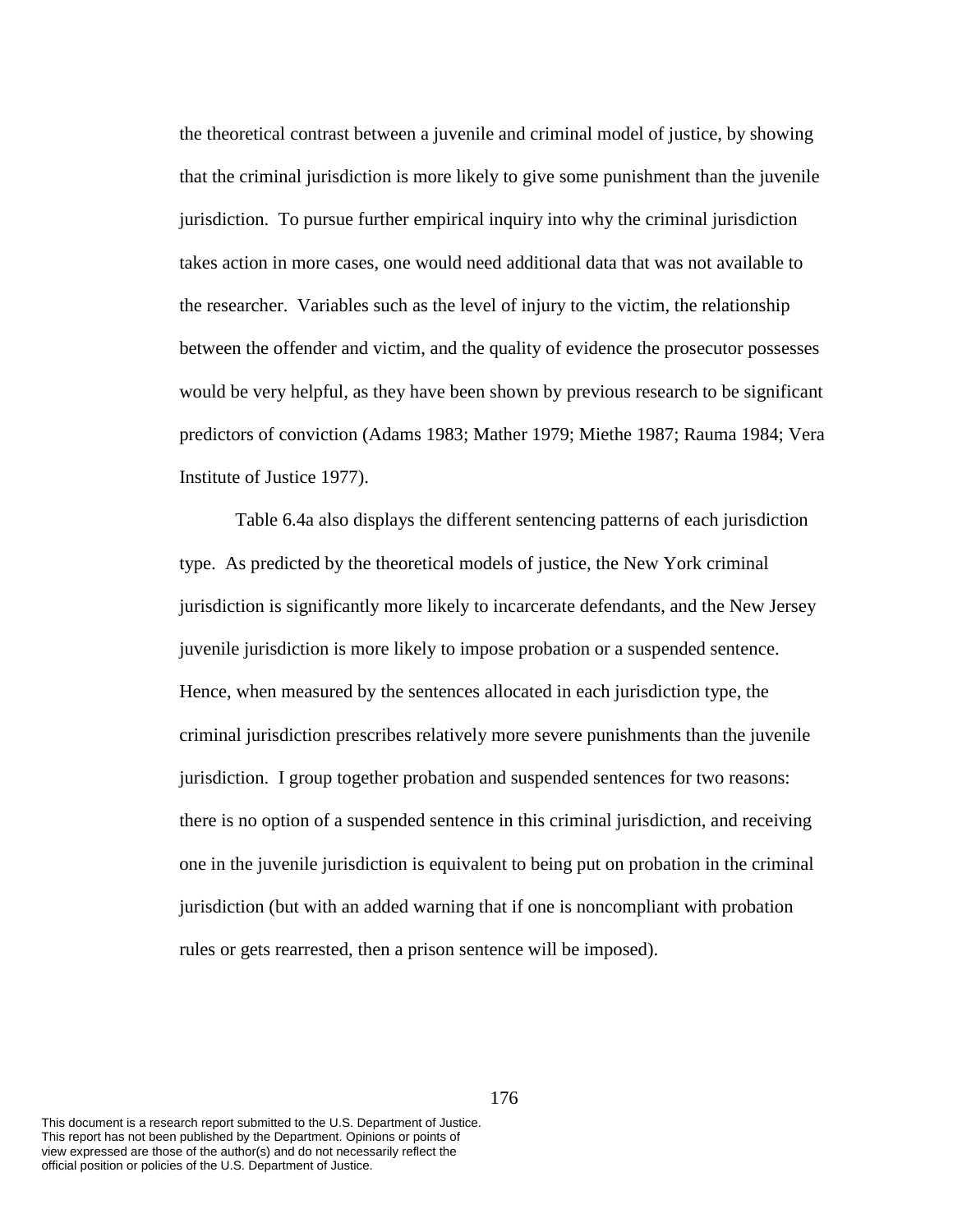the theoretical contrast between a juvenile and criminal model of justice, by showing that the criminal jurisdiction is more likely to give some punishment than the juvenile jurisdiction. To pursue further empirical inquiry into why the criminal jurisdiction takes action in more cases, one would need additional data that was not available to the researcher. Variables such as the level of injury to the victim, the relationship between the offender and victim, and the quality of evidence the prosecutor possesses would be very helpful, as they have been shown by previous research to be significant predictors of conviction (Adams 1983; Mather 1979; Miethe 1987; Rauma 1984; Vera Institute of Justice 1977).

Table 6.4a also displays the different sentencing patterns of each jurisdiction type. As predicted by the theoretical models of justice, the New York criminal jurisdiction is significantly more likely to incarcerate defendants, and the New Jersey juvenile jurisdiction is more likely to impose probation or a suspended sentence. Hence, when measured by the sentences allocated in each jurisdiction type, the criminal jurisdiction prescribes relatively more severe punishments than the juvenile jurisdiction. I group together probation and suspended sentences for two reasons: there is no option of a suspended sentence in this criminal jurisdiction, and receiving one in the juvenile jurisdiction is equivalent to being put on probation in the criminal jurisdiction (but with an added warning that if one is noncompliant with probation rules or gets rearrested, then a prison sentence will be imposed).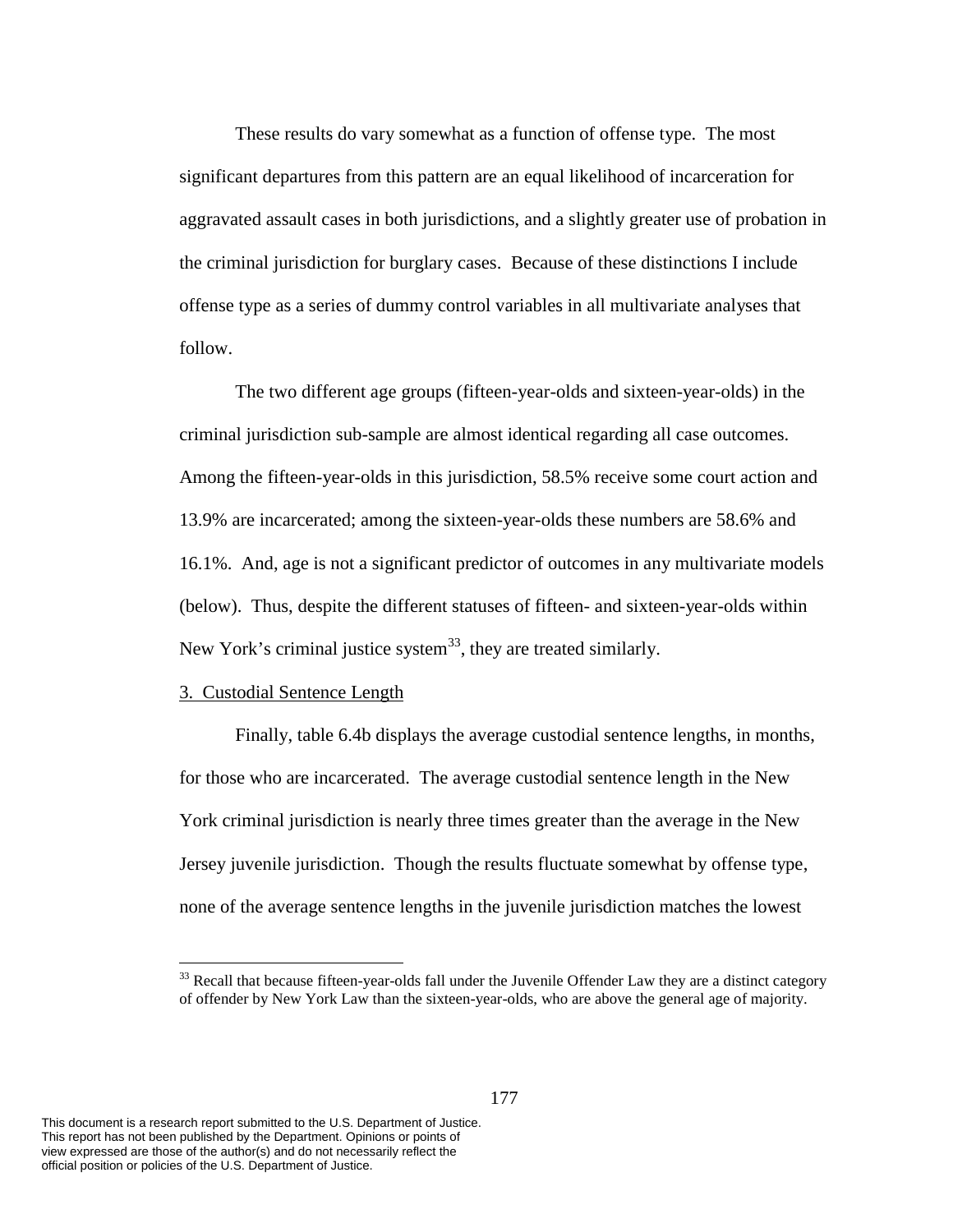These results do vary somewhat as a function of offense type. The most significant departures from this pattern are an equal likelihood of incarceration for aggravated assault cases in both jurisdictions, and a slightly greater use of probation in the criminal jurisdiction for burglary cases. Because of these distinctions I include offense type as a series of dummy control variables in all multivariate analyses that follow.

The two different age groups (fifteen-year-olds and sixteen-year-olds) in the criminal jurisdiction sub-sample are almost identical regarding all case outcomes. Among the fifteen-year-olds in this jurisdiction, 58.5% receive some court action and 13.9% are incarcerated; among the sixteen-year-olds these numbers are 58.6% and 16.1%. And, age is not a significant predictor of outcomes in any multivariate models (below). Thus, despite the different statuses of fifteen- and sixteen-year-olds within New York's criminal justice system<sup>33</sup>, they are treated similarly.

### 3. Custodial Sentence Length

Finally, table 6.4b displays the average custodial sentence lengths, in months, for those who are incarcerated. The average custodial sentence length in the New York criminal jurisdiction is nearly three times greater than the average in the New Jersey juvenile jurisdiction. Though the results fluctuate somewhat by offense type, none of the average sentence lengths in the juvenile jurisdiction matches the lowest

<sup>&</sup>lt;sup>33</sup> Recall that because fifteen-year-olds fall under the Juvenile Offender Law they are a distinct category of offender by New York Law than the sixteen-year-olds, who are above the general age of majority.

This document is a research report submitted to the U.S. Department of Justice. This report has not been published by the Department. Opinions or points of view expressed are those of the author(s) and do not necessarily reflect the official position or policies of the U.S. Department of Justice.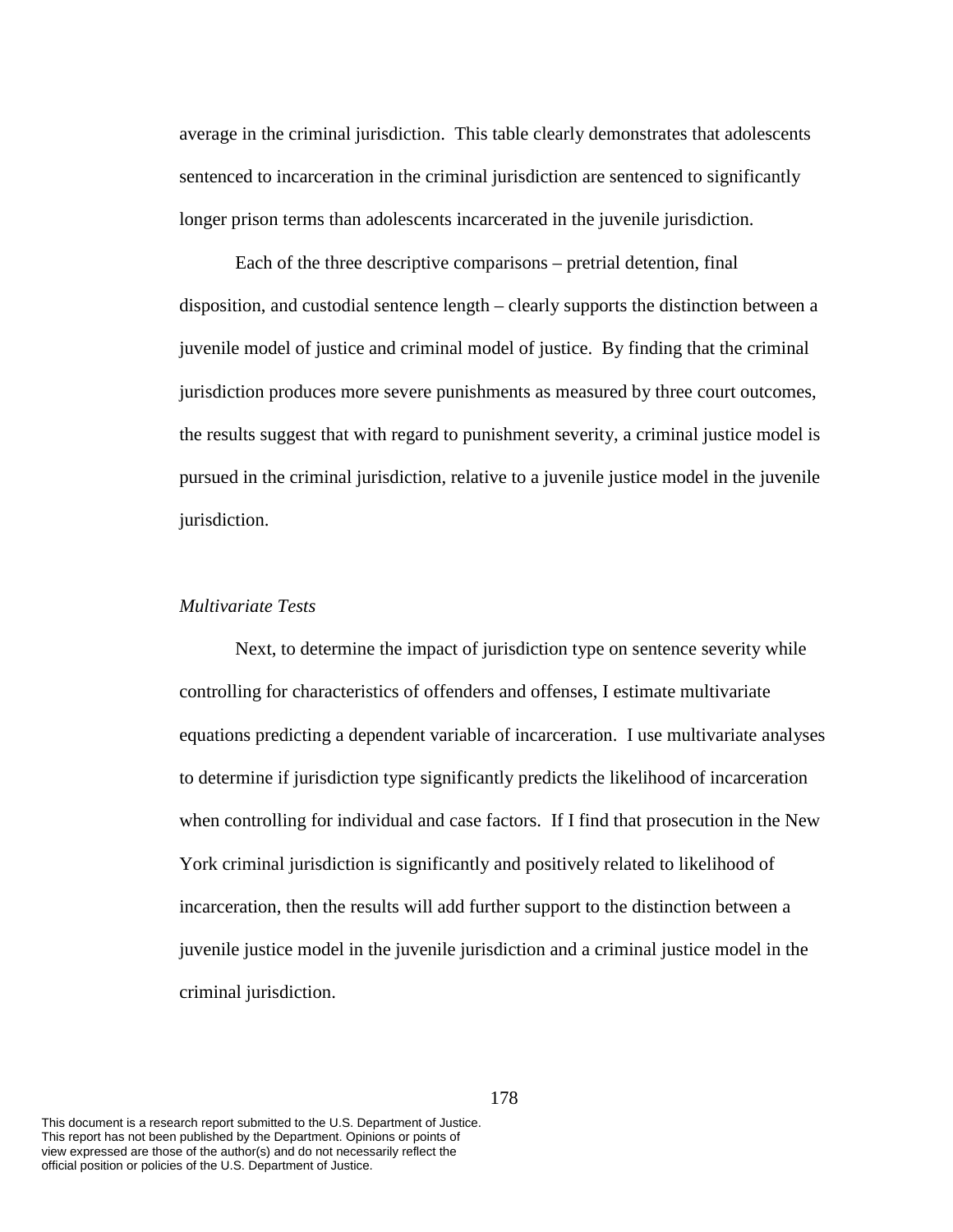average in the criminal jurisdiction. This table clearly demonstrates that adolescents sentenced to incarceration in the criminal jurisdiction are sentenced to significantly longer prison terms than adolescents incarcerated in the juvenile jurisdiction.

Each of the three descriptive comparisons – pretrial detention, final disposition, and custodial sentence length – clearly supports the distinction between a juvenile model of justice and criminal model of justice. By finding that the criminal jurisdiction produces more severe punishments as measured by three court outcomes, the results suggest that with regard to punishment severity, a criminal justice model is pursued in the criminal jurisdiction, relative to a juvenile justice model in the juvenile jurisdiction.

### *Multivariate Tests*

Next, to determine the impact of jurisdiction type on sentence severity while controlling for characteristics of offenders and offenses, I estimate multivariate equations predicting a dependent variable of incarceration. I use multivariate analyses to determine if jurisdiction type significantly predicts the likelihood of incarceration when controlling for individual and case factors. If I find that prosecution in the New York criminal jurisdiction is significantly and positively related to likelihood of incarceration, then the results will add further support to the distinction between a juvenile justice model in the juvenile jurisdiction and a criminal justice model in the criminal jurisdiction.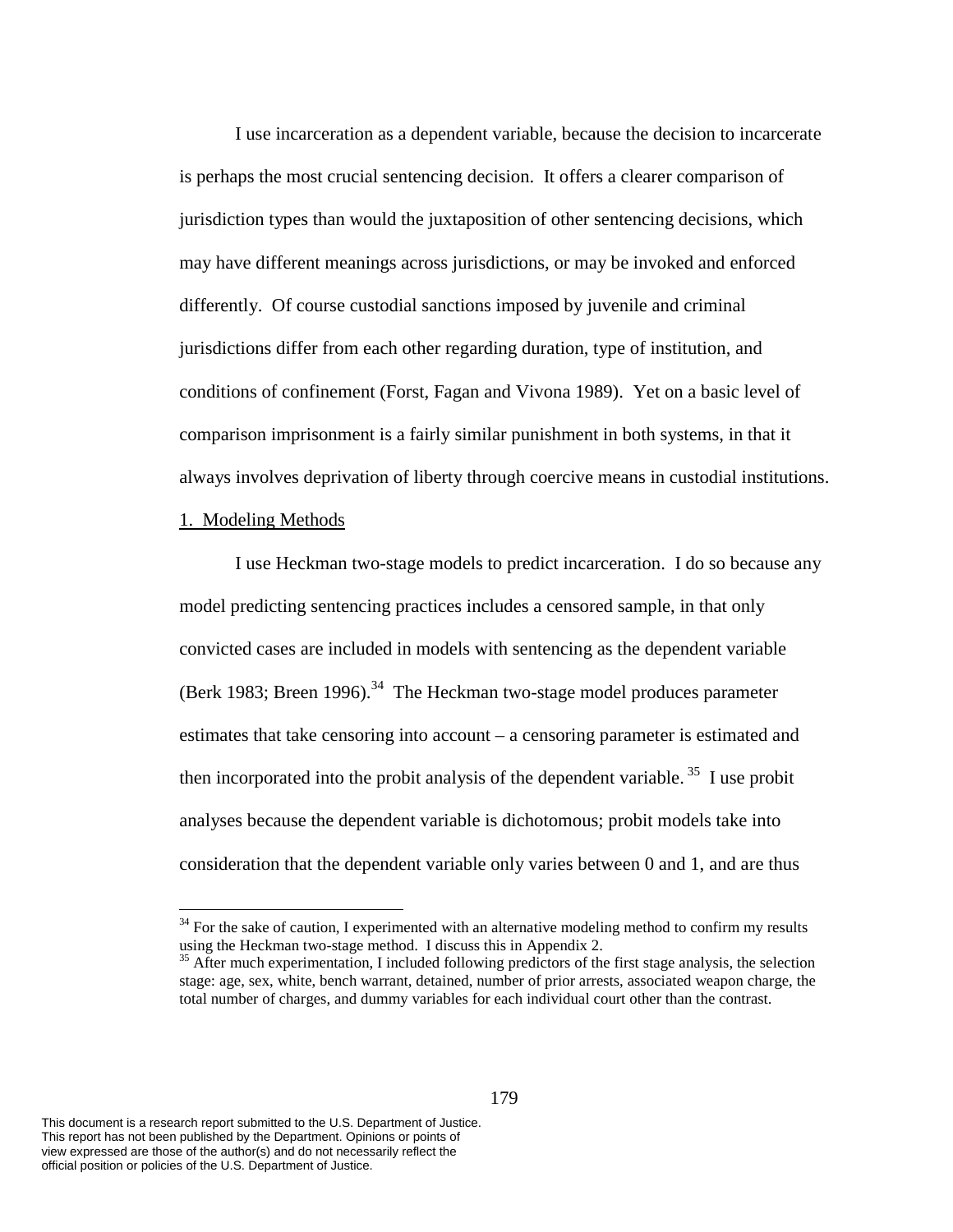I use incarceration as a dependent variable, because the decision to incarcerate is perhaps the most crucial sentencing decision. It offers a clearer comparison of jurisdiction types than would the juxtaposition of other sentencing decisions, which may have different meanings across jurisdictions, or may be invoked and enforced differently. Of course custodial sanctions imposed by juvenile and criminal jurisdictions differ from each other regarding duration, type of institution, and conditions of confinement (Forst, Fagan and Vivona 1989). Yet on a basic level of comparison imprisonment is a fairly similar punishment in both systems, in that it always involves deprivation of liberty through coercive means in custodial institutions.

### 1. Modeling Methods

I use Heckman two-stage models to predict incarceration. I do so because any model predicting sentencing practices includes a censored sample, in that only convicted cases are included in models with sentencing as the dependent variable (Berk 1983; Breen 1996).<sup>34</sup> The Heckman two-stage model produces parameter estimates that take censoring into account – a censoring parameter is estimated and then incorporated into the probit analysis of the dependent variable.<sup>35</sup> I use probit analyses because the dependent variable is dichotomous; probit models take into consideration that the dependent variable only varies between 0 and 1, and are thus

This document is a research report submitted to the U.S. Department of Justice. This report has not been published by the Department. Opinions or points of view expressed are those of the author(s) and do not necessarily reflect the official position or policies of the U.S. Department of Justice.

 $34$  For the sake of caution, I experimented with an alternative modeling method to confirm my results using the Heckman two-stage method. I discuss this in Appendix 2.

<sup>&</sup>lt;sup>35</sup> After much experimentation, I included following predictors of the first stage analysis, the selection stage: age, sex, white, bench warrant, detained, number of prior arrests, associated weapon charge, the total number of charges, and dummy variables for each individual court other than the contrast.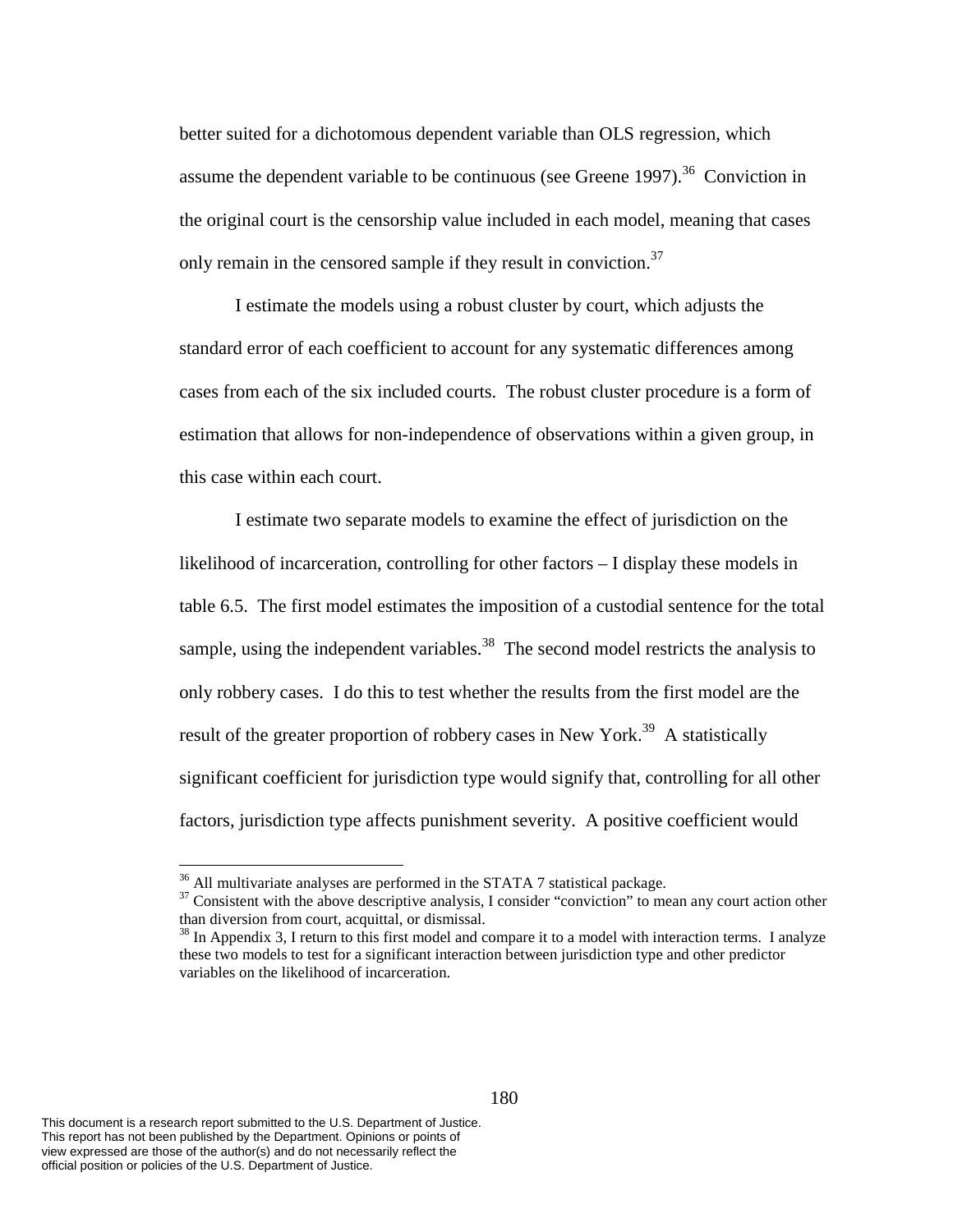better suited for a dichotomous dependent variable than OLS regression, which assume the dependent variable to be continuous (see Greene 1997).<sup>36</sup> Conviction in the original court is the censorship value included in each model, meaning that cases only remain in the censored sample if they result in conviction.<sup>37</sup>

I estimate the models using a robust cluster by court, which adjusts the standard error of each coefficient to account for any systematic differences among cases from each of the six included courts. The robust cluster procedure is a form of estimation that allows for non-independence of observations within a given group, in this case within each court.

I estimate two separate models to examine the effect of jurisdiction on the likelihood of incarceration, controlling for other factors – I display these models in table 6.5. The first model estimates the imposition of a custodial sentence for the total sample, using the independent variables.<sup>38</sup> The second model restricts the analysis to only robbery cases. I do this to test whether the results from the first model are the result of the greater proportion of robbery cases in New York.<sup>39</sup> A statistically significant coefficient for jurisdiction type would signify that, controlling for all other factors, jurisdiction type affects punishment severity. A positive coefficient would

This document is a research report submitted to the U.S. Department of Justice. This report has not been published by the Department. Opinions or points of view expressed are those of the author(s) and do not necessarily reflect the official position or policies of the U.S. Department of Justice.

 $36$  All multivariate analyses are performed in the STATA 7 statistical package.

 $37$  Consistent with the above descriptive analysis, I consider "conviction" to mean any court action other than diversion from court, acquittal, or dismissal.

 $38$  In Appendix 3, I return to this first model and compare it to a model with interaction terms. I analyze these two models to test for a significant interaction between jurisdiction type and other predictor variables on the likelihood of incarceration.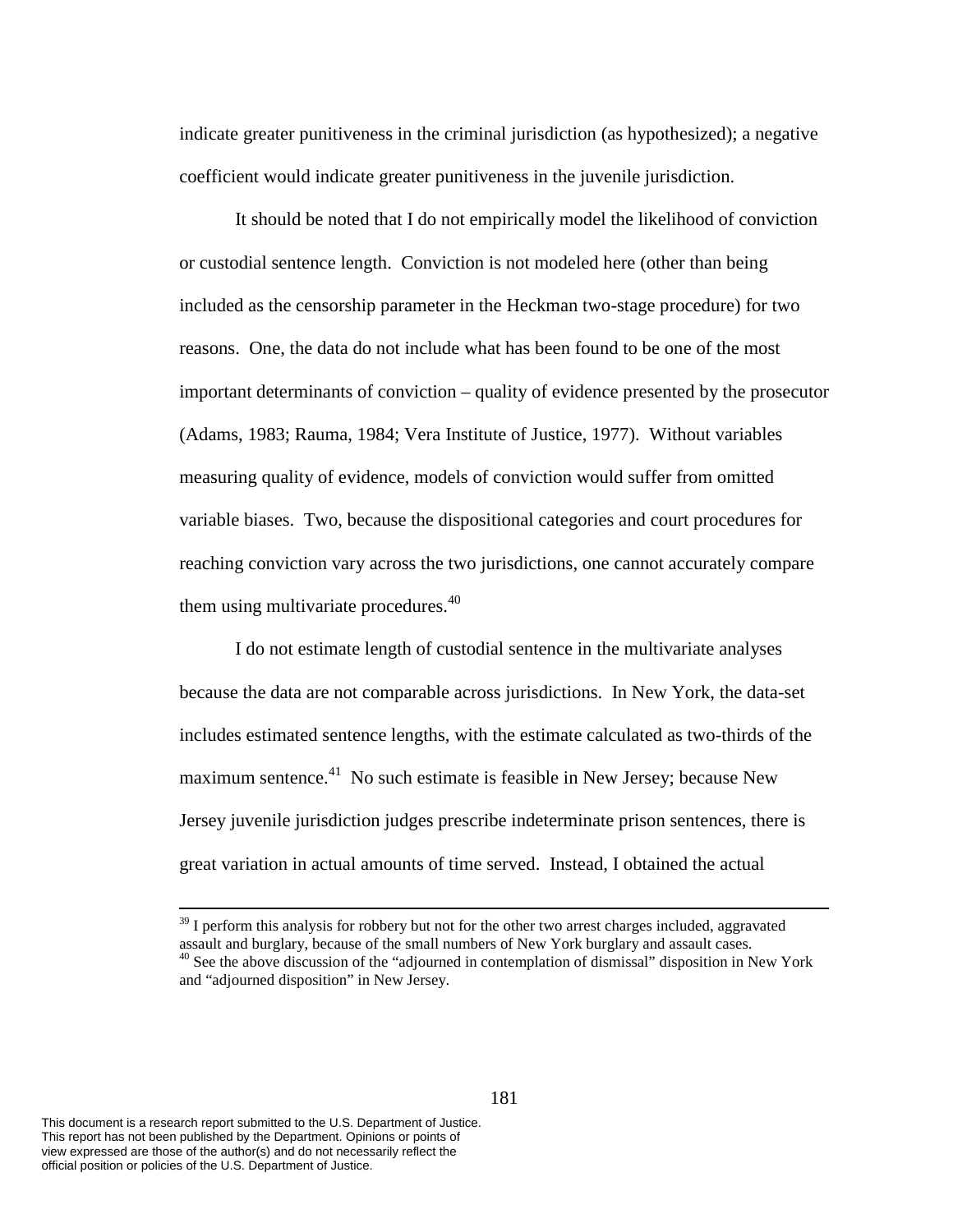indicate greater punitiveness in the criminal jurisdiction (as hypothesized); a negative coefficient would indicate greater punitiveness in the juvenile jurisdiction.

It should be noted that I do not empirically model the likelihood of conviction or custodial sentence length. Conviction is not modeled here (other than being included as the censorship parameter in the Heckman two-stage procedure) for two reasons. One, the data do not include what has been found to be one of the most important determinants of conviction – quality of evidence presented by the prosecutor (Adams, 1983; Rauma, 1984; Vera Institute of Justice, 1977). Without variables measuring quality of evidence, models of conviction would suffer from omitted variable biases. Two, because the dispositional categories and court procedures for reaching conviction vary across the two jurisdictions, one cannot accurately compare them using multivariate procedures. $40$ 

I do not estimate length of custodial sentence in the multivariate analyses because the data are not comparable across jurisdictions. In New York, the data-set includes estimated sentence lengths, with the estimate calculated as two-thirds of the maximum sentence. $^{41}$  No such estimate is feasible in New Jersey; because New Jersey juvenile jurisdiction judges prescribe indeterminate prison sentences, there is great variation in actual amounts of time served. Instead, I obtained the actual

 $39$  I perform this analysis for robbery but not for the other two arrest charges included, aggravated assault and burglary, because of the small numbers of New York burglary and assault cases. <sup>40</sup> See the above discussion of the "adjourned in contemplation of dismissal" disposition in New York and "adjourned disposition" in New Jersey.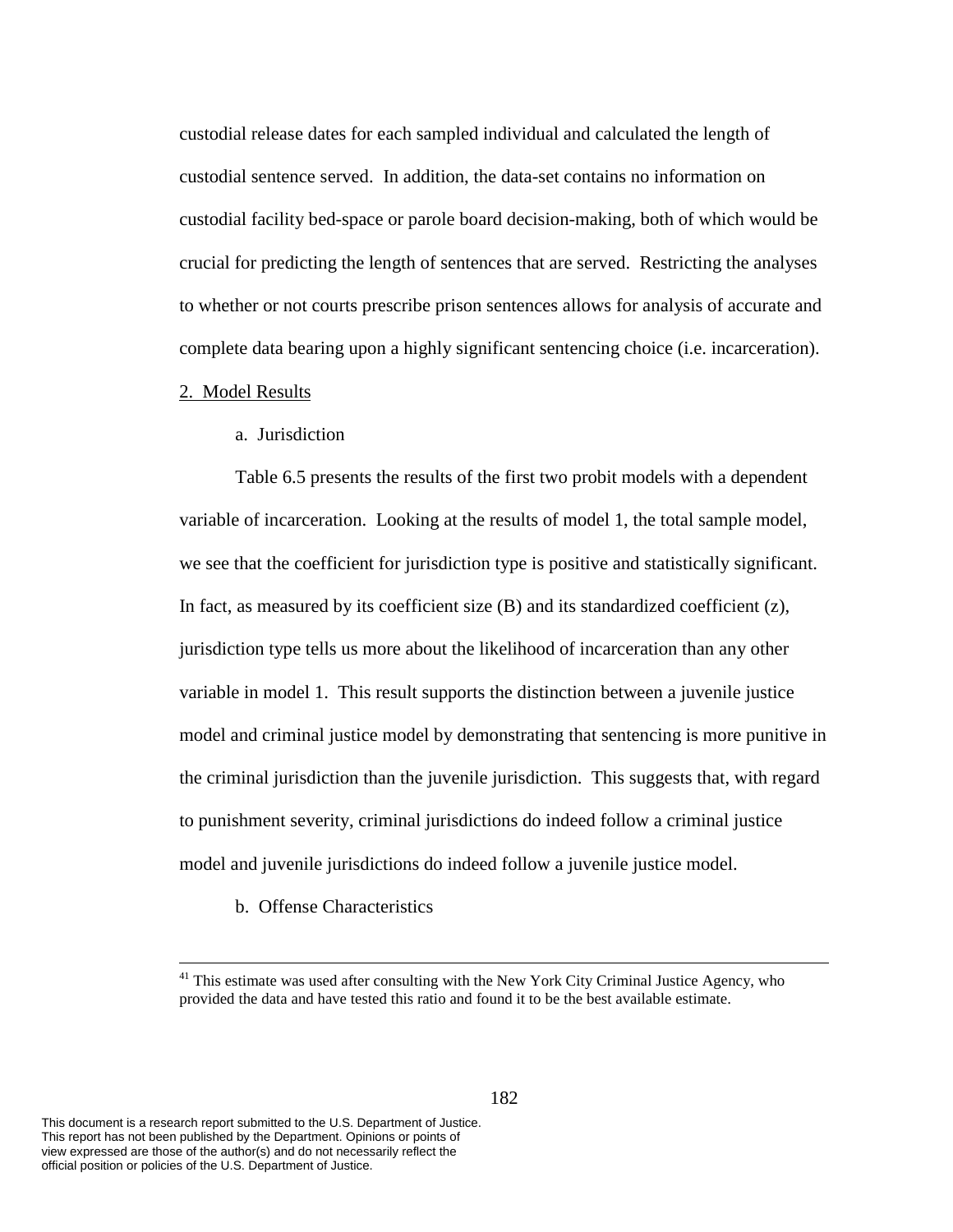custodial release dates for each sampled individual and calculated the length of custodial sentence served. In addition, the data-set contains no information on custodial facility bed-space or parole board decision-making, both of which would be crucial for predicting the length of sentences that are served. Restricting the analyses to whether or not courts prescribe prison sentences allows for analysis of accurate and complete data bearing upon a highly significant sentencing choice (i.e. incarceration).

#### 2. Model Results

### a. Jurisdiction

Table 6.5 presents the results of the first two probit models with a dependent variable of incarceration. Looking at the results of model 1, the total sample model, we see that the coefficient for jurisdiction type is positive and statistically significant. In fact, as measured by its coefficient size (B) and its standardized coefficient (z), jurisdiction type tells us more about the likelihood of incarceration than any other variable in model 1. This result supports the distinction between a juvenile justice model and criminal justice model by demonstrating that sentencing is more punitive in the criminal jurisdiction than the juvenile jurisdiction. This suggests that, with regard to punishment severity, criminal jurisdictions do indeed follow a criminal justice model and juvenile jurisdictions do indeed follow a juvenile justice model.

b. Offense Characteristics

 $41$  This estimate was used after consulting with the New York City Criminal Justice Agency, who provided the data and have tested this ratio and found it to be the best available estimate.

This document is a research report submitted to the U.S. Department of Justice. This report has not been published by the Department. Opinions or points of view expressed are those of the author(s) and do not necessarily reflect the official position or policies of the U.S. Department of Justice.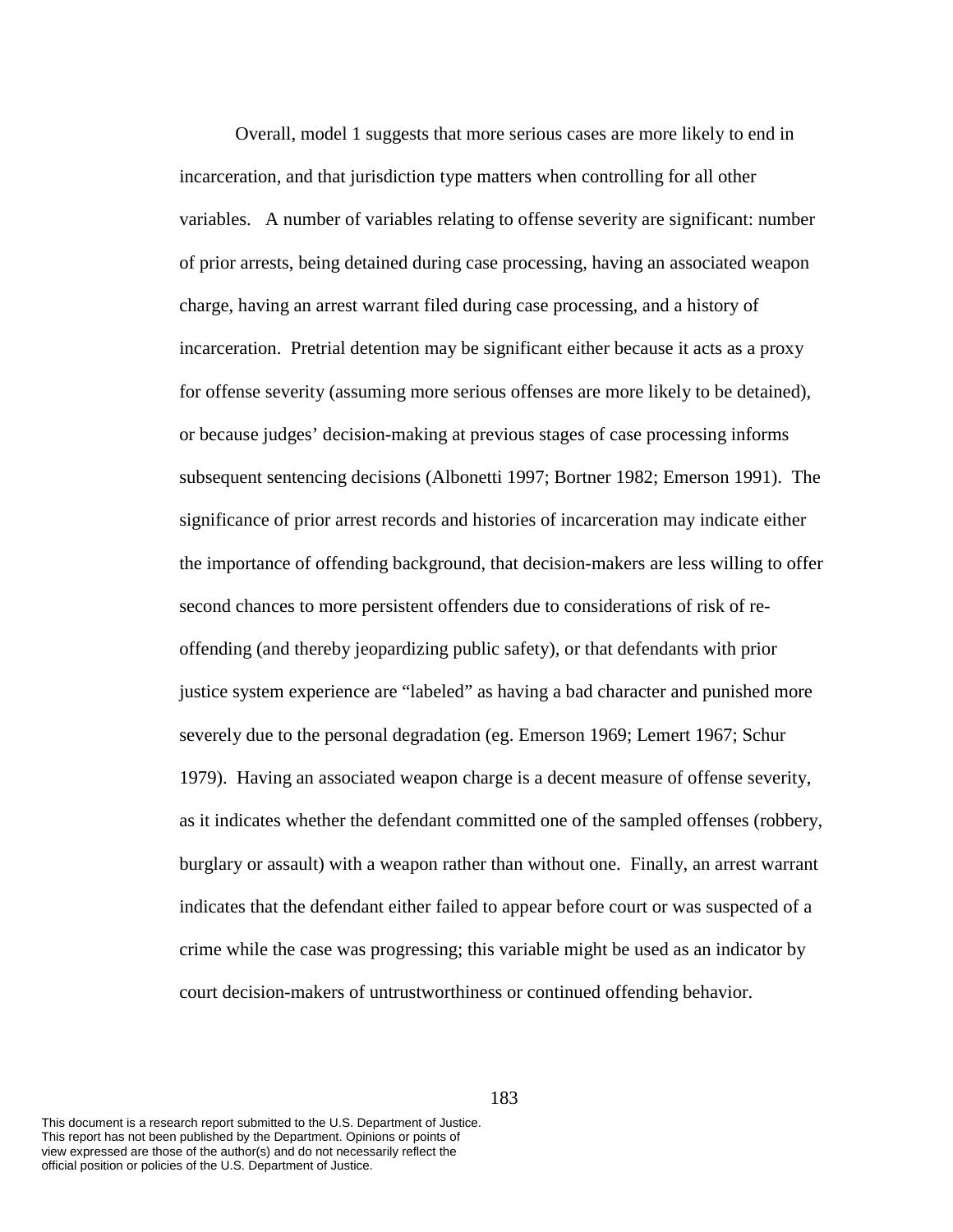Overall, model 1 suggests that more serious cases are more likely to end in incarceration, and that jurisdiction type matters when controlling for all other variables. A number of variables relating to offense severity are significant: number of prior arrests, being detained during case processing, having an associated weapon charge, having an arrest warrant filed during case processing, and a history of incarceration. Pretrial detention may be significant either because it acts as a proxy for offense severity (assuming more serious offenses are more likely to be detained), or because judges' decision-making at previous stages of case processing informs subsequent sentencing decisions (Albonetti 1997; Bortner 1982; Emerson 1991). The significance of prior arrest records and histories of incarceration may indicate either the importance of offending background, that decision-makers are less willing to offer second chances to more persistent offenders due to considerations of risk of reoffending (and thereby jeopardizing public safety), or that defendants with prior justice system experience are "labeled" as having a bad character and punished more severely due to the personal degradation (eg. Emerson 1969; Lemert 1967; Schur 1979). Having an associated weapon charge is a decent measure of offense severity, as it indicates whether the defendant committed one of the sampled offenses (robbery, burglary or assault) with a weapon rather than without one. Finally, an arrest warrant indicates that the defendant either failed to appear before court or was suspected of a crime while the case was progressing; this variable might be used as an indicator by court decision-makers of untrustworthiness or continued offending behavior.

This document is a research report submitted to the U.S. Department of Justice. This report has not been published by the Department. Opinions or points of view expressed are those of the author(s) and do not necessarily reflect the official position or policies of the U.S. Department of Justice.

183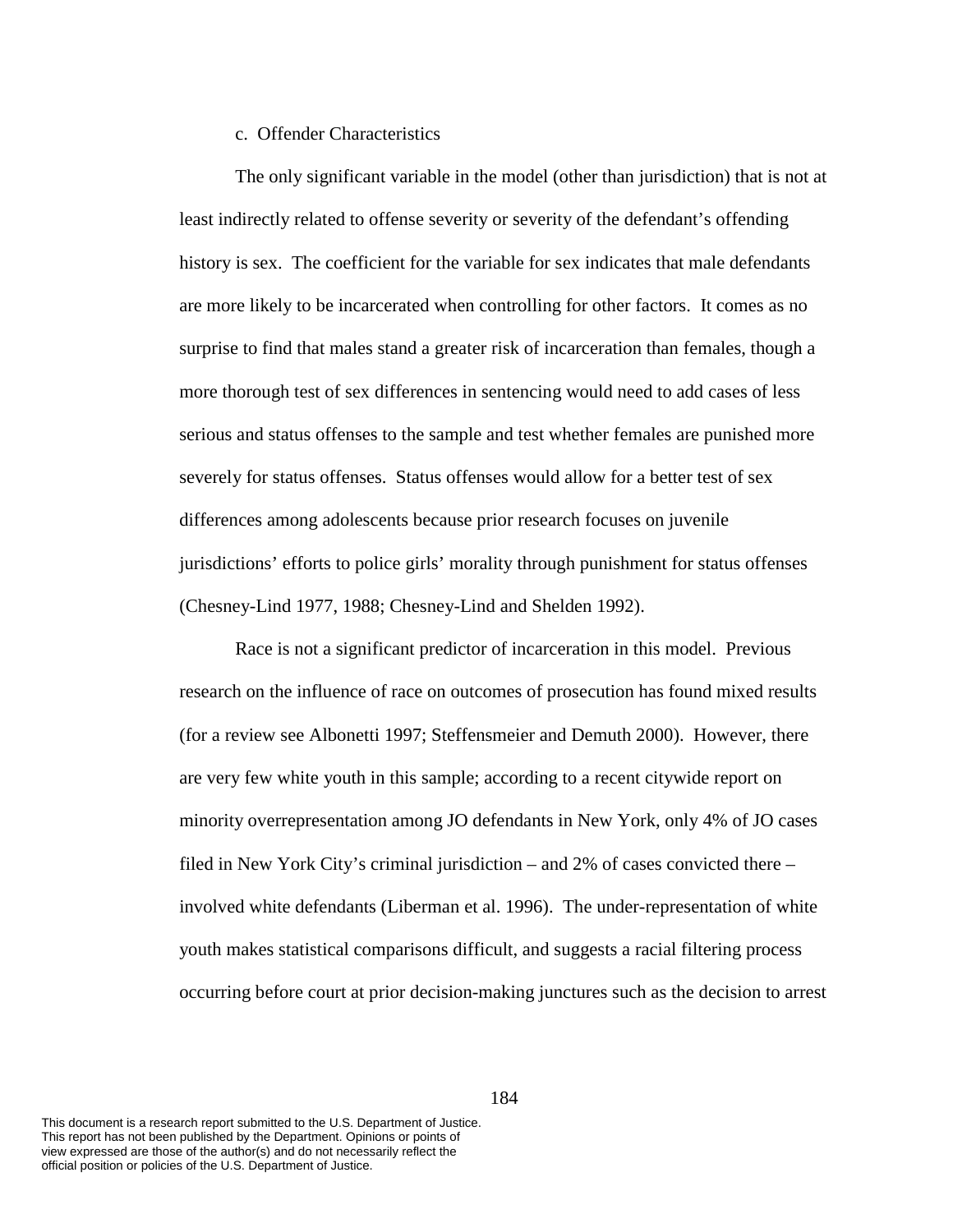### c. Offender Characteristics

The only significant variable in the model (other than jurisdiction) that is not at least indirectly related to offense severity or severity of the defendant's offending history is sex. The coefficient for the variable for sex indicates that male defendants are more likely to be incarcerated when controlling for other factors. It comes as no surprise to find that males stand a greater risk of incarceration than females, though a more thorough test of sex differences in sentencing would need to add cases of less serious and status offenses to the sample and test whether females are punished more severely for status offenses. Status offenses would allow for a better test of sex differences among adolescents because prior research focuses on juvenile jurisdictions' efforts to police girls' morality through punishment for status offenses (Chesney-Lind 1977, 1988; Chesney-Lind and Shelden 1992).

Race is not a significant predictor of incarceration in this model. Previous research on the influence of race on outcomes of prosecution has found mixed results (for a review see Albonetti 1997; Steffensmeier and Demuth 2000). However, there are very few white youth in this sample; according to a recent citywide report on minority overrepresentation among JO defendants in New York, only 4% of JO cases filed in New York City's criminal jurisdiction – and 2% of cases convicted there – involved white defendants (Liberman et al. 1996). The under-representation of white youth makes statistical comparisons difficult, and suggests a racial filtering process occurring before court at prior decision-making junctures such as the decision to arrest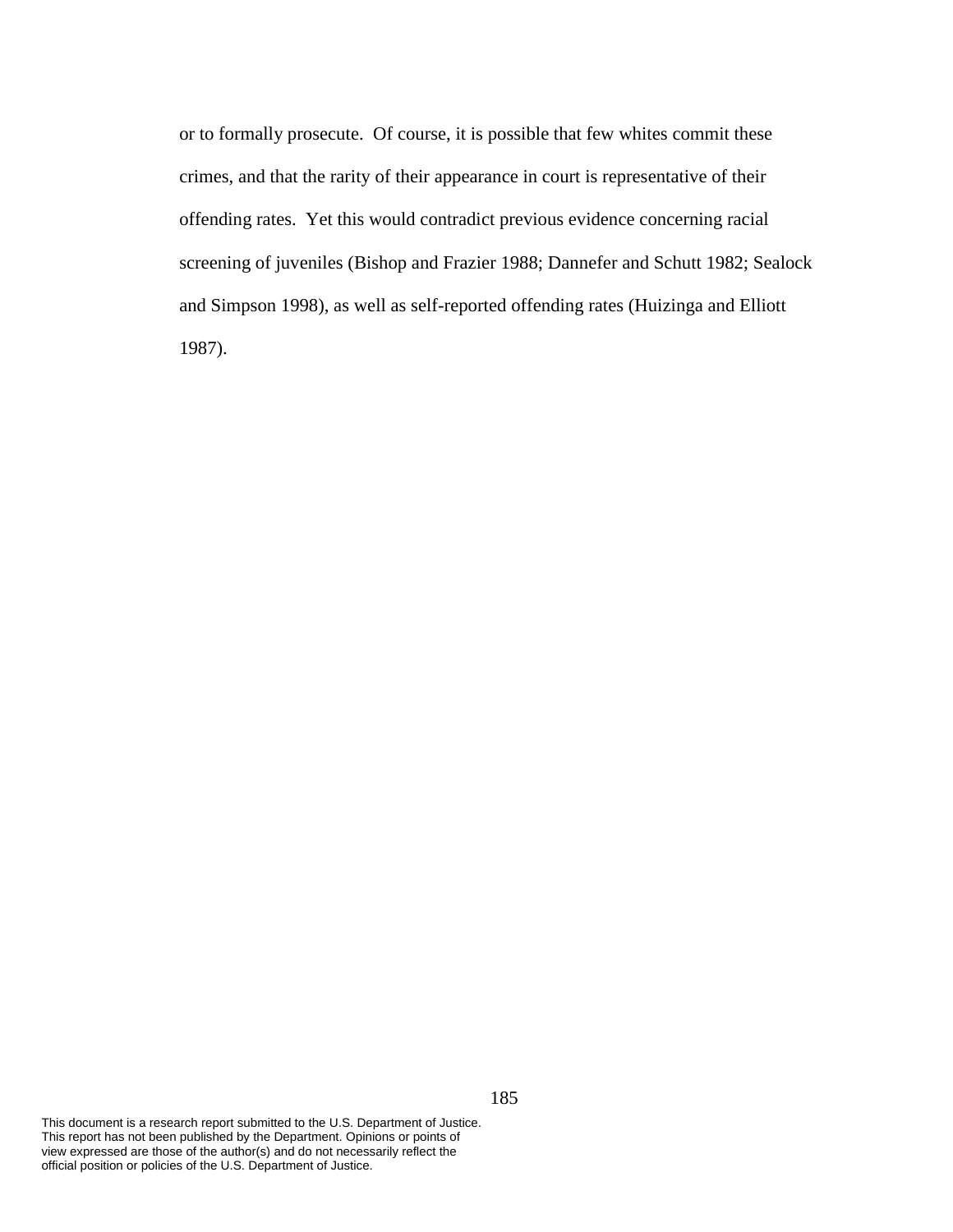or to formally prosecute. Of course, it is possible that few whites commit these crimes, and that the rarity of their appearance in court is representative of their offending rates. Yet this would contradict previous evidence concerning racial screening of juveniles (Bishop and Frazier 1988; Dannefer and Schutt 1982; Sealock and Simpson 1998), as well as self-reported offending rates (Huizinga and Elliott 1987).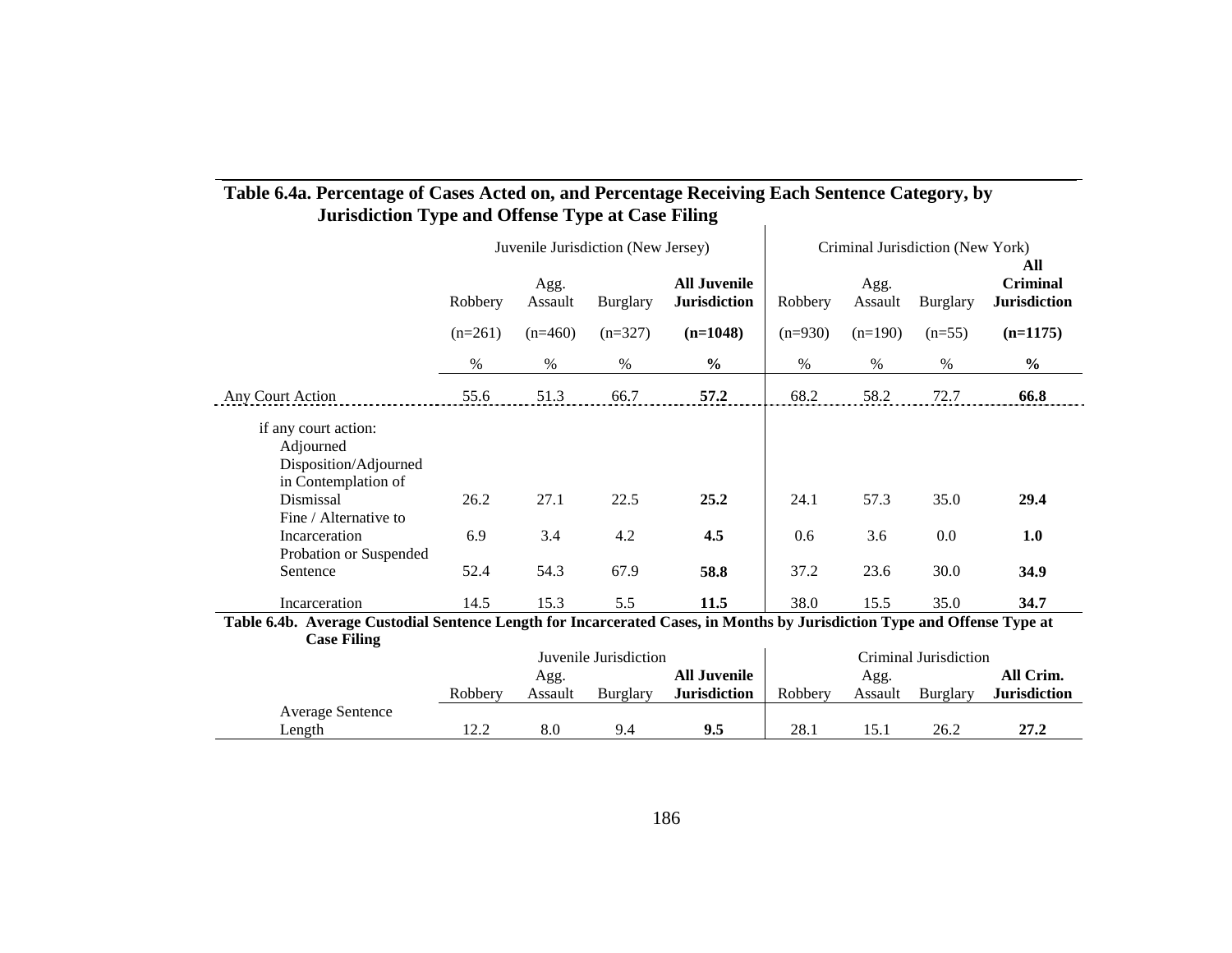|                                                                                                                                                |                       |                 | Juvenile Jurisdiction (New Jersey) |                                            | Criminal Jurisdiction (New York)<br>All |                 |                       |                                        |
|------------------------------------------------------------------------------------------------------------------------------------------------|-----------------------|-----------------|------------------------------------|--------------------------------------------|-----------------------------------------|-----------------|-----------------------|----------------------------------------|
|                                                                                                                                                | Robbery               | Agg.<br>Assault | Burglary                           | <b>All Juvenile</b><br><b>Jurisdiction</b> | Robbery                                 | Agg.<br>Assault | <b>Burglary</b>       | <b>Criminal</b><br><b>Jurisdiction</b> |
|                                                                                                                                                | $(n=261)$             | $(n=460)$       | $(n=327)$                          | $(n=1048)$                                 | $(n=930)$                               | $(n=190)$       | $(n=55)$              | $(n=1175)$                             |
|                                                                                                                                                | $\%$                  | $\%$            | $\%$                               | $\frac{6}{6}$                              | $\%$                                    | $\%$            | $\%$                  | $\frac{6}{6}$                          |
| Any Court Action                                                                                                                               | 55.6                  | 51.3            | 66.7                               | 57.2                                       | 68.2                                    | 58.2            | 72.7                  | 66.8                                   |
| if any court action:<br>Adjourned<br>Disposition/Adjourned<br>in Contemplation of                                                              |                       |                 |                                    |                                            |                                         |                 |                       |                                        |
| Dismissal<br>Fine / Alternative to                                                                                                             | 26.2                  | 27.1            | 22.5                               | 25.2                                       | 24.1                                    | 57.3            | 35.0                  | 29.4                                   |
| Incarceration<br>Probation or Suspended                                                                                                        | 6.9                   | 3.4             | 4.2                                | 4.5                                        | 0.6                                     | 3.6             | $0.0\,$               | 1.0                                    |
| Sentence                                                                                                                                       | 52.4                  | 54.3            | 67.9                               | 58.8                                       | 37.2                                    | 23.6            | 30.0                  | 34.9                                   |
| Incarceration                                                                                                                                  | 14.5                  | 15.3            | 5.5                                | 11.5                                       | 38.0                                    | 15.5            | 35.0                  | 34.7                                   |
| Table 6.4b. Average Custodial Sentence Length for Incarcerated Cases, in Months by Jurisdiction Type and Offense Type at<br><b>Case Filing</b> |                       |                 |                                    |                                            |                                         |                 |                       |                                        |
|                                                                                                                                                | Juvenile Jurisdiction |                 |                                    |                                            |                                         |                 | Criminal Jurisdiction |                                        |
|                                                                                                                                                | Robberv               | Agg.            |                                    | <b>All Juvenile</b><br><b>Jurisdiction</b> |                                         | Agg.            |                       | All Crim.<br><b>Jurisdiction</b>       |
| <b>Average Sentence</b>                                                                                                                        |                       | Assault         | Burglary                           |                                            | Robbery                                 | Assault         | <b>Burglary</b>       |                                        |
| Length                                                                                                                                         | 12.2                  | 8.0             | 9.4                                | 9.5                                        | 28.1                                    | 15.1            | 26.2                  | 27.2                                   |

## **Table 6.4a. Percentage of Cases Acted on, and Percentage Receiving Each Sentence Category, by Jurisdiction Type and Offense Type at Case Filing**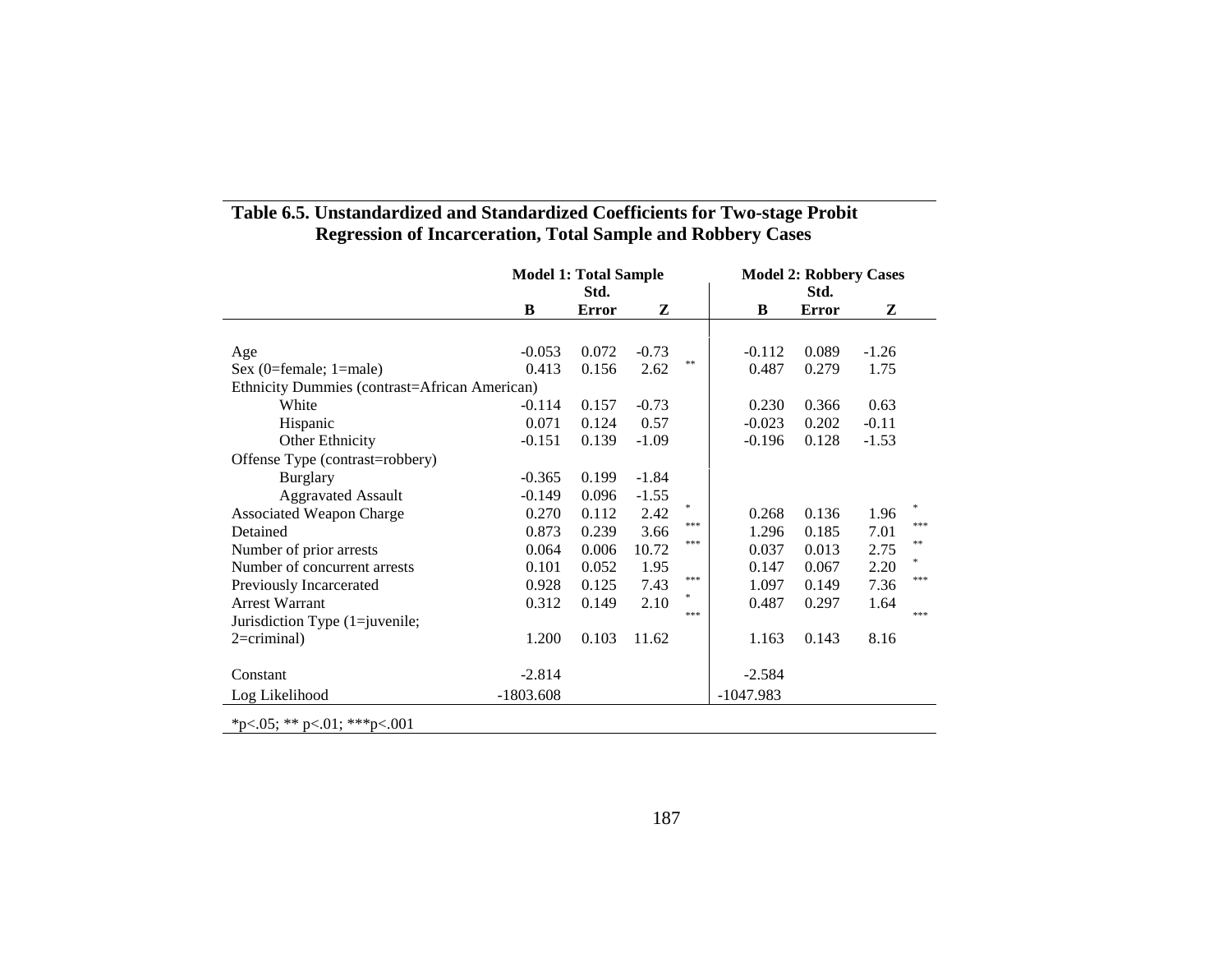| Table 6.5. Unstandardized and Standardized Coefficients for Two-stage Probit |  |
|------------------------------------------------------------------------------|--|
| <b>Regression of Incarceration, Total Sample and Robbery Cases</b>           |  |

|                                               | <b>Model 1: Total Sample</b> |              |         |     | <b>Model 2: Robbery Cases</b> |              |         |        |
|-----------------------------------------------|------------------------------|--------------|---------|-----|-------------------------------|--------------|---------|--------|
|                                               | Std.                         |              |         |     |                               | Std.         |         |        |
|                                               | B                            | <b>Error</b> | Z       |     | B                             | <b>Error</b> | Z       |        |
|                                               |                              |              |         |     |                               |              |         |        |
| Age                                           | $-0.053$                     | 0.072        | $-0.73$ |     | $-0.112$                      | 0.089        | $-1.26$ |        |
| Sex $(0=female; 1=male)$                      | 0.413                        | 0.156        | 2.62    | **  | 0.487                         | 0.279        | 1.75    |        |
| Ethnicity Dummies (contrast=African American) |                              |              |         |     |                               |              |         |        |
| White                                         | $-0.114$                     | 0.157        | $-0.73$ |     | 0.230                         | 0.366        | 0.63    |        |
| Hispanic                                      | 0.071                        | 0.124        | 0.57    |     | $-0.023$                      | 0.202        | $-0.11$ |        |
| Other Ethnicity                               | $-0.151$                     | 0.139        | $-1.09$ |     | $-0.196$                      | 0.128        | $-1.53$ |        |
| Offense Type (contrast=robbery)               |                              |              |         |     |                               |              |         |        |
| <b>Burglary</b>                               | $-0.365$                     | 0.199        | $-1.84$ |     |                               |              |         |        |
| <b>Aggravated Assault</b>                     | $-0.149$                     | 0.096        | $-1.55$ |     |                               |              |         |        |
| <b>Associated Weapon Charge</b>               | 0.270                        | 0.112        | 2.42    |     | 0.268                         | 0.136        | 1.96    | $\ast$ |
| Detained                                      | 0.873                        | 0.239        | 3.66    | *** | 1.296                         | 0.185        | 7.01    | ***    |
| Number of prior arrests                       | 0.064                        | 0.006        | 10.72   | *** | 0.037                         | 0.013        | 2.75    | **     |
| Number of concurrent arrests                  | 0.101                        | 0.052        | 1.95    |     | 0.147                         | 0.067        | 2.20    |        |
| Previously Incarcerated                       | 0.928                        | 0.125        | 7.43    | *** | 1.097                         | 0.149        | 7.36    | ***    |
| <b>Arrest Warrant</b>                         | 0.312                        | 0.149        | 2.10    |     | 0.487                         | 0.297        | 1.64    |        |
| Jurisdiction Type (1=juvenile;                |                              |              |         | *** |                               |              |         | ***    |
| $2 = criminal)$                               | 1.200                        | 0.103        | 11.62   |     | 1.163                         | 0.143        | 8.16    |        |
|                                               |                              |              |         |     |                               |              |         |        |
| Constant                                      | $-2.814$                     |              |         |     | $-2.584$                      |              |         |        |
| Log Likelihood                                | $-1803.608$                  |              |         |     | $-1047.983$                   |              |         |        |
| *p<.05; ** p<.01; ***p<.001                   |                              |              |         |     |                               |              |         |        |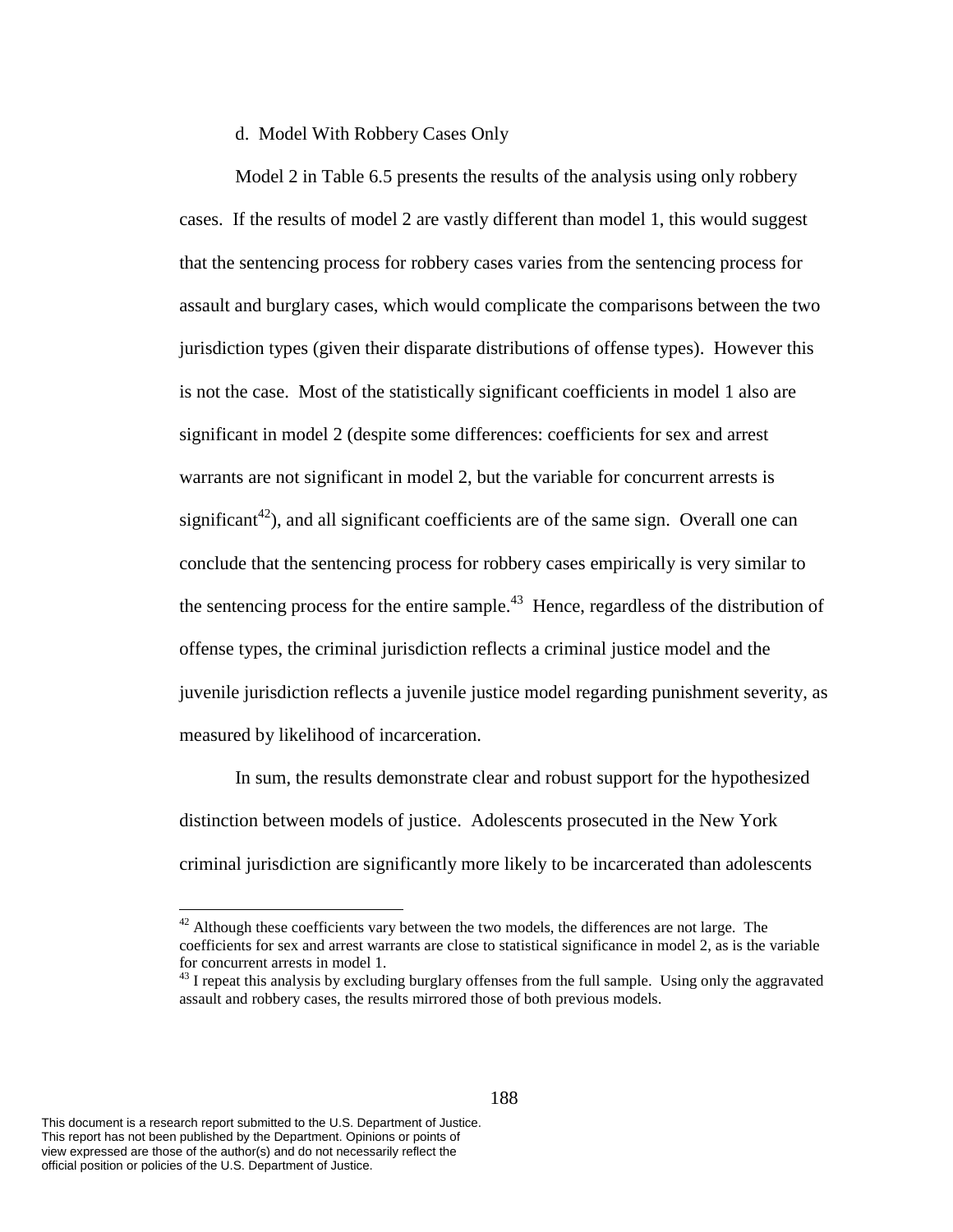### d. Model With Robbery Cases Only

Model 2 in Table 6.5 presents the results of the analysis using only robbery cases. If the results of model 2 are vastly different than model 1, this would suggest that the sentencing process for robbery cases varies from the sentencing process for assault and burglary cases, which would complicate the comparisons between the two jurisdiction types (given their disparate distributions of offense types). However this is not the case. Most of the statistically significant coefficients in model 1 also are significant in model 2 (despite some differences: coefficients for sex and arrest warrants are not significant in model 2, but the variable for concurrent arrests is significant<sup>42</sup>), and all significant coefficients are of the same sign. Overall one can conclude that the sentencing process for robbery cases empirically is very similar to the sentencing process for the entire sample.<sup>43</sup> Hence, regardless of the distribution of offense types, the criminal jurisdiction reflects a criminal justice model and the juvenile jurisdiction reflects a juvenile justice model regarding punishment severity, as measured by likelihood of incarceration.

In sum, the results demonstrate clear and robust support for the hypothesized distinction between models of justice. Adolescents prosecuted in the New York criminal jurisdiction are significantly more likely to be incarcerated than adolescents

This document is a research report submitted to the U.S. Department of Justice. This report has not been published by the Department. Opinions or points of view expressed are those of the author(s) and do not necessarily reflect the official position or policies of the U.S. Department of Justice.

 $42$  Although these coefficients vary between the two models, the differences are not large. The coefficients for sex and arrest warrants are close to statistical significance in model 2, as is the variable for concurrent arrests in model 1.

 $^{43}$  I repeat this analysis by excluding burglary offenses from the full sample. Using only the aggravated assault and robbery cases, the results mirrored those of both previous models.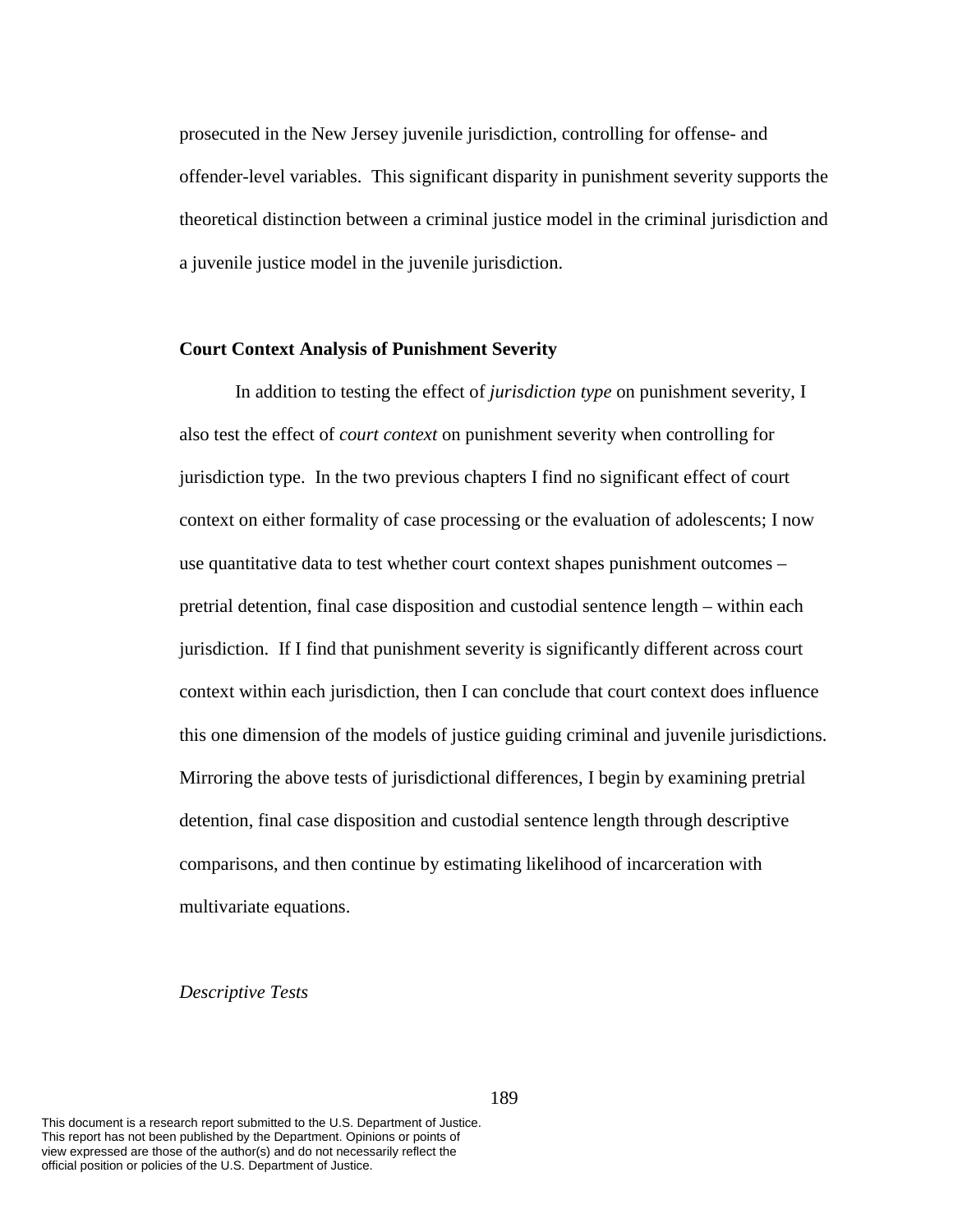prosecuted in the New Jersey juvenile jurisdiction, controlling for offense- and offender-level variables. This significant disparity in punishment severity supports the theoretical distinction between a criminal justice model in the criminal jurisdiction and a juvenile justice model in the juvenile jurisdiction.

#### **Court Context Analysis of Punishment Severity**

In addition to testing the effect of *jurisdiction type* on punishment severity, I also test the effect of *court context* on punishment severity when controlling for jurisdiction type. In the two previous chapters I find no significant effect of court context on either formality of case processing or the evaluation of adolescents; I now use quantitative data to test whether court context shapes punishment outcomes – pretrial detention, final case disposition and custodial sentence length – within each jurisdiction. If I find that punishment severity is significantly different across court context within each jurisdiction, then I can conclude that court context does influence this one dimension of the models of justice guiding criminal and juvenile jurisdictions. Mirroring the above tests of jurisdictional differences, I begin by examining pretrial detention, final case disposition and custodial sentence length through descriptive comparisons, and then continue by estimating likelihood of incarceration with multivariate equations.

### *Descriptive Tests*

This document is a research report submitted to the U.S. Department of Justice. This report has not been published by the Department. Opinions or points of view expressed are those of the author(s) and do not necessarily reflect the official position or policies of the U.S. Department of Justice.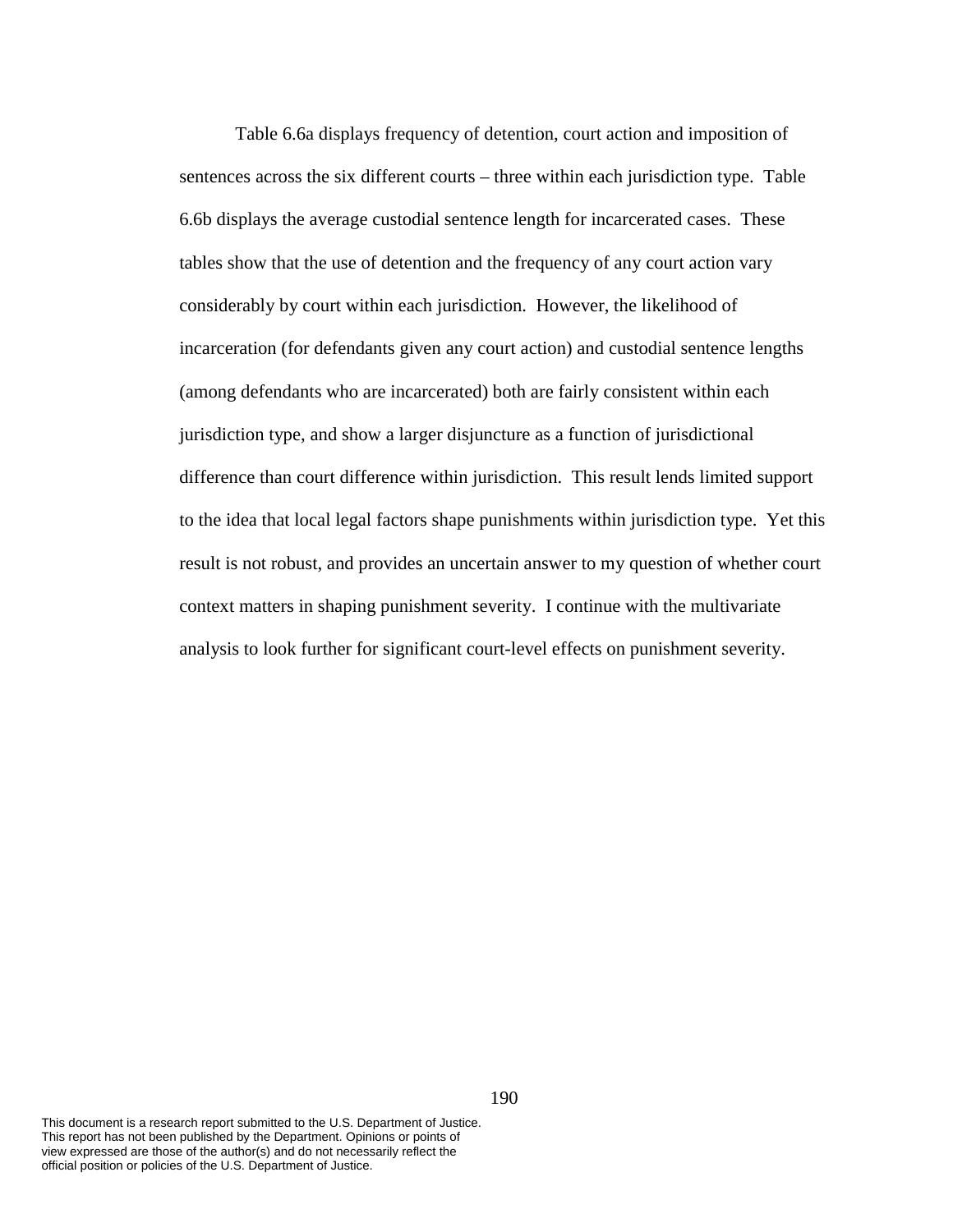Table 6.6a displays frequency of detention, court action and imposition of sentences across the six different courts – three within each jurisdiction type. Table 6.6b displays the average custodial sentence length for incarcerated cases. These tables show that the use of detention and the frequency of any court action vary considerably by court within each jurisdiction. However, the likelihood of incarceration (for defendants given any court action) and custodial sentence lengths (among defendants who are incarcerated) both are fairly consistent within each jurisdiction type, and show a larger disjuncture as a function of jurisdictional difference than court difference within jurisdiction. This result lends limited support to the idea that local legal factors shape punishments within jurisdiction type. Yet this result is not robust, and provides an uncertain answer to my question of whether court context matters in shaping punishment severity. I continue with the multivariate analysis to look further for significant court-level effects on punishment severity.

190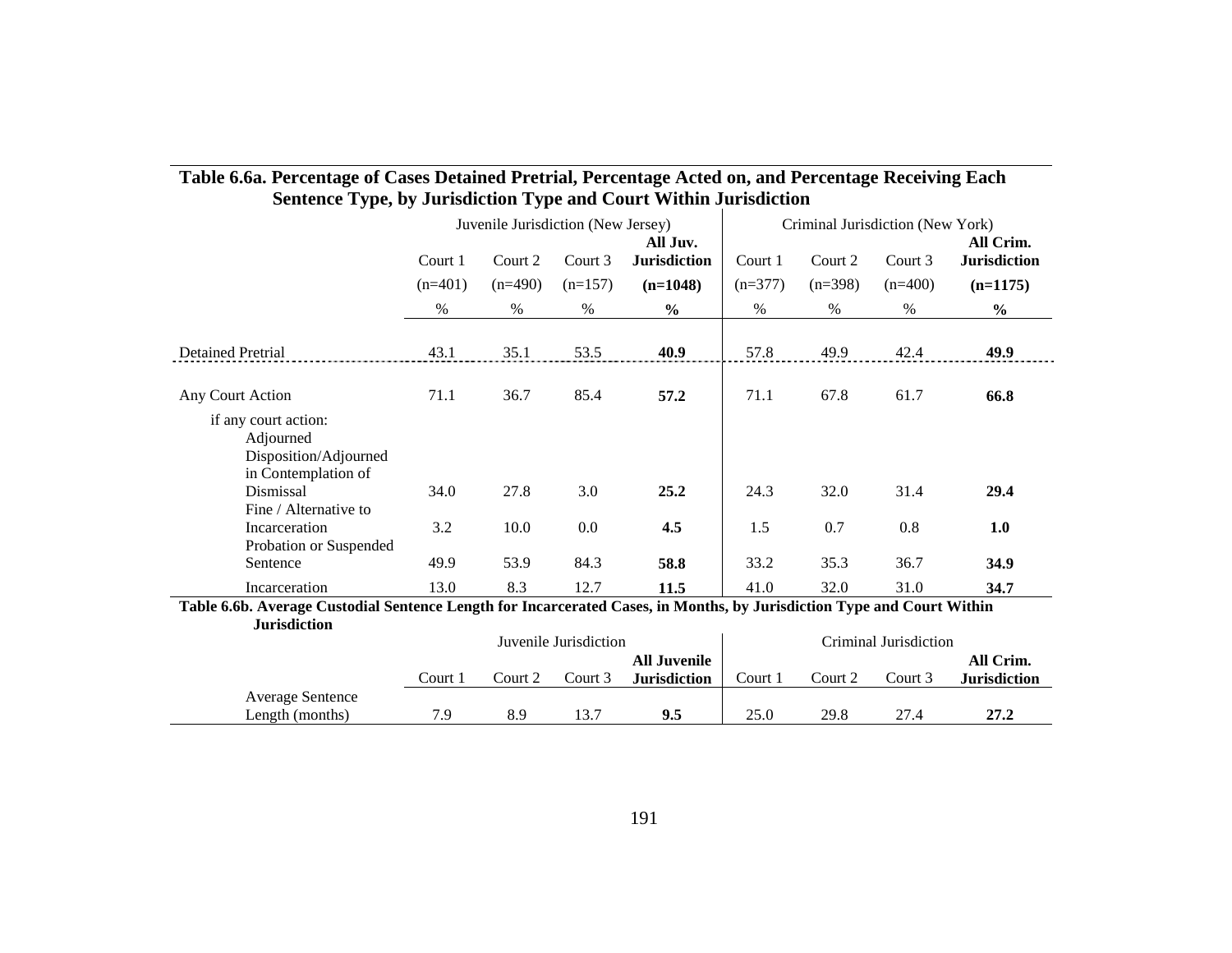# **Table 6.6a. Percentage of Cases Detained Pretrial, Percentage Acted on, and Percentage Receiving Each Sentence Type, by Jurisdiction Type and Court Within Jurisdiction**

|                                                                                   | Juvenile Jurisdiction (New Jersey)<br>All Juv. |           |           |                     | Criminal Jurisdiction (New York)<br>All Crim. |           |           |                     |
|-----------------------------------------------------------------------------------|------------------------------------------------|-----------|-----------|---------------------|-----------------------------------------------|-----------|-----------|---------------------|
|                                                                                   | Court 1                                        | Court 2   | Court 3   | <b>Jurisdiction</b> | Court 1                                       | Court 2   | Court 3   | <b>Jurisdiction</b> |
|                                                                                   | $(n=401)$                                      | $(n=490)$ | $(n=157)$ | $(n=1048)$          | $(n=377)$                                     | $(n=398)$ | $(n=400)$ | $(n=1175)$          |
|                                                                                   | %                                              | $\%$      | $\%$      | $\frac{6}{9}$       | $\%$                                          | %         | $\%$      | $\frac{6}{9}$       |
| <b>Detained Pretrial</b>                                                          | 43.1                                           | 35.1      | 53.5      | 40.9                | 57.8                                          | 49.9      | 42.4      | 49.9                |
| Any Court Action                                                                  | 71.1                                           | 36.7      | 85.4      | 57.2                | 71.1                                          | 67.8      | 61.7      | 66.8                |
| if any court action:<br>Adjourned<br>Disposition/Adjourned<br>in Contemplation of |                                                |           |           |                     |                                               |           |           |                     |
| Dismissal<br>Fine / Alternative to                                                | 34.0                                           | 27.8      | 3.0       | 25.2                | 24.3                                          | 32.0      | 31.4      | 29.4                |
| Incarceration<br>Probation or Suspended                                           | 3.2                                            | 10.0      | 0.0       | 4.5                 | 1.5                                           | 0.7       | 0.8       | 1.0                 |
| Sentence                                                                          | 49.9                                           | 53.9      | 84.3      | 58.8                | 33.2                                          | 35.3      | 36.7      | 34.9                |
| Incarceration                                                                     | 13.0                                           | 8.3       | 12.7      | 11.5                | 41.0                                          | 32.0      | 31.0      | 34.7                |

**Table 6.6b. Average Custodial Sentence Length for Incarcerated Cases, in Months, by Jurisdiction Type and Court Within Jurisdiction** 

|                         | Juvenile Jurisdiction |         |         |                     |         |         | Criminal Jurisdiction |                     |
|-------------------------|-----------------------|---------|---------|---------------------|---------|---------|-----------------------|---------------------|
|                         |                       |         |         | <b>All Juvenile</b> |         |         |                       | All Crim.           |
|                         | Court                 | Court 2 | Court 3 | <b>Jurisdiction</b> | Court 1 | Court 2 | Court 3               | <b>Jurisdiction</b> |
| <b>Average Sentence</b> |                       |         |         |                     |         |         |                       |                     |
| Length (months)         | 7.9                   | 8.9     | 13.7    | 9.5                 | 25.0    | 29.8    | 27.4                  | 27.2                |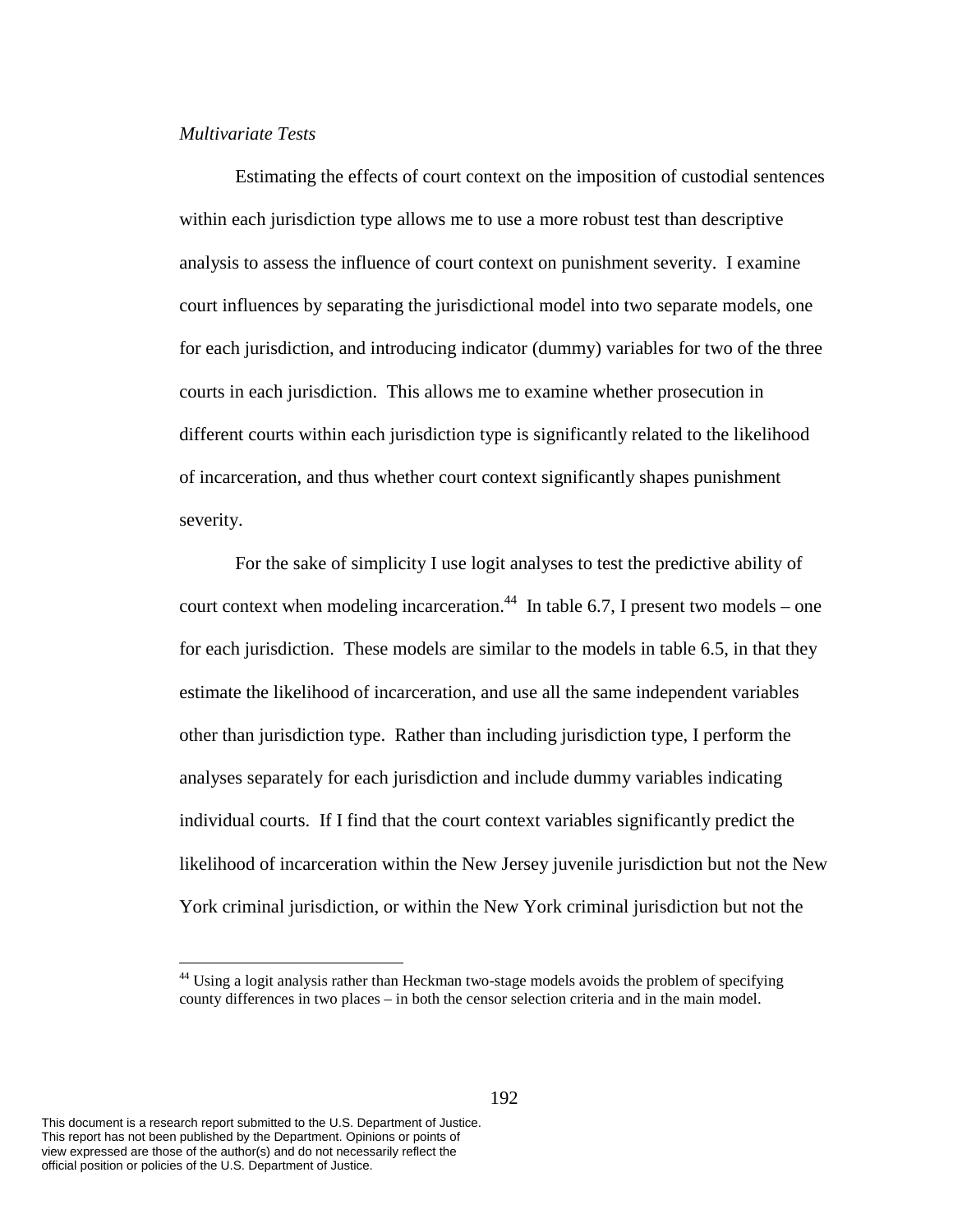### *Multivariate Tests*

Estimating the effects of court context on the imposition of custodial sentences within each jurisdiction type allows me to use a more robust test than descriptive analysis to assess the influence of court context on punishment severity. I examine court influences by separating the jurisdictional model into two separate models, one for each jurisdiction, and introducing indicator (dummy) variables for two of the three courts in each jurisdiction. This allows me to examine whether prosecution in different courts within each jurisdiction type is significantly related to the likelihood of incarceration, and thus whether court context significantly shapes punishment severity.

For the sake of simplicity I use logit analyses to test the predictive ability of court context when modeling incarceration.<sup>44</sup> In table 6.7, I present two models – one for each jurisdiction. These models are similar to the models in table 6.5, in that they estimate the likelihood of incarceration, and use all the same independent variables other than jurisdiction type. Rather than including jurisdiction type, I perform the analyses separately for each jurisdiction and include dummy variables indicating individual courts. If I find that the court context variables significantly predict the likelihood of incarceration within the New Jersey juvenile jurisdiction but not the New York criminal jurisdiction, or within the New York criminal jurisdiction but not the

<sup>&</sup>lt;sup>44</sup> Using a logit analysis rather than Heckman two-stage models avoids the problem of specifying county differences in two places – in both the censor selection criteria and in the main model.

This document is a research report submitted to the U.S. Department of Justice. This report has not been published by the Department. Opinions or points of view expressed are those of the author(s) and do not necessarily reflect the official position or policies of the U.S. Department of Justice.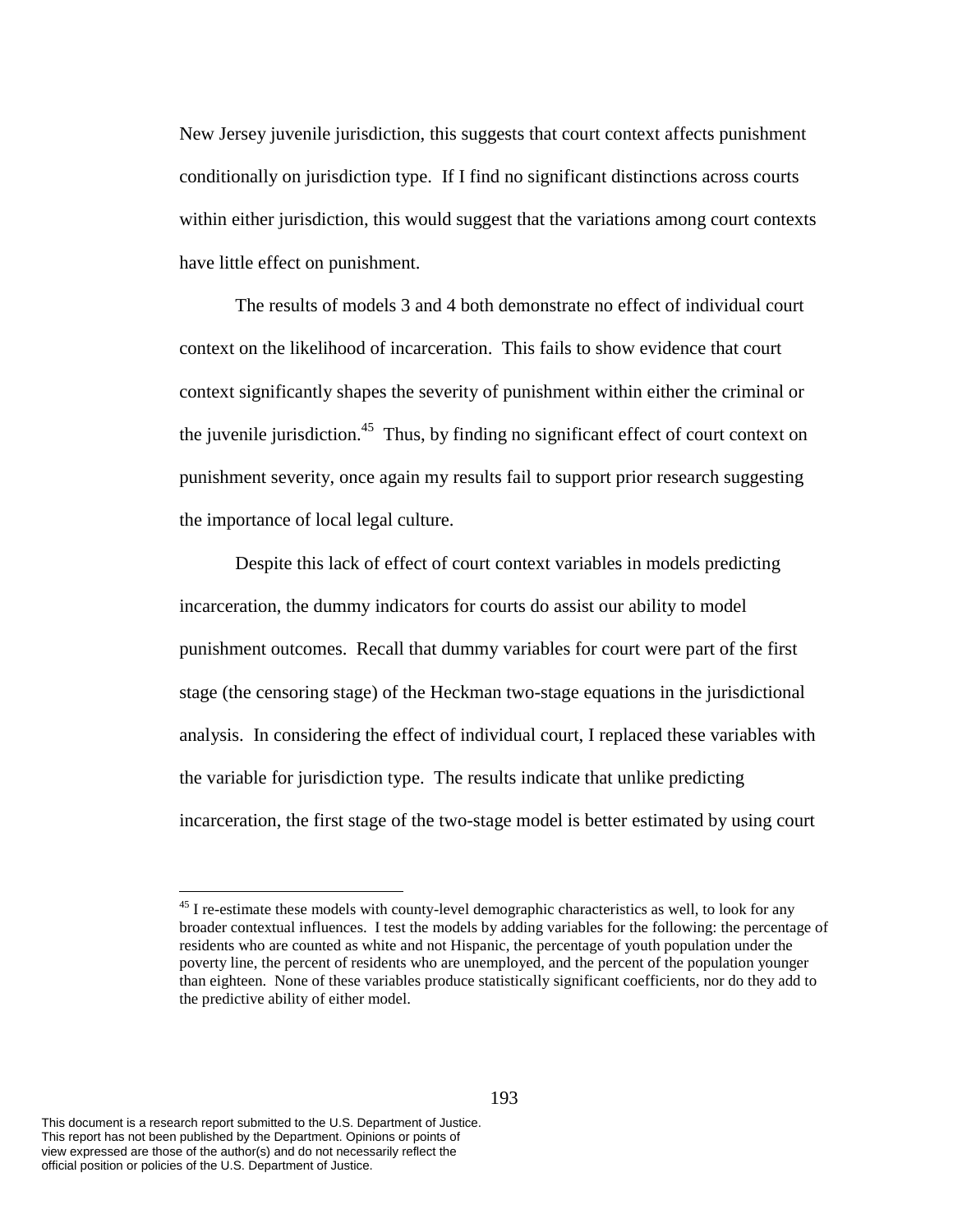New Jersey juvenile jurisdiction, this suggests that court context affects punishment conditionally on jurisdiction type. If I find no significant distinctions across courts within either jurisdiction, this would suggest that the variations among court contexts have little effect on punishment.

The results of models 3 and 4 both demonstrate no effect of individual court context on the likelihood of incarceration. This fails to show evidence that court context significantly shapes the severity of punishment within either the criminal or the juvenile jurisdiction.<sup>45</sup> Thus, by finding no significant effect of court context on punishment severity, once again my results fail to support prior research suggesting the importance of local legal culture.

Despite this lack of effect of court context variables in models predicting incarceration, the dummy indicators for courts do assist our ability to model punishment outcomes. Recall that dummy variables for court were part of the first stage (the censoring stage) of the Heckman two-stage equations in the jurisdictional analysis. In considering the effect of individual court, I replaced these variables with the variable for jurisdiction type. The results indicate that unlike predicting incarceration, the first stage of the two-stage model is better estimated by using court

<sup>&</sup>lt;sup>45</sup> I re-estimate these models with county-level demographic characteristics as well, to look for any broader contextual influences. I test the models by adding variables for the following: the percentage of residents who are counted as white and not Hispanic, the percentage of youth population under the poverty line, the percent of residents who are unemployed, and the percent of the population younger than eighteen. None of these variables produce statistically significant coefficients, nor do they add to the predictive ability of either model.

This document is a research report submitted to the U.S. Department of Justice. This report has not been published by the Department. Opinions or points of view expressed are those of the author(s) and do not necessarily reflect the official position or policies of the U.S. Department of Justice.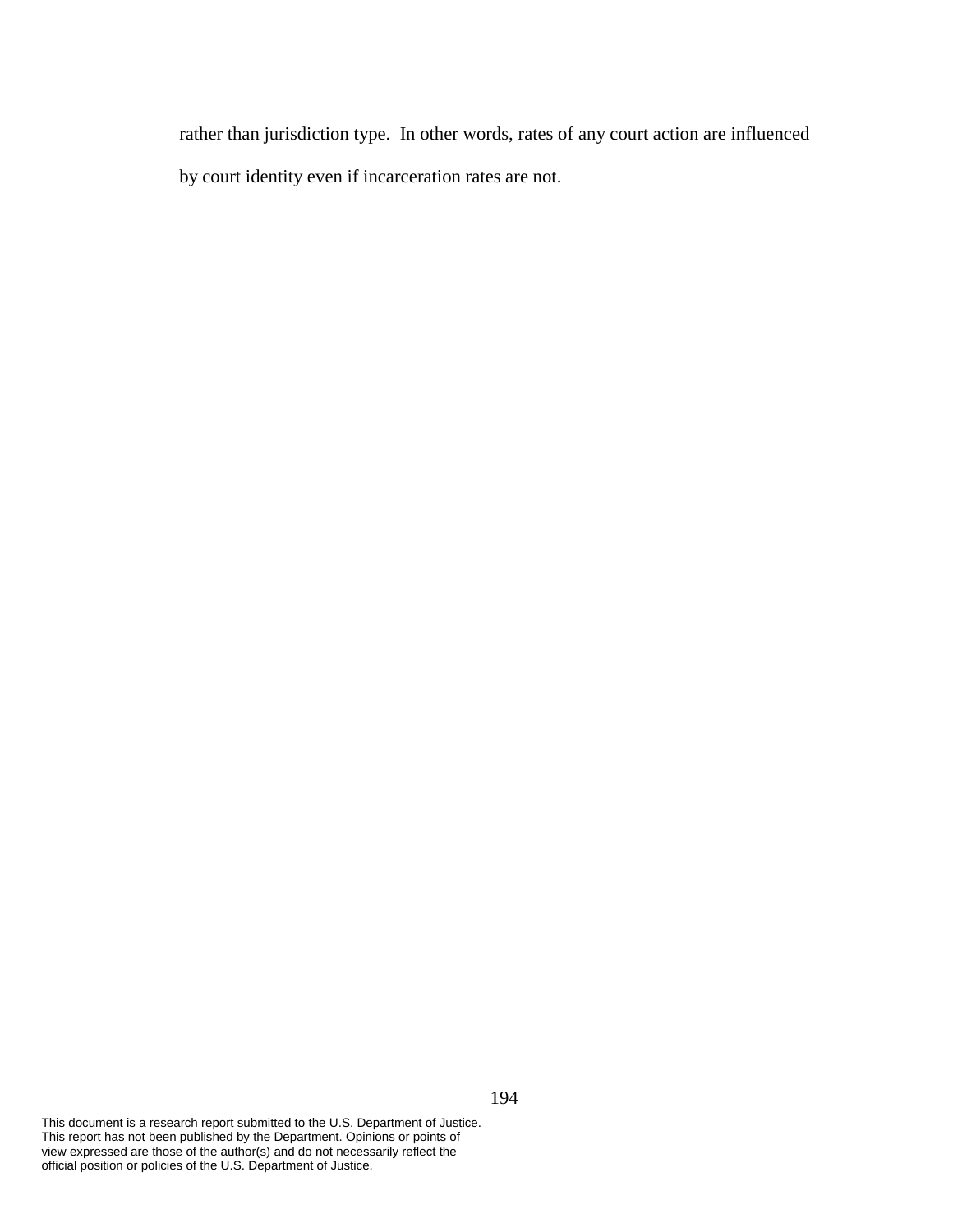rather than jurisdiction type. In other words, rates of any court action are influenced by court identity even if incarceration rates are not.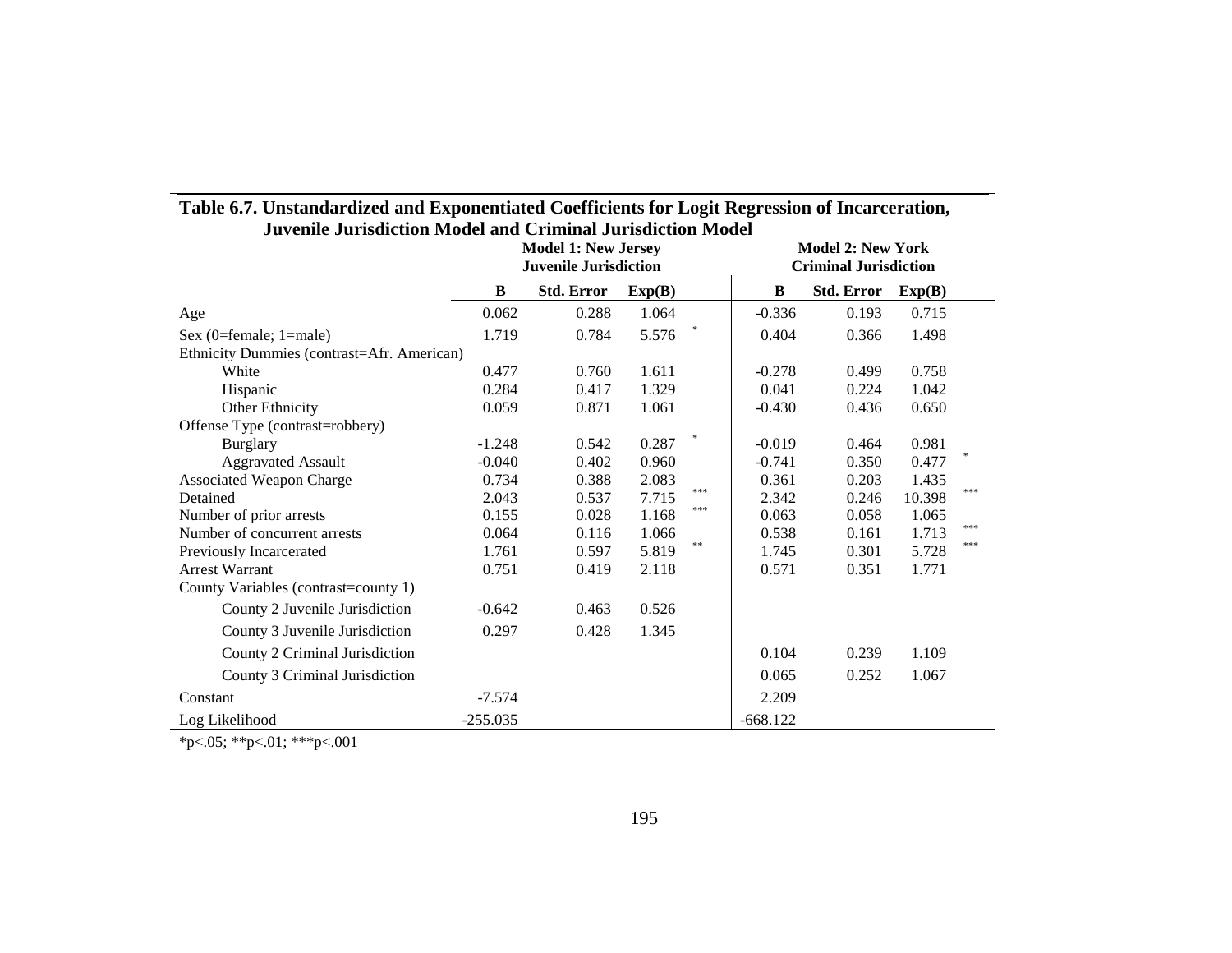|                                            | Juvenne Jurisuichon Model and Criminal Jurisuichon Model<br><b>Model 1: New Jersey</b><br><b>Juvenile Jurisdiction</b> |            |        |               |            | Model 2: New York<br><b>Criminal Jurisdiction</b> |        |     |  |
|--------------------------------------------|------------------------------------------------------------------------------------------------------------------------|------------|--------|---------------|------------|---------------------------------------------------|--------|-----|--|
|                                            | $\bf{B}$                                                                                                               | Std. Error | Exp(B) |               | B          | <b>Std. Error</b>                                 | Exp(B) |     |  |
| Age                                        | 0.062                                                                                                                  | 0.288      | 1.064  |               | $-0.336$   | 0.193                                             | 0.715  |     |  |
| Sex $(0=female; 1=male)$                   | 1.719                                                                                                                  | 0.784      | 5.576  |               | 0.404      | 0.366                                             | 1.498  |     |  |
| Ethnicity Dummies (contrast=Afr. American) |                                                                                                                        |            |        |               |            |                                                   |        |     |  |
| White                                      | 0.477                                                                                                                  | 0.760      | 1.611  |               | $-0.278$   | 0.499                                             | 0.758  |     |  |
| Hispanic                                   | 0.284                                                                                                                  | 0.417      | 1.329  |               | 0.041      | 0.224                                             | 1.042  |     |  |
| Other Ethnicity                            | 0.059                                                                                                                  | 0.871      | 1.061  |               | $-0.430$   | 0.436                                             | 0.650  |     |  |
| Offense Type (contrast=robbery)            |                                                                                                                        |            |        |               |            |                                                   |        |     |  |
| <b>Burglary</b>                            | $-1.248$                                                                                                               | 0.542      | 0.287  | $\frac{1}{2}$ | $-0.019$   | 0.464                                             | 0.981  |     |  |
| <b>Aggravated Assault</b>                  | $-0.040$                                                                                                               | 0.402      | 0.960  |               | $-0.741$   | 0.350                                             | 0.477  |     |  |
| <b>Associated Weapon Charge</b>            | 0.734                                                                                                                  | 0.388      | 2.083  |               | 0.361      | 0.203                                             | 1.435  |     |  |
| Detained                                   | 2.043                                                                                                                  | 0.537      | 7.715  | ***<br>***    | 2.342      | 0.246                                             | 10.398 | *** |  |
| Number of prior arrests                    | 0.155                                                                                                                  | 0.028      | 1.168  |               | 0.063      | 0.058                                             | 1.065  | *** |  |
| Number of concurrent arrests               | 0.064                                                                                                                  | 0.116      | 1.066  |               | 0.538      | 0.161                                             | 1.713  | *** |  |
| Previously Incarcerated                    | 1.761                                                                                                                  | 0.597      | 5.819  | **            | 1.745      | 0.301                                             | 5.728  |     |  |
| <b>Arrest Warrant</b>                      | 0.751                                                                                                                  | 0.419      | 2.118  |               | 0.571      | 0.351                                             | 1.771  |     |  |
| County Variables (contrast=county 1)       |                                                                                                                        |            |        |               |            |                                                   |        |     |  |
| County 2 Juvenile Jurisdiction             | $-0.642$                                                                                                               | 0.463      | 0.526  |               |            |                                                   |        |     |  |
| County 3 Juvenile Jurisdiction             | 0.297                                                                                                                  | 0.428      | 1.345  |               |            |                                                   |        |     |  |
| County 2 Criminal Jurisdiction             |                                                                                                                        |            |        |               | 0.104      | 0.239                                             | 1.109  |     |  |
| County 3 Criminal Jurisdiction             |                                                                                                                        |            |        |               | 0.065      | 0.252                                             | 1.067  |     |  |
| Constant                                   | $-7.574$                                                                                                               |            |        |               | 2.209      |                                                   |        |     |  |
| Log Likelihood                             | $-255.035$                                                                                                             |            |        |               | $-668.122$ |                                                   |        |     |  |

## **Table 6.7. Unstandardized and Exponentiated Coefficients for Logit Regression of Incarceration, Juvenile Jurisdiction Model and Criminal Jurisdiction Model**

\*p<.05; \*\*p<.01; \*\*\*p<.001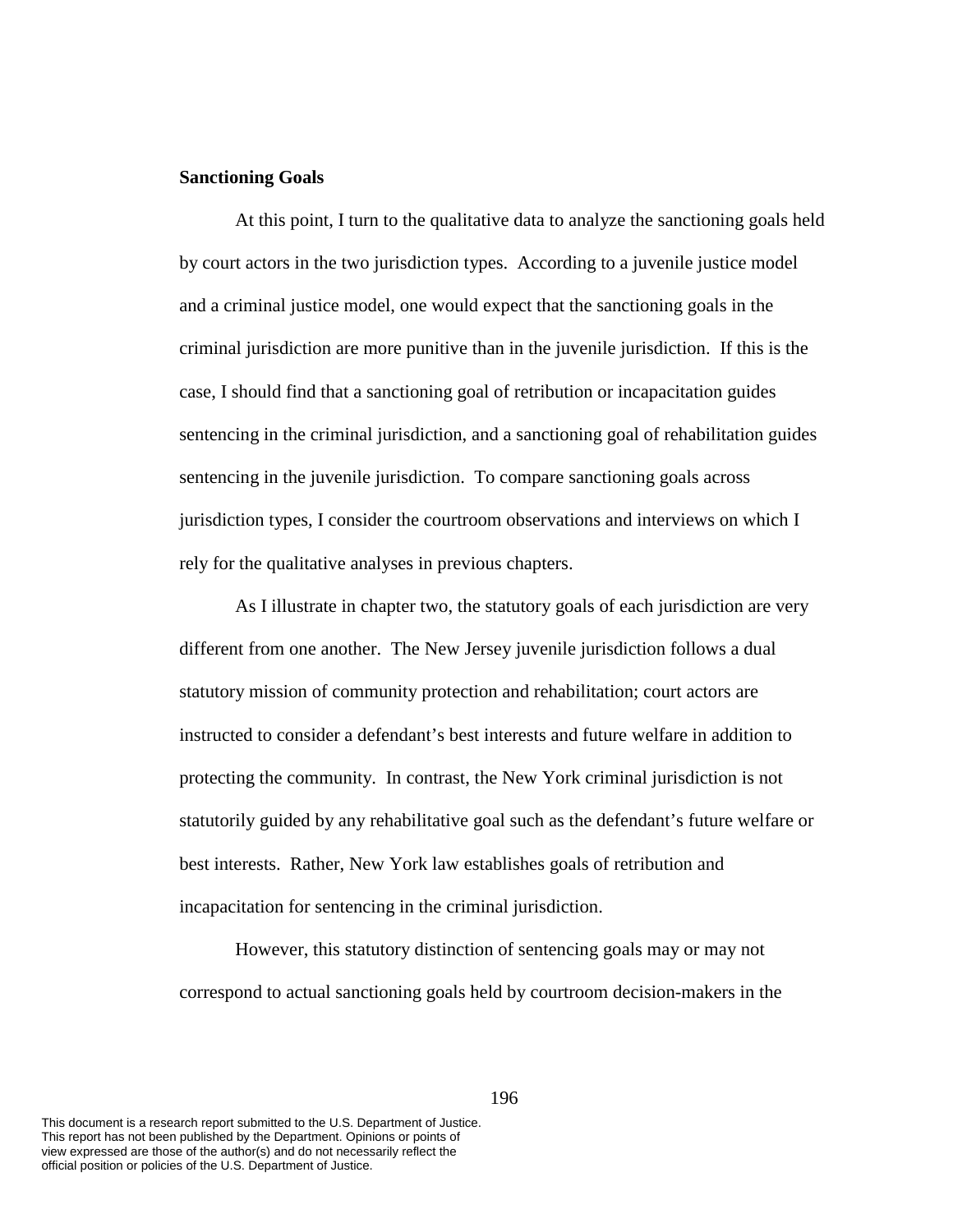#### **Sanctioning Goals**

At this point, I turn to the qualitative data to analyze the sanctioning goals held by court actors in the two jurisdiction types. According to a juvenile justice model and a criminal justice model, one would expect that the sanctioning goals in the criminal jurisdiction are more punitive than in the juvenile jurisdiction. If this is the case, I should find that a sanctioning goal of retribution or incapacitation guides sentencing in the criminal jurisdiction, and a sanctioning goal of rehabilitation guides sentencing in the juvenile jurisdiction. To compare sanctioning goals across jurisdiction types, I consider the courtroom observations and interviews on which I rely for the qualitative analyses in previous chapters.

As I illustrate in chapter two, the statutory goals of each jurisdiction are very different from one another. The New Jersey juvenile jurisdiction follows a dual statutory mission of community protection and rehabilitation; court actors are instructed to consider a defendant's best interests and future welfare in addition to protecting the community. In contrast, the New York criminal jurisdiction is not statutorily guided by any rehabilitative goal such as the defendant's future welfare or best interests. Rather, New York law establishes goals of retribution and incapacitation for sentencing in the criminal jurisdiction.

However, this statutory distinction of sentencing goals may or may not correspond to actual sanctioning goals held by courtroom decision-makers in the

This document is a research report submitted to the U.S. Department of Justice. This report has not been published by the Department. Opinions or points of view expressed are those of the author(s) and do not necessarily reflect the official position or policies of the U.S. Department of Justice.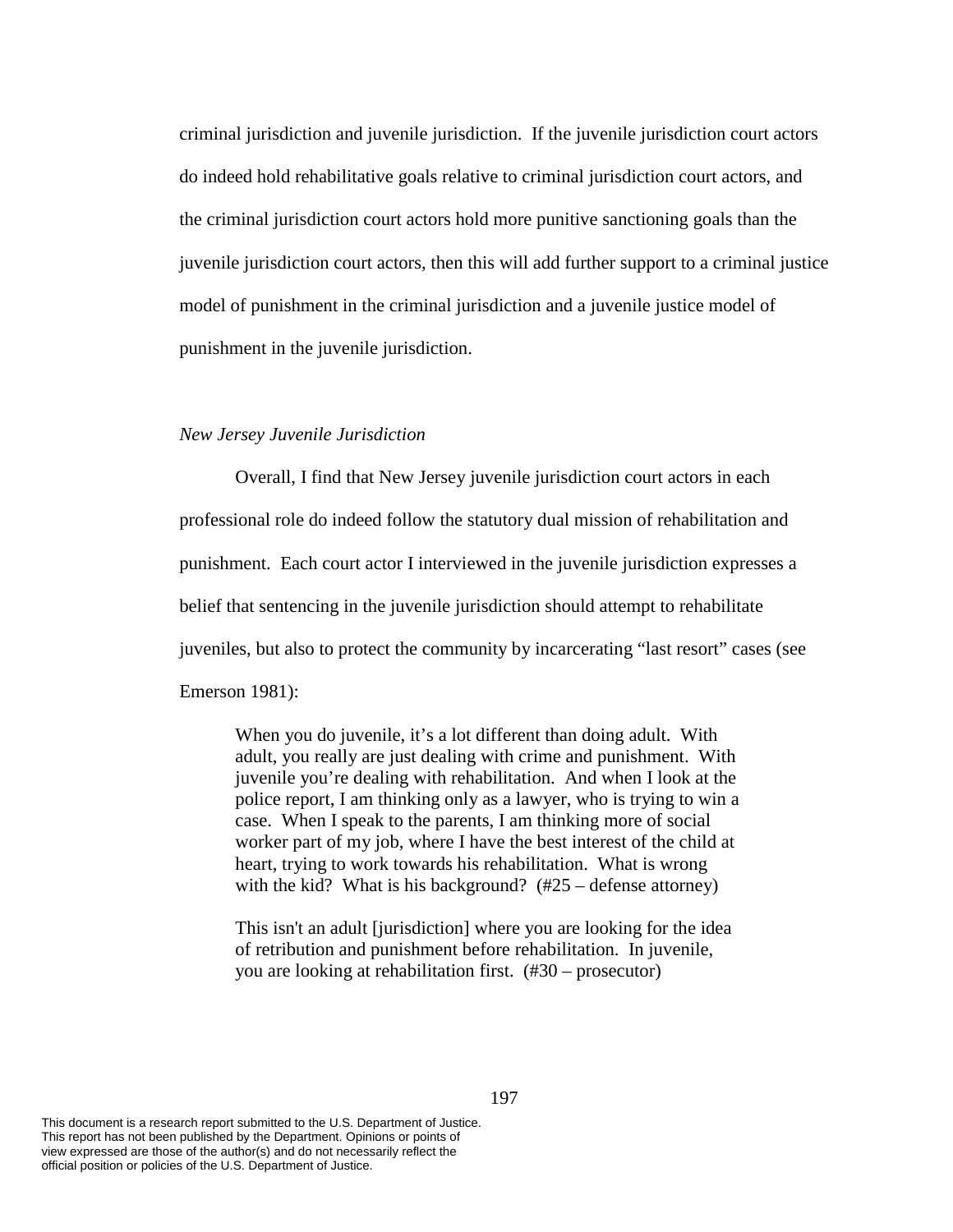criminal jurisdiction and juvenile jurisdiction. If the juvenile jurisdiction court actors do indeed hold rehabilitative goals relative to criminal jurisdiction court actors, and the criminal jurisdiction court actors hold more punitive sanctioning goals than the juvenile jurisdiction court actors, then this will add further support to a criminal justice model of punishment in the criminal jurisdiction and a juvenile justice model of punishment in the juvenile jurisdiction.

### *New Jersey Juvenile Jurisdiction*

Overall, I find that New Jersey juvenile jurisdiction court actors in each professional role do indeed follow the statutory dual mission of rehabilitation and punishment. Each court actor I interviewed in the juvenile jurisdiction expresses a belief that sentencing in the juvenile jurisdiction should attempt to rehabilitate juveniles, but also to protect the community by incarcerating "last resort" cases (see Emerson 1981):

When you do juvenile, it's a lot different than doing adult. With adult, you really are just dealing with crime and punishment. With juvenile you're dealing with rehabilitation. And when I look at the police report, I am thinking only as a lawyer, who is trying to win a case. When I speak to the parents, I am thinking more of social worker part of my job, where I have the best interest of the child at heart, trying to work towards his rehabilitation. What is wrong with the kid? What is his background? (#25 – defense attorney)

This isn't an adult [jurisdiction] where you are looking for the idea of retribution and punishment before rehabilitation. In juvenile, you are looking at rehabilitation first. (#30 – prosecutor)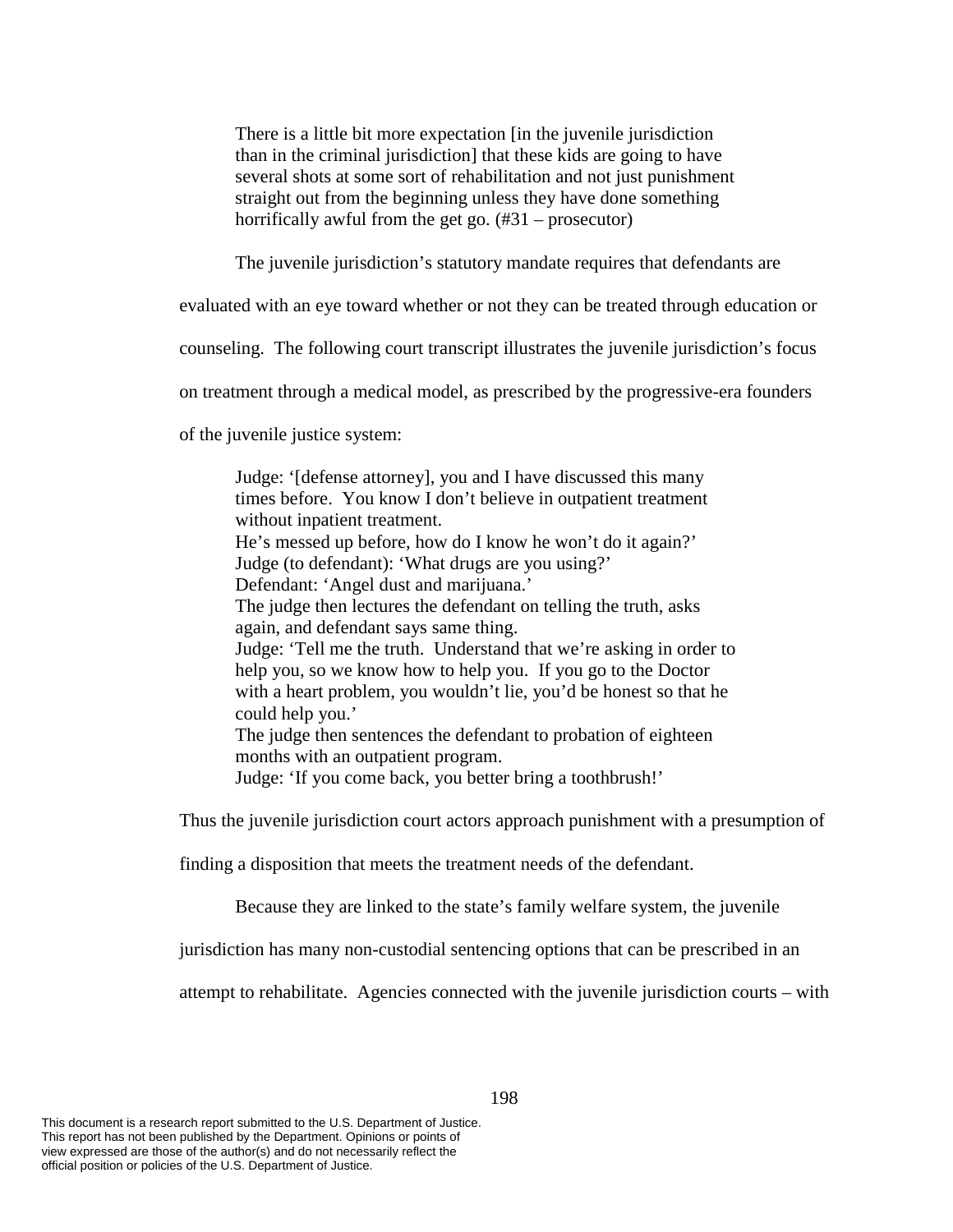There is a little bit more expectation [in the juvenile jurisdiction than in the criminal jurisdiction] that these kids are going to have several shots at some sort of rehabilitation and not just punishment straight out from the beginning unless they have done something horrifically awful from the get go. (#31 – prosecutor)

The juvenile jurisdiction's statutory mandate requires that defendants are

evaluated with an eye toward whether or not they can be treated through education or

counseling. The following court transcript illustrates the juvenile jurisdiction's focus

on treatment through a medical model, as prescribed by the progressive-era founders

of the juvenile justice system:

Judge: '[defense attorney], you and I have discussed this many times before. You know I don't believe in outpatient treatment without inpatient treatment. He's messed up before, how do I know he won't do it again?' Judge (to defendant): 'What drugs are you using?' Defendant: 'Angel dust and marijuana.' The judge then lectures the defendant on telling the truth, asks again, and defendant says same thing. Judge: 'Tell me the truth. Understand that we're asking in order to help you, so we know how to help you. If you go to the Doctor with a heart problem, you wouldn't lie, you'd be honest so that he could help you.' The judge then sentences the defendant to probation of eighteen months with an outpatient program. Judge: 'If you come back, you better bring a toothbrush!'

Thus the juvenile jurisdiction court actors approach punishment with a presumption of

finding a disposition that meets the treatment needs of the defendant.

Because they are linked to the state's family welfare system, the juvenile

jurisdiction has many non-custodial sentencing options that can be prescribed in an

attempt to rehabilitate. Agencies connected with the juvenile jurisdiction courts – with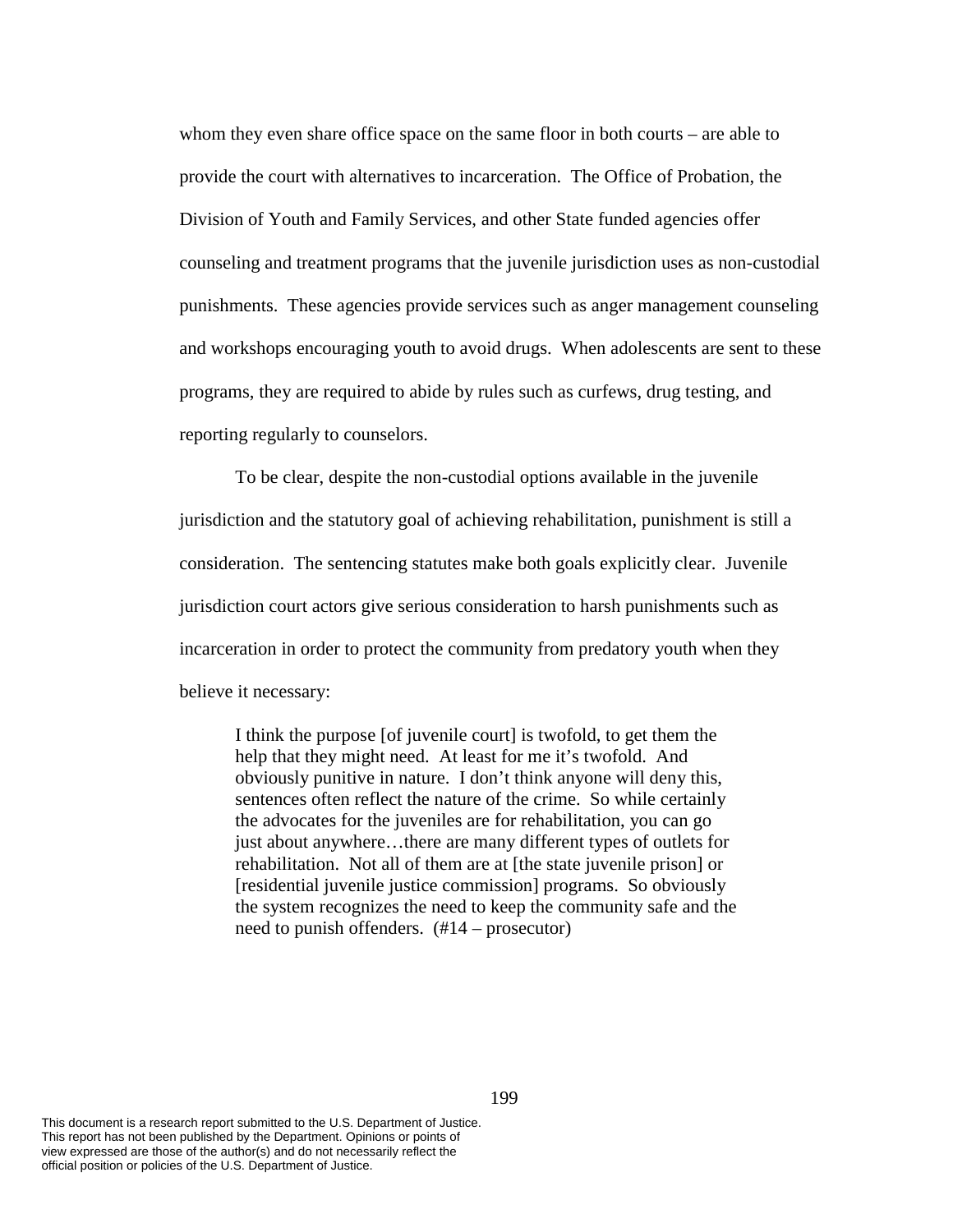whom they even share office space on the same floor in both courts – are able to provide the court with alternatives to incarceration. The Office of Probation, the Division of Youth and Family Services, and other State funded agencies offer counseling and treatment programs that the juvenile jurisdiction uses as non-custodial punishments. These agencies provide services such as anger management counseling and workshops encouraging youth to avoid drugs. When adolescents are sent to these programs, they are required to abide by rules such as curfews, drug testing, and reporting regularly to counselors.

To be clear, despite the non-custodial options available in the juvenile jurisdiction and the statutory goal of achieving rehabilitation, punishment is still a consideration. The sentencing statutes make both goals explicitly clear. Juvenile jurisdiction court actors give serious consideration to harsh punishments such as incarceration in order to protect the community from predatory youth when they believe it necessary:

I think the purpose [of juvenile court] is twofold, to get them the help that they might need. At least for me it's twofold. And obviously punitive in nature. I don't think anyone will deny this, sentences often reflect the nature of the crime. So while certainly the advocates for the juveniles are for rehabilitation, you can go just about anywhere…there are many different types of outlets for rehabilitation. Not all of them are at [the state juvenile prison] or [residential juvenile justice commission] programs. So obviously the system recognizes the need to keep the community safe and the need to punish offenders. (#14 – prosecutor)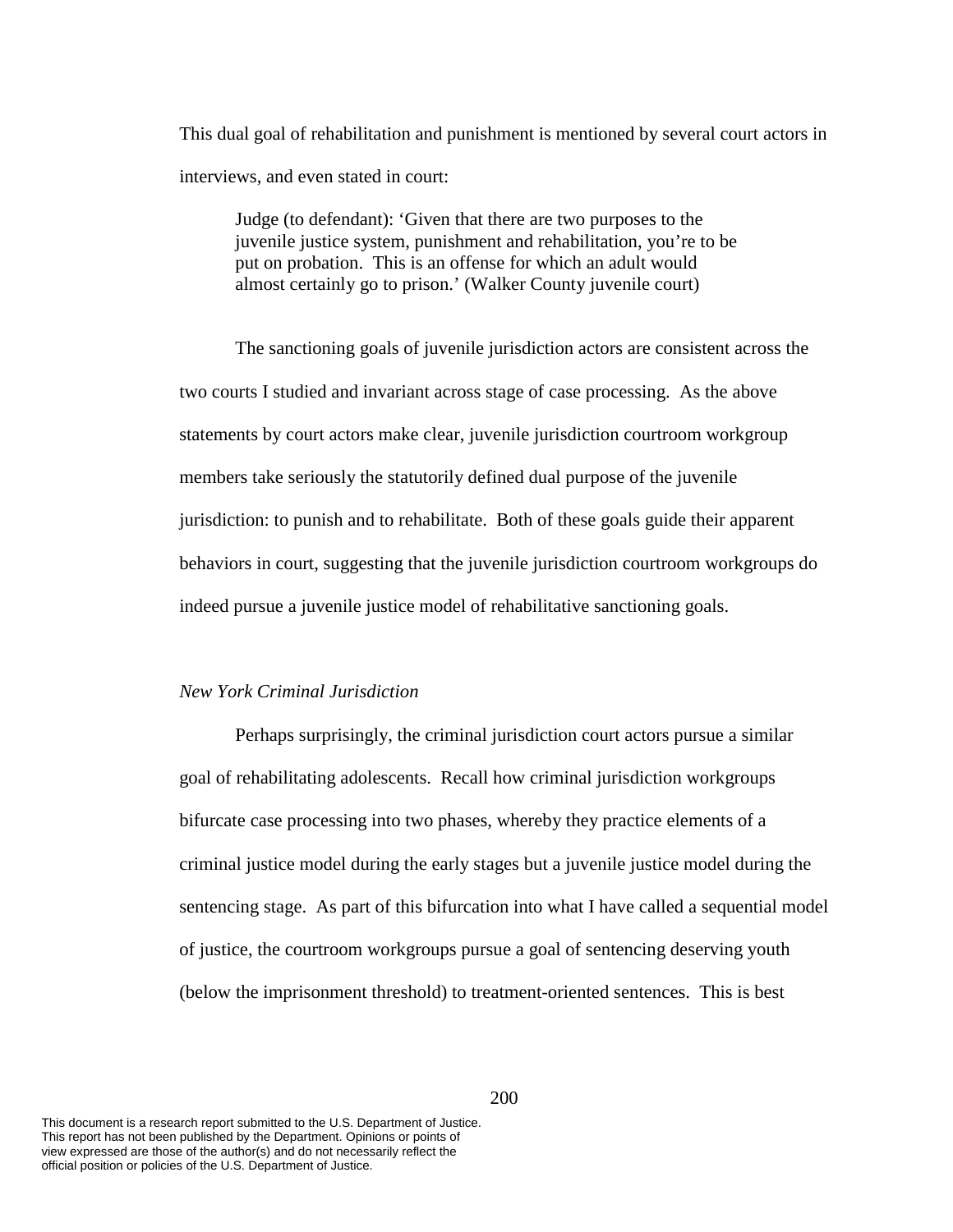This dual goal of rehabilitation and punishment is mentioned by several court actors in interviews, and even stated in court:

Judge (to defendant): 'Given that there are two purposes to the juvenile justice system, punishment and rehabilitation, you're to be put on probation. This is an offense for which an adult would almost certainly go to prison.' (Walker County juvenile court)

The sanctioning goals of juvenile jurisdiction actors are consistent across the two courts I studied and invariant across stage of case processing. As the above statements by court actors make clear, juvenile jurisdiction courtroom workgroup members take seriously the statutorily defined dual purpose of the juvenile jurisdiction: to punish and to rehabilitate. Both of these goals guide their apparent behaviors in court, suggesting that the juvenile jurisdiction courtroom workgroups do indeed pursue a juvenile justice model of rehabilitative sanctioning goals.

### *New York Criminal Jurisdiction*

Perhaps surprisingly, the criminal jurisdiction court actors pursue a similar goal of rehabilitating adolescents. Recall how criminal jurisdiction workgroups bifurcate case processing into two phases, whereby they practice elements of a criminal justice model during the early stages but a juvenile justice model during the sentencing stage. As part of this bifurcation into what I have called a sequential model of justice, the courtroom workgroups pursue a goal of sentencing deserving youth (below the imprisonment threshold) to treatment-oriented sentences. This is best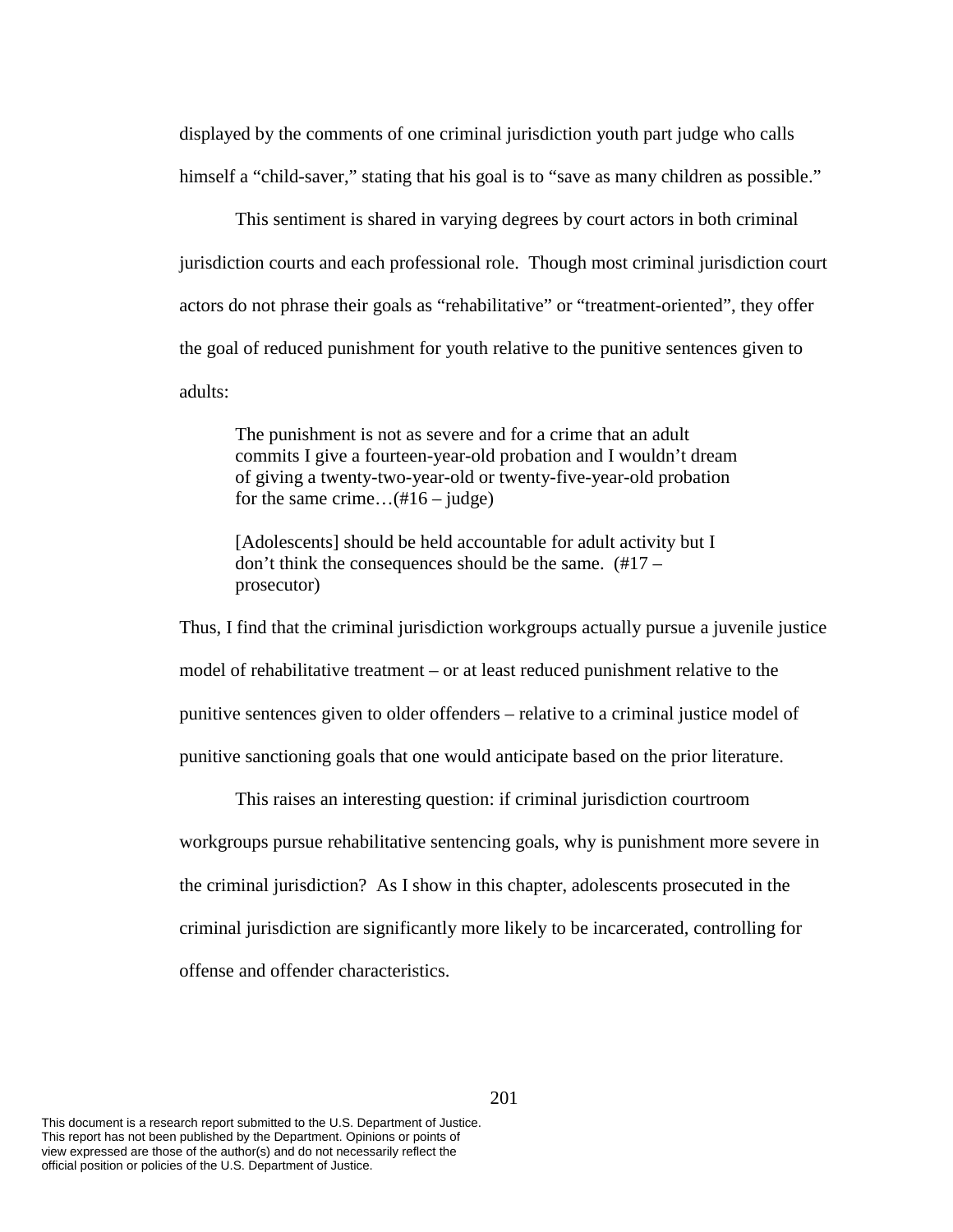displayed by the comments of one criminal jurisdiction youth part judge who calls himself a "child-saver," stating that his goal is to "save as many children as possible."

This sentiment is shared in varying degrees by court actors in both criminal jurisdiction courts and each professional role. Though most criminal jurisdiction court actors do not phrase their goals as "rehabilitative" or "treatment-oriented", they offer the goal of reduced punishment for youth relative to the punitive sentences given to adults:

The punishment is not as severe and for a crime that an adult commits I give a fourteen-year-old probation and I wouldn't dream of giving a twenty-two-year-old or twenty-five-year-old probation for the same crime... $(\text{\#}16 - \text{judge})$ 

[Adolescents] should be held accountable for adult activity but I don't think the consequences should be the same. (#17 – prosecutor)

Thus, I find that the criminal jurisdiction workgroups actually pursue a juvenile justice model of rehabilitative treatment – or at least reduced punishment relative to the punitive sentences given to older offenders – relative to a criminal justice model of punitive sanctioning goals that one would anticipate based on the prior literature.

This raises an interesting question: if criminal jurisdiction courtroom workgroups pursue rehabilitative sentencing goals, why is punishment more severe in the criminal jurisdiction? As I show in this chapter, adolescents prosecuted in the criminal jurisdiction are significantly more likely to be incarcerated, controlling for offense and offender characteristics.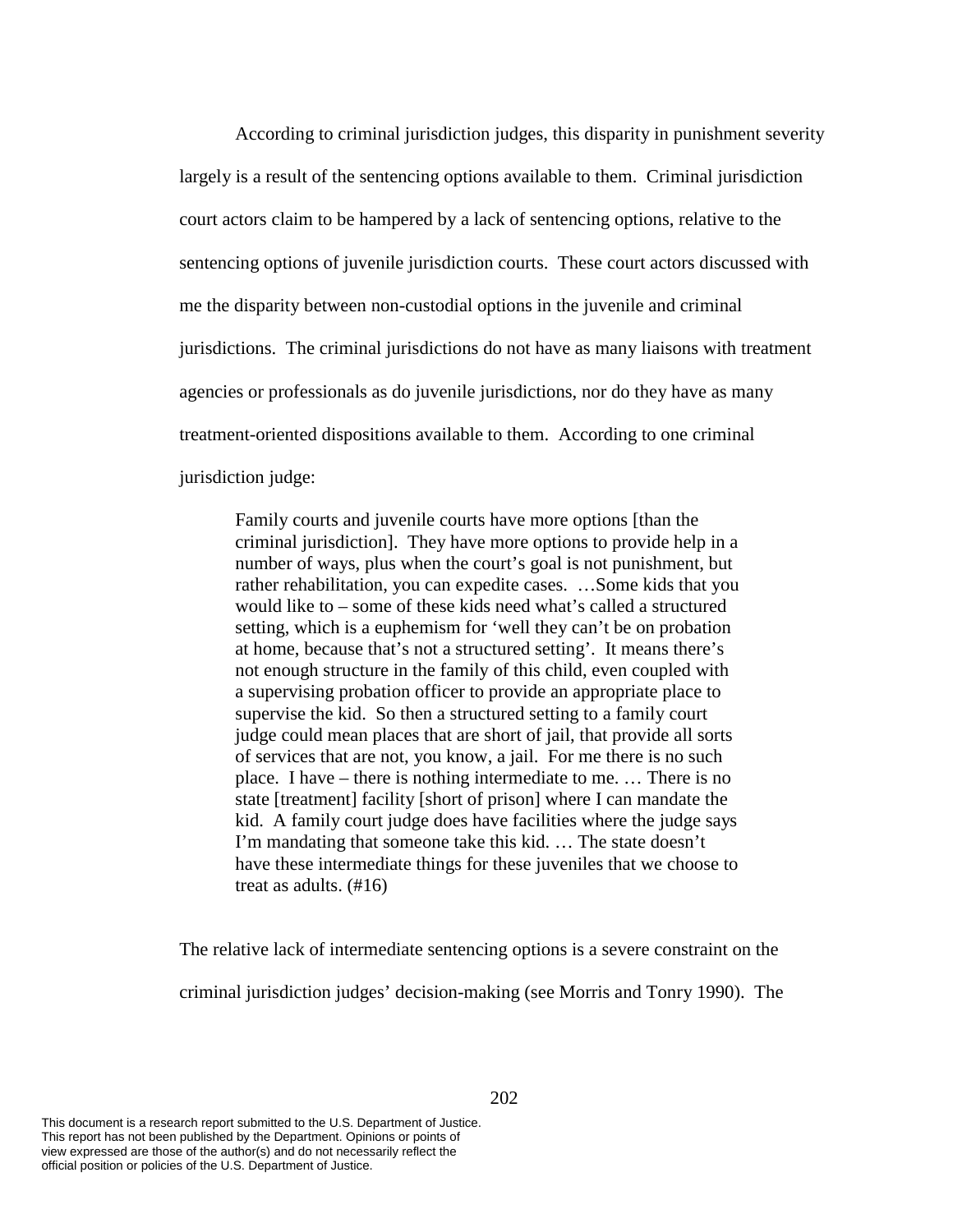According to criminal jurisdiction judges, this disparity in punishment severity largely is a result of the sentencing options available to them. Criminal jurisdiction court actors claim to be hampered by a lack of sentencing options, relative to the sentencing options of juvenile jurisdiction courts. These court actors discussed with me the disparity between non-custodial options in the juvenile and criminal jurisdictions. The criminal jurisdictions do not have as many liaisons with treatment agencies or professionals as do juvenile jurisdictions, nor do they have as many treatment-oriented dispositions available to them. According to one criminal jurisdiction judge:

Family courts and juvenile courts have more options [than the criminal jurisdiction]. They have more options to provide help in a number of ways, plus when the court's goal is not punishment, but rather rehabilitation, you can expedite cases. …Some kids that you would like to – some of these kids need what's called a structured setting, which is a euphemism for 'well they can't be on probation at home, because that's not a structured setting'. It means there's not enough structure in the family of this child, even coupled with a supervising probation officer to provide an appropriate place to supervise the kid. So then a structured setting to a family court judge could mean places that are short of jail, that provide all sorts of services that are not, you know, a jail. For me there is no such place. I have – there is nothing intermediate to me. … There is no state [treatment] facility [short of prison] where I can mandate the kid. A family court judge does have facilities where the judge says I'm mandating that someone take this kid. … The state doesn't have these intermediate things for these juveniles that we choose to treat as adults. (#16)

The relative lack of intermediate sentencing options is a severe constraint on the criminal jurisdiction judges' decision-making (see Morris and Tonry 1990). The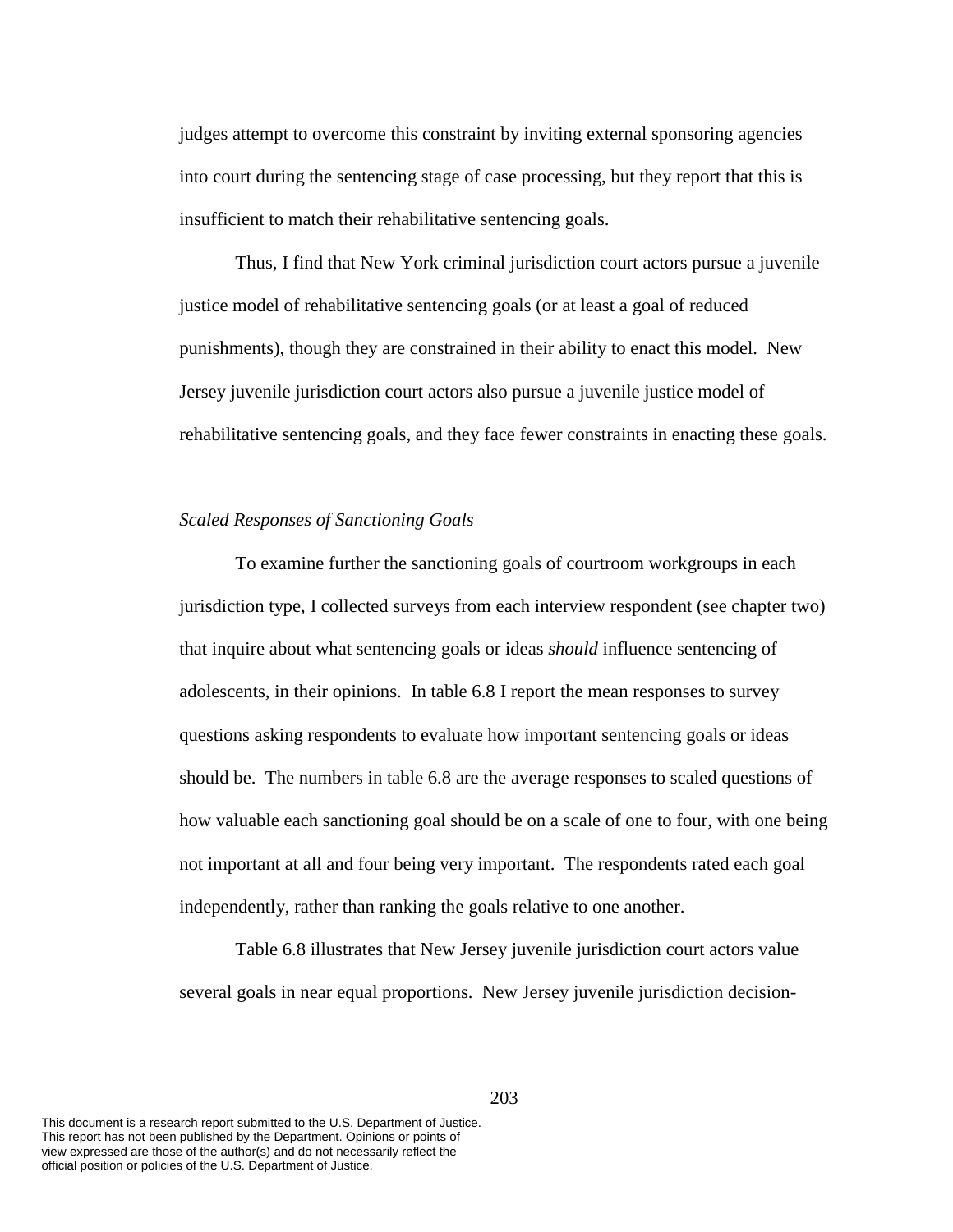judges attempt to overcome this constraint by inviting external sponsoring agencies into court during the sentencing stage of case processing, but they report that this is insufficient to match their rehabilitative sentencing goals.

Thus, I find that New York criminal jurisdiction court actors pursue a juvenile justice model of rehabilitative sentencing goals (or at least a goal of reduced punishments), though they are constrained in their ability to enact this model. New Jersey juvenile jurisdiction court actors also pursue a juvenile justice model of rehabilitative sentencing goals, and they face fewer constraints in enacting these goals.

#### *Scaled Responses of Sanctioning Goals*

To examine further the sanctioning goals of courtroom workgroups in each jurisdiction type, I collected surveys from each interview respondent (see chapter two) that inquire about what sentencing goals or ideas *should* influence sentencing of adolescents, in their opinions. In table 6.8 I report the mean responses to survey questions asking respondents to evaluate how important sentencing goals or ideas should be. The numbers in table 6.8 are the average responses to scaled questions of how valuable each sanctioning goal should be on a scale of one to four, with one being not important at all and four being very important. The respondents rated each goal independently, rather than ranking the goals relative to one another.

Table 6.8 illustrates that New Jersey juvenile jurisdiction court actors value several goals in near equal proportions. New Jersey juvenile jurisdiction decision-

This document is a research report submitted to the U.S. Department of Justice. This report has not been published by the Department. Opinions or points of view expressed are those of the author(s) and do not necessarily reflect the official position or policies of the U.S. Department of Justice.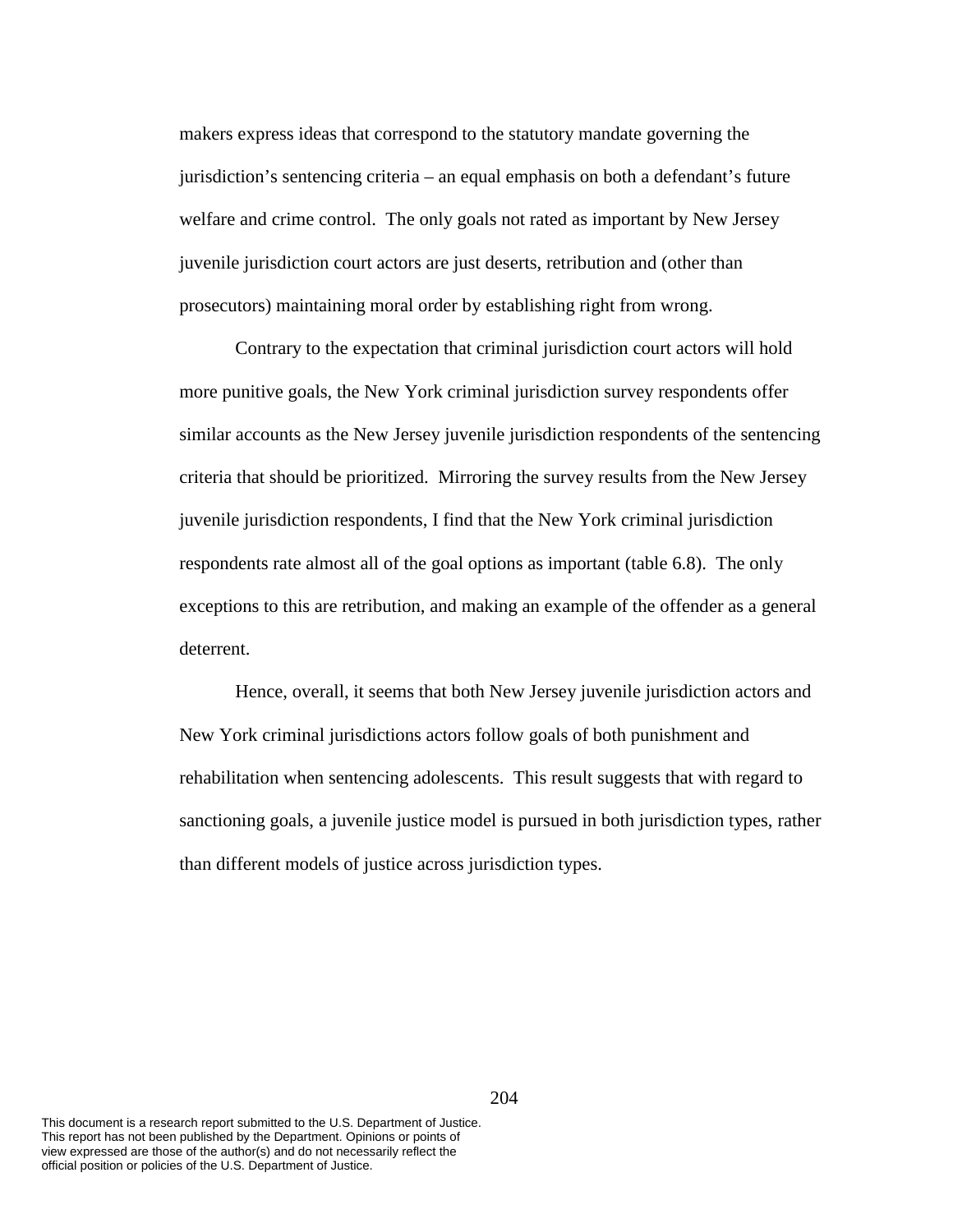makers express ideas that correspond to the statutory mandate governing the jurisdiction's sentencing criteria – an equal emphasis on both a defendant's future welfare and crime control. The only goals not rated as important by New Jersey juvenile jurisdiction court actors are just deserts, retribution and (other than prosecutors) maintaining moral order by establishing right from wrong.

Contrary to the expectation that criminal jurisdiction court actors will hold more punitive goals, the New York criminal jurisdiction survey respondents offer similar accounts as the New Jersey juvenile jurisdiction respondents of the sentencing criteria that should be prioritized. Mirroring the survey results from the New Jersey juvenile jurisdiction respondents, I find that the New York criminal jurisdiction respondents rate almost all of the goal options as important (table 6.8). The only exceptions to this are retribution, and making an example of the offender as a general deterrent.

Hence, overall, it seems that both New Jersey juvenile jurisdiction actors and New York criminal jurisdictions actors follow goals of both punishment and rehabilitation when sentencing adolescents. This result suggests that with regard to sanctioning goals, a juvenile justice model is pursued in both jurisdiction types, rather than different models of justice across jurisdiction types.

This document is a research report submitted to the U.S. Department of Justice. This report has not been published by the Department. Opinions or points of view expressed are those of the author(s) and do not necessarily reflect the official position or policies of the U.S. Department of Justice.

204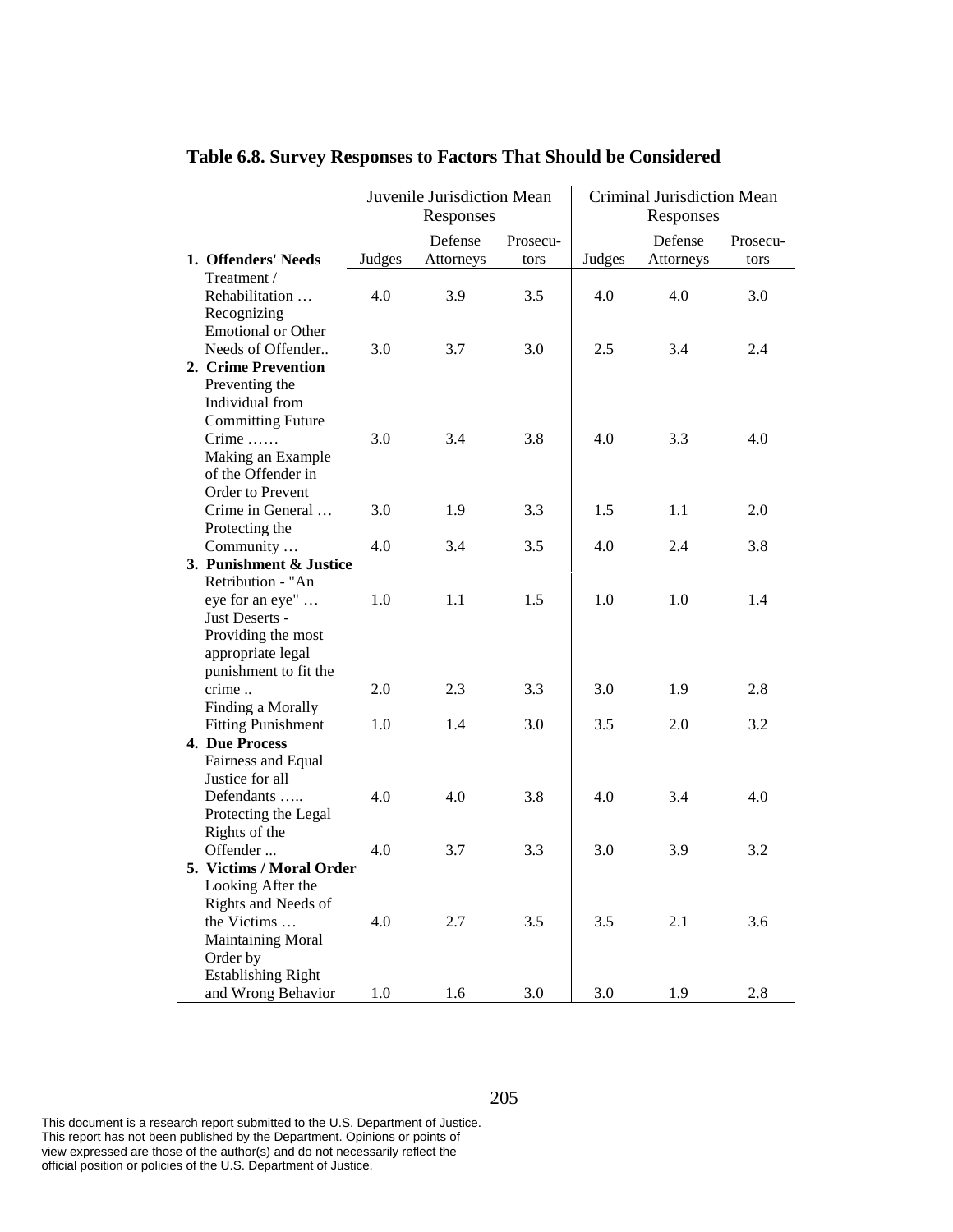|                           | Juvenile Jurisdiction Mean<br>Responses |                      | Criminal Jurisdiction Mean<br>Responses |        |                      |                  |
|---------------------------|-----------------------------------------|----------------------|-----------------------------------------|--------|----------------------|------------------|
| 1. Offenders' Needs       | Judges                                  | Defense<br>Attorneys | Prosecu-<br>tors                        | Judges | Defense<br>Attorneys | Prosecu-<br>tors |
| Treatment /               |                                         |                      |                                         |        |                      |                  |
| Rehabilitation            | 4.0                                     | 3.9                  | 3.5                                     | 4.0    | 4.0                  | 3.0              |
| Recognizing               |                                         |                      |                                         |        |                      |                  |
| <b>Emotional or Other</b> |                                         |                      |                                         |        |                      |                  |
| Needs of Offender         | 3.0                                     | 3.7                  | 3.0                                     | 2.5    | 3.4                  | 2.4              |
| 2. Crime Prevention       |                                         |                      |                                         |        |                      |                  |
| Preventing the            |                                         |                      |                                         |        |                      |                  |
| Individual from           |                                         |                      |                                         |        |                      |                  |
| <b>Committing Future</b>  |                                         |                      |                                         |        |                      |                  |
| $C$ rime                  | 3.0                                     | 3.4                  | 3.8                                     | 4.0    | 3.3                  | 4.0              |
| Making an Example         |                                         |                      |                                         |        |                      |                  |
| of the Offender in        |                                         |                      |                                         |        |                      |                  |
| Order to Prevent          |                                         |                      |                                         |        |                      |                  |
| Crime in General          | 3.0                                     | 1.9                  | 3.3                                     | 1.5    | 1.1                  | 2.0              |
| Protecting the            |                                         |                      |                                         |        |                      |                  |
| Community                 | 4.0                                     | 3.4                  | 3.5                                     | 4.0    | 2.4                  | 3.8              |
| 3. Punishment & Justice   |                                         |                      |                                         |        |                      |                  |
| Retribution - "An         |                                         |                      |                                         |        |                      |                  |
| eye for an eye"           | 1.0                                     | 1.1                  | 1.5                                     | 1.0    | 1.0                  | 1.4              |
| Just Deserts -            |                                         |                      |                                         |        |                      |                  |
| Providing the most        |                                         |                      |                                         |        |                      |                  |
| appropriate legal         |                                         |                      |                                         |        |                      |                  |
| punishment to fit the     |                                         |                      |                                         |        |                      |                  |
| crime                     | 2.0                                     | 2.3                  | 3.3                                     | 3.0    | 1.9                  | 2.8              |
| Finding a Morally         |                                         |                      |                                         |        |                      |                  |
| <b>Fitting Punishment</b> | 1.0                                     | 1.4                  | 3.0                                     | 3.5    | 2.0                  | 3.2              |
| 4. Due Process            |                                         |                      |                                         |        |                      |                  |
| Fairness and Equal        |                                         |                      |                                         |        |                      |                  |
| Justice for all           |                                         |                      |                                         |        |                      |                  |
| Defendants                | 4.0                                     | 4.0                  | 3.8                                     | 4.0    | 3.4                  | 4.0              |
| Protecting the Legal      |                                         |                      |                                         |        |                      |                  |
| Rights of the             |                                         |                      |                                         |        |                      |                  |
| Offender                  | 4.0                                     | 3.7                  | 3.3                                     | 3.0    | 3.9                  | 3.2              |
| 5. Victims / Moral Order  |                                         |                      |                                         |        |                      |                  |
| Looking After the         |                                         |                      |                                         |        |                      |                  |
| Rights and Needs of       |                                         |                      |                                         |        |                      |                  |
| the Victims               | 4.0                                     | 2.7                  | 3.5                                     | 3.5    | 2.1                  | 3.6              |
| <b>Maintaining Moral</b>  |                                         |                      |                                         |        |                      |                  |
| Order by                  |                                         |                      |                                         |        |                      |                  |
| <b>Establishing Right</b> |                                         |                      |                                         |        |                      |                  |
| and Wrong Behavior        | 1.0                                     | 1.6                  | 3.0                                     | 3.0    | 1.9                  | 2.8              |

# **Table 6.8. Survey Responses to Factors That Should be Considered**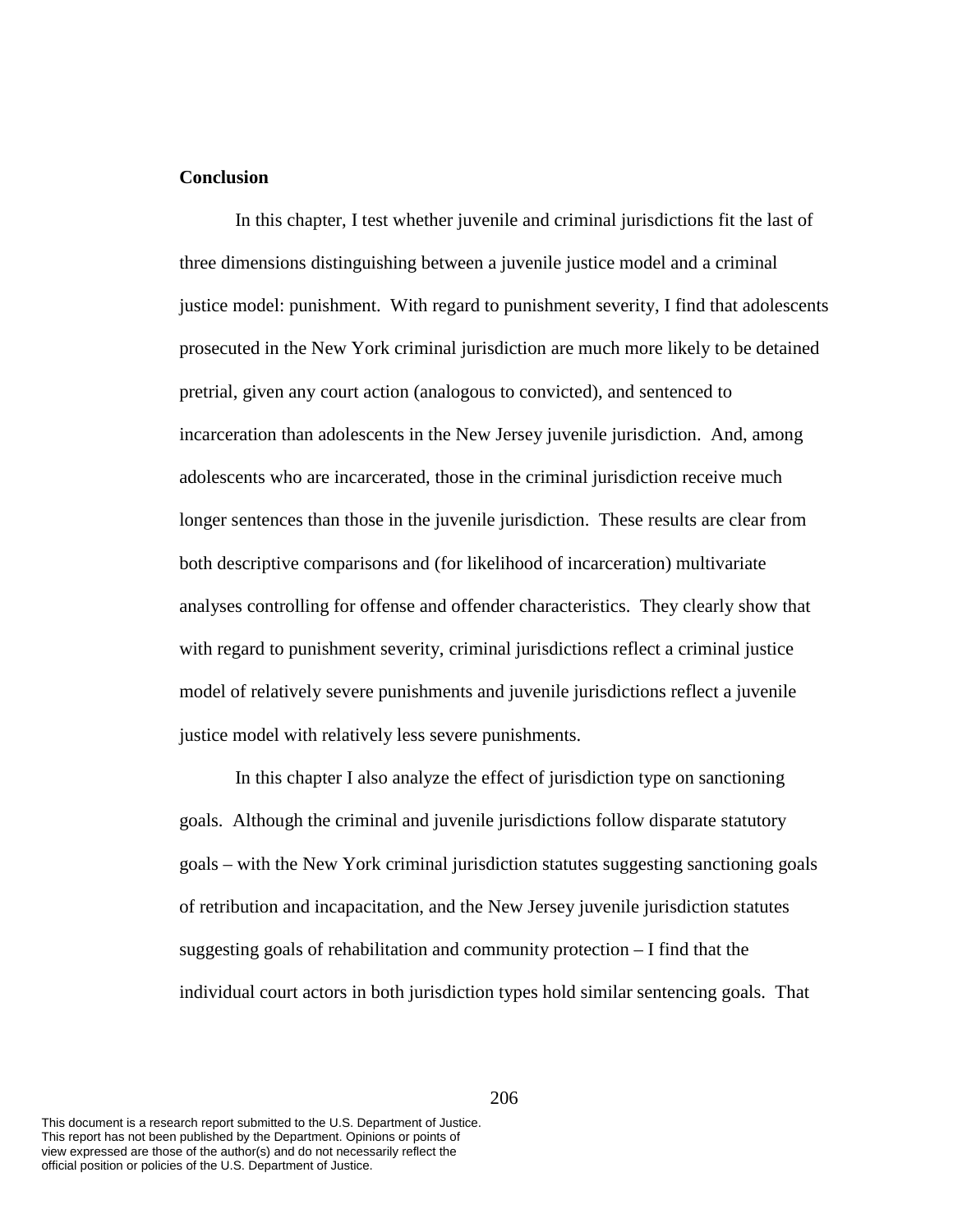## **Conclusion**

In this chapter, I test whether juvenile and criminal jurisdictions fit the last of three dimensions distinguishing between a juvenile justice model and a criminal justice model: punishment. With regard to punishment severity, I find that adolescents prosecuted in the New York criminal jurisdiction are much more likely to be detained pretrial, given any court action (analogous to convicted), and sentenced to incarceration than adolescents in the New Jersey juvenile jurisdiction. And, among adolescents who are incarcerated, those in the criminal jurisdiction receive much longer sentences than those in the juvenile jurisdiction. These results are clear from both descriptive comparisons and (for likelihood of incarceration) multivariate analyses controlling for offense and offender characteristics. They clearly show that with regard to punishment severity, criminal jurisdictions reflect a criminal justice model of relatively severe punishments and juvenile jurisdictions reflect a juvenile justice model with relatively less severe punishments.

In this chapter I also analyze the effect of jurisdiction type on sanctioning goals. Although the criminal and juvenile jurisdictions follow disparate statutory goals – with the New York criminal jurisdiction statutes suggesting sanctioning goals of retribution and incapacitation, and the New Jersey juvenile jurisdiction statutes suggesting goals of rehabilitation and community protection – I find that the individual court actors in both jurisdiction types hold similar sentencing goals. That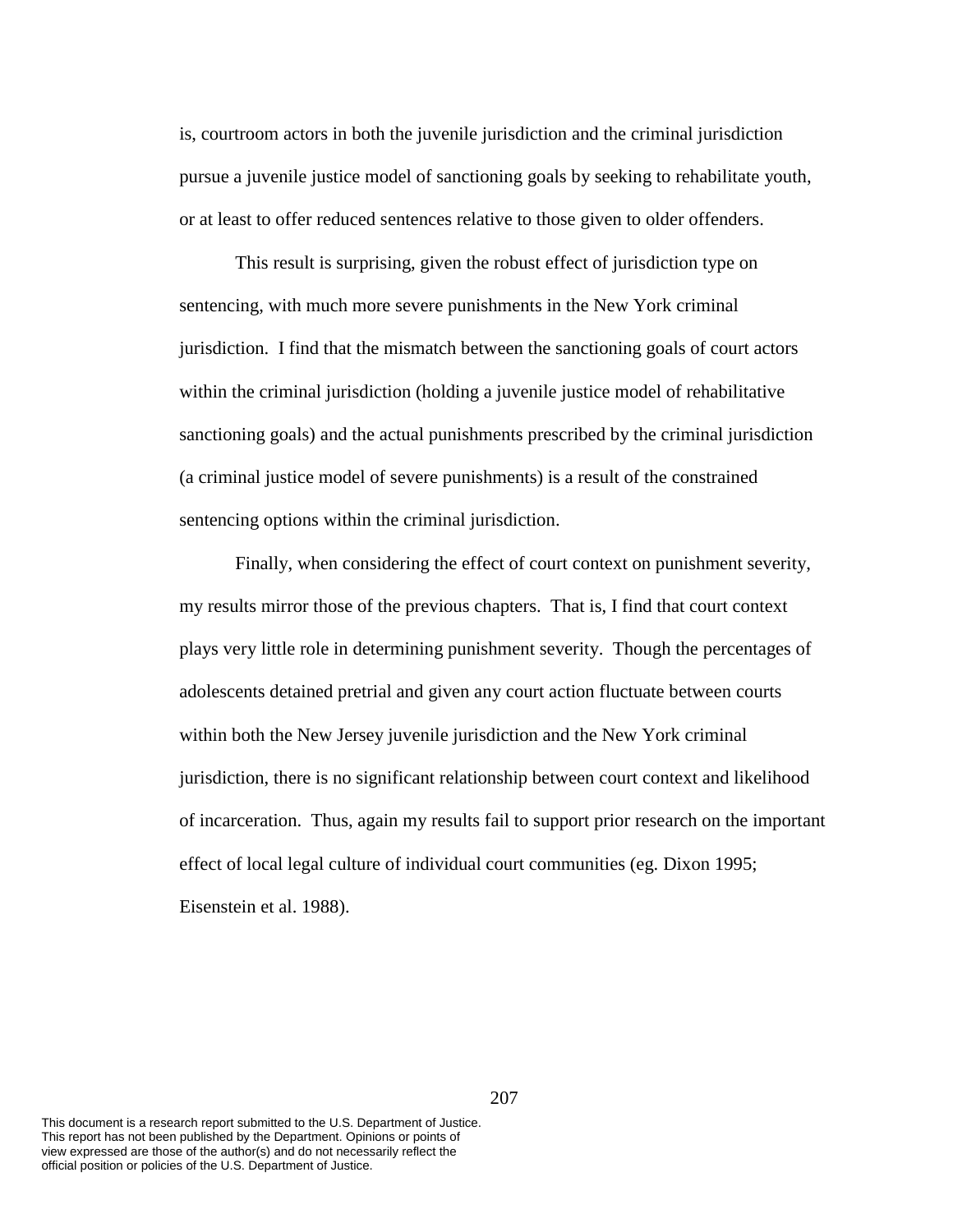is, courtroom actors in both the juvenile jurisdiction and the criminal jurisdiction pursue a juvenile justice model of sanctioning goals by seeking to rehabilitate youth, or at least to offer reduced sentences relative to those given to older offenders.

This result is surprising, given the robust effect of jurisdiction type on sentencing, with much more severe punishments in the New York criminal jurisdiction. I find that the mismatch between the sanctioning goals of court actors within the criminal jurisdiction (holding a juvenile justice model of rehabilitative sanctioning goals) and the actual punishments prescribed by the criminal jurisdiction (a criminal justice model of severe punishments) is a result of the constrained sentencing options within the criminal jurisdiction.

Finally, when considering the effect of court context on punishment severity, my results mirror those of the previous chapters. That is, I find that court context plays very little role in determining punishment severity. Though the percentages of adolescents detained pretrial and given any court action fluctuate between courts within both the New Jersey juvenile jurisdiction and the New York criminal jurisdiction, there is no significant relationship between court context and likelihood of incarceration. Thus, again my results fail to support prior research on the important effect of local legal culture of individual court communities (eg. Dixon 1995; Eisenstein et al. 1988).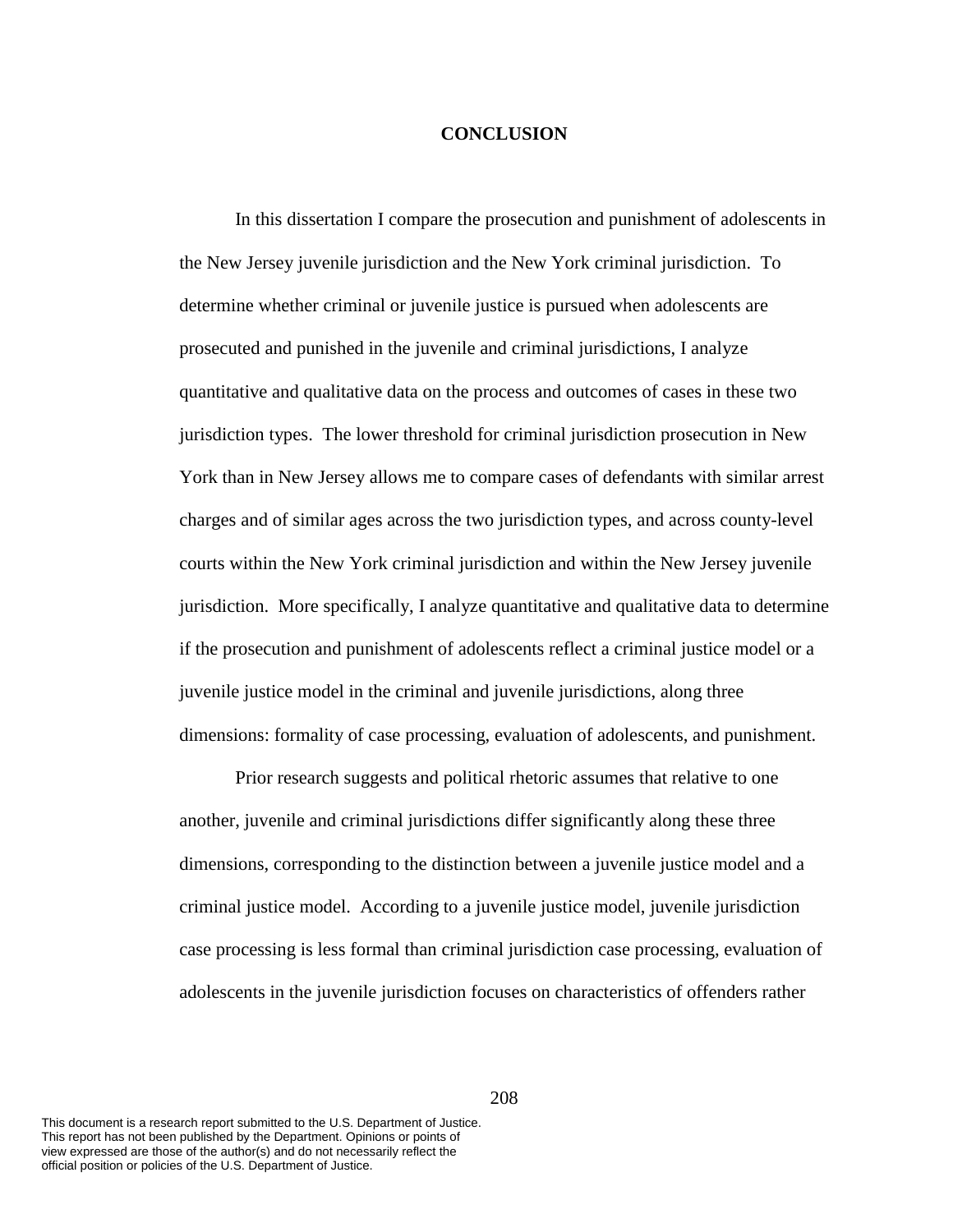#### **CONCLUSION**

In this dissertation I compare the prosecution and punishment of adolescents in the New Jersey juvenile jurisdiction and the New York criminal jurisdiction. To determine whether criminal or juvenile justice is pursued when adolescents are prosecuted and punished in the juvenile and criminal jurisdictions, I analyze quantitative and qualitative data on the process and outcomes of cases in these two jurisdiction types. The lower threshold for criminal jurisdiction prosecution in New York than in New Jersey allows me to compare cases of defendants with similar arrest charges and of similar ages across the two jurisdiction types, and across county-level courts within the New York criminal jurisdiction and within the New Jersey juvenile jurisdiction. More specifically, I analyze quantitative and qualitative data to determine if the prosecution and punishment of adolescents reflect a criminal justice model or a juvenile justice model in the criminal and juvenile jurisdictions, along three dimensions: formality of case processing, evaluation of adolescents, and punishment.

Prior research suggests and political rhetoric assumes that relative to one another, juvenile and criminal jurisdictions differ significantly along these three dimensions, corresponding to the distinction between a juvenile justice model and a criminal justice model. According to a juvenile justice model, juvenile jurisdiction case processing is less formal than criminal jurisdiction case processing, evaluation of adolescents in the juvenile jurisdiction focuses on characteristics of offenders rather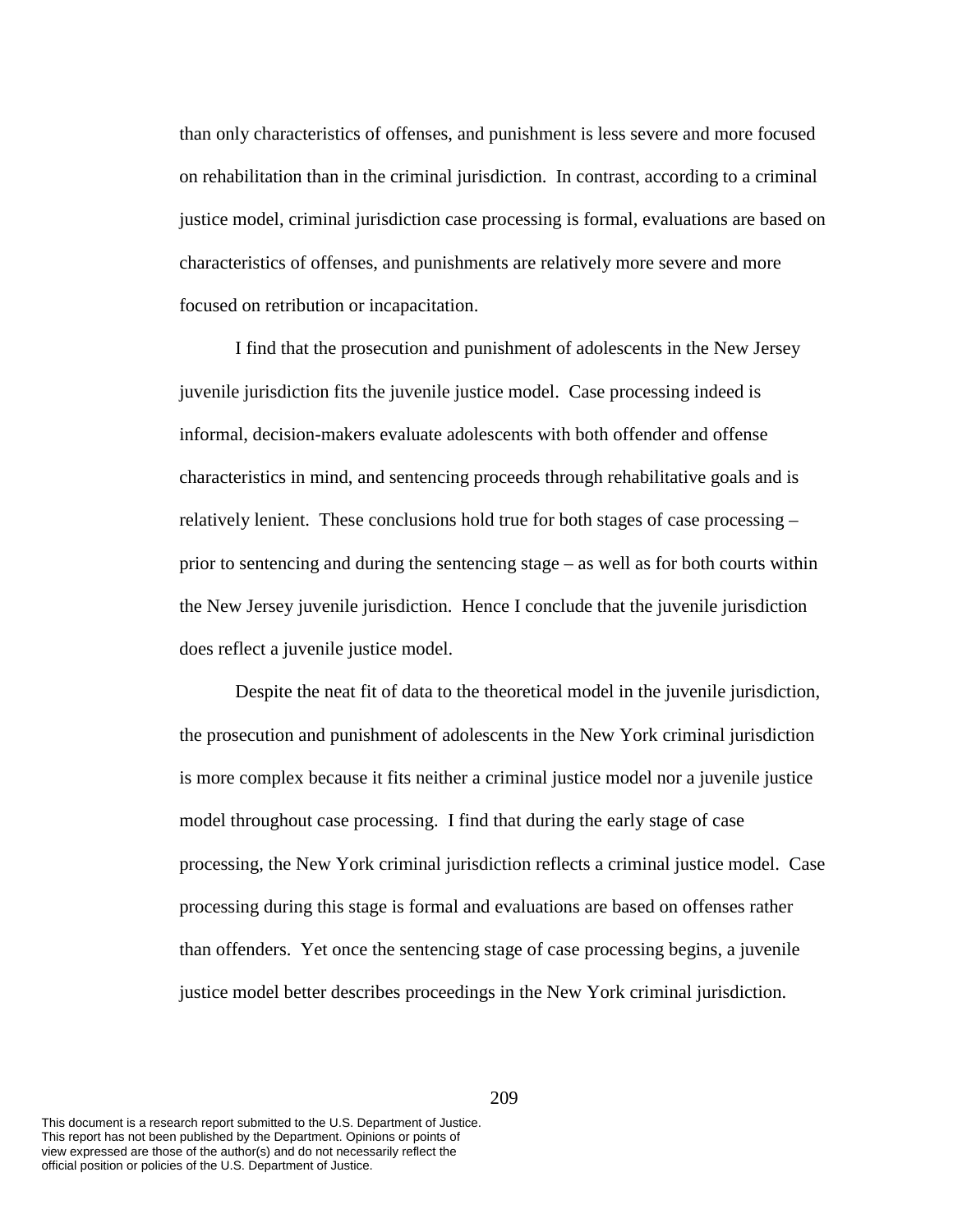than only characteristics of offenses, and punishment is less severe and more focused on rehabilitation than in the criminal jurisdiction. In contrast, according to a criminal justice model, criminal jurisdiction case processing is formal, evaluations are based on characteristics of offenses, and punishments are relatively more severe and more focused on retribution or incapacitation.

I find that the prosecution and punishment of adolescents in the New Jersey juvenile jurisdiction fits the juvenile justice model. Case processing indeed is informal, decision-makers evaluate adolescents with both offender and offense characteristics in mind, and sentencing proceeds through rehabilitative goals and is relatively lenient. These conclusions hold true for both stages of case processing – prior to sentencing and during the sentencing stage – as well as for both courts within the New Jersey juvenile jurisdiction. Hence I conclude that the juvenile jurisdiction does reflect a juvenile justice model.

Despite the neat fit of data to the theoretical model in the juvenile jurisdiction, the prosecution and punishment of adolescents in the New York criminal jurisdiction is more complex because it fits neither a criminal justice model nor a juvenile justice model throughout case processing. I find that during the early stage of case processing, the New York criminal jurisdiction reflects a criminal justice model. Case processing during this stage is formal and evaluations are based on offenses rather than offenders. Yet once the sentencing stage of case processing begins, a juvenile justice model better describes proceedings in the New York criminal jurisdiction.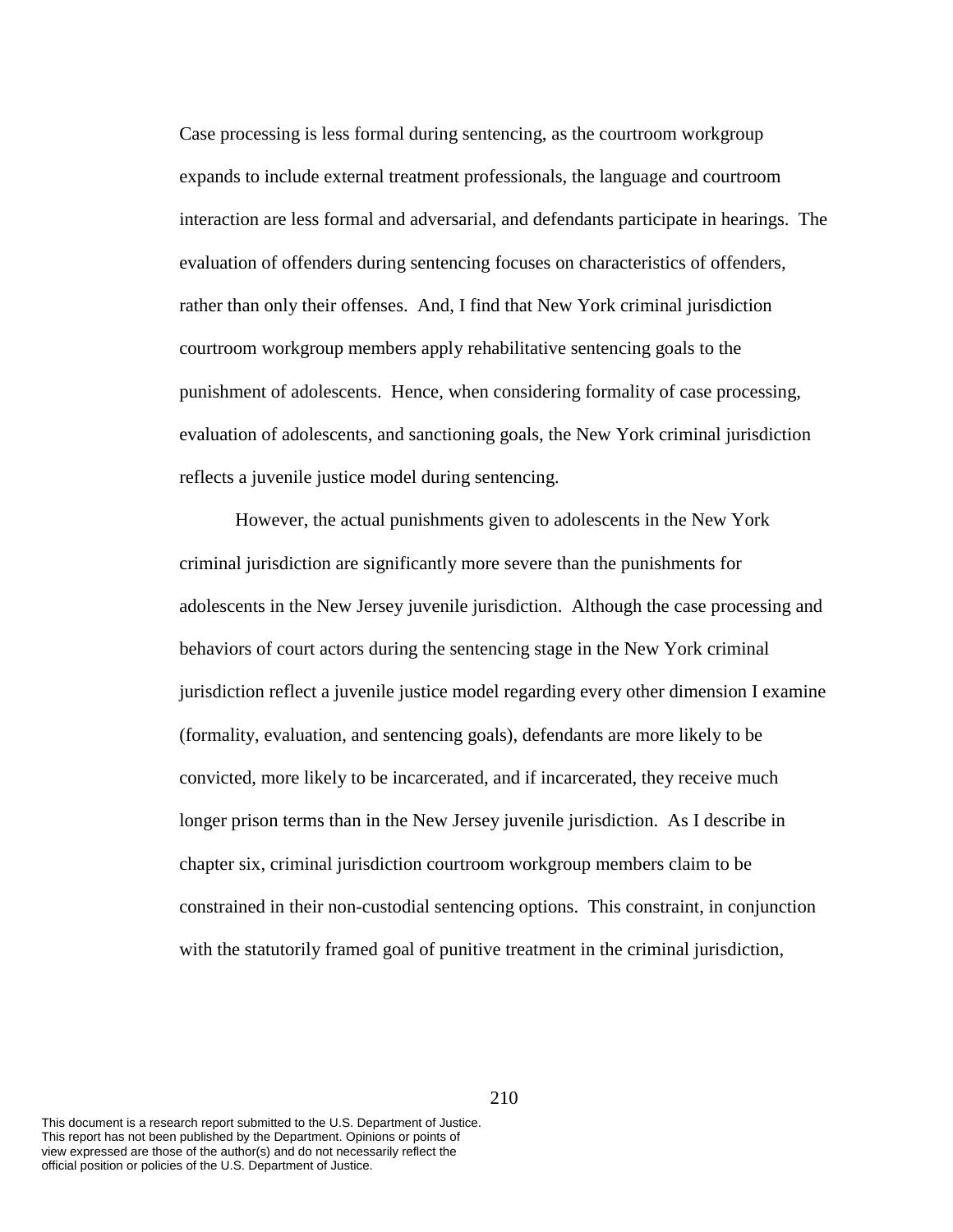Case processing is less formal during sentencing, as the courtroom workgroup expands to include external treatment professionals, the language and courtroom interaction are less formal and adversarial, and defendants participate in hearings. The evaluation of offenders during sentencing focuses on characteristics of offenders, rather than only their offenses. And, I find that New York criminal jurisdiction courtroom workgroup members apply rehabilitative sentencing goals to the punishment of adolescents. Hence, when considering formality of case processing, evaluation of adolescents, and sanctioning goals, the New York criminal jurisdiction reflects a juvenile justice model during sentencing.

However, the actual punishments given to adolescents in the New York criminal jurisdiction are significantly more severe than the punishments for adolescents in the New Jersey juvenile jurisdiction. Although the case processing and behaviors of court actors during the sentencing stage in the New York criminal jurisdiction reflect a juvenile justice model regarding every other dimension I examine (formality, evaluation, and sentencing goals), defendants are more likely to be convicted, more likely to be incarcerated, and if incarcerated, they receive much longer prison terms than in the New Jersey juvenile jurisdiction. As I describe in chapter six, criminal jurisdiction courtroom workgroup members claim to be constrained in their non-custodial sentencing options. This constraint, in conjunction with the statutorily framed goal of punitive treatment in the criminal jurisdiction,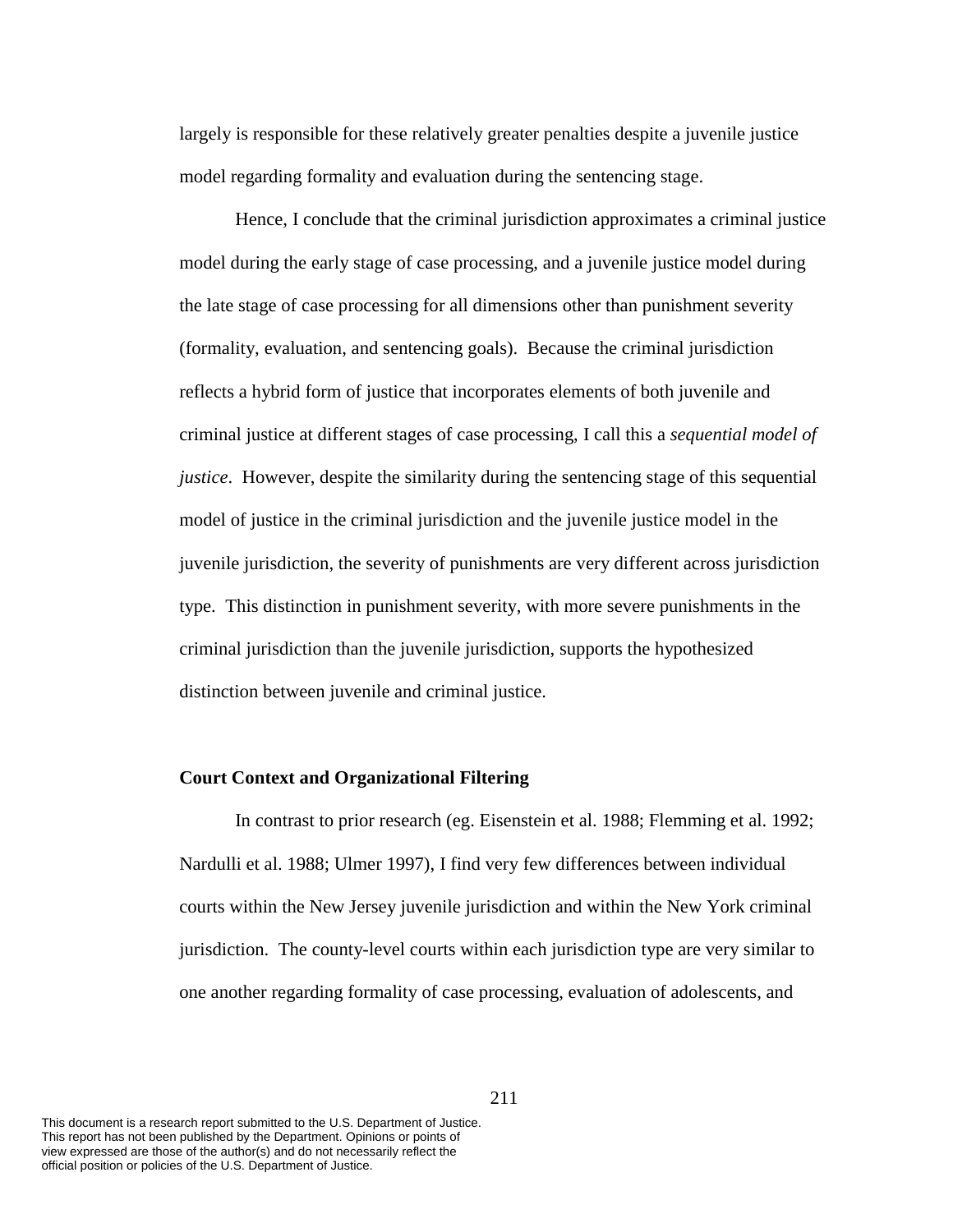largely is responsible for these relatively greater penalties despite a juvenile justice model regarding formality and evaluation during the sentencing stage.

Hence, I conclude that the criminal jurisdiction approximates a criminal justice model during the early stage of case processing, and a juvenile justice model during the late stage of case processing for all dimensions other than punishment severity (formality, evaluation, and sentencing goals). Because the criminal jurisdiction reflects a hybrid form of justice that incorporates elements of both juvenile and criminal justice at different stages of case processing, I call this a *sequential model of justice*. However, despite the similarity during the sentencing stage of this sequential model of justice in the criminal jurisdiction and the juvenile justice model in the juvenile jurisdiction, the severity of punishments are very different across jurisdiction type. This distinction in punishment severity, with more severe punishments in the criminal jurisdiction than the juvenile jurisdiction, supports the hypothesized distinction between juvenile and criminal justice.

# **Court Context and Organizational Filtering**

In contrast to prior research (eg. Eisenstein et al. 1988; Flemming et al. 1992; Nardulli et al. 1988; Ulmer 1997), I find very few differences between individual courts within the New Jersey juvenile jurisdiction and within the New York criminal jurisdiction. The county-level courts within each jurisdiction type are very similar to one another regarding formality of case processing, evaluation of adolescents, and

This document is a research report submitted to the U.S. Department of Justice. This report has not been published by the Department. Opinions or points of view expressed are those of the author(s) and do not necessarily reflect the official position or policies of the U.S. Department of Justice.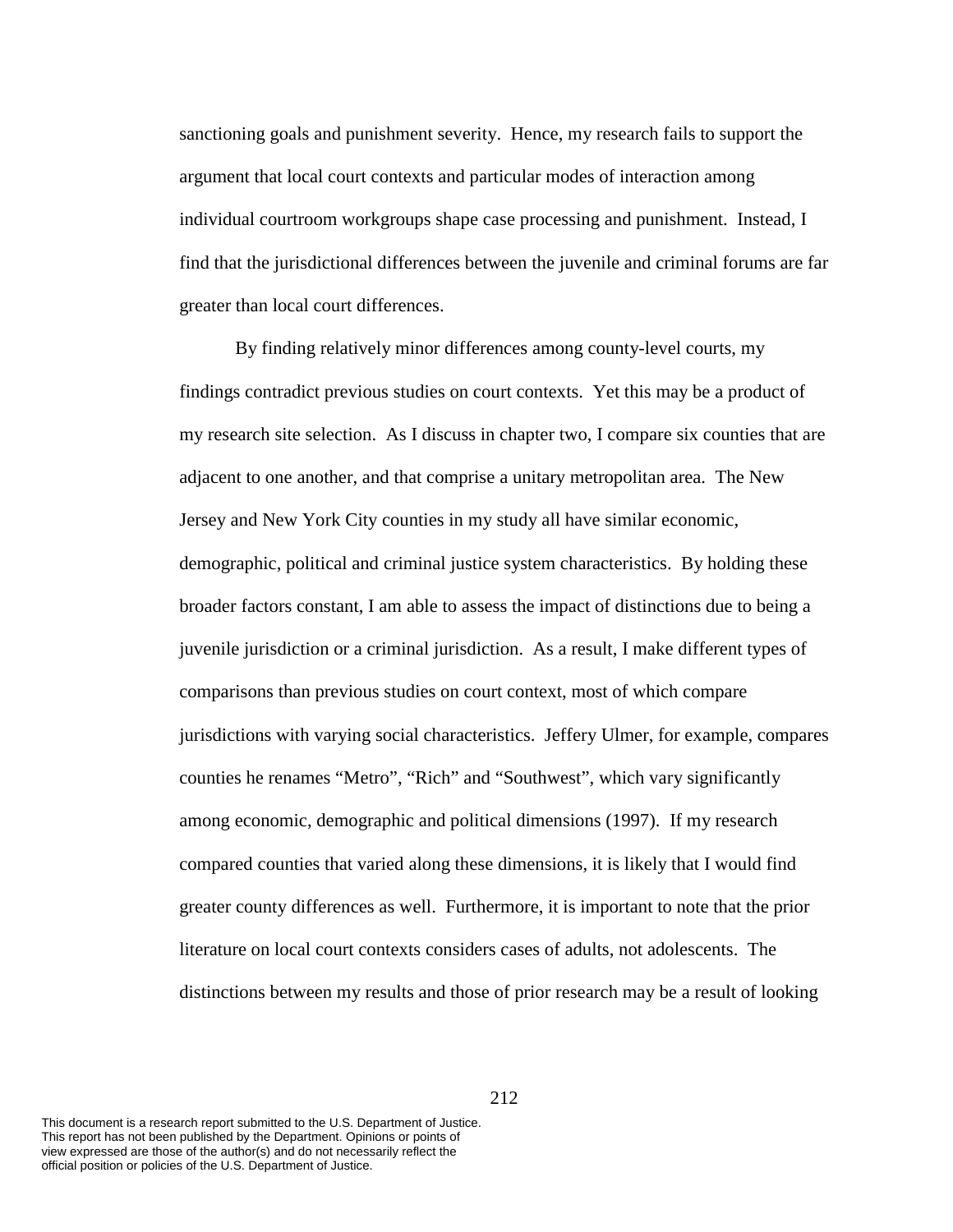sanctioning goals and punishment severity. Hence, my research fails to support the argument that local court contexts and particular modes of interaction among individual courtroom workgroups shape case processing and punishment. Instead, I find that the jurisdictional differences between the juvenile and criminal forums are far greater than local court differences.

By finding relatively minor differences among county-level courts, my findings contradict previous studies on court contexts. Yet this may be a product of my research site selection. As I discuss in chapter two, I compare six counties that are adjacent to one another, and that comprise a unitary metropolitan area. The New Jersey and New York City counties in my study all have similar economic, demographic, political and criminal justice system characteristics. By holding these broader factors constant, I am able to assess the impact of distinctions due to being a juvenile jurisdiction or a criminal jurisdiction. As a result, I make different types of comparisons than previous studies on court context, most of which compare jurisdictions with varying social characteristics. Jeffery Ulmer, for example, compares counties he renames "Metro", "Rich" and "Southwest", which vary significantly among economic, demographic and political dimensions (1997). If my research compared counties that varied along these dimensions, it is likely that I would find greater county differences as well. Furthermore, it is important to note that the prior literature on local court contexts considers cases of adults, not adolescents. The distinctions between my results and those of prior research may be a result of looking

This document is a research report submitted to the U.S. Department of Justice. This report has not been published by the Department. Opinions or points of view expressed are those of the author(s) and do not necessarily reflect the official position or policies of the U.S. Department of Justice.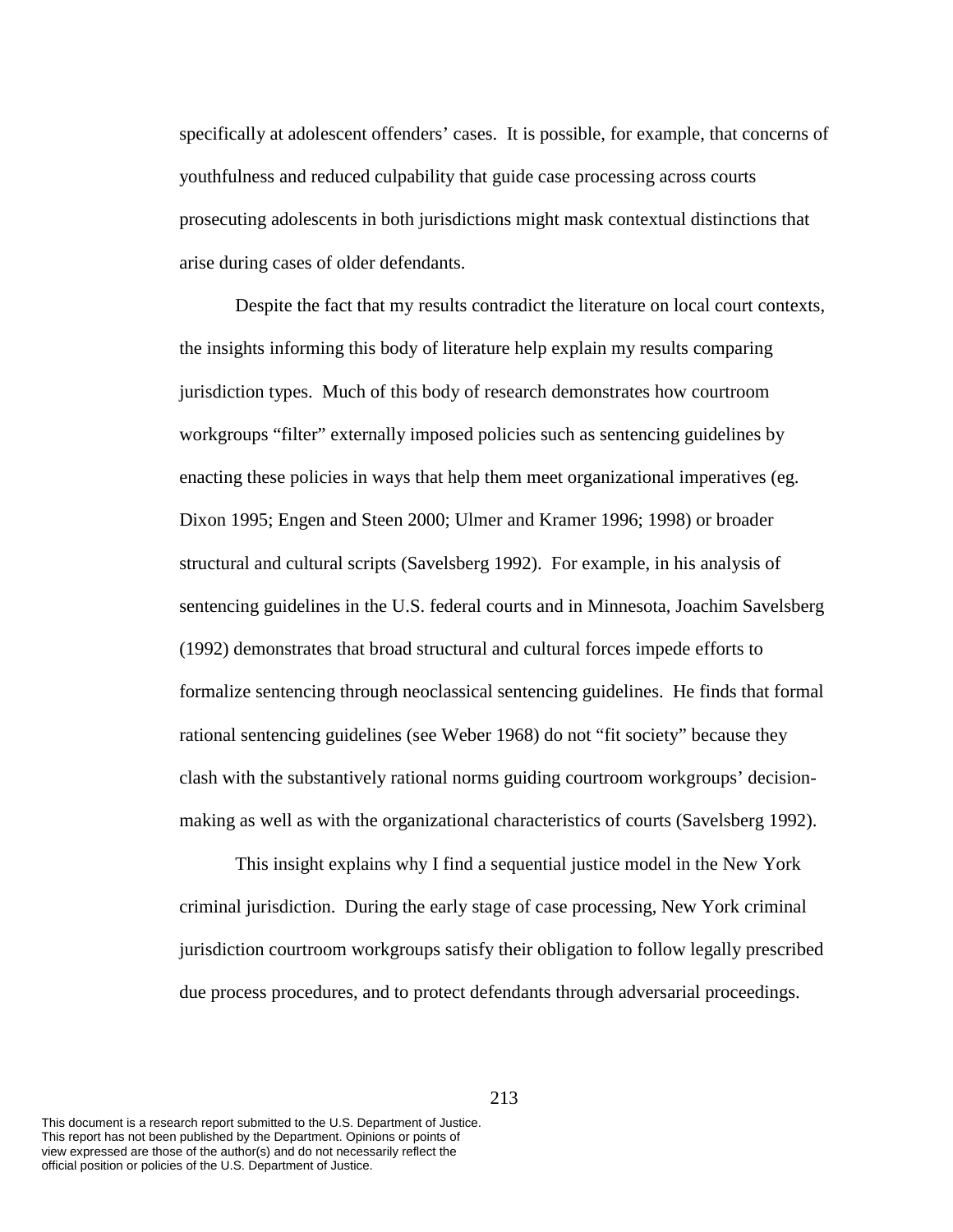specifically at adolescent offenders' cases. It is possible, for example, that concerns of youthfulness and reduced culpability that guide case processing across courts prosecuting adolescents in both jurisdictions might mask contextual distinctions that arise during cases of older defendants.

Despite the fact that my results contradict the literature on local court contexts, the insights informing this body of literature help explain my results comparing jurisdiction types. Much of this body of research demonstrates how courtroom workgroups "filter" externally imposed policies such as sentencing guidelines by enacting these policies in ways that help them meet organizational imperatives (eg. Dixon 1995; Engen and Steen 2000; Ulmer and Kramer 1996; 1998) or broader structural and cultural scripts (Savelsberg 1992). For example, in his analysis of sentencing guidelines in the U.S. federal courts and in Minnesota, Joachim Savelsberg (1992) demonstrates that broad structural and cultural forces impede efforts to formalize sentencing through neoclassical sentencing guidelines. He finds that formal rational sentencing guidelines (see Weber 1968) do not "fit society" because they clash with the substantively rational norms guiding courtroom workgroups' decisionmaking as well as with the organizational characteristics of courts (Savelsberg 1992).

This insight explains why I find a sequential justice model in the New York criminal jurisdiction. During the early stage of case processing, New York criminal jurisdiction courtroom workgroups satisfy their obligation to follow legally prescribed due process procedures, and to protect defendants through adversarial proceedings.

This document is a research report submitted to the U.S. Department of Justice. This report has not been published by the Department. Opinions or points of view expressed are those of the author(s) and do not necessarily reflect the official position or policies of the U.S. Department of Justice.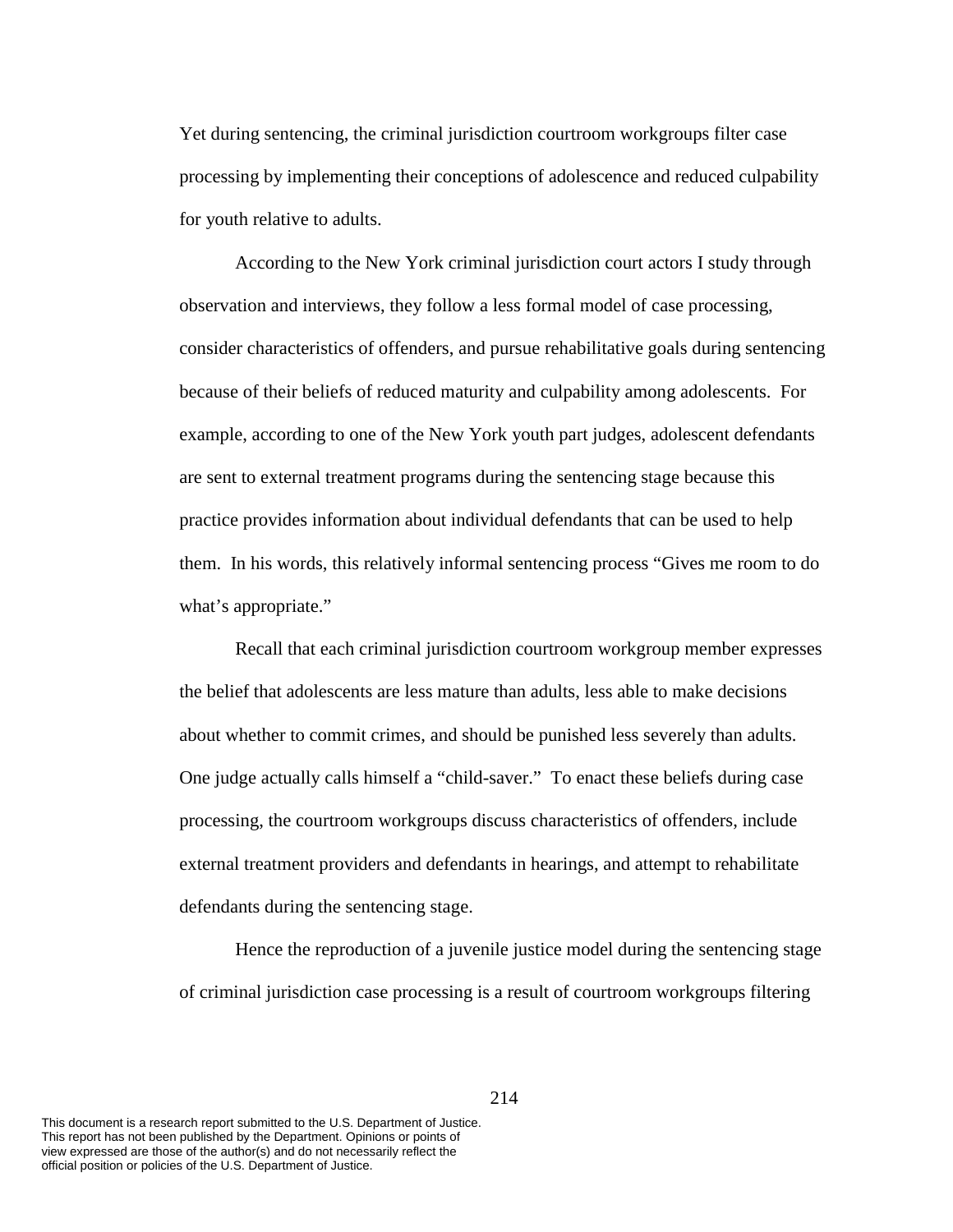Yet during sentencing, the criminal jurisdiction courtroom workgroups filter case processing by implementing their conceptions of adolescence and reduced culpability for youth relative to adults.

According to the New York criminal jurisdiction court actors I study through observation and interviews, they follow a less formal model of case processing, consider characteristics of offenders, and pursue rehabilitative goals during sentencing because of their beliefs of reduced maturity and culpability among adolescents. For example, according to one of the New York youth part judges, adolescent defendants are sent to external treatment programs during the sentencing stage because this practice provides information about individual defendants that can be used to help them. In his words, this relatively informal sentencing process "Gives me room to do what's appropriate."

Recall that each criminal jurisdiction courtroom workgroup member expresses the belief that adolescents are less mature than adults, less able to make decisions about whether to commit crimes, and should be punished less severely than adults. One judge actually calls himself a "child-saver." To enact these beliefs during case processing, the courtroom workgroups discuss characteristics of offenders, include external treatment providers and defendants in hearings, and attempt to rehabilitate defendants during the sentencing stage.

Hence the reproduction of a juvenile justice model during the sentencing stage of criminal jurisdiction case processing is a result of courtroom workgroups filtering

This document is a research report submitted to the U.S. Department of Justice. This report has not been published by the Department. Opinions or points of view expressed are those of the author(s) and do not necessarily reflect the official position or policies of the U.S. Department of Justice.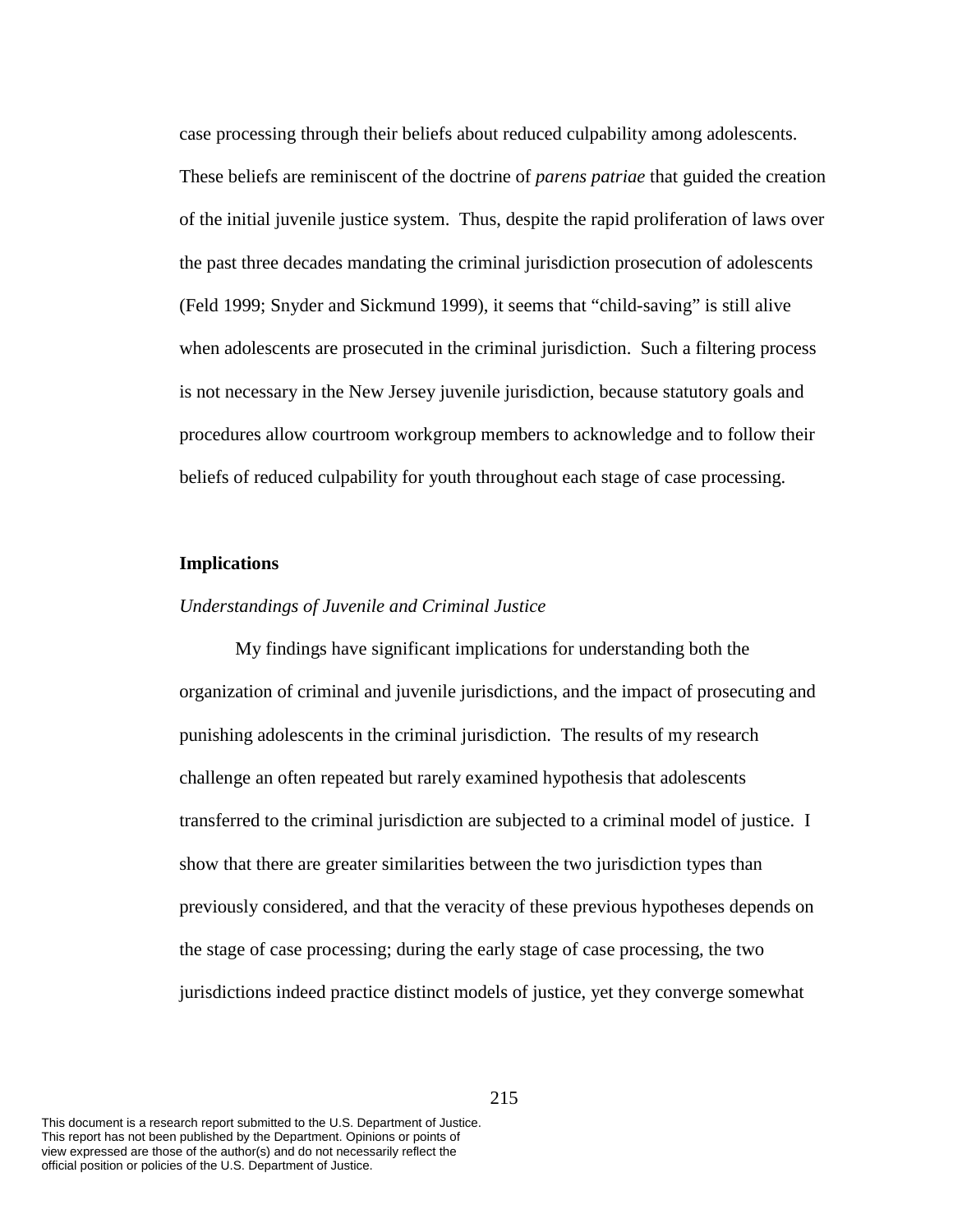case processing through their beliefs about reduced culpability among adolescents. These beliefs are reminiscent of the doctrine of *parens patriae* that guided the creation of the initial juvenile justice system. Thus, despite the rapid proliferation of laws over the past three decades mandating the criminal jurisdiction prosecution of adolescents (Feld 1999; Snyder and Sickmund 1999), it seems that "child-saving" is still alive when adolescents are prosecuted in the criminal jurisdiction. Such a filtering process is not necessary in the New Jersey juvenile jurisdiction, because statutory goals and procedures allow courtroom workgroup members to acknowledge and to follow their beliefs of reduced culpability for youth throughout each stage of case processing.

# **Implications**

# *Understandings of Juvenile and Criminal Justice*

My findings have significant implications for understanding both the organization of criminal and juvenile jurisdictions, and the impact of prosecuting and punishing adolescents in the criminal jurisdiction. The results of my research challenge an often repeated but rarely examined hypothesis that adolescents transferred to the criminal jurisdiction are subjected to a criminal model of justice. I show that there are greater similarities between the two jurisdiction types than previously considered, and that the veracity of these previous hypotheses depends on the stage of case processing; during the early stage of case processing, the two jurisdictions indeed practice distinct models of justice, yet they converge somewhat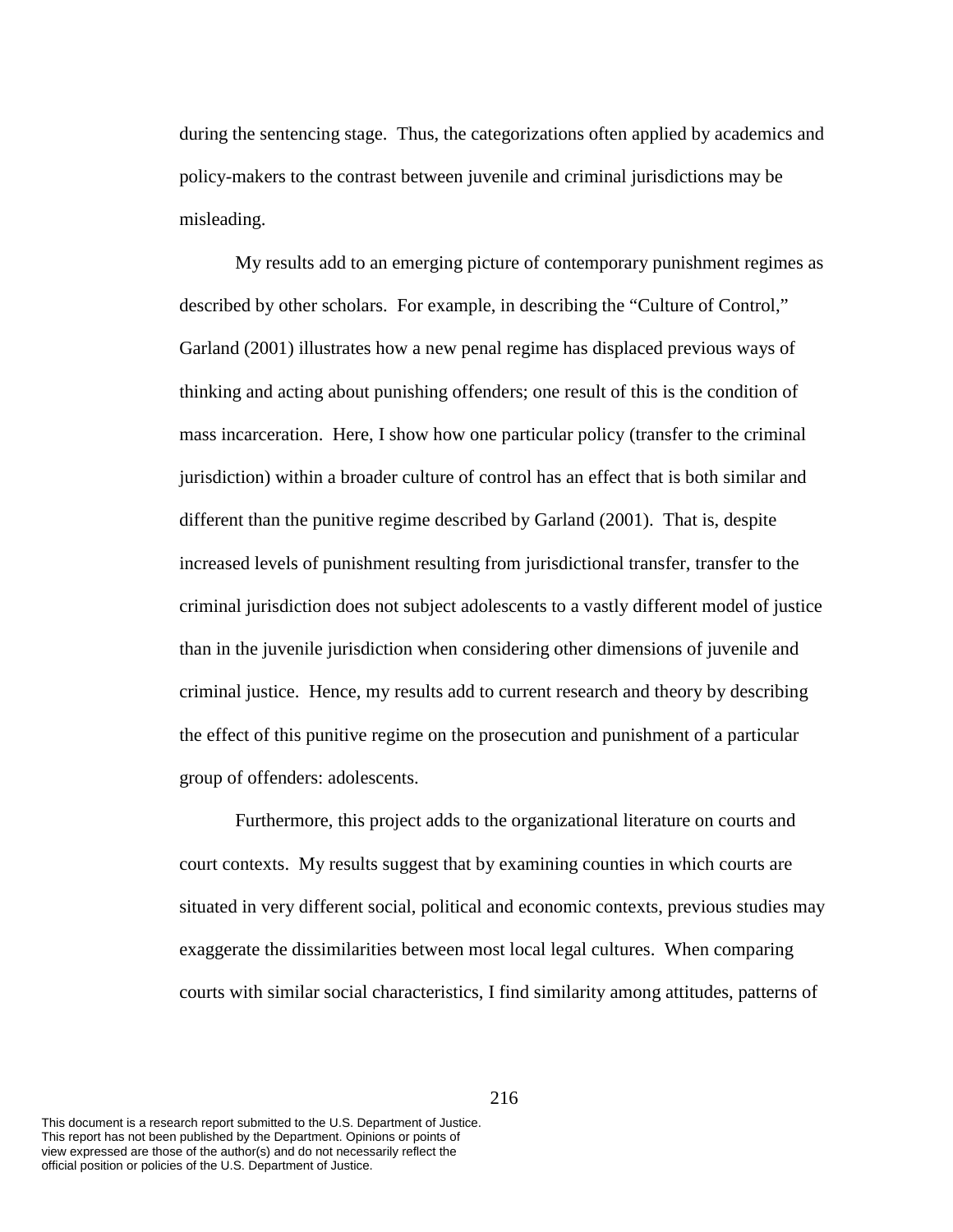during the sentencing stage. Thus, the categorizations often applied by academics and policy-makers to the contrast between juvenile and criminal jurisdictions may be misleading.

My results add to an emerging picture of contemporary punishment regimes as described by other scholars. For example, in describing the "Culture of Control," Garland (2001) illustrates how a new penal regime has displaced previous ways of thinking and acting about punishing offenders; one result of this is the condition of mass incarceration. Here, I show how one particular policy (transfer to the criminal jurisdiction) within a broader culture of control has an effect that is both similar and different than the punitive regime described by Garland (2001). That is, despite increased levels of punishment resulting from jurisdictional transfer, transfer to the criminal jurisdiction does not subject adolescents to a vastly different model of justice than in the juvenile jurisdiction when considering other dimensions of juvenile and criminal justice. Hence, my results add to current research and theory by describing the effect of this punitive regime on the prosecution and punishment of a particular group of offenders: adolescents.

Furthermore, this project adds to the organizational literature on courts and court contexts. My results suggest that by examining counties in which courts are situated in very different social, political and economic contexts, previous studies may exaggerate the dissimilarities between most local legal cultures. When comparing courts with similar social characteristics, I find similarity among attitudes, patterns of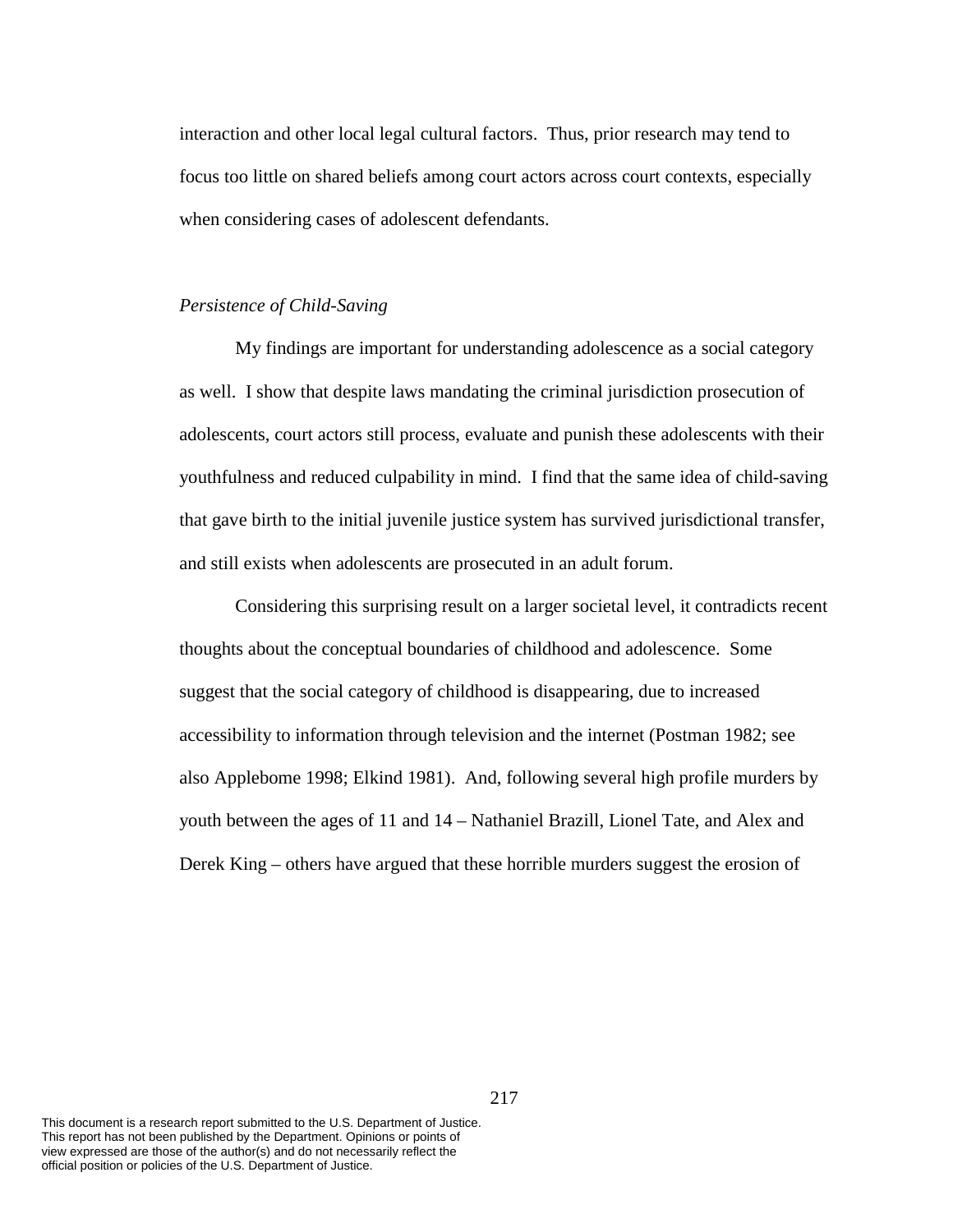interaction and other local legal cultural factors. Thus, prior research may tend to focus too little on shared beliefs among court actors across court contexts, especially when considering cases of adolescent defendants.

## *Persistence of Child-Saving*

My findings are important for understanding adolescence as a social category as well. I show that despite laws mandating the criminal jurisdiction prosecution of adolescents, court actors still process, evaluate and punish these adolescents with their youthfulness and reduced culpability in mind. I find that the same idea of child-saving that gave birth to the initial juvenile justice system has survived jurisdictional transfer, and still exists when adolescents are prosecuted in an adult forum.

Considering this surprising result on a larger societal level, it contradicts recent thoughts about the conceptual boundaries of childhood and adolescence. Some suggest that the social category of childhood is disappearing, due to increased accessibility to information through television and the internet (Postman 1982; see also Applebome 1998; Elkind 1981). And, following several high profile murders by youth between the ages of 11 and 14 – Nathaniel Brazill, Lionel Tate, and Alex and Derek King – others have argued that these horrible murders suggest the erosion of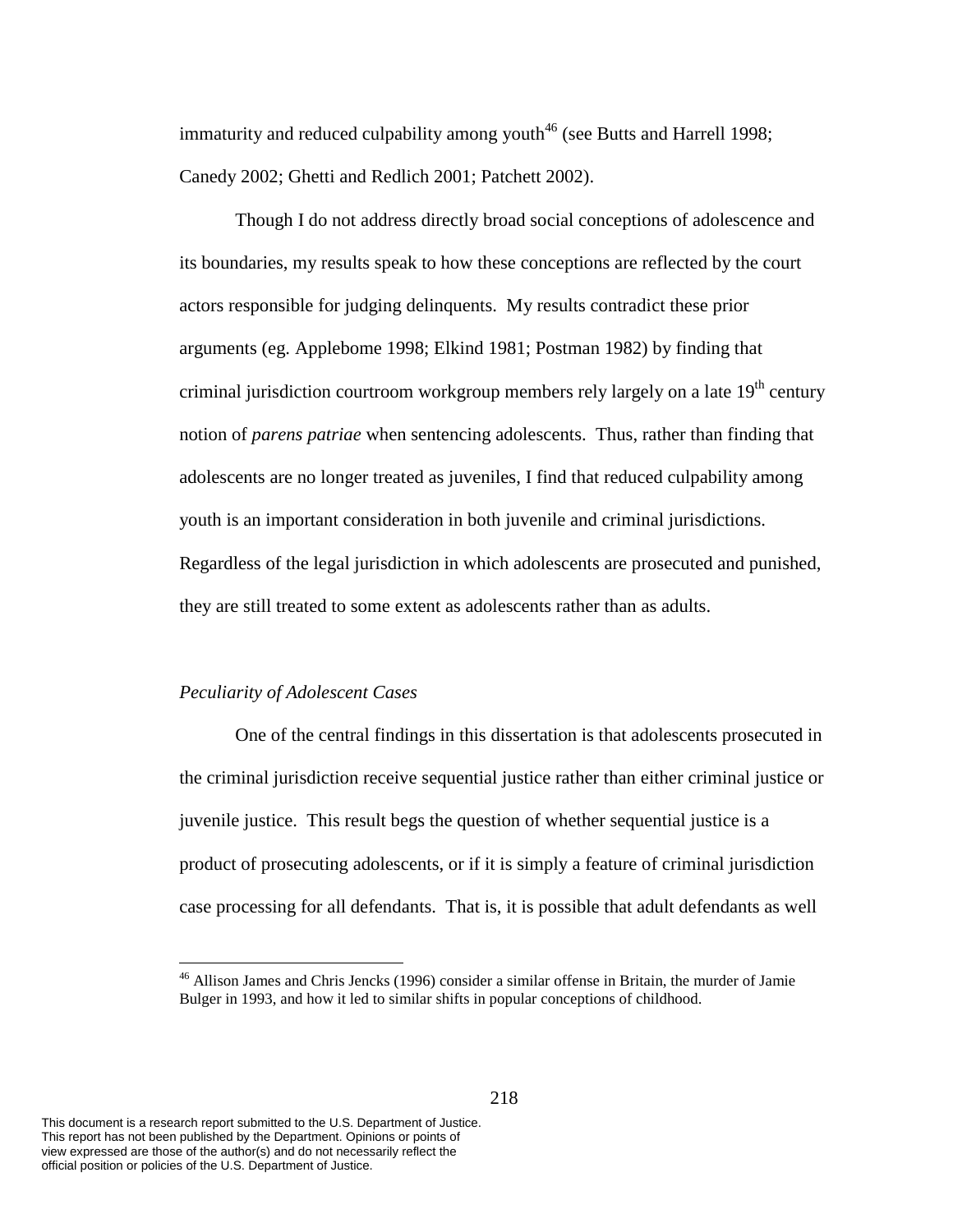immaturity and reduced culpability among youth $46$  (see Butts and Harrell 1998; Canedy 2002; Ghetti and Redlich 2001; Patchett 2002).

Though I do not address directly broad social conceptions of adolescence and its boundaries, my results speak to how these conceptions are reflected by the court actors responsible for judging delinquents. My results contradict these prior arguments (eg. Applebome 1998; Elkind 1981; Postman 1982) by finding that criminal jurisdiction courtroom workgroup members rely largely on a late  $19<sup>th</sup>$  century notion of *parens patriae* when sentencing adolescents. Thus, rather than finding that adolescents are no longer treated as juveniles, I find that reduced culpability among youth is an important consideration in both juvenile and criminal jurisdictions. Regardless of the legal jurisdiction in which adolescents are prosecuted and punished, they are still treated to some extent as adolescents rather than as adults.

# *Peculiarity of Adolescent Cases*

One of the central findings in this dissertation is that adolescents prosecuted in the criminal jurisdiction receive sequential justice rather than either criminal justice or juvenile justice. This result begs the question of whether sequential justice is a product of prosecuting adolescents, or if it is simply a feature of criminal jurisdiction case processing for all defendants. That is, it is possible that adult defendants as well

 $\overline{a}$ 

<sup>&</sup>lt;sup>46</sup> Allison James and Chris Jencks (1996) consider a similar offense in Britain, the murder of Jamie Bulger in 1993, and how it led to similar shifts in popular conceptions of childhood.

This document is a research report submitted to the U.S. Department of Justice. This report has not been published by the Department. Opinions or points of view expressed are those of the author(s) and do not necessarily reflect the official position or policies of the U.S. Department of Justice.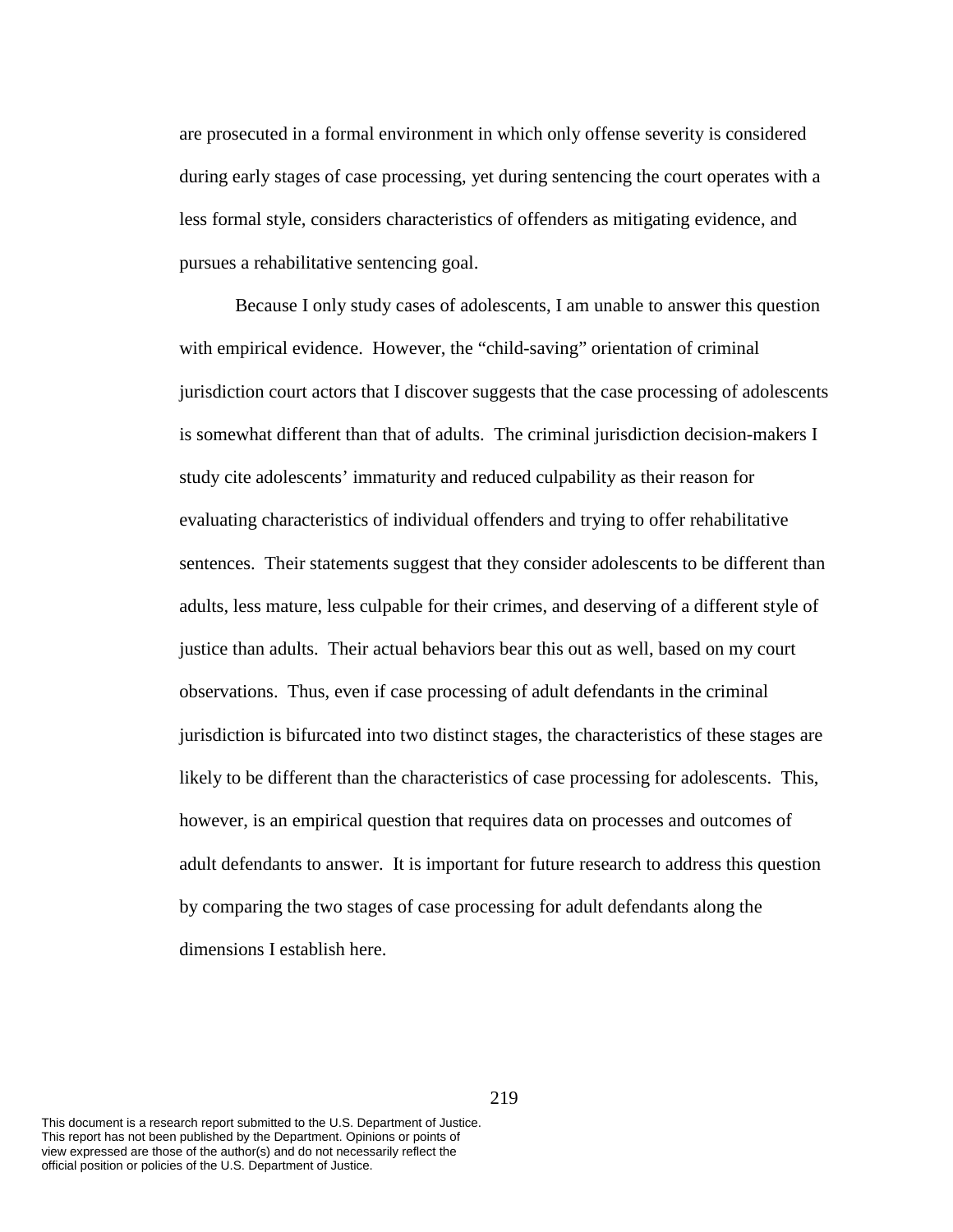are prosecuted in a formal environment in which only offense severity is considered during early stages of case processing, yet during sentencing the court operates with a less formal style, considers characteristics of offenders as mitigating evidence, and pursues a rehabilitative sentencing goal.

Because I only study cases of adolescents, I am unable to answer this question with empirical evidence. However, the "child-saving" orientation of criminal jurisdiction court actors that I discover suggests that the case processing of adolescents is somewhat different than that of adults. The criminal jurisdiction decision-makers I study cite adolescents' immaturity and reduced culpability as their reason for evaluating characteristics of individual offenders and trying to offer rehabilitative sentences. Their statements suggest that they consider adolescents to be different than adults, less mature, less culpable for their crimes, and deserving of a different style of justice than adults. Their actual behaviors bear this out as well, based on my court observations. Thus, even if case processing of adult defendants in the criminal jurisdiction is bifurcated into two distinct stages, the characteristics of these stages are likely to be different than the characteristics of case processing for adolescents. This, however, is an empirical question that requires data on processes and outcomes of adult defendants to answer. It is important for future research to address this question by comparing the two stages of case processing for adult defendants along the dimensions I establish here.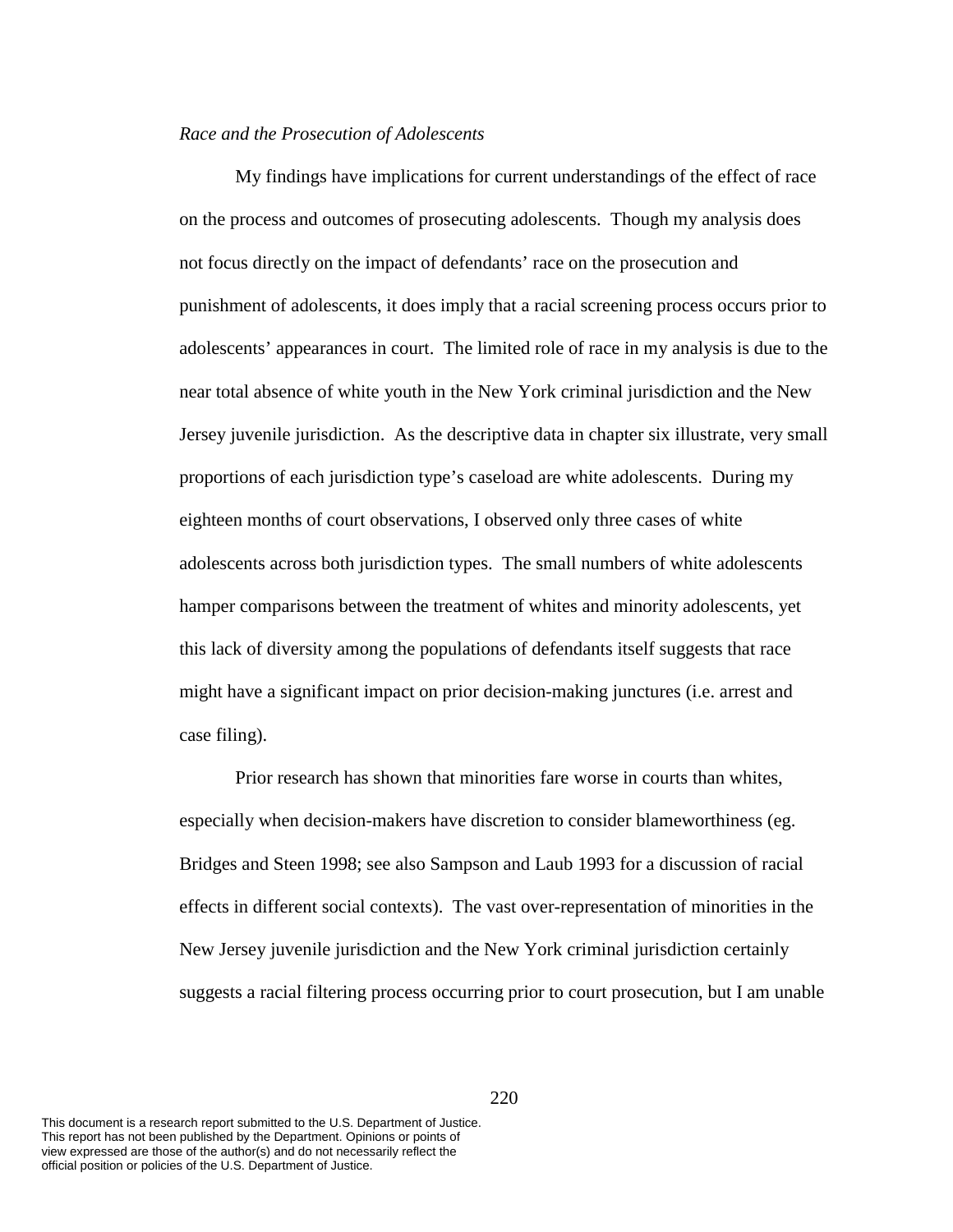#### *Race and the Prosecution of Adolescents*

My findings have implications for current understandings of the effect of race on the process and outcomes of prosecuting adolescents. Though my analysis does not focus directly on the impact of defendants' race on the prosecution and punishment of adolescents, it does imply that a racial screening process occurs prior to adolescents' appearances in court. The limited role of race in my analysis is due to the near total absence of white youth in the New York criminal jurisdiction and the New Jersey juvenile jurisdiction. As the descriptive data in chapter six illustrate, very small proportions of each jurisdiction type's caseload are white adolescents. During my eighteen months of court observations, I observed only three cases of white adolescents across both jurisdiction types. The small numbers of white adolescents hamper comparisons between the treatment of whites and minority adolescents, yet this lack of diversity among the populations of defendants itself suggests that race might have a significant impact on prior decision-making junctures (i.e. arrest and case filing).

Prior research has shown that minorities fare worse in courts than whites, especially when decision-makers have discretion to consider blameworthiness (eg. Bridges and Steen 1998; see also Sampson and Laub 1993 for a discussion of racial effects in different social contexts). The vast over-representation of minorities in the New Jersey juvenile jurisdiction and the New York criminal jurisdiction certainly suggests a racial filtering process occurring prior to court prosecution, but I am unable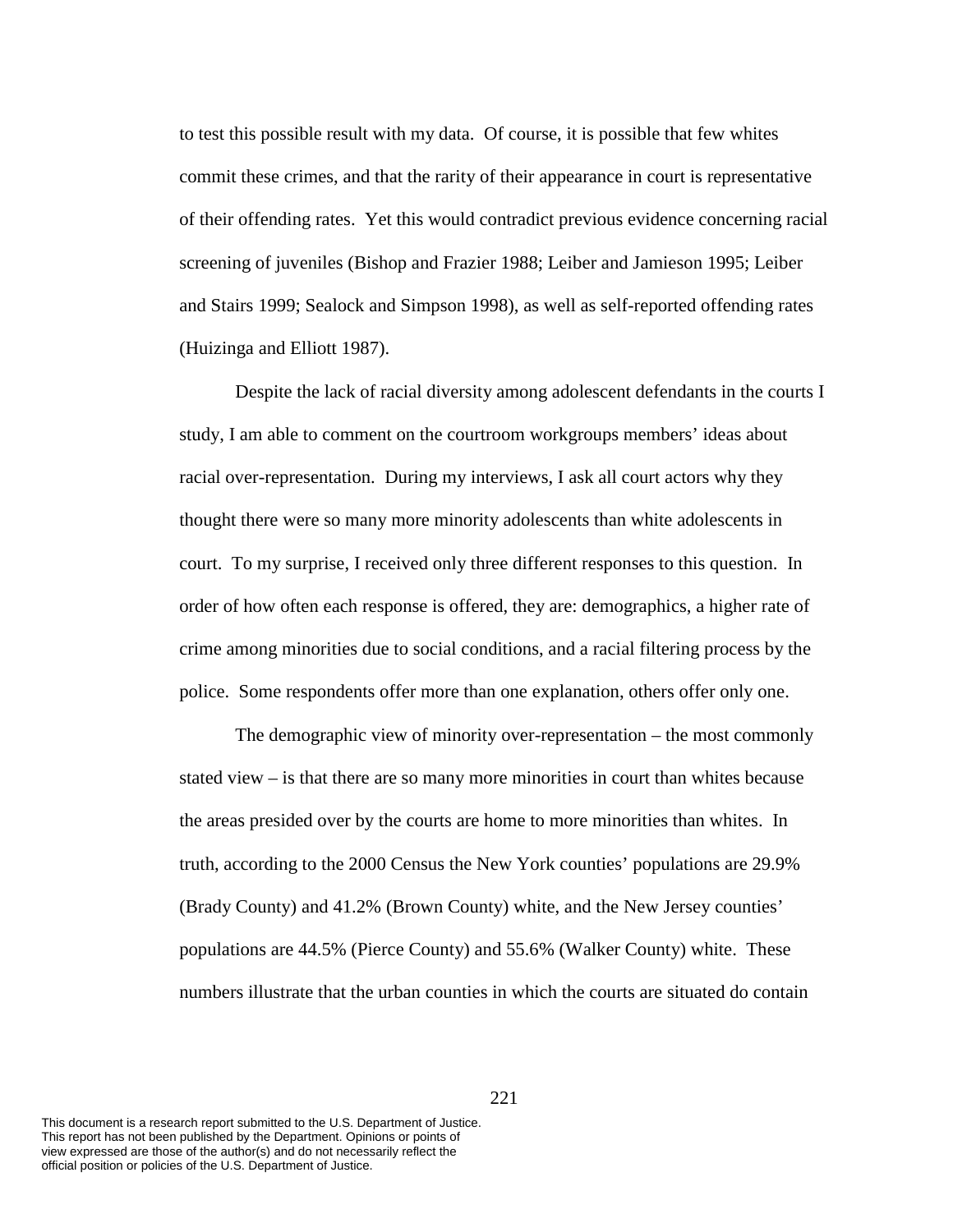to test this possible result with my data. Of course, it is possible that few whites commit these crimes, and that the rarity of their appearance in court is representative of their offending rates. Yet this would contradict previous evidence concerning racial screening of juveniles (Bishop and Frazier 1988; Leiber and Jamieson 1995; Leiber and Stairs 1999; Sealock and Simpson 1998), as well as self-reported offending rates (Huizinga and Elliott 1987).

Despite the lack of racial diversity among adolescent defendants in the courts I study, I am able to comment on the courtroom workgroups members' ideas about racial over-representation. During my interviews, I ask all court actors why they thought there were so many more minority adolescents than white adolescents in court. To my surprise, I received only three different responses to this question. In order of how often each response is offered, they are: demographics, a higher rate of crime among minorities due to social conditions, and a racial filtering process by the police. Some respondents offer more than one explanation, others offer only one.

The demographic view of minority over-representation – the most commonly stated view – is that there are so many more minorities in court than whites because the areas presided over by the courts are home to more minorities than whites. In truth, according to the 2000 Census the New York counties' populations are 29.9% (Brady County) and 41.2% (Brown County) white, and the New Jersey counties' populations are 44.5% (Pierce County) and 55.6% (Walker County) white. These numbers illustrate that the urban counties in which the courts are situated do contain

221

This document is a research report submitted to the U.S. Department of Justice. This report has not been published by the Department. Opinions or points of view expressed are those of the author(s) and do not necessarily reflect the official position or policies of the U.S. Department of Justice.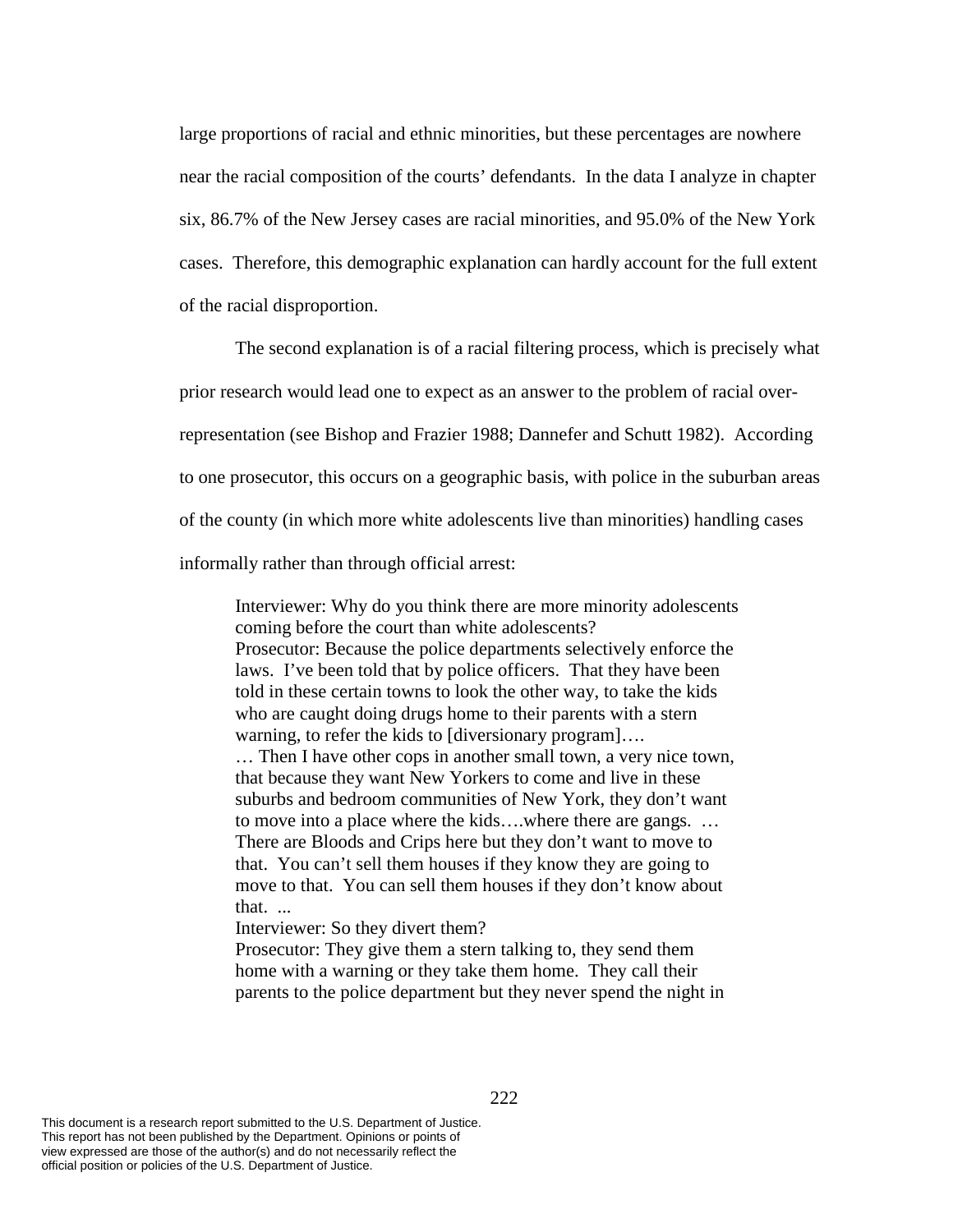large proportions of racial and ethnic minorities, but these percentages are nowhere near the racial composition of the courts' defendants. In the data I analyze in chapter six, 86.7% of the New Jersey cases are racial minorities, and 95.0% of the New York cases. Therefore, this demographic explanation can hardly account for the full extent of the racial disproportion.

The second explanation is of a racial filtering process, which is precisely what

prior research would lead one to expect as an answer to the problem of racial over-

representation (see Bishop and Frazier 1988; Dannefer and Schutt 1982). According

to one prosecutor, this occurs on a geographic basis, with police in the suburban areas

of the county (in which more white adolescents live than minorities) handling cases

informally rather than through official arrest:

Interviewer: Why do you think there are more minority adolescents coming before the court than white adolescents? Prosecutor: Because the police departments selectively enforce the

laws. I've been told that by police officers. That they have been told in these certain towns to look the other way, to take the kids who are caught doing drugs home to their parents with a stern warning, to refer the kids to [diversionary program]....

… Then I have other cops in another small town, a very nice town, that because they want New Yorkers to come and live in these suburbs and bedroom communities of New York, they don't want to move into a place where the kids….where there are gangs. … There are Bloods and Crips here but they don't want to move to that. You can't sell them houses if they know they are going to move to that. You can sell them houses if they don't know about that. ...

Interviewer: So they divert them?

Prosecutor: They give them a stern talking to, they send them home with a warning or they take them home. They call their parents to the police department but they never spend the night in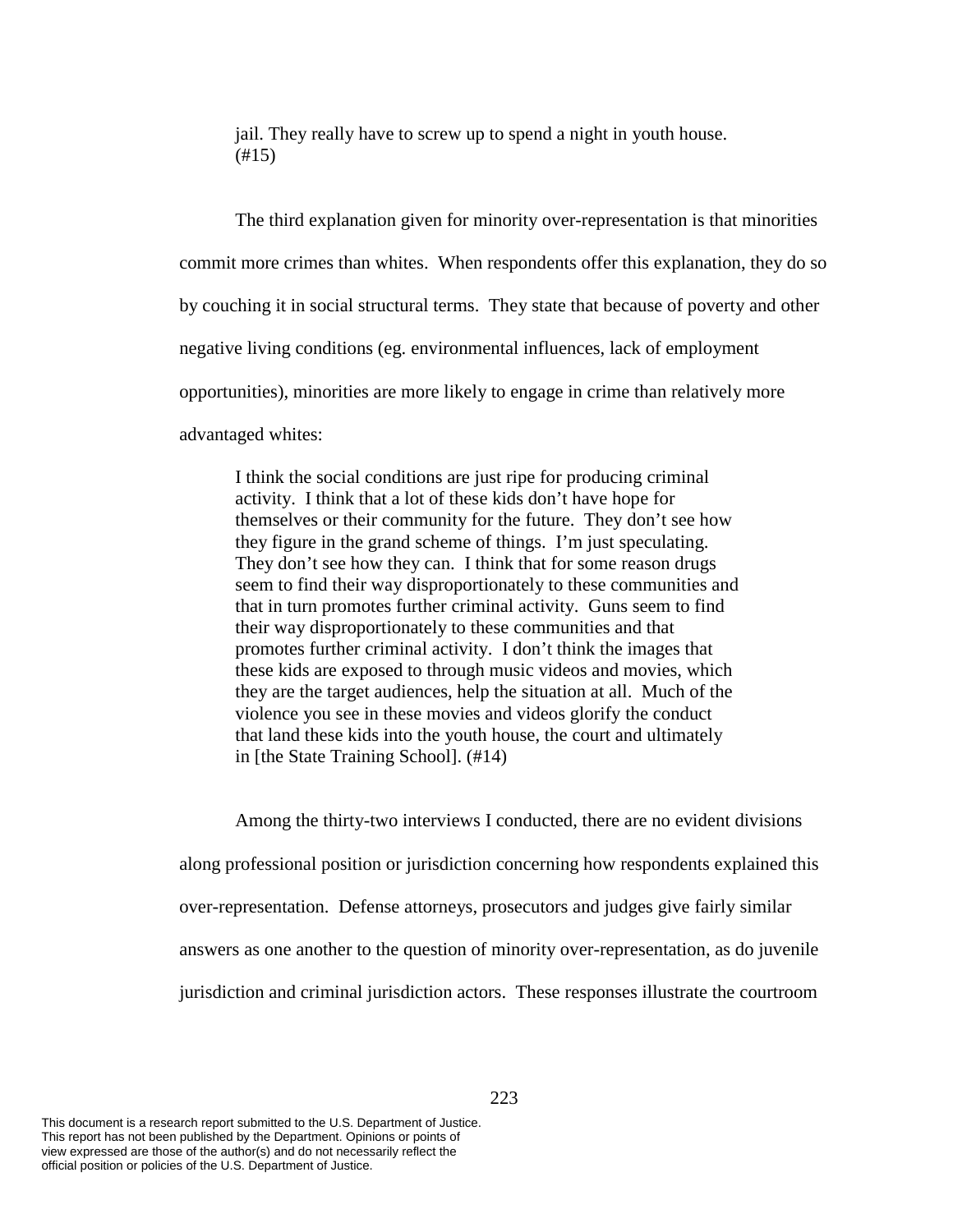jail. They really have to screw up to spend a night in youth house. (#15)

The third explanation given for minority over-representation is that minorities commit more crimes than whites. When respondents offer this explanation, they do so by couching it in social structural terms. They state that because of poverty and other negative living conditions (eg. environmental influences, lack of employment opportunities), minorities are more likely to engage in crime than relatively more advantaged whites:

I think the social conditions are just ripe for producing criminal activity. I think that a lot of these kids don't have hope for themselves or their community for the future. They don't see how they figure in the grand scheme of things. I'm just speculating. They don't see how they can. I think that for some reason drugs seem to find their way disproportionately to these communities and that in turn promotes further criminal activity. Guns seem to find their way disproportionately to these communities and that promotes further criminal activity. I don't think the images that these kids are exposed to through music videos and movies, which they are the target audiences, help the situation at all. Much of the violence you see in these movies and videos glorify the conduct that land these kids into the youth house, the court and ultimately in [the State Training School]. (#14)

Among the thirty-two interviews I conducted, there are no evident divisions along professional position or jurisdiction concerning how respondents explained this over-representation. Defense attorneys, prosecutors and judges give fairly similar answers as one another to the question of minority over-representation, as do juvenile jurisdiction and criminal jurisdiction actors. These responses illustrate the courtroom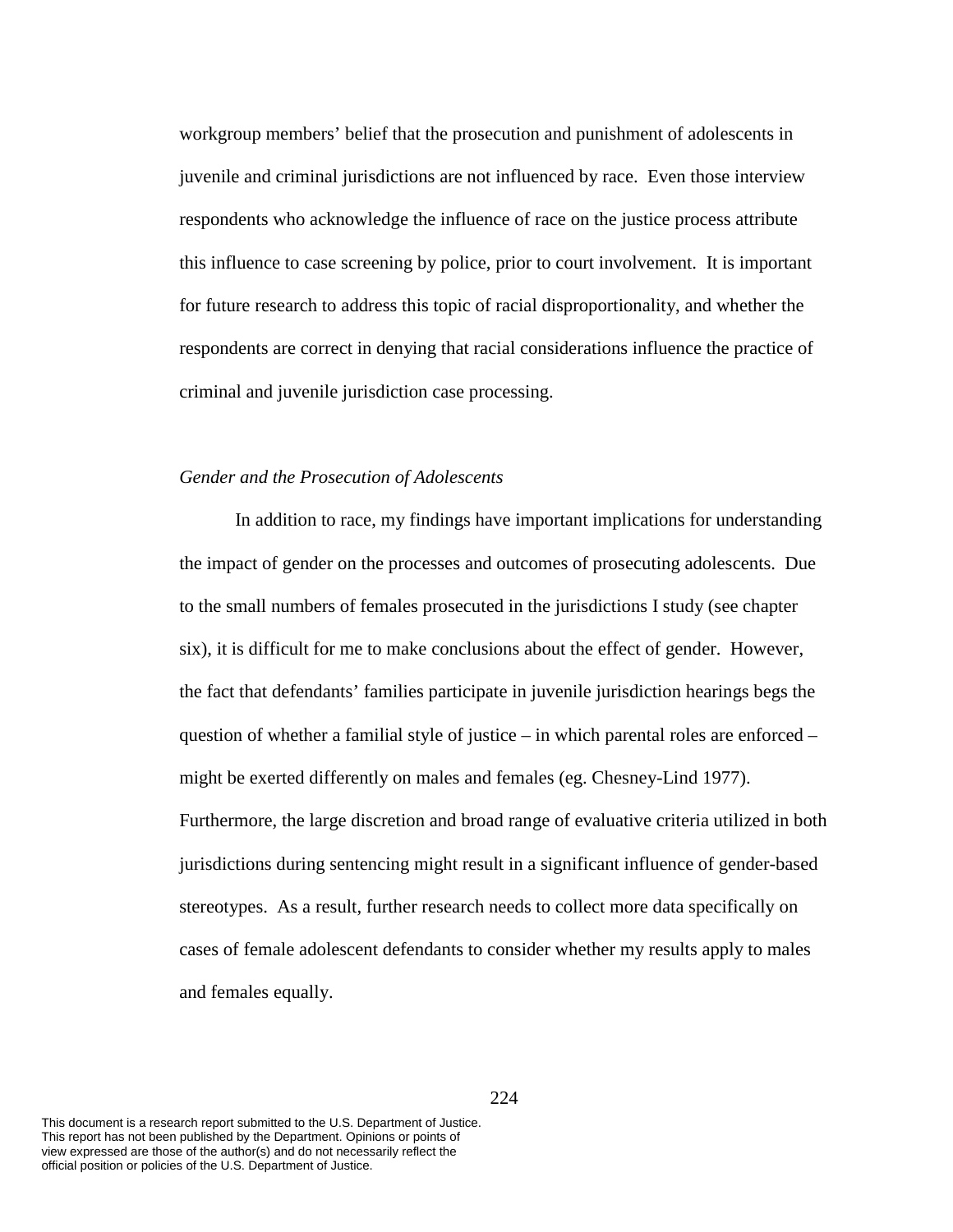workgroup members' belief that the prosecution and punishment of adolescents in juvenile and criminal jurisdictions are not influenced by race. Even those interview respondents who acknowledge the influence of race on the justice process attribute this influence to case screening by police, prior to court involvement. It is important for future research to address this topic of racial disproportionality, and whether the respondents are correct in denying that racial considerations influence the practice of criminal and juvenile jurisdiction case processing.

#### *Gender and the Prosecution of Adolescents*

In addition to race, my findings have important implications for understanding the impact of gender on the processes and outcomes of prosecuting adolescents. Due to the small numbers of females prosecuted in the jurisdictions I study (see chapter six), it is difficult for me to make conclusions about the effect of gender. However, the fact that defendants' families participate in juvenile jurisdiction hearings begs the question of whether a familial style of justice – in which parental roles are enforced – might be exerted differently on males and females (eg. Chesney-Lind 1977). Furthermore, the large discretion and broad range of evaluative criteria utilized in both jurisdictions during sentencing might result in a significant influence of gender-based stereotypes. As a result, further research needs to collect more data specifically on cases of female adolescent defendants to consider whether my results apply to males and females equally.

This document is a research report submitted to the U.S. Department of Justice. This report has not been published by the Department. Opinions or points of view expressed are those of the author(s) and do not necessarily reflect the official position or policies of the U.S. Department of Justice.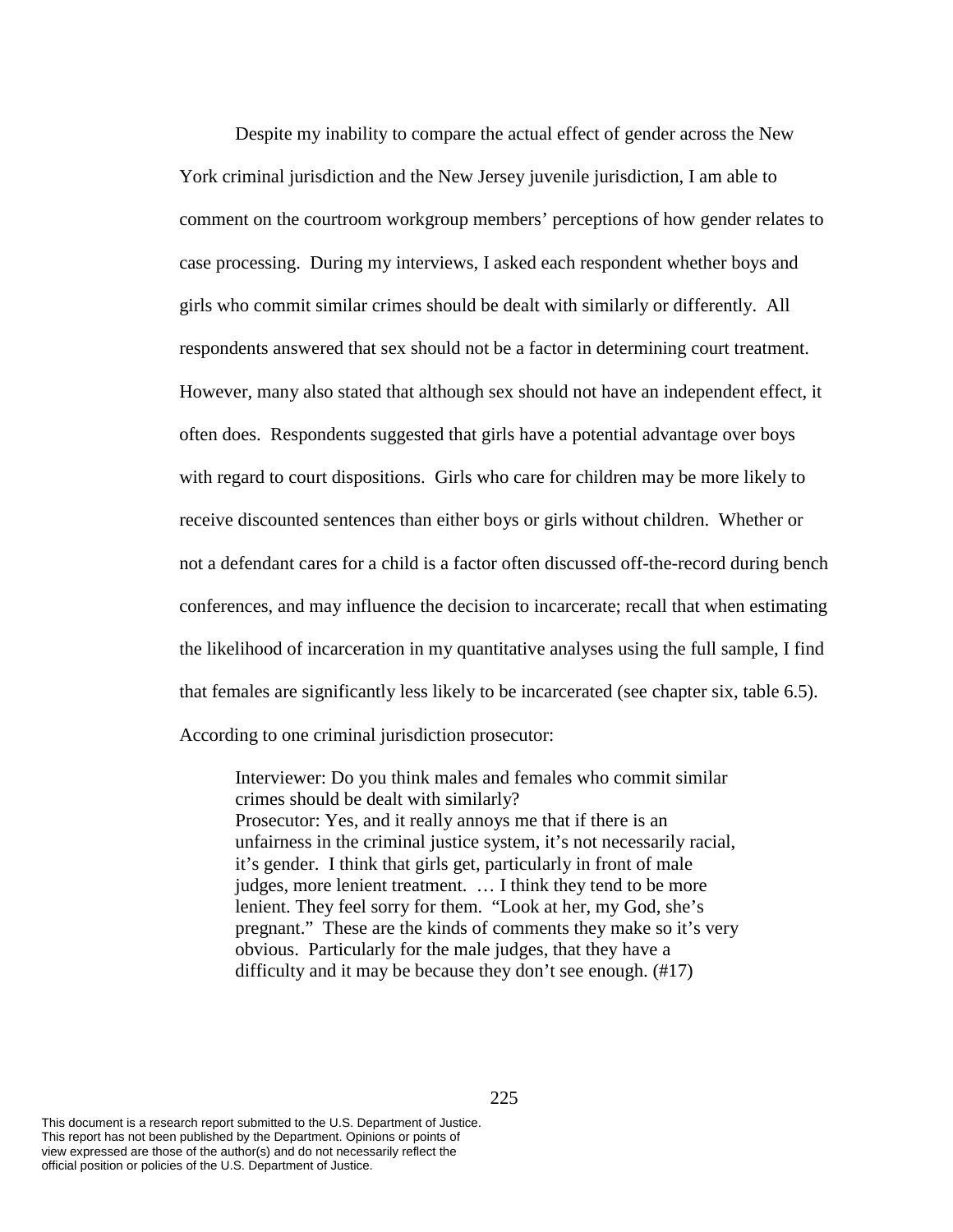Despite my inability to compare the actual effect of gender across the New York criminal jurisdiction and the New Jersey juvenile jurisdiction, I am able to comment on the courtroom workgroup members' perceptions of how gender relates to case processing. During my interviews, I asked each respondent whether boys and girls who commit similar crimes should be dealt with similarly or differently. All respondents answered that sex should not be a factor in determining court treatment. However, many also stated that although sex should not have an independent effect, it often does. Respondents suggested that girls have a potential advantage over boys with regard to court dispositions. Girls who care for children may be more likely to receive discounted sentences than either boys or girls without children. Whether or not a defendant cares for a child is a factor often discussed off-the-record during bench conferences, and may influence the decision to incarcerate; recall that when estimating the likelihood of incarceration in my quantitative analyses using the full sample, I find that females are significantly less likely to be incarcerated (see chapter six, table 6.5). According to one criminal jurisdiction prosecutor:

Interviewer: Do you think males and females who commit similar crimes should be dealt with similarly? Prosecutor: Yes, and it really annoys me that if there is an unfairness in the criminal justice system, it's not necessarily racial, it's gender. I think that girls get, particularly in front of male judges, more lenient treatment. … I think they tend to be more lenient. They feel sorry for them. "Look at her, my God, she's pregnant." These are the kinds of comments they make so it's very obvious. Particularly for the male judges, that they have a difficulty and it may be because they don't see enough. (#17)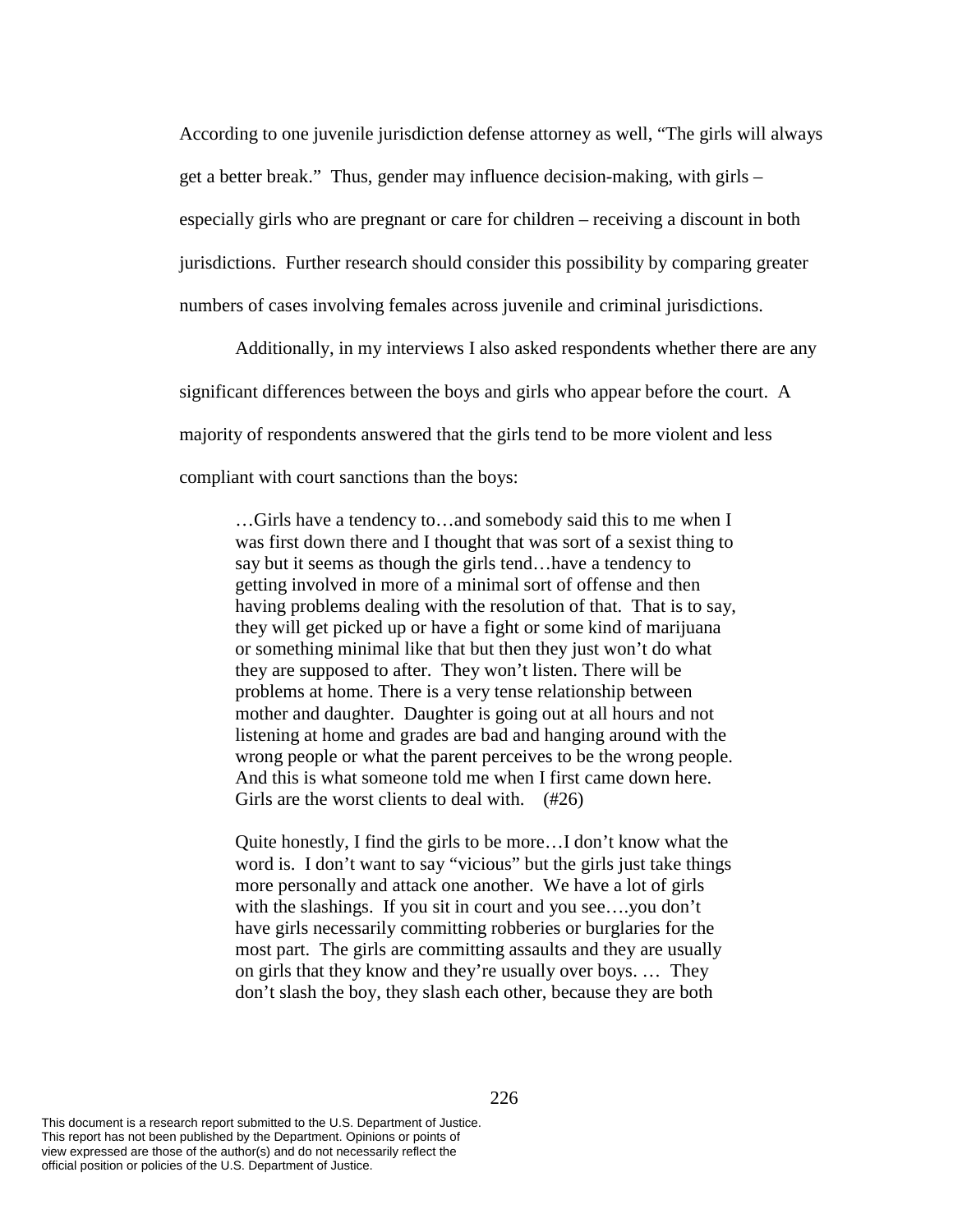According to one juvenile jurisdiction defense attorney as well, "The girls will always get a better break." Thus, gender may influence decision-making, with girls – especially girls who are pregnant or care for children – receiving a discount in both jurisdictions. Further research should consider this possibility by comparing greater numbers of cases involving females across juvenile and criminal jurisdictions.

Additionally, in my interviews I also asked respondents whether there are any significant differences between the boys and girls who appear before the court. A majority of respondents answered that the girls tend to be more violent and less compliant with court sanctions than the boys:

…Girls have a tendency to…and somebody said this to me when I was first down there and I thought that was sort of a sexist thing to say but it seems as though the girls tend…have a tendency to getting involved in more of a minimal sort of offense and then having problems dealing with the resolution of that. That is to say, they will get picked up or have a fight or some kind of marijuana or something minimal like that but then they just won't do what they are supposed to after. They won't listen. There will be problems at home. There is a very tense relationship between mother and daughter. Daughter is going out at all hours and not listening at home and grades are bad and hanging around with the wrong people or what the parent perceives to be the wrong people. And this is what someone told me when I first came down here. Girls are the worst clients to deal with. (#26)

Quite honestly, I find the girls to be more…I don't know what the word is. I don't want to say "vicious" but the girls just take things more personally and attack one another. We have a lot of girls with the slashings. If you sit in court and you see….you don't have girls necessarily committing robberies or burglaries for the most part. The girls are committing assaults and they are usually on girls that they know and they're usually over boys. … They don't slash the boy, they slash each other, because they are both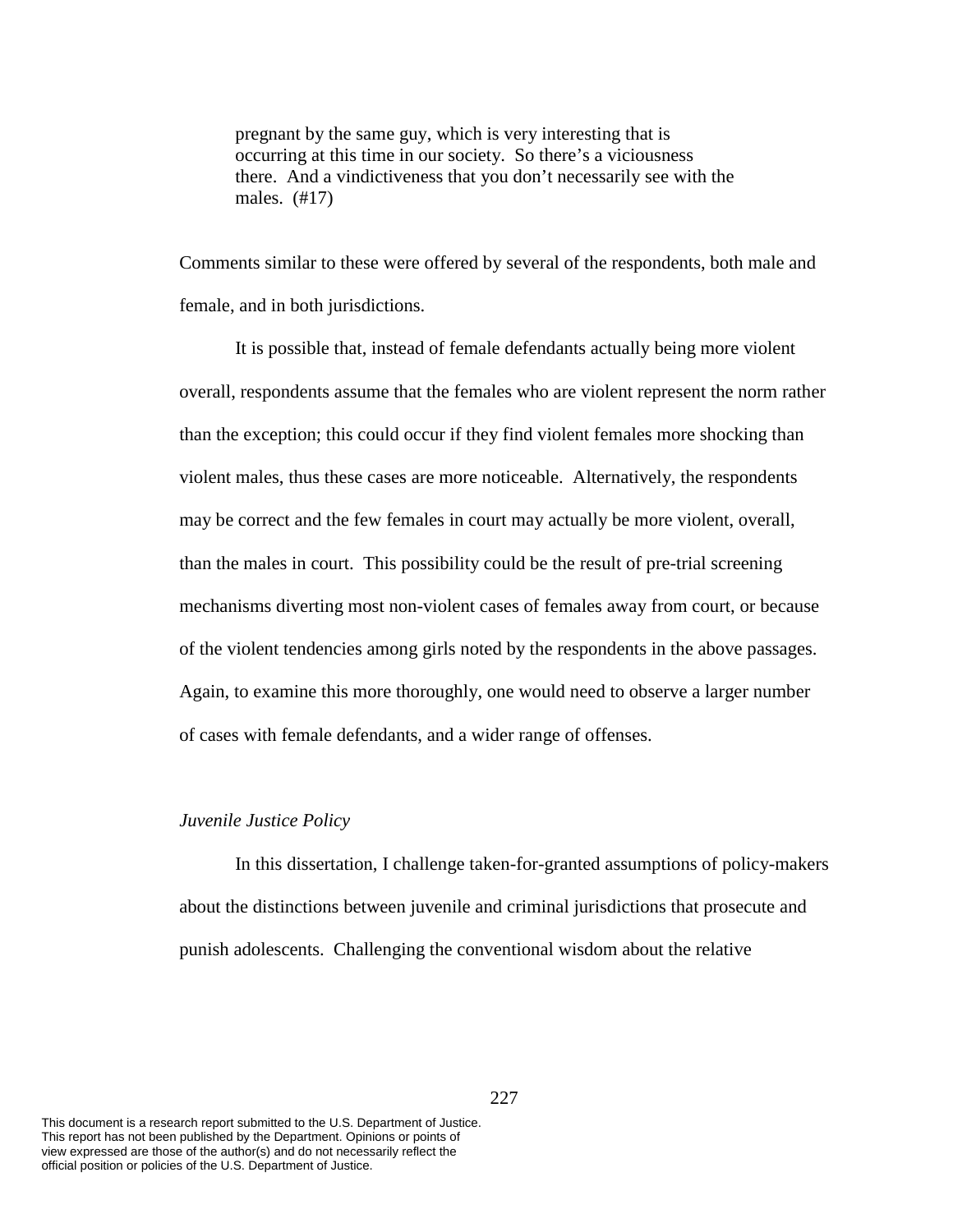pregnant by the same guy, which is very interesting that is occurring at this time in our society. So there's a viciousness there. And a vindictiveness that you don't necessarily see with the males. (#17)

Comments similar to these were offered by several of the respondents, both male and female, and in both jurisdictions.

It is possible that, instead of female defendants actually being more violent overall, respondents assume that the females who are violent represent the norm rather than the exception; this could occur if they find violent females more shocking than violent males, thus these cases are more noticeable. Alternatively, the respondents may be correct and the few females in court may actually be more violent, overall, than the males in court. This possibility could be the result of pre-trial screening mechanisms diverting most non-violent cases of females away from court, or because of the violent tendencies among girls noted by the respondents in the above passages. Again, to examine this more thoroughly, one would need to observe a larger number of cases with female defendants, and a wider range of offenses.

# *Juvenile Justice Policy*

In this dissertation, I challenge taken-for-granted assumptions of policy-makers about the distinctions between juvenile and criminal jurisdictions that prosecute and punish adolescents. Challenging the conventional wisdom about the relative

This document is a research report submitted to the U.S. Department of Justice. This report has not been published by the Department. Opinions or points of view expressed are those of the author(s) and do not necessarily reflect the official position or policies of the U.S. Department of Justice.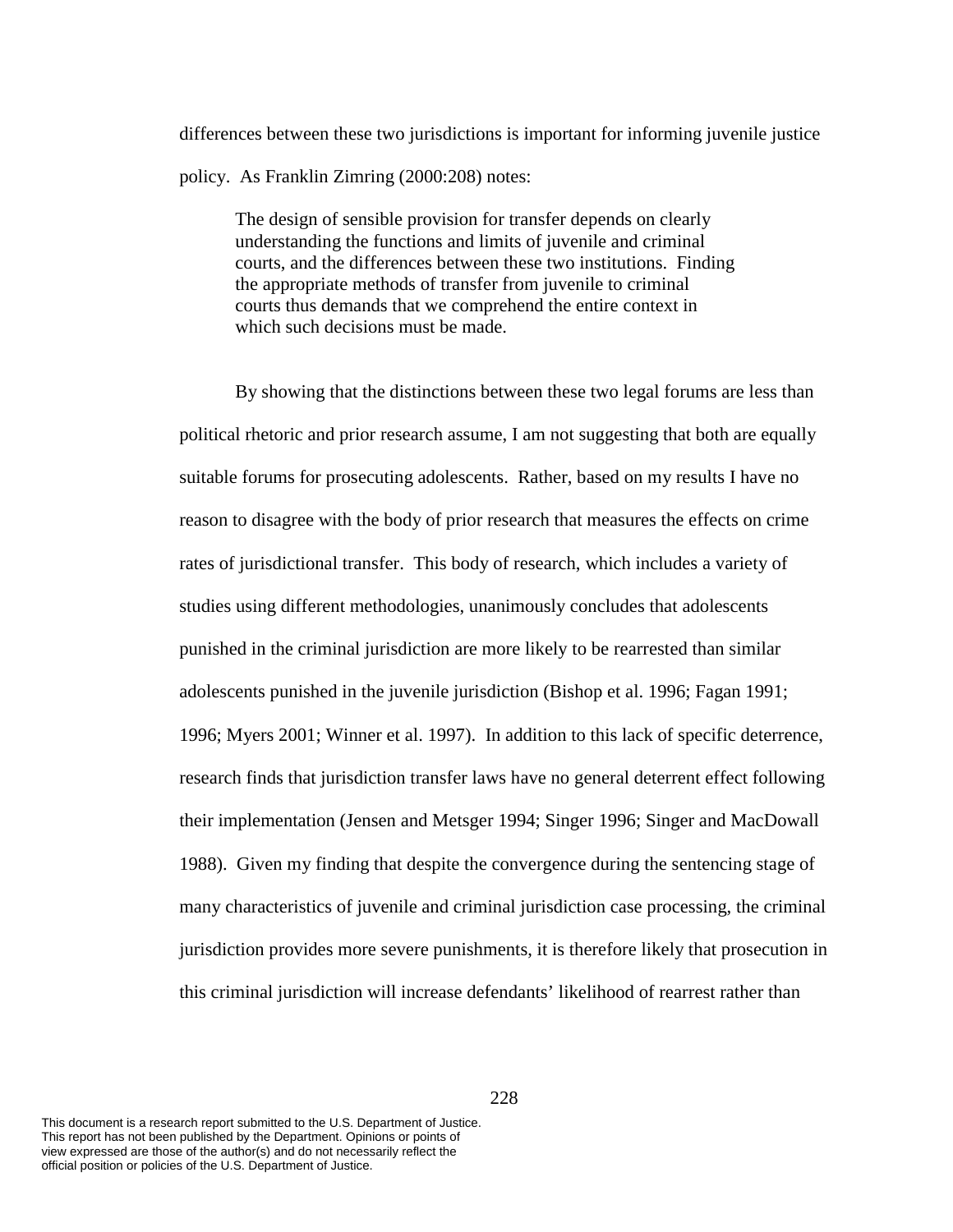differences between these two jurisdictions is important for informing juvenile justice policy. As Franklin Zimring (2000:208) notes:

The design of sensible provision for transfer depends on clearly understanding the functions and limits of juvenile and criminal courts, and the differences between these two institutions. Finding the appropriate methods of transfer from juvenile to criminal courts thus demands that we comprehend the entire context in which such decisions must be made.

By showing that the distinctions between these two legal forums are less than political rhetoric and prior research assume, I am not suggesting that both are equally suitable forums for prosecuting adolescents. Rather, based on my results I have no reason to disagree with the body of prior research that measures the effects on crime rates of jurisdictional transfer. This body of research, which includes a variety of studies using different methodologies, unanimously concludes that adolescents punished in the criminal jurisdiction are more likely to be rearrested than similar adolescents punished in the juvenile jurisdiction (Bishop et al. 1996; Fagan 1991; 1996; Myers 2001; Winner et al. 1997). In addition to this lack of specific deterrence, research finds that jurisdiction transfer laws have no general deterrent effect following their implementation (Jensen and Metsger 1994; Singer 1996; Singer and MacDowall 1988). Given my finding that despite the convergence during the sentencing stage of many characteristics of juvenile and criminal jurisdiction case processing, the criminal jurisdiction provides more severe punishments, it is therefore likely that prosecution in this criminal jurisdiction will increase defendants' likelihood of rearrest rather than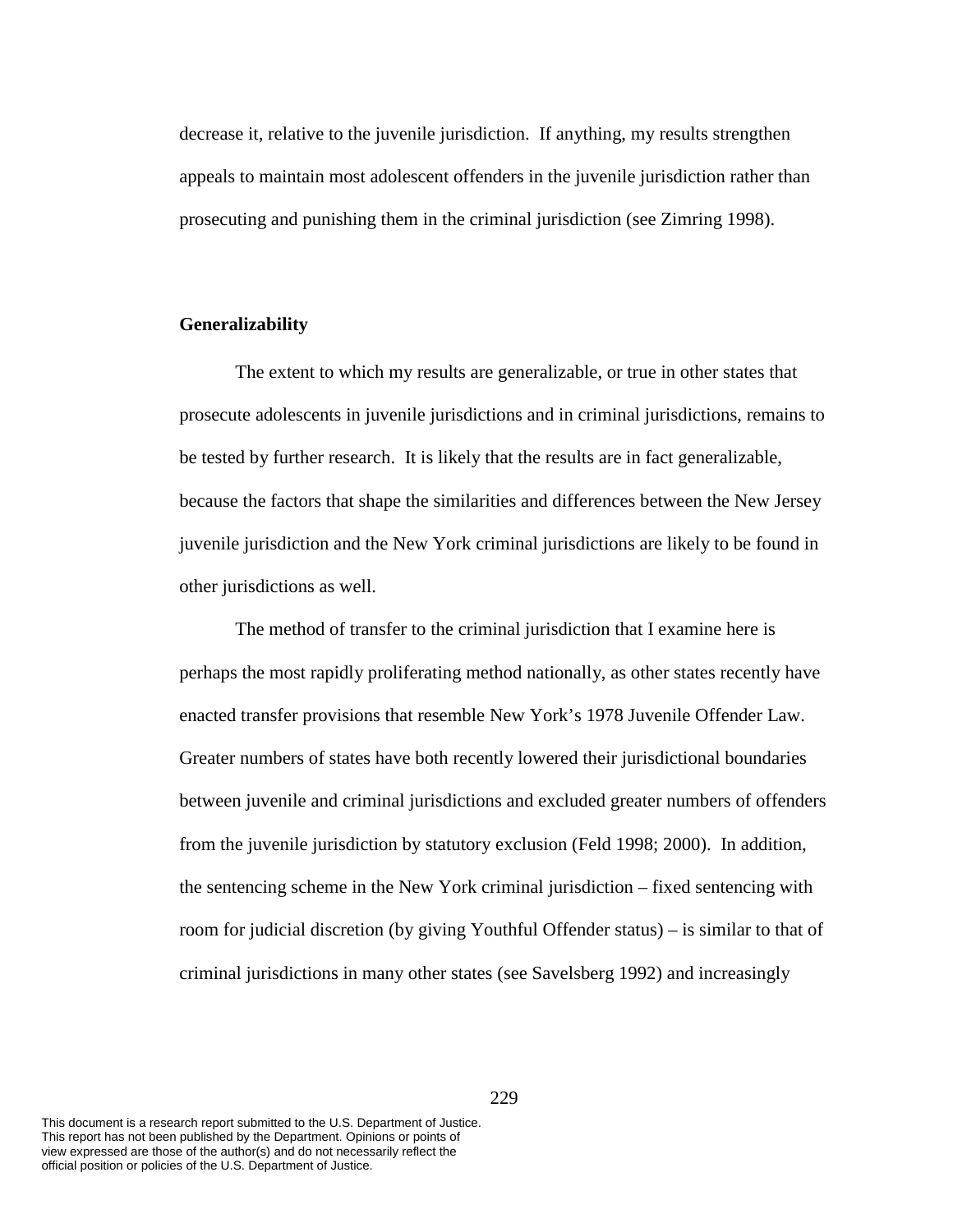decrease it, relative to the juvenile jurisdiction. If anything, my results strengthen appeals to maintain most adolescent offenders in the juvenile jurisdiction rather than prosecuting and punishing them in the criminal jurisdiction (see Zimring 1998).

## **Generalizability**

The extent to which my results are generalizable, or true in other states that prosecute adolescents in juvenile jurisdictions and in criminal jurisdictions, remains to be tested by further research. It is likely that the results are in fact generalizable, because the factors that shape the similarities and differences between the New Jersey juvenile jurisdiction and the New York criminal jurisdictions are likely to be found in other jurisdictions as well.

The method of transfer to the criminal jurisdiction that I examine here is perhaps the most rapidly proliferating method nationally, as other states recently have enacted transfer provisions that resemble New York's 1978 Juvenile Offender Law. Greater numbers of states have both recently lowered their jurisdictional boundaries between juvenile and criminal jurisdictions and excluded greater numbers of offenders from the juvenile jurisdiction by statutory exclusion (Feld 1998; 2000). In addition, the sentencing scheme in the New York criminal jurisdiction – fixed sentencing with room for judicial discretion (by giving Youthful Offender status) – is similar to that of criminal jurisdictions in many other states (see Savelsberg 1992) and increasingly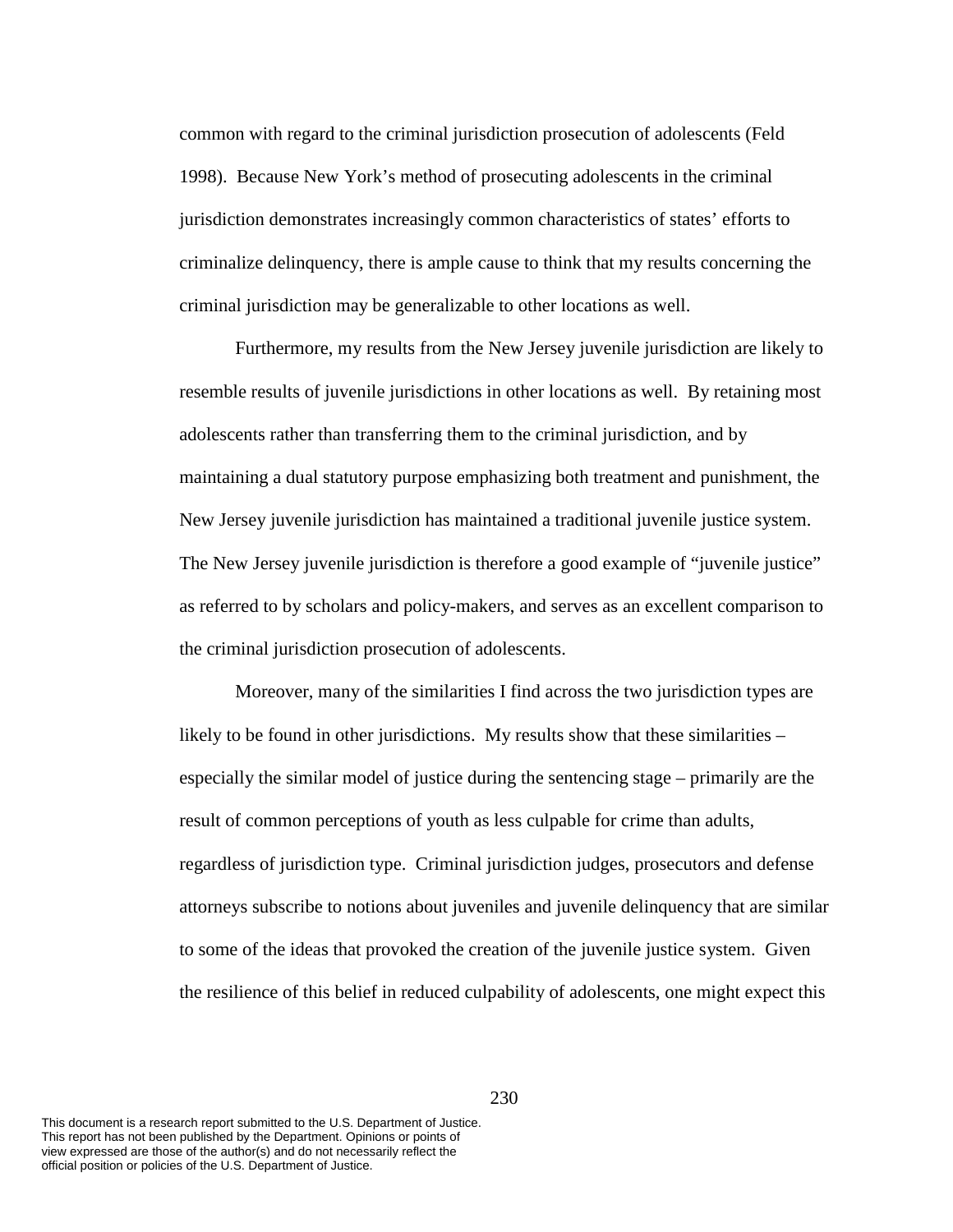common with regard to the criminal jurisdiction prosecution of adolescents (Feld 1998). Because New York's method of prosecuting adolescents in the criminal jurisdiction demonstrates increasingly common characteristics of states' efforts to criminalize delinquency, there is ample cause to think that my results concerning the criminal jurisdiction may be generalizable to other locations as well.

Furthermore, my results from the New Jersey juvenile jurisdiction are likely to resemble results of juvenile jurisdictions in other locations as well. By retaining most adolescents rather than transferring them to the criminal jurisdiction, and by maintaining a dual statutory purpose emphasizing both treatment and punishment, the New Jersey juvenile jurisdiction has maintained a traditional juvenile justice system. The New Jersey juvenile jurisdiction is therefore a good example of "juvenile justice" as referred to by scholars and policy-makers, and serves as an excellent comparison to the criminal jurisdiction prosecution of adolescents.

Moreover, many of the similarities I find across the two jurisdiction types are likely to be found in other jurisdictions. My results show that these similarities – especially the similar model of justice during the sentencing stage – primarily are the result of common perceptions of youth as less culpable for crime than adults, regardless of jurisdiction type. Criminal jurisdiction judges, prosecutors and defense attorneys subscribe to notions about juveniles and juvenile delinquency that are similar to some of the ideas that provoked the creation of the juvenile justice system. Given the resilience of this belief in reduced culpability of adolescents, one might expect this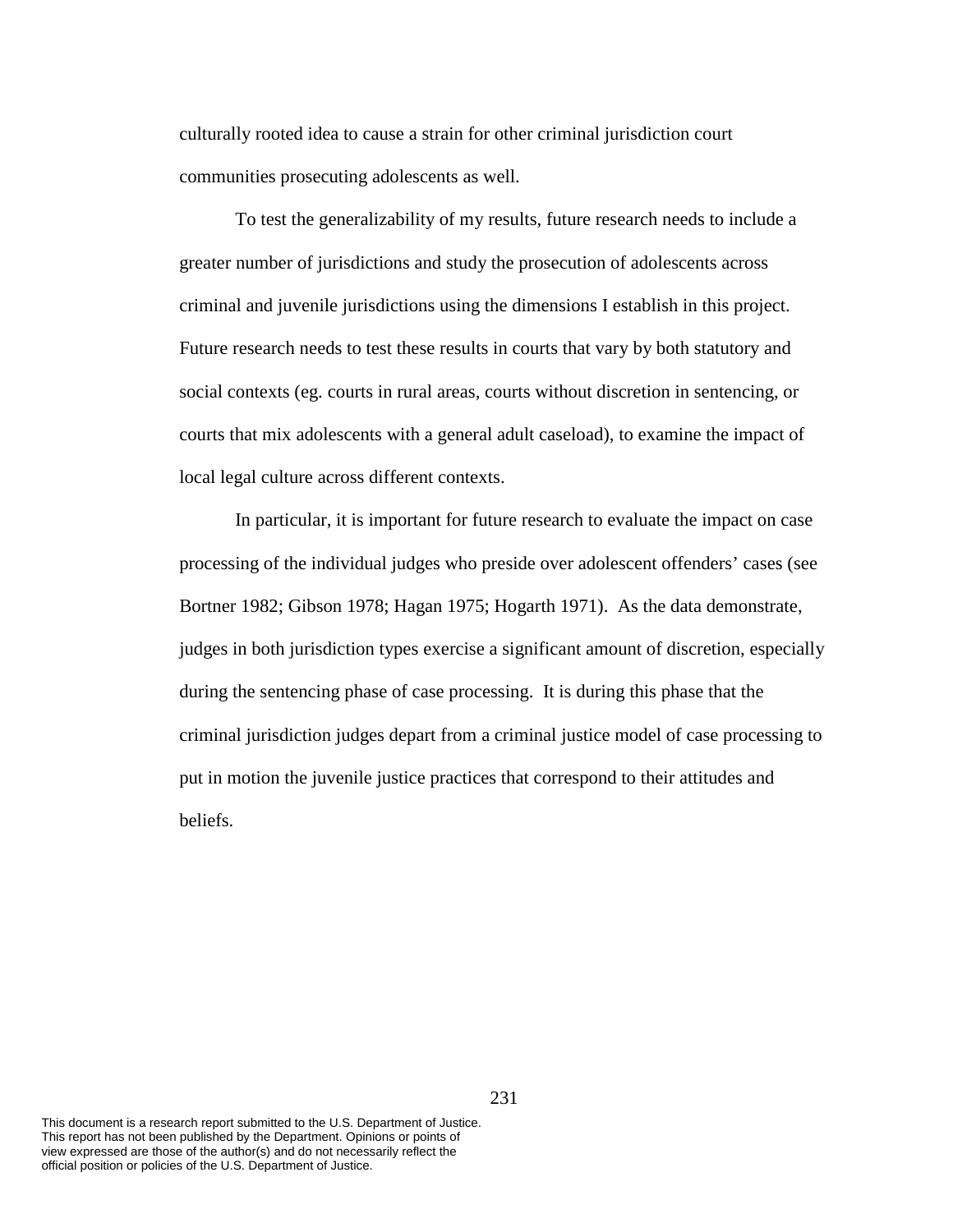culturally rooted idea to cause a strain for other criminal jurisdiction court communities prosecuting adolescents as well.

To test the generalizability of my results, future research needs to include a greater number of jurisdictions and study the prosecution of adolescents across criminal and juvenile jurisdictions using the dimensions I establish in this project. Future research needs to test these results in courts that vary by both statutory and social contexts (eg. courts in rural areas, courts without discretion in sentencing, or courts that mix adolescents with a general adult caseload), to examine the impact of local legal culture across different contexts.

In particular, it is important for future research to evaluate the impact on case processing of the individual judges who preside over adolescent offenders' cases (see Bortner 1982; Gibson 1978; Hagan 1975; Hogarth 1971). As the data demonstrate, judges in both jurisdiction types exercise a significant amount of discretion, especially during the sentencing phase of case processing. It is during this phase that the criminal jurisdiction judges depart from a criminal justice model of case processing to put in motion the juvenile justice practices that correspond to their attitudes and beliefs.

231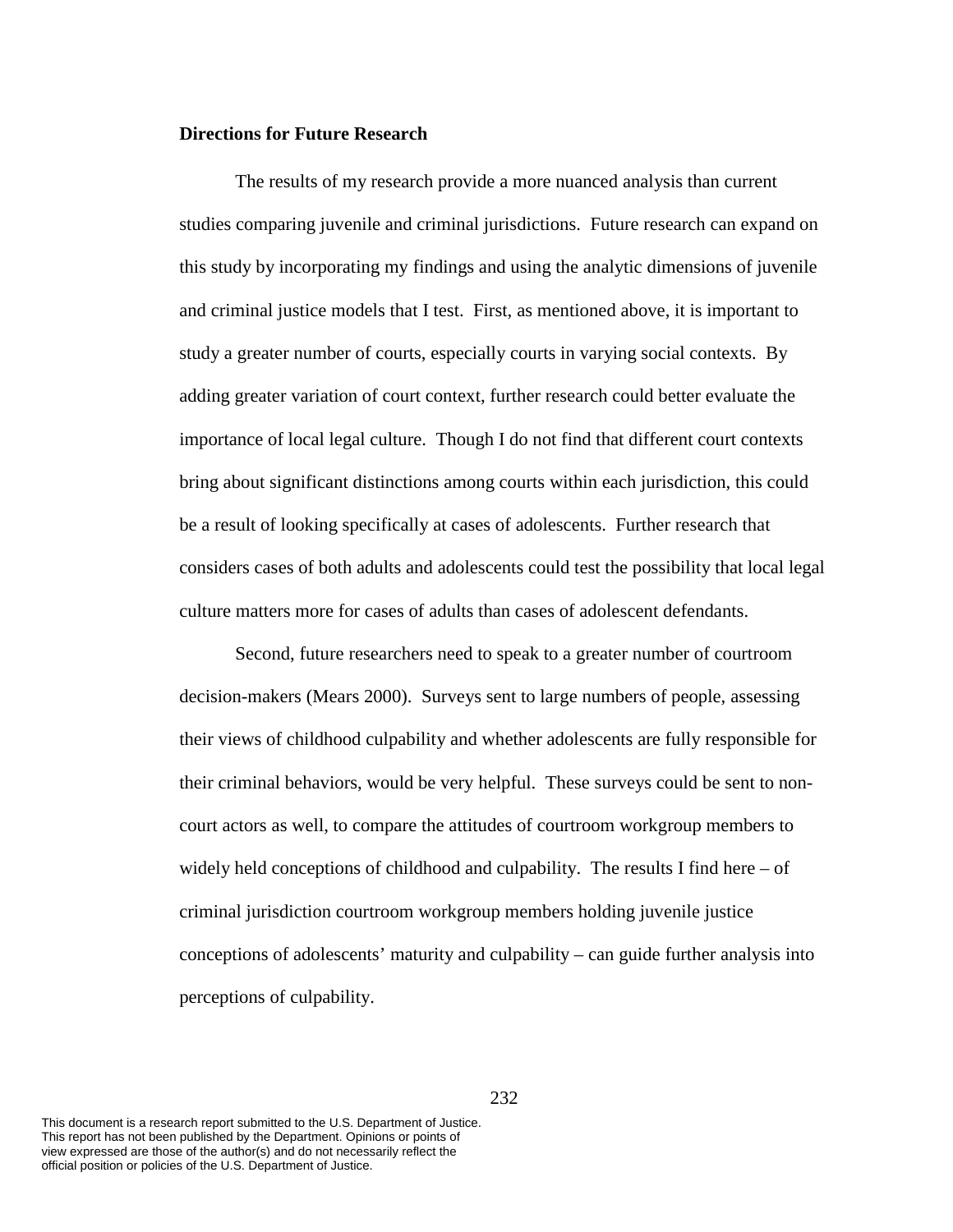## **Directions for Future Research**

The results of my research provide a more nuanced analysis than current studies comparing juvenile and criminal jurisdictions. Future research can expand on this study by incorporating my findings and using the analytic dimensions of juvenile and criminal justice models that I test. First, as mentioned above, it is important to study a greater number of courts, especially courts in varying social contexts. By adding greater variation of court context, further research could better evaluate the importance of local legal culture. Though I do not find that different court contexts bring about significant distinctions among courts within each jurisdiction, this could be a result of looking specifically at cases of adolescents. Further research that considers cases of both adults and adolescents could test the possibility that local legal culture matters more for cases of adults than cases of adolescent defendants.

Second, future researchers need to speak to a greater number of courtroom decision-makers (Mears 2000). Surveys sent to large numbers of people, assessing their views of childhood culpability and whether adolescents are fully responsible for their criminal behaviors, would be very helpful. These surveys could be sent to noncourt actors as well, to compare the attitudes of courtroom workgroup members to widely held conceptions of childhood and culpability. The results I find here – of criminal jurisdiction courtroom workgroup members holding juvenile justice conceptions of adolescents' maturity and culpability – can guide further analysis into perceptions of culpability.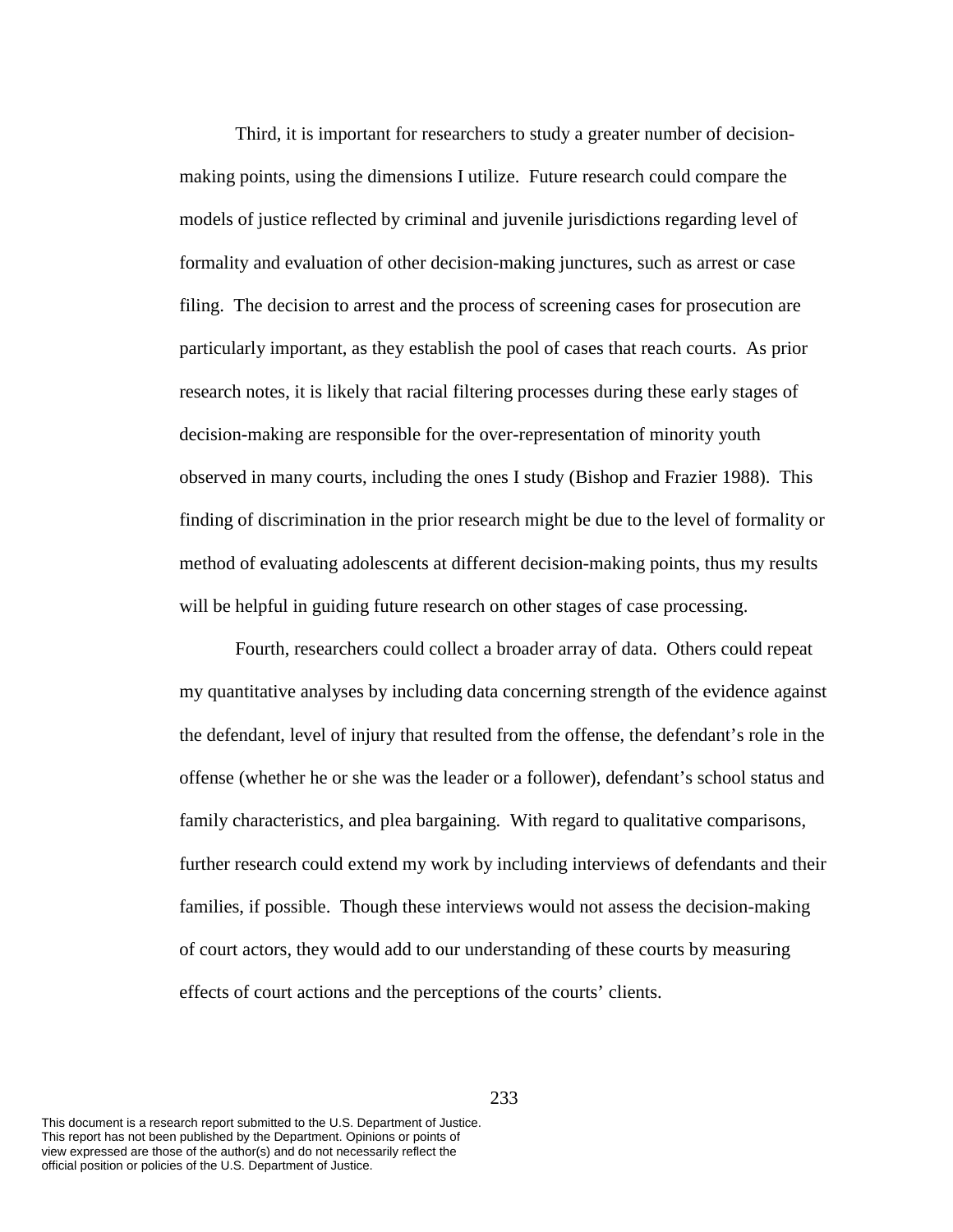Third, it is important for researchers to study a greater number of decisionmaking points, using the dimensions I utilize. Future research could compare the models of justice reflected by criminal and juvenile jurisdictions regarding level of formality and evaluation of other decision-making junctures, such as arrest or case filing. The decision to arrest and the process of screening cases for prosecution are particularly important, as they establish the pool of cases that reach courts. As prior research notes, it is likely that racial filtering processes during these early stages of decision-making are responsible for the over-representation of minority youth observed in many courts, including the ones I study (Bishop and Frazier 1988). This finding of discrimination in the prior research might be due to the level of formality or method of evaluating adolescents at different decision-making points, thus my results will be helpful in guiding future research on other stages of case processing.

Fourth, researchers could collect a broader array of data. Others could repeat my quantitative analyses by including data concerning strength of the evidence against the defendant, level of injury that resulted from the offense, the defendant's role in the offense (whether he or she was the leader or a follower), defendant's school status and family characteristics, and plea bargaining. With regard to qualitative comparisons, further research could extend my work by including interviews of defendants and their families, if possible. Though these interviews would not assess the decision-making of court actors, they would add to our understanding of these courts by measuring effects of court actions and the perceptions of the courts' clients.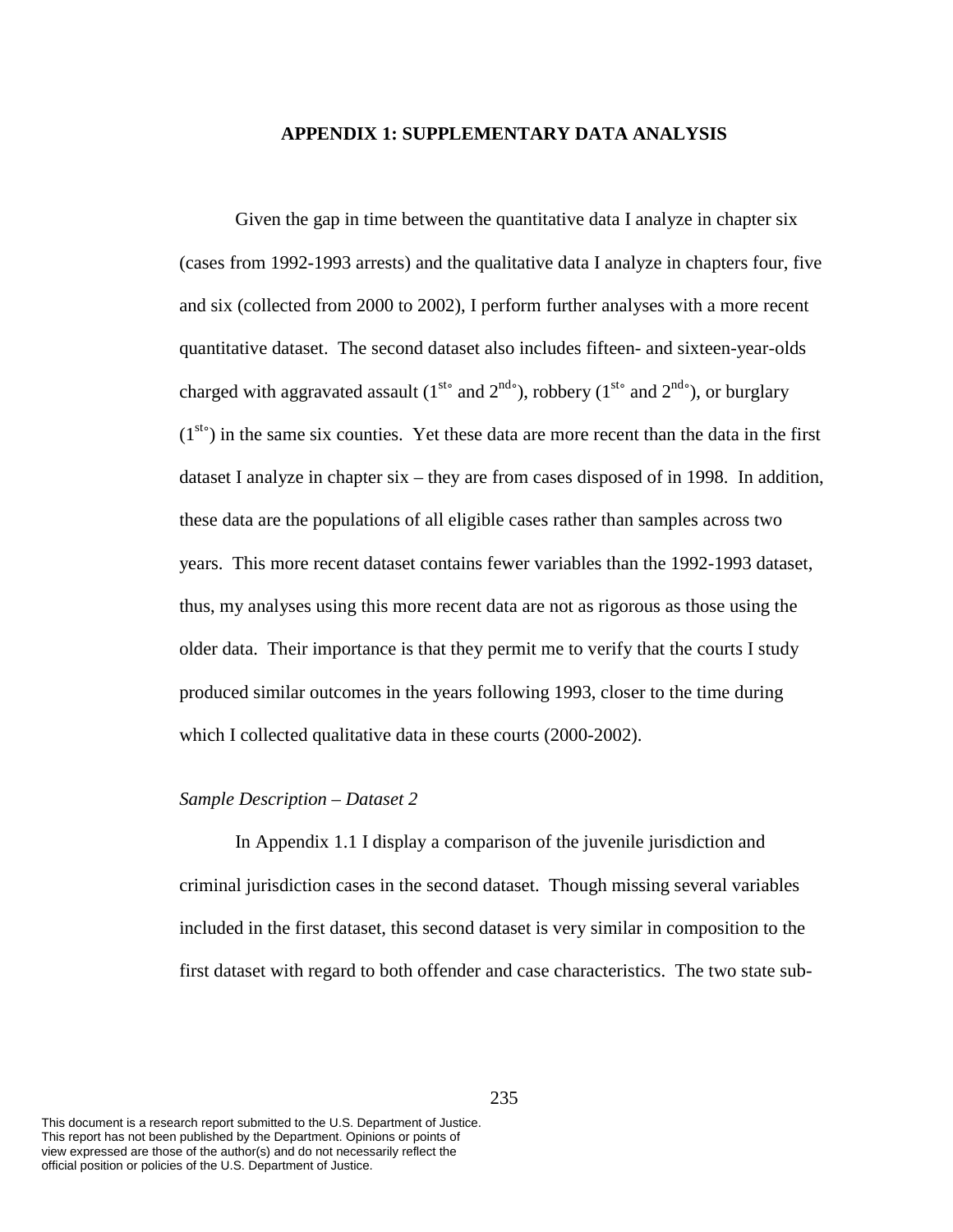#### **APPENDIX 1: SUPPLEMENTARY DATA ANALYSIS**

Given the gap in time between the quantitative data I analyze in chapter six (cases from 1992-1993 arrests) and the qualitative data I analyze in chapters four, five and six (collected from 2000 to 2002), I perform further analyses with a more recent quantitative dataset. The second dataset also includes fifteen- and sixteen-year-olds charged with aggravated assault (1<sup>st</sup> and  $2^{nd\circ}$ ), robbery (1<sup>st</sup> and  $2^{nd\circ}$ ), or burglary  $(1<sup>sto</sup>)$  in the same six counties. Yet these data are more recent than the data in the first dataset I analyze in chapter six – they are from cases disposed of in 1998. In addition, these data are the populations of all eligible cases rather than samples across two years. This more recent dataset contains fewer variables than the 1992-1993 dataset, thus, my analyses using this more recent data are not as rigorous as those using the older data. Their importance is that they permit me to verify that the courts I study produced similar outcomes in the years following 1993, closer to the time during which I collected qualitative data in these courts (2000-2002).

# *Sample Description – Dataset 2*

In Appendix 1.1 I display a comparison of the juvenile jurisdiction and criminal jurisdiction cases in the second dataset. Though missing several variables included in the first dataset, this second dataset is very similar in composition to the first dataset with regard to both offender and case characteristics. The two state sub-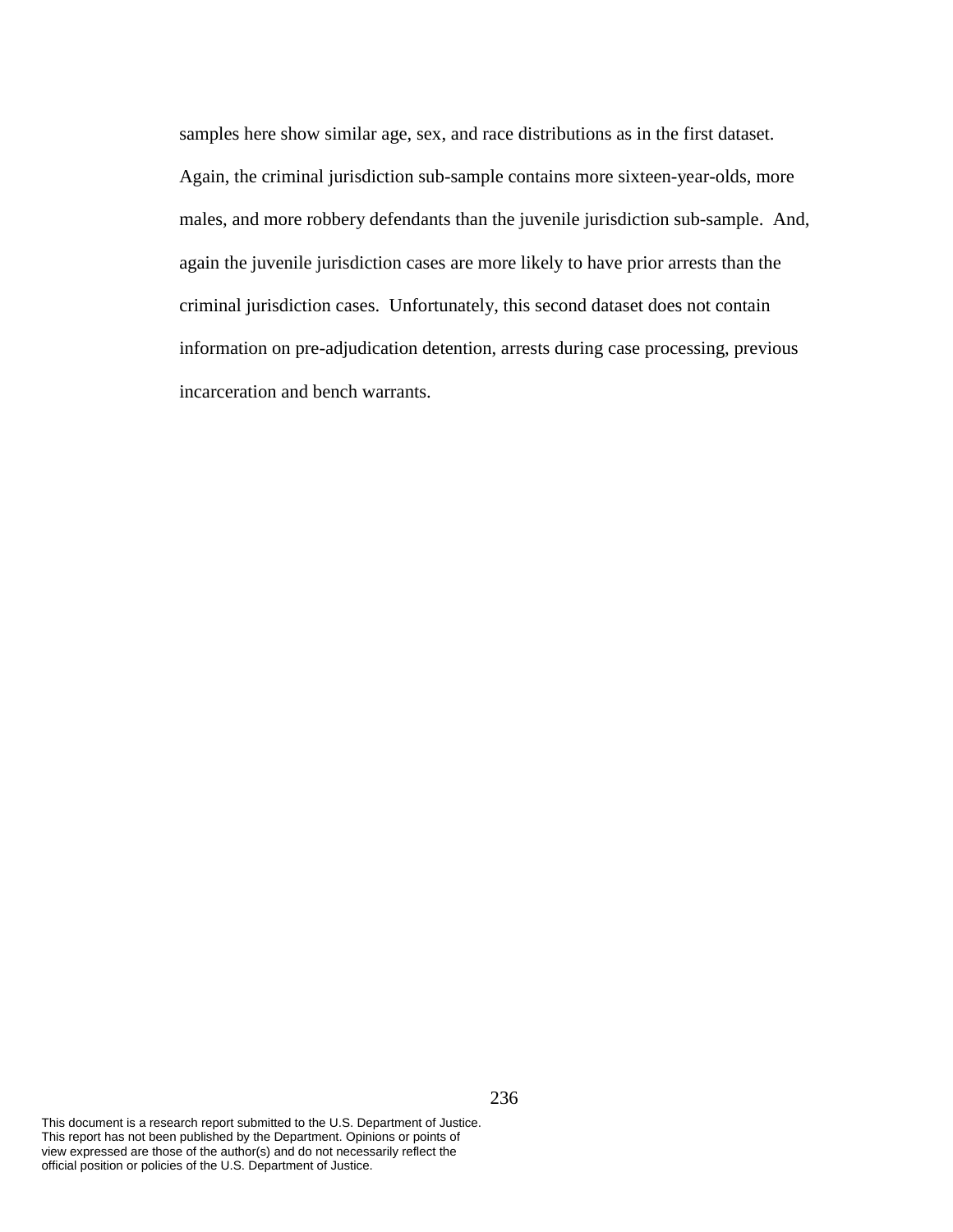samples here show similar age, sex, and race distributions as in the first dataset. Again, the criminal jurisdiction sub-sample contains more sixteen-year-olds, more males, and more robbery defendants than the juvenile jurisdiction sub-sample. And, again the juvenile jurisdiction cases are more likely to have prior arrests than the criminal jurisdiction cases. Unfortunately, this second dataset does not contain information on pre-adjudication detention, arrests during case processing, previous incarceration and bench warrants.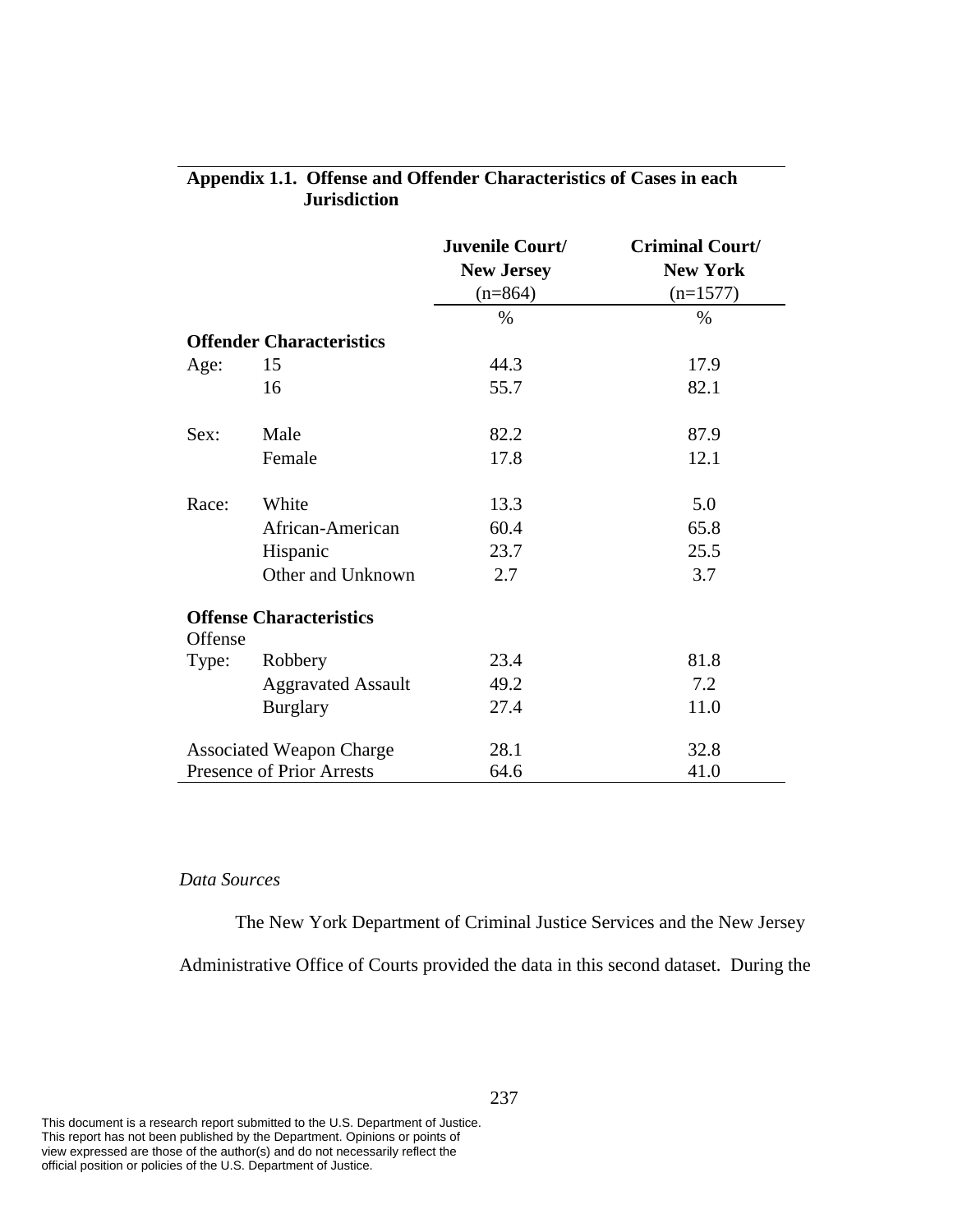|                                 |                                  | Juvenile Court/   | <b>Criminal Court/</b> |  |  |
|---------------------------------|----------------------------------|-------------------|------------------------|--|--|
|                                 |                                  | <b>New Jersey</b> | <b>New York</b>        |  |  |
|                                 |                                  | $(n=864)$         | $(n=1577)$             |  |  |
|                                 |                                  | $\%$              | $\%$                   |  |  |
|                                 | <b>Offender Characteristics</b>  |                   |                        |  |  |
| Age:                            | 15                               | 44.3              | 17.9                   |  |  |
|                                 | 16                               | 55.7              | 82.1                   |  |  |
| Sex:                            | Male                             | 82.2              | 87.9                   |  |  |
|                                 | Female                           | 17.8              | 12.1                   |  |  |
| Race:                           | White                            | 13.3              | 5.0                    |  |  |
|                                 | African-American                 | 60.4              | 65.8                   |  |  |
|                                 | Hispanic                         | 23.7              | 25.5                   |  |  |
|                                 | Other and Unknown                | 2.7               | 3.7                    |  |  |
|                                 | <b>Offense Characteristics</b>   |                   |                        |  |  |
| Offense                         |                                  |                   |                        |  |  |
| Type:                           | Robbery                          | 23.4              | 81.8                   |  |  |
|                                 | <b>Aggravated Assault</b>        | 49.2              | 7.2                    |  |  |
|                                 | <b>Burglary</b>                  | 27.4              | 11.0                   |  |  |
| <b>Associated Weapon Charge</b> |                                  | 28.1              | 32.8                   |  |  |
|                                 | <b>Presence of Prior Arrests</b> | 64.6              | 41.0                   |  |  |

# **Appendix 1.1. Offense and Offender Characteristics of Cases in each Jurisdiction**

# *Data Sources*

The New York Department of Criminal Justice Services and the New Jersey Administrative Office of Courts provided the data in this second dataset. During the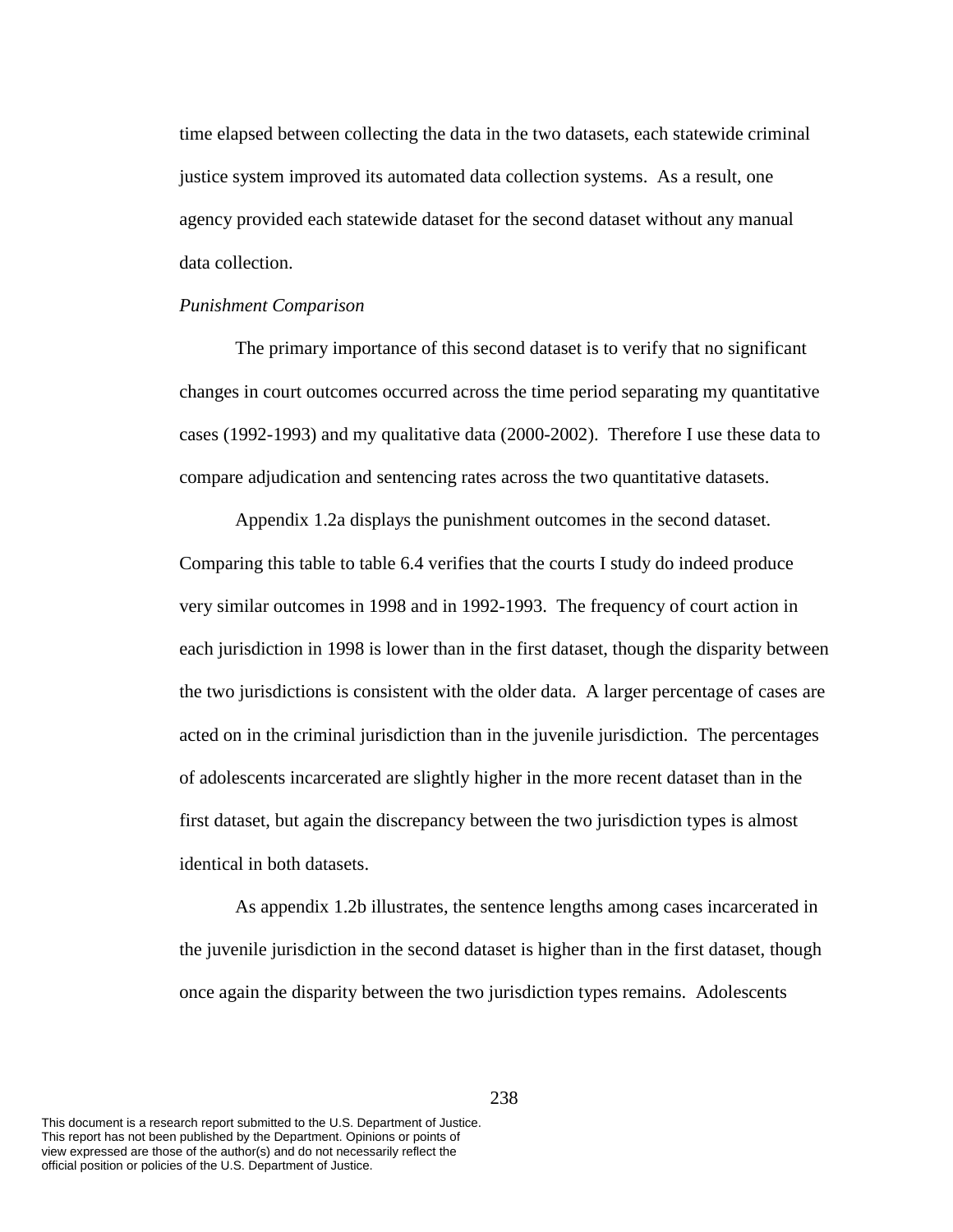time elapsed between collecting the data in the two datasets, each statewide criminal justice system improved its automated data collection systems. As a result, one agency provided each statewide dataset for the second dataset without any manual data collection.

#### *Punishment Comparison*

The primary importance of this second dataset is to verify that no significant changes in court outcomes occurred across the time period separating my quantitative cases (1992-1993) and my qualitative data (2000-2002). Therefore I use these data to compare adjudication and sentencing rates across the two quantitative datasets.

Appendix 1.2a displays the punishment outcomes in the second dataset. Comparing this table to table 6.4 verifies that the courts I study do indeed produce very similar outcomes in 1998 and in 1992-1993. The frequency of court action in each jurisdiction in 1998 is lower than in the first dataset, though the disparity between the two jurisdictions is consistent with the older data. A larger percentage of cases are acted on in the criminal jurisdiction than in the juvenile jurisdiction. The percentages of adolescents incarcerated are slightly higher in the more recent dataset than in the first dataset, but again the discrepancy between the two jurisdiction types is almost identical in both datasets.

As appendix 1.2b illustrates, the sentence lengths among cases incarcerated in the juvenile jurisdiction in the second dataset is higher than in the first dataset, though once again the disparity between the two jurisdiction types remains. Adolescents

This document is a research report submitted to the U.S. Department of Justice. This report has not been published by the Department. Opinions or points of view expressed are those of the author(s) and do not necessarily reflect the official position or policies of the U.S. Department of Justice.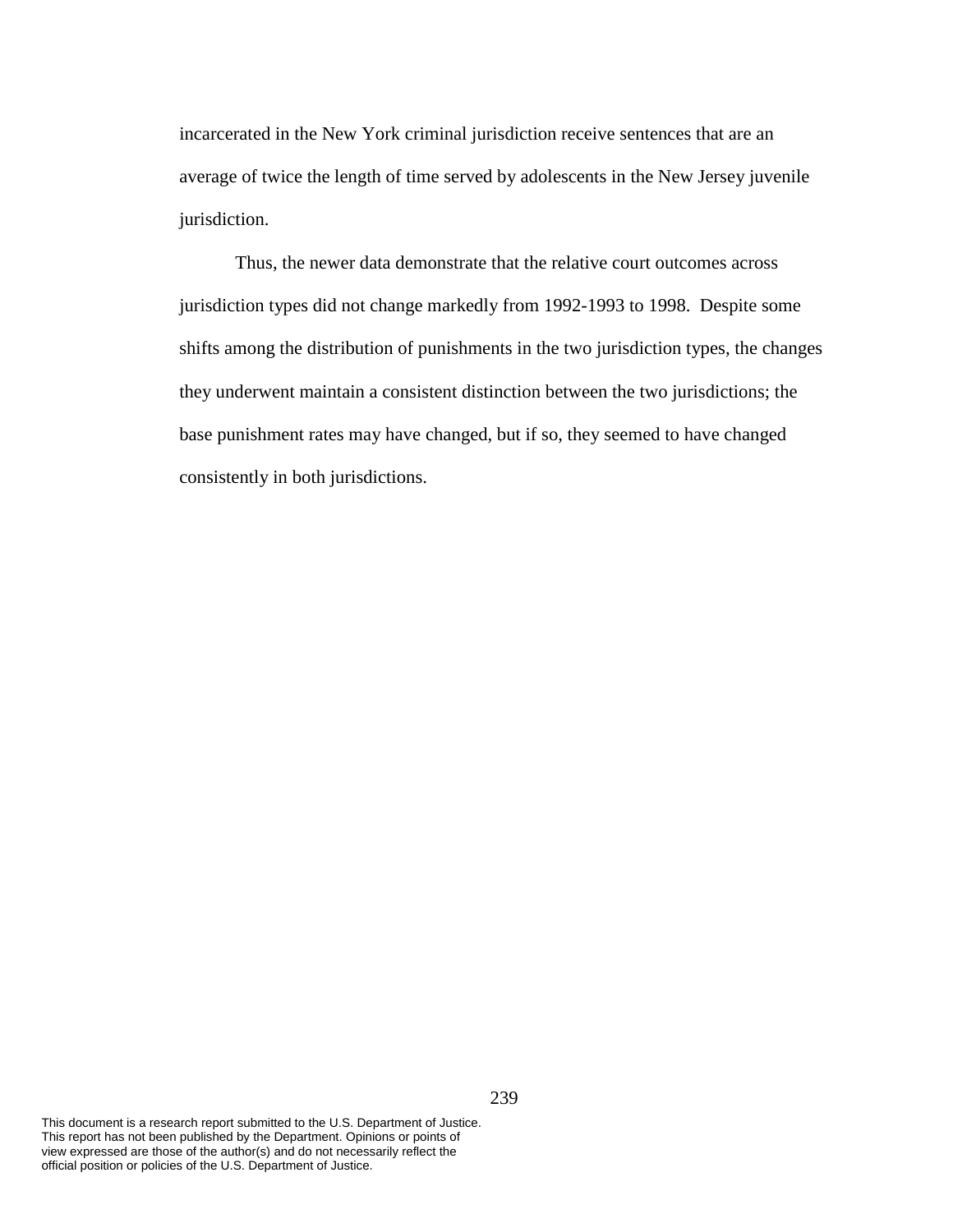incarcerated in the New York criminal jurisdiction receive sentences that are an average of twice the length of time served by adolescents in the New Jersey juvenile jurisdiction.

Thus, the newer data demonstrate that the relative court outcomes across jurisdiction types did not change markedly from 1992-1993 to 1998. Despite some shifts among the distribution of punishments in the two jurisdiction types, the changes they underwent maintain a consistent distinction between the two jurisdictions; the base punishment rates may have changed, but if so, they seemed to have changed consistently in both jurisdictions.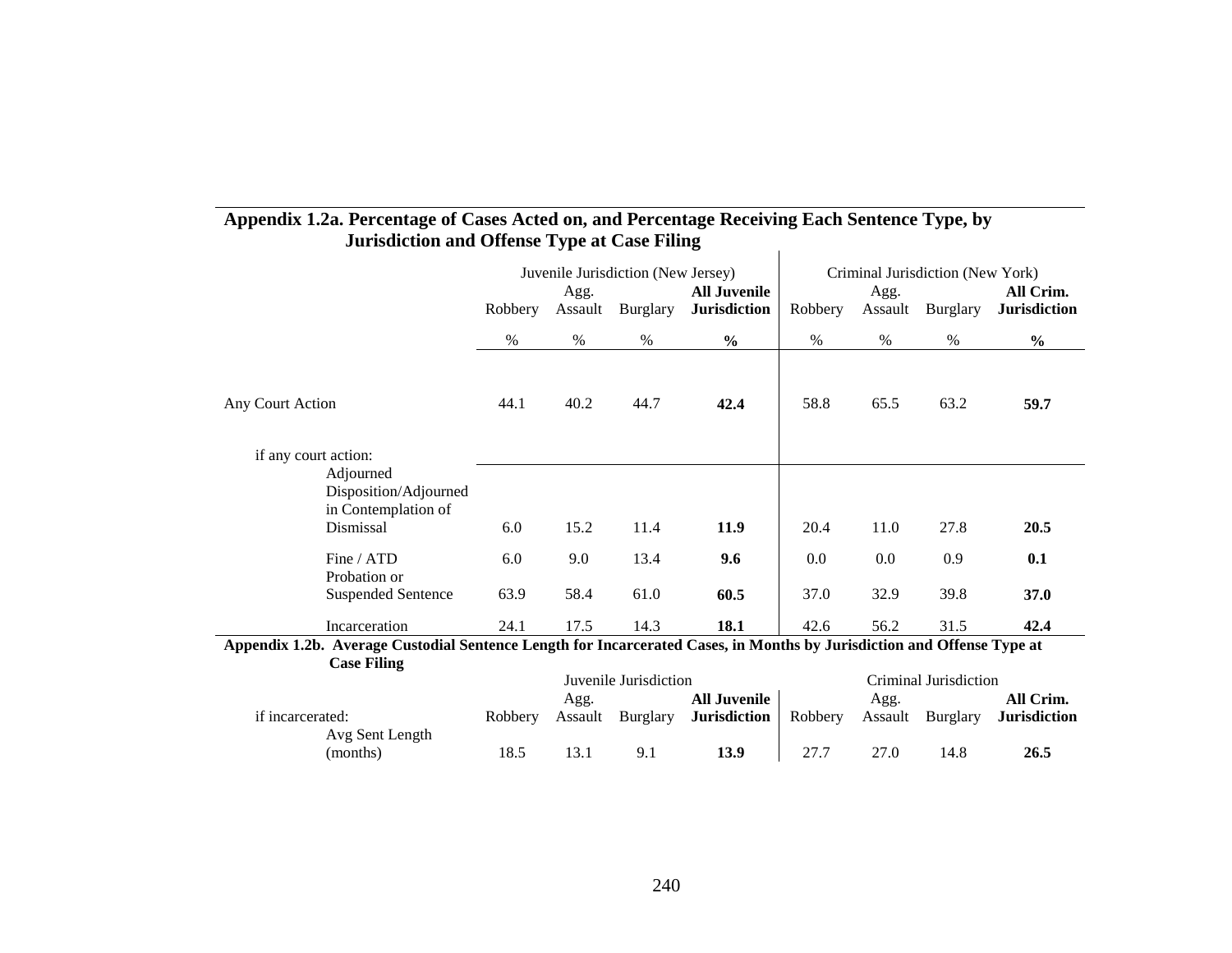|                                                                                                                        |                                                           | Juvenile Jurisdiction (New Jersey)<br><b>All Juvenile</b><br>Agg. |         |          |                     | Criminal Jurisdiction (New York)<br>All Crim.<br>Agg. |         |           |                     |  |
|------------------------------------------------------------------------------------------------------------------------|-----------------------------------------------------------|-------------------------------------------------------------------|---------|----------|---------------------|-------------------------------------------------------|---------|-----------|---------------------|--|
|                                                                                                                        |                                                           | Robbery                                                           | Assault | Burglary | <b>Jurisdiction</b> | Robbery                                               | Assault | Burglary  | <b>Jurisdiction</b> |  |
|                                                                                                                        |                                                           | $\%$                                                              | $\%$    | $\%$     | $\frac{0}{0}$       | $\%$                                                  | $\%$    | $\%$      | $\frac{0}{0}$       |  |
| Any Court Action                                                                                                       |                                                           | 44.1                                                              | 40.2    | 44.7     | 42.4                | 58.8                                                  | 65.5    | 63.2      | 59.7                |  |
| if any court action:                                                                                                   | Adjourned<br>Disposition/Adjourned<br>in Contemplation of |                                                                   |         |          |                     |                                                       |         |           |                     |  |
|                                                                                                                        | Dismissal                                                 | 6.0                                                               | 15.2    | 11.4     | 11.9                | 20.4                                                  | 11.0    | 27.8      | 20.5                |  |
|                                                                                                                        | Fine / ATD<br>Probation or                                | 6.0                                                               | 9.0     | 13.4     | 9.6                 | 0.0                                                   | 0.0     | 0.9       | 0.1                 |  |
|                                                                                                                        | <b>Suspended Sentence</b>                                 | 63.9                                                              | 58.4    | 61.0     | 60.5                | 37.0                                                  | 32.9    | 39.8      | 37.0                |  |
|                                                                                                                        | Incarceration                                             | 24.1                                                              | 17.5    | 14.3     | 18.1                | 42.6                                                  | 56.2    | 31.5      | 42.4                |  |
| Appendix 1.2b. Average Custodial Sentence Length for Incarcerated Cases, in Months by Jurisdiction and Offense Type at |                                                           |                                                                   |         |          |                     |                                                       |         |           |                     |  |
|                                                                                                                        | <b>Case Filing</b>                                        | Juvenile Jurisdiction                                             |         |          |                     | Criminal Jurisdiction                                 |         |           |                     |  |
|                                                                                                                        |                                                           | <b>All Juvenile</b><br>Agg.                                       |         |          |                     | Agg.                                                  |         | All Crim. |                     |  |

### **Appendix 1.2a. Percentage of Cases Acted on, and Percentage Receiving Each Sentence Type, by Jurisdiction and Offense Type at Case Filing**  $\mathcal{A}$

|                  |         | Juvenile Jurisdiction |     |                                              |         | Criminal Jurisdiction |                  |                                  |  |  |
|------------------|---------|-----------------------|-----|----------------------------------------------|---------|-----------------------|------------------|----------------------------------|--|--|
| if incarcerated: | Robbery | Agg.<br>Assault       |     | All Juvenile<br>Burglary <b>Jurisdiction</b> | Robbery | Agg.                  | Assault Burglary | All Crim.<br><b>Jurisdiction</b> |  |  |
| Avg Sent Length  |         |                       |     |                                              |         |                       |                  |                                  |  |  |
| (months)         | 18.5    | 13.1                  | 9.1 | 13.9                                         | 27.7    | 27.0                  | 14.8             | 26.5                             |  |  |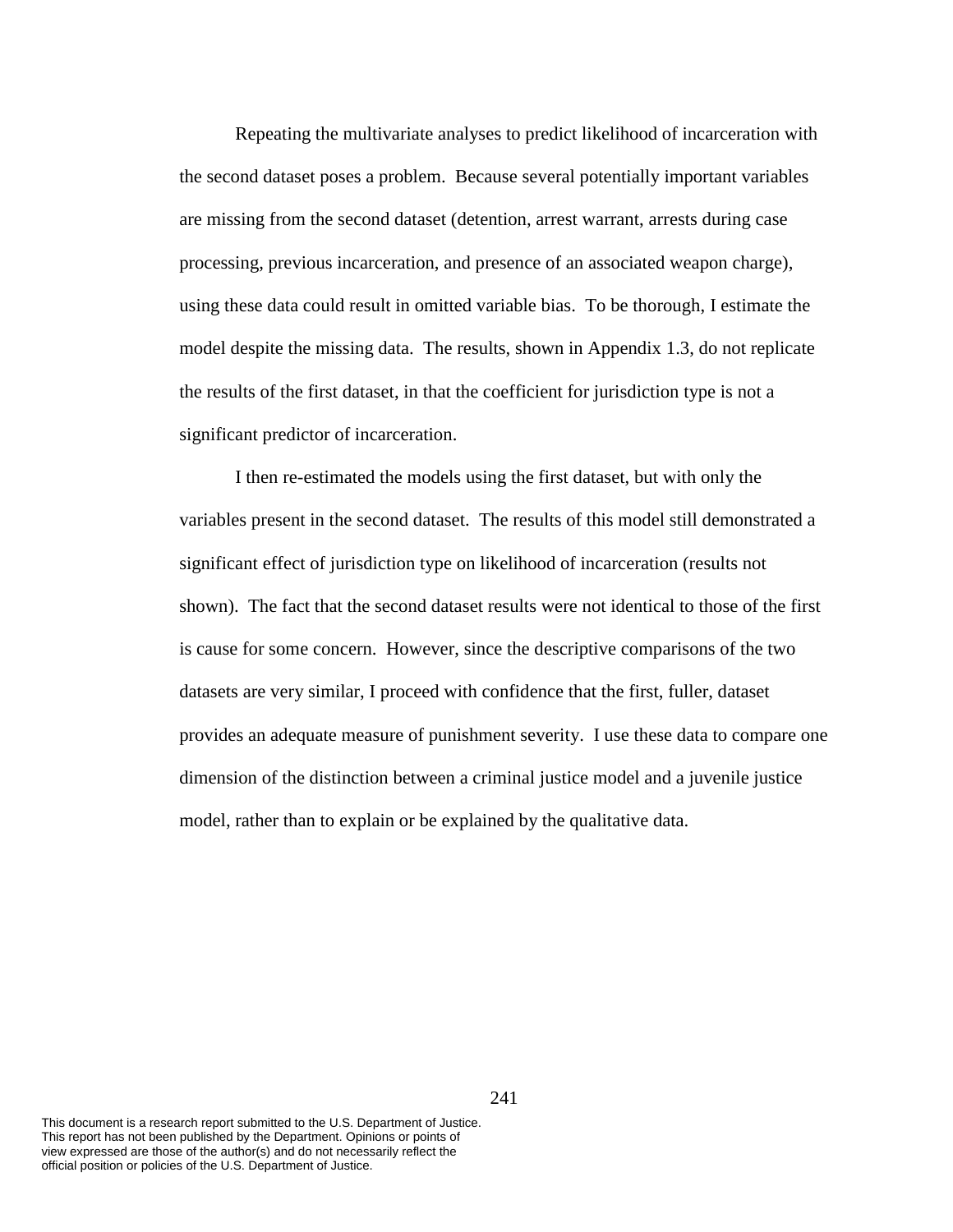Repeating the multivariate analyses to predict likelihood of incarceration with the second dataset poses a problem. Because several potentially important variables are missing from the second dataset (detention, arrest warrant, arrests during case processing, previous incarceration, and presence of an associated weapon charge), using these data could result in omitted variable bias. To be thorough, I estimate the model despite the missing data. The results, shown in Appendix 1.3, do not replicate the results of the first dataset, in that the coefficient for jurisdiction type is not a significant predictor of incarceration.

I then re-estimated the models using the first dataset, but with only the variables present in the second dataset. The results of this model still demonstrated a significant effect of jurisdiction type on likelihood of incarceration (results not shown). The fact that the second dataset results were not identical to those of the first is cause for some concern. However, since the descriptive comparisons of the two datasets are very similar, I proceed with confidence that the first, fuller, dataset provides an adequate measure of punishment severity. I use these data to compare one dimension of the distinction between a criminal justice model and a juvenile justice model, rather than to explain or be explained by the qualitative data.

This document is a research report submitted to the U.S. Department of Justice. This report has not been published by the Department. Opinions or points of view expressed are those of the author(s) and do not necessarily reflect the official position or policies of the U.S. Department of Justice.

241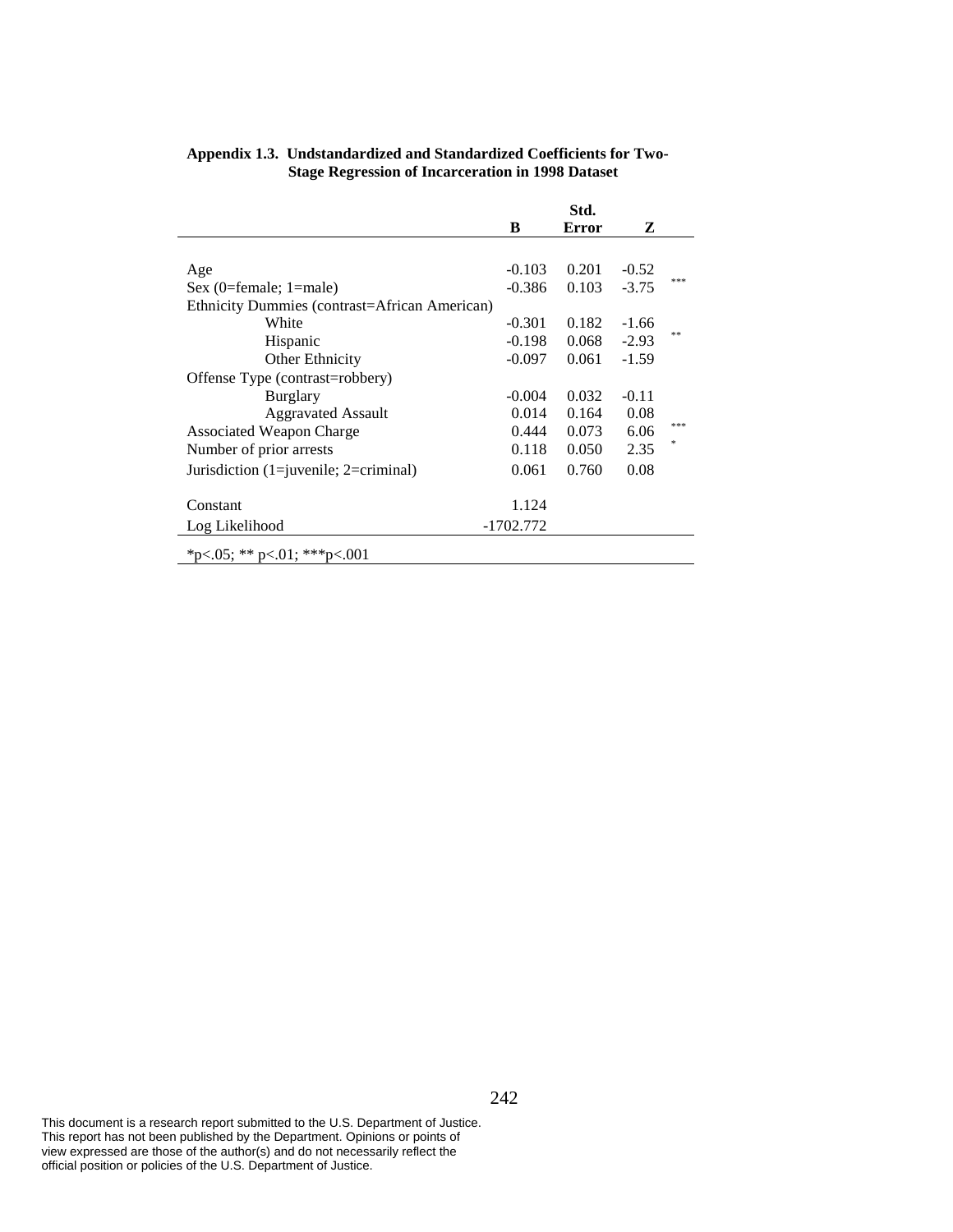|                                               |           | Std.  |         |     |
|-----------------------------------------------|-----------|-------|---------|-----|
|                                               | В         | Error | Z       |     |
|                                               |           |       |         |     |
| Age                                           | $-0.103$  | 0.201 | $-0.52$ |     |
| Sex $(0=female; 1=male)$                      | $-0.386$  | 0.103 | $-3.75$ | *** |
| Ethnicity Dummies (contrast=African American) |           |       |         |     |
| White                                         | $-0.301$  | 0.182 | $-1.66$ |     |
| Hispanic                                      | $-0.198$  | 0.068 | $-2.93$ | **  |
| Other Ethnicity                               | $-0.097$  | 0.061 | $-1.59$ |     |
| Offense Type (contrast=robbery)               |           |       |         |     |
| <b>Burglary</b>                               | $-0.004$  | 0.032 | $-0.11$ |     |
| <b>Aggravated Assault</b>                     | 0.014     | 0.164 | 0.08    |     |
| <b>Associated Weapon Charge</b>               | 0.444     | 0.073 | 6.06    | *** |
| Number of prior arrests                       | 0.118     | 0.050 | 2.35    | *   |
| Jurisdiction (1=juvenile; 2=criminal)         | 0.061     | 0.760 | 0.08    |     |
| Constant                                      | 1.124     |       |         |     |
| Log Likelihood                                | -1702.772 |       |         |     |
| *p<.05; ** p<.01; ***p<.001                   |           |       |         |     |

### **Appendix 1.3. Undstandardized and Standardized Coefficients for Two- Stage Regression of Incarceration in 1998 Dataset**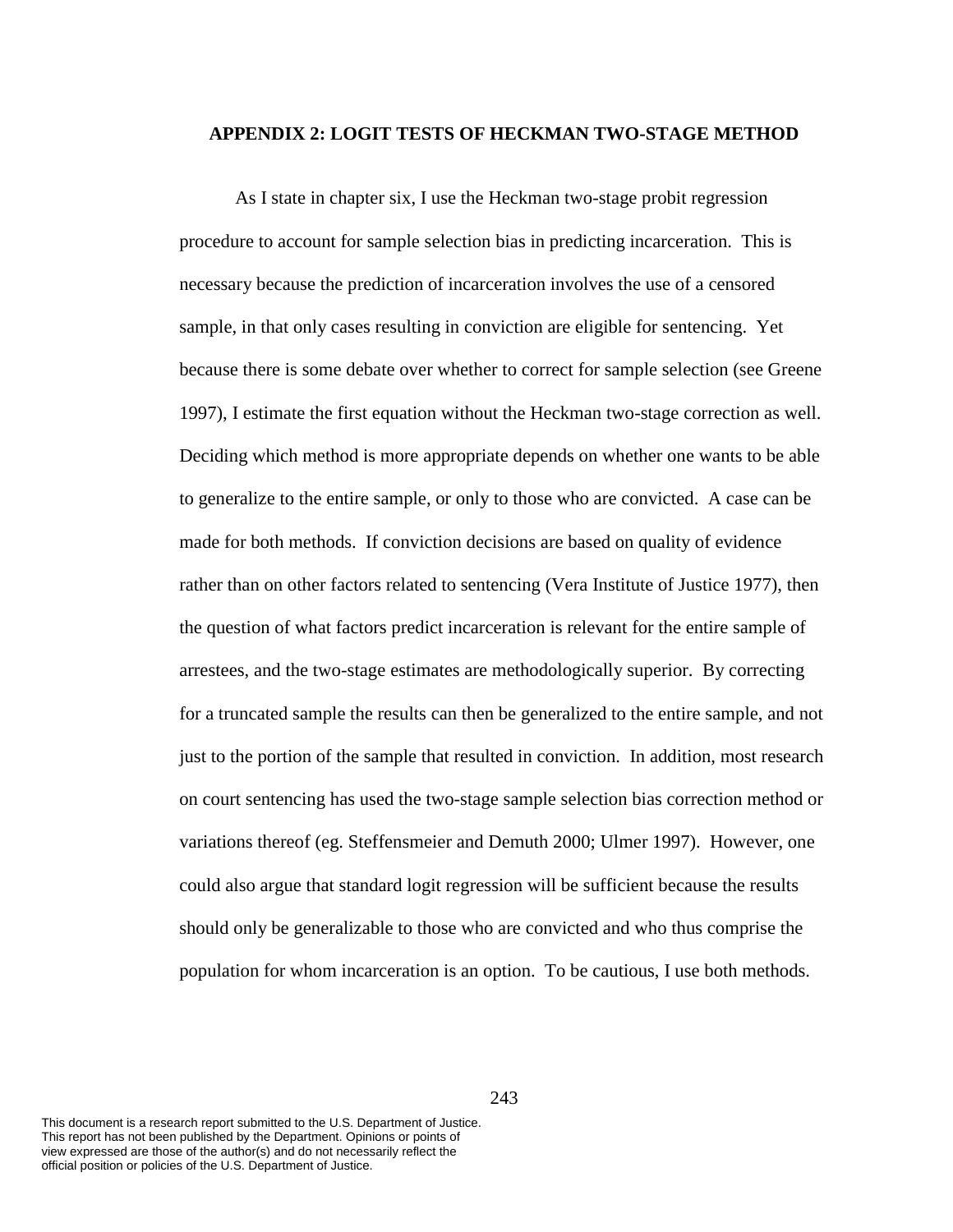### **APPENDIX 2: LOGIT TESTS OF HECKMAN TWO-STAGE METHOD**

As I state in chapter six, I use the Heckman two-stage probit regression procedure to account for sample selection bias in predicting incarceration. This is necessary because the prediction of incarceration involves the use of a censored sample, in that only cases resulting in conviction are eligible for sentencing. Yet because there is some debate over whether to correct for sample selection (see Greene 1997), I estimate the first equation without the Heckman two-stage correction as well. Deciding which method is more appropriate depends on whether one wants to be able to generalize to the entire sample, or only to those who are convicted. A case can be made for both methods. If conviction decisions are based on quality of evidence rather than on other factors related to sentencing (Vera Institute of Justice 1977), then the question of what factors predict incarceration is relevant for the entire sample of arrestees, and the two-stage estimates are methodologically superior. By correcting for a truncated sample the results can then be generalized to the entire sample, and not just to the portion of the sample that resulted in conviction. In addition, most research on court sentencing has used the two-stage sample selection bias correction method or variations thereof (eg. Steffensmeier and Demuth 2000; Ulmer 1997). However, one could also argue that standard logit regression will be sufficient because the results should only be generalizable to those who are convicted and who thus comprise the population for whom incarceration is an option. To be cautious, I use both methods.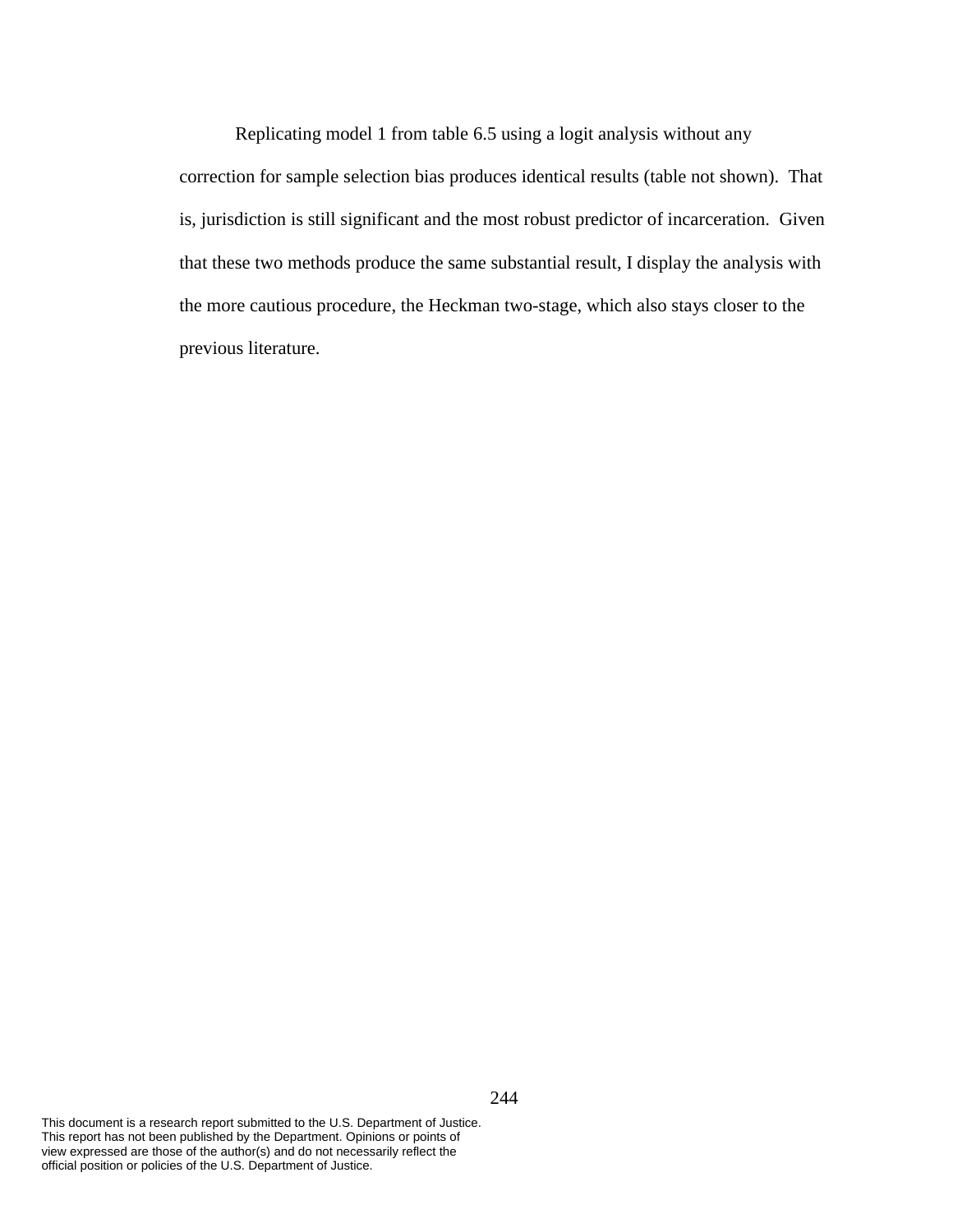Replicating model 1 from table 6.5 using a logit analysis without any correction for sample selection bias produces identical results (table not shown). That is, jurisdiction is still significant and the most robust predictor of incarceration. Given that these two methods produce the same substantial result, I display the analysis with the more cautious procedure, the Heckman two-stage, which also stays closer to the previous literature.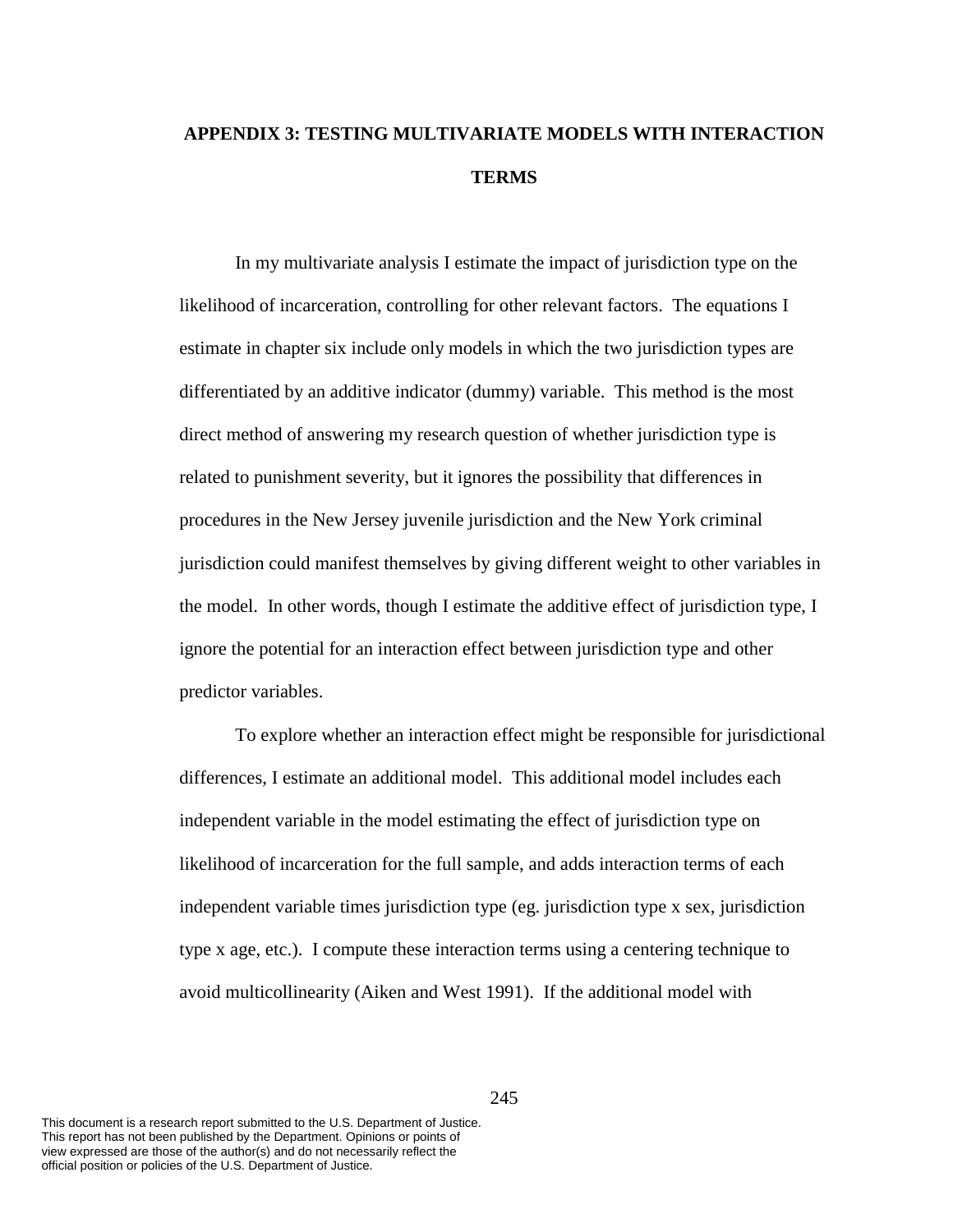# **APPENDIX 3: TESTING MULTIVARIATE MODELS WITH INTERACTION TERMS**

In my multivariate analysis I estimate the impact of jurisdiction type on the likelihood of incarceration, controlling for other relevant factors. The equations I estimate in chapter six include only models in which the two jurisdiction types are differentiated by an additive indicator (dummy) variable. This method is the most direct method of answering my research question of whether jurisdiction type is related to punishment severity, but it ignores the possibility that differences in procedures in the New Jersey juvenile jurisdiction and the New York criminal jurisdiction could manifest themselves by giving different weight to other variables in the model. In other words, though I estimate the additive effect of jurisdiction type, I ignore the potential for an interaction effect between jurisdiction type and other predictor variables.

To explore whether an interaction effect might be responsible for jurisdictional differences, I estimate an additional model. This additional model includes each independent variable in the model estimating the effect of jurisdiction type on likelihood of incarceration for the full sample, and adds interaction terms of each independent variable times jurisdiction type (eg. jurisdiction type x sex, jurisdiction type x age, etc.). I compute these interaction terms using a centering technique to avoid multicollinearity (Aiken and West 1991). If the additional model with

This document is a research report submitted to the U.S. Department of Justice. This report has not been published by the Department. Opinions or points of view expressed are those of the author(s) and do not necessarily reflect the official position or policies of the U.S. Department of Justice.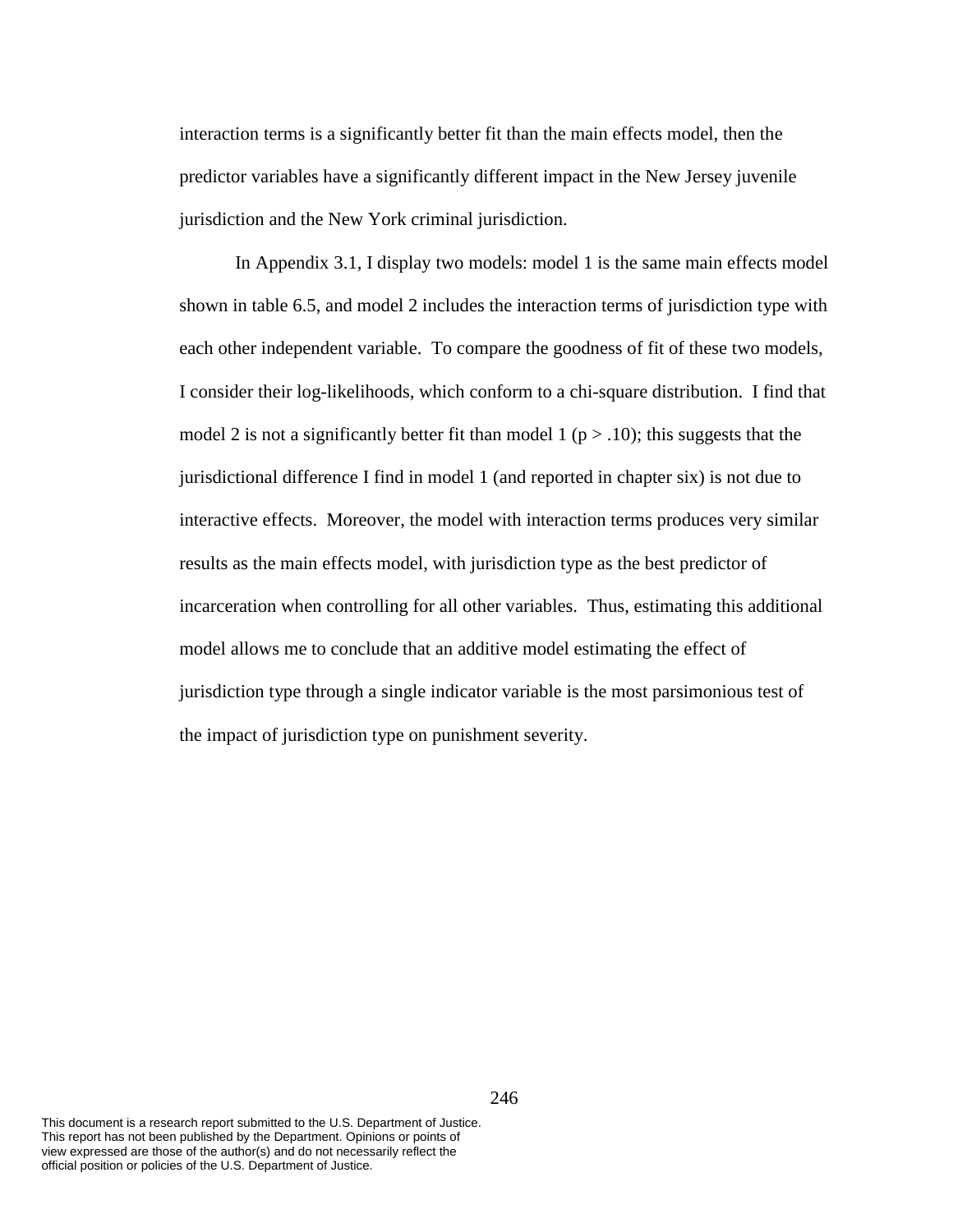interaction terms is a significantly better fit than the main effects model, then the predictor variables have a significantly different impact in the New Jersey juvenile jurisdiction and the New York criminal jurisdiction.

In Appendix 3.1, I display two models: model 1 is the same main effects model shown in table 6.5, and model 2 includes the interaction terms of jurisdiction type with each other independent variable. To compare the goodness of fit of these two models, I consider their log-likelihoods, which conform to a chi-square distribution. I find that model 2 is not a significantly better fit than model 1 ( $p > .10$ ); this suggests that the jurisdictional difference I find in model 1 (and reported in chapter six) is not due to interactive effects. Moreover, the model with interaction terms produces very similar results as the main effects model, with jurisdiction type as the best predictor of incarceration when controlling for all other variables. Thus, estimating this additional model allows me to conclude that an additive model estimating the effect of jurisdiction type through a single indicator variable is the most parsimonious test of the impact of jurisdiction type on punishment severity.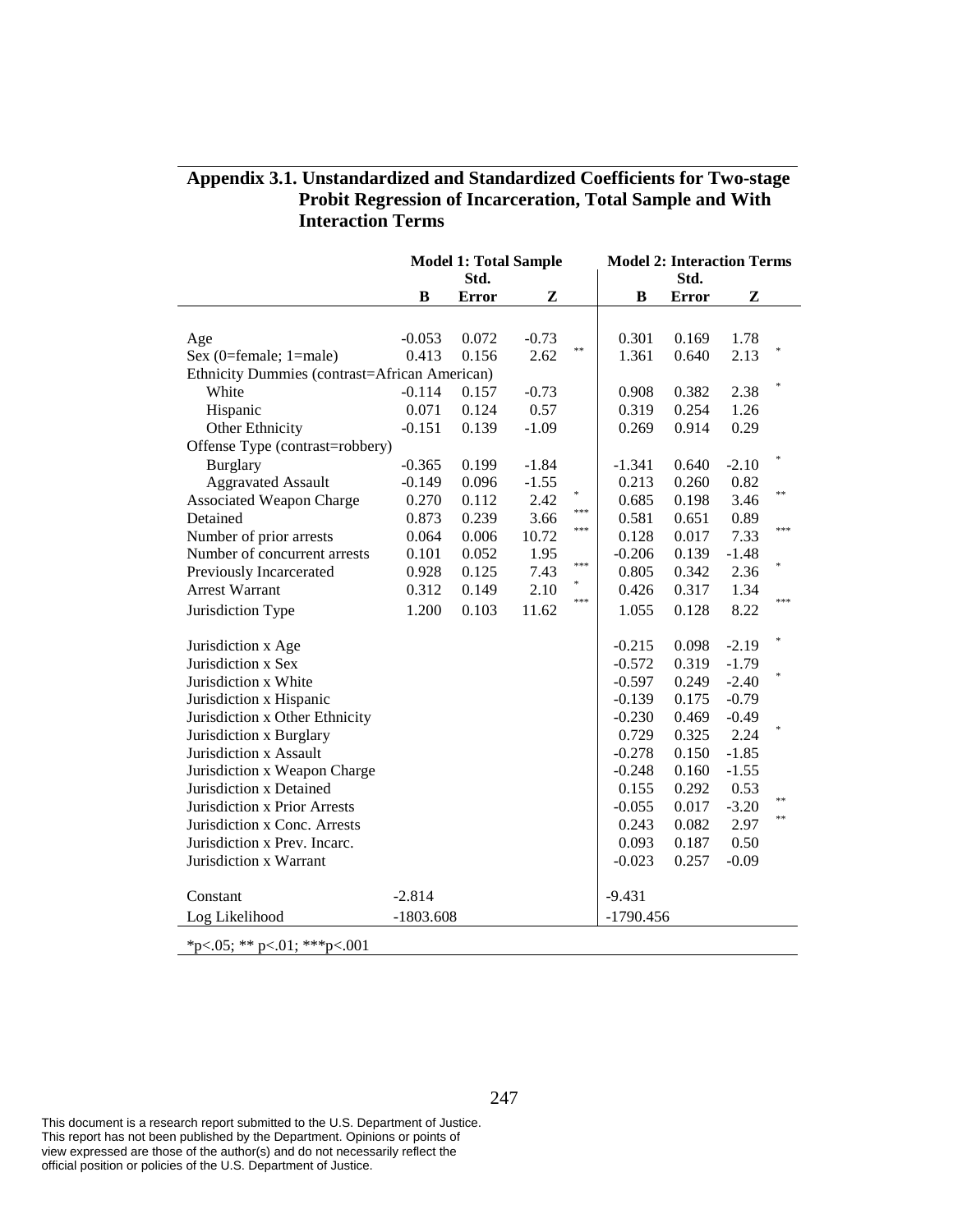|                                               | <b>Model 1: Total Sample</b><br>Std. |       |         |                       | <b>Model 2: Interaction Terms</b><br>Std. |              |         |        |  |
|-----------------------------------------------|--------------------------------------|-------|---------|-----------------------|-------------------------------------------|--------------|---------|--------|--|
|                                               | B                                    | Error | z       |                       | B                                         | <b>Error</b> | z       |        |  |
|                                               |                                      |       |         |                       |                                           |              |         |        |  |
| Age                                           | $-0.053$                             | 0.072 | $-0.73$ |                       | 0.301                                     | 0.169        | 1.78    |        |  |
| Sex $(0=female; 1=male)$                      | 0.413                                | 0.156 | 2.62    | $**$                  | 1.361                                     | 0.640        | 2.13    |        |  |
| Ethnicity Dummies (contrast=African American) |                                      |       |         |                       |                                           |              |         |        |  |
| White                                         | $-0.114$                             | 0.157 | $-0.73$ |                       | 0.908                                     | 0.382        | 2.38    |        |  |
| Hispanic                                      | 0.071                                | 0.124 | 0.57    |                       | 0.319                                     | 0.254        | 1.26    |        |  |
| Other Ethnicity                               | $-0.151$                             | 0.139 | $-1.09$ |                       | 0.269                                     | 0.914        | 0.29    |        |  |
| Offense Type (contrast=robbery)               |                                      |       |         |                       |                                           |              |         |        |  |
| <b>Burglary</b>                               | $-0.365$                             | 0.199 | $-1.84$ |                       | $-1.341$                                  | 0.640        | $-2.10$ |        |  |
| <b>Aggravated Assault</b>                     | $-0.149$                             | 0.096 | $-1.55$ |                       | 0.213                                     | 0.260        | 0.82    |        |  |
| <b>Associated Weapon Charge</b>               | 0.270                                | 0.112 | 2.42    |                       | 0.685                                     | 0.198        | 3.46    | **     |  |
| Detained                                      | 0.873                                | 0.239 | 3.66    | ***                   | 0.581                                     | 0.651        | 0.89    |        |  |
| Number of prior arrests                       | 0.064                                | 0.006 | 10.72   | ***                   | 0.128                                     | 0.017        | 7.33    | ***    |  |
| Number of concurrent arrests                  | 0.101                                | 0.052 | 1.95    |                       | $-0.206$                                  | 0.139        | $-1.48$ | $\ast$ |  |
| Previously Incarcerated                       | 0.928                                | 0.125 | 7.43    | ***<br>$\mathbb{R}^2$ | 0.805                                     | 0.342        | 2.36    |        |  |
| <b>Arrest Warrant</b>                         | 0.312                                | 0.149 | 2.10    | ***                   | 0.426                                     | 0.317        | 1.34    | ***    |  |
| Jurisdiction Type                             | 1.200                                | 0.103 | 11.62   |                       | 1.055                                     | 0.128        | 8.22    |        |  |
| Jurisdiction x Age                            |                                      |       |         |                       | $-0.215$                                  | 0.098        | $-2.19$ |        |  |
| Jurisdiction x Sex                            |                                      |       |         |                       | $-0.572$                                  | 0.319        | $-1.79$ |        |  |
| Jurisdiction x White                          |                                      |       |         |                       | $-0.597$                                  | 0.249        | $-2.40$ |        |  |
| Jurisdiction x Hispanic                       |                                      |       |         |                       | $-0.139$                                  | 0.175        | $-0.79$ |        |  |
| Jurisdiction x Other Ethnicity                |                                      |       |         |                       | $-0.230$                                  | 0.469        | $-0.49$ |        |  |
| Jurisdiction x Burglary                       |                                      |       |         |                       | 0.729                                     | 0.325        | 2.24    |        |  |
| Jurisdiction x Assault                        |                                      |       |         |                       | $-0.278$                                  | 0.150        | $-1.85$ |        |  |
| Jurisdiction x Weapon Charge                  |                                      |       |         |                       | $-0.248$                                  | 0.160        | $-1.55$ |        |  |
| Jurisdiction x Detained                       |                                      |       |         |                       | 0.155                                     | 0.292        | 0.53    | $**$   |  |
| <b>Jurisdiction x Prior Arrests</b>           |                                      |       |         |                       | $-0.055$                                  | 0.017        | $-3.20$ |        |  |
| Jurisdiction x Conc. Arrests                  |                                      |       |         |                       | 0.243                                     | 0.082        | 2.97    | $**$   |  |
| Jurisdiction x Prev. Incarc.                  |                                      |       |         |                       | 0.093                                     | 0.187        | 0.50    |        |  |
| Jurisdiction x Warrant                        |                                      |       |         |                       | $-0.023$                                  | 0.257        | $-0.09$ |        |  |
| Constant                                      | $-2.814$                             |       |         |                       | $-9.431$                                  |              |         |        |  |
| Log Likelihood                                | $-1803.608$                          |       |         |                       | $-1790.456$                               |              |         |        |  |
| *p<.05; ** p<.01; ***p<.001                   |                                      |       |         |                       |                                           |              |         |        |  |

## **Appendix 3.1. Unstandardized and Standardized Coefficients for Two-stage Probit Regression of Incarceration, Total Sample and With Interaction Terms**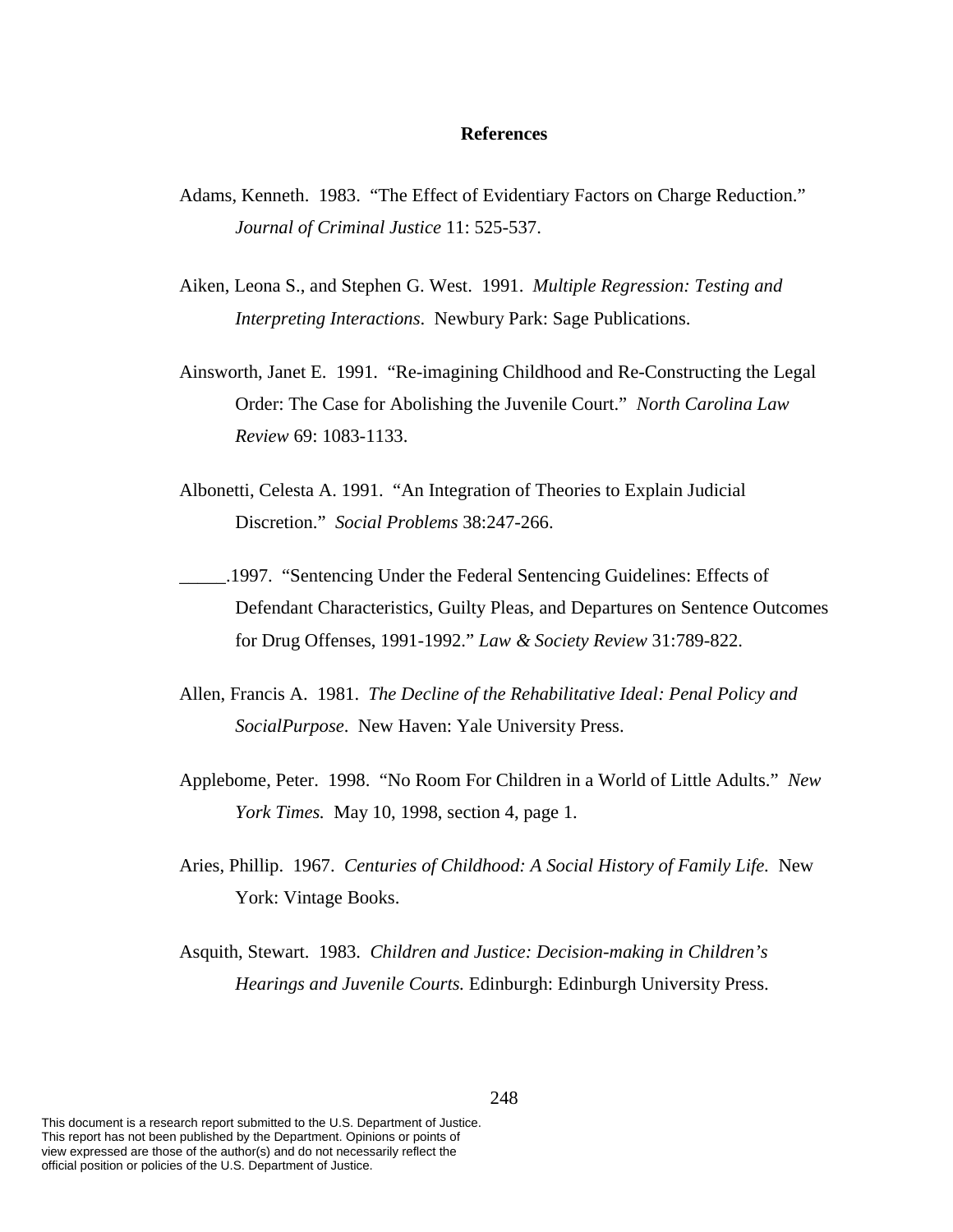### **References**

- Adams, Kenneth. 1983. "The Effect of Evidentiary Factors on Charge Reduction." *Journal of Criminal Justice* 11: 525-537.
- Aiken, Leona S., and Stephen G. West. 1991. *Multiple Regression: Testing and Interpreting Interactions*. Newbury Park: Sage Publications.
- Ainsworth, Janet E. 1991. "Re-imagining Childhood and Re-Constructing the Legal Order: The Case for Abolishing the Juvenile Court." *North Carolina Law Review* 69: 1083-1133.
- Albonetti, Celesta A. 1991. "An Integration of Theories to Explain Judicial Discretion." *Social Problems* 38:247-266.
- \_\_\_\_\_.1997. "Sentencing Under the Federal Sentencing Guidelines: Effects of Defendant Characteristics, Guilty Pleas, and Departures on Sentence Outcomes for Drug Offenses, 1991-1992." *Law & Society Review* 31:789-822.
- Allen, Francis A. 1981. *The Decline of the Rehabilitative Ideal: Penal Policy and SocialPurpose*. New Haven: Yale University Press.
- Applebome, Peter. 1998. "No Room For Children in a World of Little Adults." *New York Times.* May 10, 1998, section 4, page 1.
- Aries, Phillip. 1967. *Centuries of Childhood: A Social History of Family Life.* New York: Vintage Books.
- Asquith, Stewart. 1983. *Children and Justice: Decision-making in Children's Hearings and Juvenile Courts.* Edinburgh: Edinburgh University Press.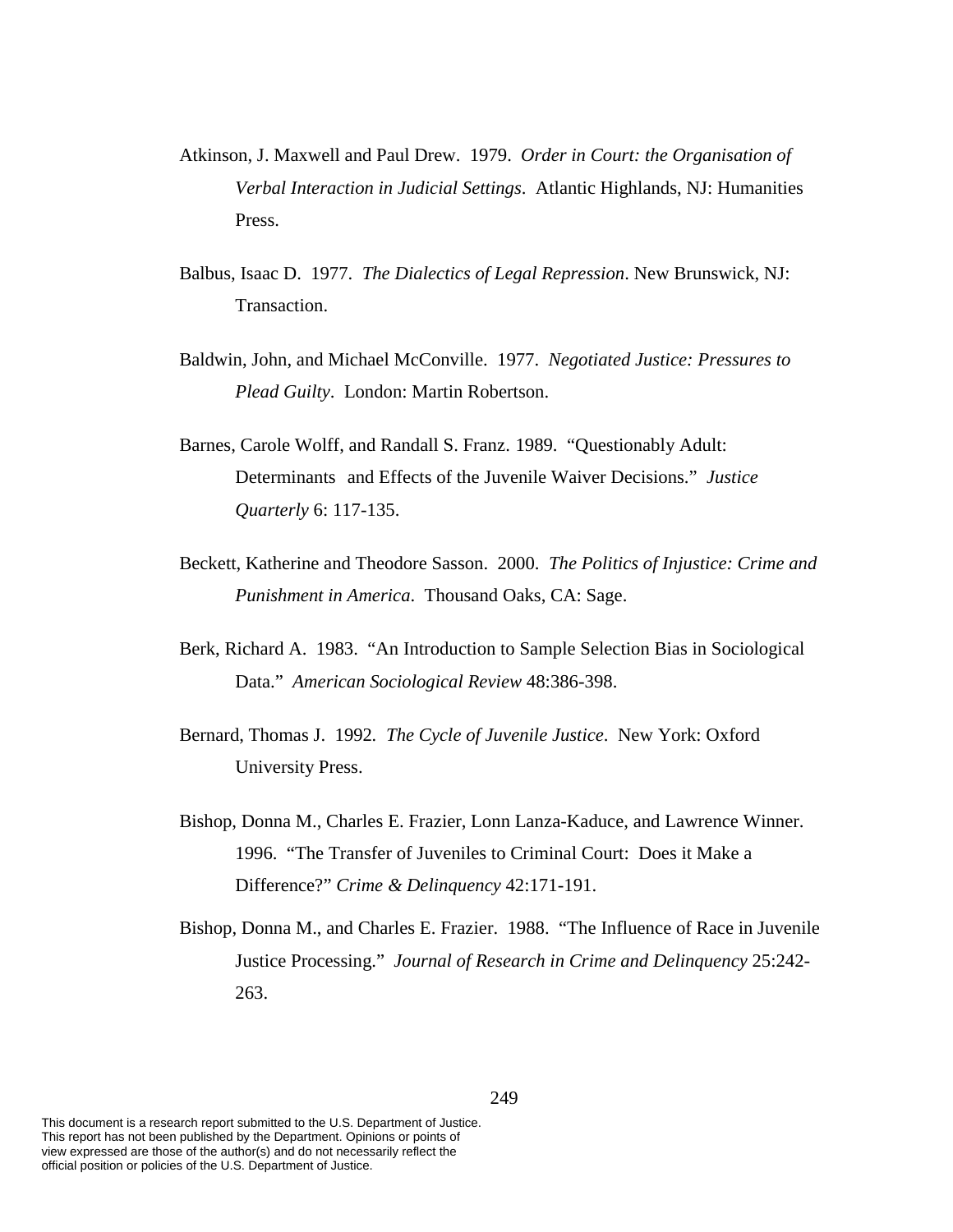- Atkinson, J. Maxwell and Paul Drew. 1979. *Order in Court: the Organisation of Verbal Interaction in Judicial Settings*. Atlantic Highlands, NJ: Humanities Press.
- Balbus, Isaac D. 1977. *The Dialectics of Legal Repression*. New Brunswick, NJ: Transaction.
- Baldwin, John, and Michael McConville. 1977. *Negotiated Justice: Pressures to Plead Guilty*. London: Martin Robertson.
- Barnes, Carole Wolff, and Randall S. Franz. 1989. "Questionably Adult: Determinants and Effects of the Juvenile Waiver Decisions." *Justice Quarterly* 6: 117-135.
- Beckett, Katherine and Theodore Sasson. 2000. *The Politics of Injustice: Crime and Punishment in America*. Thousand Oaks, CA: Sage.
- Berk, Richard A. 1983. "An Introduction to Sample Selection Bias in Sociological Data." *American Sociological Review* 48:386-398.
- Bernard, Thomas J. 1992*. The Cycle of Juvenile Justice*. New York: Oxford University Press.
- Bishop, Donna M., Charles E. Frazier, Lonn Lanza-Kaduce, and Lawrence Winner. 1996. "The Transfer of Juveniles to Criminal Court: Does it Make a Difference?" *Crime & Delinquency* 42:171-191.
- Bishop, Donna M., and Charles E. Frazier. 1988. "The Influence of Race in Juvenile Justice Processing." *Journal of Research in Crime and Delinquency* 25:242- 263.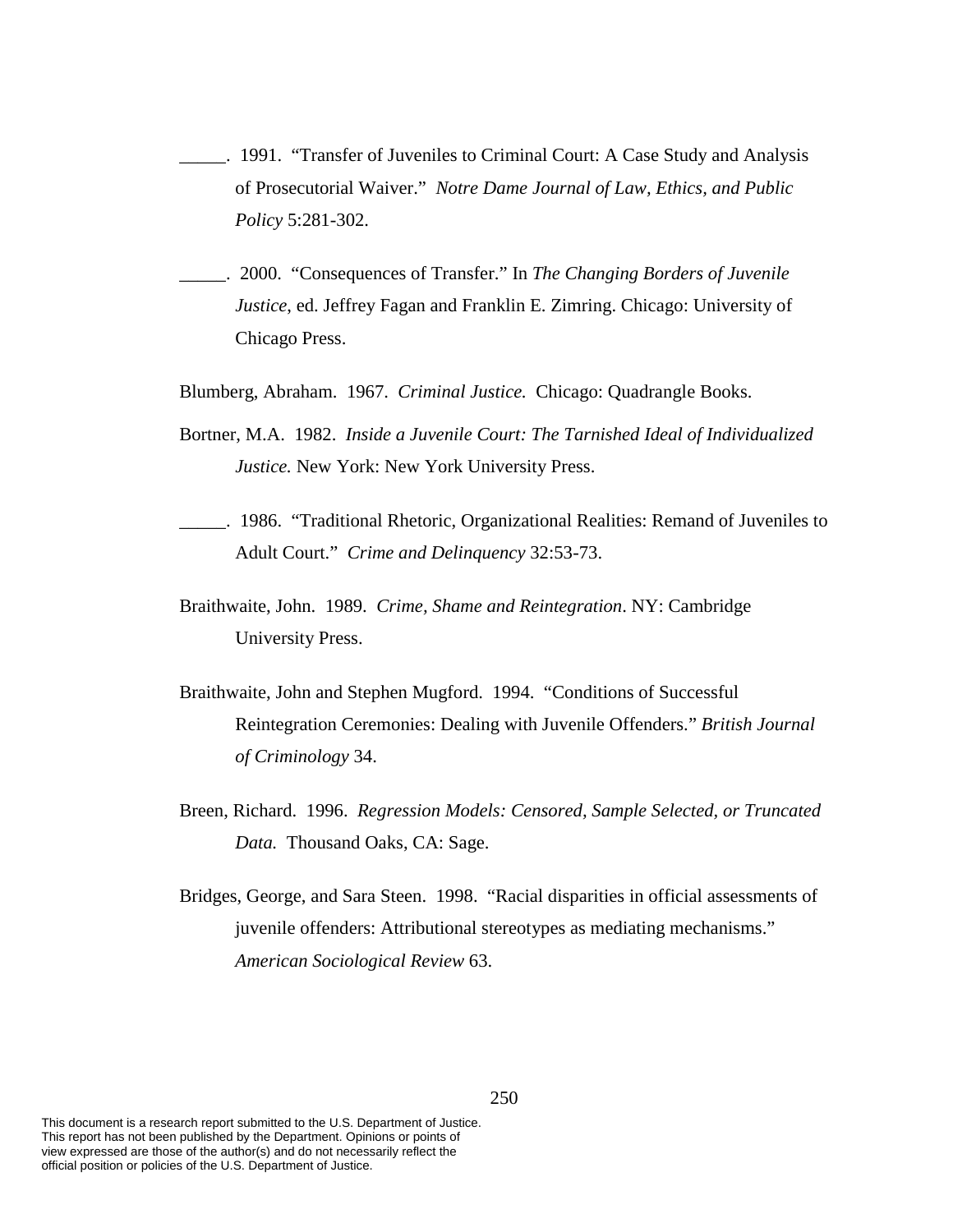- \_\_\_\_\_. 1991. "Transfer of Juveniles to Criminal Court: A Case Study and Analysis of Prosecutorial Waiver." *Notre Dame Journal of Law, Ethics, and Public Policy* 5:281-302.
- \_\_\_\_\_. 2000. "Consequences of Transfer." In *The Changing Borders of Juvenile Justice*, ed. Jeffrey Fagan and Franklin E. Zimring. Chicago: University of Chicago Press.
- Blumberg, Abraham. 1967. *Criminal Justice.* Chicago: Quadrangle Books.
- Bortner, M.A. 1982. *Inside a Juvenile Court: The Tarnished Ideal of Individualized Justice.* New York: New York University Press.
- \_\_\_\_\_. 1986. "Traditional Rhetoric, Organizational Realities: Remand of Juveniles to Adult Court." *Crime and Delinquency* 32:53-73.
- Braithwaite, John. 1989. *Crime, Shame and Reintegration*. NY: Cambridge University Press.
- Braithwaite, John and Stephen Mugford. 1994. "Conditions of Successful Reintegration Ceremonies: Dealing with Juvenile Offenders." *British Journal of Criminology* 34.
- Breen, Richard. 1996. *Regression Models: Censored, Sample Selected, or Truncated Data.* Thousand Oaks, CA: Sage.
- Bridges, George, and Sara Steen. 1998. "Racial disparities in official assessments of juvenile offenders: Attributional stereotypes as mediating mechanisms." *American Sociological Review* 63.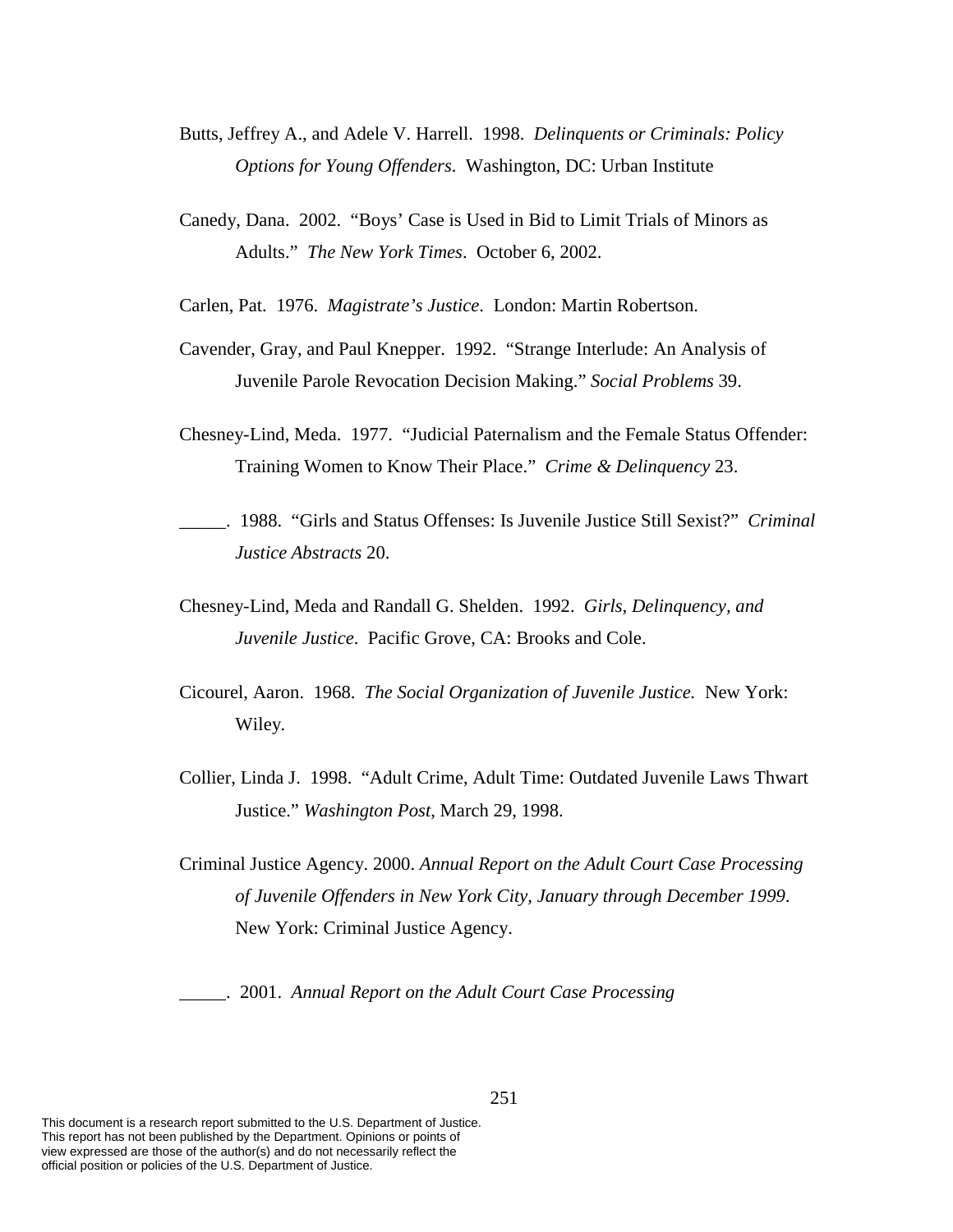- Butts, Jeffrey A., and Adele V. Harrell. 1998. *Delinquents or Criminals: Policy Options for Young Offenders*. Washington, DC: Urban Institute
- Canedy, Dana. 2002. "Boys' Case is Used in Bid to Limit Trials of Minors as Adults." *The New York Times*. October 6, 2002.
- Carlen, Pat. 1976. *Magistrate's Justice*. London: Martin Robertson.
- Cavender, Gray, and Paul Knepper. 1992. "Strange Interlude: An Analysis of Juvenile Parole Revocation Decision Making." *Social Problems* 39.
- Chesney-Lind, Meda. 1977. "Judicial Paternalism and the Female Status Offender: Training Women to Know Their Place." *Crime & Delinquency* 23.
- \_\_\_\_\_. 1988. "Girls and Status Offenses: Is Juvenile Justice Still Sexist?" *Criminal Justice Abstracts* 20.
- Chesney-Lind, Meda and Randall G. Shelden. 1992. *Girls, Delinquency, and Juvenile Justice*. Pacific Grove, CA: Brooks and Cole.
- Cicourel, Aaron. 1968. *The Social Organization of Juvenile Justice.* New York: Wiley.
- Collier, Linda J. 1998. "Adult Crime, Adult Time: Outdated Juvenile Laws Thwart Justice." *Washington Post*, March 29, 1998.
- Criminal Justice Agency. 2000. *Annual Report on the Adult Court Case Processing of Juvenile Offenders in New York City, January through December 1999*. New York: Criminal Justice Agency.

\_\_\_\_\_. 2001. *Annual Report on the Adult Court Case Processing*

This document is a research report submitted to the U.S. Department of Justice. This report has not been published by the Department. Opinions or points of view expressed are those of the author(s) and do not necessarily reflect the official position or policies of the U.S. Department of Justice.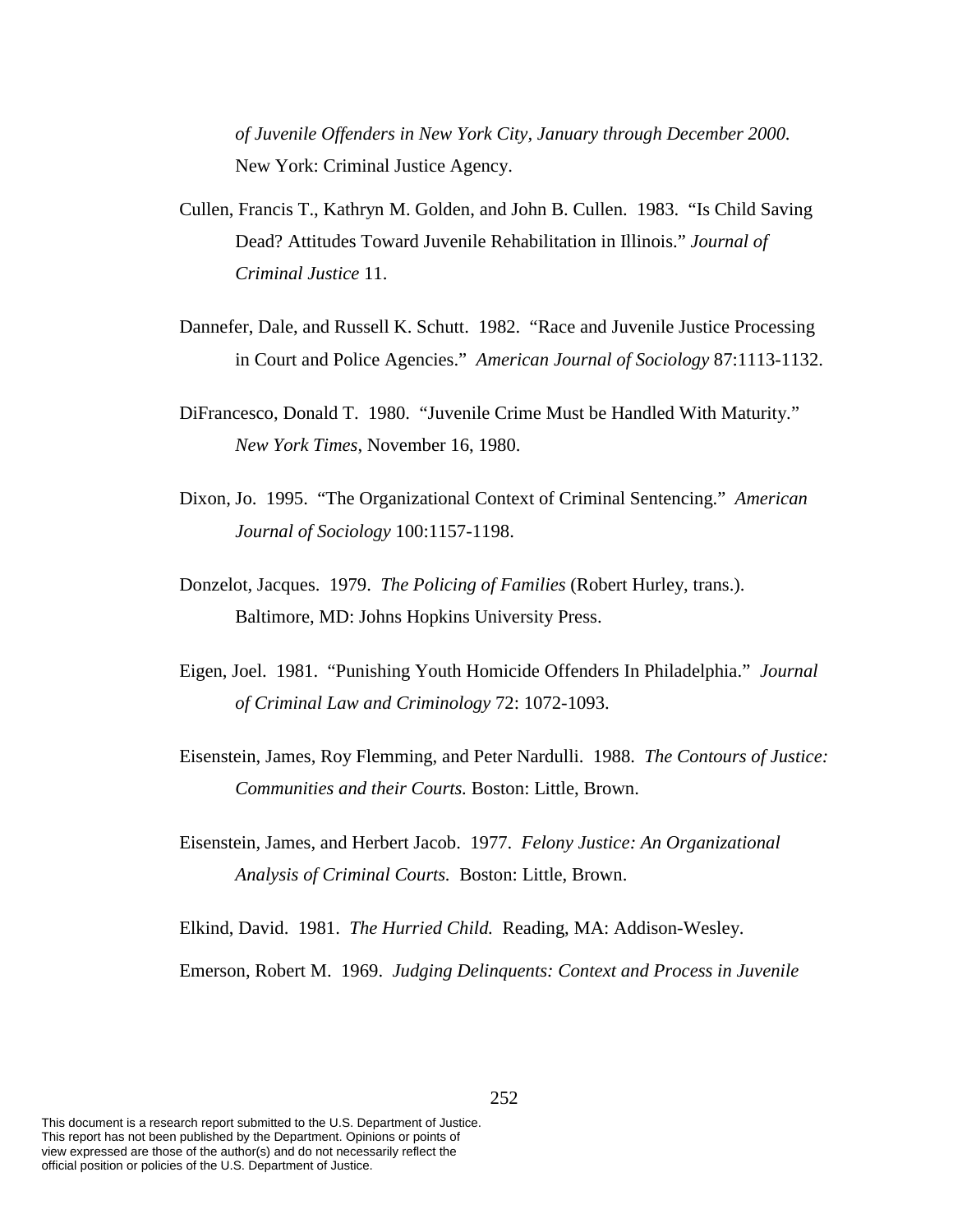*of Juvenile Offenders in New York City, January through December 2000*. New York: Criminal Justice Agency.

- Cullen, Francis T., Kathryn M. Golden, and John B. Cullen. 1983. "Is Child Saving Dead? Attitudes Toward Juvenile Rehabilitation in Illinois." *Journal of Criminal Justice* 11.
- Dannefer, Dale, and Russell K. Schutt. 1982. "Race and Juvenile Justice Processing in Court and Police Agencies." *American Journal of Sociology* 87:1113-1132.
- DiFrancesco, Donald T. 1980. "Juvenile Crime Must be Handled With Maturity." *New York Times*, November 16, 1980.
- Dixon, Jo. 1995. "The Organizational Context of Criminal Sentencing." *American Journal of Sociology* 100:1157-1198.
- Donzelot, Jacques. 1979. *The Policing of Families* (Robert Hurley, trans.). Baltimore, MD: Johns Hopkins University Press.
- Eigen, Joel. 1981. "Punishing Youth Homicide Offenders In Philadelphia." *Journal of Criminal Law and Criminology* 72: 1072-1093.
- Eisenstein, James, Roy Flemming, and Peter Nardulli. 1988. *The Contours of Justice: Communities and their Courts.* Boston: Little, Brown.
- Eisenstein, James, and Herbert Jacob. 1977. *Felony Justice: An Organizational Analysis of Criminal Courts.* Boston: Little, Brown.
- Elkind, David. 1981. *The Hurried Child.* Reading, MA: Addison-Wesley.

Emerson, Robert M. 1969. *Judging Delinquents: Context and Process in Juvenile* 

This document is a research report submitted to the U.S. Department of Justice. This report has not been published by the Department. Opinions or points of view expressed are those of the author(s) and do not necessarily reflect the official position or policies of the U.S. Department of Justice.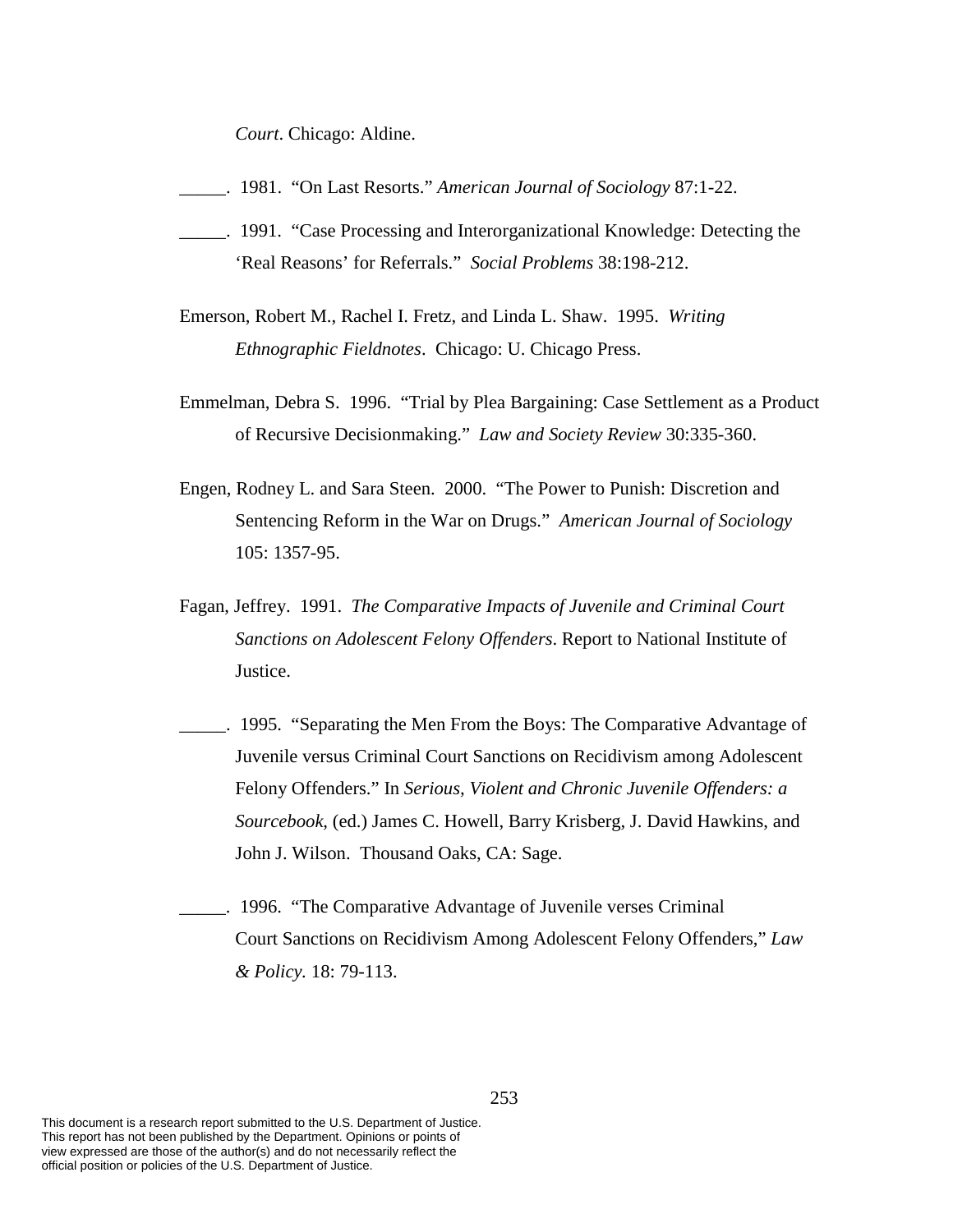*Court*. Chicago: Aldine.

- \_\_\_\_\_. 1981. "On Last Resorts." *American Journal of Sociology* 87:1-22.
- \_\_\_\_\_. 1991. "Case Processing and Interorganizational Knowledge: Detecting the 'Real Reasons' for Referrals." *Social Problems* 38:198-212.
- Emerson, Robert M., Rachel I. Fretz, and Linda L. Shaw. 1995. *Writing Ethnographic Fieldnotes*. Chicago: U. Chicago Press.
- Emmelman, Debra S. 1996. "Trial by Plea Bargaining: Case Settlement as a Product of Recursive Decisionmaking." *Law and Society Review* 30:335-360.
- Engen, Rodney L. and Sara Steen. 2000. "The Power to Punish: Discretion and Sentencing Reform in the War on Drugs." *American Journal of Sociology* 105: 1357-95.
- Fagan, Jeffrey. 1991. *The Comparative Impacts of Juvenile and Criminal Court Sanctions on Adolescent Felony Offenders*. Report to National Institute of Justice.
	- \_\_\_\_\_. 1995. "Separating the Men From the Boys: The Comparative Advantage of Juvenile versus Criminal Court Sanctions on Recidivism among Adolescent Felony Offenders." In *Serious, Violent and Chronic Juvenile Offenders: a Sourcebook*, (ed.) James C. Howell, Barry Krisberg, J. David Hawkins, and John J. Wilson. Thousand Oaks, CA: Sage.
	- \_\_\_\_\_. 1996. "The Comparative Advantage of Juvenile verses Criminal Court Sanctions on Recidivism Among Adolescent Felony Offenders," *Law & Policy.* 18: 79-113.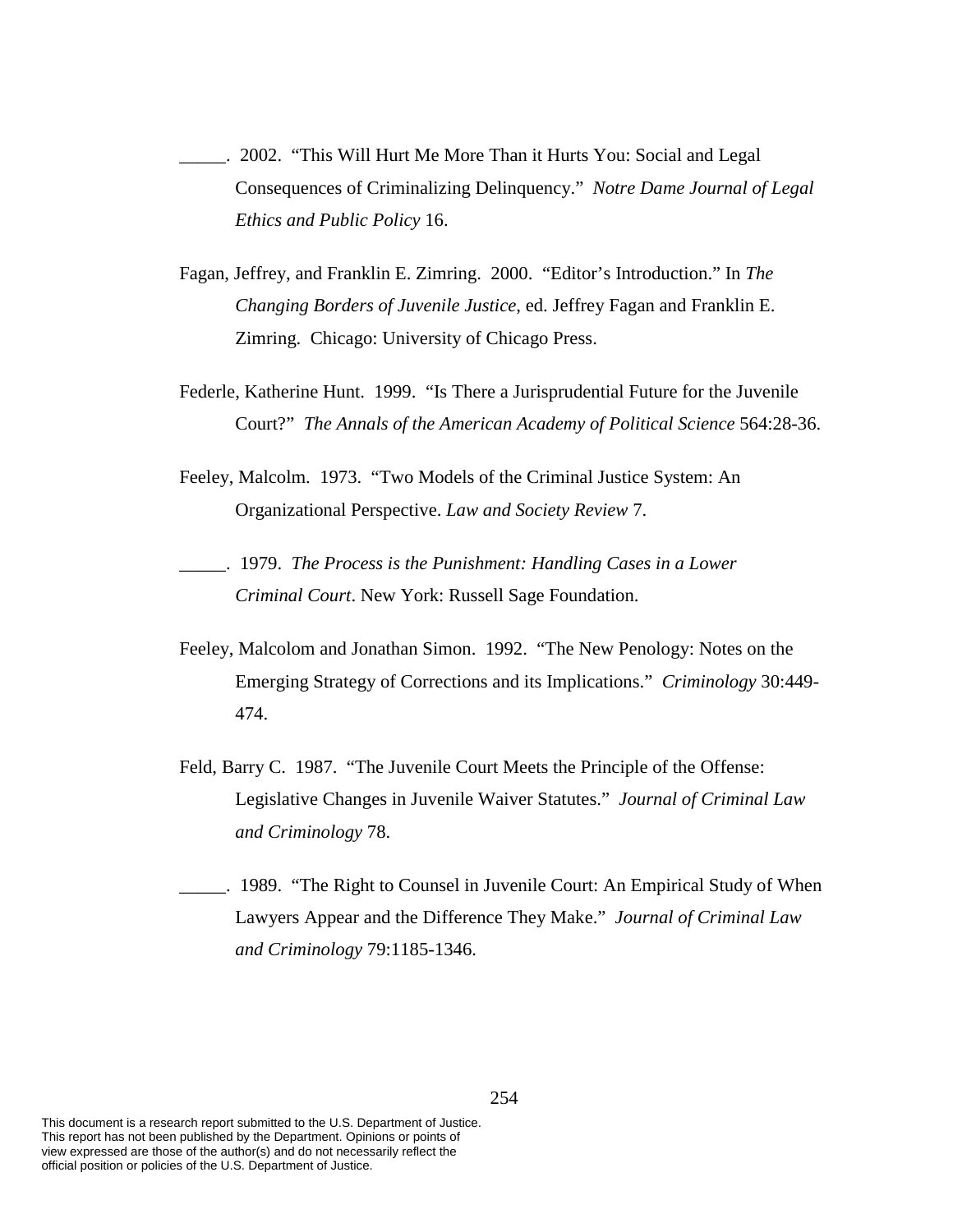- \_\_\_\_\_. 2002. "This Will Hurt Me More Than it Hurts You: Social and Legal Consequences of Criminalizing Delinquency." *Notre Dame Journal of Legal Ethics and Public Policy* 16.
- Fagan, Jeffrey, and Franklin E. Zimring. 2000. "Editor's Introduction." In *The Changing Borders of Juvenile Justice*, ed. Jeffrey Fagan and Franklin E. Zimring. Chicago: University of Chicago Press.
- Federle, Katherine Hunt. 1999. "Is There a Jurisprudential Future for the Juvenile Court?" *The Annals of the American Academy of Political Science* 564:28-36.
- Feeley, Malcolm. 1973. "Two Models of the Criminal Justice System: An Organizational Perspective. *Law and Society Review* 7.
- \_\_\_\_\_. 1979. *The Process is the Punishment: Handling Cases in a Lower Criminal Court*. New York: Russell Sage Foundation.
- Feeley, Malcolom and Jonathan Simon. 1992. "The New Penology: Notes on the Emerging Strategy of Corrections and its Implications." *Criminology* 30:449- 474.
- Feld, Barry C. 1987. "The Juvenile Court Meets the Principle of the Offense: Legislative Changes in Juvenile Waiver Statutes." *Journal of Criminal Law and Criminology* 78.
	- 1989. "The Right to Counsel in Juvenile Court: An Empirical Study of When Lawyers Appear and the Difference They Make." *Journal of Criminal Law and Criminology* 79:1185-1346.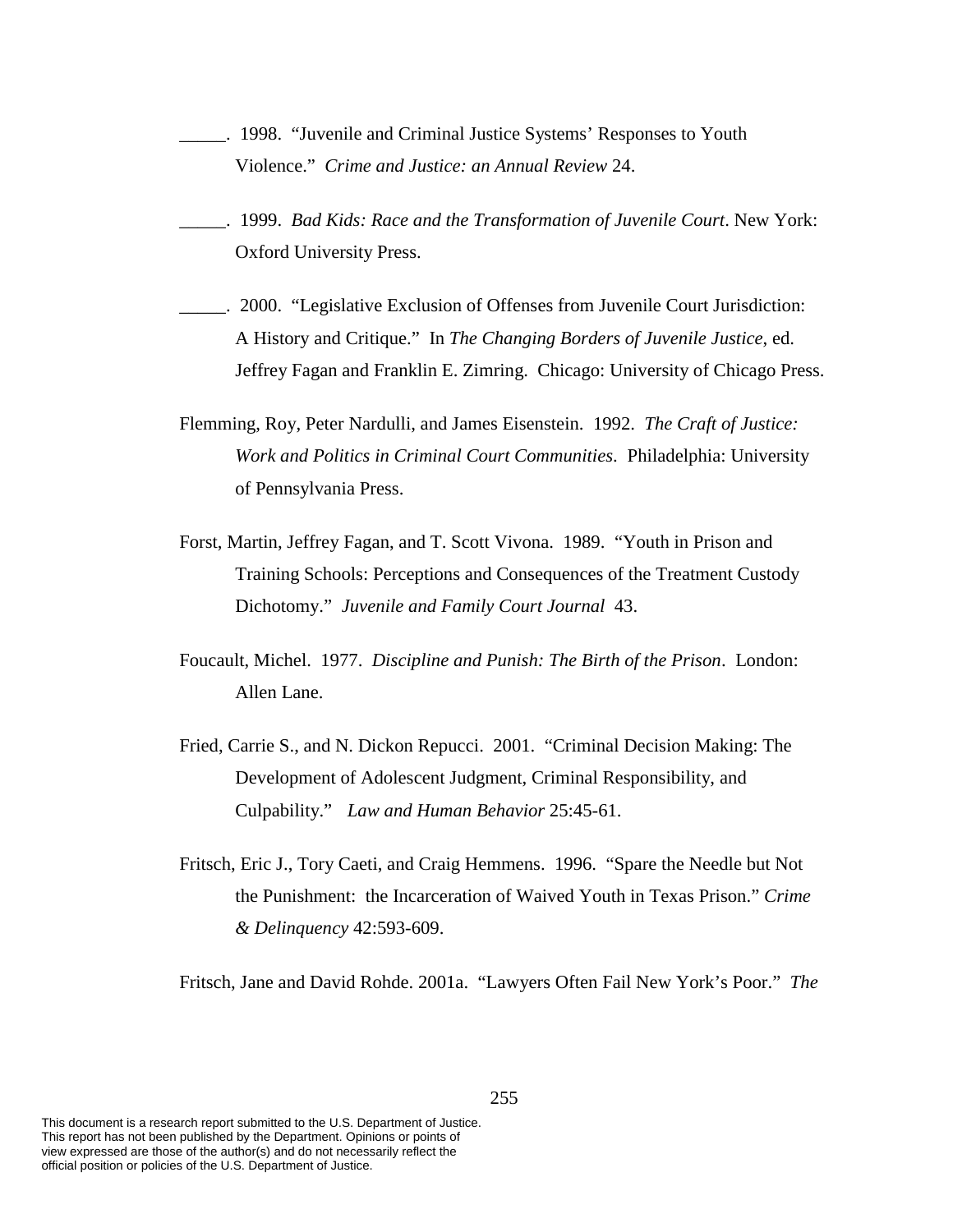- \_\_\_\_\_. 1998. "Juvenile and Criminal Justice Systems' Responses to Youth Violence." *Crime and Justice: an Annual Review* 24.
- \_\_\_\_\_. 1999. *Bad Kids: Race and the Transformation of Juvenile Court*. New York: Oxford University Press.
- \_\_\_\_\_. 2000. "Legislative Exclusion of Offenses from Juvenile Court Jurisdiction: A History and Critique." In *The Changing Borders of Juvenile Justice*, ed. Jeffrey Fagan and Franklin E. Zimring. Chicago: University of Chicago Press.
- Flemming, Roy, Peter Nardulli, and James Eisenstein. 1992. *The Craft of Justice: Work and Politics in Criminal Court Communities*. Philadelphia: University of Pennsylvania Press.
- Forst, Martin, Jeffrey Fagan, and T. Scott Vivona. 1989. "Youth in Prison and Training Schools: Perceptions and Consequences of the Treatment Custody Dichotomy." *Juvenile and Family Court Journal* 43.
- Foucault, Michel. 1977. *Discipline and Punish: The Birth of the Prison*. London: Allen Lane.
- Fried, Carrie S., and N. Dickon Repucci. 2001. "Criminal Decision Making: The Development of Adolescent Judgment, Criminal Responsibility, and Culpability." *Law and Human Behavior* 25:45-61.
- Fritsch, Eric J., Tory Caeti, and Craig Hemmens. 1996. "Spare the Needle but Not the Punishment: the Incarceration of Waived Youth in Texas Prison." *Crime & Delinquency* 42:593-609.

Fritsch, Jane and David Rohde. 2001a. "Lawyers Often Fail New York's Poor." *The*

This document is a research report submitted to the U.S. Department of Justice. This report has not been published by the Department. Opinions or points of view expressed are those of the author(s) and do not necessarily reflect the official position or policies of the U.S. Department of Justice.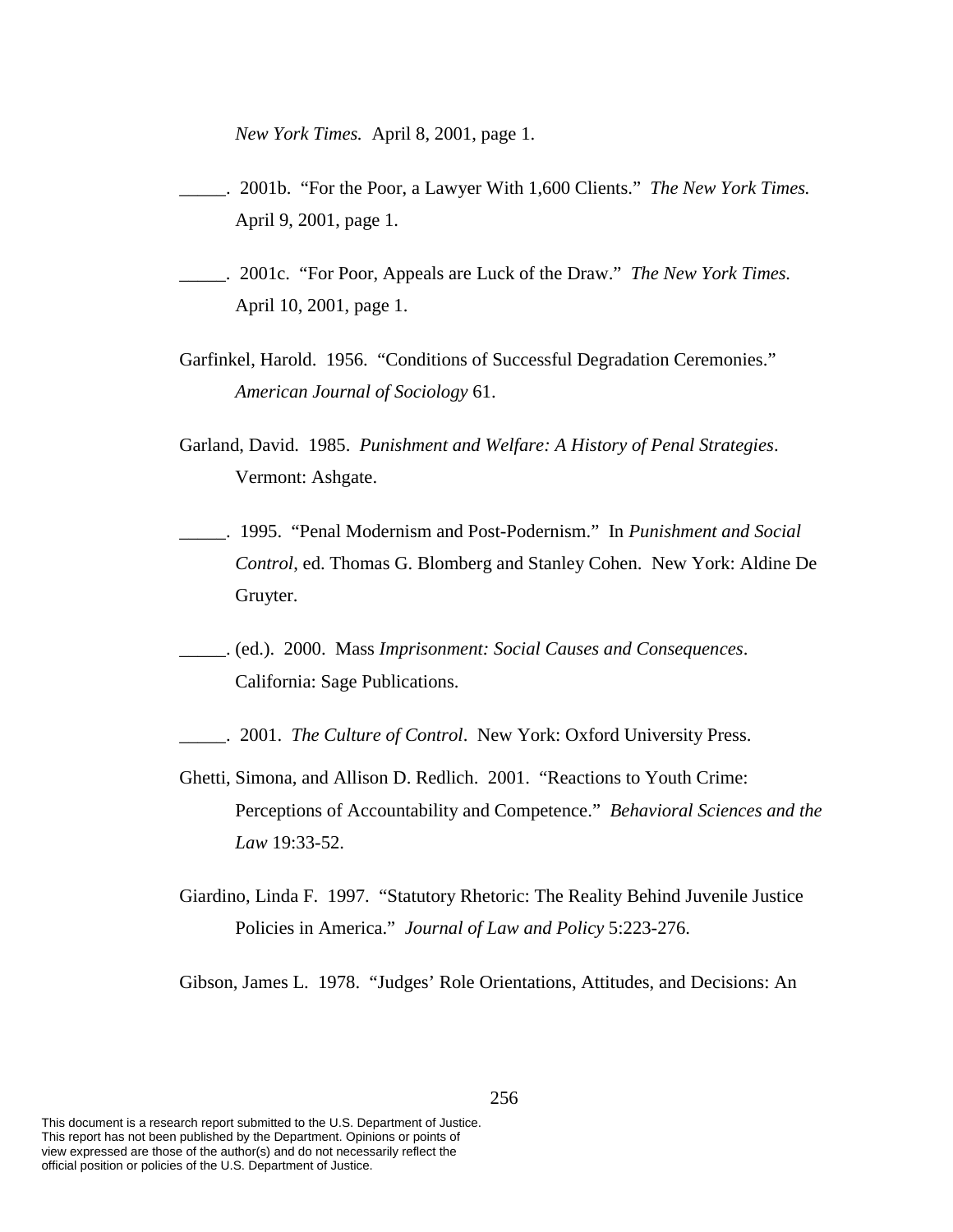*New York Times.* April 8, 2001, page 1.

- \_\_\_\_\_. 2001b. "For the Poor, a Lawyer With 1,600 Clients." *The New York Times.* April 9, 2001, page 1.
- \_\_\_\_\_. 2001c. "For Poor, Appeals are Luck of the Draw." *The New York Times.* April 10, 2001, page 1.
- Garfinkel, Harold. 1956. "Conditions of Successful Degradation Ceremonies." *American Journal of Sociology* 61.
- Garland, David. 1985. *Punishment and Welfare: A History of Penal Strategies*. Vermont: Ashgate.
- \_\_\_\_\_. 1995. "Penal Modernism and Post-Podernism." In *Punishment and Social Control*, ed. Thomas G. Blomberg and Stanley Cohen. New York: Aldine De Gruyter.
- \_\_\_\_\_. (ed.). 2000. Mass *Imprisonment: Social Causes and Consequences*. California: Sage Publications.
- \_\_\_\_\_. 2001. *The Culture of Control*. New York: Oxford University Press.
- Ghetti, Simona, and Allison D. Redlich. 2001. "Reactions to Youth Crime: Perceptions of Accountability and Competence." *Behavioral Sciences and the Law* 19:33-52.
- Giardino, Linda F. 1997. "Statutory Rhetoric: The Reality Behind Juvenile Justice Policies in America." *Journal of Law and Policy* 5:223-276.

Gibson, James L. 1978. "Judges' Role Orientations, Attitudes, and Decisions: An

This document is a research report submitted to the U.S. Department of Justice. This report has not been published by the Department. Opinions or points of view expressed are those of the author(s) and do not necessarily reflect the official position or policies of the U.S. Department of Justice.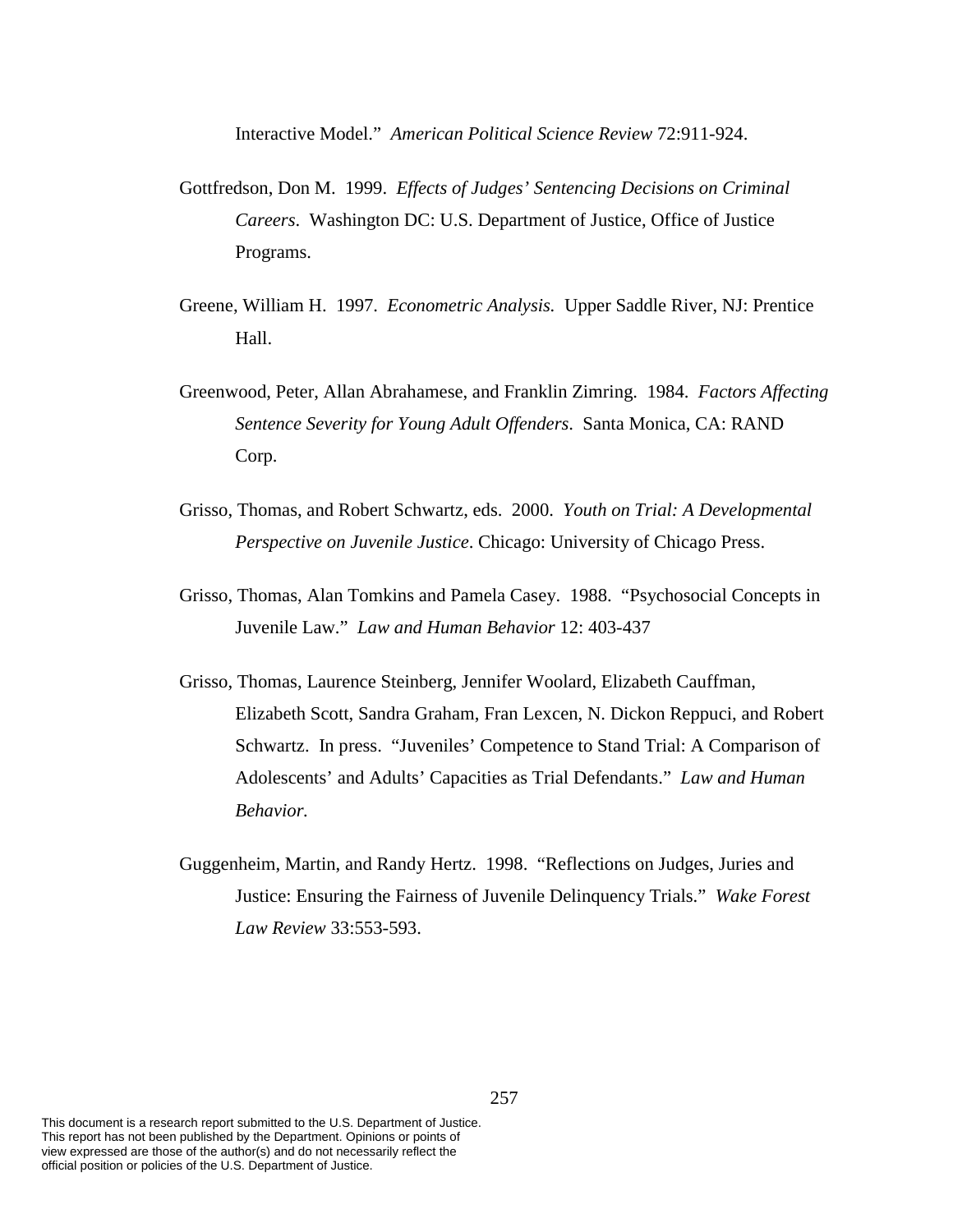Interactive Model." *American Political Science Review* 72:911-924.

- Gottfredson, Don M. 1999. *Effects of Judges' Sentencing Decisions on Criminal Careers*. Washington DC: U.S. Department of Justice, Office of Justice Programs.
- Greene, William H. 1997. *Econometric Analysis.* Upper Saddle River, NJ: Prentice Hall.
- Greenwood, Peter, Allan Abrahamese, and Franklin Zimring. 1984. *Factors Affecting Sentence Severity for Young Adult Offenders*. Santa Monica, CA: RAND Corp.
- Grisso, Thomas, and Robert Schwartz, eds. 2000. *Youth on Trial: A Developmental Perspective on Juvenile Justice*. Chicago: University of Chicago Press.
- Grisso, Thomas, Alan Tomkins and Pamela Casey. 1988. "Psychosocial Concepts in Juvenile Law." *Law and Human Behavior* 12: 403-437
- Grisso, Thomas, Laurence Steinberg, Jennifer Woolard, Elizabeth Cauffman, Elizabeth Scott, Sandra Graham, Fran Lexcen, N. Dickon Reppuci, and Robert Schwartz. In press. "Juveniles' Competence to Stand Trial: A Comparison of Adolescents' and Adults' Capacities as Trial Defendants." *Law and Human Behavior.*
- Guggenheim, Martin, and Randy Hertz. 1998. "Reflections on Judges, Juries and Justice: Ensuring the Fairness of Juvenile Delinquency Trials." *Wake Forest Law Review* 33:553-593.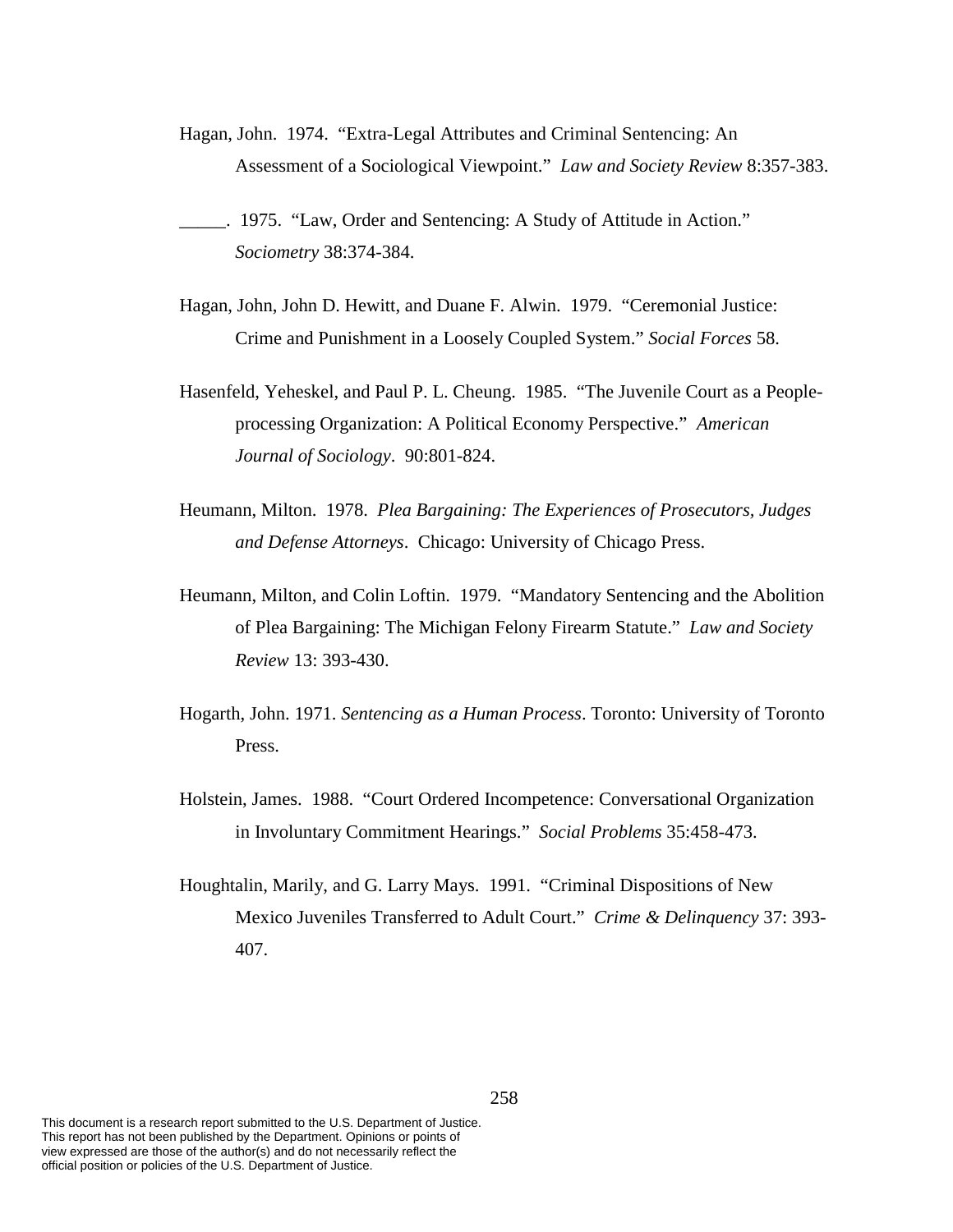- Hagan, John. 1974. "Extra-Legal Attributes and Criminal Sentencing: An Assessment of a Sociological Viewpoint." *Law and Society Review* 8:357-383.
- \_\_\_\_\_. 1975. "Law, Order and Sentencing: A Study of Attitude in Action." *Sociometry* 38:374-384.
- Hagan, John, John D. Hewitt, and Duane F. Alwin. 1979. "Ceremonial Justice: Crime and Punishment in a Loosely Coupled System." *Social Forces* 58.
- Hasenfeld, Yeheskel, and Paul P. L. Cheung. 1985. "The Juvenile Court as a Peopleprocessing Organization: A Political Economy Perspective." *American Journal of Sociology*. 90:801-824.
- Heumann, Milton. 1978. *Plea Bargaining: The Experiences of Prosecutors, Judges and Defense Attorneys*. Chicago: University of Chicago Press.
- Heumann, Milton, and Colin Loftin. 1979. "Mandatory Sentencing and the Abolition of Plea Bargaining: The Michigan Felony Firearm Statute." *Law and Society Review* 13: 393-430.
- Hogarth, John. 1971. *Sentencing as a Human Process*. Toronto: University of Toronto Press.
- Holstein, James. 1988. "Court Ordered Incompetence: Conversational Organization in Involuntary Commitment Hearings." *Social Problems* 35:458-473.
- Houghtalin, Marily, and G. Larry Mays. 1991. "Criminal Dispositions of New Mexico Juveniles Transferred to Adult Court." *Crime & Delinquency* 37: 393- 407.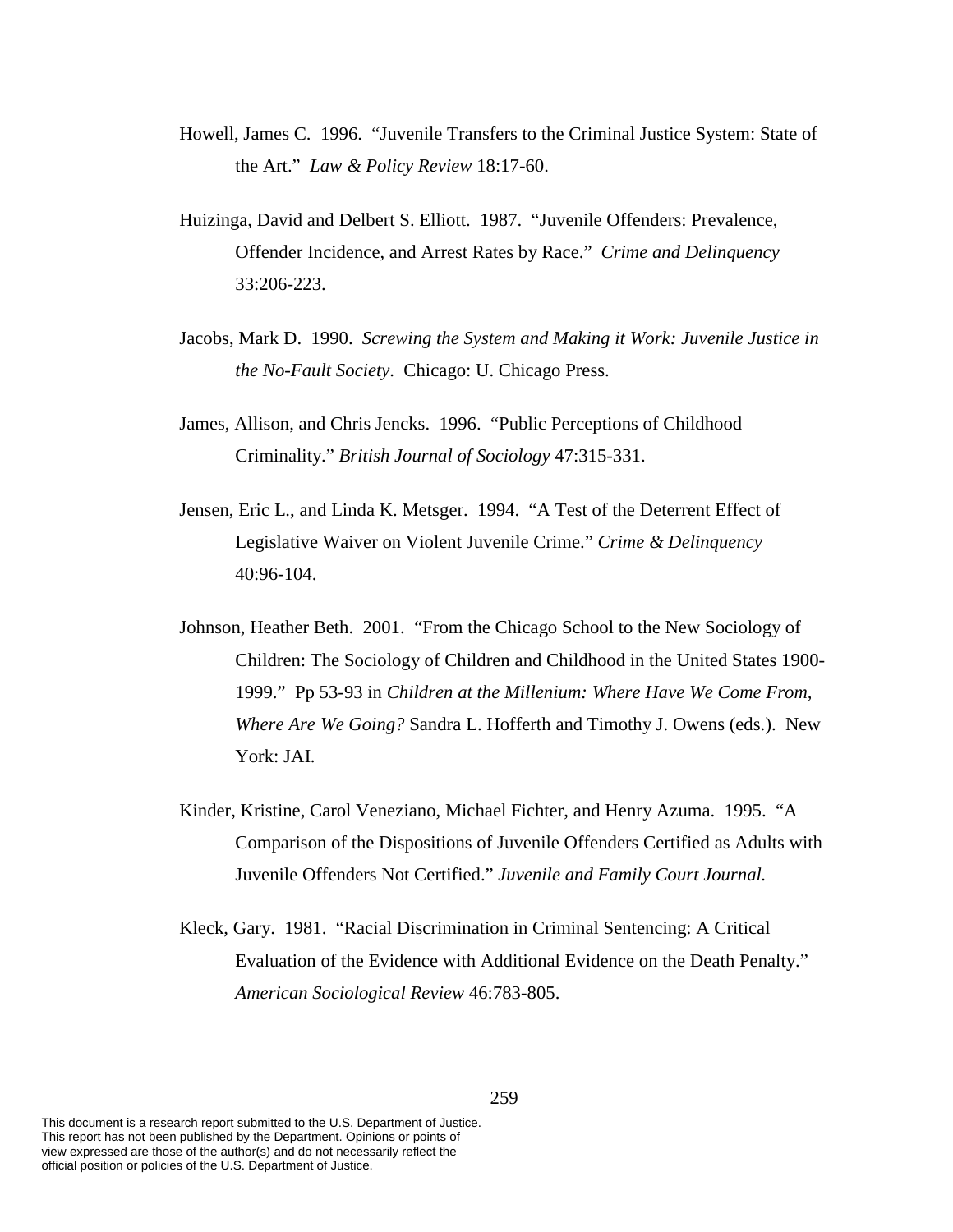- Howell, James C. 1996. "Juvenile Transfers to the Criminal Justice System: State of the Art." *Law & Policy Review* 18:17-60.
- Huizinga, David and Delbert S. Elliott. 1987. "Juvenile Offenders: Prevalence, Offender Incidence, and Arrest Rates by Race." *Crime and Delinquency* 33:206-223.
- Jacobs, Mark D. 1990. *Screwing the System and Making it Work: Juvenile Justice in the No-Fault Society*. Chicago: U. Chicago Press.
- James, Allison, and Chris Jencks. 1996. "Public Perceptions of Childhood Criminality." *British Journal of Sociology* 47:315-331.
- Jensen, Eric L., and Linda K. Metsger. 1994. "A Test of the Deterrent Effect of Legislative Waiver on Violent Juvenile Crime." *Crime & Delinquency* 40:96-104.
- Johnson, Heather Beth. 2001. "From the Chicago School to the New Sociology of Children: The Sociology of Children and Childhood in the United States 1900- 1999." Pp 53-93 in *Children at the Millenium: Where Have We Come From, Where Are We Going?* Sandra L. Hofferth and Timothy J. Owens (eds.). New York: JAI.
- Kinder, Kristine, Carol Veneziano, Michael Fichter, and Henry Azuma. 1995. "A Comparison of the Dispositions of Juvenile Offenders Certified as Adults with Juvenile Offenders Not Certified." *Juvenile and Family Court Journal.*
- Kleck, Gary. 1981. "Racial Discrimination in Criminal Sentencing: A Critical Evaluation of the Evidence with Additional Evidence on the Death Penalty." *American Sociological Review* 46:783-805.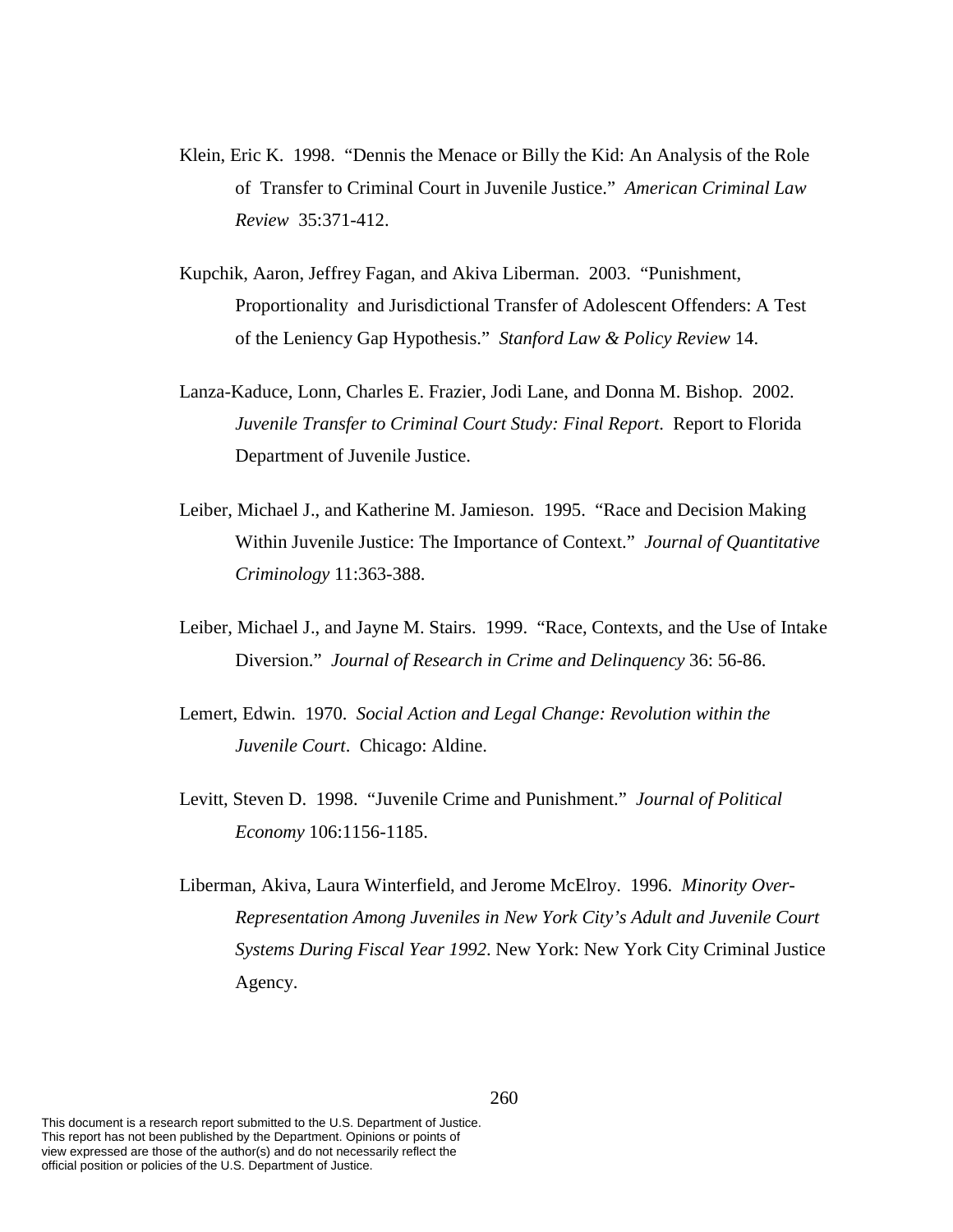- Klein, Eric K. 1998. "Dennis the Menace or Billy the Kid: An Analysis of the Role of Transfer to Criminal Court in Juvenile Justice." *American Criminal Law Review* 35:371-412.
- Kupchik, Aaron, Jeffrey Fagan, and Akiva Liberman. 2003. "Punishment, Proportionality and Jurisdictional Transfer of Adolescent Offenders: A Test of the Leniency Gap Hypothesis." *Stanford Law & Policy Review* 14.
- Lanza-Kaduce, Lonn, Charles E. Frazier, Jodi Lane, and Donna M. Bishop. 2002. *Juvenile Transfer to Criminal Court Study: Final Report*. Report to Florida Department of Juvenile Justice.
- Leiber, Michael J., and Katherine M. Jamieson. 1995. "Race and Decision Making Within Juvenile Justice: The Importance of Context." *Journal of Quantitative Criminology* 11:363-388.
- Leiber, Michael J., and Jayne M. Stairs. 1999. "Race, Contexts, and the Use of Intake Diversion." *Journal of Research in Crime and Delinquency* 36: 56-86.
- Lemert, Edwin. 1970. *Social Action and Legal Change: Revolution within the Juvenile Court*. Chicago: Aldine.
- Levitt, Steven D. 1998. "Juvenile Crime and Punishment." *Journal of Political Economy* 106:1156-1185.
- Liberman, Akiva, Laura Winterfield, and Jerome McElroy. 1996. *Minority Over-Representation Among Juveniles in New York City's Adult and Juvenile Court Systems During Fiscal Year 1992*. New York: New York City Criminal Justice Agency.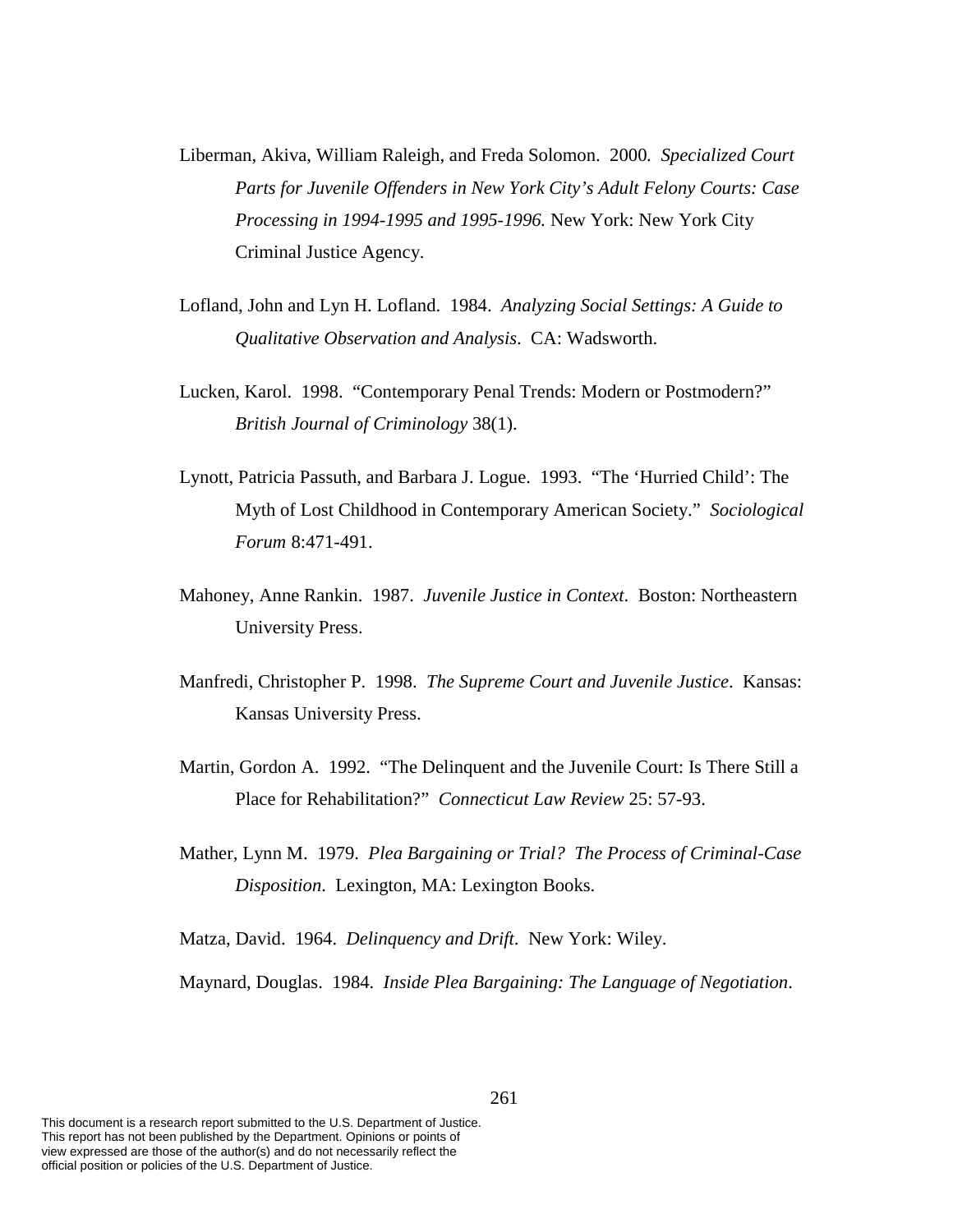- Liberman, Akiva, William Raleigh, and Freda Solomon. 2000*. Specialized Court Parts for Juvenile Offenders in New York City's Adult Felony Courts: Case Processing in 1994-1995 and 1995-1996.* New York: New York City Criminal Justice Agency.
- Lofland, John and Lyn H. Lofland. 1984. *Analyzing Social Settings: A Guide to Qualitative Observation and Analysis*. CA: Wadsworth.
- Lucken, Karol. 1998. "Contemporary Penal Trends: Modern or Postmodern?" *British Journal of Criminology* 38(1).
- Lynott, Patricia Passuth, and Barbara J. Logue. 1993. "The 'Hurried Child': The Myth of Lost Childhood in Contemporary American Society." *Sociological Forum* 8:471-491.
- Mahoney, Anne Rankin. 1987. *Juvenile Justice in Context*. Boston: Northeastern University Press.
- Manfredi, Christopher P. 1998. *The Supreme Court and Juvenile Justice*. Kansas: Kansas University Press.
- Martin, Gordon A. 1992. "The Delinquent and the Juvenile Court: Is There Still a Place for Rehabilitation?" *Connecticut Law Review* 25: 57-93.
- Mather, Lynn M. 1979. *Plea Bargaining or Trial? The Process of Criminal-Case Disposition*. Lexington, MA: Lexington Books.

Matza, David. 1964. *Delinquency and Drift*. New York: Wiley.

Maynard, Douglas. 1984. *Inside Plea Bargaining: The Language of Negotiation*.

This document is a research report submitted to the U.S. Department of Justice. This report has not been published by the Department. Opinions or points of view expressed are those of the author(s) and do not necessarily reflect the official position or policies of the U.S. Department of Justice.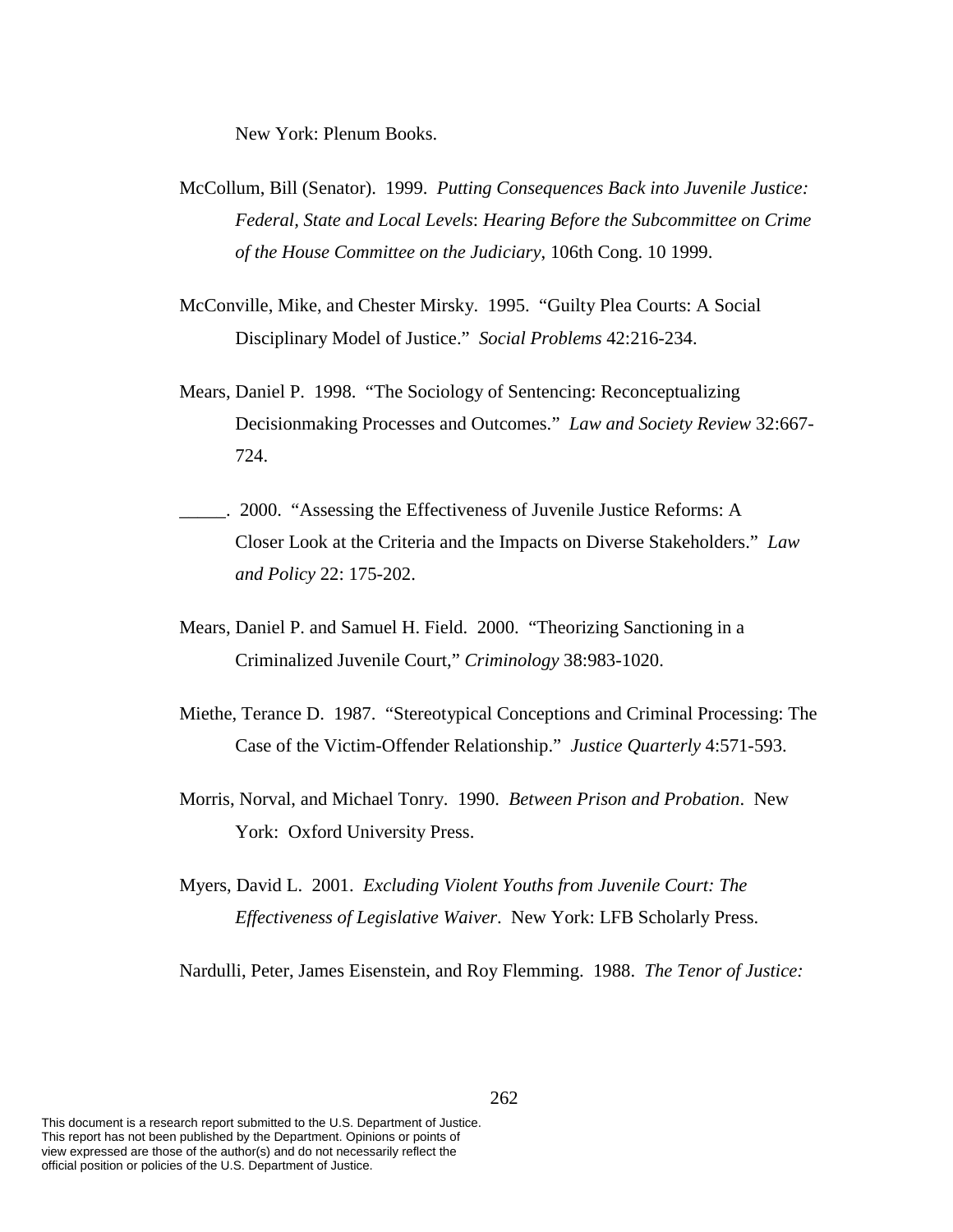New York: Plenum Books.

- McCollum, Bill (Senator). 1999. *Putting Consequences Back into Juvenile Justice: Federal, State and Local Levels*: *Hearing Before the Subcommittee on Crime of the House Committee on the Judiciary*, 106th Cong. 10 1999.
- McConville, Mike, and Chester Mirsky. 1995. "Guilty Plea Courts: A Social Disciplinary Model of Justice." *Social Problems* 42:216-234.
- Mears, Daniel P. 1998. "The Sociology of Sentencing: Reconceptualizing Decisionmaking Processes and Outcomes." *Law and Society Review* 32:667- 724.
- \_\_\_\_\_. 2000. "Assessing the Effectiveness of Juvenile Justice Reforms: A Closer Look at the Criteria and the Impacts on Diverse Stakeholders." *Law and Policy* 22: 175-202.
- Mears, Daniel P. and Samuel H. Field. 2000. "Theorizing Sanctioning in a Criminalized Juvenile Court," *Criminology* 38:983-1020.
- Miethe, Terance D. 1987. "Stereotypical Conceptions and Criminal Processing: The Case of the Victim-Offender Relationship." *Justice Quarterly* 4:571-593.
- Morris, Norval, and Michael Tonry. 1990. *Between Prison and Probation*. New York: Oxford University Press.
- Myers, David L. 2001. *Excluding Violent Youths from Juvenile Court: The Effectiveness of Legislative Waiver*. New York: LFB Scholarly Press.

Nardulli, Peter, James Eisenstein, and Roy Flemming. 1988. *The Tenor of Justice:*

This document is a research report submitted to the U.S. Department of Justice. This report has not been published by the Department. Opinions or points of view expressed are those of the author(s) and do not necessarily reflect the official position or policies of the U.S. Department of Justice.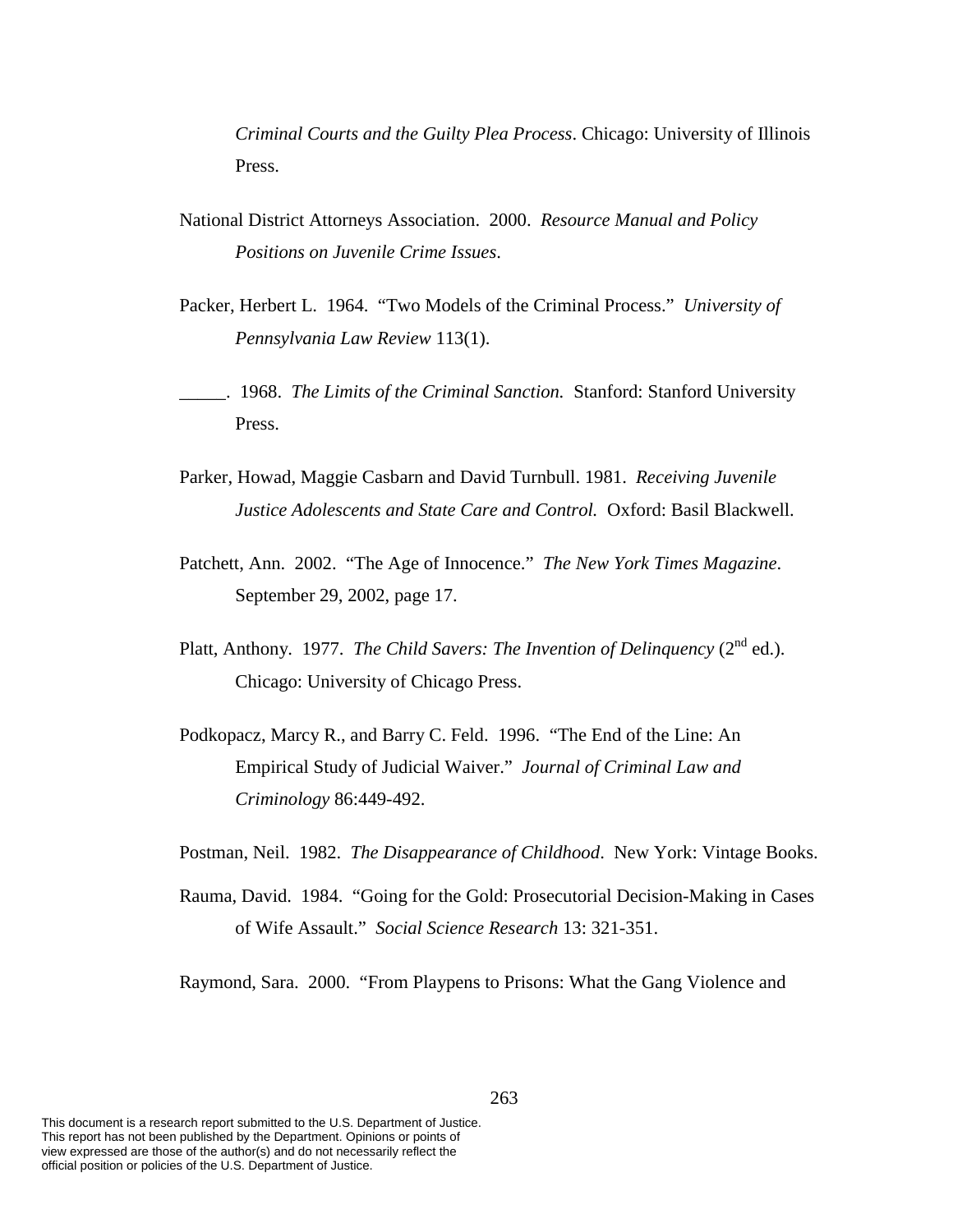*Criminal Courts and the Guilty Plea Process*. Chicago: University of Illinois Press.

- National District Attorneys Association. 2000. *Resource Manual and Policy Positions on Juvenile Crime Issues*.
- Packer, Herbert L. 1964. "Two Models of the Criminal Process." *University of Pennsylvania Law Review* 113(1).
- \_\_\_\_\_. 1968. *The Limits of the Criminal Sanction.* Stanford: Stanford University Press.
- Parker, Howad, Maggie Casbarn and David Turnbull. 1981. *Receiving Juvenile Justice Adolescents and State Care and Control.* Oxford: Basil Blackwell.
- Patchett, Ann. 2002. "The Age of Innocence." *The New York Times Magazine*. September 29, 2002, page 17.
- Platt, Anthony. 1977. *The Child Savers: The Invention of Delinquency* ( $2^{nd}$  ed.). Chicago: University of Chicago Press.
- Podkopacz, Marcy R., and Barry C. Feld. 1996. "The End of the Line: An Empirical Study of Judicial Waiver." *Journal of Criminal Law and Criminology* 86:449-492.
- Postman, Neil. 1982. *The Disappearance of Childhood*. New York: Vintage Books.
- Rauma, David. 1984. "Going for the Gold: Prosecutorial Decision-Making in Cases of Wife Assault." *Social Science Research* 13: 321-351.

Raymond, Sara. 2000. "From Playpens to Prisons: What the Gang Violence and

This document is a research report submitted to the U.S. Department of Justice. This report has not been published by the Department. Opinions or points of view expressed are those of the author(s) and do not necessarily reflect the official position or policies of the U.S. Department of Justice.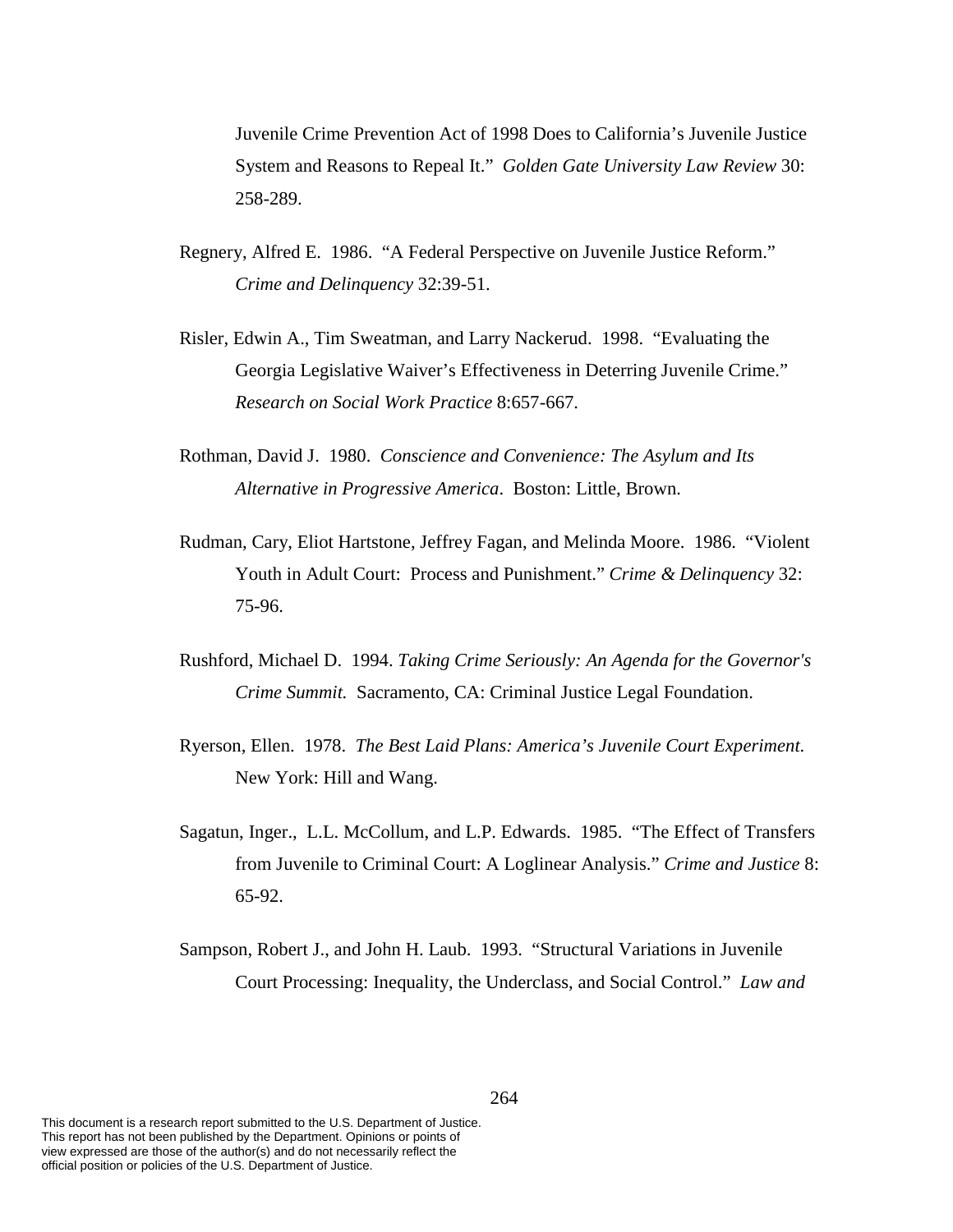Juvenile Crime Prevention Act of 1998 Does to California's Juvenile Justice System and Reasons to Repeal It." *Golden Gate University Law Review* 30: 258-289.

- Regnery, Alfred E. 1986. "A Federal Perspective on Juvenile Justice Reform." *Crime and Delinquency* 32:39-51.
- Risler, Edwin A., Tim Sweatman, and Larry Nackerud. 1998. "Evaluating the Georgia Legislative Waiver's Effectiveness in Deterring Juvenile Crime." *Research on Social Work Practice* 8:657-667.
- Rothman, David J. 1980. *Conscience and Convenience: The Asylum and Its Alternative in Progressive America*. Boston: Little, Brown.
- Rudman, Cary, Eliot Hartstone, Jeffrey Fagan, and Melinda Moore. 1986. "Violent Youth in Adult Court: Process and Punishment." *Crime & Delinquency* 32: 75-96.
- Rushford, Michael D. 1994. *Taking Crime Seriously: An Agenda for the Governor's Crime Summit.* Sacramento, CA: Criminal Justice Legal Foundation.
- Ryerson, Ellen. 1978. *The Best Laid Plans: America's Juvenile Court Experiment*. New York: Hill and Wang.
- Sagatun, Inger., L.L. McCollum, and L.P. Edwards. 1985. "The Effect of Transfers from Juvenile to Criminal Court: A Loglinear Analysis." *Crime and Justice* 8: 65-92.
- Sampson, Robert J., and John H. Laub. 1993. "Structural Variations in Juvenile Court Processing: Inequality, the Underclass, and Social Control." *Law and*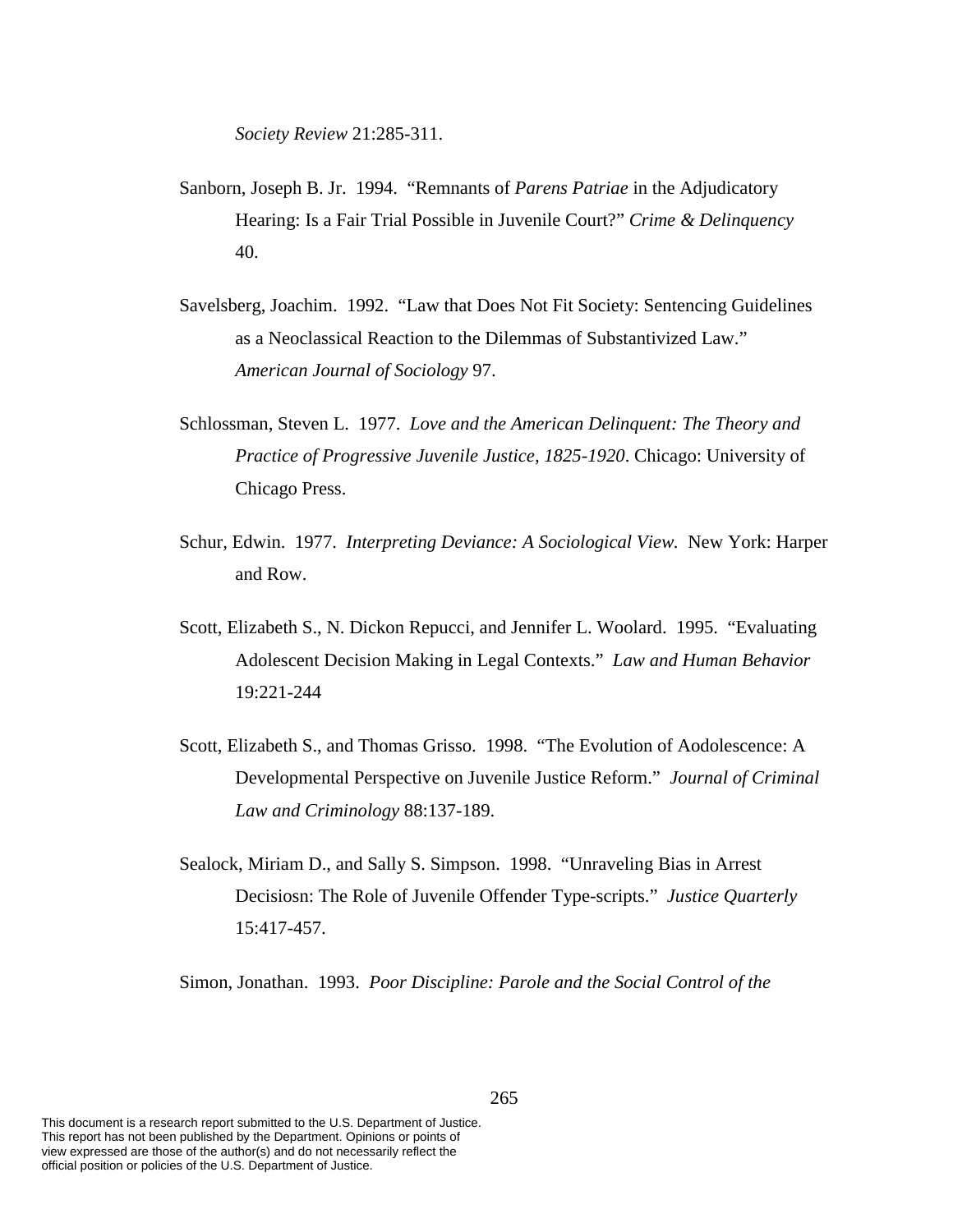*Society Review* 21:285-311.

- Sanborn, Joseph B. Jr. 1994. "Remnants of *Parens Patriae* in the Adjudicatory Hearing: Is a Fair Trial Possible in Juvenile Court?" *Crime & Delinquency* 40.
- Savelsberg, Joachim. 1992. "Law that Does Not Fit Society: Sentencing Guidelines as a Neoclassical Reaction to the Dilemmas of Substantivized Law." *American Journal of Sociology* 97.
- Schlossman, Steven L. 1977. *Love and the American Delinquent: The Theory and Practice of Progressive Juvenile Justice, 1825-1920*. Chicago: University of Chicago Press.
- Schur, Edwin. 1977. *Interpreting Deviance: A Sociological View.* New York: Harper and Row.
- Scott, Elizabeth S., N. Dickon Repucci, and Jennifer L. Woolard. 1995. "Evaluating Adolescent Decision Making in Legal Contexts." *Law and Human Behavior* 19:221-244
- Scott, Elizabeth S., and Thomas Grisso. 1998. "The Evolution of Aodolescence: A Developmental Perspective on Juvenile Justice Reform." *Journal of Criminal Law and Criminology* 88:137-189.
- Sealock, Miriam D., and Sally S. Simpson. 1998. "Unraveling Bias in Arrest Decisiosn: The Role of Juvenile Offender Type-scripts." *Justice Quarterly* 15:417-457.

Simon, Jonathan. 1993. *Poor Discipline: Parole and the Social Control of the*

This document is a research report submitted to the U.S. Department of Justice. This report has not been published by the Department. Opinions or points of view expressed are those of the author(s) and do not necessarily reflect the official position or policies of the U.S. Department of Justice.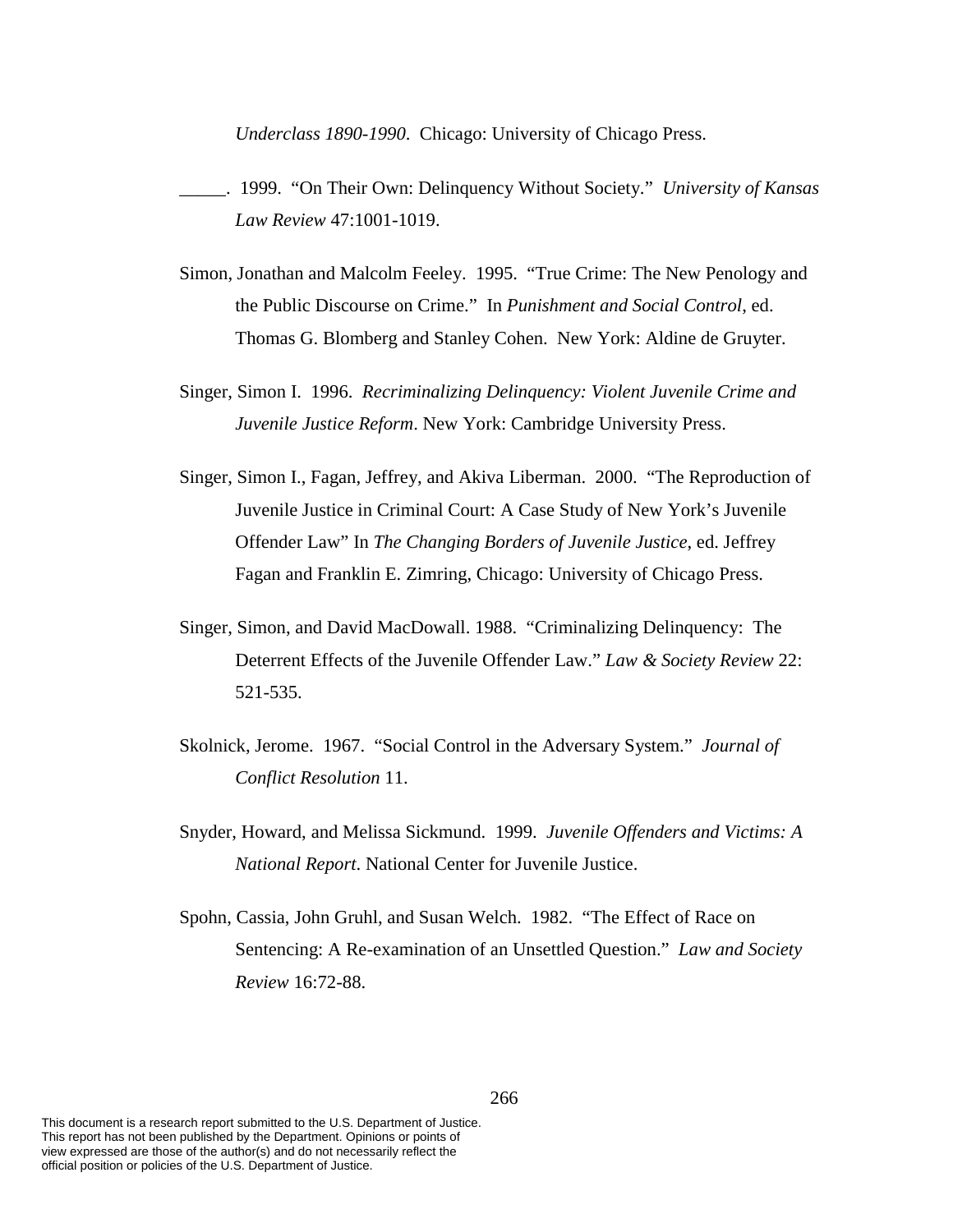*Underclass 1890-1990*. Chicago: University of Chicago Press.

- \_\_\_\_\_. 1999. "On Their Own: Delinquency Without Society." *University of Kansas Law Review* 47:1001-1019.
- Simon, Jonathan and Malcolm Feeley. 1995. "True Crime: The New Penology and the Public Discourse on Crime." In *Punishment and Social Control*, ed. Thomas G. Blomberg and Stanley Cohen. New York: Aldine de Gruyter.
- Singer, Simon I. 1996. *Recriminalizing Delinquency: Violent Juvenile Crime and Juvenile Justice Reform*. New York: Cambridge University Press.
- Singer, Simon I., Fagan, Jeffrey, and Akiva Liberman. 2000. "The Reproduction of Juvenile Justice in Criminal Court: A Case Study of New York's Juvenile Offender Law" In *The Changing Borders of Juvenile Justice*, ed. Jeffrey Fagan and Franklin E. Zimring, Chicago: University of Chicago Press.
- Singer, Simon, and David MacDowall. 1988. "Criminalizing Delinquency: The Deterrent Effects of the Juvenile Offender Law." *Law & Society Review* 22: 521-535.
- Skolnick, Jerome. 1967. "Social Control in the Adversary System." *Journal of Conflict Resolution* 11.
- Snyder, Howard, and Melissa Sickmund. 1999. *Juvenile Offenders and Victims: A National Report*. National Center for Juvenile Justice.
- Spohn, Cassia, John Gruhl, and Susan Welch. 1982. "The Effect of Race on Sentencing: A Re-examination of an Unsettled Question." *Law and Society Review* 16:72-88.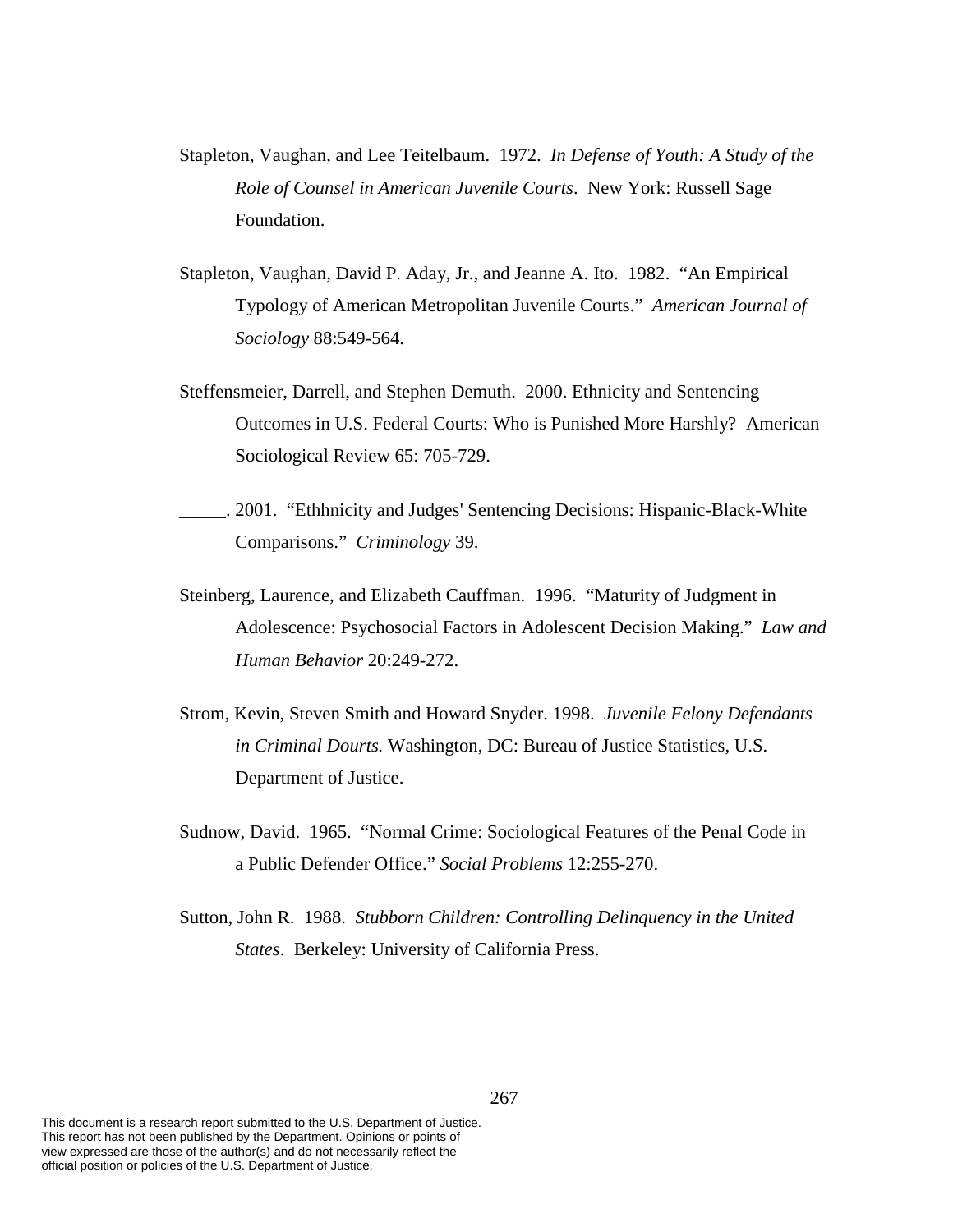- Stapleton, Vaughan, and Lee Teitelbaum. 1972. *In Defense of Youth: A Study of the Role of Counsel in American Juvenile Courts*. New York: Russell Sage Foundation.
- Stapleton, Vaughan, David P. Aday, Jr., and Jeanne A. Ito. 1982. "An Empirical Typology of American Metropolitan Juvenile Courts." *American Journal of Sociology* 88:549-564.
- Steffensmeier, Darrell, and Stephen Demuth. 2000. Ethnicity and Sentencing Outcomes in U.S. Federal Courts: Who is Punished More Harshly? American Sociological Review 65: 705-729.
- \_\_\_\_\_. 2001. "Ethhnicity and Judges' Sentencing Decisions: Hispanic-Black-White Comparisons." *Criminology* 39.
- Steinberg, Laurence, and Elizabeth Cauffman. 1996. "Maturity of Judgment in Adolescence: Psychosocial Factors in Adolescent Decision Making." *Law and Human Behavior* 20:249-272.
- Strom, Kevin, Steven Smith and Howard Snyder. 1998. *Juvenile Felony Defendants in Criminal Dourts.* Washington, DC: Bureau of Justice Statistics, U.S. Department of Justice.
- Sudnow, David. 1965. "Normal Crime: Sociological Features of the Penal Code in a Public Defender Office." *Social Problems* 12:255-270.
- Sutton, John R. 1988. *Stubborn Children: Controlling Delinquency in the United States*. Berkeley: University of California Press.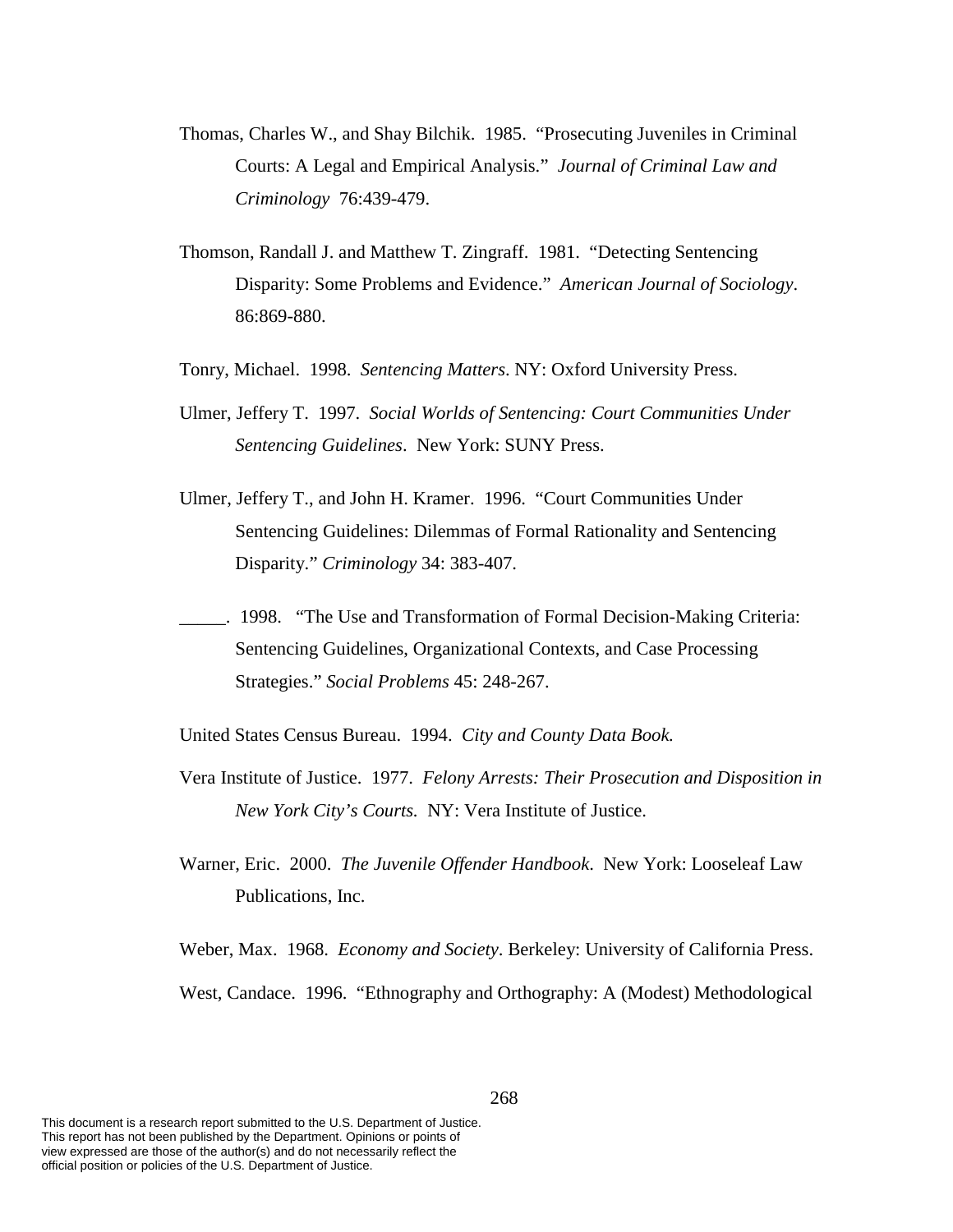- Thomas, Charles W., and Shay Bilchik. 1985. "Prosecuting Juveniles in Criminal Courts: A Legal and Empirical Analysis." *Journal of Criminal Law and Criminology* 76:439-479.
- Thomson, Randall J. and Matthew T. Zingraff. 1981. "Detecting Sentencing Disparity: Some Problems and Evidence." *American Journal of Sociology*. 86:869-880.
- Tonry, Michael. 1998. *Sentencing Matters*. NY: Oxford University Press.
- Ulmer, Jeffery T. 1997. *Social Worlds of Sentencing: Court Communities Under Sentencing Guidelines*. New York: SUNY Press.
- Ulmer, Jeffery T., and John H. Kramer. 1996. "Court Communities Under Sentencing Guidelines: Dilemmas of Formal Rationality and Sentencing Disparity." *Criminology* 34: 383-407.
- \_\_\_\_\_. 1998. "The Use and Transformation of Formal Decision-Making Criteria: Sentencing Guidelines, Organizational Contexts, and Case Processing Strategies." *Social Problems* 45: 248-267.

United States Census Bureau. 1994. *City and County Data Book.*

- Vera Institute of Justice. 1977. *Felony Arrests: Their Prosecution and Disposition in New York City's Courts.* NY: Vera Institute of Justice.
- Warner, Eric. 2000. *The Juvenile Offender Handbook*. New York: Looseleaf Law Publications, Inc.

Weber, Max. 1968. *Economy and Society*. Berkeley: University of California Press. West, Candace. 1996. "Ethnography and Orthography: A (Modest) Methodological

This document is a research report submitted to the U.S. Department of Justice. This report has not been published by the Department. Opinions or points of view expressed are those of the author(s) and do not necessarily reflect the official position or policies of the U.S. Department of Justice.